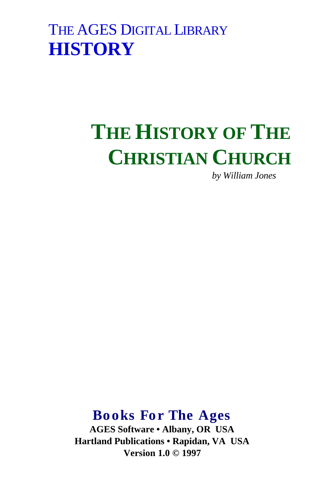## THE AGES DIGITAL LIBRARY **HISTORY**

# **THE HISTORY OF THE CHRISTIAN CHURCH**

*by William Jones*

## **Books For The Ages**

**AGES Software • Albany, OR USA Hartland Publications • Rapidan, VA USA Version 1.0 © 1997**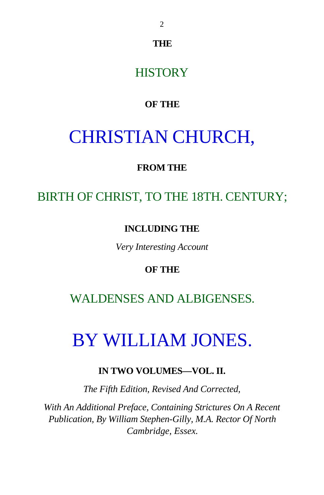**THE**

## **HISTORY**

## **OF THE**

## CHRISTIAN CHURCH,

### **FROM THE**

## BIRTH OF CHRIST, TO THE 18TH. CENTURY;

#### **INCLUDING THE**

*Very Interesting Account*

### **OF THE**

## WALDENSES AND ALBIGENSES.

## BY WILLIAM JONES.

## **IN TWO VOLUMES—VOL. II.**

*The Fifth Edition, Revised And Corrected,*

*With An Additional Preface, Containing Strictures On A Recent Publication, By William Stephen-Gilly, M.A. Rector Of North Cambridge, Essex.*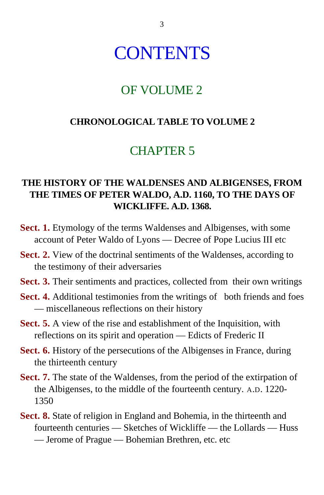## **CONTENTS**

## OF VOLUME 2

### **CHRONOLOGICAL TABLE TO VOLUME 2**

## CHAPTER 5

## **THE HISTORY OF THE WALDENSES AND ALBIGENSES, FROM THE TIMES OF PETER WALDO, A.D. 1160, TO THE DAYS OF WICKLIFFE. A.D. 1368.**

- **Sect. 1.** Etymology of the terms Waldenses and Albigenses, with some account of Peter Waldo of Lyons — Decree of Pope Lucius III etc
- **Sect. 2.** View of the doctrinal sentiments of the Waldenses, according to the testimony of their adversaries
- **Sect. 3.** Their sentiments and practices, collected from their own writings
- **Sect. 4.** Additional testimonies from the writings of both friends and foes — miscellaneous reflections on their history
- **Sect. 5.** A view of the rise and establishment of the Inquisition, with reflections on its spirit and operation — Edicts of Frederic II
- **Sect. 6.** History of the persecutions of the Albigenses in France, during the thirteenth century
- **Sect. 7.** The state of the Waldenses, from the period of the extirpation of the Albigenses, to the middle of the fourteenth century. A.D. 1220- 1350
- **Sect. 8.** State of religion in England and Bohemia, in the thirteenth and fourteenth centuries — Sketches of Wickliffe — the Lollards — Huss — Jerome of Prague — Bohemian Brethren, etc. etc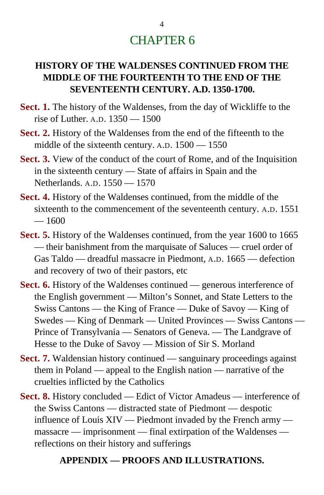## CHAPTER 6

### **HISTORY OF THE WALDENSES CONTINUED FROM THE MIDDLE OF THE FOURTEENTH TO THE END OF THE SEVENTEENTH CENTURY. A.D. 1350-1700.**

- **Sect. 1.** The history of the Waldenses, from the day of Wickliffe to the rise of Luther. A.D. 1350 — 1500
- **Sect. 2.** History of the Waldenses from the end of the fifteenth to the middle of the sixteenth century. A.D. 1500 — 1550
- **Sect. 3.** View of the conduct of the court of Rome, and of the Inquisition in the sixteenth century — State of affairs in Spain and the Netherlands. A.D. 1550 — 1570
- **Sect. 4.** History of the Waldenses continued, from the middle of the sixteenth to the commencement of the seventeenth century. A.D. 1551  $= 1600$
- **Sect. 5.** History of the Waldenses continued, from the year 1600 to 1665 — their banishment from the marquisate of Saluces — cruel order of Gas Taldo — dreadful massacre in Piedmont, A.D. 1665 — defection and recovery of two of their pastors, etc
- **Sect. 6.** History of the Waldenses continued generous interference of the English government — Milton's Sonnet, and State Letters to the Swiss Cantons — the King of France — Duke of Savoy — King of Swedes — King of Denmark — United Provinces — Swiss Cantons — Prince of Transylvania — Senators of Geneva. — The Landgrave of Hesse to the Duke of Savoy — Mission of Sir S. Morland
- **Sect. 7.** Waldensian history continued sanguinary proceedings against them in Poland — appeal to the English nation — narrative of the cruelties inflicted by the Catholics
- **Sect. 8.** History concluded Edict of Victor Amadeus interference of the Swiss Cantons — distracted state of Piedmont — despotic influence of Louis XIV — Piedmont invaded by the French army massacre — imprisonment — final extirpation of the Waldenses reflections on their history and sufferings

#### **APPENDIX — PROOFS AND ILLUSTRATIONS.**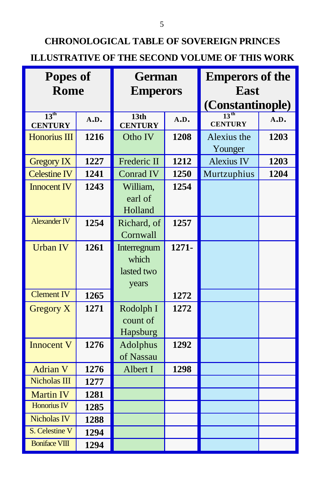## **CHRONOLOGICAL TABLE OF SOVEREIGN PRINCES ILLUSTRATIVE OF THE SECOND VOLUME OF THIS WORK**

| Popes of                           |      | <b>German</b>                               |       | <b>Emperors of the</b>             |      |  |
|------------------------------------|------|---------------------------------------------|-------|------------------------------------|------|--|
| <b>Rome</b>                        |      | <b>Emperors</b>                             |       | <b>East</b>                        |      |  |
|                                    |      |                                             |       | (Constantinople)                   |      |  |
| $13^{\text{th}}$<br><b>CENTURY</b> | A.D. | 13 <sub>th</sub><br><b>CENTURY</b>          | A.D.  | 13 <sup>th</sup><br><b>CENTURY</b> | A.D. |  |
| <b>Honorius III</b>                | 1216 | Otho IV                                     | 1208  | Alexius the<br>Younger             | 1203 |  |
| <b>Gregory IX</b>                  | 1227 | Frederic II                                 | 1212  | <b>Alexius IV</b>                  | 1203 |  |
| <b>Celestine IV</b>                | 1241 | <b>Conrad IV</b>                            | 1250  | Murtzuphius                        | 1204 |  |
| <b>Innocent IV</b>                 | 1243 | William,<br>earl of<br>Holland              | 1254  |                                    |      |  |
| <b>Alexander IV</b>                | 1254 | Richard, of<br>Cornwall                     | 1257  |                                    |      |  |
| <b>Urban IV</b>                    | 1261 | Interregnum<br>which<br>lasted two<br>years | 1271- |                                    |      |  |
| <b>Clement IV</b>                  | 1265 |                                             | 1272  |                                    |      |  |
| Gregory X                          | 1271 | Rodolph I<br>count of<br>Hapsburg           | 1272  |                                    |      |  |
| <b>Innocent V</b>                  | 1276 | Adolphus<br>of Nassau                       | 1292  |                                    |      |  |
| <b>Adrian V</b>                    | 1276 | Albert I                                    | 1298  |                                    |      |  |
| Nicholas III                       | 1277 |                                             |       |                                    |      |  |
| <b>Martin IV</b>                   | 1281 |                                             |       |                                    |      |  |
| <b>Honorius IV</b>                 | 1285 |                                             |       |                                    |      |  |
| <b>Nicholas IV</b>                 | 1288 |                                             |       |                                    |      |  |
| S. Celestine V                     | 1294 |                                             |       |                                    |      |  |
| <b>Boniface VIII</b>               | 1294 |                                             |       |                                    |      |  |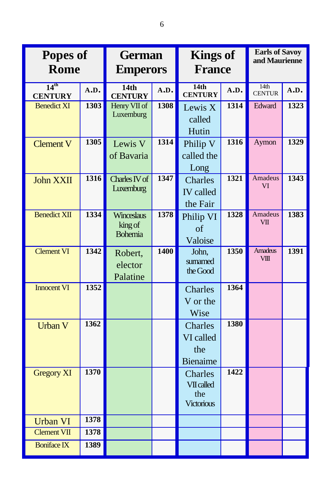| Popes of<br><b>Rome</b>            |             | <b>German</b><br><b>Emperors</b>        |             | <b>Kings of</b><br><b>France</b>                         |             | <b>Earls of Savoy</b><br>and Maurienne |      |
|------------------------------------|-------------|-----------------------------------------|-------------|----------------------------------------------------------|-------------|----------------------------------------|------|
| 14 <sup>th</sup><br><b>CENTURY</b> | A.D.        | 14 <sub>th</sub><br><b>CENTURY</b>      | A.D.        | 14 <sub>th</sub><br><b>CENTURY</b>                       | A.D.        | 14th<br><b>CENTUR</b>                  | A.D. |
| <b>Benedict XI</b>                 | <b>1303</b> | Henry VII of<br>Luxemburg               | 1308        | Lewis X<br>called<br>Hutin                               | 1314        | Edward                                 | 1323 |
| <b>Clement V</b>                   | 1305        | Lewis V<br>of Bavaria                   | 1314        | Philip V<br>called the<br>Long                           | 1316        | Aymon                                  | 1329 |
| <b>John XXII</b>                   | 1316        | Charles IV of<br>Luxemburg              | 1347        | Charles<br><b>IV</b> called<br>the Fair                  | 1321        | <b>Amadeus</b><br>VI                   | 1343 |
| <b>Benedict XII</b>                | 1334        | Winceslaus<br>king of<br><b>Bohemia</b> | 1378        | Philip VI<br>of<br>Valoise                               | 1328        | Amadeus<br><b>VII</b>                  | 1383 |
| <b>Clement VI</b>                  | 1342        | Robert,<br>elector<br>Palatine          | <b>1400</b> | John,<br>sumamed<br>the Good                             | 1350        | <b>Amadeus</b><br>VIII                 | 1391 |
| <b>Innocent VI</b>                 | 1352        |                                         |             | Charles<br>V or the<br>Wise                              | 1364        |                                        |      |
| <b>Urban V</b>                     | 1362        |                                         |             | Charles<br>VI called<br>the<br><b>Bienaime</b>           | <b>1380</b> |                                        |      |
| <b>Gregory XI</b>                  | 1370        |                                         |             | Charles<br><b>VII called</b><br>the<br><b>Victorious</b> | 1422        |                                        |      |
| <b>Urban VI</b>                    | 1378        |                                         |             |                                                          |             |                                        |      |
| <b>Clement VII</b>                 | 1378        |                                         |             |                                                          |             |                                        |      |
| <b>Boniface IX</b>                 | 1389        |                                         |             |                                                          |             |                                        |      |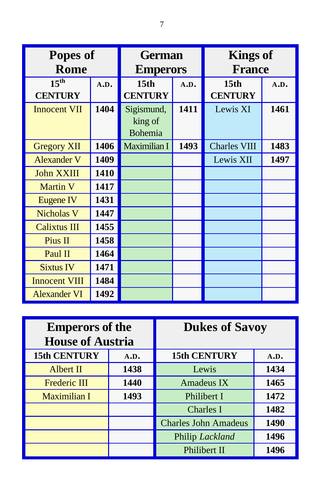| <b>Popes of</b>      |      | <b>German</b>    |      | <b>Kings of</b>     |      |  |
|----------------------|------|------------------|------|---------------------|------|--|
| <b>Rome</b>          |      | <b>Emperors</b>  |      | <b>France</b>       |      |  |
| 15 <sup>th</sup>     | A.D. | 15 <sub>th</sub> | A.D. | 15 <sub>th</sub>    | A.D. |  |
| <b>CENTURY</b>       |      | <b>CENTURY</b>   |      | <b>CENTURY</b>      |      |  |
| <b>Innocent VII</b>  | 1404 | Sigismund,       | 1411 | Lewis XI            | 1461 |  |
|                      |      | king of          |      |                     |      |  |
|                      |      | <b>Bohemia</b>   |      |                     |      |  |
| <b>Gregory XII</b>   | 1406 | Maximilian I     | 1493 | <b>Charles VIII</b> | 1483 |  |
| <b>Alexander V</b>   | 1409 |                  |      | Lewis XII           | 1497 |  |
| John XXIII           | 1410 |                  |      |                     |      |  |
| <b>Martin V</b>      | 1417 |                  |      |                     |      |  |
| Eugene IV            | 1431 |                  |      |                     |      |  |
| <b>Nicholas V</b>    | 1447 |                  |      |                     |      |  |
| <b>Calixtus III</b>  | 1455 |                  |      |                     |      |  |
| Pius II              | 1458 |                  |      |                     |      |  |
| Paul II              | 1464 |                  |      |                     |      |  |
| <b>Sixtus IV</b>     | 1471 |                  |      |                     |      |  |
| <b>Innocent VIII</b> | 1484 |                  |      |                     |      |  |
| <b>Alexander VI</b>  | 1492 |                  |      |                     |      |  |

| <b>Emperors of the</b><br><b>House of Austria</b> |      | <b>Dukes of Savoy</b>       |      |  |
|---------------------------------------------------|------|-----------------------------|------|--|
| 15th CENTURY                                      | A.D. | 15th CENTURY                | A.D. |  |
| <b>Albert II</b>                                  | 1438 | Lewis                       | 1434 |  |
| <b>Frederic III</b>                               | 1440 | <b>Amadeus IX</b>           | 1465 |  |
| <b>Maximilian I</b>                               | 1493 | Philibert I                 | 1472 |  |
|                                                   |      | Charles I                   | 1482 |  |
|                                                   |      | <b>Charles John Amadeus</b> | 1490 |  |
|                                                   |      | Philip Lackland             | 1496 |  |
|                                                   |      | Philibert II                | 1496 |  |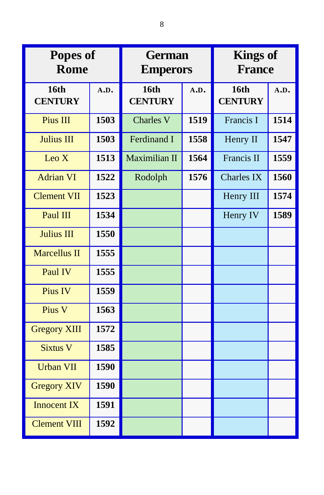| Popes of<br><b>Rome</b>       |      | <b>German</b><br><b>Emperors</b> |      | <b>Kings of</b><br><b>France</b> |      |  |
|-------------------------------|------|----------------------------------|------|----------------------------------|------|--|
| <b>16th</b><br><b>CENTURY</b> | A.D. | 16th<br><b>CENTURY</b>           | A.D. | <b>16th</b><br><b>CENTURY</b>    | A.D. |  |
| Pius III                      | 1503 | <b>Charles V</b>                 | 1519 | Francis I                        | 1514 |  |
| <b>Julius III</b>             | 1503 | <b>Ferdinand I</b>               | 1558 | Henry II                         | 1547 |  |
| Leo $X$                       | 1513 | Maximilian II                    | 1564 | Francis II                       | 1559 |  |
| <b>Adrian VI</b>              | 1522 | Rodolph                          | 1576 | <b>Charles IX</b>                | 1560 |  |
| <b>Clement VII</b>            | 1523 |                                  |      | Henry III                        | 1574 |  |
| Paul III                      | 1534 |                                  |      | Henry IV                         | 1589 |  |
| <b>Julius III</b>             | 1550 |                                  |      |                                  |      |  |
| <b>Marcellus II</b>           | 1555 |                                  |      |                                  |      |  |
| Paul IV                       | 1555 |                                  |      |                                  |      |  |
| Pius IV                       | 1559 |                                  |      |                                  |      |  |
| Pius V                        | 1563 |                                  |      |                                  |      |  |
| <b>Gregory XIII</b>           | 1572 |                                  |      |                                  |      |  |
| <b>Sixtus V</b>               | 1585 |                                  |      |                                  |      |  |
| <b>Urban VII</b>              | 1590 |                                  |      |                                  |      |  |
| <b>Gregory XIV</b>            | 1590 |                                  |      |                                  |      |  |
| <b>Innocent IX</b>            | 1591 |                                  |      |                                  |      |  |
| <b>Clement VIII</b>           | 1592 |                                  |      |                                  |      |  |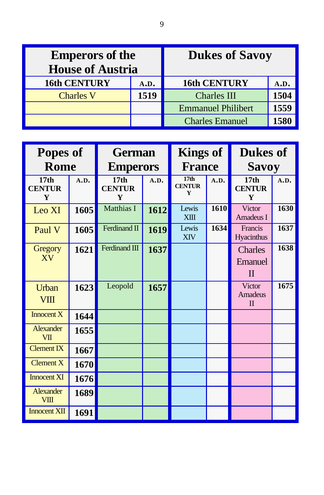| <b>Emperors of the</b><br><b>House of Austria</b> |      | <b>Dukes of Savoy</b>     |      |  |
|---------------------------------------------------|------|---------------------------|------|--|
| <b>16th CENTURY</b>                               | A.D. | <b>16th CENTURY</b>       |      |  |
| <b>Charles V</b>                                  | 1519 | <b>Charles III</b>        | 1504 |  |
|                                                   |      | <b>Emmanuel Philibert</b> | 1559 |  |
|                                                   |      | <b>Charles Emanuel</b>    | 1580 |  |

| <b>Popes of</b><br><b>Rome</b>         |      | <b>German</b><br><b>Emperors</b>       |      | <b>Kings of</b><br><b>France</b>       |      | <b>Dukes of</b><br><b>Savoy</b>        |      |
|----------------------------------------|------|----------------------------------------|------|----------------------------------------|------|----------------------------------------|------|
| 17 <sub>th</sub><br><b>CENTUR</b><br>Y | A.D. | 17 <sub>th</sub><br><b>CENTUR</b><br>Y | A.D. | 17 <sub>th</sub><br><b>CENTUR</b><br>Y | A.D. | 17 <sub>th</sub><br><b>CENTUR</b><br>Y | A.D. |
| Leo XI                                 | 1605 | <b>Matthias I</b>                      | 1612 | Lewis<br><b>XIII</b>                   | 1610 | Victor<br>Amadeus I                    | 1630 |
| Paul V                                 | 1605 | Ferdinand II                           | 1619 | Lewis<br><b>XIV</b>                    | 1634 | Francis<br>Hyacinthus                  | 1637 |
| Gregory<br>XV                          | 1621 | Ferdinand III                          | 1637 |                                        |      | Charles<br>Emanuel<br>$\mathbf{I}$     | 1638 |
| <b>Urban</b><br><b>VIII</b>            | 1623 | Leopold                                | 1657 |                                        |      | Victor<br>Amadeus<br>$\mathbf{I}$      | 1675 |
| Innocent $X$                           | 1644 |                                        |      |                                        |      |                                        |      |
| Alexander<br>VII                       | 1655 |                                        |      |                                        |      |                                        |      |
| $C$ lement $\overline{IX}$             | 1667 |                                        |      |                                        |      |                                        |      |
| Clement X                              | 1670 |                                        |      |                                        |      |                                        |      |
| <b>Innocent XI</b>                     | 1676 |                                        |      |                                        |      |                                        |      |
| <b>Alexander</b><br><b>VIII</b>        | 1689 |                                        |      |                                        |      |                                        |      |
| <b>Innocent XII</b>                    | 1691 |                                        |      |                                        |      |                                        |      |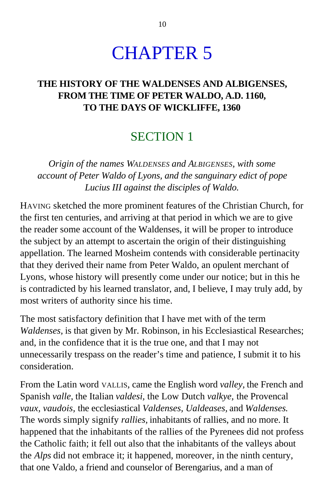## CHAPTER 5

## **THE HISTORY OF THE WALDENSES AND ALBIGENSES, FROM THE TIME OF PETER WALDO, A.D. 1160, TO THE DAYS OF WICKLIFFE, 1360**

## SECTION 1

*Origin of the names WALDENSES and ALBIGENSES, with some account of Peter Waldo of Lyons, and the sanguinary edict of pope Lucius III against the disciples of Waldo.*

HAVING sketched the more prominent features of the Christian Church, for the first ten centuries, and arriving at that period in which we are to give the reader some account of the Waldenses, it will be proper to introduce the subject by an attempt to ascertain the origin of their distinguishing appellation. The learned Mosheim contends with considerable pertinacity that they derived their name from Peter Waldo, an opulent merchant of Lyons, whose history will presently come under our notice; but in this he is contradicted by his learned translator, and, I believe, I may truly add, by most writers of authority since his time.

The most satisfactory definition that I have met with of the term *Waldenses,* is that given by Mr. Robinson, in his Ecclesiastical Researches; and, in the confidence that it is the true one, and that I may not unnecessarily trespass on the reader's time and patience, I submit it to his consideration.

From the Latin word VALLIS, came the English word *valley,* the French and Spanish *valle,* the Italian *valdesi,* the Low Dutch *valkye,* the Provencal *vaux, vaudois,* the ecclesiastical *Valdenses, Ualdeases,* and *Waldenses.* The words simply signify *rallies,* inhabitants of rallies, and no more. It happened that the inhabitants of the rallies of the Pyrenees did not profess the Catholic faith; it fell out also that the inhabitants of the valleys about the *Alps* did not embrace it; it happened, moreover, in the ninth century, that one Valdo, a friend and counselor of Berengarius, and a man of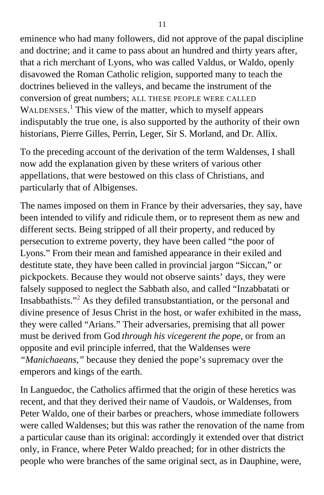eminence who had many followers, did not approve of the papal discipline and doctrine; and it came to pass about an hundred and thirty years after, that a rich merchant of Lyons, who was called Valdus, or Waldo, openly disavowed the Roman Catholic religion, supported many to teach the doctrines believed in the valleys, and became the instrument of the conversion of great numbers; ALL THESE PEOPLE WERE CALLED WALDENSES.<sup>[1](#page-393-0)</sup> This view of the matter, which to myself appears indisputably the true one, is also supported by the authority of their own historians, Pierre Gilles, Perrin, Leger, Sir S. Morland, and Dr. Allix.

To the preceding account of the derivation of the term Waldenses, I shall now add the explanation given by these writers of various other appellations, that were bestowed on this class of Christians, and particularly that of Albigenses.

The names imposed on them in France by their adversaries, they say, have been intended to vilify and ridicule them, or to represent them as new and different sects. Being stripped of all their property, and reduced by persecution to extreme poverty, they have been called "the poor of Lyons." From their mean and famished appearance in their exiled and destitute state, they have been called in provincial jargon "Siccan," or pickpockets. Because they would not observe saints' days, they were falsely supposed to neglect the Sabbath also, and called "Inzabbatati or Insabbathists."<sup>[2](#page-393-0)</sup> As they defiled transubstantiation, or the personal and divine presence of Jesus Christ in the host, or wafer exhibited in the mass, they were called "Arians." Their adversaries, premising that all power must be derived from God *through his vicegerent the pope,* or from an opposite and evil principle inferred, that the Waldenses were *"Manichaeans,"* because they denied the pope's supremacy over the emperors and kings of the earth.

In Languedoc, the Catholics affirmed that the origin of these heretics was recent, and that they derived their name of Vaudois, or Waldenses, from Peter Waldo, one of their barbes or preachers, whose immediate followers were called Waldenses; but this was rather the renovation of the name from a particular cause than its original: accordingly it extended over that district only, in France, where Peter Waldo preached; for in other districts the people who were branches of the same original sect, as in Dauphine, were,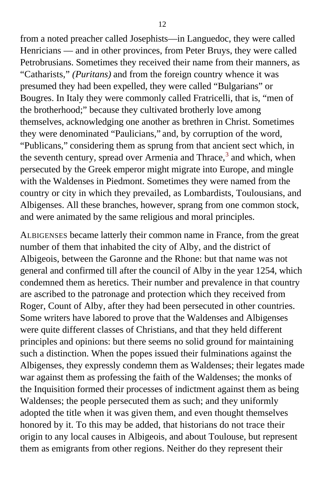from a noted preacher called Josephists—in Languedoc, they were called Henricians — and in other provinces, from Peter Bruys, they were called Petrobrusians. Sometimes they received their name from their manners, as "Catharists," *(Puritans)* and from the foreign country whence it was presumed they had been expelled, they were called "Bulgarians" or Bougres. In Italy they were commonly called Fratricelli, that is, "men of the brotherhood;" because they cultivated brotherly love among themselves, acknowledging one another as brethren in Christ. Sometimes they were denominated "Paulicians," and, by corruption of the word, "Publicans," considering them as sprung from that ancient sect which, in the seventh century, spread over Armenia and Thrace,<sup>[3](#page-393-0)</sup> and which, when persecuted by the Greek emperor might migrate into Europe, and mingle with the Waldenses in Piedmont. Sometimes they were named from the country or city in which they prevailed, as Lombardists, Toulousians, and Albigenses. All these branches, however, sprang from one common stock, and were animated by the same religious and moral principles.

ALBIGENSES became latterly their common name in France, from the great number of them that inhabited the city of Alby, and the district of Albigeois, between the Garonne and the Rhone: but that name was not general and confirmed till after the council of Alby in the year 1254, which condemned them as heretics. Their number and prevalence in that country are ascribed to the patronage and protection which they received from Roger, Count of Alby, after they had been persecuted in other countries. Some writers have labored to prove that the Waldenses and Albigenses were quite different classes of Christians, and that they held different principles and opinions: but there seems no solid ground for maintaining such a distinction. When the popes issued their fulminations against the Albigenses, they expressly condemn them as Waldenses; their legates made war against them as professing the faith of the Waldenses; the monks of the Inquisition formed their processes of indictment against them as being Waldenses; the people persecuted them as such; and they uniformly adopted the title when it was given them, and even thought themselves honored by it. To this may be added, that historians do not trace their origin to any local causes in Albigeois, and about Toulouse, but represent them as emigrants from other regions. Neither do they represent their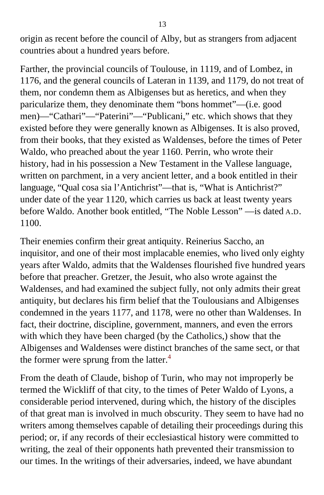origin as recent before the council of Alby, but as strangers from adjacent countries about a hundred years before.

Farther, the provincial councils of Toulouse, in 1119, and of Lombez, in 1176, and the general councils of Lateran in 1139, and 1179, do not treat of them, nor condemn them as Albigenses but as heretics, and when they paricularize them, they denominate them "bons hommet"—(i.e. good men)—"Cathari"—"Paterini"—"Publicani," etc. which shows that they existed before they were generally known as Albigenses. It is also proved, from their books, that they existed as Waldenses, before the times of Peter Waldo, who preached about the year 1160. Perrin, who wrote their history, had in his possession a New Testament in the Vallese language, written on parchment, in a very ancient letter, and a book entitled in their language, "Qual cosa sia l'Antichrist"—that is, "What is Antichrist?" under date of the year 1120, which carries us back at least twenty years before Waldo. Another book entitled, "The Noble Lesson" —is dated A.D. 1100.

Their enemies confirm their great antiquity. Reinerius Saccho, an inquisitor, and one of their most implacable enemies, who lived only eighty years after Waldo, admits that the Waldenses flourished five hundred years before that preacher. Gretzer, the Jesuit, who also wrote against the Waldenses, and had examined the subject fully, not only admits their great antiquity, but declares his firm belief that the Toulousians and Albigenses condemned in the years 1177, and 1178, were no other than Waldenses. In fact, their doctrine, discipline, government, manners, and even the errors with which they have been charged (by the Catholics,) show that the Albigenses and Waldenses were distinct branches of the same sect, or that the former were sprung from the latter. $4$ 

From the death of Claude, bishop of Turin, who may not improperly be termed the Wickliff of that city, to the times of Peter Waldo of Lyons, a considerable period intervened, during which, the history of the disciples of that great man is involved in much obscurity. They seem to have had no writers among themselves capable of detailing their proceedings during this period; or, if any records of their ecclesiastical history were committed to writing, the zeal of their opponents hath prevented their transmission to our times. In the writings of their adversaries, indeed, we have abundant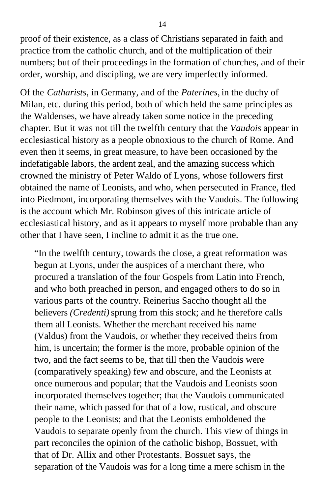proof of their existence, as a class of Christians separated in faith and practice from the catholic church, and of the multiplication of their numbers; but of their proceedings in the formation of churches, and of their order, worship, and discipling, we are very imperfectly informed.

Of the *Catharists,* in Germany, and of the *Paterines,* in the duchy of Milan, etc. during this period, both of which held the same principles as the Waldenses, we have already taken some notice in the preceding chapter. But it was not till the twelfth century that the *Vaudois* appear in ecclesiastical history as a people obnoxious to the church of Rome. And even then it seems, in great measure, to have been occasioned by the indefatigable labors, the ardent zeal, and the amazing success which crowned the ministry of Peter Waldo of Lyons, whose followers first obtained the name of Leonists, and who, when persecuted in France, fled into Piedmont, incorporating themselves with the Vaudois. The following is the account which Mr. Robinson gives of this intricate article of ecclesiastical history, and as it appears to myself more probable than any other that I have seen, I incline to admit it as the true one.

"In the twelfth century, towards the close, a great reformation was begun at Lyons, under the auspices of a merchant there, who procured a translation of the four Gospels from Latin into French, and who both preached in person, and engaged others to do so in various parts of the country. Reinerius Saccho thought all the believers *(Credenti)* sprung from this stock; and he therefore calls them all Leonists. Whether the merchant received his name (Valdus) from the Vaudois, or whether they received theirs from him, is uncertain; the former is the more, probable opinion of the two, and the fact seems to be, that till then the Vaudois were (comparatively speaking) few and obscure, and the Leonists at once numerous and popular; that the Vaudois and Leonists soon incorporated themselves together; that the Vaudois communicated their name, which passed for that of a low, rustical, and obscure people to the Leonists; and that the Leonists emboldened the Vaudois to separate openly from the church. This view of things in part reconciles the opinion of the catholic bishop, Bossuet, with that of Dr. Allix and other Protestants. Bossuet says, the separation of the Vaudois was for a long time a mere schism in the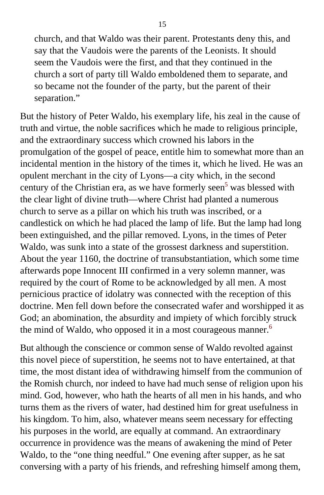church, and that Waldo was their parent. Protestants deny this, and say that the Vaudois were the parents of the Leonists. It should seem the Vaudois were the first, and that they continued in the church a sort of party till Waldo emboldened them to separate, and so became not the founder of the party, but the parent of their separation."

But the history of Peter Waldo, his exemplary life, his zeal in the cause of truth and virtue, the noble sacrifices which he made to religious principle, and the extraordinary success which crowned his labors in the promulgation of the gospel of peace, entitle him to somewhat more than an incidental mention in the history of the times it, which he lived. He was an opulent merchant in the city of Lyons—a city which, in the second century of the Christian era, as we have formerly seen<sup>[5](#page-393-0)</sup> was blessed with the clear light of divine truth—where Christ had planted a numerous church to serve as a pillar on which his truth was inscribed, or a candlestick on which he had placed the lamp of life. But the lamp had long been extinguished, and the pillar removed. Lyons, in the times of Peter Waldo, was sunk into a state of the grossest darkness and superstition. About the year 1160, the doctrine of transubstantiation, which some time afterwards pope Innocent III confirmed in a very solemn manner, was required by the court of Rome to be acknowledged by all men. A most pernicious practice of idolatry was connected with the reception of this doctrine. Men fell down before the consecrated wafer and worshipped it as God; an abomination, the absurdity and impiety of which forcibly struck the mind of Waldo, who opposed it in a most courageous manner.<sup>[6](#page-393-0)</sup>

But although the conscience or common sense of Waldo revolted against this novel piece of superstition, he seems not to have entertained, at that time, the most distant idea of withdrawing himself from the communion of the Romish church, nor indeed to have had much sense of religion upon his mind. God, however, who hath the hearts of all men in his hands, and who turns them as the rivers of water, had destined him for great usefulness in his kingdom. To him, also, whatever means seem necessary for effecting his purposes in the world, are equally at command. An extraordinary occurrence in providence was the means of awakening the mind of Peter Waldo, to the "one thing needful." One evening after supper, as he sat conversing with a party of his friends, and refreshing himself among them,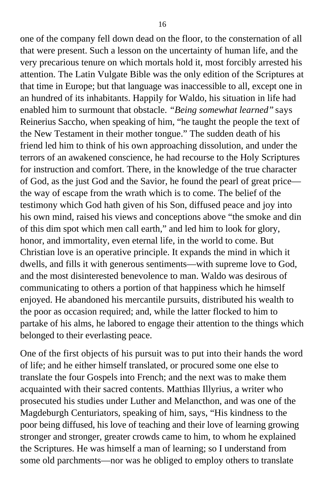one of the company fell down dead on the floor, to the consternation of all that were present. Such a lesson on the uncertainty of human life, and the very precarious tenure on which mortals hold it, most forcibly arrested his attention. The Latin Vulgate Bible was the only edition of the Scriptures at that time in Europe; but that language was inaccessible to all, except one in an hundred of its inhabitants. Happily for Waldo, his situation in life had enabled him to surmount that obstacle. *"Being somewhat learned"* says Reinerius Saccho, when speaking of him, "he taught the people the text of the New Testament in their mother tongue." The sudden death of his friend led him to think of his own approaching dissolution, and under the terrors of an awakened conscience, he had recourse to the Holy Scriptures for instruction and comfort. There, in the knowledge of the true character of God, as the just God and the Savior, he found the pearl of great price the way of escape from the wrath which is to come. The belief of the testimony which God hath given of his Son, diffused peace and joy into his own mind, raised his views and conceptions above "the smoke and din of this dim spot which men call earth," and led him to look for glory, honor, and immortality, even eternal life, in the world to come. But Christian love is an operative principle. It expands the mind in which it dwells, and fills it with generous sentiments—with supreme love to God, and the most disinterested benevolence to man. Waldo was desirous of communicating to others a portion of that happiness which he himself enjoyed. He abandoned his mercantile pursuits, distributed his wealth to the poor as occasion required; and, while the latter flocked to him to partake of his alms, he labored to engage their attention to the things which belonged to their everlasting peace.

One of the first objects of his pursuit was to put into their hands the word of life; and he either himself translated, or procured some one else to translate the four Gospels into French; and the next was to make them acquainted with their sacred contents. Matthias Illyrius, a writer who prosecuted his studies under Luther and Melancthon, and was one of the Magdeburgh Centuriators, speaking of him, says, "His kindness to the poor being diffused, his love of teaching and their love of learning growing stronger and stronger, greater crowds came to him, to whom he explained the Scriptures. He was himself a man of learning; so I understand from some old parchments—nor was he obliged to employ others to translate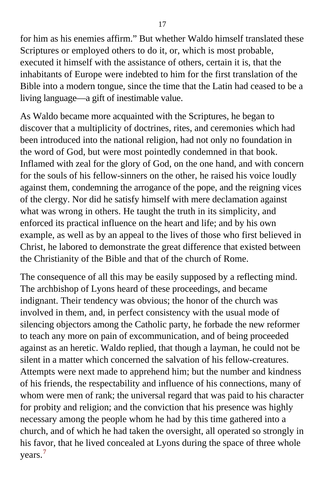for him as his enemies affirm." But whether Waldo himself translated these Scriptures or employed others to do it, or, which is most probable, executed it himself with the assistance of others, certain it is, that the inhabitants of Europe were indebted to him for the first translation of the Bible into a modern tongue, since the time that the Latin had ceased to be a living language—a gift of inestimable value.

As Waldo became more acquainted with the Scriptures, he began to discover that a multiplicity of doctrines, rites, and ceremonies which had been introduced into the national religion, had not only no foundation in the word of God, but were most pointedly condemned in that book. Inflamed with zeal for the glory of God, on the one hand, and with concern for the souls of his fellow-sinners on the other, he raised his voice loudly against them, condemning the arrogance of the pope, and the reigning vices of the clergy. Nor did he satisfy himself with mere declamation against what was wrong in others. He taught the truth in its simplicity, and enforced its practical influence on the heart and life; and by his own example, as well as by an appeal to the lives of those who first believed in Christ, he labored to demonstrate the great difference that existed between the Christianity of the Bible and that of the church of Rome.

The consequence of all this may be easily supposed by a reflecting mind. The archbishop of Lyons heard of these proceedings, and became indignant. Their tendency was obvious; the honor of the church was involved in them, and, in perfect consistency with the usual mode of silencing objectors among the Catholic party, he forbade the new reformer to teach any more on pain of excommunication, and of being proceeded against as an heretic. Waldo replied, that though a layman, he could not be silent in a matter which concerned the salvation of his fellow-creatures. Attempts were next made to apprehend him; but the number and kindness of his friends, the respectability and influence of his connections, many of whom were men of rank; the universal regard that was paid to his character for probity and religion; and the conviction that his presence was highly necessary among the people whom he had by this time gathered into a church, and of which he had taken the oversight, all operated so strongly in his favor, that he lived concealed at Lyons during the space of three whole years.[7](#page-393-0)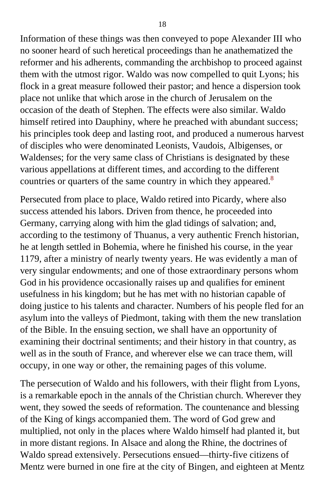Information of these things was then conveyed to pope Alexander III who no sooner heard of such heretical proceedings than he anathematized the reformer and his adherents, commanding the archbishop to proceed against them with the utmost rigor. Waldo was now compelled to quit Lyons; his flock in a great measure followed their pastor; and hence a dispersion took place not unlike that which arose in the church of Jerusalem on the occasion of the death of Stephen. The effects were also similar. Waldo himself retired into Dauphiny, where he preached with abundant success; his principles took deep and lasting root, and produced a numerous harvest of disciples who were denominated Leonists, Vaudois, Albigenses, or Waldenses; for the very same class of Christians is designated by these various appellations at different times, and according to the different countries or quarters of the same country in which they appeared.<sup>[8](#page-393-0)</sup>

Persecuted from place to place, Waldo retired into Picardy, where also success attended his labors. Driven from thence, he proceeded into Germany, carrying along with him the glad tidings of salvation; and, according to the testimony of Thuanus, a very authentic French historian, he at length settled in Bohemia, where he finished his course, in the year 1179, after a ministry of nearly twenty years. He was evidently a man of very singular endowments; and one of those extraordinary persons whom God in his providence occasionally raises up and qualifies for eminent usefulness in his kingdom; but he has met with no historian capable of doing justice to his talents and character. Numbers of his people fled for an asylum into the valleys of Piedmont, taking with them the new translation of the Bible. In the ensuing section, we shall have an opportunity of examining their doctrinal sentiments; and their history in that country, as well as in the south of France, and wherever else we can trace them, will occupy, in one way or other, the remaining pages of this volume.

The persecution of Waldo and his followers, with their flight from Lyons, is a remarkable epoch in the annals of the Christian church. Wherever they went, they sowed the seeds of reformation. The countenance and blessing of the King of kings accompanied them. The word of God grew and multiplied, not only in the places where Waldo himself had planted it, but in more distant regions. In Alsace and along the Rhine, the doctrines of Waldo spread extensively. Persecutions ensued—thirty-five citizens of Mentz were burned in one fire at the city of Bingen, and eighteen at Mentz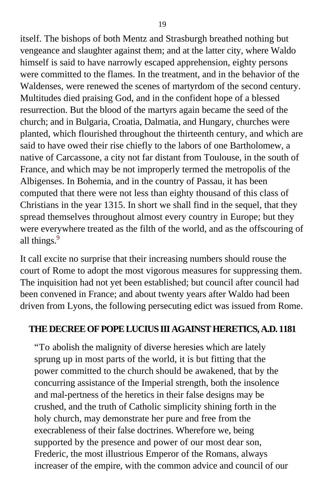itself. The bishops of both Mentz and Strasburgh breathed nothing but vengeance and slaughter against them; and at the latter city, where Waldo himself is said to have narrowly escaped apprehension, eighty persons were committed to the flames. In the treatment, and in the behavior of the Waldenses, were renewed the scenes of martyrdom of the second century. Multitudes died praising God, and in the confident hope of a blessed resurrection. But the blood of the martyrs again became the seed of the church; and in Bulgaria, Croatia, Dalmatia, and Hungary, churches were planted, which flourished throughout the thirteenth century, and which are said to have owed their rise chiefly to the labors of one Bartholomew, a native of Carcassone, a city not far distant from Toulouse, in the south of France, and which may be not improperly termed the metropolis of the Albigenses. In Bohemia, and in the country of Passau, it has been computed that there were not less than eighty thousand of this class of Christians in the year 1315. In short we shall find in the sequel, that they spread themselves throughout almost every country in Europe; but they were everywhere treated as the filth of the world, and as the offscouring of all things.<sup>[9](#page-393-0)</sup>

It call excite no surprise that their increasing numbers should rouse the court of Rome to adopt the most vigorous measures for suppressing them. The inquisition had not yet been established; but council after council had been convened in France; and about twenty years after Waldo had been driven from Lyons, the following persecuting edict was issued from Rome.

#### **THE DECREE OF POPE LUCIUS III AGAINST HERETICS, A.D. 1181**

"To abolish the malignity of diverse heresies which are lately sprung up in most parts of the world, it is but fitting that the power committed to the church should be awakened, that by the concurring assistance of the Imperial strength, both the insolence and mal-pertness of the heretics in their false designs may be crushed, and the truth of Catholic simplicity shining forth in the holy church, may demonstrate her pure and free from the execrableness of their false doctrines. Wherefore we, being supported by the presence and power of our most dear son, Frederic, the most illustrious Emperor of the Romans, always increaser of the empire, with the common advice and council of our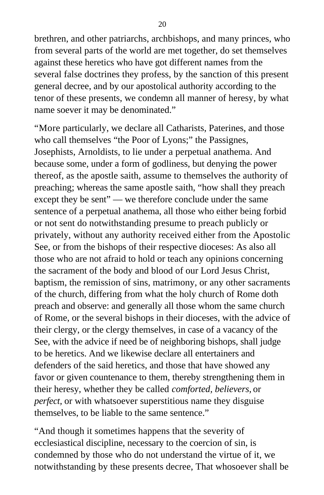brethren, and other patriarchs, archbishops, and many princes, who from several parts of the world are met together, do set themselves against these heretics who have got different names from the several false doctrines they profess, by the sanction of this present general decree, and by our apostolical authority according to the tenor of these presents, we condemn all manner of heresy, by what name soever it may be denominated."

"More particularly, we declare all Catharists, Paterines, and those who call themselves "the Poor of Lyons;" the Passignes, Josephists, Arnoldists, to lie under a perpetual anathema. And because some, under a form of godliness, but denying the power thereof, as the apostle saith, assume to themselves the authority of preaching; whereas the same apostle saith, "how shall they preach except they be sent" — we therefore conclude under the same sentence of a perpetual anathema, all those who either being forbid or not sent do notwithstanding presume to preach publicly or privately, without any authority received either from the Apostolic See, or from the bishops of their respective dioceses: As also all those who are not afraid to hold or teach any opinions concerning the sacrament of the body and blood of our Lord Jesus Christ, baptism, the remission of sins, matrimony, or any other sacraments of the church, differing from what the holy church of Rome doth preach and observe: and generally all those whom the same church of Rome, or the several bishops in their dioceses, with the advice of their clergy, or the clergy themselves, in case of a vacancy of the See, with the advice if need be of neighboring bishops, shall judge to be heretics. And we likewise declare all entertainers and defenders of the said heretics, and those that have showed any favor or given countenance to them, thereby strengthening them in their heresy, whether they be called *comforted, believers,* or *perfect,* or with whatsoever superstitious name they disguise themselves, to be liable to the same sentence."

"And though it sometimes happens that the severity of ecclesiastical discipline, necessary to the coercion of sin, is condemned by those who do not understand the virtue of it, we notwithstanding by these presents decree, That whosoever shall be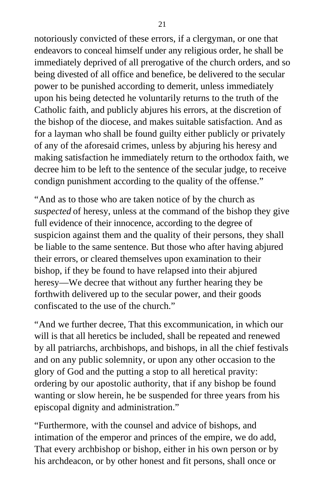notoriously convicted of these errors, if a clergyman, or one that endeavors to conceal himself under any religious order, he shall be immediately deprived of all prerogative of the church orders, and so being divested of all office and benefice, be delivered to the secular power to be punished according to demerit, unless immediately upon his being detected he voluntarily returns to the truth of the Catholic faith, and publicly abjures his errors, at the discretion of the bishop of the diocese, and makes suitable satisfaction. And as for a layman who shall be found guilty either publicly or privately of any of the aforesaid crimes, unless by abjuring his heresy and making satisfaction he immediately return to the orthodox faith, we decree him to be left to the sentence of the secular judge, to receive condign punishment according to the quality of the offense."

"And as to those who are taken notice of by the church as *suspected* of heresy, unless at the command of the bishop they give full evidence of their innocence, according to the degree of suspicion against them and the quality of their persons, they shall be liable to the same sentence. But those who after having abjured their errors, or cleared themselves upon examination to their bishop, if they be found to have relapsed into their abjured heresy—We decree that without any further hearing they be forthwith delivered up to the secular power, and their goods confiscated to the use of the church."

"And we further decree, That this excommunication, in which our will is that all heretics be included, shall be repeated and renewed by all patriarchs, archbishops, and bishops, in all the chief festivals and on any public solemnity, or upon any other occasion to the glory of God and the putting a stop to all heretical pravity: ordering by our apostolic authority, that if any bishop be found wanting or slow herein, he be suspended for three years from his episcopal dignity and administration."

"Furthermore, with the counsel and advice of bishops, and intimation of the emperor and princes of the empire, we do add, That every archbishop or bishop, either in his own person or by his archdeacon, or by other honest and fit persons, shall once or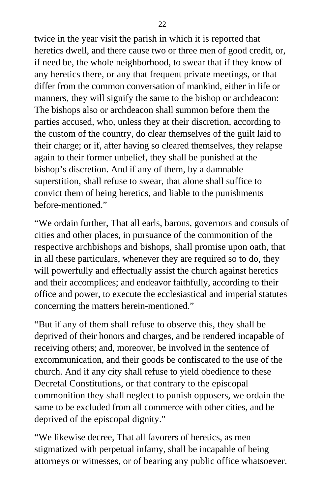twice in the year visit the parish in which it is reported that heretics dwell, and there cause two or three men of good credit, or, if need be, the whole neighborhood, to swear that if they know of any heretics there, or any that frequent private meetings, or that differ from the common conversation of mankind, either in life or manners, they will signify the same to the bishop or archdeacon: The bishops also or archdeacon shall summon before them the parties accused, who, unless they at their discretion, according to the custom of the country, do clear themselves of the guilt laid to their charge; or if, after having so cleared themselves, they relapse again to their former unbelief, they shall be punished at the bishop's discretion. And if any of them, by a damnable superstition, shall refuse to swear, that alone shall suffice to convict them of being heretics, and liable to the punishments before-mentioned."

"We ordain further, That all earls, barons, governors and consuls of cities and other places, in pursuance of the commonition of the respective archbishops and bishops, shall promise upon oath, that in all these particulars, whenever they are required so to do, they will powerfully and effectually assist the church against heretics and their accomplices; and endeavor faithfully, according to their office and power, to execute the ecclesiastical and imperial statutes concerning the matters herein-mentioned."

"But if any of them shall refuse to observe this, they shall be deprived of their honors and charges, and be rendered incapable of receiving others; and, moreover, be involved in the sentence of excommunication, and their goods be confiscated to the use of the church. And if any city shall refuse to yield obedience to these Decretal Constitutions, or that contrary to the episcopal commonition they shall neglect to punish opposers, we ordain the same to be excluded from all commerce with other cities, and be deprived of the episcopal dignity."

"We likewise decree, That all favorers of heretics, as men stigmatized with perpetual infamy, shall be incapable of being attorneys or witnesses, or of bearing any public office whatsoever.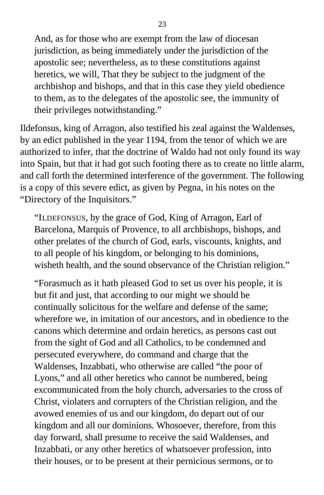And, as for those who are exempt from the law of diocesan jurisdiction, as being immediately under the jurisdiction of the apostolic see; nevertheless, as to these constitutions against heretics, we will, That they be subject to the judgment of the archbishop and bishops, and that in this case they yield obedience to them, as to the delegates of the apostolic see, the immunity of their privileges notwithstanding."

Ildefonsus, king of Arragon, also testified his zeal against the Waldenses, by an edict published in the year 1194, from the tenor of which we are authorized to infer, that the doctrine of Waldo had not only found its way into Spain, but that it had got such footing there as to create no little alarm, and call forth the determined interference of the government. The following is a copy of this severe edict, as given by Pegna, in his notes on the "Directory of the Inquisitors."

"ILDEFONSUS*,* by the grace of God, King of Arragon, Earl of Barcelona, Marquis of Provence, to all archbishops, bishops, and other prelates of the church of God, earls, viscounts, knights, and to all people of his kingdom, or belonging to his dominions, wisheth health, and the sound observance of the Christian religion."

"Forasmuch as it hath pleased God to set us over his people, it is but fit and just, that according to our might we should be continually solicitous for the welfare and defense of the same; wherefore we, in imitation of our ancestors, and in obedience to the canons which determine and ordain heretics, as persons cast out from the sight of God and all Catholics, to be condemned and persecuted everywhere, do command and charge that the Waldenses, Inzabbati, who otherwise are called "the poor of Lyons," and all other heretics who cannot be numbered, being excommunicated from the holy church, adversaries to the cross of Christ, violaters and corrupters of the Christian religion, and the avowed enemies of us and our kingdom, do depart out of our kingdom and all our dominions. Whosoever, therefore, from this day forward, shall presume to receive the said Waldenses, and Inzabbati, or any other heretics of whatsoever profession, into their houses, or to be present at their pernicious sermons, or to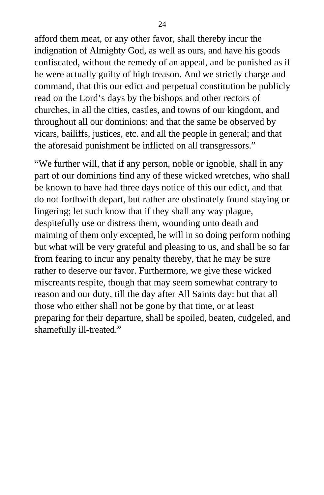afford them meat, or any other favor, shall thereby incur the indignation of Almighty God, as well as ours, and have his goods confiscated, without the remedy of an appeal, and be punished as if he were actually guilty of high treason. And we strictly charge and command, that this our edict and perpetual constitution be publicly read on the Lord's days by the bishops and other rectors of churches, in all the cities, castles, and towns of our kingdom, and throughout all our dominions: and that the same be observed by vicars, bailiffs, justices, etc. and all the people in general; and that the aforesaid punishment be inflicted on all transgressors."

"We further will, that if any person, noble or ignoble, shall in any part of our dominions find any of these wicked wretches, who shall be known to have had three days notice of this our edict, and that do not forthwith depart, but rather are obstinately found staying or lingering; let such know that if they shall any way plague, despitefully use or distress them, wounding unto death and maiming of them only excepted, he will in so doing perform nothing but what will be very grateful and pleasing to us, and shall be so far from fearing to incur any penalty thereby, that he may be sure rather to deserve our favor. Furthermore, we give these wicked miscreants respite, though that may seem somewhat contrary to reason and our duty, till the day after All Saints day: but that all those who either shall not be gone by that time, or at least preparing for their departure, shall be spoiled, beaten, cudgeled, and shamefully ill-treated."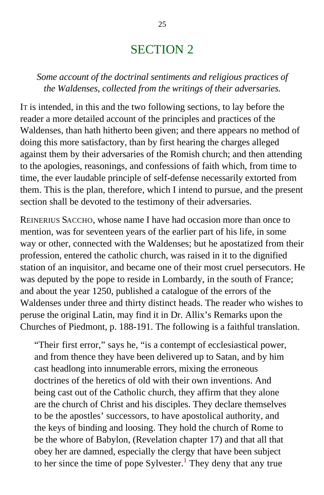## SECTION 2

#### *Some account of the doctrinal sentiments and religious practices of the Waldenses, collected from the writings of their adversaries.*

IT is intended, in this and the two following sections, to lay before the reader a more detailed account of the principles and practices of the Waldenses, than hath hitherto been given; and there appears no method of doing this more satisfactory, than by first hearing the charges alleged against them by their adversaries of the Romish church; and then attending to the apologies, reasonings, and confessions of faith which, from time to time, the ever laudable principle of self-defense necessarily extorted from them. This is the plan, therefore, which I intend to pursue, and the present section shall be devoted to the testimony of their adversaries.

REINERIUS SACCHO, whose name I have had occasion more than once to mention, was for seventeen years of the earlier part of his life, in some way or other, connected with the Waldenses; but he apostatized from their profession, entered the catholic church, was raised in it to the dignified station of an inquisitor, and became one of their most cruel persecutors. He was deputed by the pope to reside in Lombardy, in the south of France; and about the year 1250, published a catalogue of the errors of the Waldenses under three and thirty distinct heads. The reader who wishes to peruse the original Latin, may find it in Dr. Allix's Remarks upon the Churches of Piedmont, p. 188-191. The following is a faithful translation.

"Their first error," says he, "is a contempt of ecclesiastical power, and from thence they have been delivered up to Satan, and by him cast headlong into innumerable errors, mixing the erroneous doctrines of the heretics of old with their own inventions. And being cast out of the Catholic church, they affirm that they alone are the church of Christ and his disciples. They declare themselves to be the apostles' successors, to have apostolical authority, and the keys of binding and loosing. They hold the church of Rome to be the whore of Babylon, (Revelation chapter 17) and that all that obey her are damned, especially the clergy that have been subject to her since the time of pope Sylvester.<sup>[1](#page-393-0)</sup> They deny that any true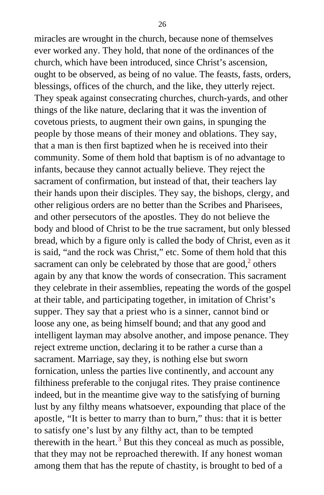miracles are wrought in the church, because none of themselves ever worked any. They hold, that none of the ordinances of the church, which have been introduced, since Christ's ascension, ought to be observed, as being of no value. The feasts, fasts, orders, blessings, offices of the church, and the like, they utterly reject. They speak against consecrating churches, church-yards, and other things of the like nature, declaring that it was the invention of covetous priests, to augment their own gains, in spunging the people by those means of their money and oblations. They say, that a man is then first baptized when he is received into their community. Some of them hold that baptism is of no advantage to infants, because they cannot actually believe. They reject the sacrament of confirmation, but instead of that, their teachers lay their hands upon their disciples. They say, the bishops, clergy, and other religious orders are no better than the Scribes and Pharisees, and other persecutors of the apostles. They do not believe the body and blood of Christ to be the true sacrament, but only blessed bread, which by a figure only is called the body of Christ, even as it is said, "and the rock was Christ," etc. Some of them hold that this sacrament can only be celebrated by those that are good, $2$  others again by any that know the words of consecration. This sacrament they celebrate in their assemblies, repeating the words of the gospel at their table, and participating together, in imitation of Christ's supper. They say that a priest who is a sinner, cannot bind or loose any one, as being himself bound; and that any good and intelligent layman may absolve another, and impose penance. They reject extreme unction, declaring it to be rather a curse than a sacrament. Marriage, say they, is nothing else but sworn fornication, unless the parties live continently, and account any filthiness preferable to the conjugal rites. They praise continence indeed, but in the meantime give way to the satisfying of burning lust by any filthy means whatsoever, expounding that place of the apostle, "It is better to marry than to burn," thus: that it is better to satisfy one's lust by any filthy act, than to be tempted therewith in the heart.<sup>[3](#page-394-0)</sup> But this they conceal as much as possible, that they may not be reproached therewith. If any honest woman among them that has the repute of chastity, is brought to bed of a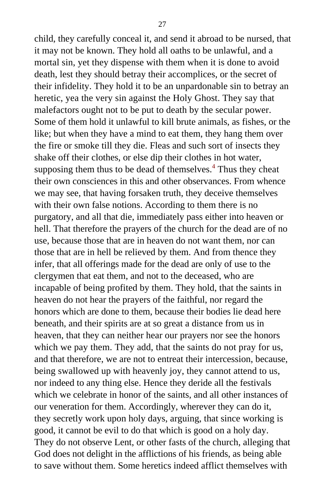child, they carefully conceal it, and send it abroad to be nursed, that it may not be known. They hold all oaths to be unlawful, and a mortal sin, yet they dispense with them when it is done to avoid death, lest they should betray their accomplices, or the secret of their infidelity. They hold it to be an unpardonable sin to betray an heretic, yea the very sin against the Holy Ghost. They say that malefactors ought not to be put to death by the secular power. Some of them hold it unlawful to kill brute animals, as fishes, or the like; but when they have a mind to eat them, they hang them over the fire or smoke till they die. Fleas and such sort of insects they shake off their clothes, or else dip their clothes in hot water, supposing them thus to be dead of themselves.<sup>[4](#page-394-1)</sup> Thus they cheat their own consciences in this and other observances. From whence we may see, that having forsaken truth, they deceive themselves with their own false notions. According to them there is no purgatory, and all that die, immediately pass either into heaven or hell. That therefore the prayers of the church for the dead are of no use, because those that are in heaven do not want them, nor can those that are in hell be relieved by them. And from thence they infer, that all offerings made for the dead are only of use to the clergymen that eat them, and not to the deceased, who are incapable of being profited by them. They hold, that the saints in heaven do not hear the prayers of the faithful, nor regard the honors which are done to them, because their bodies lie dead here beneath, and their spirits are at so great a distance from us in heaven, that they can neither hear our prayers nor see the honors which we pay them. They add, that the saints do not pray for us, and that therefore, we are not to entreat their intercession, because, being swallowed up with heavenly joy, they cannot attend to us, nor indeed to any thing else. Hence they deride all the festivals which we celebrate in honor of the saints, and all other instances of our veneration for them. Accordingly, wherever they can do it, they secretly work upon holy days, arguing, that since working is good, it cannot be evil to do that which is good on a holy day. They do not observe Lent, or other fasts of the church, alleging that God does not delight in the afflictions of his friends, as being able to save without them. Some heretics indeed afflict themselves with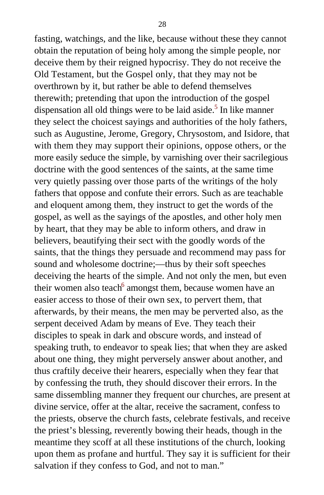fasting, watchings, and the like, because without these they cannot obtain the reputation of being holy among the simple people, nor deceive them by their reigned hypocrisy. They do not receive the Old Testament, but the Gospel only, that they may not be overthrown by it, but rather be able to defend themselves therewith; pretending that upon the introduction of the gospel dispensation all old things were to be laid aside.<sup>[5](#page-394-1)</sup> In like manner they select the choicest sayings and authorities of the holy fathers, such as Augustine, Jerome, Gregory, Chrysostom, and Isidore, that with them they may support their opinions, oppose others, or the more easily seduce the simple, by varnishing over their sacrilegious doctrine with the good sentences of the saints, at the same time very quietly passing over those parts of the writings of the holy fathers that oppose and confute their errors. Such as are teachable and eloquent among them, they instruct to get the words of the gospel, as well as the sayings of the apostles, and other holy men by heart, that they may be able to inform others, and draw in believers, beautifying their sect with the goodly words of the saints, that the things they persuade and recommend may pass for sound and wholesome doctrine;—thus by their soft speeches deceiving the hearts of the simple. And not only the men, but even their women also teach<sup>[6](#page-394-1)</sup> amongst them, because women have an easier access to those of their own sex, to pervert them, that afterwards, by their means, the men may be perverted also, as the serpent deceived Adam by means of Eve. They teach their disciples to speak in dark and obscure words, and instead of speaking truth, to endeavor to speak lies; that when they are asked about one thing, they might perversely answer about another, and thus craftily deceive their hearers, especially when they fear that by confessing the truth, they should discover their errors. In the same dissembling manner they frequent our churches, are present at divine service, offer at the altar, receive the sacrament, confess to the priests, observe the church fasts, celebrate festivals, and receive the priest's blessing, reverently bowing their heads, though in the meantime they scoff at all these institutions of the church, looking upon them as profane and hurtful. They say it is sufficient for their salvation if they confess to God, and not to man."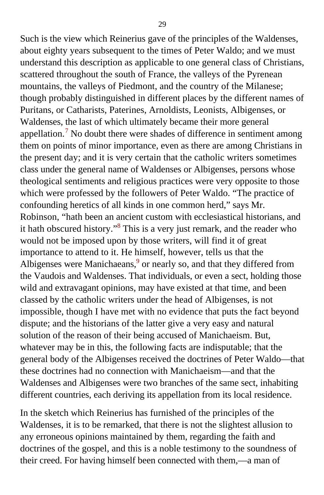Such is the view which Reinerius gave of the principles of the Waldenses, about eighty years subsequent to the times of Peter Waldo; and we must understand this description as applicable to one general class of Christians, scattered throughout the south of France, the valleys of the Pyrenean mountains, the valleys of Piedmont, and the country of the Milanese; though probably distinguished in different places by the different names of Puritans, or Catharists, Paterines, Arnoldists, Leonists, Albigenses, or Waldenses, the last of which ultimately became their more general appellation.<sup>[7](#page-395-0)</sup> No doubt there were shades of difference in sentiment among them on points of minor importance, even as there are among Christians in the present day; and it is very certain that the catholic writers sometimes class under the general name of Waldenses or Albigenses, persons whose theological sentiments and religious practices were very opposite to those which were professed by the followers of Peter Waldo. "The practice of confounding heretics of all kinds in one common herd," says Mr. Robinson, "hath been an ancient custom with ecclesiastical historians, and it hath obscured history."<sup>[8](#page-395-0)</sup> This is a very just remark, and the reader who would not be imposed upon by those writers, will find it of great importance to attend to it. He himself, however, tells us that the Albigenses were Manichaeans,  $9$  or nearly so, and that they differed from the Vaudois and Waldenses. That individuals, or even a sect, holding those wild and extravagant opinions, may have existed at that time, and been classed by the catholic writers under the head of Albigenses, is not impossible, though I have met with no evidence that puts the fact beyond dispute; and the historians of the latter give a very easy and natural solution of the reason of their being accused of Manichaeism. But, whatever may be in this, the following facts are indisputable; that the general body of the Albigenses received the doctrines of Peter Waldo—that these doctrines had no connection with Manichaeism—and that the Waldenses and Albigenses were two branches of the same sect, inhabiting different countries, each deriving its appellation from its local residence.

In the sketch which Reinerius has furnished of the principles of the Waldenses, it is to be remarked, that there is not the slightest allusion to any erroneous opinions maintained by them, regarding the faith and doctrines of the gospel, and this is a noble testimony to the soundness of their creed. For having himself been connected with them,—a man of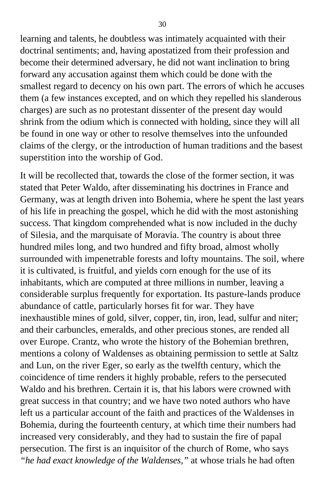learning and talents, he doubtless was intimately acquainted with their doctrinal sentiments; and, having apostatized from their profession and become their determined adversary, he did not want inclination to bring forward any accusation against them which could be done with the smallest regard to decency on his own part. The errors of which he accuses them (a few instances excepted, and on which they repelled his slanderous charges) are such as no protestant dissenter of the present day would shrink from the odium which is connected with holding, since they will all be found in one way or other to resolve themselves into the unfounded claims of the clergy, or the introduction of human traditions and the basest superstition into the worship of God.

It will be recollected that, towards the close of the former section, it was stated that Peter Waldo, after disseminating his doctrines in France and Germany, was at length driven into Bohemia, where he spent the last years of his life in preaching the gospel, which he did with the most astonishing success. That kingdom comprehended what is now included in the duchy of Silesia, and the marquisate of Moravia. The country is about three hundred miles long, and two hundred and fifty broad, almost wholly surrounded with impenetrable forests and lofty mountains. The soil, where it is cultivated, is fruitful, and yields corn enough for the use of its inhabitants, which are computed at three millions in number, leaving a considerable surplus frequently for exportation. Its pasture-lands produce abundance of cattle, particularly horses fit for war. They have inexhaustible mines of gold, silver, copper, tin, iron, lead, sulfur and niter; and their carbuncles, emeralds, and other precious stones, are rended all over Europe. Crantz, who wrote the history of the Bohemian brethren, mentions a colony of Waldenses as obtaining permission to settle at Saltz and Lun, on the river Eger, so early as the twelfth century, which the coincidence of time renders it highly probable, refers to the persecuted Waldo and his brethren. Certain it is, that his labors were crowned with great success in that country; and we have two noted authors who have left us a particular account of the faith and practices of the Waldenses in Bohemia, during the fourteenth century, at which time their numbers had increased very considerably, and they had to sustain the fire of papal persecution. The first is an inquisitor of the church of Rome, who says *"he had exact knowledge of the Waldenses,"* at whose trials he had often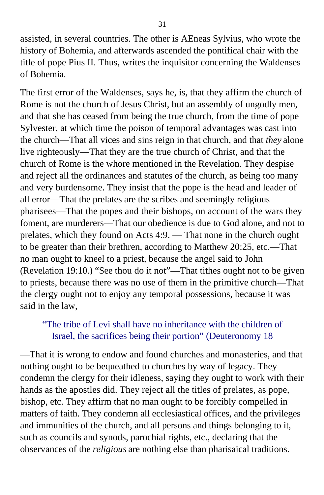assisted, in several countries. The other is AEneas Sylvius, who wrote the history of Bohemia, and afterwards ascended the pontifical chair with the title of pope Pius II. Thus, writes the inquisitor concerning the Waldenses of Bohemia.

The first error of the Waldenses, says he, is, that they affirm the church of Rome is not the church of Jesus Christ, but an assembly of ungodly men, and that she has ceased from being the true church, from the time of pope Sylvester, at which time the poison of temporal advantages was cast into the church—That all vices and sins reign in that church, and that *they* alone live righteously—That they are the true church of Christ, and that the church of Rome is the whore mentioned in the Revelation. They despise and reject all the ordinances and statutes of the church, as being too many and very burdensome. They insist that the pope is the head and leader of all error—That the prelates are the scribes and seemingly religious pharisees—That the popes and their bishops, on account of the wars they foment, are murderers—That our obedience is due to God alone, and not to prelates, which they found on Acts 4:9. — That none in the church ought to be greater than their brethren, according to Matthew 20:25, etc.—That no man ought to kneel to a priest, because the angel said to John (Revelation 19:10.) "See thou do it not"—That tithes ought not to be given to priests, because there was no use of them in the primitive church—That the clergy ought not to enjoy any temporal possessions, because it was said in the law,

### "The tribe of Levi shall have no inheritance with the children of Israel, the sacrifices being their portion" (Deuteronomy 18

—That it is wrong to endow and found churches and monasteries, and that nothing ought to be bequeathed to churches by way of legacy. They condemn the clergy for their idleness, saying they ought to work with their hands as the apostles did. They reject all the titles of prelates, as pope, bishop, etc. They affirm that no man ought to be forcibly compelled in matters of faith. They condemn all ecclesiastical offices, and the privileges and immunities of the church, and all persons and things belonging to it, such as councils and synods, parochial rights, etc., declaring that the observances of the *religious* are nothing else than pharisaical traditions.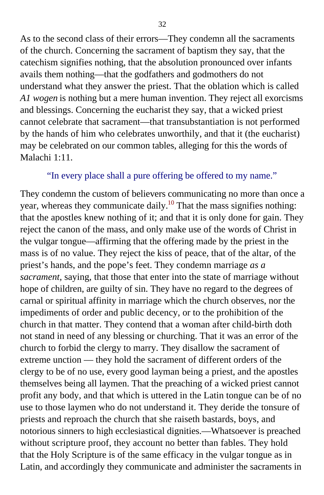As to the second class of their errors—They condemn all the sacraments of the church. Concerning the sacrament of baptism they say, that the catechism signifies nothing, that the absolution pronounced over infants avails them nothing—that the godfathers and godmothers do not understand what they answer the priest. That the oblation which is called *A1 wogen* is nothing but a mere human invention. They reject all exorcisms and blessings. Concerning the eucharist they say, that a wicked priest cannot celebrate that sacrament—that transubstantiation is not performed by the hands of him who celebrates unworthily, and that it (the eucharist) may be celebrated on our common tables, alleging for this the words of Malachi 1:11.

#### "In every place shall a pure offering be offered to my name."

They condemn the custom of believers communicating no more than once a year, whereas they communicate daily.<sup>[10](#page-396-0)</sup> That the mass signifies nothing: that the apostles knew nothing of it; and that it is only done for gain. They reject the canon of the mass, and only make use of the words of Christ in the vulgar tongue—affirming that the offering made by the priest in the mass is of no value. They reject the kiss of peace, that of the altar, of the priest's hands, and the pope's feet. They condemn marriage *as a sacrament,* saying, that those that enter into the state of marriage without hope of children, are guilty of sin. They have no regard to the degrees of carnal or spiritual affinity in marriage which the church observes, nor the impediments of order and public decency, or to the prohibition of the church in that matter. They contend that a woman after child-birth doth not stand in need of any blessing or churching. That it was an error of the church to forbid the clergy to marry. They disallow the sacrament of extreme unction — they hold the sacrament of different orders of the clergy to be of no use, every good layman being a priest, and the apostles themselves being all laymen. That the preaching of a wicked priest cannot profit any body, and that which is uttered in the Latin tongue can be of no use to those laymen who do not understand it. They deride the tonsure of priests and reproach the church that she raiseth bastards, boys, and notorious sinners to high ecclesiastical dignities.—Whatsoever is preached without scripture proof, they account no better than fables. They hold that the Holy Scripture is of the same efficacy in the vulgar tongue as in Latin, and accordingly they communicate and administer the sacraments in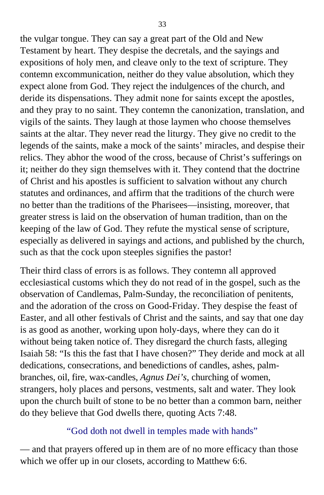the vulgar tongue. They can say a great part of the Old and New Testament by heart. They despise the decretals, and the sayings and expositions of holy men, and cleave only to the text of scripture. They contemn excommunication, neither do they value absolution, which they expect alone from God. They reject the indulgences of the church, and deride its dispensations. They admit none for saints except the apostles, and they pray to no saint. They contemn the canonization, translation, and vigils of the saints. They laugh at those laymen who choose themselves saints at the altar. They never read the liturgy. They give no credit to the legends of the saints, make a mock of the saints' miracles, and despise their relics. They abhor the wood of the cross, because of Christ's sufferings on it; neither do they sign themselves with it. They contend that the doctrine of Christ and his apostles is sufficient to salvation without any church statutes and ordinances, and affirm that the traditions of the church were no better than the traditions of the Pharisees—insisting, moreover, that greater stress is laid on the observation of human tradition, than on the keeping of the law of God. They refute the mystical sense of scripture, especially as delivered in sayings and actions, and published by the church, such as that the cock upon steeples signifies the pastor!

Their third class of errors is as follows. They contemn all approved ecclesiastical customs which they do not read of in the gospel, such as the observation of Candlemas, Palm-Sunday, the reconciliation of penitents, and the adoration of the cross on Good-Friday. They despise the feast of Easter, and all other festivals of Christ and the saints, and say that one day is as good as another, working upon holy-days, where they can do it without being taken notice of. They disregard the church fasts, alleging Isaiah 58: "Is this the fast that I have chosen?" They deride and mock at all dedications, consecrations, and benedictions of candles, ashes, palmbranches, oil, fire, wax-candles, *Agnus Dei's,* churching of women, strangers, holy places and persons, vestments, salt and water. They look upon the church built of stone to be no better than a common barn, neither do they believe that God dwells there, quoting Acts 7:48.

#### "God doth not dwell in temples made with hands"

— and that prayers offered up in them are of no more efficacy than those which we offer up in our closets, according to Matthew 6:6.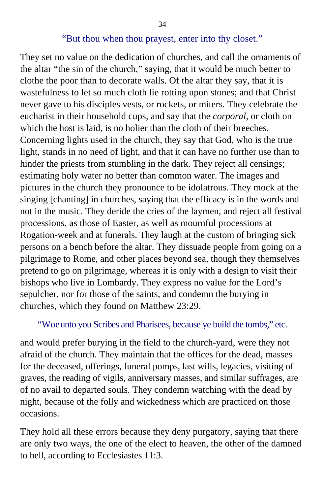#### "But thou when thou prayest, enter into thy closet."

They set no value on the dedication of churches, and call the ornaments of the altar "the sin of the church," saying, that it would be much better to clothe the poor than to decorate walls. Of the altar they say, that it is wastefulness to let so much cloth lie rotting upon stones; and that Christ never gave to his disciples vests, or rockets, or miters. They celebrate the eucharist in their household cups, and say that the *corporal,* or cloth on which the host is laid, is no holier than the cloth of their breeches. Concerning lights used in the church, they say that God, who is the true light, stands in no need of light, and that it can have no further use than to hinder the priests from stumbling in the dark. They reject all censings; estimating holy water no better than common water. The images and pictures in the church they pronounce to be idolatrous. They mock at the singing [chanting] in churches, saying that the efficacy is in the words and not in the music. They deride the cries of the laymen, and reject all festival processions, as those of Easter, as well as mournful processions at Rogation-week and at funerals. They laugh at the custom of bringing sick persons on a bench before the altar. They dissuade people from going on a pilgrimage to Rome, and other places beyond sea, though they themselves pretend to go on pilgrimage, whereas it is only with a design to visit their bishops who live in Lombardy. They express no value for the Lord's sepulcher, nor for those of the saints, and condemn the burying in churches, which they found on Matthew 23:29.

#### "Woeunto you Scribes and Pharisees, because ye build the tombs," etc.

and would prefer burying in the field to the church-yard, were they not afraid of the church. They maintain that the offices for the dead, masses for the deceased, offerings, funeral pomps, last wills, legacies, visiting of graves, the reading of vigils, anniversary masses, and similar suffrages, are of no avail to departed souls. They condemn watching with the dead by night, because of the folly and wickedness which are practiced on those occasions.

They hold all these errors because they deny purgatory, saying that there are only two ways, the one of the elect to heaven, the other of the damned to hell, according to Ecclesiastes 11:3.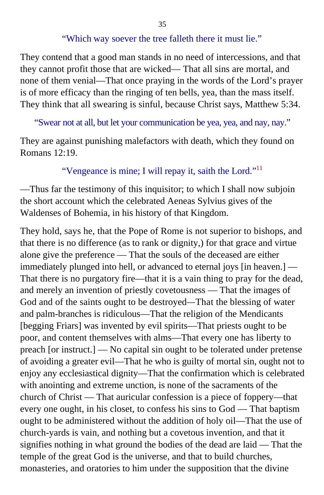"Which way soever the tree falleth there it must lie."

They contend that a good man stands in no need of intercessions, and that they cannot profit those that are wicked— That all sins are mortal, and none of them venial—That once praying in the words of the Lord's prayer is of more efficacy than the ringing of ten bells, yea, than the mass itself. They think that all swearing is sinful, because Christ says, Matthew 5:34.

"Swear not at all, but let your communication be yea, yea, and nay, nay."

They are against punishing malefactors with death, which they found on Romans 12:19.

#### "Vengeance is mine; I will repay it, saith the Lord."<sup>[11](#page-396-0)</sup>

—Thus far the testimony of this inquisitor; to which I shall now subjoin the short account which the celebrated Aeneas Sylvius gives of the Waldenses of Bohemia, in his history of that Kingdom.

They hold, says he, that the Pope of Rome is not superior to bishops, and that there is no difference (as to rank or dignity,) for that grace and virtue alone give the preference — That the souls of the deceased are either immediately plunged into hell, or advanced to eternal joys [in heaven.] — That there is no purgatory fire—that it is a vain thing to pray for the dead, and merely an invention of priestly covetousness — That the images of God and of the saints ought to be destroyed*—*That the blessing of water and palm-branches is ridiculous—That the religion of the Mendicants [begging Friars] was invented by evil spirits—That priests ought to be poor, and content themselves with alms—That every one has liberty to preach [or instruct.] — No capital sin ought to be tolerated under pretense of avoiding a greater evil—That he who is guilty of mortal sin, ought not to enjoy any ecclesiastical dignity—That the confirmation which is celebrated with anointing and extreme unction, is none of the sacraments of the church of Christ — That auricular confession is a piece of foppery—that every one ought, in his closet, to confess his sins to God — That baptism ought to be administered without the addition of holy oil—That the use of church-yards is vain, and nothing but a covetous invention, and that it signifies nothing in what ground the bodies of the dead are laid — That the temple of the great God is the universe, and that to build churches, monasteries, and oratories to him under the supposition that the divine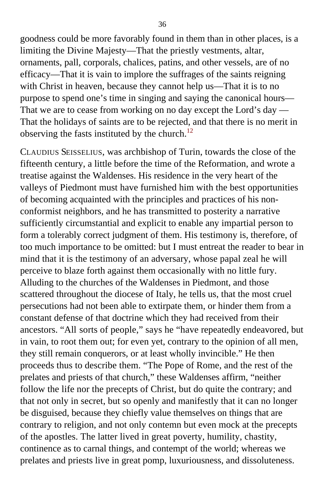goodness could be more favorably found in them than in other places, is a limiting the Divine Majesty—That the priestly vestments, altar, ornaments, pall, corporals, chalices, patins, and other vessels, are of no efficacy—That it is vain to implore the suffrages of the saints reigning with Christ in heaven, because they cannot help us—That it is to no purpose to spend one's time in singing and saying the canonical hours— That we are to cease from working on no day except the Lord's day — That the holidays of saints are to be rejected, and that there is no merit in observing the fasts instituted by the church.<sup>[12](#page-397-0)</sup>

CLAUDIUS SEISSELIUS, was archbishop of Turin, towards the close of the fifteenth century, a little before the time of the Reformation, and wrote a treatise against the Waldenses. His residence in the very heart of the valleys of Piedmont must have furnished him with the best opportunities of becoming acquainted with the principles and practices of his nonconformist neighbors, and he has transmitted to posterity a narrative sufficiently circumstantial and explicit to enable any impartial person to form a tolerably correct judgment of them. His testimony is, therefore, of too much importance to be omitted: but I must entreat the reader to bear in mind that it is the testimony of an adversary, whose papal zeal he will perceive to blaze forth against them occasionally with no little fury. Alluding to the churches of the Waldenses in Piedmont, and those scattered throughout the diocese of Italy, he tells us, that the most cruel persecutions had not been able to extirpate them, or hinder them from a constant defense of that doctrine which they had received from their ancestors. "All sorts of people," says he "have repeatedly endeavored, but in vain, to root them out; for even yet, contrary to the opinion of all men, they still remain conquerors, or at least wholly invincible." He then proceeds thus to describe them. "The Pope of Rome, and the rest of the prelates and priests of that church," these Waldenses affirm, "neither follow the life nor the precepts of Christ, but do quite the contrary; and that not only in secret, but so openly and manifestly that it can no longer be disguised, because they chiefly value themselves on things that are contrary to religion, and not only contemn but even mock at the precepts of the apostles. The latter lived in great poverty, humility, chastity, continence as to carnal things, and contempt of the world; whereas we prelates and priests live in great pomp, luxuriousness, and dissoluteness.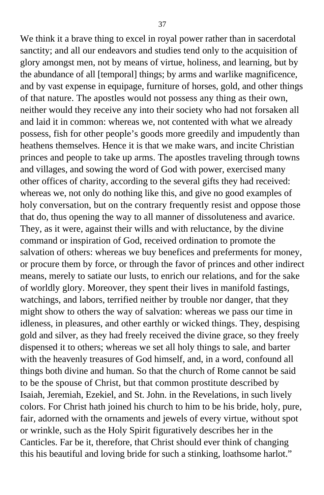We think it a brave thing to excel in royal power rather than in sacerdotal sanctity; and all our endeavors and studies tend only to the acquisition of glory amongst men, not by means of virtue, holiness, and learning, but by the abundance of all [temporal] things; by arms and warlike magnificence, and by vast expense in equipage, furniture of horses, gold, and other things of that nature. The apostles would not possess any thing as their own, neither would they receive any into their society who had not forsaken all and laid it in common: whereas we, not contented with what we already possess, fish for other people's goods more greedily and impudently than heathens themselves. Hence it is that we make wars, and incite Christian princes and people to take up arms. The apostles traveling through towns and villages, and sowing the word of God with power, exercised many other offices of charity, according to the several gifts they had received: whereas we, not only do nothing like this, and give no good examples of holy conversation, but on the contrary frequently resist and oppose those that do, thus opening the way to all manner of dissoluteness and avarice. They, as it were, against their wills and with reluctance, by the divine command or inspiration of God, received ordination to promote the salvation of others: whereas we buy benefices and preferments for money, or procure them by force, or through the favor of princes and other indirect means, merely to satiate our lusts, to enrich our relations, and for the sake of worldly glory. Moreover, they spent their lives in manifold fastings, watchings, and labors, terrified neither by trouble nor danger, that they might show to others the way of salvation: whereas we pass our time in idleness, in pleasures, and other earthly or wicked things. They, despising gold and silver, as they had freely received the divine grace, so they freely dispensed it to others; whereas we set all holy things to sale, and barter with the heavenly treasures of God himself, and, in a word, confound all things both divine and human. So that the church of Rome cannot be said to be the spouse of Christ, but that common prostitute described by Isaiah, Jeremiah, Ezekiel, and St. John. in the Revelations, in such lively colors. For Christ hath joined his church to him to be his bride, holy, pure, fair, adorned with the ornaments and jewels of every virtue, without spot or wrinkle, such as the Holy Spirit figuratively describes her in the Canticles. Far be it, therefore, that Christ should ever think of changing this his beautiful and loving bride for such a stinking, loathsome harlot."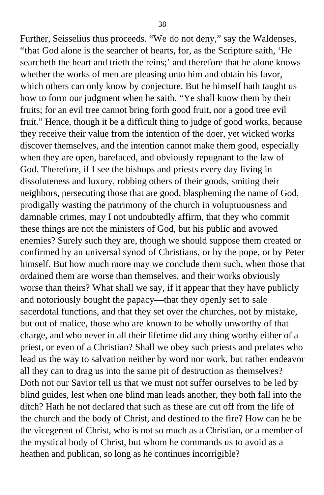Further, Seisselius thus proceeds. "We do not deny," say the Waldenses, "that God alone is the searcher of hearts, for, as the Scripture saith, 'He searcheth the heart and trieth the reins;' and therefore that he alone knows whether the works of men are pleasing unto him and obtain his favor, which others can only know by conjecture. But he himself hath taught us how to form our judgment when he saith, "Ye shall know them by their fruits; for an evil tree cannot bring forth good fruit, nor a good tree evil fruit." Hence, though it be a difficult thing to judge of good works, because they receive their value from the intention of the doer, yet wicked works discover themselves, and the intention cannot make them good, especially when they are open, barefaced, and obviously repugnant to the law of God. Therefore, if I see the bishops and priests every day living in dissoluteness and luxury, robbing others of their goods, smiting their neighbors, persecuting those that are good, blaspheming the name of God, prodigally wasting the patrimony of the church in voluptuousness and damnable crimes, may I not undoubtedly affirm, that they who commit these things are not the ministers of God, but his public and avowed enemies? Surely such they are, though we should suppose them created or confirmed by an universal synod of Christians, or by the pope, or by Peter himself. But how much more may we conclude them such, when those that ordained them are worse than themselves, and their works obviously worse than theirs? What shall we say, if it appear that they have publicly and notoriously bought the papacy—that they openly set to sale sacerdotal functions, and that they set over the churches, not by mistake, but out of malice, those who are known to be wholly unworthy of that charge, and who never in all their lifetime did any thing worthy either of a priest, or even of a Christian? Shall we obey such priests and prelates who lead us the way to salvation neither by word nor work, but rather endeavor all they can to drag us into the same pit of destruction as themselves? Doth not our Savior tell us that we must not suffer ourselves to be led by blind guides, lest when one blind man leads another, they both fall into the ditch? Hath he not declared that such as these are cut off from the life of the church and the body of Christ, and destined to the fire? How can he be the vicegerent of Christ, who is not so much as a Christian, or a member of the mystical body of Christ, but whom he commands us to avoid as a heathen and publican, so long as he continues incorrigible?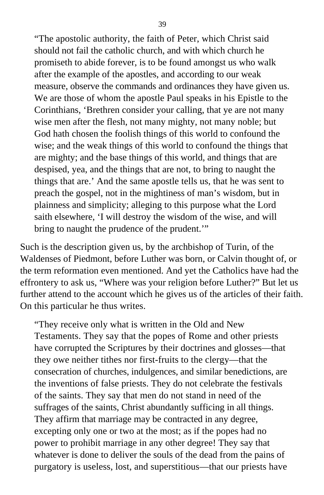"The apostolic authority, the faith of Peter, which Christ said should not fail the catholic church, and with which church he promiseth to abide forever, is to be found amongst us who walk after the example of the apostles, and according to our weak measure, observe the commands and ordinances they have given us. We are those of whom the apostle Paul speaks in his Epistle to the Corinthians, 'Brethren consider your calling, that ye are not many wise men after the flesh, not many mighty, not many noble; but God hath chosen the foolish things of this world to confound the wise; and the weak things of this world to confound the things that are mighty; and the base things of this world, and things that are despised, yea, and the things that are not, to bring to naught the things that are.' And the same apostle tells us, that he was sent to preach the gospel, not in the mightiness of man's wisdom, but in plainness and simplicity; alleging to this purpose what the Lord saith elsewhere, 'I will destroy the wisdom of the wise, and will bring to naught the prudence of the prudent.'"

Such is the description given us, by the archbishop of Turin, of the Waldenses of Piedmont, before Luther was born, or Calvin thought of, or the term reformation even mentioned. And yet the Catholics have had the effrontery to ask us, "Where was your religion before Luther?" But let us further attend to the account which he gives us of the articles of their faith. On this particular he thus writes.

"They receive only what is written in the Old and New Testaments. They say that the popes of Rome and other priests have corrupted the Scriptures by their doctrines and glosses—that they owe neither tithes nor first-fruits to the clergy—that the consecration of churches, indulgences, and similar benedictions, are the inventions of false priests. They do not celebrate the festivals of the saints. They say that men do not stand in need of the suffrages of the saints, Christ abundantly sufficing in all things. They affirm that marriage may be contracted in any degree, excepting only one or two at the most; as if the popes had no power to prohibit marriage in any other degree! They say that whatever is done to deliver the souls of the dead from the pains of purgatory is useless, lost, and superstitious—that our priests have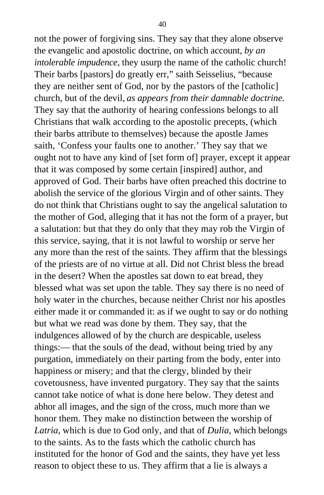not the power of forgiving sins. They say that they alone observe the evangelic and apostolic doctrine, on which account, *by an intolerable impudence,* they usurp the name of the catholic church! Their barbs [pastors] do greatly err," saith Seisselius, "because they are neither sent of God, nor by the pastors of the [catholic] church, but of the devil, *as appears from their damnable doctrine.* They say that the authority of hearing confessions belongs to all Christians that walk according to the apostolic precepts, (which their barbs attribute to themselves) because the apostle James saith, 'Confess your faults one to another.' They say that we ought not to have any kind of [set form of] prayer, except it appear that it was composed by some certain [inspired] author, and approved of God. Their barbs have often preached this doctrine to abolish the service of the glorious Virgin and of other saints. They do not think that Christians ought to say the angelical salutation to the mother of God, alleging that it has not the form of a prayer, but a salutation: but that they do only that they may rob the Virgin of this service, saying, that it is not lawful to worship or serve her any more than the rest of the saints. They affirm that the blessings of the priests are of no virtue at all. Did not Christ bless the bread in the desert? When the apostles sat down to eat bread, they blessed what was set upon the table. They say there is no need of holy water in the churches, because neither Christ nor his apostles either made it or commanded it: as if we ought to say or do nothing but what we read was done by them. They say, that the indulgences allowed of by the church are despicable, useless things:— that the souls of the dead, without being tried by any purgation, immediately on their parting from the body, enter into happiness or misery; and that the clergy, blinded by their covetousness, have invented purgatory. They say that the saints cannot take notice of what is done here below. They detest and abhor all images, and the sign of the cross, much more than we honor them. They make no distinction between the worship of *Latria,* which is due to God only, and that of *Dulia,* which belongs to the saints. As to the fasts which the catholic church has instituted for the honor of God and the saints, they have yet less reason to object these to us. They affirm that a lie is always a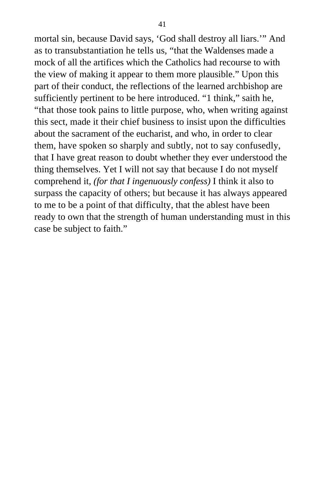mortal sin, because David says, 'God shall destroy all liars.'" And as to transubstantiation he tells us, "that the Waldenses made a mock of all the artifices which the Catholics had recourse to with the view of making it appear to them more plausible." Upon this part of their conduct, the reflections of the learned archbishop are sufficiently pertinent to be here introduced. "1 think," saith he, "that those took pains to little purpose, who, when writing against this sect, made it their chief business to insist upon the difficulties about the sacrament of the eucharist, and who, in order to clear them, have spoken so sharply and subtly, not to say confusedly, that I have great reason to doubt whether they ever understood the thing themselves. Yet I will not say that because I do not myself comprehend it, *(for that I ingenuously confess)* I think it also to surpass the capacity of others; but because it has always appeared to me to be a point of that difficulty, that the ablest have been ready to own that the strength of human understanding must in this case be subject to faith."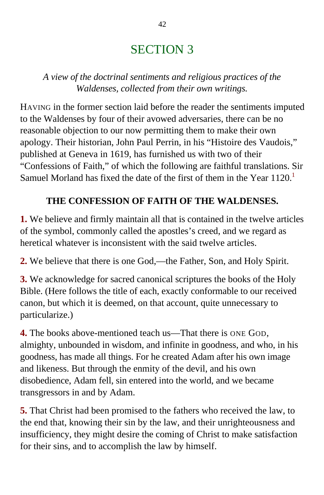# SECTION 3

*A view of the doctrinal sentiments and religious practices of the Waldenses, collected from their own writings.*

HAVING in the former section laid before the reader the sentiments imputed to the Waldenses by four of their avowed adversaries, there can be no reasonable objection to our now permitting them to make their own apology. Their historian, John Paul Perrin, in his "Histoire des Vaudois," published at Geneva in 1619, has furnished us with two of their "Confessions of Faith," of which the following are faithful translations. Sir Samuel Morland has fixed the date of the first of them in the Year  $1120<sup>1</sup>$  $1120<sup>1</sup>$ 

### **THE CONFESSION OF FAITH OF THE WALDENSES.**

**1.** We believe and firmly maintain all that is contained in the twelve articles of the symbol, commonly called the apostles's creed, and we regard as heretical whatever is inconsistent with the said twelve articles.

**2.** We believe that there is one God,—the Father, Son, and Holy Spirit.

**3.** We acknowledge for sacred canonical scriptures the books of the Holy Bible. (Here follows the title of each, exactly conformable to our received canon, but which it is deemed, on that account, quite unnecessary to particularize.)

**4.** The books above-mentioned teach us—That there is ONE GOD. almighty, unbounded in wisdom, and infinite in goodness, and who, in his goodness, has made all things. For he created Adam after his own image and likeness. But through the enmity of the devil, and his own disobedience, Adam fell, sin entered into the world, and we became transgressors in and by Adam.

**5.** That Christ had been promised to the fathers who received the law, to the end that, knowing their sin by the law, and their unrighteousness and insufficiency, they might desire the coming of Christ to make satisfaction for their sins, and to accomplish the law by himself.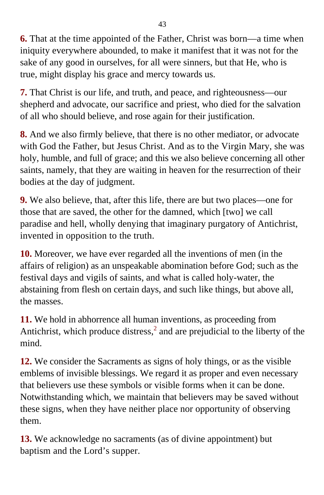**6.** That at the time appointed of the Father, Christ was born—a time when iniquity everywhere abounded, to make it manifest that it was not for the sake of any good in ourselves, for all were sinners, but that He, who is true, might display his grace and mercy towards us.

**7.** That Christ is our life, and truth, and peace, and righteousness—our shepherd and advocate, our sacrifice and priest, who died for the salvation of all who should believe, and rose again for their justification.

**8.** And we also firmly believe, that there is no other mediator, or advocate with God the Father, but Jesus Christ. And as to the Virgin Mary, she was holy, humble, and full of grace; and this we also believe concerning all other saints, namely, that they are waiting in heaven for the resurrection of their bodies at the day of judgment.

**9.** We also believe, that, after this life, there are but two places—one for those that are saved, the other for the damned, which [two] we call paradise and hell, wholly denying that imaginary purgatory of Antichrist, invented in opposition to the truth.

**10.** Moreover, we have ever regarded all the inventions of men (in the affairs of religion) as an unspeakable abomination before God; such as the festival days and vigils of saints, and what is called holy-water, the abstaining from flesh on certain days, and such like things, but above all, the masses.

**11.** We hold in abhorrence all human inventions, as proceeding from Antichrist, which produce distress, $<sup>2</sup>$  $<sup>2</sup>$  $<sup>2</sup>$  and are prejudicial to the liberty of the</sup> mind.

**12.** We consider the Sacraments as signs of holy things, or as the visible emblems of invisible blessings. We regard it as proper and even necessary that believers use these symbols or visible forms when it can be done. Notwithstanding which, we maintain that believers may be saved without these signs, when they have neither place nor opportunity of observing them.

**13.** We acknowledge no sacraments (as of divine appointment) but baptism and the Lord's supper.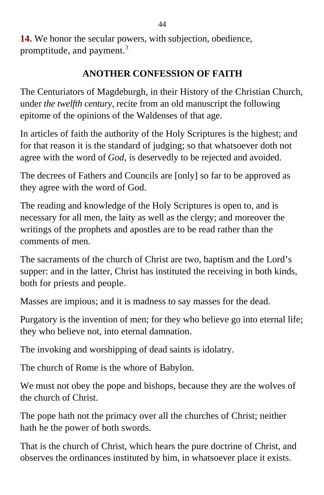**14.** We honor the secular powers, with subjection, obedience, promptitude, and payment.<sup>[3](#page-397-0)</sup>

### **ANOTHER CONFESSION OF FAITH**

The Centuriators of Magdeburgh, in their History of the Christian Church, under *the twelfth century,* recite from an old manuscript the following epitome of the opinions of the Waldenses of that age.

In articles of faith the authority of the Holy Scriptures is the highest; and for that reason it is the standard of judging; so that whatsoever doth not agree with the word of *God,* is deservedly to be rejected and avoided.

The decrees of Fathers and Councils are [only] so far to be approved as they agree with the word of God.

The reading and knowledge of the Holy Scriptures is open to, and is necessary for all men, the laity as well as the clergy; and moreover the writings of the prophets and apostles are to be read rather than the comments of men.

The sacraments of the church of Christ are two, baptism and the Lord's supper: and in the latter, Christ has instituted the receiving in both kinds, both for priests and people.

Masses are impious; and it is madness to say masses for the dead.

Purgatory is the invention of men; for they who believe go into eternal life; they who believe not, into eternal damnation.

The invoking and worshipping of dead saints is idolatry.

The church of Rome is the whore of Babylon.

We must not obey the pope and bishops, because they are the wolves of the church of Christ.

The pope hath not the primacy over all the churches of Christ; neither hath he the power of both swords.

That is the church of Christ, which hears the pure doctrine of Christ, and observes the ordinances instituted by him, in whatsoever place it exists.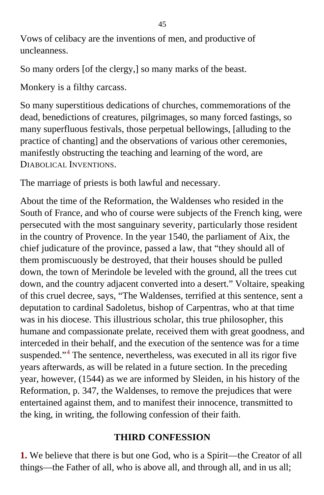Vows of celibacy are the inventions of men, and productive of uncleanness.

So many orders [of the clergy,] so many marks of the beast.

Monkery is a filthy carcass.

So many superstitious dedications of churches, commemorations of the dead, benedictions of creatures, pilgrimages, so many forced fastings, so many superfluous festivals, those perpetual bellowings, [alluding to the practice of chanting] and the observations of various other ceremonies, manifestly obstructing the teaching and learning of the word, are DIABOLICAL INVENTIONS.

The marriage of priests is both lawful and necessary.

About the time of the Reformation, the Waldenses who resided in the South of France, and who of course were subjects of the French king, were persecuted with the most sanguinary severity, particularly those resident in the country of Provence. In the year 1540, the parliament of Aix, the chief judicature of the province, passed a law, that "they should all of them promiscuously be destroyed, that their houses should be pulled down, the town of Merindole be leveled with the ground, all the trees cut down, and the country adjacent converted into a desert." Voltaire, speaking of this cruel decree, says, "The Waldenses, terrified at this sentence, sent a deputation to cardinal Sadoletus, bishop of Carpentras, who at that time was in his diocese. This illustrious scholar, this true philosopher, this humane and compassionate prelate, received them with great goodness, and interceded in their behalf, and the execution of the sentence was for a time suspended."<sup>[4](#page-397-0)</sup> The sentence, nevertheless, was executed in all its rigor five years afterwards, as will be related in a future section. In the preceding year, however, (1544) as we are informed by Sleiden, in his history of the Reformation, p. 347, the Waldenses, to remove the prejudices that were entertained against them, and to manifest their innocence, transmitted to the king, in writing, the following confession of their faith.

### **THIRD CONFESSION**

**1.** We believe that there is but one God, who is a Spirit—the Creator of all things—the Father of all, who is above all, and through all, and in us all;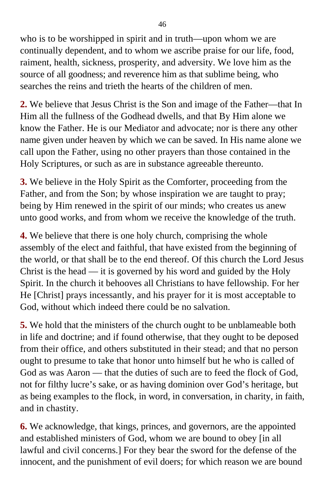who is to be worshipped in spirit and in truth—upon whom we are continually dependent, and to whom we ascribe praise for our life, food, raiment, health, sickness, prosperity, and adversity. We love him as the source of all goodness; and reverence him as that sublime being, who searches the reins and trieth the hearts of the children of men.

**2.** We believe that Jesus Christ is the Son and image of the Father—that In Him all the fullness of the Godhead dwells, and that By Him alone we know the Father. He is our Mediator and advocate; nor is there any other name given under heaven by which we can be saved. In His name alone we call upon the Father, using no other prayers than those contained in the Holy Scriptures, or such as are in substance agreeable thereunto.

**3.** We believe in the Holy Spirit as the Comforter, proceeding from the Father, and from the Son; by whose inspiration we are taught to pray; being by Him renewed in the spirit of our minds; who creates us anew unto good works, and from whom we receive the knowledge of the truth.

**4.** We believe that there is one holy church, comprising the whole assembly of the elect and faithful, that have existed from the beginning of the world, or that shall be to the end thereof. Of this church the Lord Jesus Christ is the head — it is governed by his word and guided by the Holy Spirit. In the church it behooves all Christians to have fellowship. For her He [Christ] prays incessantly, and his prayer for it is most acceptable to God, without which indeed there could be no salvation.

**5.** We hold that the ministers of the church ought to be unblameable both in life and doctrine; and if found otherwise, that they ought to be deposed from their office, and others substituted in their stead; and that no person ought to presume to take that honor unto himself but he who is called of God as was Aaron — that the duties of such are to feed the flock of God, not for filthy lucre's sake, or as having dominion over God's heritage, but as being examples to the flock, in word, in conversation, in charity, in faith, and in chastity.

**6.** We acknowledge, that kings, princes, and governors, are the appointed and established ministers of God, whom we are bound to obey [in all lawful and civil concerns.] For they bear the sword for the defense of the innocent, and the punishment of evil doers; for which reason we are bound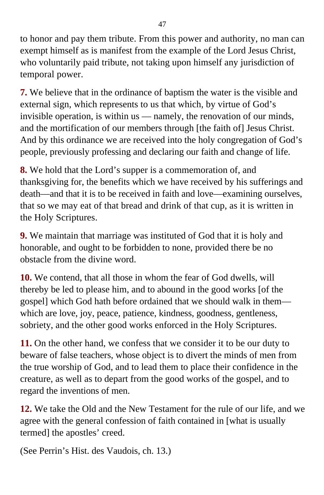to honor and pay them tribute. From this power and authority, no man can exempt himself as is manifest from the example of the Lord Jesus Christ, who voluntarily paid tribute, not taking upon himself any jurisdiction of temporal power.

**7.** We believe that in the ordinance of baptism the water is the visible and external sign, which represents to us that which, by virtue of God's invisible operation, is within us — namely, the renovation of our minds, and the mortification of our members through [the faith of] Jesus Christ. And by this ordinance we are received into the holy congregation of God's people, previously professing and declaring our faith and change of life.

**8.** We hold that the Lord's supper is a commemoration of, and thanksgiving for, the benefits which we have received by his sufferings and death—and that it is to be received in faith and love—examining ourselves, that so we may eat of that bread and drink of that cup, as it is written in the Holy Scriptures.

**9.** We maintain that marriage was instituted of God that it is holy and honorable, and ought to be forbidden to none, provided there be no obstacle from the divine word.

**10.** We contend, that all those in whom the fear of God dwells, will thereby be led to please him, and to abound in the good works [of the gospel] which God hath before ordained that we should walk in them which are love, joy, peace, patience, kindness, goodness, gentleness, sobriety, and the other good works enforced in the Holy Scriptures.

**11.** On the other hand, we confess that we consider it to be our duty to beware of false teachers, whose object is to divert the minds of men from the true worship of God, and to lead them to place their confidence in the creature, as well as to depart from the good works of the gospel, and to regard the inventions of men.

**12.** We take the Old and the New Testament for the rule of our life, and we agree with the general confession of faith contained in [what is usually termed] the apostles' creed.

(See Perrin's Hist. des Vaudois, ch. 13.)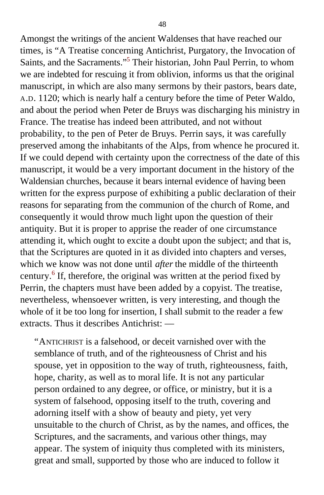Amongst the writings of the ancient Waldenses that have reached our times, is "A Treatise concerning Antichrist, Purgatory, the Invocation of Saints, and the Sacraments."<sup>[5](#page-397-0)</sup> Their historian, John Paul Perrin, to whom we are indebted for rescuing it from oblivion, informs us that the original manuscript, in which are also many sermons by their pastors, bears date, A.D. 1120; which is nearly half a century before the time of Peter Waldo, and about the period when Peter de Bruys was discharging his ministry in France. The treatise has indeed been attributed, and not without probability, to the pen of Peter de Bruys. Perrin says, it was carefully preserved among the inhabitants of the Alps, from whence he procured it. If we could depend with certainty upon the correctness of the date of this manuscript, it would be a very important document in the history of the Waldensian churches, because it bears internal evidence of having been written for the express purpose of exhibiting a public declaration of their reasons for separating from the communion of the church of Rome, and consequently it would throw much light upon the question of their antiquity. But it is proper to apprise the reader of one circumstance attending it, which ought to excite a doubt upon the subject; and that is, that the Scriptures are quoted in it as divided into chapters and verses, which we know was not done until *after* the middle of the thirteenth century.<sup>[6](#page-397-0)</sup> If, therefore, the original was written at the period fixed by Perrin, the chapters must have been added by a copyist. The treatise, nevertheless, whensoever written, is very interesting, and though the whole of it be too long for insertion, I shall submit to the reader a few extracts. Thus it describes Antichrist: —

"ANTICHRIST is a falsehood, or deceit varnished over with the semblance of truth, and of the righteousness of Christ and his spouse, yet in opposition to the way of truth, righteousness, faith, hope, charity, as well as to moral life. It is not any particular person ordained to any degree, or office, or ministry, but it is a system of falsehood, opposing itself to the truth, covering and adorning itself with a show of beauty and piety, yet very unsuitable to the church of Christ, as by the names, and offices, the Scriptures, and the sacraments, and various other things, may appear. The system of iniquity thus completed with its ministers, great and small, supported by those who are induced to follow it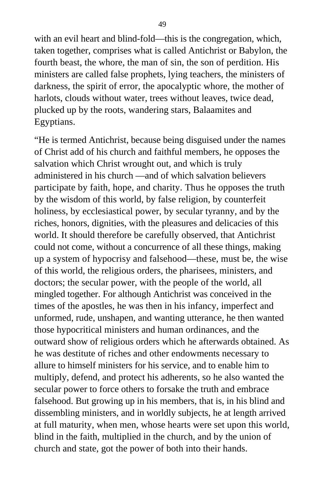with an evil heart and blind-fold—this is the congregation, which, taken together, comprises what is called Antichrist or Babylon, the fourth beast, the whore, the man of sin, the son of perdition. His ministers are called false prophets, lying teachers, the ministers of darkness, the spirit of error, the apocalyptic whore, the mother of harlots, clouds without water, trees without leaves, twice dead, plucked up by the roots, wandering stars, Balaamites and Egyptians.

"He is termed Antichrist, because being disguised under the names of Christ add of his church and faithful members, he opposes the salvation which Christ wrought out, and which is truly administered in his church —and of which salvation believers participate by faith, hope, and charity. Thus he opposes the truth by the wisdom of this world, by false religion, by counterfeit holiness, by ecclesiastical power, by secular tyranny, and by the riches, honors, dignities, with the pleasures and delicacies of this world. It should therefore be carefully observed, that Antichrist could not come, without a concurrence of all these things, making up a system of hypocrisy and falsehood—these, must be, the wise of this world, the religious orders, the pharisees, ministers, and doctors; the secular power, with the people of the world, all mingled together. For although Antichrist was conceived in the times of the apostles, he was then in his infancy, imperfect and unformed, rude, unshapen, and wanting utterance, he then wanted those hypocritical ministers and human ordinances, and the outward show of religious orders which he afterwards obtained. As he was destitute of riches and other endowments necessary to allure to himself ministers for his service, and to enable him to multiply, defend, and protect his adherents, so he also wanted the secular power to force others to forsake the truth and embrace falsehood. But growing up in his members, that is, in his blind and dissembling ministers, and in worldly subjects, he at length arrived at full maturity, when men, whose hearts were set upon this world, blind in the faith, multiplied in the church, and by the union of church and state, got the power of both into their hands.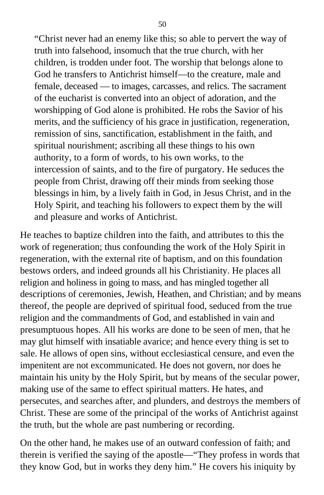"Christ never had an enemy like this; so able to pervert the way of truth into falsehood, insomuch that the true church, with her children, is trodden under foot. The worship that belongs alone to God he transfers to Antichrist himself—to the creature, male and female, deceased — to images, carcasses, and relics. The sacrament of the eucharist is converted into an object of adoration, and the worshipping of God alone is prohibited. He robs the Savior of his merits, and the sufficiency of his grace in justification, regeneration, remission of sins, sanctification, establishment in the faith, and spiritual nourishment; ascribing all these things to his own authority, to a form of words, to his own works, to the intercession of saints, and to the fire of purgatory. He seduces the people from Christ, drawing off their minds from seeking those blessings in him, by a lively faith in God, in Jesus Christ, and in the Holy Spirit, and teaching his followers to expect them by the will and pleasure and works of Antichrist.

He teaches to baptize children into the faith, and attributes to this the work of regeneration; thus confounding the work of the Holy Spirit in regeneration, with the external rite of baptism, and on this foundation bestows orders, and indeed grounds all his Christianity. He places all religion and holiness in going to mass, and has mingled together all descriptions of ceremonies, Jewish, Heathen, and Christian; and by means thereof, the people are deprived of spiritual food, seduced from the true religion and the commandments of God, and established in vain and presumptuous hopes. All his works are done to be seen of men, that he may glut himself with insatiable avarice; and hence every thing is set to sale. He allows of open sins, without ecclesiastical censure, and even the impenitent are not excommunicated. He does not govern, nor does he maintain his unity by the Holy Spirit, but by means of the secular power, making use of the same to effect spiritual matters. He hates, and persecutes, and searches after, and plunders, and destroys the members of Christ. These are some of the principal of the works of Antichrist against the truth, but the whole are past numbering or recording.

On the other hand, he makes use of an outward confession of faith; and therein is verified the saying of the apostle—"They profess in words that they know God, but in works they deny him." He covers his iniquity by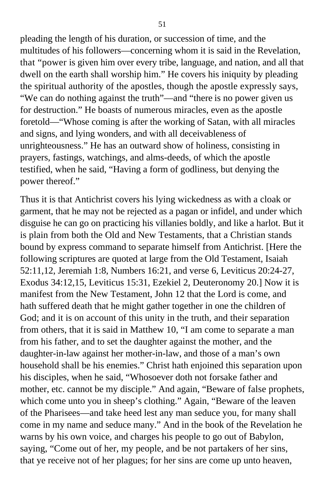pleading the length of his duration, or succession of time, and the multitudes of his followers—concerning whom it is said in the Revelation, that "power is given him over every tribe, language, and nation, and all that dwell on the earth shall worship him." He covers his iniquity by pleading the spiritual authority of the apostles, though the apostle expressly says, "We can do nothing against the truth"—and "there is no power given us for destruction." He boasts of numerous miracles, even as the apostle foretold—"Whose coming is after the working of Satan, with all miracles and signs, and lying wonders, and with all deceivableness of unrighteousness." He has an outward show of holiness, consisting in prayers, fastings, watchings, and alms-deeds, of which the apostle testified, when he said, "Having a form of godliness, but denying the power thereof."

Thus it is that Antichrist covers his lying wickedness as with a cloak or garment, that he may not be rejected as a pagan or infidel, and under which disguise he can go on practicing his villanies boldly, and like a harlot. But it is plain from both the Old and New Testaments, that a Christian stands bound by express command to separate himself from Antichrist. [Here the following scriptures are quoted at large from the Old Testament, Isaiah 52:11,12, Jeremiah 1:8, Numbers 16:21, and verse 6, Leviticus 20:24-27, Exodus 34:12,15, Leviticus 15:31, Ezekiel 2, Deuteronomy 20.] Now it is manifest from the New Testament, John 12 that the Lord is come, and hath suffered death that he might gather together in one the children of God; and it is on account of this unity in the truth, and their separation from others, that it is said in Matthew 10, "I am come to separate a man from his father, and to set the daughter against the mother, and the daughter-in-law against her mother-in-law, and those of a man's own household shall be his enemies." Christ hath enjoined this separation upon his disciples, when he said, "Whosoever doth not forsake father and mother, etc. cannot be my disciple." And again, "Beware of false prophets, which come unto you in sheep's clothing." Again, "Beware of the leaven of the Pharisees—and take heed lest any man seduce you, for many shall come in my name and seduce many." And in the book of the Revelation he warns by his own voice, and charges his people to go out of Babylon, saying, "Come out of her, my people, and be not partakers of her sins, that ye receive not of her plagues; for her sins are come up unto heaven,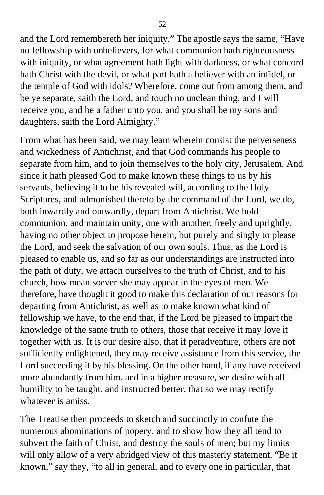and the Lord remembereth her iniquity." The apostle says the same, "Have no fellowship with unbelievers, for what communion hath righteousness with iniquity, or what agreement hath light with darkness, or what concord hath Christ with the devil, or what part hath a believer with an infidel, or the temple of God with idols? Wherefore, come out from among them, and be ye separate, saith the Lord, and touch no unclean thing, and I will receive you, and be a father unto you, and you shall be my sons and daughters, saith the Lord Almighty."

From what has been said, we may learn wherein consist the perverseness and wickedness of Antichrist, and that God commands his people to separate from him, and to join themselves to the holy city, Jerusalem. And since it hath pleased God to make known these things to us by his servants, believing it to be his revealed will, according to the Holy Scriptures, and admonished thereto by the command of the Lord, we do, both inwardly and outwardly, depart from Antichrist. We hold communion, and maintain unity, one with another, freely and uprightly, having no other object to propose herein, but purely and singly to please the Lord, and seek the salvation of our own souls. Thus, as the Lord is pleased to enable us, and so far as our understandings are instructed into the path of duty, we attach ourselves to the truth of Christ, and to his church, how mean soever she may appear in the eyes of men. We therefore, have thought it good to make this declaration of our reasons for departing from Antichrist, as well as to make known what kind of fellowship we have, to the end that, if the Lord be pleased to impart the knowledge of the same truth to others, those that receive it may love it together with us. It is our desire also, that if peradventure, others are not sufficiently enlightened, they may receive assistance from this service, the Lord succeeding it by his blessing. On the other hand, if any have received more abundantly from him, and in a higher measure, we desire with all humility to be taught, and instructed better, that so we may rectify whatever is amiss.

The Treatise then proceeds to sketch and succinctly to confute the numerous abominations of popery, and to show how they all tend to subvert the faith of Christ, and destroy the souls of men; but my limits will only allow of a very abridged view of this masterly statement. "Be it known," say they, "to all in general, and to every one in particular, that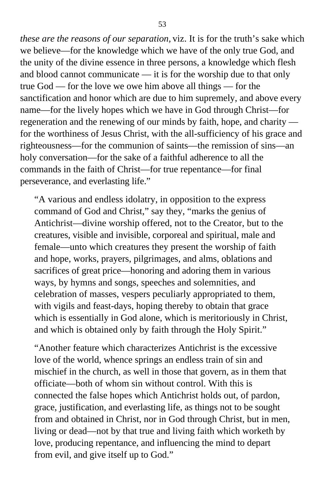*these are the reasons of our separation,* viz. It is for the truth's sake which we believe—for the knowledge which we have of the only true God, and the unity of the divine essence in three persons, a knowledge which flesh and blood cannot communicate — it is for the worship due to that only true God — for the love we owe him above all things — for the sanctification and honor which are due to him supremely, and above every name—for the lively hopes which we have in God through Christ—for regeneration and the renewing of our minds by faith, hope, and charity for the worthiness of Jesus Christ, with the all-sufficiency of his grace and righteousness—for the communion of saints—the remission of sins—an holy conversation—for the sake of a faithful adherence to all the commands in the faith of Christ—for true repentance—for final perseverance, and everlasting life."

"A various and endless idolatry, in opposition to the express command of God and Christ," say they, "marks the genius of Antichrist—divine worship offered, not to the Creator, but to the creatures, visible and invisible, corporeal and spiritual, male and female—unto which creatures they present the worship of faith and hope, works, prayers, pilgrimages, and alms, oblations and sacrifices of great price—honoring and adoring them in various ways, by hymns and songs, speeches and solemnities, and celebration of masses, vespers peculiarly appropriated to them, with vigils and feast-days, hoping thereby to obtain that grace which is essentially in God alone, which is meritoriously in Christ, and which is obtained only by faith through the Holy Spirit."

"Another feature which characterizes Antichrist is the excessive love of the world, whence springs an endless train of sin and mischief in the church, as well in those that govern, as in them that officiate—both of whom sin without control. With this is connected the false hopes which Antichrist holds out, of pardon, grace, justification, and everlasting life, as things not to be sought from and obtained in Christ, nor in God through Christ, but in men, living or dead—not by that true and living faith which worketh by love, producing repentance, and influencing the mind to depart from evil, and give itself up to God."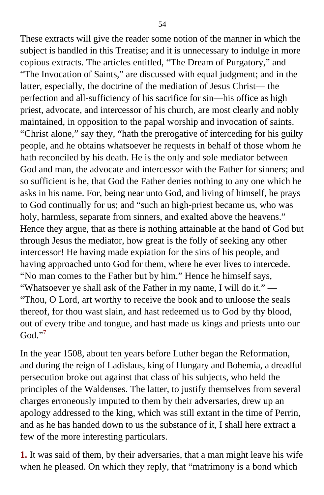These extracts will give the reader some notion of the manner in which the subject is handled in this Treatise; and it is unnecessary to indulge in more copious extracts. The articles entitled, "The Dream of Purgatory," and "The Invocation of Saints," are discussed with equal judgment; and in the latter, especially, the doctrine of the mediation of Jesus Christ— the perfection and all-sufficiency of his sacrifice for sin—his office as high priest, advocate, and intercessor of his church, are most clearly and nobly maintained, in opposition to the papal worship and invocation of saints. "Christ alone," say they, "hath the prerogative of interceding for his guilty people, and he obtains whatsoever he requests in behalf of those whom he hath reconciled by his death. He is the only and sole mediator between God and man, the advocate and intercessor with the Father for sinners; and so sufficient is he, that God the Father denies nothing to any one which he asks in his name. For, being near unto God, and living of himself, he prays to God continually for us; and "such an high-priest became us, who was holy, harmless, separate from sinners, and exalted above the heavens." Hence they argue, that as there is nothing attainable at the hand of God but through Jesus the mediator, how great is the folly of seeking any other intercessor! He having made expiation for the sins of his people, and having approached unto God for them, where he ever lives to intercede. "No man comes to the Father but by him." Hence he himself says, "Whatsoever ye shall ask of the Father in my name, I will do it." — "Thou, O Lord, art worthy to receive the book and to unloose the seals thereof, for thou wast slain, and hast redeemed us to God by thy blood, out of every tribe and tongue, and hast made us kings and priests unto our God $"$ <sup>[7](#page-397-0)</sup>

In the year 1508, about ten years before Luther began the Reformation, and during the reign of Ladislaus, king of Hungary and Bohemia, a dreadful persecution broke out against that class of his subjects, who held the principles of the Waldenses. The latter, to justify themselves from several charges erroneously imputed to them by their adversaries, drew up an apology addressed to the king, which was still extant in the time of Perrin, and as he has handed down to us the substance of it, I shall here extract a few of the more interesting particulars.

**1.** It was said of them, by their adversaries, that a man might leave his wife when he pleased. On which they reply, that "matrimony is a bond which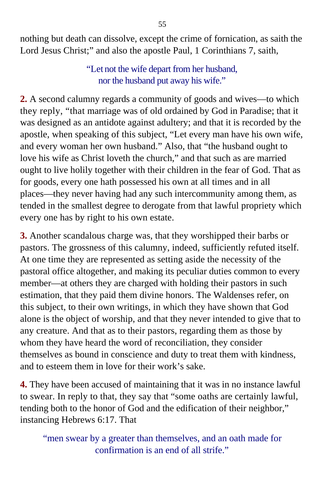nothing but death can dissolve, except the crime of fornication, as saith the Lord Jesus Christ;" and also the apostle Paul, 1 Corinthians 7, saith,

> "Let not the wife depart from her husband, nor the husband put away his wife."

**2.** A second calumny regards a community of goods and wives—to which they reply, "that marriage was of old ordained by God in Paradise; that it was designed as an antidote against adultery; and that it is recorded by the apostle, when speaking of this subject, "Let every man have his own wife, and every woman her own husband." Also, that "the husband ought to love his wife as Christ loveth the church," and that such as are married ought to live holily together with their children in the fear of God. That as for goods, every one hath possessed his own at all times and in all places—they never having had any such intercommunity among them, as tended in the smallest degree to derogate from that lawful propriety which every one has by right to his own estate.

**3.** Another scandalous charge was, that they worshipped their barbs or pastors. The grossness of this calumny, indeed, sufficiently refuted itself. At one time they are represented as setting aside the necessity of the pastoral office altogether, and making its peculiar duties common to every member—at others they are charged with holding their pastors in such estimation, that they paid them divine honors. The Waldenses refer, on this subject, to their own writings, in which they have shown that God alone is the object of worship, and that they never intended to give that to any creature. And that as to their pastors, regarding them as those by whom they have heard the word of reconciliation, they consider themselves as bound in conscience and duty to treat them with kindness, and to esteem them in love for their work's sake.

**4.** They have been accused of maintaining that it was in no instance lawful to swear. In reply to that, they say that "some oaths are certainly lawful, tending both to the honor of God and the edification of their neighbor," instancing Hebrews 6:17. That

"men swear by a greater than themselves, and an oath made for confirmation is an end of all strife."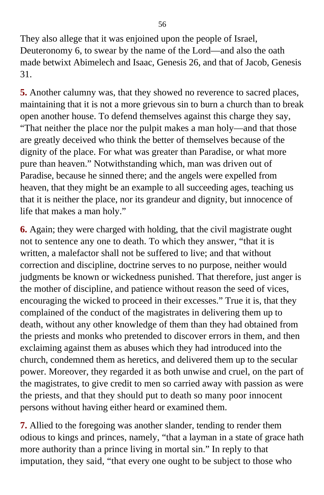They also allege that it was enjoined upon the people of Israel, Deuteronomy 6, to swear by the name of the Lord—and also the oath made betwixt Abimelech and Isaac, Genesis 26, and that of Jacob, Genesis 31.

**5.** Another calumny was, that they showed no reverence to sacred places, maintaining that it is not a more grievous sin to burn a church than to break open another house. To defend themselves against this charge they say, "That neither the place nor the pulpit makes a man holy—and that those are greatly deceived who think the better of themselves because of the dignity of the place. For what was greater than Paradise, or what more pure than heaven." Notwithstanding which, man was driven out of Paradise, because he sinned there; and the angels were expelled from heaven, that they might be an example to all succeeding ages, teaching us that it is neither the place, nor its grandeur and dignity, but innocence of life that makes a man holy."

**6.** Again; they were charged with holding, that the civil magistrate ought not to sentence any one to death. To which they answer, "that it is written, a malefactor shall not be suffered to live; and that without correction and discipline, doctrine serves to no purpose, neither would judgments be known or wickedness punished. That therefore, just anger is the mother of discipline, and patience without reason the seed of vices, encouraging the wicked to proceed in their excesses." True it is, that they complained of the conduct of the magistrates in delivering them up to death, without any other knowledge of them than they had obtained from the priests and monks who pretended to discover errors in them, and then exclaiming against them as abuses which they had introduced into the church, condemned them as heretics, and delivered them up to the secular power. Moreover, they regarded it as both unwise and cruel, on the part of the magistrates, to give credit to men so carried away with passion as were the priests, and that they should put to death so many poor innocent persons without having either heard or examined them.

**7.** Allied to the foregoing was another slander, tending to render them odious to kings and princes, namely, "that a layman in a state of grace hath more authority than a prince living in mortal sin." In reply to that imputation, they said, "that every one ought to be subject to those who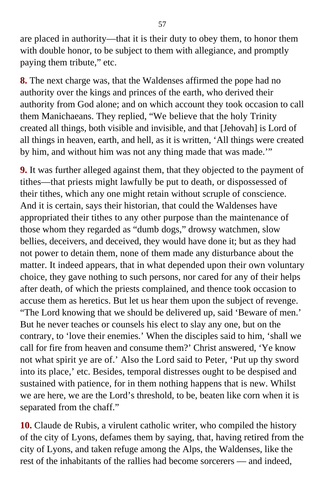are placed in authority—that it is their duty to obey them, to honor them with double honor, to be subject to them with allegiance, and promptly paying them tribute," etc.

**8.** The next charge was, that the Waldenses affirmed the pope had no authority over the kings and princes of the earth, who derived their authority from God alone; and on which account they took occasion to call them Manichaeans. They replied, "We believe that the holy Trinity created all things, both visible and invisible, and that [Jehovah] is Lord of all things in heaven, earth, and hell, as it is written, 'All things were created by him, and without him was not any thing made that was made.'"

**9.** It was further alleged against them, that they objected to the payment of tithes—that priests might lawfully be put to death, or dispossessed of their tithes, which any one might retain without scruple of conscience. And it is certain, says their historian, that could the Waldenses have appropriated their tithes to any other purpose than the maintenance of those whom they regarded as "dumb dogs," drowsy watchmen, slow bellies, deceivers, and deceived, they would have done it; but as they had not power to detain them, none of them made any disturbance about the matter. It indeed appears, that in what depended upon their own voluntary choice, they gave nothing to such persons, nor cared for any of their helps after death, of which the priests complained, and thence took occasion to accuse them as heretics. But let us hear them upon the subject of revenge. "The Lord knowing that we should be delivered up, said 'Beware of men.' But he never teaches or counsels his elect to slay any one, but on the contrary, to 'love their enemies.' When the disciples said to him, 'shall we call for fire from heaven and consume them?' Christ answered, 'Ye know not what spirit ye are of.' Also the Lord said to Peter, 'Put up thy sword into its place,' etc. Besides, temporal distresses ought to be despised and sustained with patience, for in them nothing happens that is new. Whilst we are here, we are the Lord's threshold, to be, beaten like corn when it is separated from the chaff."

**10.** Claude de Rubis, a virulent catholic writer, who compiled the history of the city of Lyons, defames them by saying, that, having retired from the city of Lyons, and taken refuge among the Alps, the Waldenses, like the rest of the inhabitants of the rallies had become sorcerers — and indeed,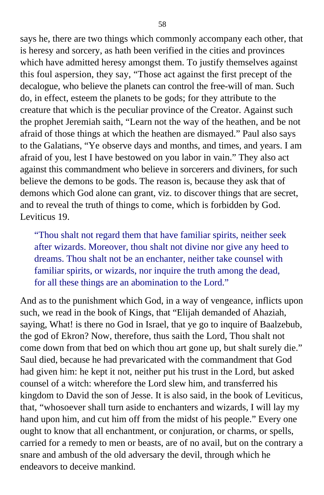says he, there are two things which commonly accompany each other, that is heresy and sorcery, as hath been verified in the cities and provinces which have admitted heresy amongst them. To justify themselves against this foul aspersion, they say, "Those act against the first precept of the decalogue, who believe the planets can control the free-will of man. Such do, in effect, esteem the planets to be gods; for they attribute to the creature that which is the peculiar province of the Creator. Against such the prophet Jeremiah saith, "Learn not the way of the heathen, and be not afraid of those things at which the heathen are dismayed." Paul also says to the Galatians, "Ye observe days and months, and times, and years. I am afraid of you, lest I have bestowed on you labor in vain." They also act against this commandment who believe in sorcerers and diviners, for such believe the demons to be gods. The reason is, because they ask that of demons which God alone can grant, viz. to discover things that are secret, and to reveal the truth of things to come, which is forbidden by God. Leviticus 19.

"Thou shalt not regard them that have familiar spirits, neither seek after wizards. Moreover, thou shalt not divine nor give any heed to dreams. Thou shalt not be an enchanter, neither take counsel with familiar spirits, or wizards, nor inquire the truth among the dead, for all these things are an abomination to the Lord."

And as to the punishment which God, in a way of vengeance, inflicts upon such, we read in the book of Kings, that "Elijah demanded of Ahaziah, saying, What! is there no God in Israel, that ye go to inquire of Baalzebub, the god of Ekron? Now, therefore, thus saith the Lord, Thou shalt not come down from that bed on which thou art gone up, but shalt surely die." Saul died, because he had prevaricated with the commandment that God had given him: he kept it not, neither put his trust in the Lord, but asked counsel of a witch: wherefore the Lord slew him, and transferred his kingdom to David the son of Jesse. It is also said, in the book of Leviticus, that, "whosoever shall turn aside to enchanters and wizards, I will lay my hand upon him, and cut him off from the midst of his people." Every one ought to know that all enchantment, or conjuration, or charms, or spells, carried for a remedy to men or beasts, are of no avail, but on the contrary a snare and ambush of the old adversary the devil, through which he endeavors to deceive mankind.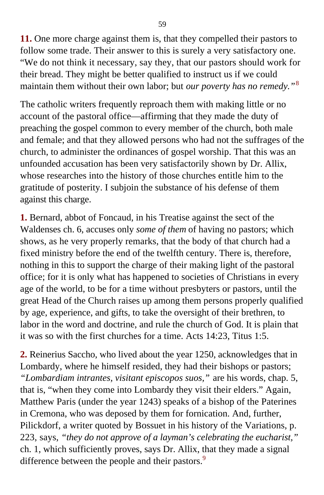**11.** One more charge against them is, that they compelled their pastors to follow some trade. Their answer to this is surely a very satisfactory one. "We do not think it necessary, say they, that our pastors should work for their bread. They might be better qualified to instruct us if we could maintain them without their own labor; but *our poverty has no remedy."*[8](#page-397-0)

The catholic writers frequently reproach them with making little or no account of the pastoral office—affirming that they made the duty of preaching the gospel common to every member of the church, both male and female; and that they allowed persons who had not the suffrages of the church, to administer the ordinances of gospel worship. That this was an unfounded accusation has been very satisfactorily shown by Dr. Allix, whose researches into the history of those churches entitle him to the gratitude of posterity. I subjoin the substance of his defense of them against this charge.

**1.** Bernard, abbot of Foncaud, in his Treatise against the sect of the Waldenses ch. 6, accuses only *some of them* of having no pastors; which shows, as he very properly remarks, that the body of that church had a fixed ministry before the end of the twelfth century. There is, therefore, nothing in this to support the charge of their making light of the pastoral office; for it is only what has happened to societies of Christians in every age of the world, to be for a time without presbyters or pastors, until the great Head of the Church raises up among them persons properly qualified by age, experience, and gifts, to take the oversight of their brethren, to labor in the word and doctrine, and rule the church of God. It is plain that it was so with the first churches for a time. Acts 14:23, Titus 1:5.

**2.** Reinerius Saccho, who lived about the year 1250, acknowledges that in Lombardy, where he himself resided, they had their bishops or pastors; *"Lombardiam intrantes, visitant episcopos suos,"* are his words, chap. 5, that is, "when they come into Lombardy they visit their elders." Again, Matthew Paris (under the year 1243) speaks of a bishop of the Paterines in Cremona, who was deposed by them for fornication. And, further, Pilickdorf, a writer quoted by Bossuet in his history of the Variations, p. 223, says, *"they do not approve of a layman's celebrating the eucharist,"* ch. 1, which sufficiently proves, says Dr. Allix, that they made a signal difference between the people and their pastors.<sup>[9](#page-397-0)</sup>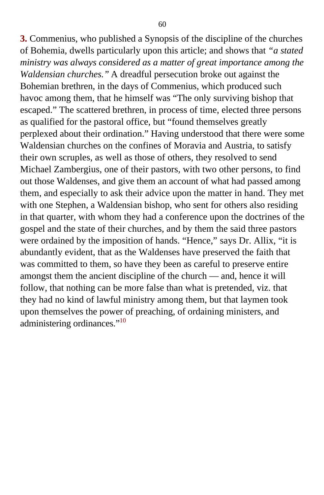**3.** Commenius, who published a Synopsis of the discipline of the churches of Bohemia, dwells particularly upon this article; and shows that *"a stated ministry was always considered as a matter of great importance among the Waldensian churches."* A dreadful persecution broke out against the Bohemian brethren, in the days of Commenius, which produced such havoc among them, that he himself was "The only surviving bishop that escaped." The scattered brethren, in process of time, elected three persons as qualified for the pastoral office, but "found themselves greatly perplexed about their ordination." Having understood that there were some Waldensian churches on the confines of Moravia and Austria, to satisfy their own scruples, as well as those of others, they resolved to send Michael Zambergius, one of their pastors, with two other persons, to find out those Waldenses, and give them an account of what had passed among them, and especially to ask their advice upon the matter in hand. They met with one Stephen, a Waldensian bishop, who sent for others also residing in that quarter, with whom they had a conference upon the doctrines of the gospel and the state of their churches, and by them the said three pastors were ordained by the imposition of hands. "Hence," says Dr. Allix, "it is abundantly evident, that as the Waldenses have preserved the faith that was committed to them, so have they been as careful to preserve entire amongst them the ancient discipline of the church — and, hence it will follow, that nothing can be more false than what is pretended, viz. that they had no kind of lawful ministry among them, but that laymen took upon themselves the power of preaching, of ordaining ministers, and administering ordinances."<sup>[10](#page-397-1)</sup>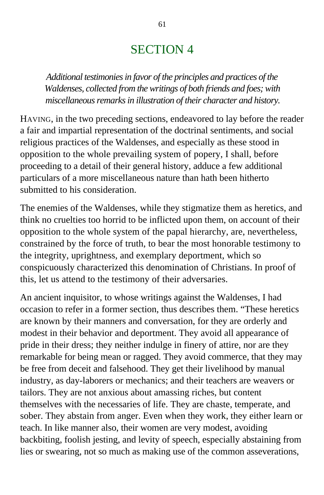## SECTION 4

*Additional testimonies in favor of the principles and practices of the Waldenses, collected from the writings of both friends and foes; with miscellaneous remarks in illustration of their character and history.*

HAVING, in the two preceding sections, endeavored to lay before the reader a fair and impartial representation of the doctrinal sentiments, and social religious practices of the Waldenses, and especially as these stood in opposition to the whole prevailing system of popery, I shall, before proceeding to a detail of their general history, adduce a few additional particulars of a more miscellaneous nature than hath been hitherto submitted to his consideration.

The enemies of the Waldenses, while they stigmatize them as heretics, and think no cruelties too horrid to be inflicted upon them, on account of their opposition to the whole system of the papal hierarchy, are, nevertheless, constrained by the force of truth, to bear the most honorable testimony to the integrity, uprightness, and exemplary deportment, which so conspicuously characterized this denomination of Christians. In proof of this, let us attend to the testimony of their adversaries.

An ancient inquisitor, to whose writings against the Waldenses, I had occasion to refer in a former section, thus describes them. "These heretics are known by their manners and conversation, for they are orderly and modest in their behavior and deportment. They avoid all appearance of pride in their dress; they neither indulge in finery of attire, nor are they remarkable for being mean or ragged. They avoid commerce, that they may be free from deceit and falsehood. They get their livelihood by manual industry, as day-laborers or mechanics; and their teachers are weavers or tailors. They are not anxious about amassing riches, but content themselves with the necessaries of life. They are chaste, temperate, and sober. They abstain from anger. Even when they work, they either learn or teach. In like manner also, their women are very modest, avoiding backbiting, foolish jesting, and levity of speech, especially abstaining from lies or swearing, not so much as making use of the common asseverations,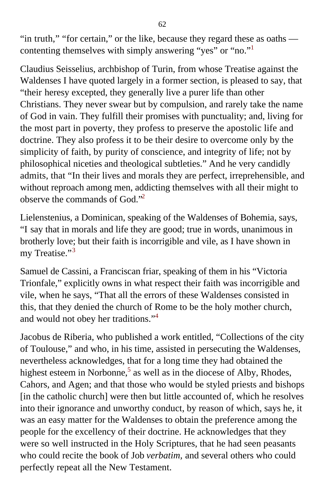"in truth," "for certain," or the like, because they regard these as oaths contenting themselves with simply answering "yes" or "no."[1](#page-397-1)

Claudius Seisselius, archbishop of Turin, from whose Treatise against the Waldenses I have quoted largely in a former section, is pleased to say, that "their heresy excepted, they generally live a purer life than other Christians. They never swear but by compulsion, and rarely take the name of God in vain. They fulfill their promises with punctuality; and, living for the most part in poverty, they profess to preserve the apostolic life and doctrine. They also profess it to be their desire to overcome only by the simplicity of faith, by purity of conscience, and integrity of life; not by philosophical niceties and theological subtleties." And he very candidly admits, that "In their lives and morals they are perfect, irreprehensible, and without reproach among men, addicting themselves with all their might to observe the commands of God."[2](#page-397-1)

Lielenstenius, a Dominican, speaking of the Waldenses of Bohemia, says, "I say that in morals and life they are good; true in words, unanimous in brotherly love; but their faith is incorrigible and vile, as I have shown in my Treatise."<sup>[3](#page-397-1)</sup>

Samuel de Cassini, a Franciscan friar, speaking of them in his "Victoria Trionfale," explicitly owns in what respect their faith was incorrigible and vile, when he says, "That all the errors of these Waldenses consisted in this, that they denied the church of Rome to be the holy mother church, and would not obey her traditions."[4](#page-397-1)

Jacobus de Riberia, who published a work entitled, "Collections of the city of Toulouse," and who, in his time, assisted in persecuting the Waldenses, nevertheless acknowledges, that for a long time they had obtained the highest esteem in Norbonne, $5$  as well as in the diocese of Alby, Rhodes, Cahors, and Agen; and that those who would be styled priests and bishops [in the catholic church] were then but little accounted of, which he resolves into their ignorance and unworthy conduct, by reason of which, says he, it was an easy matter for the Waldenses to obtain the preference among the people for the excellency of their doctrine. He acknowledges that they were so well instructed in the Holy Scriptures, that he had seen peasants who could recite the book of Job *verbatim,* and several others who could perfectly repeat all the New Testament.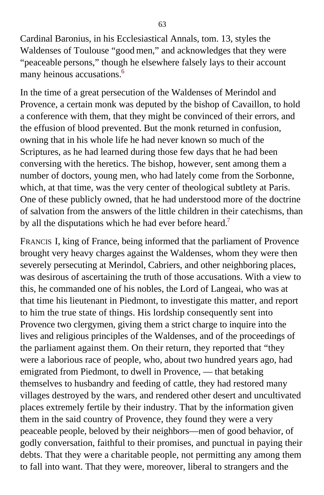Cardinal Baronius, in his Ecclesiastical Annals, tom. 13, styles the Waldenses of Toulouse "good men," and acknowledges that they were "peaceable persons," though he elsewhere falsely lays to their account many heinous accusations.<sup>[6](#page-397-1)</sup>

In the time of a great persecution of the Waldenses of Merindol and Provence, a certain monk was deputed by the bishop of Cavaillon, to hold a conference with them, that they might be convinced of their errors, and the effusion of blood prevented. But the monk returned in confusion, owning that in his whole life he had never known so much of the Scriptures, as he had learned during those few days that he had been conversing with the heretics. The bishop, however, sent among them a number of doctors, young men, who had lately come from the Sorbonne, which, at that time, was the very center of theological subtlety at Paris. One of these publicly owned, that he had understood more of the doctrine of salvation from the answers of the little children in their catechisms, than by all the disputations which he had ever before heard.<sup>[7](#page-397-1)</sup>

FRANCIS I, king of France, being informed that the parliament of Provence brought very heavy charges against the Waldenses, whom they were then severely persecuting at Merindol, Cabriers, and other neighboring places, was desirous of ascertaining the truth of those accusations. With a view to this, he commanded one of his nobles, the Lord of Langeai, who was at that time his lieutenant in Piedmont, to investigate this matter, and report to him the true state of things. His lordship consequently sent into Provence two clergymen, giving them a strict charge to inquire into the lives and religious principles of the Waldenses, and of the proceedings of the parliament against them. On their return, they reported that "they were a laborious race of people, who, about two hundred years ago, had emigrated from Piedmont, to dwell in Provence, — that betaking themselves to husbandry and feeding of cattle, they had restored many villages destroyed by the wars, and rendered other desert and uncultivated places extremely fertile by their industry. That by the information given them in the said country of Provence, they found they were a very peaceable people, beloved by their neighbors—men of good behavior, of godly conversation, faithful to their promises, and punctual in paying their debts. That they were a charitable people, not permitting any among them to fall into want. That they were, moreover, liberal to strangers and the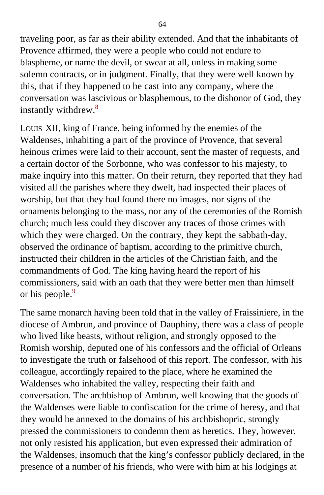traveling poor, as far as their ability extended. And that the inhabitants of Provence affirmed, they were a people who could not endure to blaspheme, or name the devil, or swear at all, unless in making some solemn contracts, or in judgment. Finally, that they were well known by this, that if they happened to be cast into any company, where the conversation was lascivious or blasphemous, to the dishonor of God, they instantly withdrew.<sup>[8](#page-398-0)</sup>

LOUIS XII, king of France, being informed by the enemies of the Waldenses, inhabiting a part of the province of Provence, that several heinous crimes were laid to their account, sent the master of requests, and a certain doctor of the Sorbonne, who was confessor to his majesty, to make inquiry into this matter. On their return, they reported that they had visited all the parishes where they dwelt, had inspected their places of worship, but that they had found there no images, nor signs of the ornaments belonging to the mass, nor any of the ceremonies of the Romish church; much less could they discover any traces of those crimes with which they were charged. On the contrary, they kept the sabbath-day, observed the ordinance of baptism, according to the primitive church, instructed their children in the articles of the Christian faith, and the commandments of God. The king having heard the report of his commissioners, said with an oath that they were better men than himself or his people.<sup>[9](#page-398-0)</sup>

The same monarch having been told that in the valley of Fraissiniere, in the diocese of Ambrun, and province of Dauphiny, there was a class of people who lived like beasts, without religion, and strongly opposed to the Romish worship, deputed one of his confessors and the official of Orleans to investigate the truth or falsehood of this report. The confessor, with his colleague, accordingly repaired to the place, where he examined the Waldenses who inhabited the valley, respecting their faith and conversation. The archbishop of Ambrun, well knowing that the goods of the Waldenses were liable to confiscation for the crime of heresy, and that they would be annexed to the domains of his archbishopric, strongly pressed the commissioners to condemn them as heretics. They, however, not only resisted his application, but even expressed their admiration of the Waldenses, insomuch that the king's confessor publicly declared, in the presence of a number of his friends, who were with him at his lodgings at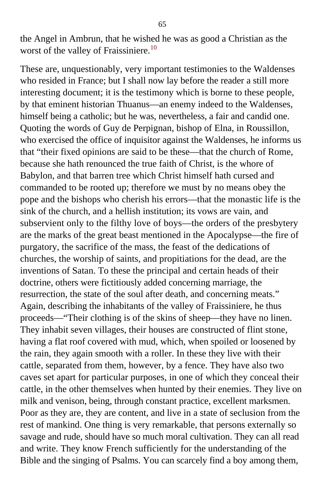the Angel in Ambrun, that he wished he was as good a Christian as the worst of the valley of Fraissiniere.<sup>[10](#page-398-0)</sup>

These are, unquestionably, very important testimonies to the Waldenses who resided in France; but I shall now lay before the reader a still more interesting document; it is the testimony which is borne to these people, by that eminent historian Thuanus—an enemy indeed to the Waldenses, himself being a catholic; but he was, nevertheless, a fair and candid one. Quoting the words of Guy de Perpignan, bishop of Elna, in Roussillon, who exercised the office of inquisitor against the Waldenses, he informs us that "their fixed opinions are said to be these—that the church of Rome, because she hath renounced the true faith of Christ, is the whore of Babylon, and that barren tree which Christ himself hath cursed and commanded to be rooted up; therefore we must by no means obey the pope and the bishops who cherish his errors—that the monastic life is the sink of the church, and a hellish institution; its vows are vain, and subservient only to the filthy love of boys—the orders of the presbytery are the marks of the great beast mentioned in the Apocalypse—the fire of purgatory, the sacrifice of the mass, the feast of the dedications of churches, the worship of saints, and propitiations for the dead, are the inventions of Satan. To these the principal and certain heads of their doctrine, others were fictitiously added concerning marriage, the resurrection, the state of the soul after death, and concerning meats." Again, describing the inhabitants of the valley of Fraissiniere, he thus proceeds—"Their clothing is of the skins of sheep—they have no linen. They inhabit seven villages, their houses are constructed of flint stone, having a flat roof covered with mud, which, when spoiled or loosened by the rain, they again smooth with a roller. In these they live with their cattle, separated from them, however, by a fence. They have also two caves set apart for particular purposes, in one of which they conceal their cattle, in the other themselves when hunted by their enemies. They live on milk and venison, being, through constant practice, excellent marksmen. Poor as they are, they are content, and live in a state of seclusion from the rest of mankind. One thing is very remarkable, that persons externally so savage and rude, should have so much moral cultivation. They can all read and write. They know French sufficiently for the understanding of the Bible and the singing of Psalms. You can scarcely find a boy among them,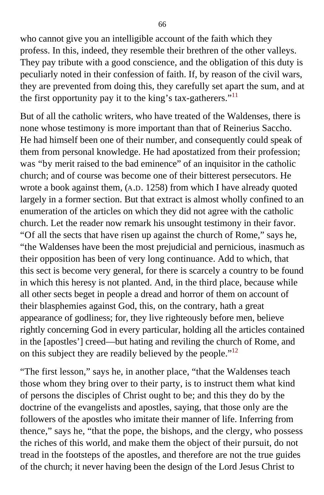who cannot give you an intelligible account of the faith which they profess. In this, indeed, they resemble their brethren of the other valleys. They pay tribute with a good conscience, and the obligation of this duty is peculiarly noted in their confession of faith. If, by reason of the civil wars, they are prevented from doing this, they carefully set apart the sum, and at the first opportunity pay it to the king's tax-gatherers."<sup>[11](#page-398-0)</sup>

But of all the catholic writers, who have treated of the Waldenses, there is none whose testimony is more important than that of Reinerius Saccho. He had himself been one of their number, and consequently could speak of them from personal knowledge. He had apostatized from their profession; was "by merit raised to the bad eminence" of an inquisitor in the catholic church; and of course was become one of their bitterest persecutors. He wrote a book against them, (A.D. 1258) from which I have already quoted largely in a former section. But that extract is almost wholly confined to an enumeration of the articles on which they did not agree with the catholic church. Let the reader now remark his unsought testimony in their favor. "Of all the sects that have risen up against the church of Rome," says he, "the Waldenses have been the most prejudicial and pernicious, inasmuch as their opposition has been of very long continuance. Add to which, that this sect is become very general, for there is scarcely a country to be found in which this heresy is not planted. And, in the third place, because while all other sects beget in people a dread and horror of them on account of their blasphemies against God, this, on the contrary, hath a great appearance of godliness; for, they live righteously before men, believe rightly concerning God in every particular, holding all the articles contained in the [apostles'] creed—but hating and reviling the church of Rome, and on this subject they are readily believed by the people."[12](#page-398-0)

"The first lesson," says he, in another place, "that the Waldenses teach those whom they bring over to their party, is to instruct them what kind of persons the disciples of Christ ought to be; and this they do by the doctrine of the evangelists and apostles, saying, that those only are the followers of the apostles who imitate their manner of life. Inferring from thence," says he, "that the pope, the bishops, and the clergy, who possess the riches of this world, and make them the object of their pursuit, do not tread in the footsteps of the apostles, and therefore are not the true guides of the church; it never having been the design of the Lord Jesus Christ to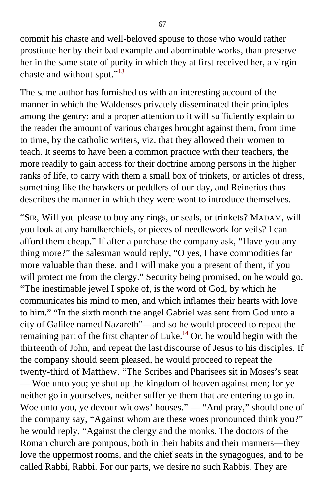commit his chaste and well-beloved spouse to those who would rather prostitute her by their bad example and abominable works, than preserve her in the same state of purity in which they at first received her, a virgin chaste and without spot."<sup>[13](#page-398-0)</sup>

The same author has furnished us with an interesting account of the manner in which the Waldenses privately disseminated their principles among the gentry; and a proper attention to it will sufficiently explain to the reader the amount of various charges brought against them, from time to time, by the catholic writers, viz. that they allowed their women to teach. It seems to have been a common practice with their teachers, the more readily to gain access for their doctrine among persons in the higher ranks of life, to carry with them a small box of trinkets, or articles of dress, something like the hawkers or peddlers of our day, and Reinerius thus describes the manner in which they were wont to introduce themselves.

"SIR, Will you please to buy any rings, or seals, or trinkets? MADAM, will you look at any handkerchiefs, or pieces of needlework for veils? I can afford them cheap." If after a purchase the company ask, "Have you any thing more?" the salesman would reply, "O yes, I have commodities far more valuable than these, and I will make you a present of them, if you will protect me from the clergy." Security being promised, on he would go. "The inestimable jewel I spoke of, is the word of God, by which he communicates his mind to men, and which inflames their hearts with love to him." "In the sixth month the angel Gabriel was sent from God unto a city of Galilee named Nazareth"—and so he would proceed to repeat the remaining part of the first chapter of Luke.<sup>[14](#page-398-0)</sup> Or, he would begin with the thirteenth of John, and repeat the last discourse of Jesus to his disciples. If the company should seem pleased, he would proceed to repeat the twenty-third of Matthew. "The Scribes and Pharisees sit in Moses's seat — Woe unto you; ye shut up the kingdom of heaven against men; for ye neither go in yourselves, neither suffer ye them that are entering to go in. Woe unto you, ye devour widows' houses." — "And pray," should one of the company say, "Against whom are these woes pronounced think you?" he would reply, "Against the clergy and the monks. The doctors of the Roman church are pompous, both in their habits and their manners—they love the uppermost rooms, and the chief seats in the synagogues, and to be called Rabbi, Rabbi. For our parts, we desire no such Rabbis. They are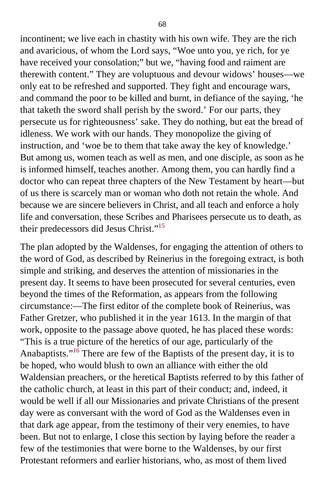incontinent; we live each in chastity with his own wife. They are the rich and avaricious, of whom the Lord says, "Woe unto you, ye rich, for ye have received your consolation;" but we, "having food and raiment are therewith content." They are voluptuous and devour widows' houses—we only eat to be refreshed and supported. They fight and encourage wars, and command the poor to be killed and burnt, in defiance of the saying, 'he that taketh the sword shall perish by the sword.' For our parts, they persecute us for righteousness' sake. They do nothing, but eat the bread of idleness. We work with our hands. They monopolize the giving of instruction, and 'woe be to them that take away the key of knowledge.' But among us, women teach as well as men, and one disciple, as soon as he is informed himself, teaches another. Among them, you can hardly find a doctor who can repeat three chapters of the New Testament by heart—but of us there is scarcely man or woman who doth not retain the whole. And because we are sincere believers in Christ, and all teach and enforce a holy life and conversation, these Scribes and Pharisees persecute us to death, as their predecessors did Jesus Christ."<sup>[15](#page-398-1)</sup>

The plan adopted by the Waldenses, for engaging the attention of others to the word of God, as described by Reinerius in the foregoing extract, is both simple and striking, and deserves the attention of missionaries in the present day. It seems to have been prosecuted for several centuries, even beyond the times of the Reformation, as appears from the following circumstance:—The first editor of the complete book of Reinerius, was Father Gretzer, who published it in the year 1613. In the margin of that work, opposite to the passage above quoted, he has placed these words: "This is a true picture of the heretics of our age, particularly of the Anabaptists."<sup>[16](#page-398-1)</sup> There are few of the Baptists of the present day, it is to be hoped, who would blush to own an alliance with either the old Waldensian preachers, or the heretical Baptists referred to by this father of the catholic church, at least in this part of their conduct; and, indeed, it would be well if all our Missionaries and private Christians of the present day were as conversant with the word of God as the Waldenses even in that dark age appear, from the testimony of their very enemies, to have been. But not to enlarge, I close this section by laying before the reader a few of the testimonies that were borne to the Waldenses, by our first Protestant reformers and earlier historians, who, as most of them lived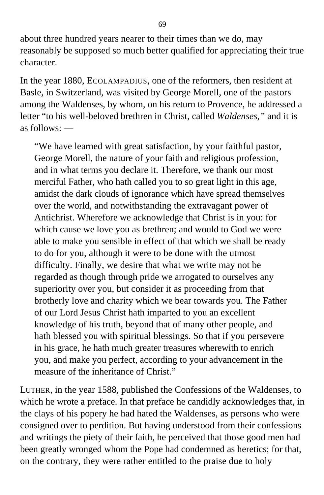about three hundred years nearer to their times than we do, may reasonably be supposed so much better qualified for appreciating their true character.

In the year 1880, ECOLAMPADIUS, one of the reformers, then resident at Basle, in Switzerland, was visited by George Morell, one of the pastors among the Waldenses, by whom, on his return to Provence, he addressed a letter "to his well-beloved brethren in Christ, called *Waldenses,"* and it is as follows: —

"We have learned with great satisfaction, by your faithful pastor, George Morell, the nature of your faith and religious profession, and in what terms you declare it. Therefore, we thank our most merciful Father, who hath called you to so great light in this age, amidst the dark clouds of ignorance which have spread themselves over the world, and notwithstanding the extravagant power of Antichrist. Wherefore we acknowledge that Christ is in you: for which cause we love you as brethren; and would to God we were able to make you sensible in effect of that which we shall be ready to do for you, although it were to be done with the utmost difficulty. Finally, we desire that what we write may not be regarded as though through pride we arrogated to ourselves any superiority over you, but consider it as proceeding from that brotherly love and charity which we bear towards you. The Father of our Lord Jesus Christ hath imparted to you an excellent knowledge of his truth, beyond that of many other people, and hath blessed you with spiritual blessings. So that if you persevere in his grace, he hath much greater treasures wherewith to enrich you, and make you perfect, according to your advancement in the measure of the inheritance of Christ."

LUTHER, in the year 1588, published the Confessions of the Waldenses, to which he wrote a preface. In that preface he candidly acknowledges that, in the clays of his popery he had hated the Waldenses, as persons who were consigned over to perdition. But having understood from their confessions and writings the piety of their faith, he perceived that those good men had been greatly wronged whom the Pope had condemned as heretics; for that, on the contrary, they were rather entitled to the praise due to holy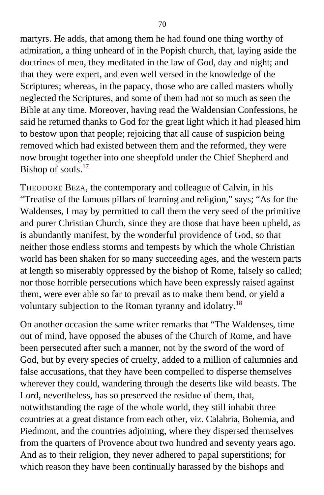martyrs. He adds, that among them he had found one thing worthy of admiration, a thing unheard of in the Popish church, that, laying aside the doctrines of men, they meditated in the law of God, day and night; and that they were expert, and even well versed in the knowledge of the Scriptures; whereas, in the papacy, those who are called masters wholly neglected the Scriptures, and some of them had not so much as seen the Bible at any time. Moreover, having read the Waldensian Confessions, he said he returned thanks to God for the great light which it had pleased him to bestow upon that people; rejoicing that all cause of suspicion being removed which had existed between them and the reformed, they were now brought together into one sheepfold under the Chief Shepherd and Bishop of souls.<sup>[17](#page-398-1)</sup>

THEODORE BEZA, the contemporary and colleague of Calvin, in his "Treatise of the famous pillars of learning and religion," says; "As for the Waldenses, I may by permitted to call them the very seed of the primitive and purer Christian Church, since they are those that have been upheld, as is abundantly manifest, by the wonderful providence of God, so that neither those endless storms and tempests by which the whole Christian world has been shaken for so many succeeding ages, and the western parts at length so miserably oppressed by the bishop of Rome, falsely so called; nor those horrible persecutions which have been expressly raised against them, were ever able so far to prevail as to make them bend, or yield a voluntary subjection to the Roman tyranny and idolatry.<sup>[18](#page-398-1)</sup>

On another occasion the same writer remarks that "The Waldenses, time out of mind, have opposed the abuses of the Church of Rome, and have been persecuted after such a manner, not by the sword of the word of God, but by every species of cruelty, added to a million of calumnies and false accusations, that they have been compelled to disperse themselves wherever they could, wandering through the deserts like wild beasts. The Lord, nevertheless, has so preserved the residue of them, that, notwithstanding the rage of the whole world, they still inhabit three countries at a great distance from each other, viz. Calabria, Bohemia, and Piedmont, and the countries adjoining, where they dispersed themselves from the quarters of Provence about two hundred and seventy years ago. And as to their religion, they never adhered to papal superstitions; for which reason they have been continually harassed by the bishops and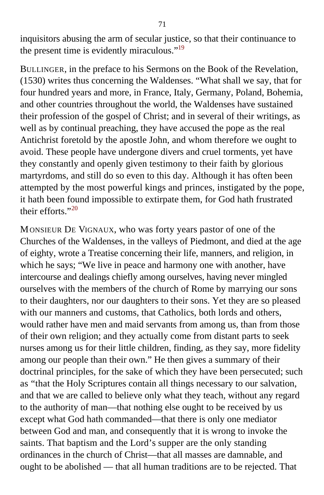inquisitors abusing the arm of secular justice, so that their continuance to the present time is evidently miraculous."<sup>[19](#page-398-1)</sup>

BULLINGER, in the preface to his Sermons on the Book of the Revelation, (1530) writes thus concerning the Waldenses. "What shall we say, that for four hundred years and more, in France, Italy, Germany, Poland, Bohemia, and other countries throughout the world, the Waldenses have sustained their profession of the gospel of Christ; and in several of their writings, as well as by continual preaching, they have accused the pope as the real Antichrist foretold by the apostle John, and whom therefore we ought to avoid. These people have undergone divers and cruel torments, yet have they constantly and openly given testimony to their faith by glorious martyrdoms, and still do so even to this day. Although it has often been attempted by the most powerful kings and princes, instigated by the pope, it hath been found impossible to extirpate them, for God hath frustrated their efforts." $20$ 

MONSIEUR DE VIGNAUX, who was forty years pastor of one of the Churches of the Waldenses, in the valleys of Piedmont, and died at the age of eighty, wrote a Treatise concerning their life, manners, and religion, in which he says; "We live in peace and harmony one with another, have intercourse and dealings chiefly among ourselves, having never mingled ourselves with the members of the church of Rome by marrying our sons to their daughters, nor our daughters to their sons. Yet they are so pleased with our manners and customs, that Catholics, both lords and others, would rather have men and maid servants from among us, than from those of their own religion; and they actually come from distant parts to seek nurses among us for their little children, finding, as they say, more fidelity among our people than their own." He then gives a summary of their doctrinal principles, for the sake of which they have been persecuted; such as "that the Holy Scriptures contain all things necessary to our salvation, and that we are called to believe only what they teach, without any regard to the authority of man—that nothing else ought to be received by us except what God hath commanded—that there is only one mediator between God and man, and consequently that it is wrong to invoke the saints. That baptism and the Lord's supper are the only standing ordinances in the church of Christ—that all masses are damnable, and ought to be abolished — that all human traditions are to be rejected. That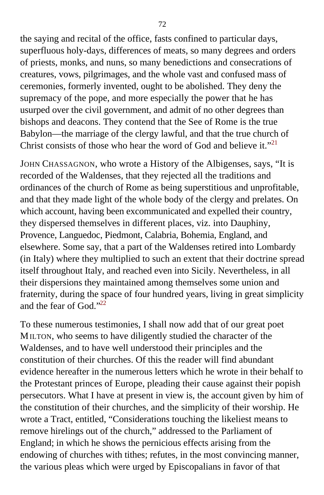the saying and recital of the office, fasts confined to particular days, superfluous holy-days, differences of meats, so many degrees and orders of priests, monks, and nuns, so many benedictions and consecrations of creatures, vows, pilgrimages, and the whole vast and confused mass of ceremonies, formerly invented, ought to be abolished. They deny the supremacy of the pope, and more especially the power that he has usurped over the civil government, and admit of no other degrees than bishops and deacons. They contend that the See of Rome is the true Babylon—the marriage of the clergy lawful, and that the true church of Christ consists of those who hear the word of God and believe it."<sup>[21](#page-398-1)</sup>

JOHN CHASSAGNON, who wrote a History of the Albigenses, says, "It is recorded of the Waldenses, that they rejected all the traditions and ordinances of the church of Rome as being superstitious and unprofitable, and that they made light of the whole body of the clergy and prelates. On which account, having been excommunicated and expelled their country, they dispersed themselves in different places, viz. into Dauphiny, Provence, Languedoc, Piedmont, Calabria, Bohemia, England, and elsewhere. Some say, that a part of the Waldenses retired into Lombardy (in Italy) where they multiplied to such an extent that their doctrine spread itself throughout Italy, and reached even into Sicily. Nevertheless, in all their dispersions they maintained among themselves some union and fraternity, during the space of four hundred years, living in great simplicity and the fear of God."<sup>[22](#page-398-1)</sup>

To these numerous testimonies, I shall now add that of our great poet MILTON, who seems to have diligently studied the character of the Waldenses, and to have well understood their principles and the constitution of their churches. Of this the reader will find abundant evidence hereafter in the numerous letters which he wrote in their behalf to the Protestant princes of Europe, pleading their cause against their popish persecutors. What I have at present in view is, the account given by him of the constitution of their churches, and the simplicity of their worship. He wrote a Tract, entitled, "Considerations touching the likeliest means to remove hirelings out of the church," addressed to the Parliament of England; in which he shows the pernicious effects arising from the endowing of churches with tithes; refutes, in the most convincing manner, the various pleas which were urged by Episcopalians in favor of that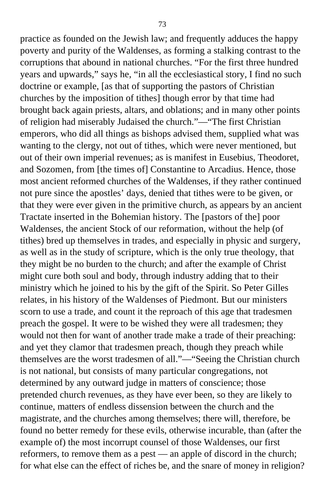practice as founded on the Jewish law; and frequently adduces the happy poverty and purity of the Waldenses, as forming a stalking contrast to the corruptions that abound in national churches. "For the first three hundred years and upwards," says he, "in all the ecclesiastical story, I find no such doctrine or example, [as that of supporting the pastors of Christian churches by the imposition of tithes] though error by that time had brought back again priests, altars, and oblations; and in many other points of religion had miserably Judaised the church."—"The first Christian emperors, who did all things as bishops advised them, supplied what was wanting to the clergy, not out of tithes, which were never mentioned, but out of their own imperial revenues; as is manifest in Eusebius, Theodoret, and Sozomen, from [the times of] Constantine to Arcadius. Hence, those most ancient reformed churches of the Waldenses, if they rather continued not pure since the apostles' days, denied that tithes were to be given, or that they were ever given in the primitive church, as appears by an ancient Tractate inserted in the Bohemian history. The [pastors of the] poor Waldenses, the ancient Stock of our reformation, without the help (of tithes) bred up themselves in trades, and especially in physic and surgery, as well as in the study of scripture, which is the only true theology, that they might be no burden to the church; and after the example of Christ might cure both soul and body, through industry adding that to their ministry which he joined to his by the gift of the Spirit. So Peter Gilles relates, in his history of the Waldenses of Piedmont. But our ministers scorn to use a trade, and count it the reproach of this age that tradesmen preach the gospel. It were to be wished they were all tradesmen; they would not then for want of another trade make a trade of their preaching: and yet they clamor that tradesmen preach, though they preach while themselves are the worst tradesmen of all."—"Seeing the Christian church is not national, but consists of many particular congregations, not determined by any outward judge in matters of conscience; those pretended church revenues, as they have ever been, so they are likely to continue, matters of endless dissension between the church and the magistrate, and the churches among themselves; there will, therefore, be found no better remedy for these evils, otherwise incurable, than (after the example of) the most incorrupt counsel of those Waldenses, our first reformers, to remove them as a pest — an apple of discord in the church; for what else can the effect of riches be, and the snare of money in religion?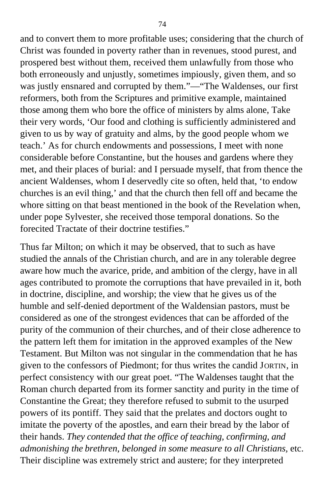and to convert them to more profitable uses; considering that the church of Christ was founded in poverty rather than in revenues, stood purest, and prospered best without them, received them unlawfully from those who both erroneously and unjustly, sometimes impiously, given them, and so was justly ensnared and corrupted by them."—"The Waldenses, our first reformers, both from the Scriptures and primitive example, maintained those among them who bore the office of ministers by alms alone, Take their very words, 'Our food and clothing is sufficiently administered and given to us by way of gratuity and alms, by the good people whom we teach.' As for church endowments and possessions, I meet with none considerable before Constantine, but the houses and gardens where they met, and their places of burial: and I persuade myself, that from thence the ancient Waldenses, whom I deservedly cite so often, held that, 'to endow churches is an evil thing,' and that the church then fell off and became the whore sitting on that beast mentioned in the book of the Revelation when, under pope Sylvester, she received those temporal donations. So the forecited Tractate of their doctrine testifies."

Thus far Milton; on which it may be observed, that to such as have studied the annals of the Christian church, and are in any tolerable degree aware how much the avarice, pride, and ambition of the clergy, have in all ages contributed to promote the corruptions that have prevailed in it, both in doctrine, discipline, and worship; the view that he gives us of the humble and self-denied deportment of the Waldensian pastors, must be considered as one of the strongest evidences that can be afforded of the purity of the communion of their churches, and of their close adherence to the pattern left them for imitation in the approved examples of the New Testament. But Milton was not singular in the commendation that he has given to the confessors of Piedmont; for thus writes the candid JORTIN, in perfect consistency with our great poet. "The Waldenses taught that the Roman church departed from its former sanctity and purity in the time of Constantine the Great; they therefore refused to submit to the usurped powers of its pontiff. They said that the prelates and doctors ought to imitate the poverty of the apostles, and earn their bread by the labor of their hands. *They contended that the office of teaching, confirming, and admonishing the brethren, belonged in some measure to all Christians,* etc. Their discipline was extremely strict and austere; for they interpreted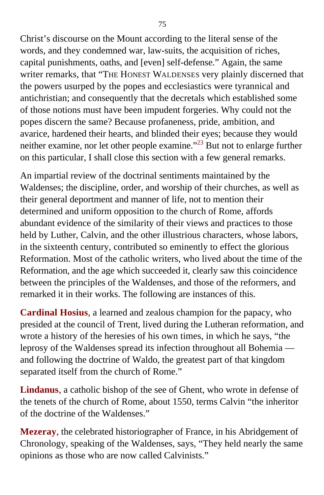Christ's discourse on the Mount according to the literal sense of the words, and they condemned war, law-suits, the acquisition of riches, capital punishments, oaths, and [even] self-defense." Again, the same writer remarks, that "THE HONEST WALDENSES very plainly discerned that the powers usurped by the popes and ecclesiastics were tyrannical and antichristian; and consequently that the decretals which established some of those notions must have been impudent forgeries. Why could not the popes discern the same? Because profaneness, pride, ambition, and avarice, hardened their hearts, and blinded their eyes; because they would neither examine, nor let other people examine."<sup>[23](#page-398-0)</sup> But not to enlarge further on this particular, I shall close this section with a few general remarks.

An impartial review of the doctrinal sentiments maintained by the Waldenses; the discipline, order, and worship of their churches, as well as their general deportment and manner of life, not to mention their determined and uniform opposition to the church of Rome, affords abundant evidence of the similarity of their views and practices to those held by Luther, Calvin, and the other illustrious characters, whose labors, in the sixteenth century, contributed so eminently to effect the glorious Reformation. Most of the catholic writers, who lived about the time of the Reformation, and the age which succeeded it, clearly saw this coincidence between the principles of the Waldenses, and those of the reformers, and remarked it in their works. The following are instances of this.

**Cardinal Hosius**, a learned and zealous champion for the papacy, who presided at the council of Trent, lived during the Lutheran reformation, and wrote a history of the heresies of his own times, in which he says, "the leprosy of the Waldenses spread its infection throughout all Bohemia and following the doctrine of Waldo, the greatest part of that kingdom separated itself from the church of Rome."

**Lindanus**, a catholic bishop of the see of Ghent, who wrote in defense of the tenets of the church of Rome, about 1550, terms Calvin "the inheritor of the doctrine of the Waldenses."

**Mezeray**, the celebrated historiographer of France, in his Abridgement of Chronology, speaking of the Waldenses, says, "They held nearly the same opinions as those who are now called Calvinists."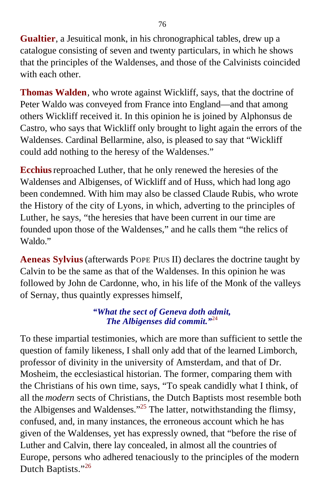**Gualtier**, a Jesuitical monk, in his chronographical tables, drew up a catalogue consisting of seven and twenty particulars, in which he shows that the principles of the Waldenses, and those of the Calvinists coincided with each other.

**Thomas Walden**, who wrote against Wickliff, says, that the doctrine of Peter Waldo was conveyed from France into England—and that among others Wickliff received it. In this opinion he is joined by Alphonsus de Castro, who says that Wickliff only brought to light again the errors of the Waldenses. Cardinal Bellarmine, also, is pleased to say that "Wickliff could add nothing to the heresy of the Waldenses."

**Ecchius**reproached Luther, that he only renewed the heresies of the Waldenses and Albigenses, of Wickliff and of Huss, which had long ago been condemned. With him may also be classed Claude Rubis, who wrote the History of the city of Lyons, in which, adverting to the principles of Luther, he says, "the heresies that have been current in our time are founded upon those of the Waldenses," and he calls them "the relics of Waldo."

**Aeneas Sylvius**(afterwards POPE PIUS II) declares the doctrine taught by Calvin to be the same as that of the Waldenses. In this opinion he was followed by John de Cardonne, who, in his life of the Monk of the valleys of Sernay, thus quaintly expresses himself,

#### *"What the sect of Geneva doth admit, The Albigenses did commit."*[24](#page-398-0)

To these impartial testimonies, which are more than sufficient to settle the question of family likeness, I shall only add that of the learned Limborch, professor of divinity in the university of Amsterdam, and that of Dr. Mosheim, the ecclesiastical historian. The former, comparing them with the Christians of his own time, says, "To speak candidly what I think, of all the *modern* sects of Christians, the Dutch Baptists most resemble both the Albigenses and Waldenses.<sup> $25$ </sup> The latter, notwithstanding the flimsy, confused, and, in many instances, the erroneous account which he has given of the Waldenses, yet has expressly owned, that "before the rise of Luther and Calvin, there lay concealed, in almost all the countries of Europe, persons who adhered tenaciously to the principles of the modern Dutch Baptists."[26](#page-398-0)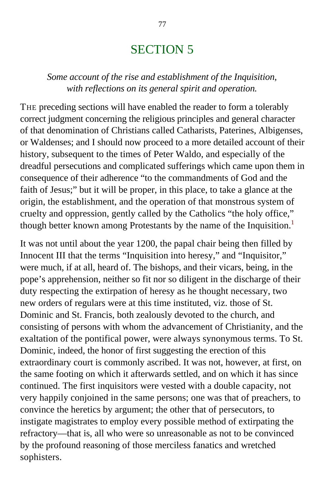# SECTION 5

### *Some account of the rise and establishment of the Inquisition, with reflections on its general spirit and operation.*

THE preceding sections will have enabled the reader to form a tolerably correct judgment concerning the religious principles and general character of that denomination of Christians called Catharists, Paterines, Albigenses, or Waldenses; and I should now proceed to a more detailed account of their history, subsequent to the times of Peter Waldo, and especially of the dreadful persecutions and complicated sufferings which came upon them in consequence of their adherence "to the commandments of God and the faith of Jesus;" but it will be proper, in this place, to take a glance at the origin, the establishment, and the operation of that monstrous system of cruelty and oppression, gently called by the Catholics "the holy office," though better known among Protestants by the name of the Inquisition.<sup>[1](#page-398-0)</sup>

It was not until about the year 1200, the papal chair being then filled by Innocent III that the terms "Inquisition into heresy," and "Inquisitor," were much, if at all, heard of. The bishops, and their vicars, being, in the pope's apprehension, neither so fit nor so diligent in the discharge of their duty respecting the extirpation of heresy as he thought necessary, two new orders of regulars were at this time instituted, viz. those of St. Dominic and St. Francis, both zealously devoted to the church, and consisting of persons with whom the advancement of Christianity, and the exaltation of the pontifical power, were always synonymous terms. To St. Dominic, indeed, the honor of first suggesting the erection of this extraordinary court is commonly ascribed. It was not, however, at first, on the same footing on which it afterwards settled, and on which it has since continued. The first inquisitors were vested with a double capacity, not very happily conjoined in the same persons; one was that of preachers, to convince the heretics by argument; the other that of persecutors, to instigate magistrates to employ every possible method of extirpating the refractory—that is, all who were so unreasonable as not to be convinced by the profound reasoning of those merciless fanatics and wretched sophisters.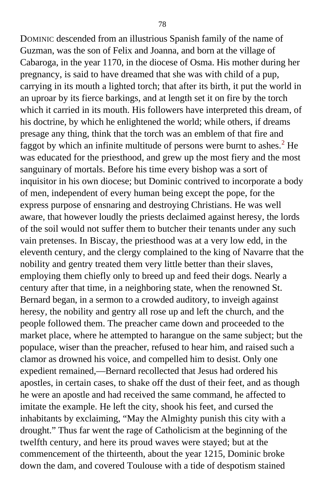DOMINIC descended from an illustrious Spanish family of the name of Guzman, was the son of Felix and Joanna, and born at the village of Cabaroga, in the year 1170, in the diocese of Osma. His mother during her pregnancy, is said to have dreamed that she was with child of a pup, carrying in its mouth a lighted torch; that after its birth, it put the world in an uproar by its fierce barkings, and at length set it on fire by the torch which it carried in its mouth. His followers have interpreted this dream, of his doctrine, by which he enlightened the world; while others, if dreams presage any thing, think that the torch was an emblem of that fire and faggot by which an infinite multitude of persons were burnt to ashes.<sup>[2](#page-399-0)</sup> He was educated for the priesthood, and grew up the most fiery and the most sanguinary of mortals. Before his time every bishop was a sort of inquisitor in his own diocese; but Dominic contrived to incorporate a body of men, independent of every human being except the pope, for the express purpose of ensnaring and destroying Christians. He was well aware, that however loudly the priests declaimed against heresy, the lords of the soil would not suffer them to butcher their tenants under any such vain pretenses. In Biscay, the priesthood was at a very low edd, in the eleventh century, and the clergy complained to the king of Navarre that the nobility and gentry treated them very little better than their slaves, employing them chiefly only to breed up and feed their dogs. Nearly a century after that time, in a neighboring state, when the renowned St. Bernard began, in a sermon to a crowded auditory, to inveigh against heresy, the nobility and gentry all rose up and left the church, and the people followed them. The preacher came down and proceeded to the market place, where he attempted to harangue on the same subject; but the populace, wiser than the preacher, refused to hear him, and raised such a clamor as drowned his voice, and compelled him to desist. Only one expedient remained,—Bernard recollected that Jesus had ordered his apostles, in certain cases, to shake off the dust of their feet, and as though he were an apostle and had received the same command, he affected to imitate the example. He left the city, shook his feet, and cursed the inhabitants by exclaiming, "May the Almighty punish this city with a drought." Thus far went the rage of Catholicism at the beginning of the twelfth century, and here its proud waves were stayed; but at the commencement of the thirteenth, about the year 1215, Dominic broke down the dam, and covered Toulouse with a tide of despotism stained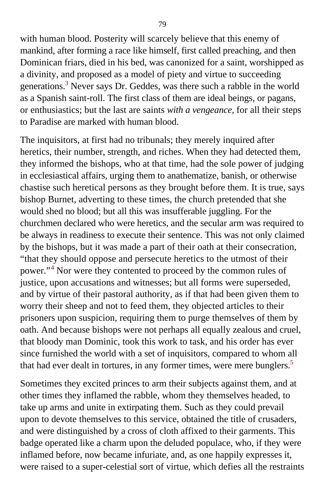with human blood. Posterity will scarcely believe that this enemy of mankind, after forming a race like himself, first called preaching, and then Dominican friars, died in his bed, was canonized for a saint, worshipped as a divinity, and proposed as a model of piety and virtue to succeeding generations.<sup>[3](#page-399-0)</sup> Never says Dr. Geddes, was there such a rabble in the world as a Spanish saint-roll. The first class of them are ideal beings, or pagans, or enthusiastics; but the last are saints *with a vengeance,* for all their steps to Paradise are marked with human blood.

The inquisitors, at first had no tribunals; they merely inquired after heretics, their number, strength, and riches. When they had detected them, they informed the bishops, who at that time, had the sole power of judging in ecclesiastical affairs, urging them to anathematize, banish, or otherwise chastise such heretical persons as they brought before them. It is true, says bishop Burnet, adverting to these times, the church pretended that she would shed no blood; but all this was insufferable juggling. For the churchmen declared who were heretics, and the secular arm was required to be always in readiness to execute their sentence. This was not only claimed by the bishops, but it was made a part of their oath at their consecration, "that they should oppose and persecute heretics to the utmost of their power."<sup>[4](#page-399-0)</sup> Nor were they contented to proceed by the common rules of justice, upon accusations and witnesses; but all forms were superseded, and by virtue of their pastoral authority, as if that had been given them to worry their sheep and not to feed them, they objected articles to their prisoners upon suspicion, requiring them to purge themselves of them by oath. And because bishops were not perhaps all equally zealous and cruel, that bloody man Dominic, took this work to task, and his order has ever since furnished the world with a set of inquisitors, compared to whom all that had ever dealt in tortures, in any former times, were mere bunglers.<sup>[5](#page-399-0)</sup>

Sometimes they excited princes to arm their subjects against them, and at other times they inflamed the rabble, whom they themselves headed, to take up arms and unite in extirpating them. Such as they could prevail upon to devote themselves to this service, obtained the title of crusaders, and were distinguished by a cross of cloth affixed to their garments. This badge operated like a charm upon the deluded populace, who, if they were inflamed before, now became infuriate, and, as one happily expresses it, were raised to a super-celestial sort of virtue, which defies all the restraints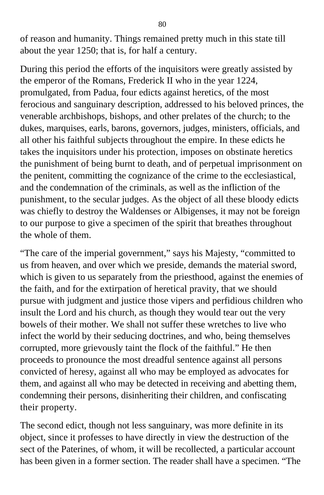of reason and humanity. Things remained pretty much in this state till about the year 1250; that is, for half a century.

During this period the efforts of the inquisitors were greatly assisted by the emperor of the Romans, Frederick II who in the year 1224, promulgated, from Padua, four edicts against heretics, of the most ferocious and sanguinary description, addressed to his beloved princes, the venerable archbishops, bishops, and other prelates of the church; to the dukes, marquises, earls, barons, governors, judges, ministers, officials, and all other his faithful subjects throughout the empire. In these edicts he takes the inquisitors under his protection, imposes on obstinate heretics the punishment of being burnt to death, and of perpetual imprisonment on the penitent, committing the cognizance of the crime to the ecclesiastical, and the condemnation of the criminals, as well as the infliction of the punishment, to the secular judges. As the object of all these bloody edicts was chiefly to destroy the Waldenses or Albigenses, it may not be foreign to our purpose to give a specimen of the spirit that breathes throughout the whole of them.

"The care of the imperial government," says his Majesty, "committed to us from heaven, and over which we preside, demands the material sword, which is given to us separately from the priesthood, against the enemies of the faith, and for the extirpation of heretical pravity, that we should pursue with judgment and justice those vipers and perfidious children who insult the Lord and his church, as though they would tear out the very bowels of their mother. We shall not suffer these wretches to live who infect the world by their seducing doctrines, and who, being themselves corrupted, more grievously taint the flock of the faithful." He then proceeds to pronounce the most dreadful sentence against all persons convicted of heresy, against all who may be employed as advocates for them, and against all who may be detected in receiving and abetting them, condemning their persons, disinheriting their children, and confiscating their property.

The second edict, though not less sanguinary, was more definite in its object, since it professes to have directly in view the destruction of the sect of the Paterines, of whom, it will be recollected, a particular account has been given in a former section. The reader shall have a specimen. "The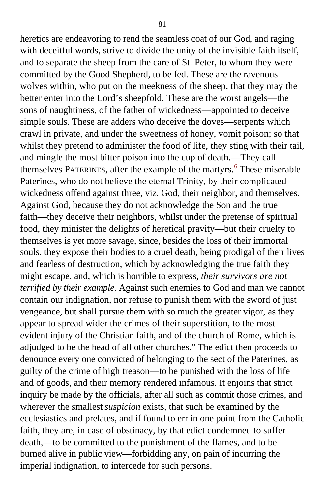heretics are endeavoring to rend the seamless coat of our God, and raging with deceitful words, strive to divide the unity of the invisible faith itself, and to separate the sheep from the care of St. Peter, to whom they were committed by the Good Shepherd, to be fed. These are the ravenous wolves within, who put on the meekness of the sheep, that they may the better enter into the Lord's sheepfold. These are the worst angels—the sons of naughtiness, of the father of wickedness—appointed to deceive simple souls. These are adders who deceive the doves—serpents which crawl in private, and under the sweetness of honey, vomit poison; so that whilst they pretend to administer the food of life, they sting with their tail, and mingle the most bitter poison into the cup of death.—They call themselves PATERINES, after the example of the martyrs.<sup>[6](#page-399-0)</sup> These miserable Paterines, who do not believe the eternal Trinity, by their complicated wickedness offend against three, viz. God, their neighbor, and themselves. Against God, because they do not acknowledge the Son and the true faith—they deceive their neighbors, whilst under the pretense of spiritual food, they minister the delights of heretical pravity—but their cruelty to themselves is yet more savage, since, besides the loss of their immortal souls, they expose their bodies to a cruel death, being prodigal of their lives and fearless of destruction, which by acknowledging the true faith they might escape, and, which is horrible to express, *their survivors are not terrified by their example.* Against such enemies to God and man we cannot contain our indignation, nor refuse to punish them with the sword of just vengeance, but shall pursue them with so much the greater vigor, as they appear to spread wider the crimes of their superstition, to the most evident injury of the Christian faith, and of the church of Rome, which is adjudged to be the head of all other churches." The edict then proceeds to denounce every one convicted of belonging to the sect of the Paterines, as guilty of the crime of high treason—to be punished with the loss of life and of goods, and their memory rendered infamous. It enjoins that strict inquiry be made by the officials, after all such as commit those crimes, and wherever the smallest *suspicion* exists, that such be examined by the ecclesiastics and prelates, and if found to err in one point from the Catholic faith, they are, in case of obstinacy, by that edict condemned to suffer death,—to be committed to the punishment of the flames, and to be burned alive in public view—forbidding any, on pain of incurring the imperial indignation, to intercede for such persons.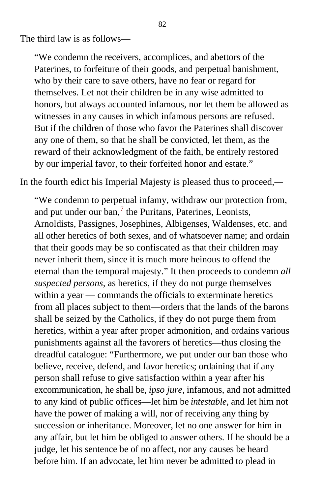The third law is as follows—

"We condemn the receivers, accomplices, and abettors of the Paterines, to forfeiture of their goods, and perpetual banishment, who by their care to save others, have no fear or regard for themselves. Let not their children be in any wise admitted to honors, but always accounted infamous, nor let them be allowed as witnesses in any causes in which infamous persons are refused. But if the children of those who favor the Paterines shall discover any one of them, so that he shall be convicted, let them, as the reward of their acknowledgment of the faith, be entirely restored by our imperial favor, to their forfeited honor and estate."

In the fourth edict his Imperial Majesty is pleased thus to proceed,*—*

"We condemn to perpetual infamy, withdraw our protection from, and put under our ban, $<sup>7</sup>$  $<sup>7</sup>$  $<sup>7</sup>$  the Puritans, Paterines, Leonists,</sup> Arnoldists, Passignes, Josephines, Albigenses, Waldenses, etc. and all other heretics of both sexes, and of whatsoever name; and ordain that their goods may be so confiscated as that their children may never inherit them, since it is much more heinous to offend the eternal than the temporal majesty." It then proceeds to condemn *all suspected persons,* as heretics, if they do not purge themselves within a year — commands the officials to exterminate heretics from all places subject to them—orders that the lands of the barons shall be seized by the Catholics, if they do not purge them from heretics, within a year after proper admonition, and ordains various punishments against all the favorers of heretics—thus closing the dreadful catalogue: "Furthermore, we put under our ban those who believe, receive, defend, and favor heretics; ordaining that if any person shall refuse to give satisfaction within a year after his excommunication, he shall be, *ipso jure,* infamous, and not admitted to any kind of public offices—let him be *intestable,* and let him not have the power of making a will, nor of receiving any thing by succession or inheritance. Moreover, let no one answer for him in any affair, but let him be obliged to answer others. If he should be a judge, let his sentence be of no affect, nor any causes be heard before him. If an advocate, let him never be admitted to plead in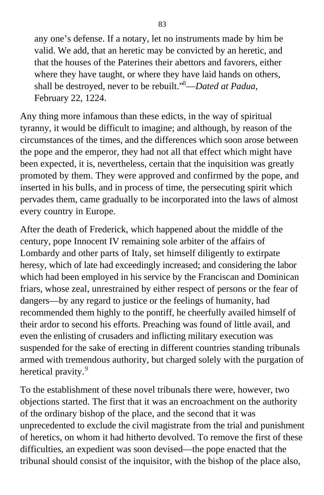any one's defense. If a notary, let no instruments made by him be valid. We add, that an heretic may be convicted by an heretic, and that the houses of the Paterines their abettors and favorers, either where they have taught, or where they have laid hands on others, shall be destroyed, never to be rebuilt."[8](#page-399-0)—*Dated at Padua,* February 22, 1224.

Any thing more infamous than these edicts, in the way of spiritual tyranny, it would be difficult to imagine; and although, by reason of the circumstances of the times, and the differences which soon arose between the pope and the emperor, they had not all that effect which might have been expected, it is, nevertheless, certain that the inquisition was greatly promoted by them. They were approved and confirmed by the pope, and inserted in his bulls, and in process of time, the persecuting spirit which pervades them, came gradually to be incorporated into the laws of almost every country in Europe.

After the death of Frederick, which happened about the middle of the century, pope Innocent IV remaining sole arbiter of the affairs of Lombardy and other parts of Italy, set himself diligently to extirpate heresy, which of late had exceedingly increased; and considering the labor which had been employed in his service by the Franciscan and Dominican friars, whose zeal, unrestrained by either respect of persons or the fear of dangers—by any regard to justice or the feelings of humanity, had recommended them highly to the pontiff, he cheerfully availed himself of their ardor to second his efforts. Preaching was found of little avail, and even the enlisting of crusaders and inflicting military execution was suspended for the sake of erecting in different countries standing tribunals armed with tremendous authority, but charged solely with the purgation of heretical pravity.<sup>[9](#page-400-0)</sup>

To the establishment of these novel tribunals there were, however, two objections started. The first that it was an encroachment on the authority of the ordinary bishop of the place, and the second that it was unprecedented to exclude the civil magistrate from the trial and punishment of heretics, on whom it had hitherto devolved. To remove the first of these difficulties, an expedient was soon devised—the pope enacted that the tribunal should consist of the inquisitor, with the bishop of the place also,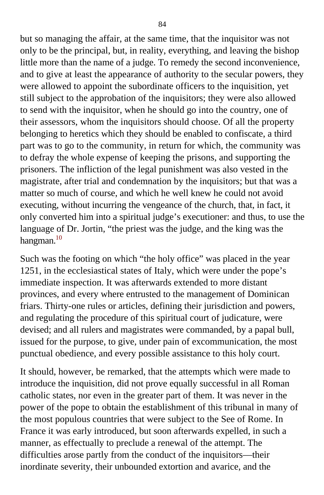but so managing the affair, at the same time, that the inquisitor was not only to be the principal, but, in reality, everything, and leaving the bishop little more than the name of a judge. To remedy the second inconvenience, and to give at least the appearance of authority to the secular powers, they were allowed to appoint the subordinate officers to the inquisition, yet still subject to the approbation of the inquisitors; they were also allowed to send with the inquisitor, when he should go into the country, one of their assessors, whom the inquisitors should choose. Of all the property belonging to heretics which they should be enabled to confiscate, a third part was to go to the community, in return for which, the community was to defray the whole expense of keeping the prisons, and supporting the prisoners. The infliction of the legal punishment was also vested in the magistrate, after trial and condemnation by the inquisitors; but that was a matter so much of course, and which he well knew he could not avoid executing, without incurring the vengeance of the church, that, in fact, it only converted him into a spiritual judge's executioner: and thus, to use the language of Dr. Jortin, "the priest was the judge, and the king was the hangman. $10$ 

Such was the footing on which "the holy office" was placed in the year 1251, in the ecclesiastical states of Italy, which were under the pope's immediate inspection. It was afterwards extended to more distant provinces, and every where entrusted to the management of Dominican friars. Thirty-one rules or articles, defining their jurisdiction and powers, and regulating the procedure of this spiritual court of judicature, were devised; and all rulers and magistrates were commanded, by a papal bull, issued for the purpose, to give, under pain of excommunication, the most punctual obedience, and every possible assistance to this holy court.

It should, however, be remarked, that the attempts which were made to introduce the inquisition, did not prove equally successful in all Roman catholic states, nor even in the greater part of them. It was never in the power of the pope to obtain the establishment of this tribunal in many of the most populous countries that were subject to the See of Rome. In France it was early introduced, but soon afterwards expelled, in such a manner, as effectually to preclude a renewal of the attempt. The difficulties arose partly from the conduct of the inquisitors—their inordinate severity, their unbounded extortion and avarice, and the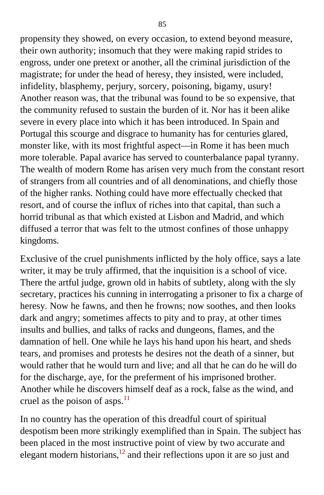propensity they showed, on every occasion, to extend beyond measure, their own authority; insomuch that they were making rapid strides to engross, under one pretext or another, all the criminal jurisdiction of the magistrate; for under the head of heresy, they insisted, were included, infidelity, blasphemy, perjury, sorcery, poisoning, bigamy, usury! Another reason was, that the tribunal was found to be so expensive, that the community refused to sustain the burden of it. Nor has it been alike severe in every place into which it has been introduced. In Spain and Portugal this scourge and disgrace to humanity has for centuries glared, monster like, with its most frightful aspect—in Rome it has been much more tolerable. Papal avarice has served to counterbalance papal tyranny. The wealth of modern Rome has arisen very much from the constant resort of strangers from all countries and of all denominations, and chiefly those of the higher ranks. Nothing could have more effectually checked that resort, and of course the influx of riches into that capital, than such a horrid tribunal as that which existed at Lisbon and Madrid, and which diffused a terror that was felt to the utmost confines of those unhappy kingdoms.

Exclusive of the cruel punishments inflicted by the holy office, says a late writer, it may be truly affirmed, that the inquisition is a school of vice. There the artful judge, grown old in habits of subtlety, along with the sly secretary, practices his cunning in interrogating a prisoner to fix a charge of heresy. Now he fawns, and then he frowns; now soothes, and then looks dark and angry; sometimes affects to pity and to pray, at other times insults and bullies, and talks of racks and dungeons, flames, and the damnation of hell. One while he lays his hand upon his heart, and sheds tears, and promises and protests he desires not the death of a sinner, but would rather that he would turn and live; and all that he can do he will do for the discharge, aye, for the preferment of his imprisoned brother. Another while he discovers himself deaf as a rock, false as the wind, and cruel as the poison of asps. $11$ 

In no country has the operation of this dreadful court of spiritual despotism been more strikingly exemplified than in Spain. The subject has been placed in the most instructive point of view by two accurate and elegant modern historians,  $^{12}$  $^{12}$  $^{12}$  and their reflections upon it are so just and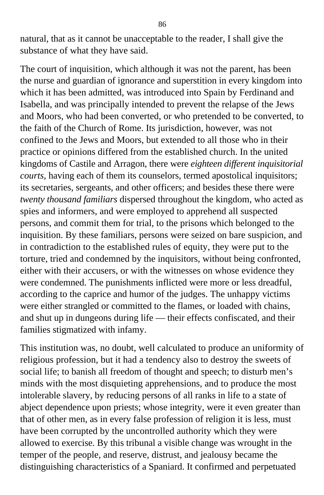natural, that as it cannot be unacceptable to the reader, I shall give the substance of what they have said.

The court of inquisition, which although it was not the parent, has been the nurse and guardian of ignorance and superstition in every kingdom into which it has been admitted, was introduced into Spain by Ferdinand and Isabella, and was principally intended to prevent the relapse of the Jews and Moors, who had been converted, or who pretended to be converted, to the faith of the Church of Rome. Its jurisdiction, however, was not confined to the Jews and Moors, but extended to all those who in their practice or opinions differed from the established church. In the united kingdoms of Castile and Arragon, there were *eighteen different inquisitorial courts*, having each of them its counselors, termed apostolical inquisitors; its secretaries, sergeants, and other officers; and besides these there were *twenty thousand familiars* dispersed throughout the kingdom, who acted as spies and informers, and were employed to apprehend all suspected persons, and commit them for trial, to the prisons which belonged to the inquisition. By these familiars, persons were seized on bare suspicion, and in contradiction to the established rules of equity, they were put to the torture, tried and condemned by the inquisitors, without being confronted, either with their accusers, or with the witnesses on whose evidence they were condemned. The punishments inflicted were more or less dreadful, according to the caprice and humor of the judges. The unhappy victims were either strangled or committed to the flames, or loaded with chains, and shut up in dungeons during life — their effects confiscated, and their families stigmatized with infamy.

This institution was, no doubt, well calculated to produce an uniformity of religious profession, but it had a tendency also to destroy the sweets of social life; to banish all freedom of thought and speech; to disturb men's minds with the most disquieting apprehensions, and to produce the most intolerable slavery, by reducing persons of all ranks in life to a state of abject dependence upon priests; whose integrity, were it even greater than that of other men, as in every false profession of religion it is less, must have been corrupted by the uncontrolled authority which they were allowed to exercise. By this tribunal a visible change was wrought in the temper of the people, and reserve, distrust, and jealousy became the distinguishing characteristics of a Spaniard. It confirmed and perpetuated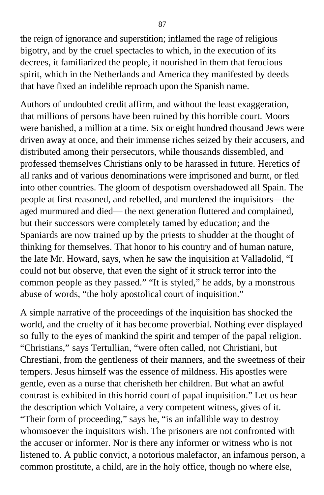the reign of ignorance and superstition; inflamed the rage of religious bigotry, and by the cruel spectacles to which, in the execution of its decrees, it familiarized the people, it nourished in them that ferocious spirit, which in the Netherlands and America they manifested by deeds that have fixed an indelible reproach upon the Spanish name.

Authors of undoubted credit affirm, and without the least exaggeration, that millions of persons have been ruined by this horrible court. Moors were banished, a million at a time. Six or eight hundred thousand Jews were driven away at once, and their immense riches seized by their accusers, and distributed among their persecutors, while thousands dissembled, and professed themselves Christians only to be harassed in future. Heretics of all ranks and of various denominations were imprisoned and burnt, or fled into other countries. The gloom of despotism overshadowed all Spain. The people at first reasoned, and rebelled, and murdered the inquisitors—the aged murmured and died— the next generation fluttered and complained, but their successors were completely tamed by education; and the Spaniards are now trained up by the priests to shudder at the thought of thinking for themselves. That honor to his country and of human nature, the late Mr. Howard, says, when he saw the inquisition at Valladolid, "I could not but observe, that even the sight of it struck terror into the common people as they passed." "It is styled," he adds, by a monstrous abuse of words, "the holy apostolical court of inquisition."

A simple narrative of the proceedings of the inquisition has shocked the world, and the cruelty of it has become proverbial. Nothing ever displayed so fully to the eyes of mankind the spirit and temper of the papal religion. "Christians," says Tertullian, "were often called, not Christiani, but Chrestiani, from the gentleness of their manners, and the sweetness of their tempers. Jesus himself was the essence of mildness. His apostles were gentle, even as a nurse that cherisheth her children. But what an awful contrast is exhibited in this horrid court of papal inquisition." Let us hear the description which Voltaire, a very competent witness, gives of it. "Their form of proceeding," says he, "is an infallible way to destroy whomsoever the inquisitors wish. The prisoners are not confronted with the accuser or informer. Nor is there any informer or witness who is not listened to. A public convict, a notorious malefactor, an infamous person, a common prostitute, a child, are in the holy office, though no where else,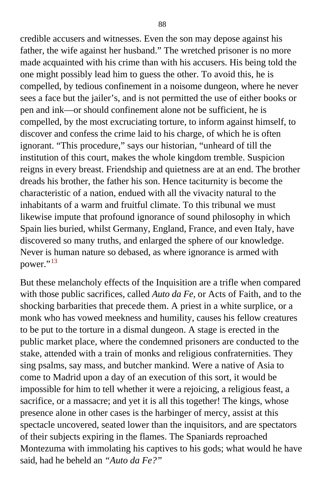credible accusers and witnesses. Even the son may depose against his father, the wife against her husband." The wretched prisoner is no more made acquainted with his crime than with his accusers. His being told the one might possibly lead him to guess the other. To avoid this, he is compelled, by tedious confinement in a noisome dungeon, where he never sees a face but the jailer's, and is not permitted the use of either books or pen and ink—or should confinement alone not be sufficient, he is compelled, by the most excruciating torture, to inform against himself, to discover and confess the crime laid to his charge, of which he is often ignorant. "This procedure," says our historian, "unheard of till the institution of this court, makes the whole kingdom tremble. Suspicion reigns in every breast. Friendship and quietness are at an end. The brother dreads his brother, the father his son. Hence taciturnity is become the characteristic of a nation, endued with all the vivacity natural to the inhabitants of a warm and fruitful climate. To this tribunal we must likewise impute that profound ignorance of sound philosophy in which Spain lies buried, whilst Germany, England, France, and even Italy, have discovered so many truths, and enlarged the sphere of our knowledge. Never is human nature so debased, as where ignorance is armed with power."<sup>[13](#page-400-0)</sup>

But these melancholy effects of the Inquisition are a trifle when compared with those public sacrifices, called *Auto da Fe,* or Acts of Faith, and to the shocking barbarities that precede them. A priest in a white surplice, or a monk who has vowed meekness and humility, causes his fellow creatures to be put to the torture in a dismal dungeon. A stage is erected in the public market place, where the condemned prisoners are conducted to the stake, attended with a train of monks and religious confraternities. They sing psalms, say mass, and butcher mankind. Were a native of Asia to come to Madrid upon a day of an execution of this sort, it would be impossible for him to tell whether it were a rejoicing, a religious feast, a sacrifice, or a massacre; and yet it is all this together! The kings, whose presence alone in other cases is the harbinger of mercy, assist at this spectacle uncovered, seated lower than the inquisitors, and are spectators of their subjects expiring in the flames. The Spaniards reproached Montezuma with immolating his captives to his gods; what would he have said, had he beheld an *"Auto da Fe?"*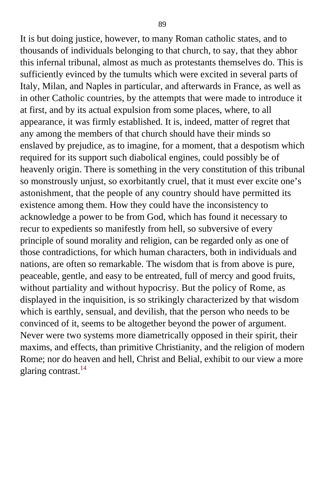It is but doing justice, however, to many Roman catholic states, and to thousands of individuals belonging to that church, to say, that they abhor this infernal tribunal, almost as much as protestants themselves do. This is sufficiently evinced by the tumults which were excited in several parts of Italy, Milan, and Naples in particular, and afterwards in France, as well as in other Catholic countries, by the attempts that were made to introduce it at first, and by its actual expulsion from some places, where, to all appearance, it was firmly established. It is, indeed, matter of regret that any among the members of that church should have their minds so enslaved by prejudice, as to imagine, for a moment, that a despotism which required for its support such diabolical engines, could possibly be of heavenly origin. There is something in the very constitution of this tribunal so monstrously unjust, so exorbitantly cruel, that it must ever excite one's astonishment, that the people of any country should have permitted its existence among them. How they could have the inconsistency to acknowledge a power to be from God, which has found it necessary to recur to expedients so manifestly from hell, so subversive of every principle of sound morality and religion, can be regarded only as one of those contradictions, for which human characters, both in individuals and nations, are often so remarkable. The wisdom that is from above is pure, peaceable, gentle, and easy to be entreated, full of mercy and good fruits, without partiality and without hypocrisy. But the policy of Rome, as displayed in the inquisition, is so strikingly characterized by that wisdom which is earthly, sensual, and devilish, that the person who needs to be convinced of it, seems to be altogether beyond the power of argument. Never were two systems more diametrically opposed in their spirit, their maxims, and effects, than primitive Christianity, and the religion of modern Rome; nor do heaven and hell, Christ and Belial, exhibit to our view a more glaring contrast.<sup>[14](#page-400-1)</sup>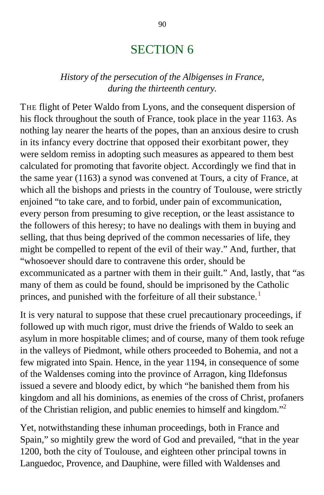# SECTION 6

### *History of the persecution of the Albigenses in France, during the thirteenth century.*

THE flight of Peter Waldo from Lyons, and the consequent dispersion of his flock throughout the south of France, took place in the year 1163. As nothing lay nearer the hearts of the popes, than an anxious desire to crush in its infancy every doctrine that opposed their exorbitant power, they were seldom remiss in adopting such measures as appeared to them best calculated for promoting that favorite object. Accordingly we find that in the same year (1163) a synod was convened at Tours, a city of France, at which all the bishops and priests in the country of Toulouse, were strictly enjoined "to take care, and to forbid, under pain of excommunication, every person from presuming to give reception, or the least assistance to the followers of this heresy; to have no dealings with them in buying and selling, that thus being deprived of the common necessaries of life, they might be compelled to repent of the evil of their way." And, further, that "whosoever should dare to contravene this order, should be excommunicated as a partner with them in their guilt." And, lastly, that "as many of them as could be found, should be imprisoned by the Catholic princes, and punished with the forfeiture of all their substance.<sup>[1](#page-400-1)</sup>

It is very natural to suppose that these cruel precautionary proceedings, if followed up with much rigor, must drive the friends of Waldo to seek an asylum in more hospitable climes; and of course, many of them took refuge in the valleys of Piedmont, while others proceeded to Bohemia, and not a few migrated into Spain. Hence, in the year 1194, in consequence of some of the Waldenses coming into the province of Arragon, king Ildefonsus issued a severe and bloody edict, by which "he banished them from his kingdom and all his dominions, as enemies of the cross of Christ, profaners of the Christian religion, and public enemies to himself and kingdom."[2](#page-400-1)

Yet, notwithstanding these inhuman proceedings, both in France and Spain," so mightily grew the word of God and prevailed, "that in the year 1200, both the city of Toulouse, and eighteen other principal towns in Languedoc, Provence, and Dauphine, were filled with Waldenses and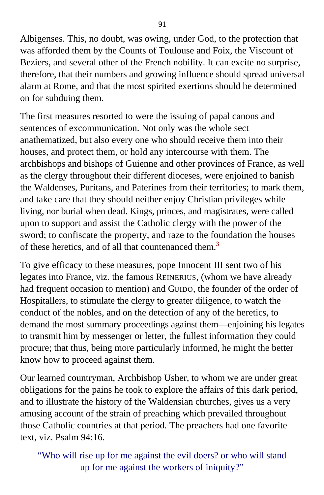Albigenses. This, no doubt, was owing, under God, to the protection that was afforded them by the Counts of Toulouse and Foix, the Viscount of Beziers, and several other of the French nobility. It can excite no surprise, therefore, that their numbers and growing influence should spread universal alarm at Rome, and that the most spirited exertions should be determined on for subduing them.

The first measures resorted to were the issuing of papal canons and sentences of excommunication. Not only was the whole sect anathematized, but also every one who should receive them into their houses, and protect them, or hold any intercourse with them. The archbishops and bishops of Guienne and other provinces of France, as well as the clergy throughout their different dioceses, were enjoined to banish the Waldenses, Puritans, and Paterines from their territories; to mark them, and take care that they should neither enjoy Christian privileges while living, nor burial when dead. Kings, princes, and magistrates, were called upon to support and assist the Catholic clergy with the power of the sword; to confiscate the property, and raze to the foundation the houses of these heretics, and of all that countenanced them.<sup>[3](#page-400-1)</sup>

To give efficacy to these measures, pope Innocent III sent two of his legates into France, viz. the famous REINERIUS, (whom we have already had frequent occasion to mention) and GUIDO, the founder of the order of Hospitallers, to stimulate the clergy to greater diligence, to watch the conduct of the nobles, and on the detection of any of the heretics, to demand the most summary proceedings against them—enjoining his legates to transmit him by messenger or letter, the fullest information they could procure; that thus, being more particularly informed, he might the better know how to proceed against them.

Our learned countryman, Archbishop Usher, to whom we are under great obligations for the pains he took to explore the affairs of this dark period, and to illustrate the history of the Waldensian churches, gives us a very amusing account of the strain of preaching which prevailed throughout those Catholic countries at that period. The preachers had one favorite text, viz. Psalm 94:16.

"Who will rise up for me against the evil doers? or who will stand up for me against the workers of iniquity?"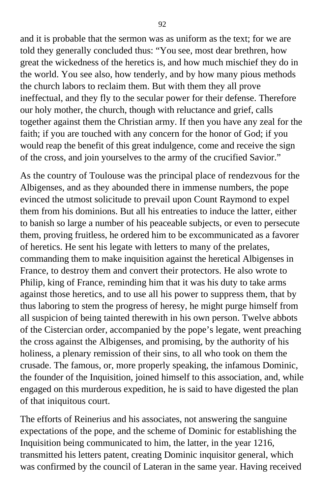and it is probable that the sermon was as uniform as the text; for we are told they generally concluded thus: "You see, most dear brethren, how great the wickedness of the heretics is, and how much mischief they do in the world. You see also, how tenderly, and by how many pious methods the church labors to reclaim them. But with them they all prove ineffectual, and they fly to the secular power for their defense. Therefore our holy mother, the church, though with reluctance and grief, calls together against them the Christian army. If then you have any zeal for the faith; if you are touched with any concern for the honor of God; if you would reap the benefit of this great indulgence, come and receive the sign of the cross, and join yourselves to the army of the crucified Savior."

As the country of Toulouse was the principal place of rendezvous for the Albigenses, and as they abounded there in immense numbers, the pope evinced the utmost solicitude to prevail upon Count Raymond to expel them from his dominions. But all his entreaties to induce the latter, either to banish so large a number of his peaceable subjects, or even to persecute them, proving fruitless, he ordered him to be excommunicated as a favorer of heretics. He sent his legate with letters to many of the prelates, commanding them to make inquisition against the heretical Albigenses in France, to destroy them and convert their protectors. He also wrote to Philip, king of France, reminding him that it was his duty to take arms against those heretics, and to use all his power to suppress them, that by thus laboring to stem the progress of heresy, he might purge himself from all suspicion of being tainted therewith in his own person. Twelve abbots of the Cistercian order, accompanied by the pope's legate, went preaching the cross against the Albigenses, and promising, by the authority of his holiness, a plenary remission of their sins, to all who took on them the crusade. The famous, or, more properly speaking, the infamous Dominic, the founder of the Inquisition, joined himself to this association, and, while engaged on this murderous expedition, he is said to have digested the plan of that iniquitous court.

The efforts of Reinerius and his associates, not answering the sanguine expectations of the pope, and the scheme of Dominic for establishing the Inquisition being communicated to him, the latter, in the year 1216, transmitted his letters patent, creating Dominic inquisitor general, which was confirmed by the council of Lateran in the same year. Having received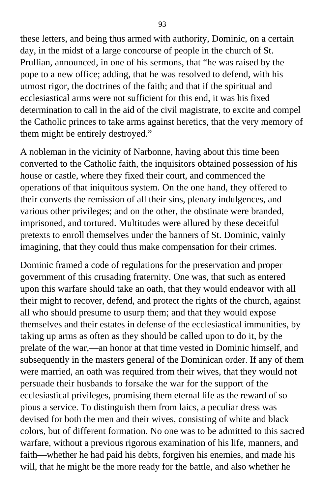these letters, and being thus armed with authority, Dominic, on a certain day, in the midst of a large concourse of people in the church of St. Prullian, announced, in one of his sermons, that "he was raised by the pope to a new office; adding, that he was resolved to defend, with his utmost rigor, the doctrines of the faith; and that if the spiritual and ecclesiastical arms were not sufficient for this end, it was his fixed determination to call in the aid of the civil magistrate, to excite and compel the Catholic princes to take arms against heretics, that the very memory of them might be entirely destroyed."

A nobleman in the vicinity of Narbonne, having about this time been converted to the Catholic faith, the inquisitors obtained possession of his house or castle, where they fixed their court, and commenced the operations of that iniquitous system. On the one hand, they offered to their converts the remission of all their sins, plenary indulgences, and various other privileges; and on the other, the obstinate were branded, imprisoned, and tortured. Multitudes were allured by these deceitful pretexts to enroll themselves under the banners of St. Dominic, vainly imagining, that they could thus make compensation for their crimes.

Dominic framed a code of regulations for the preservation and proper government of this crusading fraternity. One was, that such as entered upon this warfare should take an oath, that they would endeavor with all their might to recover, defend, and protect the rights of the church, against all who should presume to usurp them; and that they would expose themselves and their estates in defense of the ecclesiastical immunities, by taking up arms as often as they should be called upon to do it, by the prelate of the war,—an honor at that time vested in Dominic himself, and subsequently in the masters general of the Dominican order. If any of them were married, an oath was required from their wives, that they would not persuade their husbands to forsake the war for the support of the ecclesiastical privileges, promising them eternal life as the reward of so pious a service. To distinguish them from laics, a peculiar dress was devised for both the men and their wives, consisting of white and black colors, but of different formation. No one was to be admitted to this sacred warfare, without a previous rigorous examination of his life, manners, and faith—whether he had paid his debts, forgiven his enemies, and made his will, that he might be the more ready for the battle, and also whether he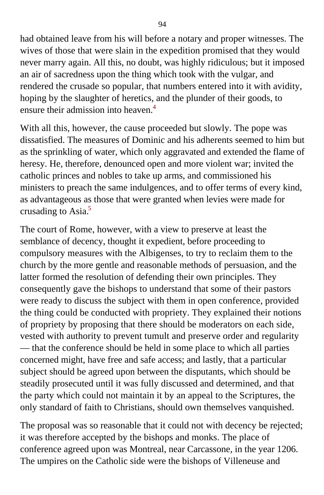had obtained leave from his will before a notary and proper witnesses. The wives of those that were slain in the expedition promised that they would never marry again. All this, no doubt, was highly ridiculous; but it imposed an air of sacredness upon the thing which took with the vulgar, and rendered the crusade so popular, that numbers entered into it with avidity, hoping by the slaughter of heretics, and the plunder of their goods, to ensure their admission into heaven.<sup>[4](#page-400-1)</sup>

With all this, however, the cause proceeded but slowly. The pope was dissatisfied. The measures of Dominic and his adherents seemed to him but as the sprinkling of water, which only aggravated and extended the flame of heresy. He, therefore, denounced open and more violent war; invited the catholic princes and nobles to take up arms, and commissioned his ministers to preach the same indulgences, and to offer terms of every kind, as advantageous as those that were granted when levies were made for crusading to Asia.<sup>[5](#page-400-1)</sup>

The court of Rome, however, with a view to preserve at least the semblance of decency, thought it expedient, before proceeding to compulsory measures with the Albigenses, to try to reclaim them to the church by the more gentle and reasonable methods of persuasion, and the latter formed the resolution of defending their own principles. They consequently gave the bishops to understand that some of their pastors were ready to discuss the subject with them in open conference, provided the thing could be conducted with propriety. They explained their notions of propriety by proposing that there should be moderators on each side, vested with authority to prevent tumult and preserve order and regularity — that the conference should be held in some place to which all parties concerned might, have free and safe access; and lastly, that a particular subject should be agreed upon between the disputants, which should be steadily prosecuted until it was fully discussed and determined, and that the party which could not maintain it by an appeal to the Scriptures, the only standard of faith to Christians, should own themselves vanquished.

The proposal was so reasonable that it could not with decency be rejected; it was therefore accepted by the bishops and monks. The place of conference agreed upon was Montreal, near Carcassone, in the year 1206. The umpires on the Catholic side were the bishops of Villeneuse and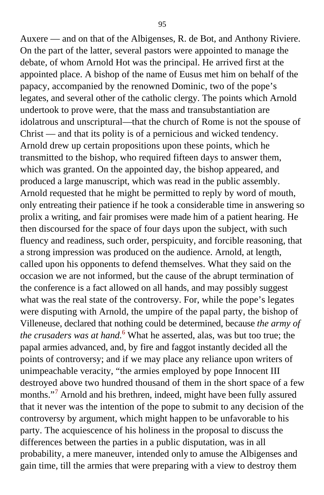Auxere — and on that of the Albigenses, R. de Bot, and Anthony Riviere. On the part of the latter, several pastors were appointed to manage the debate, of whom Arnold Hot was the principal. He arrived first at the appointed place. A bishop of the name of Eusus met him on behalf of the papacy, accompanied by the renowned Dominic, two of the pope's legates, and several other of the catholic clergy. The points which Arnold undertook to prove were, that the mass and transubstantiation are idolatrous and unscriptural—that the church of Rome is not the spouse of Christ — and that its polity is of a pernicious and wicked tendency. Arnold drew up certain propositions upon these points, which he transmitted to the bishop, who required fifteen days to answer them, which was granted. On the appointed day, the bishop appeared, and produced a large manuscript, which was read in the public assembly. Arnold requested that he might be permitted to reply by word of mouth, only entreating their patience if he took a considerable time in answering so prolix a writing, and fair promises were made him of a patient hearing. He then discoursed for the space of four days upon the subject, with such fluency and readiness, such order, perspicuity, and forcible reasoning, that a strong impression was produced on the audience. Arnold, at length, called upon his opponents to defend themselves. What they said on the occasion we are not informed, but the cause of the abrupt termination of the conference is a fact allowed on all hands, and may possibly suggest what was the real state of the controversy. For, while the pope's legates were disputing with Arnold, the umpire of the papal party, the bishop of Villeneuse, declared that nothing could be determined, because *the army of the crusaders was at hand.*[6](#page-400-1) What he asserted, alas, was but too true; the papal armies advanced, and, by fire and faggot instantly decided all the points of controversy; and if we may place any reliance upon writers of unimpeachable veracity, "the armies employed by pope Innocent III destroyed above two hundred thousand of them in the short space of a few months."<sup>[7](#page-400-1)</sup> Arnold and his brethren, indeed, might have been fully assured that it never was the intention of the pope to submit to any decision of the controversy by argument, which might happen to be unfavorable to his party. The acquiescence of his holiness in the proposal to discuss the differences between the parties in a public disputation, was in all probability, a mere maneuver, intended only to amuse the Albigenses and gain time, till the armies that were preparing with a view to destroy them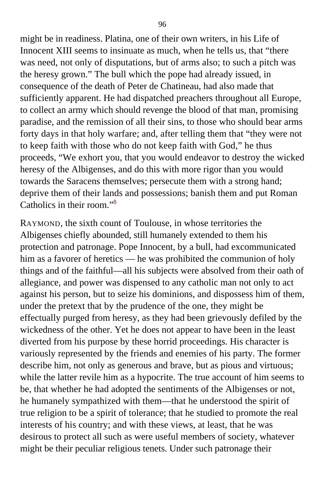might be in readiness. Platina, one of their own writers, in his Life of Innocent XIII seems to insinuate as much, when he tells us, that "there was need, not only of disputations, but of arms also; to such a pitch was the heresy grown." The bull which the pope had already issued, in consequence of the death of Peter de Chatineau, had also made that sufficiently apparent. He had dispatched preachers throughout all Europe, to collect an army which should revenge the blood of that man, promising paradise, and the remission of all their sins, to those who should bear arms forty days in that holy warfare; and, after telling them that "they were not to keep faith with those who do not keep faith with God," he thus proceeds, "We exhort you, that you would endeavor to destroy the wicked heresy of the Albigenses, and do this with more rigor than you would towards the Saracens themselves; persecute them with a strong hand; deprive them of their lands and possessions; banish them and put Roman Catholics in their room."[8](#page-400-1)

RAYMOND, the sixth count of Toulouse, in whose territories the Albigenses chiefly abounded, still humanely extended to them his protection and patronage. Pope Innocent, by a bull, had excommunicated him as a favorer of heretics — he was prohibited the communion of holy things and of the faithful—all his subjects were absolved from their oath of allegiance, and power was dispensed to any catholic man not only to act against his person, but to seize his dominions, and dispossess him of them, under the pretext that by the prudence of the one, they might be effectually purged from heresy, as they had been grievously defiled by the wickedness of the other. Yet he does not appear to have been in the least diverted from his purpose by these horrid proceedings. His character is variously represented by the friends and enemies of his party. The former describe him, not only as generous and brave, but as pious and virtuous; while the latter revile him as a hypocrite. The true account of him seems to be, that whether he had adopted the sentiments of the Albigenses or not, he humanely sympathized with them—that he understood the spirit of true religion to be a spirit of tolerance; that he studied to promote the real interests of his country; and with these views, at least, that he was desirous to protect all such as were useful members of society, whatever might be their peculiar religious tenets. Under such patronage their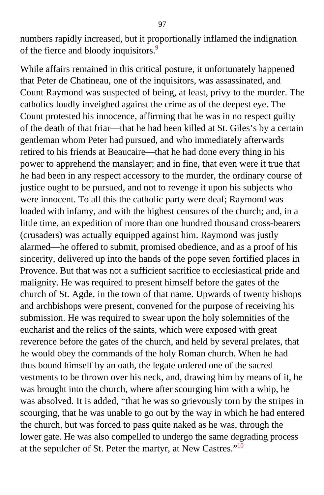numbers rapidly increased, but it proportionally inflamed the indignation of the fierce and bloody inquisitors.<sup>[9](#page-400-1)</sup>

While affairs remained in this critical posture, it unfortunately happened that Peter de Chatineau, one of the inquisitors, was assassinated, and Count Raymond was suspected of being, at least, privy to the murder. The catholics loudly inveighed against the crime as of the deepest eye. The Count protested his innocence, affirming that he was in no respect guilty of the death of that friar—that he had been killed at St. Giles's by a certain gentleman whom Peter had pursued, and who immediately afterwards retired to his friends at Beaucaire—that he had done every thing in his power to apprehend the manslayer; and in fine, that even were it true that he had been in any respect accessory to the murder, the ordinary course of justice ought to be pursued, and not to revenge it upon his subjects who were innocent. To all this the catholic party were deaf; Raymond was loaded with infamy, and with the highest censures of the church; and, in a little time, an expedition of more than one hundred thousand cross-bearers (crusaders) was actually equipped against him. Raymond was justly alarmed—he offered to submit, promised obedience, and as a proof of his sincerity, delivered up into the hands of the pope seven fortified places in Provence. But that was not a sufficient sacrifice to ecclesiastical pride and malignity. He was required to present himself before the gates of the church of St. Agde, in the town of that name. Upwards of twenty bishops and archbishops were present, convened for the purpose of receiving his submission. He was required to swear upon the holy solemnities of the eucharist and the relics of the saints, which were exposed with great reverence before the gates of the church, and held by several prelates, that he would obey the commands of the holy Roman church. When he had thus bound himself by an oath, the legate ordered one of the sacred vestments to be thrown over his neck, and, drawing him by means of it, he was brought into the church, where after scourging him with a whip, he was absolved. It is added, "that he was so grievously torn by the stripes in scourging, that he was unable to go out by the way in which he had entered the church, but was forced to pass quite naked as he was, through the lower gate. He was also compelled to undergo the same degrading process at the sepulcher of St. Peter the martyr, at New Castres."<sup>[10](#page-400-1)</sup>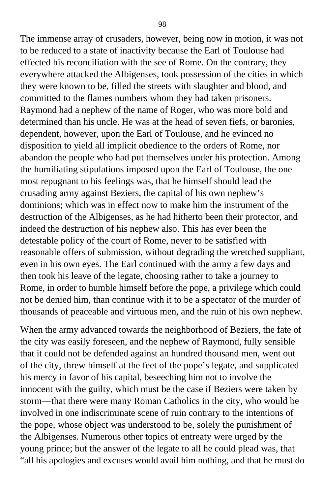The immense array of crusaders, however, being now in motion, it was not to be reduced to a state of inactivity because the Earl of Toulouse had effected his reconciliation with the see of Rome. On the contrary, they everywhere attacked the Albigenses, took possession of the cities in which they were known to be, filled the streets with slaughter and blood, and committed to the flames numbers whom they had taken prisoners. Raymond had a nephew of the name of Roger, who was more bold and determined than his uncle. He was at the head of seven fiefs, or baronies, dependent, however, upon the Earl of Toulouse, and he evinced no disposition to yield all implicit obedience to the orders of Rome, nor abandon the people who had put themselves under his protection. Among the humiliating stipulations imposed upon the Earl of Toulouse, the one most repugnant to his feelings was, that he himself should lead the crusading army against Beziers, the capital of his own nephew's dominions; which was in effect now to make him the instrument of the destruction of the Albigenses, as he had hitherto been their protector, and indeed the destruction of his nephew also. This has ever been the detestable policy of the court of Rome, never to be satisfied with reasonable offers of submission, without degrading the wretched suppliant, even in his own eyes. The Earl continued with the army a few days and then took his leave of the legate, choosing rather to take a journey to Rome, in order to humble himself before the pope, a privilege which could not be denied him, than continue with it to be a spectator of the murder of thousands of peaceable and virtuous men, and the ruin of his own nephew.

When the army advanced towards the neighborhood of Beziers, the fate of the city was easily foreseen, and the nephew of Raymond, fully sensible that it could not be defended against an hundred thousand men, went out of the city, threw himself at the feet of the pope's legate, and supplicated his mercy in favor of his capital, beseeching him not to involve the innocent with the guilty, which must be the case if Beziers were taken by storm—that there were many Roman Catholics in the city, who would be involved in one indiscriminate scene of ruin contrary to the intentions of the pope, whose object was understood to be, solely the punishment of the Albigenses. Numerous other topics of entreaty were urged by the young prince; but the answer of the legate to all he could plead was, that "all his apologies and excuses would avail him nothing, and that he must do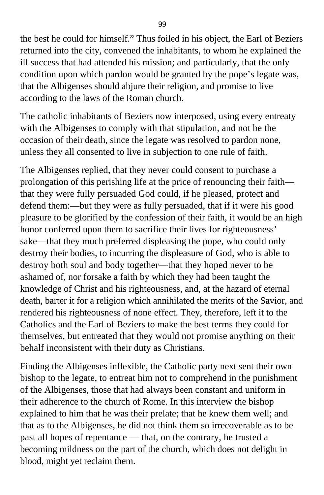the best he could for himself." Thus foiled in his object, the Earl of Beziers returned into the city, convened the inhabitants, to whom he explained the ill success that had attended his mission; and particularly, that the only condition upon which pardon would be granted by the pope's legate was, that the Albigenses should abjure their religion, and promise to live according to the laws of the Roman church.

The catholic inhabitants of Beziers now interposed, using every entreaty with the Albigenses to comply with that stipulation, and not be the occasion of their death, since the legate was resolved to pardon none, unless they all consented to live in subjection to one rule of faith.

The Albigenses replied, that they never could consent to purchase a prolongation of this perishing life at the price of renouncing their faith that they were fully persuaded God could, if he pleased, protect and defend them:—but they were as fully persuaded, that if it were his good pleasure to be glorified by the confession of their faith, it would be an high honor conferred upon them to sacrifice their lives for righteousness' sake—that they much preferred displeasing the pope, who could only destroy their bodies, to incurring the displeasure of God, who is able to destroy both soul and body together—that they hoped never to be ashamed of, nor forsake a faith by which they had been taught the knowledge of Christ and his righteousness, and, at the hazard of eternal death, barter it for a religion which annihilated the merits of the Savior, and rendered his righteousness of none effect. They, therefore, left it to the Catholics and the Earl of Beziers to make the best terms they could for themselves, but entreated that they would not promise anything on their behalf inconsistent with their duty as Christians.

Finding the Albigenses inflexible, the Catholic party next sent their own bishop to the legate, to entreat him not to comprehend in the punishment of the Albigenses, those that had always been constant and uniform in their adherence to the church of Rome. In this interview the bishop explained to him that he was their prelate; that he knew them well; and that as to the Albigenses, he did not think them so irrecoverable as to be past all hopes of repentance — that, on the contrary, he trusted a becoming mildness on the part of the church, which does not delight in blood, might yet reclaim them.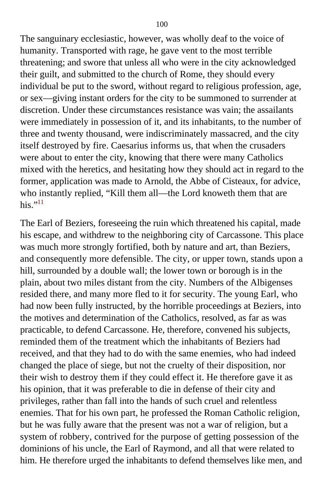The sanguinary ecclesiastic, however, was wholly deaf to the voice of humanity. Transported with rage, he gave vent to the most terrible threatening; and swore that unless all who were in the city acknowledged their guilt, and submitted to the church of Rome, they should every individual be put to the sword, without regard to religious profession, age, or sex—giving instant orders for the city to be summoned to surrender at discretion. Under these circumstances resistance was vain; the assailants were immediately in possession of it, and its inhabitants, to the number of three and twenty thousand, were indiscriminately massacred, and the city itself destroyed by fire. Caesarius informs us, that when the crusaders were about to enter the city, knowing that there were many Catholics mixed with the heretics, and hesitating how they should act in regard to the former, application was made to Arnold, the Abbe of Cisteaux, for advice, who instantly replied, "Kill them all—the Lord knoweth them that are his." $^{11}$  $^{11}$  $^{11}$ 

The Earl of Beziers, foreseeing the ruin which threatened his capital, made his escape, and withdrew to the neighboring city of Carcassone. This place was much more strongly fortified, both by nature and art, than Beziers, and consequently more defensible. The city, or upper town, stands upon a hill, surrounded by a double wall; the lower town or borough is in the plain, about two miles distant from the city. Numbers of the Albigenses resided there, and many more fled to it for security. The young Earl, who had now been fully instructed, by the horrible proceedings at Beziers, into the motives and determination of the Catholics, resolved, as far as was practicable, to defend Carcassone. He, therefore, convened his subjects, reminded them of the treatment which the inhabitants of Beziers had received, and that they had to do with the same enemies, who had indeed changed the place of siege, but not the cruelty of their disposition, nor their wish to destroy them if they could effect it. He therefore gave it as his opinion, that it was preferable to die in defense of their city and privileges, rather than fall into the hands of such cruel and relentless enemies. That for his own part, he professed the Roman Catholic religion, but he was fully aware that the present was not a war of religion, but a system of robbery, contrived for the purpose of getting possession of the dominions of his uncle, the Earl of Raymond, and all that were related to him. He therefore urged the inhabitants to defend themselves like men, and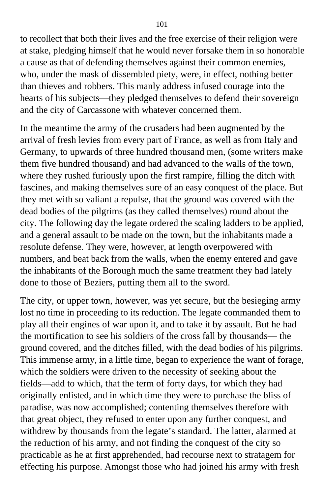to recollect that both their lives and the free exercise of their religion were at stake, pledging himself that he would never forsake them in so honorable a cause as that of defending themselves against their common enemies, who, under the mask of dissembled piety, were, in effect, nothing better than thieves and robbers. This manly address infused courage into the hearts of his subjects—they pledged themselves to defend their sovereign and the city of Carcassone with whatever concerned them.

In the meantime the army of the crusaders had been augmented by the arrival of fresh levies from every part of France, as well as from Italy and Germany, to upwards of three hundred thousand men, (some writers make them five hundred thousand) and had advanced to the walls of the town, where they rushed furiously upon the first rampire, filling the ditch with fascines, and making themselves sure of an easy conquest of the place. But they met with so valiant a repulse, that the ground was covered with the dead bodies of the pilgrims (as they called themselves) round about the city. The following day the legate ordered the scaling ladders to be applied, and a general assault to be made on the town, but the inhabitants made a resolute defense. They were, however, at length overpowered with numbers, and beat back from the walls, when the enemy entered and gave the inhabitants of the Borough much the same treatment they had lately done to those of Beziers, putting them all to the sword.

The city, or upper town, however, was yet secure, but the besieging army lost no time in proceeding to its reduction. The legate commanded them to play all their engines of war upon it, and to take it by assault. But he had the mortification to see his soldiers of the cross fall by thousands— the ground covered, and the ditches filled, with the dead bodies of his pilgrims. This immense army, in a little time, began to experience the want of forage, which the soldiers were driven to the necessity of seeking about the fields—add to which, that the term of forty days, for which they had originally enlisted, and in which time they were to purchase the bliss of paradise, was now accomplished; contenting themselves therefore with that great object, they refused to enter upon any further conquest, and withdrew by thousands from the legate's standard. The latter, alarmed at the reduction of his army, and not finding the conquest of the city so practicable as he at first apprehended, had recourse next to stratagem for effecting his purpose. Amongst those who had joined his army with fresh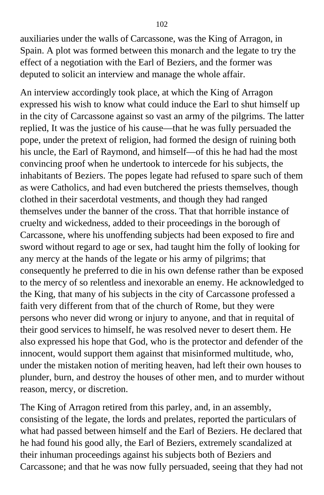auxiliaries under the walls of Carcassone, was the King of Arragon, in Spain. A plot was formed between this monarch and the legate to try the effect of a negotiation with the Earl of Beziers, and the former was deputed to solicit an interview and manage the whole affair.

An interview accordingly took place, at which the King of Arragon expressed his wish to know what could induce the Earl to shut himself up in the city of Carcassone against so vast an army of the pilgrims. The latter replied, It was the justice of his cause—that he was fully persuaded the pope, under the pretext of religion, had formed the design of ruining both his uncle, the Earl of Raymond, and himself—of this he had had the most convincing proof when he undertook to intercede for his subjects, the inhabitants of Beziers. The popes legate had refused to spare such of them as were Catholics, and had even butchered the priests themselves, though clothed in their sacerdotal vestments, and though they had ranged themselves under the banner of the cross. That that horrible instance of cruelty and wickedness, added to their proceedings in the borough of Carcassone, where his unoffending subjects had been exposed to fire and sword without regard to age or sex, had taught him the folly of looking for any mercy at the hands of the legate or his army of pilgrims; that consequently he preferred to die in his own defense rather than be exposed to the mercy of so relentless and inexorable an enemy. He acknowledged to the King, that many of his subjects in the city of Carcassone professed a faith very different from that of the church of Rome, but they were persons who never did wrong or injury to anyone, and that in requital of their good services to himself, he was resolved never to desert them. He also expressed his hope that God, who is the protector and defender of the innocent, would support them against that misinformed multitude, who, under the mistaken notion of meriting heaven, had left their own houses to plunder, burn, and destroy the houses of other men, and to murder without reason, mercy, or discretion.

The King of Arragon retired from this parley, and, in an assembly, consisting of the legate, the lords and prelates, reported the particulars of what had passed between himself and the Earl of Beziers. He declared that he had found his good ally, the Earl of Beziers, extremely scandalized at their inhuman proceedings against his subjects both of Beziers and Carcassone; and that he was now fully persuaded, seeing that they had not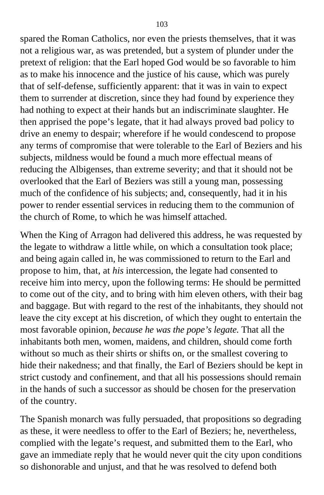spared the Roman Catholics, nor even the priests themselves, that it was not a religious war, as was pretended, but a system of plunder under the pretext of religion: that the Earl hoped God would be so favorable to him as to make his innocence and the justice of his cause, which was purely that of self-defense, sufficiently apparent: that it was in vain to expect them to surrender at discretion, since they had found by experience they had nothing to expect at their hands but an indiscriminate slaughter. He then apprised the pope's legate, that it had always proved bad policy to drive an enemy to despair; wherefore if he would condescend to propose any terms of compromise that were tolerable to the Earl of Beziers and his subjects, mildness would be found a much more effectual means of reducing the Albigenses, than extreme severity; and that it should not be overlooked that the Earl of Beziers was still a young man, possessing much of the confidence of his subjects; and, consequently, had it in his power to render essential services in reducing them to the communion of the church of Rome, to which he was himself attached.

When the King of Arragon had delivered this address, he was requested by the legate to withdraw a little while, on which a consultation took place; and being again called in, he was commissioned to return to the Earl and propose to him, that, at *his* intercession, the legate had consented to receive him into mercy, upon the following terms: He should be permitted to come out of the city, and to bring with him eleven others, with their bag and baggage. But with regard to the rest of the inhabitants, they should not leave the city except at his discretion, of which they ought to entertain the most favorable opinion, *because he was the pope's legate.* That all the inhabitants both men, women, maidens, and children, should come forth without so much as their shirts or shifts on, or the smallest covering to hide their nakedness; and that finally, the Earl of Beziers should be kept in strict custody and confinement, and that all his possessions should remain in the hands of such a successor as should be chosen for the preservation of the country.

The Spanish monarch was fully persuaded, that propositions so degrading as these, it were needless to offer to the Earl of Beziers; he, nevertheless, complied with the legate's request, and submitted them to the Earl, who gave an immediate reply that he would never quit the city upon conditions so dishonorable and unjust, and that he was resolved to defend both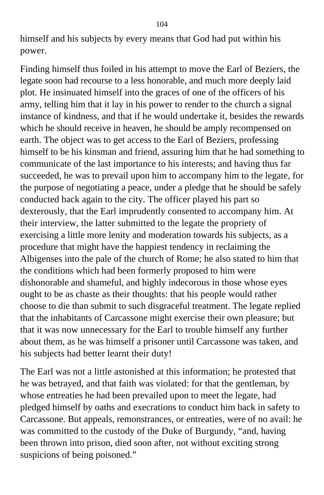himself and his subjects by every means that God had put within his power.

Finding himself thus foiled in his attempt to move the Earl of Beziers, the legate soon had recourse to a less honorable, and much more deeply laid plot. He insinuated himself into the graces of one of the officers of his army, telling him that it lay in his power to render to the church a signal instance of kindness, and that if he would undertake it, besides the rewards which he should receive in heaven, he should be amply recompensed on earth. The object was to get access to the Earl of Beziers, professing himself to be his kinsman and friend, assuring him that he had something to communicate of the last importance to his interests; and having thus far succeeded, he was to prevail upon him to accompany him to the legate, for the purpose of negotiating a peace, under a pledge that he should be safely conducted back again to the city. The officer played his part so dexterously, that the Earl imprudently consented to accompany him. At their interview, the latter submitted to the legate the propriety of exercising a little more lenity and moderation towards his subjects, as a procedure that might have the happiest tendency in reclaiming the Albigenses into the pale of the church of Rome; he also stated to him that the conditions which had been formerly proposed to him were dishonorable and shameful, and highly indecorous in those whose eyes ought to be as chaste as their thoughts: that his people would rather choose to die than submit to such disgraceful treatment. The legate replied that the inhabitants of Carcassone might exercise their own pleasure; but that it was now unnecessary for the Earl to trouble himself any further about them, as he was himself a prisoner until Carcassone was taken, and his subjects had better learnt their duty!

The Earl was not a little astonished at this information; he protested that he was betrayed, and that faith was violated: for that the gentleman, by whose entreaties he had been prevailed upon to meet the legate, had pledged himself by oaths and execrations to conduct him back in safety to Carcassone. But appeals, remonstrances, or entreaties, were of no avail: he was committed to the custody of the Duke of Burgundy, "and, having been thrown into prison, died soon after, not without exciting strong suspicions of being poisoned."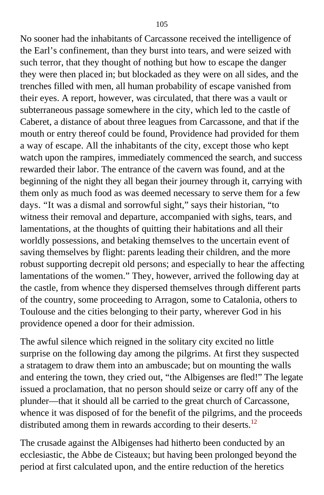No sooner had the inhabitants of Carcassone received the intelligence of the Earl's confinement, than they burst into tears, and were seized with such terror, that they thought of nothing but how to escape the danger they were then placed in; but blockaded as they were on all sides, and the trenches filled with men, all human probability of escape vanished from their eyes. A report, however, was circulated, that there was a vault or subterraneous passage somewhere in the city, which led to the castle of Caberet, a distance of about three leagues from Carcassone, and that if the mouth or entry thereof could be found, Providence had provided for them a way of escape. All the inhabitants of the city, except those who kept watch upon the rampires, immediately commenced the search, and success rewarded their labor. The entrance of the cavern was found, and at the beginning of the night they all began their journey through it, carrying with them only as much food as was deemed necessary to serve them for a few days. "It was a dismal and sorrowful sight," says their historian, "to witness their removal and departure, accompanied with sighs, tears, and lamentations, at the thoughts of quitting their habitations and all their worldly possessions, and betaking themselves to the uncertain event of saving themselves by flight: parents leading their children, and the more robust supporting decrepit old persons; and especially to hear the affecting lamentations of the women." They, however, arrived the following day at the castle, from whence they dispersed themselves through different parts of the country, some proceeding to Arragon, some to Catalonia, others to Toulouse and the cities belonging to their party, wherever God in his providence opened a door for their admission.

The awful silence which reigned in the solitary city excited no little surprise on the following day among the pilgrims. At first they suspected a stratagem to draw them into an ambuscade; but on mounting the walls and entering the town, they cried out, "the Albigenses are fled!" The legate issued a proclamation, that no person should seize or carry off any of the plunder—that it should all be carried to the great church of Carcassone, whence it was disposed of for the benefit of the pilgrims, and the proceeds distributed among them in rewards according to their deserts.<sup>[12](#page-400-1)</sup>

The crusade against the Albigenses had hitherto been conducted by an ecclesiastic, the Abbe de Cisteaux; but having been prolonged beyond the period at first calculated upon, and the entire reduction of the heretics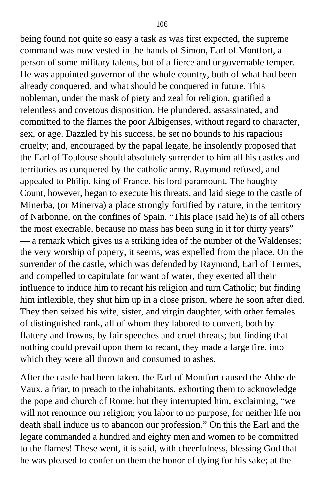being found not quite so easy a task as was first expected, the supreme command was now vested in the hands of Simon, Earl of Montfort, a person of some military talents, but of a fierce and ungovernable temper. He was appointed governor of the whole country, both of what had been already conquered, and what should be conquered in future. This nobleman, under the mask of piety and zeal for religion, gratified a relentless and covetous disposition. He plundered, assassinated, and committed to the flames the poor Albigenses, without regard to character, sex, or age. Dazzled by his success, he set no bounds to his rapacious cruelty; and, encouraged by the papal legate, he insolently proposed that the Earl of Toulouse should absolutely surrender to him all his castles and territories as conquered by the catholic army. Raymond refused, and appealed to Philip, king of France, his lord paramount. The haughty Count, however, began to execute his threats, and laid siege to the castle of Minerba, (or Minerva) a place strongly fortified by nature, in the territory of Narbonne, on the confines of Spain. "This place (said he) is of all others the most execrable, because no mass has been sung in it for thirty years" — a remark which gives us a striking idea of the number of the Waldenses; the very worship of popery, it seems, was expelled from the place. On the surrender of the castle, which was defended by Raymond, Earl of Termes, and compelled to capitulate for want of water, they exerted all their influence to induce him to recant his religion and turn Catholic; but finding him inflexible, they shut him up in a close prison, where he soon after died. They then seized his wife, sister, and virgin daughter, with other females of distinguished rank, all of whom they labored to convert, both by flattery and frowns, by fair speeches and cruel threats; but finding that nothing could prevail upon them to recant, they made a large fire, into which they were all thrown and consumed to ashes.

After the castle had been taken, the Earl of Montfort caused the Abbe de Vaux, a friar, to preach to the inhabitants, exhorting them to acknowledge the pope and church of Rome: but they interrupted him, exclaiming, "we will not renounce our religion; you labor to no purpose, for neither life nor death shall induce us to abandon our profession." On this the Earl and the legate commanded a hundred and eighty men and women to be committed to the flames! These went, it is said, with cheerfulness, blessing God that he was pleased to confer on them the honor of dying for his sake; at the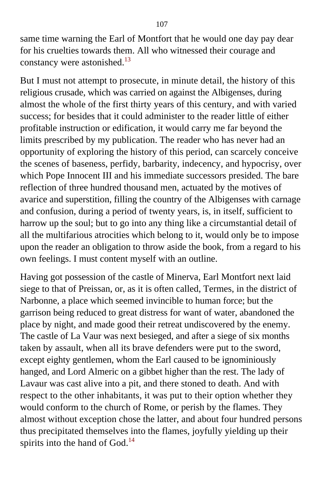same time warning the Earl of Montfort that he would one day pay dear for his cruelties towards them. All who witnessed their courage and constancy were astonished.<sup>[13](#page-400-1)</sup>

But I must not attempt to prosecute, in minute detail, the history of this religious crusade, which was carried on against the Albigenses, during almost the whole of the first thirty years of this century, and with varied success; for besides that it could administer to the reader little of either profitable instruction or edification, it would carry me far beyond the limits prescribed by my publication. The reader who has never had an opportunity of exploring the history of this period, can scarcely conceive the scenes of baseness, perfidy, barbarity, indecency, and hypocrisy, over which Pope Innocent III and his immediate successors presided. The bare reflection of three hundred thousand men, actuated by the motives of avarice and superstition, filling the country of the Albigenses with carnage and confusion, during a period of twenty years, is, in itself, sufficient to harrow up the soul; but to go into any thing like a circumstantial detail of all the multifarious atrocities which belong to it, would only be to impose upon the reader an obligation to throw aside the book, from a regard to his own feelings. I must content myself with an outline.

Having got possession of the castle of Minerva, Earl Montfort next laid siege to that of Preissan, or, as it is often called, Termes, in the district of Narbonne, a place which seemed invincible to human force; but the garrison being reduced to great distress for want of water, abandoned the place by night, and made good their retreat undiscovered by the enemy. The castle of La Vaur was next besieged, and after a siege of six months taken by assault, when all its brave defenders were put to the sword, except eighty gentlemen, whom the Earl caused to be ignominiously hanged, and Lord Almeric on a gibbet higher than the rest. The lady of Lavaur was cast alive into a pit, and there stoned to death. And with respect to the other inhabitants, it was put to their option whether they would conform to the church of Rome, or perish by the flames. They almost without exception chose the latter, and about four hundred persons thus precipitated themselves into the flames, joyfully yielding up their spirits into the hand of  $God.<sup>14</sup>$  $God.<sup>14</sup>$  $God.<sup>14</sup>$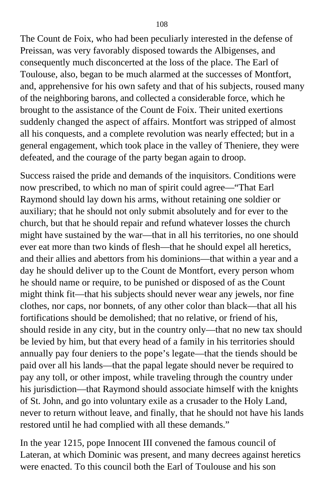The Count de Foix, who had been peculiarly interested in the defense of Preissan, was very favorably disposed towards the Albigenses, and consequently much disconcerted at the loss of the place. The Earl of Toulouse, also, began to be much alarmed at the successes of Montfort, and, apprehensive for his own safety and that of his subjects, roused many of the neighboring barons, and collected a considerable force, which he brought to the assistance of the Count de Foix. Their united exertions suddenly changed the aspect of affairs. Montfort was stripped of almost all his conquests, and a complete revolution was nearly effected; but in a general engagement, which took place in the valley of Theniere, they were defeated, and the courage of the party began again to droop.

Success raised the pride and demands of the inquisitors. Conditions were now prescribed, to which no man of spirit could agree—"That Earl Raymond should lay down his arms, without retaining one soldier or auxiliary; that he should not only submit absolutely and for ever to the church, but that he should repair and refund whatever losses the church might have sustained by the war—that in all his territories, no one should ever eat more than two kinds of flesh—that he should expel all heretics, and their allies and abettors from his dominions—that within a year and a day he should deliver up to the Count de Montfort, every person whom he should name or require, to be punished or disposed of as the Count might think fit—that his subjects should never wear any jewels, nor fine clothes, nor caps, nor bonnets, of any other color than black—that all his fortifications should be demolished; that no relative, or friend of his, should reside in any city, but in the country only—that no new tax should be levied by him, but that every head of a family in his territories should annually pay four deniers to the pope's legate—that the tiends should be paid over all his lands—that the papal legate should never be required to pay any toll, or other impost, while traveling through the country under his jurisdiction—that Raymond should associate himself with the knights of St. John, and go into voluntary exile as a crusader to the Holy Land, never to return without leave, and finally, that he should not have his lands restored until he had complied with all these demands."

In the year 1215, pope Innocent III convened the famous council of Lateran, at which Dominic was present, and many decrees against heretics were enacted. To this council both the Earl of Toulouse and his son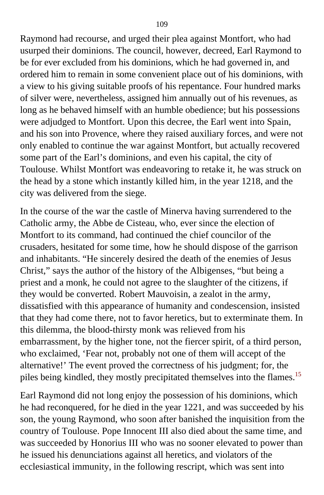Raymond had recourse, and urged their plea against Montfort, who had usurped their dominions. The council, however, decreed, Earl Raymond to be for ever excluded from his dominions, which he had governed in, and ordered him to remain in some convenient place out of his dominions, with a view to his giving suitable proofs of his repentance. Four hundred marks of silver were, nevertheless, assigned him annually out of his revenues, as long as he behaved himself with an humble obedience; but his possessions were adjudged to Montfort. Upon this decree, the Earl went into Spain, and his son into Provence, where they raised auxiliary forces, and were not only enabled to continue the war against Montfort, but actually recovered some part of the Earl's dominions, and even his capital, the city of Toulouse. Whilst Montfort was endeavoring to retake it, he was struck on the head by a stone which instantly killed him, in the year 1218, and the city was delivered from the siege.

In the course of the war the castle of Minerva having surrendered to the Catholic army, the Abbe de Cisteau, who, ever since the election of Montfort to its command, had continued the chief councilor of the crusaders, hesitated for some time, how he should dispose of the garrison and inhabitants. "He sincerely desired the death of the enemies of Jesus Christ," says the author of the history of the Albigenses, "but being a priest and a monk, he could not agree to the slaughter of the citizens, if they would be converted. Robert Mauvoisin, a zealot in the army, dissatisfied with this appearance of humanity and condescension, insisted that they had come there, not to favor heretics, but to exterminate them. In this dilemma, the blood-thirsty monk was relieved from his embarrassment, by the higher tone, not the fiercer spirit, of a third person, who exclaimed, 'Fear not, probably not one of them will accept of the alternative!' The event proved the correctness of his judgment; for, the piles being kindled, they mostly precipitated themselves into the flames.<sup>[15](#page-401-0)</sup>

Earl Raymond did not long enjoy the possession of his dominions, which he had reconquered, for he died in the year 1221, and was succeeded by his son, the young Raymond, who soon after banished the inquisition from the country of Toulouse. Pope Innocent III also died about the same time, and was succeeded by Honorius III who was no sooner elevated to power than he issued his denunciations against all heretics, and violators of the ecclesiastical immunity, in the following rescript, which was sent into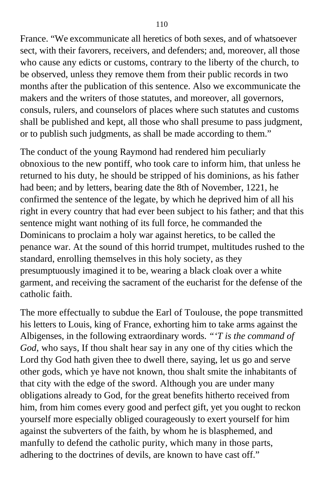France. "We excommunicate all heretics of both sexes, and of whatsoever sect, with their favorers, receivers, and defenders; and, moreover, all those who cause any edicts or customs, contrary to the liberty of the church, to be observed, unless they remove them from their public records in two months after the publication of this sentence. Also we excommunicate the makers and the writers of those statutes, and moreover, all governors, consuls, rulers, and counselors of places where such statutes and customs shall be published and kept, all those who shall presume to pass judgment, or to publish such judgments, as shall be made according to them."

The conduct of the young Raymond had rendered him peculiarly obnoxious to the new pontiff, who took care to inform him, that unless he returned to his duty, he should be stripped of his dominions, as his father had been; and by letters, bearing date the 8th of November, 1221, he confirmed the sentence of the legate, by which he deprived him of all his right in every country that had ever been subject to his father; and that this sentence might want nothing of its full force, he commanded the Dominicans to proclaim a holy war against heretics, to be called the penance war. At the sound of this horrid trumpet, multitudes rushed to the standard, enrolling themselves in this holy society, as they presumptuously imagined it to be, wearing a black cloak over a white garment, and receiving the sacrament of the eucharist for the defense of the catholic faith.

The more effectually to subdue the Earl of Toulouse, the pope transmitted his letters to Louis, king of France, exhorting him to take arms against the Albigenses, in the following extraordinary words. *"'T is the command of God,* who says, If thou shalt hear say in any one of thy cities which the Lord thy God hath given thee to dwell there, saying, let us go and serve other gods, which ye have not known, thou shalt smite the inhabitants of that city with the edge of the sword. Although you are under many obligations already to God, for the great benefits hitherto received from him, from him comes every good and perfect gift, yet you ought to reckon yourself more especially obliged courageously to exert yourself for him against the subverters of the faith, by whom he is blasphemed, and manfully to defend the catholic purity, which many in those parts, adhering to the doctrines of devils, are known to have cast off."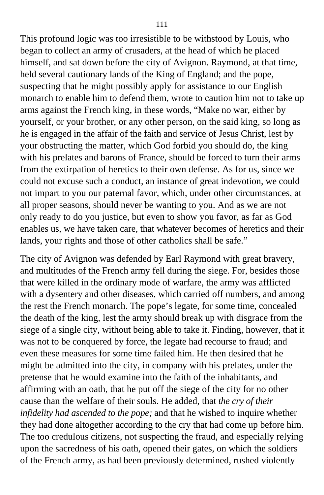This profound logic was too irresistible to be withstood by Louis, who began to collect an army of crusaders, at the head of which he placed himself, and sat down before the city of Avignon. Raymond, at that time, held several cautionary lands of the King of England; and the pope, suspecting that he might possibly apply for assistance to our English monarch to enable him to defend them, wrote to caution him not to take up arms against the French king, in these words, "Make no war, either by yourself, or your brother, or any other person, on the said king, so long as he is engaged in the affair of the faith and service of Jesus Christ, lest by your obstructing the matter, which God forbid you should do, the king with his prelates and barons of France, should be forced to turn their arms from the extirpation of heretics to their own defense. As for us, since we could not excuse such a conduct, an instance of great indevotion, we could not impart to you our paternal favor, which, under other circumstances, at all proper seasons, should never be wanting to you. And as we are not only ready to do you justice, but even to show you favor, as far as God enables us, we have taken care, that whatever becomes of heretics and their lands, your rights and those of other catholics shall be safe."

The city of Avignon was defended by Earl Raymond with great bravery, and multitudes of the French army fell during the siege. For, besides those that were killed in the ordinary mode of warfare, the army was afflicted with a dysentery and other diseases, which carried off numbers, and among the rest the French monarch. The pope's legate, for some time, concealed the death of the king, lest the army should break up with disgrace from the siege of a single city, without being able to take it. Finding, however, that it was not to be conquered by force, the legate had recourse to fraud; and even these measures for some time failed him. He then desired that he might be admitted into the city, in company with his prelates, under the pretense that he would examine into the faith of the inhabitants, and affirming with an oath, that he put off the siege of the city for no other cause than the welfare of their souls. He added, that *the cry of their infidelity had ascended to the pope;* and that he wished to inquire whether they had done altogether according to the cry that had come up before him. The too credulous citizens, not suspecting the fraud, and especially relying upon the sacredness of his oath, opened their gates, on which the soldiers of the French army, as had been previously determined, rushed violently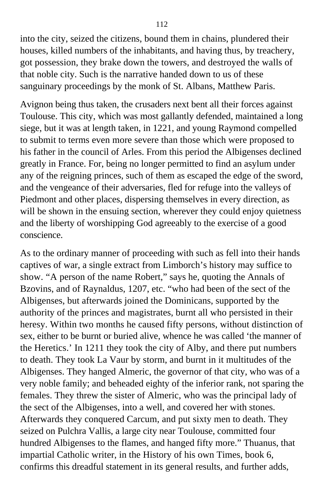into the city, seized the citizens, bound them in chains, plundered their houses, killed numbers of the inhabitants, and having thus, by treachery, got possession, they brake down the towers, and destroyed the walls of that noble city. Such is the narrative handed down to us of these sanguinary proceedings by the monk of St. Albans, Matthew Paris.

Avignon being thus taken, the crusaders next bent all their forces against Toulouse. This city, which was most gallantly defended, maintained a long siege, but it was at length taken, in 1221, and young Raymond compelled to submit to terms even more severe than those which were proposed to his father in the council of Arles. From this period the Albigenses declined greatly in France. For, being no longer permitted to find an asylum under any of the reigning princes, such of them as escaped the edge of the sword, and the vengeance of their adversaries, fled for refuge into the valleys of Piedmont and other places, dispersing themselves in every direction, as will be shown in the ensuing section, wherever they could enjoy quietness and the liberty of worshipping God agreeably to the exercise of a good conscience.

As to the ordinary manner of proceeding with such as fell into their hands captives of war, a single extract from Limborch's history may suffice to show. "A person of the name Robert," says he, quoting the Annals of Bzovins, and of Raynaldus, 1207, etc. "who had been of the sect of the Albigenses, but afterwards joined the Dominicans, supported by the authority of the princes and magistrates, burnt all who persisted in their heresy. Within two months he caused fifty persons, without distinction of sex, either to be burnt or buried alive, whence he was called 'the manner of the Heretics.' In 1211 they took the city of Alby, and there put numbers to death. They took La Vaur by storm, and burnt in it multitudes of the Albigenses. They hanged Almeric, the governor of that city, who was of a very noble family; and beheaded eighty of the inferior rank, not sparing the females. They threw the sister of Almeric, who was the principal lady of the sect of the Albigenses, into a well, and covered her with stones. Afterwards they conquered Carcum, and put sixty men to death. They seized on Pulchra Vallis, a large city near Toulouse, committed four hundred Albigenses to the flames, and hanged fifty more." Thuanus, that impartial Catholic writer, in the History of his own Times, book 6, confirms this dreadful statement in its general results, and further adds,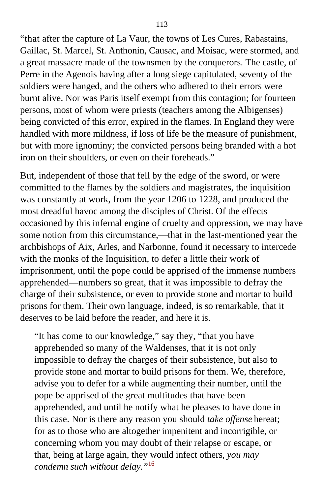"that after the capture of La Vaur, the towns of Les Cures, Rabastains, Gaillac, St. Marcel, St. Anthonin, Causac, and Moisac, were stormed, and a great massacre made of the townsmen by the conquerors. The castle, of Perre in the Agenois having after a long siege capitulated, seventy of the soldiers were hanged, and the others who adhered to their errors were burnt alive. Nor was Paris itself exempt from this contagion; for fourteen persons, most of whom were priests (teachers among the Albigenses) being convicted of this error, expired in the flames. In England they were handled with more mildness, if loss of life be the measure of punishment, but with more ignominy; the convicted persons being branded with a hot iron on their shoulders, or even on their foreheads."

But, independent of those that fell by the edge of the sword, or were committed to the flames by the soldiers and magistrates, the inquisition was constantly at work, from the year 1206 to 1228, and produced the most dreadful havoc among the disciples of Christ. Of the effects occasioned by this infernal engine of cruelty and oppression, we may have some notion from this circumstance,—that in the last-mentioned year the archbishops of Aix, Arles, and Narbonne, found it necessary to intercede with the monks of the Inquisition, to defer a little their work of imprisonment, until the pope could be apprised of the immense numbers apprehended—numbers so great, that it was impossible to defray the charge of their subsistence, or even to provide stone and mortar to build prisons for them. Their own language, indeed, is so remarkable, that it deserves to be laid before the reader, and here it is.

"It has come to our knowledge," say they, "that you have apprehended so many of the Waldenses, that it is not only impossible to defray the charges of their subsistence, but also to provide stone and mortar to build prisons for them. We, therefore, advise you to defer for a while augmenting their number, until the pope be apprised of the great multitudes that have been apprehended, and until he notify what he pleases to have done in this case. Nor is there any reason you should *take offense* hereat; for as to those who are altogether impenitent and incorrigible, or concerning whom you may doubt of their relapse or escape, or that, being at large again, they would infect others, *you may condemn such without delay."*[16](#page-401-0)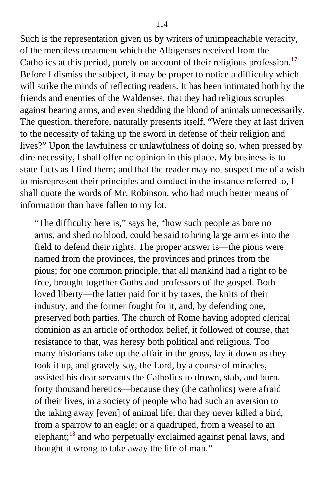Such is the representation given us by writers of unimpeachable veracity, of the merciless treatment which the Albigenses received from the Catholics at this period, purely on account of their religious profession.<sup>[17](#page-401-0)</sup> Before I dismiss the subject, it may be proper to notice a difficulty which will strike the minds of reflecting readers. It has been intimated both by the friends and enemies of the Waldenses, that they had religious scruples against bearing arms, and even shedding the blood of animals unnecessarily. The question, therefore, naturally presents itself, "Were they at last driven to the necessity of taking up the sword in defense of their religion and lives?" Upon the lawfulness or unlawfulness of doing so, when pressed by dire necessity, I shall offer no opinion in this place. My business is to state facts as I find them; and that the reader may not suspect me of a wish to misrepresent their principles and conduct in the instance referred to, I shall quote the words of Mr. Robinson, who had much better means of information than have fallen to my lot.

"The difficulty here is," says he, "how such people as bore no arms, and shed no blood, could be said to bring large armies into the field to defend their rights. The proper answer is—the pious were named from the provinces, the provinces and princes from the pious; for one common principle, that all mankind had a right to be free, brought together Goths and professors of the gospel. Both loved liberty—the latter paid for it by taxes, the knits of their industry, and the former fought for it, and, by defending one, preserved both parties. The church of Rome having adopted clerical dominion as an article of orthodox belief, it followed of course, that resistance to that, was heresy both political and religious. Too many historians take up the affair in the gross, lay it down as they took it up, and gravely say, the Lord, by a course of miracles, assisted his dear servants the Catholics to drown, stab, and burn, forty thousand heretics—because they (the catholics) were afraid of their lives, in a society of people who had such an aversion to the taking away [even] of animal life, that they never killed a bird, from a sparrow to an eagle; or a quadruped, from a weasel to an elephant;[18](#page-401-1) and who perpetually exclaimed against penal laws, and thought it wrong to take away the life of man."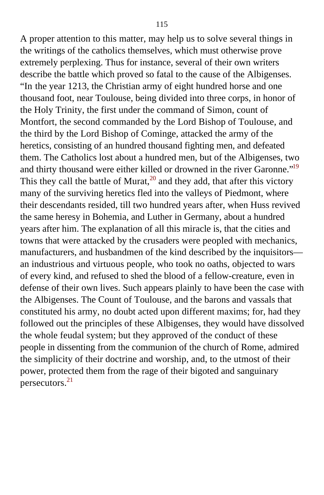A proper attention to this matter, may help us to solve several things in the writings of the catholics themselves, which must otherwise prove extremely perplexing. Thus for instance, several of their own writers describe the battle which proved so fatal to the cause of the Albigenses. "In the year 1213, the Christian army of eight hundred horse and one thousand foot, near Toulouse, being divided into three corps, in honor of the Holy Trinity, the first under the command of Simon, count of Montfort, the second commanded by the Lord Bishop of Toulouse, and the third by the Lord Bishop of Cominge, attacked the army of the heretics, consisting of an hundred thousand fighting men, and defeated them. The Catholics lost about a hundred men, but of the Albigenses, two and thirty thousand were either killed or drowned in the river Garonne."<sup>[19](#page-401-1)</sup> This they call the battle of Murat,  $^{20}$  $^{20}$  $^{20}$  and they add, that after this victory many of the surviving heretics fled into the valleys of Piedmont, where their descendants resided, till two hundred years after, when Huss revived the same heresy in Bohemia, and Luther in Germany, about a hundred years after him. The explanation of all this miracle is, that the cities and towns that were attacked by the crusaders were peopled with mechanics, manufacturers, and husbandmen of the kind described by the inquisitors an industrious and virtuous people, who took no oaths, objected to wars of every kind, and refused to shed the blood of a fellow-creature, even in defense of their own lives. Such appears plainly to have been the case with the Albigenses. The Count of Toulouse, and the barons and vassals that constituted his army, no doubt acted upon different maxims; for, had they followed out the principles of these Albigenses, they would have dissolved the whole feudal system; but they approved of the conduct of these people in dissenting from the communion of the church of Rome, admired the simplicity of their doctrine and worship, and, to the utmost of their power, protected them from the rage of their bigoted and sanguinary persecutors.[21](#page-402-0)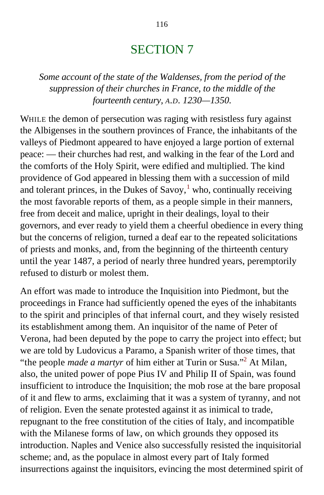## SECTION 7

*Some account of the state of the Waldenses, from the period of the suppression of their churches in France, to the middle of the fourteenth century, A.D. 1230—1350.*

WHILE the demon of persecution was raging with resistless fury against the Albigenses in the southern provinces of France, the inhabitants of the valleys of Piedmont appeared to have enjoyed a large portion of external peace: — their churches had rest, and walking in the fear of the Lord and the comforts of the Holy Spirit, were edified and multiplied. The kind providence of God appeared in blessing them with a succession of mild and tolerant princes, in the Dukes of Savoy, $<sup>1</sup>$  $<sup>1</sup>$  $<sup>1</sup>$  who, continually receiving</sup> the most favorable reports of them, as a people simple in their manners, free from deceit and malice, upright in their dealings, loyal to their governors, and ever ready to yield them a cheerful obedience in every thing but the concerns of religion, turned a deaf ear to the repeated solicitations of priests and monks, and, from the beginning of the thirteenth century until the year 1487, a period of nearly three hundred years, peremptorily refused to disturb or molest them.

An effort was made to introduce the Inquisition into Piedmont, but the proceedings in France had sufficiently opened the eyes of the inhabitants to the spirit and principles of that infernal court, and they wisely resisted its establishment among them. An inquisitor of the name of Peter of Verona, had been deputed by the pope to carry the project into effect; but we are told by Ludovicus a Paramo, a Spanish writer of those times, that "the people *made a martyr* of him either at Turin or Susa."[2](#page-402-1) At Milan, also, the united power of pope Pius IV and Philip II of Spain, was found insufficient to introduce the Inquisition; the mob rose at the bare proposal of it and flew to arms, exclaiming that it was a system of tyranny, and not of religion. Even the senate protested against it as inimical to trade, repugnant to the free constitution of the cities of Italy, and incompatible with the Milanese forms of law, on which grounds they opposed its introduction. Naples and Venice also successfully resisted the inquisitorial scheme; and, as the populace in almost every part of Italy formed insurrections against the inquisitors, evincing the most determined spirit of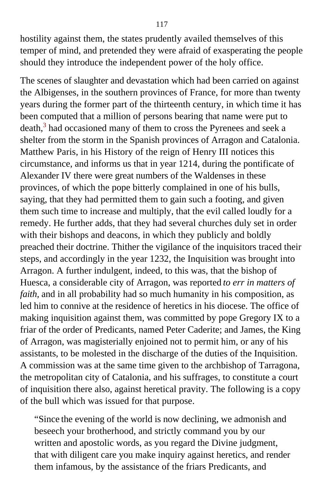hostility against them, the states prudently availed themselves of this temper of mind, and pretended they were afraid of exasperating the people should they introduce the independent power of the holy office.

The scenes of slaughter and devastation which had been carried on against the Albigenses, in the southern provinces of France, for more than twenty years during the former part of the thirteenth century, in which time it has been computed that a million of persons bearing that name were put to death, $3$  had occasioned many of them to cross the Pyrenees and seek a shelter from the storm in the Spanish provinces of Arragon and Catalonia. Matthew Paris, in his History of the reign of Henry III notices this circumstance, and informs us that in year 1214, during the pontificate of Alexander IV there were great numbers of the Waldenses in these provinces, of which the pope bitterly complained in one of his bulls, saying, that they had permitted them to gain such a footing, and given them such time to increase and multiply, that the evil called loudly for a remedy. He further adds, that they had several churches duly set in order with their bishops and deacons, in which they publicly and boldly preached their doctrine. Thither the vigilance of the inquisitors traced their steps, and accordingly in the year 1232, the Inquisition was brought into Arragon. A further indulgent, indeed, to this was, that the bishop of Huesca, a considerable city of Arragon, was reported *to err in matters of faith*, and in all probability had so much humanity in his composition, as led him to connive at the residence of heretics in his diocese. The office of making inquisition against them, was committed by pope Gregory IX to a friar of the order of Predicants, named Peter Caderite; and James, the King of Arragon, was magisterially enjoined not to permit him, or any of his assistants, to be molested in the discharge of the duties of the Inquisition. A commission was at the same time given to the archbishop of Tarragona, the metropolitan city of Catalonia, and his suffrages, to constitute a court of inquisition there also, against heretical pravity. The following is a copy of the bull which was issued for that purpose.

"Since the evening of the world is now declining, we admonish and beseech your brotherhood, and strictly command you by our written and apostolic words, as you regard the Divine judgment, that with diligent care you make inquiry against heretics, and render them infamous, by the assistance of the friars Predicants, and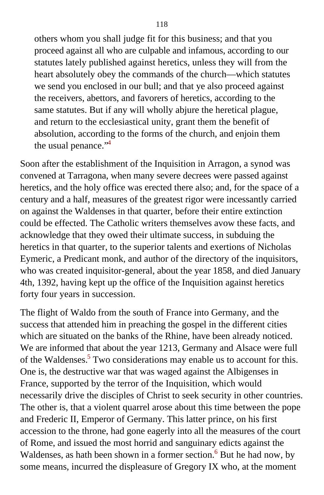others whom you shall judge fit for this business; and that you proceed against all who are culpable and infamous, according to our statutes lately published against heretics, unless they will from the heart absolutely obey the commands of the church—which statutes we send you enclosed in our bull; and that ye also proceed against the receivers, abettors, and favorers of heretics, according to the same statutes. But if any will wholly abjure the heretical plague, and return to the ecclesiastical unity, grant them the benefit of absolution, according to the forms of the church, and enjoin them the usual penance."<sup>[4](#page-402-1)</sup>

Soon after the establishment of the Inquisition in Arragon, a synod was convened at Tarragona, when many severe decrees were passed against heretics, and the holy office was erected there also; and, for the space of a century and a half, measures of the greatest rigor were incessantly carried on against the Waldenses in that quarter, before their entire extinction could be effected. The Catholic writers themselves avow these facts, and acknowledge that they owed their ultimate success, in subduing the heretics in that quarter, to the superior talents and exertions of Nicholas Eymeric, a Predicant monk, and author of the directory of the inquisitors, who was created inquisitor-general, about the year 1858, and died January 4th, 1392, having kept up the office of the Inquisition against heretics forty four years in succession.

The flight of Waldo from the south of France into Germany, and the success that attended him in preaching the gospel in the different cities which are situated on the banks of the Rhine, have been already noticed. We are informed that about the year 1213, Germany and Alsace were full of the Waldenses.<sup>[5](#page-402-1)</sup> Two considerations may enable us to account for this. One is, the destructive war that was waged against the Albigenses in France, supported by the terror of the Inquisition, which would necessarily drive the disciples of Christ to seek security in other countries. The other is, that a violent quarrel arose about this time between the pope and Frederic II, Emperor of Germany. This latter prince, on his first accession to the throne, had gone eagerly into all the measures of the court of Rome, and issued the most horrid and sanguinary edicts against the Waldenses, as hath been shown in a former section.<sup>[6](#page-402-1)</sup> But he had now, by some means, incurred the displeasure of Gregory IX who, at the moment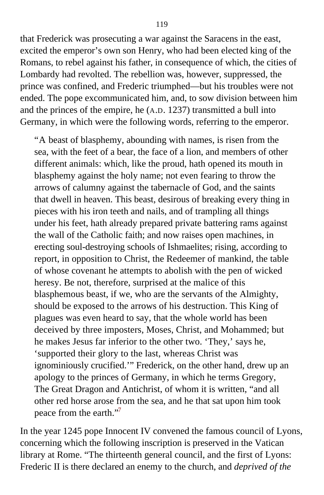that Frederick was prosecuting a war against the Saracens in the east, excited the emperor's own son Henry, who had been elected king of the Romans, to rebel against his father, in consequence of which, the cities of Lombardy had revolted. The rebellion was, however, suppressed, the prince was confined, and Frederic triumphed—but his troubles were not ended. The pope excommunicated him, and, to sow division between him and the princes of the empire, he (A.D. 1237) transmitted a bull into Germany, in which were the following words, referring to the emperor.

"A beast of blasphemy, abounding with names, is risen from the sea, with the feet of a bear, the face of a lion, and members of other different animals: which, like the proud, hath opened its mouth in blasphemy against the holy name; not even fearing to throw the arrows of calumny against the tabernacle of God, and the saints that dwell in heaven. This beast, desirous of breaking every thing in pieces with his iron teeth and nails, and of trampling all things under his feet, hath already prepared private battering rams against the wall of the Catholic faith; and now raises open machines, in erecting soul-destroying schools of Ishmaelites; rising, according to report, in opposition to Christ, the Redeemer of mankind, the table of whose covenant he attempts to abolish with the pen of wicked heresy. Be not, therefore, surprised at the malice of this blasphemous beast, if we, who are the servants of the Almighty, should be exposed to the arrows of his destruction. This King of plagues was even heard to say, that the whole world has been deceived by three imposters, Moses, Christ, and Mohammed; but he makes Jesus far inferior to the other two. 'They,' says he, 'supported their glory to the last, whereas Christ was ignominiously crucified.'" Frederick, on the other hand, drew up an apology to the princes of Germany, in which he terms Gregory, The Great Dragon and Antichrist, of whom it is written, "and all other red horse arose from the sea, and he that sat upon him took peace from the earth."<sup>[7](#page-402-1)</sup>

In the year 1245 pope Innocent IV convened the famous council of Lyons, concerning which the following inscription is preserved in the Vatican library at Rome. "The thirteenth general council, and the first of Lyons: Frederic II is there declared an enemy to the church, and *deprived of the*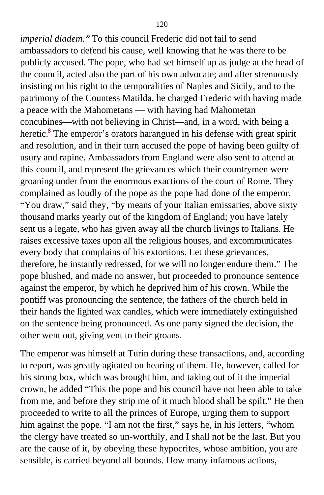*imperial diadem."* To this council Frederic did not fail to send ambassadors to defend his cause, well knowing that he was there to be publicly accused. The pope, who had set himself up as judge at the head of the council, acted also the part of his own advocate; and after strenuously insisting on his right to the temporalities of Naples and Sicily, and to the patrimony of the Countess Matilda, he charged Frederic with having made a peace with the Mahometans — with having had Mahometan concubines—with not believing in Christ—and, in a word, with being a heretic.<sup>[8](#page-402-1)</sup> The emperor's orators harangued in his defense with great spirit and resolution, and in their turn accused the pope of having been guilty of usury and rapine. Ambassadors from England were also sent to attend at this council, and represent the grievances which their countrymen were groaning under from the enormous exactions of the court of Rome. They complained as loudly of the pope as the pope had done of the emperor. "You draw," said they, "by means of your Italian emissaries, above sixty thousand marks yearly out of the kingdom of England; you have lately sent us a legate, who has given away all the church livings to Italians. He raises excessive taxes upon all the religious houses, and excommunicates every body that complains of his extortions. Let these grievances, therefore, be instantly redressed, for we will no longer endure them." The pope blushed, and made no answer, but proceeded to pronounce sentence against the emperor, by which he deprived him of his crown. While the pontiff was pronouncing the sentence, the fathers of the church held in their hands the lighted wax candles, which were immediately extinguished on the sentence being pronounced. As one party signed the decision, the other went out, giving vent to their groans.

The emperor was himself at Turin during these transactions, and, according to report, was greatly agitated on hearing of them. He, however, called for his strong box, which was brought him, and taking out of it the imperial crown, he added "This the pope and his council have not been able to take from me, and before they strip me of it much blood shall be spilt." He then proceeded to write to all the princes of Europe, urging them to support him against the pope. "I am not the first," says he, in his letters, "whom the clergy have treated so un-worthily, and I shall not be the last. But you are the cause of it, by obeying these hypocrites, whose ambition, you are sensible, is carried beyond all bounds. How many infamous actions,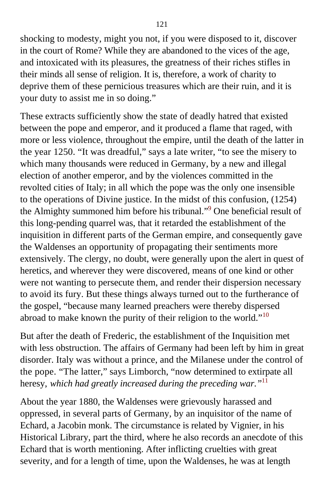shocking to modesty, might you not, if you were disposed to it, discover in the court of Rome? While they are abandoned to the vices of the age, and intoxicated with its pleasures, the greatness of their riches stifles in their minds all sense of religion. It is, therefore, a work of charity to deprive them of these pernicious treasures which are their ruin, and it is your duty to assist me in so doing."

These extracts sufficiently show the state of deadly hatred that existed between the pope and emperor, and it produced a flame that raged, with more or less violence, throughout the empire, until the death of the latter in the year 1250. "It was dreadful," says a late writer, "to see the misery to which many thousands were reduced in Germany, by a new and illegal election of another emperor, and by the violences committed in the revolted cities of Italy; in all which the pope was the only one insensible to the operations of Divine justice. In the midst of this confusion, (1254) the Almighty summoned him before his tribunal."<sup>[9](#page-402-1)</sup> One beneficial result of this long-pending quarrel was, that it retarded the establishment of the inquisition in different parts of the German empire, and consequently gave the Waldenses an opportunity of propagating their sentiments more extensively. The clergy, no doubt, were generally upon the alert in quest of heretics, and wherever they were discovered, means of one kind or other were not wanting to persecute them, and render their dispersion necessary to avoid its fury. But these things always turned out to the furtherance of the gospel, "because many learned preachers were thereby dispersed abroad to make known the purity of their religion to the world."<sup>[10](#page-402-1)</sup>

But after the death of Frederic, the establishment of the Inquisition met with less obstruction. The affairs of Germany had been left by him in great disorder. Italy was without a prince, and the Milanese under the control of the pope. "The latter," says Limborch, "now determined to extirpate all heresy, *which had greatly increased during the preceding war."*[11](#page-402-1)

About the year 1880, the Waldenses were grievously harassed and oppressed, in several parts of Germany, by an inquisitor of the name of Echard, a Jacobin monk. The circumstance is related by Vignier, in his Historical Library, part the third, where he also records an anecdote of this Echard that is worth mentioning. After inflicting cruelties with great severity, and for a length of time, upon the Waldenses, he was at length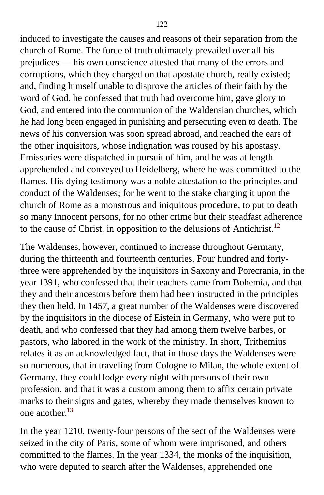induced to investigate the causes and reasons of their separation from the church of Rome. The force of truth ultimately prevailed over all his prejudices — his own conscience attested that many of the errors and corruptions, which they charged on that apostate church, really existed; and, finding himself unable to disprove the articles of their faith by the word of God, he confessed that truth had overcome him, gave glory to God, and entered into the communion of the Waldensian churches, which he had long been engaged in punishing and persecuting even to death. The news of his conversion was soon spread abroad, and reached the ears of the other inquisitors, whose indignation was roused by his apostasy. Emissaries were dispatched in pursuit of him, and he was at length apprehended and conveyed to Heidelberg, where he was committed to the flames. His dying testimony was a noble attestation to the principles and conduct of the Waldenses; for he went to the stake charging it upon the church of Rome as a monstrous and iniquitous procedure, to put to death so many innocent persons, for no other crime but their steadfast adherence to the cause of Christ, in opposition to the delusions of Antichrist.<sup>[12](#page-403-0)</sup>

The Waldenses, however, continued to increase throughout Germany, during the thirteenth and fourteenth centuries. Four hundred and fortythree were apprehended by the inquisitors in Saxony and Porecrania, in the year 1391, who confessed that their teachers came from Bohemia, and that they and their ancestors before them had been instructed in the principles they then held. In 1457, a great number of the Waldenses were discovered by the inquisitors in the diocese of Eistein in Germany, who were put to death, and who confessed that they had among them twelve barbes, or pastors, who labored in the work of the ministry. In short, Trithemius relates it as an acknowledged fact, that in those days the Waldenses were so numerous, that in traveling from Cologne to Milan, the whole extent of Germany, they could lodge every night with persons of their own profession, and that it was a custom among them to affix certain private marks to their signs and gates, whereby they made themselves known to one another.[13](#page-403-0)

In the year 1210, twenty-four persons of the sect of the Waldenses were seized in the city of Paris, some of whom were imprisoned, and others committed to the flames. In the year 1334, the monks of the inquisition, who were deputed to search after the Waldenses, apprehended one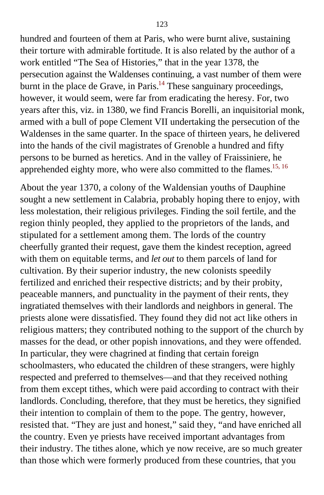hundred and fourteen of them at Paris, who were burnt alive, sustaining their torture with admirable fortitude. It is also related by the author of a work entitled "The Sea of Histories," that in the year 1378, the persecution against the Waldenses continuing, a vast number of them were burnt in the place de Grave, in Paris.<sup>[14](#page-403-0)</sup> These sanguinary proceedings, however, it would seem, were far from eradicating the heresy. For, two years after this, viz. in 1380, we find Francis Borelli, an inquisitorial monk, armed with a bull of pope Clement VII undertaking the persecution of the Waldenses in the same quarter. In the space of thirteen years, he delivered into the hands of the civil magistrates of Grenoble a hundred and fifty persons to be burned as heretics. And in the valley of Fraissiniere, he apprehended eighty more, who were also committed to the flames.<sup>[15, 16](#page-403-0)</sup>

About the year 1370, a colony of the Waldensian youths of Dauphine sought a new settlement in Calabria, probably hoping there to enjoy, with less molestation, their religious privileges. Finding the soil fertile, and the region thinly peopled, they applied to the proprietors of the lands, and stipulated for a settlement among them. The lords of the country cheerfully granted their request, gave them the kindest reception, agreed with them on equitable terms, and *let out* to them parcels of land for cultivation. By their superior industry, the new colonists speedily fertilized and enriched their respective districts; and by their probity, peaceable manners, and punctuality in the payment of their rents, they ingratiated themselves with their landlords and neighbors in general. The priests alone were dissatisfied. They found they did not act like others in religious matters; they contributed nothing to the support of the church by masses for the dead, or other popish innovations, and they were offended. In particular, they were chagrined at finding that certain foreign schoolmasters, who educated the children of these strangers, were highly respected and preferred to themselves—and that they received nothing from them except tithes, which were paid according to contract with their landlords. Concluding, therefore, that they must be heretics, they signified their intention to complain of them to the pope. The gentry, however, resisted that. "They are just and honest," said they, "and have enriched all the country. Even ye priests have received important advantages from their industry. The tithes alone, which ye now receive, are so much greater than those which were formerly produced from these countries, that you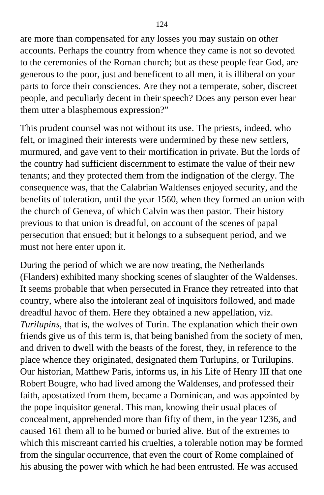are more than compensated for any losses you may sustain on other accounts. Perhaps the country from whence they came is not so devoted to the ceremonies of the Roman church; but as these people fear God, are generous to the poor, just and beneficent to all men, it is illiberal on your parts to force their consciences. Are they not a temperate, sober, discreet people, and peculiarly decent in their speech? Does any person ever hear them utter a blasphemous expression?"

This prudent counsel was not without its use. The priests, indeed, who felt, or imagined their interests were undermined by these new settlers, murmured, and gave vent to their mortification in private. But the lords of the country had sufficient discernment to estimate the value of their new tenants; and they protected them from the indignation of the clergy. The consequence was, that the Calabrian Waldenses enjoyed security, and the benefits of toleration, until the year 1560, when they formed an union with the church of Geneva, of which Calvin was then pastor. Their history previous to that union is dreadful, on account of the scenes of papal persecution that ensued; but it belongs to a subsequent period, and we must not here enter upon it.

During the period of which we are now treating, the Netherlands (Flanders) exhibited many shocking scenes of slaughter of the Waldenses. It seems probable that when persecuted in France they retreated into that country, where also the intolerant zeal of inquisitors followed, and made dreadful havoc of them. Here they obtained a new appellation, viz. *Turilupins,* that is, the wolves of Turin. The explanation which their own friends give us of this term is, that being banished from the society of men, and driven to dwell with the beasts of the forest, they, in reference to the place whence they originated, designated them Turlupins, or Turilupins. Our historian, Matthew Paris, informs us, in his Life of Henry III that one Robert Bougre, who had lived among the Waldenses, and professed their faith, apostatized from them, became a Dominican, and was appointed by the pope inquisitor general. This man, knowing their usual places of concealment, apprehended more than fifty of them, in the year 1236, and caused 161 them all to be burned or buried alive. But of the extremes to which this miscreant carried his cruelties, a tolerable notion may be formed from the singular occurrence, that even the court of Rome complained of his abusing the power with which he had been entrusted. He was accused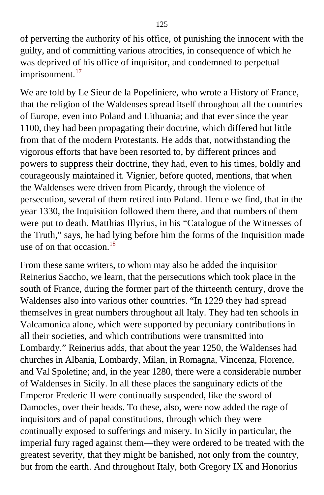of perverting the authority of his office, of punishing the innocent with the guilty, and of committing various atrocities, in consequence of which he was deprived of his office of inquisitor, and condemned to perpetual imprisonment.<sup>[17](#page-403-1)</sup>

We are told by Le Sieur de la Popeliniere, who wrote a History of France, that the religion of the Waldenses spread itself throughout all the countries of Europe, even into Poland and Lithuania; and that ever since the year 1100, they had been propagating their doctrine, which differed but little from that of the modern Protestants. He adds that, notwithstanding the vigorous efforts that have been resorted to, by different princes and powers to suppress their doctrine, they had, even to his times, boldly and courageously maintained it. Vignier, before quoted, mentions, that when the Waldenses were driven from Picardy, through the violence of persecution, several of them retired into Poland. Hence we find, that in the year 1330, the Inquisition followed them there, and that numbers of them were put to death. Matthias Illyrius, in his "Catalogue of the Witnesses of the Truth," says, he had lying before him the forms of the Inquisition made use of on that occasion. $18$ 

From these same writers, to whom may also be added the inquisitor Reinerius Saccho, we learn, that the persecutions which took place in the south of France, during the former part of the thirteenth century, drove the Waldenses also into various other countries. "In 1229 they had spread themselves in great numbers throughout all Italy. They had ten schools in Valcamonica alone, which were supported by pecuniary contributions in all their societies, and which contributions were transmitted into Lombardy." Reinerius adds, that about the year 1250, the Waldenses had churches in Albania, Lombardy, Milan, in Romagna, Vincenza, Florence, and Val Spoletine; and, in the year 1280, there were a considerable number of Waldenses in Sicily. In all these places the sanguinary edicts of the Emperor Frederic II were continually suspended, like the sword of Damocles, over their heads. To these, also, were now added the rage of inquisitors and of papal constitutions, through which they were continually exposed to sufferings and misery. In Sicily in particular, the imperial fury raged against them—they were ordered to be treated with the greatest severity, that they might be banished, not only from the country, but from the earth. And throughout Italy, both Gregory IX and Honorius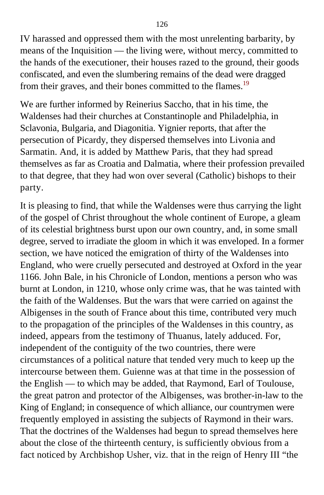IV harassed and oppressed them with the most unrelenting barbarity, by means of the Inquisition — the living were, without mercy, committed to the hands of the executioner, their houses razed to the ground, their goods confiscated, and even the slumbering remains of the dead were dragged from their graves, and their bones committed to the flames.<sup>[19](#page-403-1)</sup>

We are further informed by Reinerius Saccho, that in his time, the Waldenses had their churches at Constantinople and Philadelphia, in Sclavonia, Bulgaria, and Diagonitia. Yignier reports, that after the persecution of Picardy, they dispersed themselves into Livonia and Sarmatin. And, it is added by Matthew Paris, that they had spread themselves as far as Croatia and Dalmatia, where their profession prevailed to that degree, that they had won over several (Catholic) bishops to their party.

It is pleasing to find, that while the Waldenses were thus carrying the light of the gospel of Christ throughout the whole continent of Europe, a gleam of its celestial brightness burst upon our own country, and, in some small degree, served to irradiate the gloom in which it was enveloped. In a former section, we have noticed the emigration of thirty of the Waldenses into England, who were cruelly persecuted and destroyed at Oxford in the year 1166. John Bale, in his Chronicle of London, mentions a person who was burnt at London, in 1210, whose only crime was, that he was tainted with the faith of the Waldenses. But the wars that were carried on against the Albigenses in the south of France about this time, contributed very much to the propagation of the principles of the Waldenses in this country, as indeed, appears from the testimony of Thuanus, lately adduced. For, independent of the contiguity of the two countries, there were circumstances of a political nature that tended very much to keep up the intercourse between them. Guienne was at that time in the possession of the English — to which may be added, that Raymond, Earl of Toulouse, the great patron and protector of the Albigenses, was brother-in-law to the King of England; in consequence of which alliance, our countrymen were frequently employed in assisting the subjects of Raymond in their wars. That the doctrines of the Waldenses had begun to spread themselves here about the close of the thirteenth century, is sufficiently obvious from a fact noticed by Archbishop Usher, viz. that in the reign of Henry III "the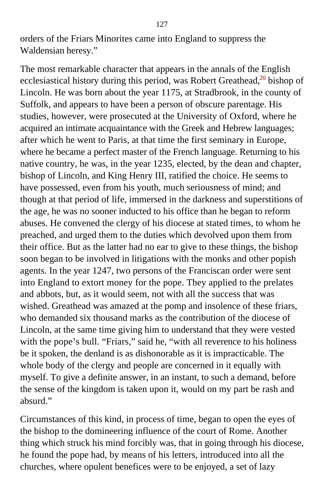orders of the Friars Minorites came into England to suppress the Waldensian heresy."

The most remarkable character that appears in the annals of the English ecclesiastical history during this period, was Robert Greathead, $2<sup>0</sup>$  bishop of Lincoln. He was born about the year 1175, at Stradbrook, in the county of Suffolk, and appears to have been a person of obscure parentage. His studies, however, were prosecuted at the University of Oxford, where he acquired an intimate acquaintance with the Greek and Hebrew languages; after which he went to Paris, at that time the first seminary in Europe, where he became a perfect master of the French language. Returning to his native country, he was, in the year 1235, elected, by the dean and chapter, bishop of Lincoln, and King Henry III, ratified the choice. He seems to have possessed, even from his youth, much seriousness of mind; and though at that period of life, immersed in the darkness and superstitions of the age, he was no sooner inducted to his office than he began to reform abuses. He convened the clergy of his diocese at stated times, to whom he preached, and urged them to the duties which devolved upon them from their office. But as the latter had no ear to give to these things, the bishop soon began to be involved in litigations with the monks and other popish agents. In the year 1247, two persons of the Franciscan order were sent into England to extort money for the pope. They applied to the prelates and abbots, but, as it would seem, not with all the success that was wished. Greathead was amazed at the pomp and insolence of these friars, who demanded six thousand marks as the contribution of the diocese of Lincoln, at the same time giving him to understand that they were vested with the pope's bull. "Friars," said he, "with all reverence to his holiness be it spoken, the denland is as dishonorable as it is impracticable. The whole body of the clergy and people are concerned in it equally with myself. To give a definite answer, in an instant, to such a demand, before the sense of the kingdom is taken upon it, would on my part be rash and absurd."

Circumstances of this kind, in process of time, began to open the eyes of the bishop to the domineering influence of the court of Rome. Another thing which struck his mind forcibly was, that in going through his diocese, he found the pope had, by means of his letters, introduced into all the churches, where opulent benefices were to be enjoyed, a set of lazy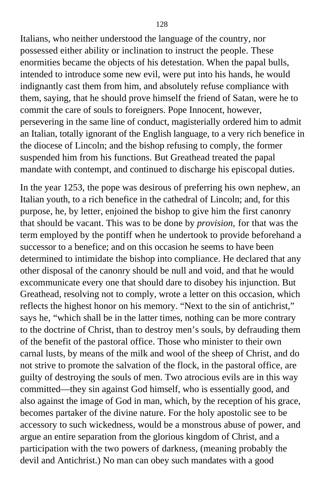Italians, who neither understood the language of the country, nor possessed either ability or inclination to instruct the people. These enormities became the objects of his detestation. When the papal bulls, intended to introduce some new evil, were put into his hands, he would indignantly cast them from him, and absolutely refuse compliance with them, saying, that he should prove himself the friend of Satan, were he to commit the care of souls to foreigners. Pope Innocent, however, persevering in the same line of conduct, magisterially ordered him to admit an Italian, totally ignorant of the English language, to a very rich benefice in the diocese of Lincoln; and the bishop refusing to comply, the former suspended him from his functions. But Greathead treated the papal mandate with contempt, and continued to discharge his episcopal duties.

In the year 1253, the pope was desirous of preferring his own nephew, an Italian youth, to a rich benefice in the cathedral of Lincoln; and, for this purpose, he, by letter, enjoined the bishop to give him the first canonry that should be vacant. This was to be done by *provision,* for that was the term employed by the pontiff when he undertook to provide beforehand a successor to a benefice; and on this occasion he seems to have been determined to intimidate the bishop into compliance. He declared that any other disposal of the canonry should be null and void, and that he would excommunicate every one that should dare to disobey his injunction. But Greathead, resolving not to comply, wrote a letter on this occasion, which reflects the highest honor on his memory. "Next to the sin of antichrist," says he, "which shall be in the latter times, nothing can be more contrary to the doctrine of Christ, than to destroy men's souls, by defrauding them of the benefit of the pastoral office. Those who minister to their own carnal lusts, by means of the milk and wool of the sheep of Christ, and do not strive to promote the salvation of the flock, in the pastoral office, are guilty of destroying the souls of men. Two atrocious evils are in this way committed—they sin against God himself, who is essentially good, and also against the image of God in man, which, by the reception of his grace, becomes partaker of the divine nature. For the holy apostolic see to be accessory to such wickedness, would be a monstrous abuse of power, and argue an entire separation from the glorious kingdom of Christ, and a participation with the two powers of darkness, (meaning probably the devil and Antichrist.) No man can obey such mandates with a good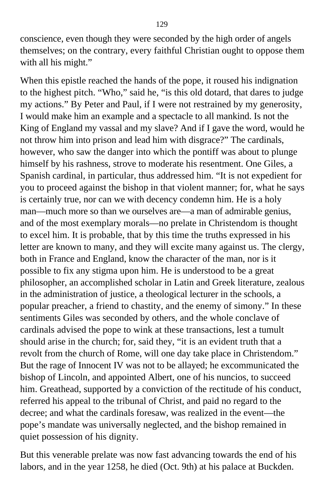conscience, even though they were seconded by the high order of angels themselves; on the contrary, every faithful Christian ought to oppose them with all his might."

When this epistle reached the hands of the pope, it roused his indignation to the highest pitch. "Who," said he, "is this old dotard, that dares to judge my actions." By Peter and Paul, if I were not restrained by my generosity, I would make him an example and a spectacle to all mankind. Is not the King of England my vassal and my slave? And if I gave the word, would he not throw him into prison and lead him with disgrace?" The cardinals, however, who saw the danger into which the pontiff was about to plunge himself by his rashness, strove to moderate his resentment. One Giles, a Spanish cardinal, in particular, thus addressed him. "It is not expedient for you to proceed against the bishop in that violent manner; for, what he says is certainly true, nor can we with decency condemn him. He is a holy man—much more so than we ourselves are—a man of admirable genius, and of the most exemplary morals—no prelate in Christendom is thought to excel him. It is probable, that by this time the truths expressed in his letter are known to many, and they will excite many against us. The clergy, both in France and England, know the character of the man, nor is it possible to fix any stigma upon him. He is understood to be a great philosopher, an accomplished scholar in Latin and Greek literature, zealous in the administration of justice, a theological lecturer in the schools, a popular preacher, a friend to chastity, and the enemy of simony." In these sentiments Giles was seconded by others, and the whole conclave of cardinals advised the pope to wink at these transactions, lest a tumult should arise in the church; for, said they, "it is an evident truth that a revolt from the church of Rome, will one day take place in Christendom." But the rage of Innocent IV was not to be allayed; he excommunicated the bishop of Lincoln, and appointed Albert, one of his nuncios, to succeed him. Greathead, supported by a conviction of the rectitude of his conduct, referred his appeal to the tribunal of Christ, and paid no regard to the decree; and what the cardinals foresaw, was realized in the event—the pope's mandate was universally neglected, and the bishop remained in quiet possession of his dignity.

But this venerable prelate was now fast advancing towards the end of his labors, and in the year 1258, he died (Oct. 9th) at his palace at Buckden.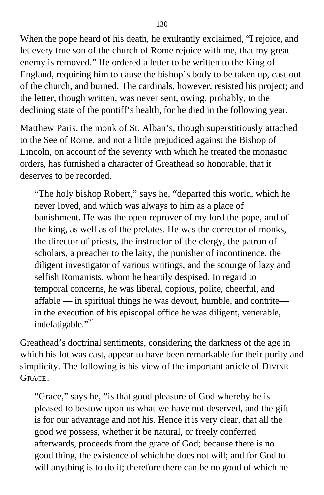When the pope heard of his death, he exultantly exclaimed, "I rejoice, and let every true son of the church of Rome rejoice with me, that my great enemy is removed." He ordered a letter to be written to the King of England, requiring him to cause the bishop's body to be taken up, cast out of the church, and burned. The cardinals, however, resisted his project; and the letter, though written, was never sent, owing, probably, to the declining state of the pontiff's health, for he died in the following year.

Matthew Paris, the monk of St. Alban's, though superstitiously attached to the See of Rome, and not a little prejudiced against the Bishop of Lincoln, on account of the severity with which he treated the monastic orders, has furnished a character of Greathead so honorable, that it deserves to be recorded.

"The holy bishop Robert," says he, "departed this world, which he never loved, and which was always to him as a place of banishment. He was the open reprover of my lord the pope, and of the king, as well as of the prelates. He was the corrector of monks, the director of priests, the instructor of the clergy, the patron of scholars, a preacher to the laity, the punisher of incontinence, the diligent investigator of various writings, and the scourge of lazy and selfish Romanists, whom he heartily despised. In regard to temporal concerns, he was liberal, copious, polite, cheerful, and affable — in spiritual things he was devout, humble, and contrite in the execution of his episcopal office he was diligent, venerable, indefatigable."<sup>[21](#page-404-0)</sup>

Greathead's doctrinal sentiments, considering the darkness of the age in which his lot was cast, appear to have been remarkable for their purity and simplicity. The following is his view of the important article of DIVINE GRACE.

"Grace," says he, "is that good pleasure of God whereby he is pleased to bestow upon us what we have not deserved, and the gift is for our advantage and not his. Hence it is very clear, that all the good we possess, whether it be natural, or freely conferred afterwards, proceeds from the grace of God; because there is no good thing, the existence of which he does not will; and for God to will anything is to do it; therefore there can be no good of which he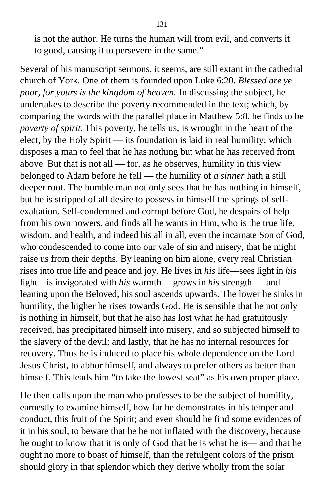is not the author. He turns the human will from evil, and converts it to good, causing it to persevere in the same."

Several of his manuscript sermons, it seems, are still extant in the cathedral church of York. One of them is founded upon Luke 6:20. *Blessed are ye poor, for yours is the kingdom of heaven.* In discussing the subject, he undertakes to describe the poverty recommended in the text; which, by comparing the words with the parallel place in Matthew 5:8, he finds to be *poverty of spirit.* This poverty, he tells us, is wrought in the heart of the elect, by the Holy Spirit — its foundation is laid in real humility; which disposes a man to feel that he has nothing but what he has received from above. But that is not all — for, as he observes, humility in this view belonged to Adam before he fell — the humility of *a sinner* hath a still deeper root. The humble man not only sees that he has nothing in himself, but he is stripped of all desire to possess in himself the springs of selfexaltation. Self-condemned and corrupt before God, he despairs of help from his own powers, and finds all he wants in Him, who is the true life, wisdom, and health, and indeed his all in all, even the incarnate Son of God, who condescended to come into our vale of sin and misery, that he might raise us from their depths. By leaning on him alone, every real Christian rises into true life and peace and joy. He lives in *his* life—sees light in *his* light—is invigorated with *his* warmth— grows in *his* strength — and leaning upon the Beloved, his soul ascends upwards. The lower he sinks in humility, the higher he rises towards God. He is sensible that he not only is nothing in himself, but that he also has lost what he had gratuitously received, has precipitated himself into misery, and so subjected himself to the slavery of the devil; and lastly, that he has no internal resources for recovery. Thus he is induced to place his whole dependence on the Lord Jesus Christ, to abhor himself, and always to prefer others as better than himself. This leads him "to take the lowest seat" as his own proper place.

He then calls upon the man who professes to be the subject of humility, earnestly to examine himself, how far he demonstrates in his temper and conduct, this fruit of the Spirit; and even should he find some evidences of it in his soul, to beware that he be not inflated with the discovery, because he ought to know that it is only of God that he is what he is— and that he ought no more to boast of himself, than the refulgent colors of the prism should glory in that splendor which they derive wholly from the solar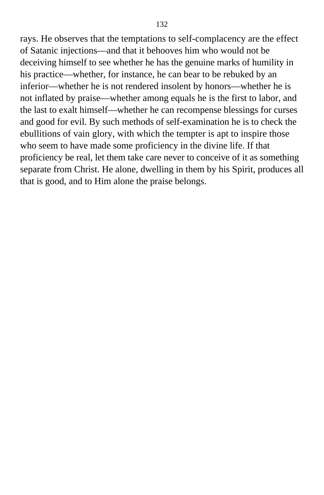rays. He observes that the temptations to self-complacency are the effect of Satanic injections—and that it behooves him who would not be deceiving himself to see whether he has the genuine marks of humility in his practice—whether, for instance, he can bear to be rebuked by an inferior—whether he is not rendered insolent by honors—whether he is not inflated by praise—whether among equals he is the first to labor, and the last to exalt himself—whether he can recompense blessings for curses and good for evil. By such methods of self-examination he is to check the ebullitions of vain glory, with which the tempter is apt to inspire those who seem to have made some proficiency in the divine life. If that proficiency be real, let them take care never to conceive of it as something separate from Christ. He alone, dwelling in them by his Spirit, produces all that is good, and to Him alone the praise belongs.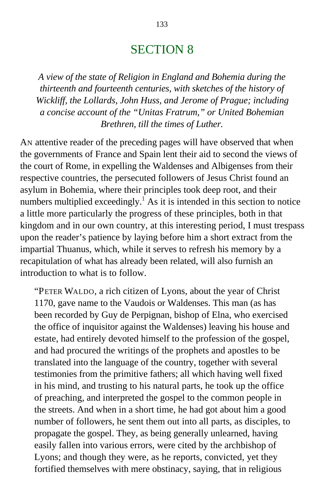## SECTION 8

*A view of the state of Religion in England and Bohemia during the thirteenth and fourteenth centuries, with sketches of the history of Wickliff, the Lollards, John Huss, and Jerome of Prague; including a concise account of the "Unitas Fratrum," or United Bohemian Brethren, till the times of Luther.*

AN attentive reader of the preceding pages will have observed that when the governments of France and Spain lent their aid to second the views of the court of Rome, in expelling the Waldenses and Albigenses from their respective countries, the persecuted followers of Jesus Christ found an asylum in Bohemia, where their principles took deep root, and their numbers multiplied exceedingly.<sup>[1](#page-404-0)</sup> As it is intended in this section to notice a little more particularly the progress of these principles, both in that kingdom and in our own country, at this interesting period, I must trespass upon the reader's patience by laying before him a short extract from the impartial Thuanus, which, while it serves to refresh his memory by a recapitulation of what has already been related, will also furnish an introduction to what is to follow.

"PETER WALDO, a rich citizen of Lyons, about the year of Christ 1170, gave name to the Vaudois or Waldenses. This man (as has been recorded by Guy de Perpignan, bishop of Elna, who exercised the office of inquisitor against the Waldenses) leaving his house and estate, had entirely devoted himself to the profession of the gospel, and had procured the writings of the prophets and apostles to be translated into the language of the country, together with several testimonies from the primitive fathers; all which having well fixed in his mind, and trusting to his natural parts, he took up the office of preaching, and interpreted the gospel to the common people in the streets. And when in a short time, he had got about him a good number of followers, he sent them out into all parts, as disciples, to propagate the gospel. They, as being generally unlearned, having easily fallen into various errors, were cited by the archbishop of Lyons; and though they were, as he reports, convicted, yet they fortified themselves with mere obstinacy, saying, that in religious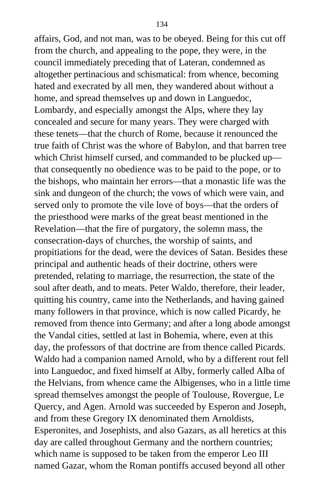affairs, God, and not man, was to be obeyed. Being for this cut off from the church, and appealing to the pope, they were, in the council immediately preceding that of Lateran, condemned as altogether pertinacious and schismatical: from whence, becoming hated and execrated by all men, they wandered about without a home, and spread themselves up and down in Languedoc, Lombardy, and especially amongst the Alps, where they lay concealed and secure for many years. They were charged with these tenets—that the church of Rome, because it renounced the true faith of Christ was the whore of Babylon, and that barren tree which Christ himself cursed, and commanded to be plucked up that consequently no obedience was to be paid to the pope, or to the bishops, who maintain her errors—that a monastic life was the sink and dungeon of the church; the vows of which were vain, and served only to promote the vile love of boys—that the orders of the priesthood were marks of the great beast mentioned in the Revelation—that the fire of purgatory, the solemn mass, the consecration-days of churches, the worship of saints, and propitiations for the dead, were the devices of Satan. Besides these principal and authentic heads of their doctrine, others were pretended, relating to marriage, the resurrection, the state of the soul after death, and to meats. Peter Waldo, therefore, their leader, quitting his country, came into the Netherlands, and having gained many followers in that province, which is now called Picardy, he removed from thence into Germany; and after a long abode amongst the Vandal cities, settled at last in Bohemia, where, even at this day, the professors of that doctrine are from thence called Picards. Waldo had a companion named Arnold, who by a different rout fell into Languedoc, and fixed himself at Alby, formerly called Alba of the Helvians, from whence came the Albigenses, who in a little time spread themselves amongst the people of Toulouse, Rovergue, Le Quercy, and Agen. Arnold was succeeded by Esperon and Joseph, and from these Gregory IX denominated them Arnoldists, Esperonites, and Josephists, and also Gazars, as all heretics at this day are called throughout Germany and the northern countries; which name is supposed to be taken from the emperor Leo III named Gazar, whom the Roman pontiffs accused beyond all other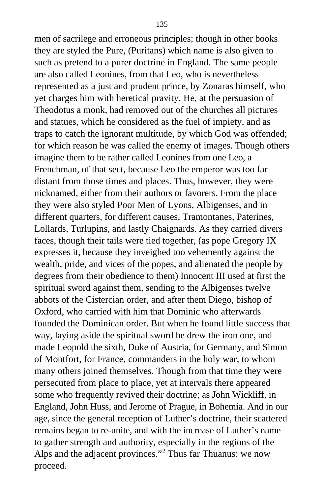men of sacrilege and erroneous principles; though in other books they are styled the Pure, (Puritans) which name is also given to such as pretend to a purer doctrine in England. The same people are also called Leonines, from that Leo, who is nevertheless represented as a just and prudent prince, by Zonaras himself, who yet charges him with heretical pravity. He, at the persuasion of Theodotus a monk, had removed out of the churches all pictures and statues, which he considered as the fuel of impiety, and as traps to catch the ignorant multitude, by which God was offended; for which reason he was called the enemy of images. Though others imagine them to be rather called Leonines from one Leo, a Frenchman, of that sect, because Leo the emperor was too far distant from those times and places. Thus, however, they were nicknamed, either from their authors or favorers. From the place they were also styled Poor Men of Lyons, Albigenses, and in different quarters, for different causes, Tramontanes, Paterines, Lollards, Turlupins, and lastly Chaignards. As they carried divers faces, though their tails were tied together, (as pope Gregory IX expresses it, because they inveighed too vehemently against the wealth, pride, and vices of the popes, and alienated the people by degrees from their obedience to them) Innocent III used at first the spiritual sword against them, sending to the Albigenses twelve abbots of the Cistercian order, and after them Diego, bishop of Oxford, who carried with him that Dominic who afterwards founded the Dominican order. But when he found little success that way, laying aside the spiritual sword he drew the iron one, and made Leopold the sixth, Duke of Austria, for Germany, and Simon of Montfort, for France, commanders in the holy war, to whom many others joined themselves. Though from that time they were persecuted from place to place, yet at intervals there appeared some who frequently revived their doctrine; as John Wickliff, in England, John Huss, and Jerome of Prague, in Bohemia. And in our age, since the general reception of Luther's doctrine, their scattered remains began to re-unite, and with the increase of Luther's name to gather strength and authority, especially in the regions of the Alps and the adjacent provinces."<sup>[2](#page-404-0)</sup> Thus far Thuanus: we now proceed.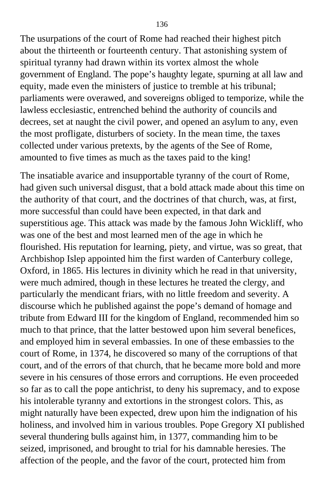The usurpations of the court of Rome had reached their highest pitch about the thirteenth or fourteenth century. That astonishing system of spiritual tyranny had drawn within its vortex almost the whole government of England. The pope's haughty legate, spurning at all law and equity, made even the ministers of justice to tremble at his tribunal; parliaments were overawed, and sovereigns obliged to temporize, while the lawless ecclesiastic, entrenched behind the authority of councils and decrees, set at naught the civil power, and opened an asylum to any, even the most profligate, disturbers of society. In the mean time, the taxes collected under various pretexts, by the agents of the See of Rome, amounted to five times as much as the taxes paid to the king!

The insatiable avarice and insupportable tyranny of the court of Rome, had given such universal disgust, that a bold attack made about this time on the authority of that court, and the doctrines of that church, was, at first, more successful than could have been expected, in that dark and superstitious age. This attack was made by the famous John Wickliff, who was one of the best and most learned men of the age in which he flourished. His reputation for learning, piety, and virtue, was so great, that Archbishop Islep appointed him the first warden of Canterbury college, Oxford, in 1865. His lectures in divinity which he read in that university, were much admired, though in these lectures he treated the clergy, and particularly the mendicant friars, with no little freedom and severity. A discourse which he published against the pope's demand of homage and tribute from Edward III for the kingdom of England, recommended him so much to that prince, that the latter bestowed upon him several benefices, and employed him in several embassies. In one of these embassies to the court of Rome, in 1374, he discovered so many of the corruptions of that court, and of the errors of that church, that he became more bold and more severe in his censures of those errors and corruptions. He even proceeded so far as to call the pope antichrist, to deny his supremacy, and to expose his intolerable tyranny and extortions in the strongest colors. This, as might naturally have been expected, drew upon him the indignation of his holiness, and involved him in various troubles. Pope Gregory XI published several thundering bulls against him, in 1377, commanding him to be seized, imprisoned, and brought to trial for his damnable heresies. The affection of the people, and the favor of the court, protected him from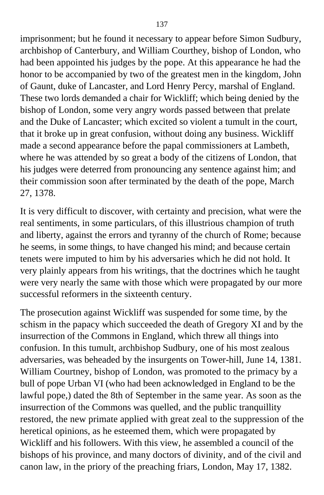imprisonment; but he found it necessary to appear before Simon Sudbury, archbishop of Canterbury, and William Courthey, bishop of London, who had been appointed his judges by the pope. At this appearance he had the honor to be accompanied by two of the greatest men in the kingdom, John of Gaunt, duke of Lancaster, and Lord Henry Percy, marshal of England. These two lords demanded a chair for Wickliff; which being denied by the bishop of London, some very angry words passed between that prelate and the Duke of Lancaster; which excited so violent a tumult in the court, that it broke up in great confusion, without doing any business. Wickliff made a second appearance before the papal commissioners at Lambeth, where he was attended by so great a body of the citizens of London, that his judges were deterred from pronouncing any sentence against him; and their commission soon after terminated by the death of the pope, March 27, 1378.

It is very difficult to discover, with certainty and precision, what were the real sentiments, in some particulars, of this illustrious champion of truth and liberty, against the errors and tyranny of the church of Rome; because he seems, in some things, to have changed his mind; and because certain tenets were imputed to him by his adversaries which he did not hold. It very plainly appears from his writings, that the doctrines which he taught were very nearly the same with those which were propagated by our more successful reformers in the sixteenth century.

The prosecution against Wickliff was suspended for some time, by the schism in the papacy which succeeded the death of Gregory XI and by the insurrection of the Commons in England, which threw all things into confusion. In this tumult, archbishop Sudbury, one of his most zealous adversaries, was beheaded by the insurgents on Tower-hill, June 14, 1381. William Courtney, bishop of London, was promoted to the primacy by a bull of pope Urban VI (who had been acknowledged in England to be the lawful pope,) dated the 8th of September in the same year. As soon as the insurrection of the Commons was quelled, and the public tranquillity restored, the new primate applied with great zeal to the suppression of the heretical opinions, as he esteemed them, which were propagated by Wickliff and his followers. With this view, he assembled a council of the bishops of his province, and many doctors of divinity, and of the civil and canon law, in the priory of the preaching friars, London, May 17, 1382.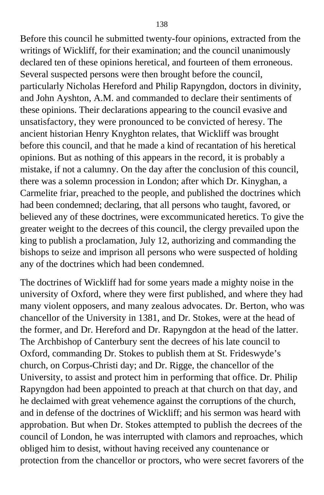Before this council he submitted twenty-four opinions, extracted from the writings of Wickliff, for their examination; and the council unanimously declared ten of these opinions heretical, and fourteen of them erroneous. Several suspected persons were then brought before the council, particularly Nicholas Hereford and Philip Rapyngdon, doctors in divinity, and John Ayshton, A.M. and commanded to declare their sentiments of these opinions. Their declarations appearing to the council evasive and unsatisfactory, they were pronounced to be convicted of heresy. The ancient historian Henry Knyghton relates, that Wickliff was brought before this council, and that he made a kind of recantation of his heretical opinions. But as nothing of this appears in the record, it is probably a mistake, if not a calumny. On the day after the conclusion of this council, there was a solemn procession in London; after which Dr. Kinyghan, a Carmelite friar, preached to the people, and published the doctrines which had been condemned; declaring, that all persons who taught, favored, or believed any of these doctrines, were excommunicated heretics. To give the greater weight to the decrees of this council, the clergy prevailed upon the king to publish a proclamation, July 12, authorizing and commanding the bishops to seize and imprison all persons who were suspected of holding any of the doctrines which had been condemned.

The doctrines of Wickliff had for some years made a mighty noise in the university of Oxford, where they were first published, and where they had many violent opposers, and many zealous advocates. Dr. Berton, who was chancellor of the University in 1381, and Dr. Stokes, were at the head of the former, and Dr. Hereford and Dr. Rapyngdon at the head of the latter. The Archbishop of Canterbury sent the decrees of his late council to Oxford, commanding Dr. Stokes to publish them at St. Frideswyde's church, on Corpus-Christi day; and Dr. Rigge, the chancellor of the University, to assist and protect him in performing that office. Dr. Philip Rapyngdon had been appointed to preach at that church on that day, and he declaimed with great vehemence against the corruptions of the church, and in defense of the doctrines of Wickliff; and his sermon was heard with approbation. But when Dr. Stokes attempted to publish the decrees of the council of London, he was interrupted with clamors and reproaches, which obliged him to desist, without having received any countenance or protection from the chancellor or proctors, who were secret favorers of the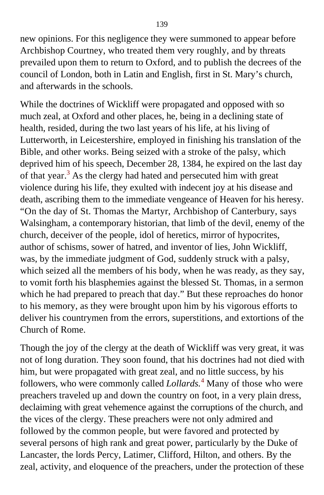new opinions. For this negligence they were summoned to appear before Archbishop Courtney, who treated them very roughly, and by threats prevailed upon them to return to Oxford, and to publish the decrees of the council of London, both in Latin and English, first in St. Mary's church, and afterwards in the schools.

While the doctrines of Wickliff were propagated and opposed with so much zeal, at Oxford and other places, he, being in a declining state of health, resided, during the two last years of his life, at his living of Lutterworth, in Leicestershire, employed in finishing his translation of the Bible, and other works. Being seized with a stroke of the palsy, which deprived him of his speech, December 28, 1384, he expired on the last day of that year.<sup>[3](#page-404-0)</sup> As the clergy had hated and persecuted him with great violence during his life, they exulted with indecent joy at his disease and death, ascribing them to the immediate vengeance of Heaven for his heresy. "On the day of St. Thomas the Martyr, Archbishop of Canterbury, says Walsingham, a contemporary historian, that limb of the devil, enemy of the church, deceiver of the people, idol of heretics, mirror of hypocrites, author of schisms, sower of hatred, and inventor of lies, John Wickliff, was, by the immediate judgment of God, suddenly struck with a palsy, which seized all the members of his body, when he was ready, as they say, to vomit forth his blasphemies against the blessed St. Thomas, in a sermon which he had prepared to preach that day." But these reproaches do honor to his memory, as they were brought upon him by his vigorous efforts to deliver his countrymen from the errors, superstitions, and extortions of the Church of Rome.

Though the joy of the clergy at the death of Wickliff was very great, it was not of long duration. They soon found, that his doctrines had not died with him, but were propagated with great zeal, and no little success, by his followers, who were commonly called *Lollards.*[4](#page-406-0) Many of those who were preachers traveled up and down the country on foot, in a very plain dress, declaiming with great vehemence against the corruptions of the church, and the vices of the clergy. These preachers were not only admired and followed by the common people, but were favored and protected by several persons of high rank and great power, particularly by the Duke of Lancaster, the lords Percy, Latimer, Clifford, Hilton, and others. By the zeal, activity, and eloquence of the preachers, under the protection of these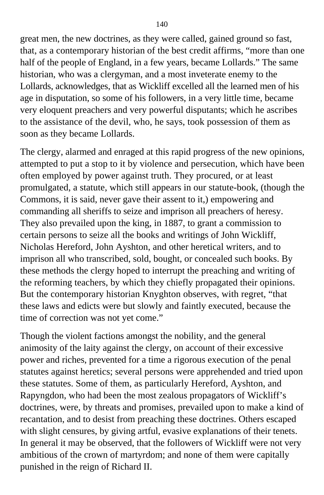great men, the new doctrines, as they were called, gained ground so fast, that, as a contemporary historian of the best credit affirms, "more than one half of the people of England, in a few years, became Lollards." The same historian, who was a clergyman, and a most inveterate enemy to the Lollards, acknowledges, that as Wickliff excelled all the learned men of his age in disputation, so some of his followers, in a very little time, became very eloquent preachers and very powerful disputants; which he ascribes to the assistance of the devil, who, he says, took possession of them as soon as they became Lollards.

The clergy, alarmed and enraged at this rapid progress of the new opinions, attempted to put a stop to it by violence and persecution, which have been often employed by power against truth. They procured, or at least promulgated, a statute, which still appears in our statute-book, (though the Commons, it is said, never gave their assent to it,) empowering and commanding all sheriffs to seize and imprison all preachers of heresy. They also prevailed upon the king, in 1887, to grant a commission to certain persons to seize all the books and writings of John Wickliff, Nicholas Hereford, John Ayshton, and other heretical writers, and to imprison all who transcribed, sold, bought, or concealed such books. By these methods the clergy hoped to interrupt the preaching and writing of the reforming teachers, by which they chiefly propagated their opinions. But the contemporary historian Knyghton observes, with regret, "that these laws and edicts were but slowly and faintly executed, because the time of correction was not yet come."

Though the violent factions amongst the nobility, and the general animosity of the laity against the clergy, on account of their excessive power and riches, prevented for a time a rigorous execution of the penal statutes against heretics; several persons were apprehended and tried upon these statutes. Some of them, as particularly Hereford, Ayshton, and Rapyngdon, who had been the most zealous propagators of Wickliff's doctrines, were, by threats and promises, prevailed upon to make a kind of recantation, and to desist from preaching these doctrines. Others escaped with slight censures, by giving artful, evasive explanations of their tenets. In general it may be observed, that the followers of Wickliff were not very ambitious of the crown of martyrdom; and none of them were capitally punished in the reign of Richard II.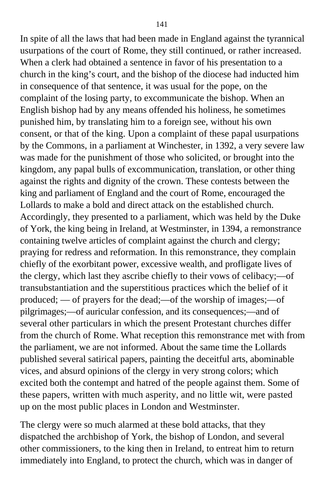In spite of all the laws that had been made in England against the tyrannical usurpations of the court of Rome, they still continued, or rather increased. When a clerk had obtained a sentence in favor of his presentation to a church in the king's court, and the bishop of the diocese had inducted him in consequence of that sentence, it was usual for the pope, on the complaint of the losing party, to excommunicate the bishop. When an English bishop had by any means offended his holiness, he sometimes punished him, by translating him to a foreign see, without his own consent, or that of the king. Upon a complaint of these papal usurpations by the Commons, in a parliament at Winchester, in 1392, a very severe law was made for the punishment of those who solicited, or brought into the kingdom, any papal bulls of excommunication, translation, or other thing against the rights and dignity of the crown. These contests between the king and parliament of England and the court of Rome, encouraged the Lollards to make a bold and direct attack on the established church. Accordingly, they presented to a parliament, which was held by the Duke of York, the king being in Ireland, at Westminster, in 1394, a remonstrance containing twelve articles of complaint against the church and clergy; praying for redress and reformation. In this remonstrance, they complain chiefly of the exorbitant power, excessive wealth, and profligate lives of the clergy, which last they ascribe chiefly to their vows of celibacy;—of transubstantiation and the superstitious practices which the belief of it produced; — of prayers for the dead;—of the worship of images;—of pilgrimages;—of auricular confession, and its consequences;—and of several other particulars in which the present Protestant churches differ from the church of Rome. What reception this remonstrance met with from the parliament, we are not informed. About the same time the Lollards published several satirical papers, painting the deceitful arts, abominable vices, and absurd opinions of the clergy in very strong colors; which excited both the contempt and hatred of the people against them. Some of these papers, written with much asperity, and no little wit, were pasted up on the most public places in London and Westminster.

The clergy were so much alarmed at these bold attacks, that they dispatched the archbishop of York, the bishop of London, and several other commissioners, to the king then in Ireland, to entreat him to return immediately into England, to protect the church, which was in danger of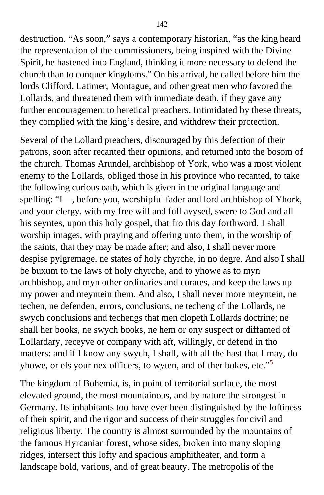destruction. "As soon," says a contemporary historian, "as the king heard the representation of the commissioners, being inspired with the Divine Spirit, he hastened into England, thinking it more necessary to defend the church than to conquer kingdoms." On his arrival, he called before him the lords Clifford, Latimer, Montague, and other great men who favored the Lollards, and threatened them with immediate death, if they gave any further encouragement to heretical preachers. Intimidated by these threats, they complied with the king's desire, and withdrew their protection.

Several of the Lollard preachers, discouraged by this defection of their patrons, soon after recanted their opinions, and returned into the bosom of the church. Thomas Arundel, archbishop of York, who was a most violent enemy to the Lollards, obliged those in his province who recanted, to take the following curious oath, which is given in the original language and spelling: "I—, before you, worshipful fader and lord archbishop of Yhork, and your clergy, with my free will and full avysed, swere to God and all his seyntes, upon this holy gospel, that fro this day forthword, I shall worship images, with praying and offering unto them, in the worship of the saints, that they may be made after; and also, I shall never more despise pylgremage, ne states of holy chyrche, in no degre. And also I shall be buxum to the laws of holy chyrche, and to yhowe as to myn archbishop, and myn other ordinaries and curates, and keep the laws up my power and meyntein them. And also, I shall never more meyntein, ne techen, ne defenden, errors, conclusions, ne techeng of the Lollards, ne swych conclusions and techengs that men clopeth Lollards doctrine; ne shall her books, ne swych books, ne hem or ony suspect or diffamed of Lollardary, receyve or company with aft, willingly, or defend in tho matters: and if I know any swych, I shall, with all the hast that I may, do yhowe, or els your nex officers, to wyten, and of ther bokes, etc."[5](#page-407-0)

The kingdom of Bohemia, is, in point of territorial surface, the most elevated ground, the most mountainous, and by nature the strongest in Germany. Its inhabitants too have ever been distinguished by the loftiness of their spirit, and the rigor and success of their struggles for civil and religious liberty. The country is almost surrounded by the mountains of the famous Hyrcanian forest, whose sides, broken into many sloping ridges, intersect this lofty and spacious amphitheater, and form a landscape bold, various, and of great beauty. The metropolis of the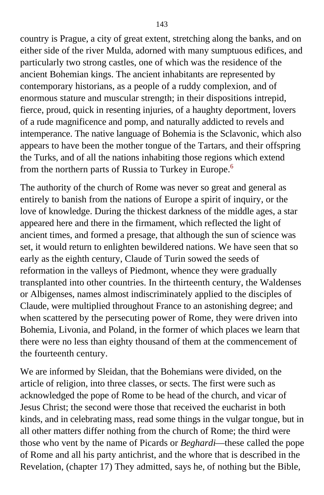country is Prague, a city of great extent, stretching along the banks, and on either side of the river Mulda, adorned with many sumptuous edifices, and particularly two strong castles, one of which was the residence of the ancient Bohemian kings. The ancient inhabitants are represented by contemporary historians, as a people of a ruddy complexion, and of enormous stature and muscular strength; in their dispositions intrepid, fierce, proud, quick in resenting injuries, of a haughty deportment, lovers of a rude magnificence and pomp, and naturally addicted to revels and intemperance. The native language of Bohemia is the Sclavonic, which also appears to have been the mother tongue of the Tartars, and their offspring the Turks, and of all the nations inhabiting those regions which extend from the northern parts of Russia to Turkey in Europe.<sup>[6](#page-407-0)</sup>

The authority of the church of Rome was never so great and general as entirely to banish from the nations of Europe a spirit of inquiry, or the love of knowledge. During the thickest darkness of the middle ages, a star appeared here and there in the firmament, which reflected the light of ancient times, and formed a presage, that although the sun of science was set, it would return to enlighten bewildered nations. We have seen that so early as the eighth century, Claude of Turin sowed the seeds of reformation in the valleys of Piedmont, whence they were gradually transplanted into other countries. In the thirteenth century, the Waldenses or Albigenses, names almost indiscriminately applied to the disciples of Claude, were multiplied throughout France to an astonishing degree; and when scattered by the persecuting power of Rome, they were driven into Bohemia, Livonia, and Poland, in the former of which places we learn that there were no less than eighty thousand of them at the commencement of the fourteenth century.

We are informed by Sleidan, that the Bohemians were divided, on the article of religion, into three classes, or sects. The first were such as acknowledged the pope of Rome to be head of the church, and vicar of Jesus Christ; the second were those that received the eucharist in both kinds, and in celebrating mass, read some things in the vulgar tongue, but in all other matters differ nothing from the church of Rome; the third were those who vent by the name of Picards or *Beghardi*—these called the pope of Rome and all his party antichrist, and the whore that is described in the Revelation, (chapter 17) They admitted, says he, of nothing but the Bible,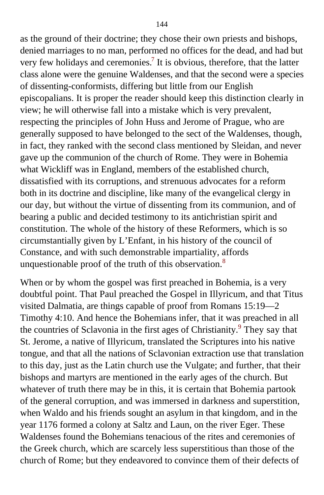as the ground of their doctrine; they chose their own priests and bishops, denied marriages to no man, performed no offices for the dead, and had but very few holidays and ceremonies.<sup>[7](#page-407-0)</sup> It is obvious, therefore, that the latter class alone were the genuine Waldenses, and that the second were a species of dissenting-conformists, differing but little from our English episcopalians. It is proper the reader should keep this distinction clearly in view; he will otherwise fall into a mistake which is very prevalent, respecting the principles of John Huss and Jerome of Prague, who are generally supposed to have belonged to the sect of the Waldenses, though, in fact, they ranked with the second class mentioned by Sleidan, and never gave up the communion of the church of Rome. They were in Bohemia what Wickliff was in England, members of the established church, dissatisfied with its corruptions, and strenuous advocates for a reform both in its doctrine and discipline, like many of the evangelical clergy in our day, but without the virtue of dissenting from its communion, and of bearing a public and decided testimony to its antichristian spirit and constitution. The whole of the history of these Reformers, which is so circumstantially given by L'Enfant, in his history of the council of Constance, and with such demonstrable impartiality, affords unquestionable proof of the truth of this observation.<sup>[8](#page-407-0)</sup>

When or by whom the gospel was first preached in Bohemia, is a very doubtful point. That Paul preached the Gospel in Illyricum, and that Titus visited Dalmatia, are things capable of proof from Romans 15:19—2 Timothy 4:10. And hence the Bohemians infer, that it was preached in all the countries of Sclavonia in the first ages of Christianity.<sup>[9](#page-407-0)</sup> They say that St. Jerome, a native of Illyricum, translated the Scriptures into his native tongue, and that all the nations of Sclavonian extraction use that translation to this day, just as the Latin church use the Vulgate; and further, that their bishops and martyrs are mentioned in the early ages of the church. But whatever of truth there may be in this, it is certain that Bohemia partook of the general corruption, and was immersed in darkness and superstition, when Waldo and his friends sought an asylum in that kingdom, and in the year 1176 formed a colony at Saltz and Laun, on the river Eger. These Waldenses found the Bohemians tenacious of the rites and ceremonies of the Greek church, which are scarcely less superstitious than those of the church of Rome; but they endeavored to convince them of their defects of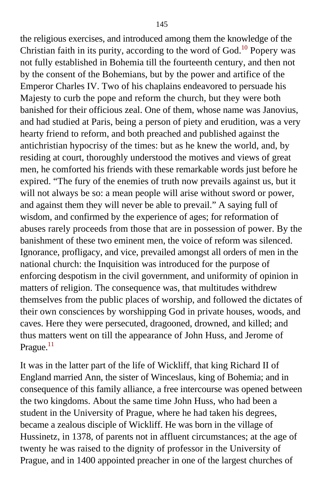the religious exercises, and introduced among them the knowledge of the Christian faith in its purity, according to the word of God.<sup>[10](#page-407-0)</sup> Popery was not fully established in Bohemia till the fourteenth century, and then not by the consent of the Bohemians, but by the power and artifice of the Emperor Charles IV. Two of his chaplains endeavored to persuade his Majesty to curb the pope and reform the church, but they were both banished for their officious zeal. One of them, whose name was Janovius, and had studied at Paris, being a person of piety and erudition, was a very hearty friend to reform, and both preached and published against the antichristian hypocrisy of the times: but as he knew the world, and, by residing at court, thoroughly understood the motives and views of great men, he comforted his friends with these remarkable words just before he expired. "The fury of the enemies of truth now prevails against us, but it will not always be so: a mean people will arise without sword or power, and against them they will never be able to prevail." A saying full of wisdom, and confirmed by the experience of ages; for reformation of abuses rarely proceeds from those that are in possession of power. By the banishment of these two eminent men, the voice of reform was silenced. Ignorance, profligacy, and vice, prevailed amongst all orders of men in the national church: the Inquisition was introduced for the purpose of enforcing despotism in the civil government, and uniformity of opinion in matters of religion. The consequence was, that multitudes withdrew themselves from the public places of worship, and followed the dictates of their own consciences by worshipping God in private houses, woods, and caves. Here they were persecuted, dragooned, drowned, and killed; and thus matters went on till the appearance of John Huss, and Jerome of Prague. $^{11}$  $^{11}$  $^{11}$ 

It was in the latter part of the life of Wickliff, that king Richard II of England married Ann, the sister of Winceslaus, king of Bohemia; and in consequence of this family alliance, a free intercourse was opened between the two kingdoms. About the same time John Huss, who had been a student in the University of Prague, where he had taken his degrees, became a zealous disciple of Wickliff. He was born in the village of Hussinetz, in 1378, of parents not in affluent circumstances; at the age of twenty he was raised to the dignity of professor in the University of Prague, and in 1400 appointed preacher in one of the largest churches of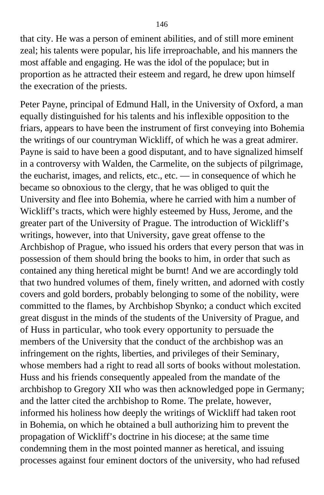that city. He was a person of eminent abilities, and of still more eminent zeal; his talents were popular, his life irreproachable, and his manners the most affable and engaging. He was the idol of the populace; but in proportion as he attracted their esteem and regard, he drew upon himself the execration of the priests.

Peter Payne, principal of Edmund Hall, in the University of Oxford, a man equally distinguished for his talents and his inflexible opposition to the friars, appears to have been the instrument of first conveying into Bohemia the writings of our countryman Wickliff, of which he was a great admirer. Payne is said to have been a good disputant, and to have signalized himself in a controversy with Walden, the Carmelite, on the subjects of pilgrimage, the eucharist, images, and relicts, etc., etc. — in consequence of which he became so obnoxious to the clergy, that he was obliged to quit the University and flee into Bohemia, where he carried with him a number of Wickliff's tracts, which were highly esteemed by Huss, Jerome, and the greater part of the University of Prague. The introduction of Wickliff's writings, however, into that University, gave great offense to the Archbishop of Prague, who issued his orders that every person that was in possession of them should bring the books to him, in order that such as contained any thing heretical might be burnt! And we are accordingly told that two hundred volumes of them, finely written, and adorned with costly covers and gold borders, probably belonging to some of the nobility, were committed to the flames, by Archbishop Sbynko; a conduct which excited great disgust in the minds of the students of the University of Prague, and of Huss in particular, who took every opportunity to persuade the members of the University that the conduct of the archbishop was an infringement on the rights, liberties, and privileges of their Seminary, whose members had a right to read all sorts of books without molestation. Huss and his friends consequently appealed from the mandate of the archbishop to Gregory XII who was then acknowledged pope in Germany; and the latter cited the archbishop to Rome. The prelate, however, informed his holiness how deeply the writings of Wickliff had taken root in Bohemia, on which he obtained a bull authorizing him to prevent the propagation of Wickliff's doctrine in his diocese; at the same time condemning them in the most pointed manner as heretical, and issuing processes against four eminent doctors of the university, who had refused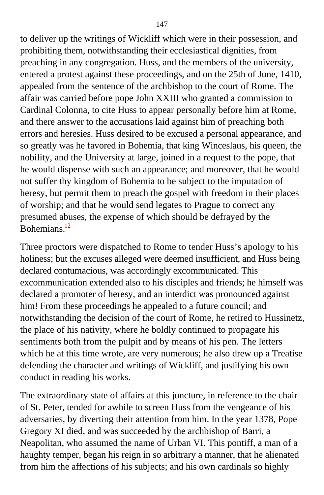to deliver up the writings of Wickliff which were in their possession, and prohibiting them, notwithstanding their ecclesiastical dignities, from preaching in any congregation. Huss, and the members of the university, entered a protest against these proceedings, and on the 25th of June, 1410, appealed from the sentence of the archbishop to the court of Rome. The affair was carried before pope John XXIII who granted a commission to Cardinal Colonna, to cite Huss to appear personally before him at Rome, and there answer to the accusations laid against him of preaching both errors and heresies. Huss desired to be excused a personal appearance, and so greatly was he favored in Bohemia, that king Winceslaus, his queen, the nobility, and the University at large, joined in a request to the pope, that he would dispense with such an appearance; and moreover, that he would not suffer thy kingdom of Bohemia to be subject to the imputation of heresy, but permit them to preach the gospel with freedom in their places of worship; and that he would send legates to Prague to correct any presumed abuses, the expense of which should be defrayed by the Bohemians<sup>[12](#page-407-0)</sup>

Three proctors were dispatched to Rome to tender Huss's apology to his holiness; but the excuses alleged were deemed insufficient, and Huss being declared contumacious, was accordingly excommunicated. This excommunication extended also to his disciples and friends; he himself was declared a promoter of heresy, and an interdict was pronounced against him! From these proceedings he appealed to a future council; and notwithstanding the decision of the court of Rome, he retired to Hussinetz, the place of his nativity, where he boldly continued to propagate his sentiments both from the pulpit and by means of his pen. The letters which he at this time wrote, are very numerous; he also drew up a Treatise defending the character and writings of Wickliff, and justifying his own conduct in reading his works.

The extraordinary state of affairs at this juncture, in reference to the chair of St. Peter, tended for awhile to screen Huss from the vengeance of his adversaries, by diverting their attention from him. In the year 1378, Pope Gregory XI died, and was succeeded by the archbishop of Barri, a Neapolitan, who assumed the name of Urban VI. This pontiff, a man of a haughty temper, began his reign in so arbitrary a manner, that he alienated from him the affections of his subjects; and his own cardinals so highly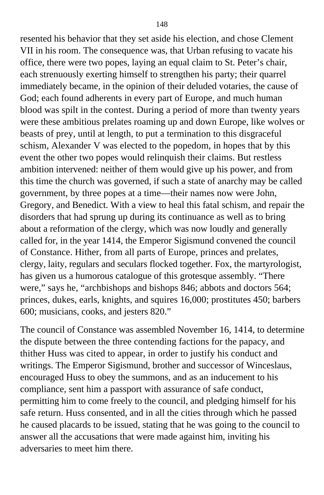resented his behavior that they set aside his election, and chose Clement VII in his room. The consequence was, that Urban refusing to vacate his office, there were two popes, laying an equal claim to St. Peter's chair, each strenuously exerting himself to strengthen his party; their quarrel immediately became, in the opinion of their deluded votaries, the cause of God; each found adherents in every part of Europe, and much human blood was spilt in the contest. During a period of more than twenty years were these ambitious prelates roaming up and down Europe, like wolves or beasts of prey, until at length, to put a termination to this disgraceful schism, Alexander V was elected to the popedom, in hopes that by this event the other two popes would relinquish their claims. But restless ambition intervened: neither of them would give up his power, and from this time the church was governed, if such a state of anarchy may be called government, by three popes at a time—their names now were John, Gregory, and Benedict. With a view to heal this fatal schism, and repair the disorders that had sprung up during its continuance as well as to bring about a reformation of the clergy, which was now loudly and generally called for, in the year 1414, the Emperor Sigismund convened the council of Constance. Hither, from all parts of Europe, princes and prelates, clergy, laity, regulars and seculars flocked together. Fox, the martyrologist, has given us a humorous catalogue of this grotesque assembly. "There were," says he, "archbishops and bishops 846; abbots and doctors 564; princes, dukes, earls, knights, and squires 16,000; prostitutes 450; barbers 600; musicians, cooks, and jesters 820."

The council of Constance was assembled November 16, 1414, to determine the dispute between the three contending factions for the papacy, and thither Huss was cited to appear, in order to justify his conduct and writings. The Emperor Sigismund, brother and successor of Winceslaus, encouraged Huss to obey the summons, and as an inducement to his compliance, sent him a passport with assurance of safe conduct, permitting him to come freely to the council, and pledging himself for his safe return. Huss consented, and in all the cities through which he passed he caused placards to be issued, stating that he was going to the council to answer all the accusations that were made against him, inviting his adversaries to meet him there.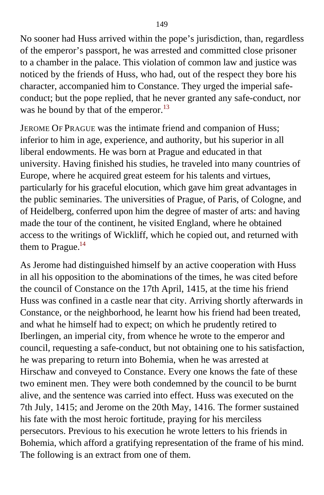No sooner had Huss arrived within the pope's jurisdiction, than, regardless of the emperor's passport, he was arrested and committed close prisoner to a chamber in the palace. This violation of common law and justice was noticed by the friends of Huss, who had, out of the respect they bore his character, accompanied him to Constance. They urged the imperial safeconduct; but the pope replied, that he never granted any safe-conduct, nor was he bound by that of the emperor.<sup>[13](#page-407-0)</sup>

JEROME OF PRAGUE was the intimate friend and companion of Huss; inferior to him in age, experience, and authority, but his superior in all liberal endowments. He was born at Prague and educated in that university. Having finished his studies, he traveled into many countries of Europe, where he acquired great esteem for his talents and virtues, particularly for his graceful elocution, which gave him great advantages in the public seminaries. The universities of Prague, of Paris, of Cologne, and of Heidelberg, conferred upon him the degree of master of arts: and having made the tour of the continent, he visited England, where he obtained access to the writings of Wickliff, which he copied out, and returned with them to Prague. $^{14}$  $^{14}$  $^{14}$ 

As Jerome had distinguished himself by an active cooperation with Huss in all his opposition to the abominations of the times, he was cited before the council of Constance on the 17th April, 1415, at the time his friend Huss was confined in a castle near that city. Arriving shortly afterwards in Constance, or the neighborhood, he learnt how his friend had been treated, and what he himself had to expect; on which he prudently retired to Iberlingen, an imperial city, from whence he wrote to the emperor and council, requesting a safe-conduct, but not obtaining one to his satisfaction, he was preparing to return into Bohemia, when he was arrested at Hirschaw and conveyed to Constance. Every one knows the fate of these two eminent men. They were both condemned by the council to be burnt alive, and the sentence was carried into effect. Huss was executed on the 7th July, 1415; and Jerome on the 20th May, 1416. The former sustained his fate with the most heroic fortitude, praying for his merciless persecutors. Previous to his execution he wrote letters to his friends in Bohemia, which afford a gratifying representation of the frame of his mind. The following is an extract from one of them.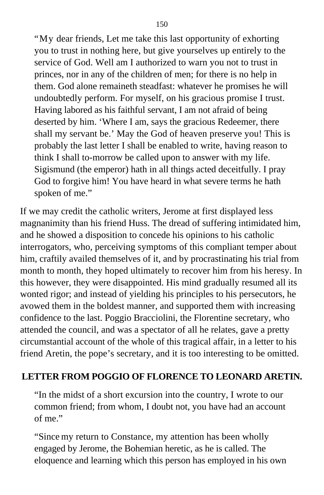"My dear friends, Let me take this last opportunity of exhorting you to trust in nothing here, but give yourselves up entirely to the service of God. Well am I authorized to warn you not to trust in princes, nor in any of the children of men; for there is no help in them. God alone remaineth steadfast: whatever he promises he will undoubtedly perform. For myself, on his gracious promise I trust. Having labored as his faithful servant, I am not afraid of being deserted by him. 'Where I am, says the gracious Redeemer, there shall my servant be.' May the God of heaven preserve you! This is probably the last letter I shall be enabled to write, having reason to think I shall to-morrow be called upon to answer with my life. Sigismund (the emperor) hath in all things acted deceitfully. I pray God to forgive him! You have heard in what severe terms he hath spoken of me."

If we may credit the catholic writers, Jerome at first displayed less magnanimity than his friend Huss. The dread of suffering intimidated him, and he showed a disposition to concede his opinions to his catholic interrogators, who, perceiving symptoms of this compliant temper about him, craftily availed themselves of it, and by procrastinating his trial from month to month, they hoped ultimately to recover him from his heresy. In this however, they were disappointed. His mind gradually resumed all its wonted rigor; and instead of yielding his principles to his persecutors, he avowed them in the boldest manner, and supported them with increasing confidence to the last. Poggio Bracciolini, the Florentine secretary, who attended the council, and was a spectator of all he relates, gave a pretty circumstantial account of the whole of this tragical affair, in a letter to his friend Aretin, the pope's secretary, and it is too interesting to be omitted.

#### **LETTER FROM POGGIO OF FLORENCE TO LEONARD ARETIN.**

"In the midst of a short excursion into the country, I wrote to our common friend; from whom, I doubt not, you have had an account of me."

"Since my return to Constance, my attention has been wholly engaged by Jerome, the Bohemian heretic, as he is called. The eloquence and learning which this person has employed in his own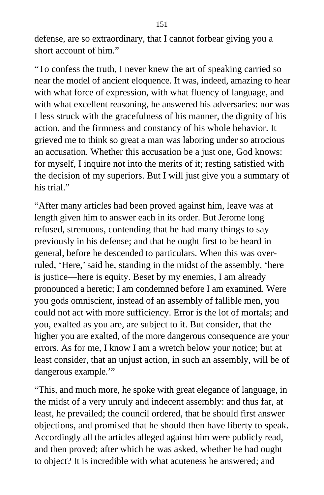defense, are so extraordinary, that I cannot forbear giving you a short account of him."

"To confess the truth, I never knew the art of speaking carried so near the model of ancient eloquence. It was, indeed, amazing to hear with what force of expression, with what fluency of language, and with what excellent reasoning, he answered his adversaries: nor was I less struck with the gracefulness of his manner, the dignity of his action, and the firmness and constancy of his whole behavior. It grieved me to think so great a man was laboring under so atrocious an accusation. Whether this accusation be a just one, God knows: for myself, I inquire not into the merits of it; resting satisfied with the decision of my superiors. But I will just give you a summary of his trial."

"After many articles had been proved against him, leave was at length given him to answer each in its order. But Jerome long refused, strenuous, contending that he had many things to say previously in his defense; and that he ought first to be heard in general, before he descended to particulars. When this was overruled, 'Here,' said he, standing in the midst of the assembly, 'here is justice—here is equity. Beset by my enemies, I am already pronounced a heretic; I am condemned before I am examined. Were you gods omniscient, instead of an assembly of fallible men, you could not act with more sufficiency. Error is the lot of mortals; and you, exalted as you are, are subject to it. But consider, that the higher you are exalted, of the more dangerous consequence are your errors. As for me, I know I am a wretch below your notice; but at least consider, that an unjust action, in such an assembly, will be of dangerous example.'"

"This, and much more, he spoke with great elegance of language, in the midst of a very unruly and indecent assembly: and thus far, at least, he prevailed; the council ordered, that he should first answer objections, and promised that he should then have liberty to speak. Accordingly all the articles alleged against him were publicly read, and then proved; after which he was asked, whether he had ought to object? It is incredible with what acuteness he answered; and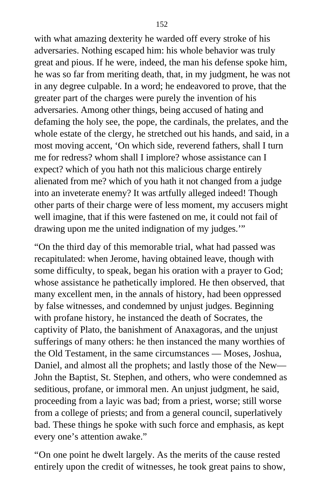with what amazing dexterity he warded off every stroke of his adversaries. Nothing escaped him: his whole behavior was truly great and pious. If he were, indeed, the man his defense spoke him, he was so far from meriting death, that, in my judgment, he was not in any degree culpable. In a word; he endeavored to prove, that the greater part of the charges were purely the invention of his adversaries. Among other things, being accused of hating and defaming the holy see, the pope, the cardinals, the prelates, and the whole estate of the clergy, he stretched out his hands, and said, in a most moving accent, 'On which side, reverend fathers, shall I turn me for redress? whom shall I implore? whose assistance can I expect? which of you hath not this malicious charge entirely alienated from me? which of you hath it not changed from a judge into an inveterate enemy? It was artfully alleged indeed! Though other parts of their charge were of less moment, my accusers might well imagine, that if this were fastened on me, it could not fail of drawing upon me the united indignation of my judges.'"

"On the third day of this memorable trial, what had passed was recapitulated: when Jerome, having obtained leave, though with some difficulty, to speak, began his oration with a prayer to God; whose assistance he pathetically implored. He then observed, that many excellent men, in the annals of history, had been oppressed by false witnesses, and condemned by unjust judges. Beginning with profane history, he instanced the death of Socrates, the captivity of Plato, the banishment of Anaxagoras, and the unjust sufferings of many others: he then instanced the many worthies of the Old Testament, in the same circumstances — Moses, Joshua, Daniel, and almost all the prophets; and lastly those of the New— John the Baptist, St. Stephen, and others, who were condemned as seditious, profane, or immoral men. An unjust judgment, he said, proceeding from a layic was bad; from a priest, worse; still worse from a college of priests; and from a general council, superlatively bad. These things he spoke with such force and emphasis, as kept every one's attention awake."

"On one point he dwelt largely. As the merits of the cause rested entirely upon the credit of witnesses, he took great pains to show,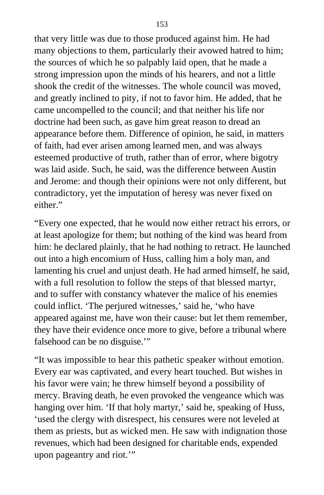that very little was due to those produced against him. He had many objections to them, particularly their avowed hatred to him; the sources of which he so palpably laid open, that he made a strong impression upon the minds of his hearers, and not a little shook the credit of the witnesses. The whole council was moved, and greatly inclined to pity, if not to favor him. He added, that he came uncompelled to the council; and that neither his life nor doctrine had been such, as gave him great reason to dread an appearance before them. Difference of opinion, he said, in matters of faith, had ever arisen among learned men, and was always esteemed productive of truth, rather than of error, where bigotry was laid aside. Such, he said, was the difference between Austin and Jerome: and though their opinions were not only different, but contradictory, yet the imputation of heresy was never fixed on either."

"Every one expected, that he would now either retract his errors, or at least apologize for them; but nothing of the kind was heard from him: he declared plainly, that he had nothing to retract. He launched out into a high encomium of Huss, calling him a holy man, and lamenting his cruel and unjust death. He had armed himself, he said, with a full resolution to follow the steps of that blessed martyr, and to suffer with constancy whatever the malice of his enemies could inflict. 'The perjured witnesses,' said he, 'who have appeared against me, have won their cause: but let them remember, they have their evidence once more to give, before a tribunal where falsehood can be no disguise."

"It was impossible to hear this pathetic speaker without emotion. Every ear was captivated, and every heart touched. But wishes in his favor were vain; he threw himself beyond a possibility of mercy. Braving death, he even provoked the vengeance which was hanging over him. 'If that holy martyr,' said he, speaking of Huss, 'used the clergy with disrespect, his censures were not leveled at them as priests, but as wicked men. He saw with indignation those revenues, which had been designed for charitable ends, expended upon pageantry and riot."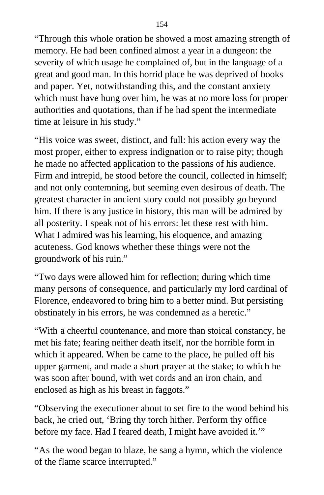"Through this whole oration he showed a most amazing strength of memory. He had been confined almost a year in a dungeon: the severity of which usage he complained of, but in the language of a great and good man. In this horrid place he was deprived of books and paper. Yet, notwithstanding this, and the constant anxiety which must have hung over him, he was at no more loss for proper authorities and quotations, than if he had spent the intermediate time at leisure in his study."

"His voice was sweet, distinct, and full: his action every way the most proper, either to express indignation or to raise pity; though he made no affected application to the passions of his audience. Firm and intrepid, he stood before the council, collected in himself; and not only contemning, but seeming even desirous of death. The greatest character in ancient story could not possibly go beyond him. If there is any justice in history, this man will be admired by all posterity. I speak not of his errors: let these rest with him. What I admired was his learning, his eloquence, and amazing acuteness. God knows whether these things were not the groundwork of his ruin."

"Two days were allowed him for reflection; during which time many persons of consequence, and particularly my lord cardinal of Florence, endeavored to bring him to a better mind. But persisting obstinately in his errors, he was condemned as a heretic."

"With a cheerful countenance, and more than stoical constancy, he met his fate; fearing neither death itself, nor the horrible form in which it appeared. When be came to the place, he pulled off his upper garment, and made a short prayer at the stake; to which he was soon after bound, with wet cords and an iron chain, and enclosed as high as his breast in faggots."

"Observing the executioner about to set fire to the wood behind his back, he cried out, 'Bring thy torch hither. Perform thy office before my face. Had I feared death, I might have avoided it.'"

"As the wood began to blaze, he sang a hymn, which the violence of the flame scarce interrupted."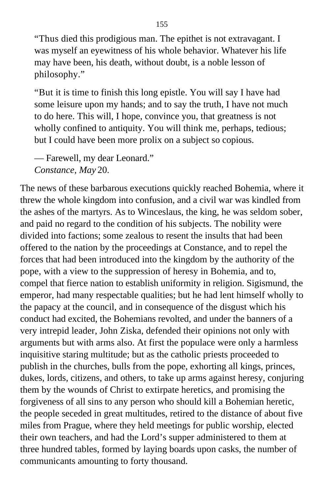"Thus died this prodigious man. The epithet is not extravagant. I was myself an eyewitness of his whole behavior. Whatever his life may have been, his death, without doubt, is a noble lesson of philosophy."

"But it is time to finish this long epistle. You will say I have had some leisure upon my hands; and to say the truth, I have not much to do here. This will, I hope, convince you, that greatness is not wholly confined to antiquity. You will think me, perhaps, tedious; but I could have been more prolix on a subject so copious.

— Farewell, my dear Leonard." *Constance, May* 20.

The news of these barbarous executions quickly reached Bohemia, where it threw the whole kingdom into confusion, and a civil war was kindled from the ashes of the martyrs. As to Winceslaus, the king, he was seldom sober, and paid no regard to the condition of his subjects. The nobility were divided into factions; some zealous to resent the insults that had been offered to the nation by the proceedings at Constance, and to repel the forces that had been introduced into the kingdom by the authority of the pope, with a view to the suppression of heresy in Bohemia, and to, compel that fierce nation to establish uniformity in religion. Sigismund, the emperor, had many respectable qualities; but he had lent himself wholly to the papacy at the council, and in consequence of the disgust which his conduct had excited, the Bohemians revolted, and under the banners of a very intrepid leader, John Ziska, defended their opinions not only with arguments but with arms also. At first the populace were only a harmless inquisitive staring multitude; but as the catholic priests proceeded to publish in the churches, bulls from the pope, exhorting all kings, princes, dukes, lords, citizens, and others, to take up arms against heresy, conjuring them by the wounds of Christ to extirpate heretics, and promising the forgiveness of all sins to any person who should kill a Bohemian heretic, the people seceded in great multitudes, retired to the distance of about five miles from Prague, where they held meetings for public worship, elected their own teachers, and had the Lord's supper administered to them at three hundred tables, formed by laying boards upon casks, the number of communicants amounting to forty thousand.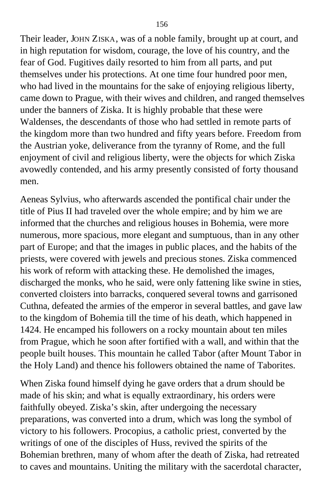Their leader, JOHN ZISKA, was of a noble family, brought up at court, and in high reputation for wisdom, courage, the love of his country, and the fear of God. Fugitives daily resorted to him from all parts, and put themselves under his protections. At one time four hundred poor men, who had lived in the mountains for the sake of enjoying religious liberty, came down to Prague, with their wives and children, and ranged themselves under the banners of Ziska. It is highly probable that these were Waldenses, the descendants of those who had settled in remote parts of the kingdom more than two hundred and fifty years before. Freedom from the Austrian yoke, deliverance from the tyranny of Rome, and the full enjoyment of civil and religious liberty, were the objects for which Ziska avowedly contended, and his army presently consisted of forty thousand men.

Aeneas Sylvius, who afterwards ascended the pontifical chair under the title of Pius II had traveled over the whole empire; and by him we are informed that the churches and religious houses in Bohemia, were more numerous, more spacious, more elegant and sumptuous, than in any other part of Europe; and that the images in public places, and the habits of the priests, were covered with jewels and precious stones. Ziska commenced his work of reform with attacking these. He demolished the images, discharged the monks, who he said, were only fattening like swine in sties, converted cloisters into barracks, conquered several towns and garrisoned Cuthna, defeated the armies of the emperor in several battles, and gave law to the kingdom of Bohemia till the time of his death, which happened in 1424. He encamped his followers on a rocky mountain about ten miles from Prague, which he soon after fortified with a wall, and within that the people built houses. This mountain he called Tabor (after Mount Tabor in the Holy Land) and thence his followers obtained the name of Taborites.

When Ziska found himself dying he gave orders that a drum should be made of his skin; and what is equally extraordinary, his orders were faithfully obeyed. Ziska's skin, after undergoing the necessary preparations, was converted into a drum, which was long the symbol of victory to his followers. Procopius, a catholic priest, converted by the writings of one of the disciples of Huss, revived the spirits of the Bohemian brethren, many of whom after the death of Ziska, had retreated to caves and mountains. Uniting the military with the sacerdotal character,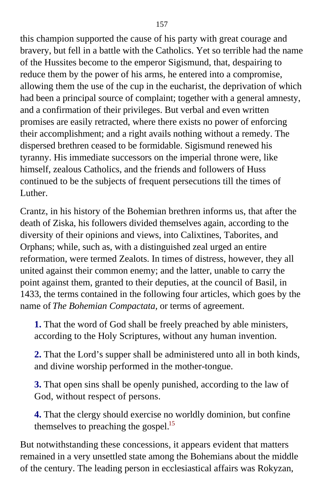this champion supported the cause of his party with great courage and bravery, but fell in a battle with the Catholics. Yet so terrible had the name of the Hussites become to the emperor Sigismund, that, despairing to reduce them by the power of his arms, he entered into a compromise, allowing them the use of the cup in the eucharist, the deprivation of which had been a principal source of complaint; together with a general amnesty, and a confirmation of their privileges. But verbal and even written promises are easily retracted, where there exists no power of enforcing their accomplishment; and a right avails nothing without a remedy. The dispersed brethren ceased to be formidable. Sigismund renewed his tyranny. His immediate successors on the imperial throne were, like himself, zealous Catholics, and the friends and followers of Huss continued to be the subjects of frequent persecutions till the times of Luther.

Crantz, in his history of the Bohemian brethren informs us, that after the death of Ziska, his followers divided themselves again, according to the diversity of their opinions and views, into Calixtines, Taborites, and Orphans; while, such as, with a distinguished zeal urged an entire reformation, were termed Zealots. In times of distress, however, they all united against their common enemy; and the latter, unable to carry the point against them, granted to their deputies, at the council of Basil, in 1433, the terms contained in the following four articles, which goes by the name of *The Bohemian Compactata,* or terms of agreement.

**1.** That the word of God shall be freely preached by able ministers, according to the Holy Scriptures, without any human invention.

**2.** That the Lord's supper shall be administered unto all in both kinds, and divine worship performed in the mother-tongue.

**3.** That open sins shall be openly punished, according to the law of God, without respect of persons.

**4.** That the clergy should exercise no worldly dominion, but confine themselves to preaching the gospel.<sup>[15](#page-408-1)</sup>

But notwithstanding these concessions, it appears evident that matters remained in a very unsettled state among the Bohemians about the middle of the century. The leading person in ecclesiastical affairs was Rokyzan,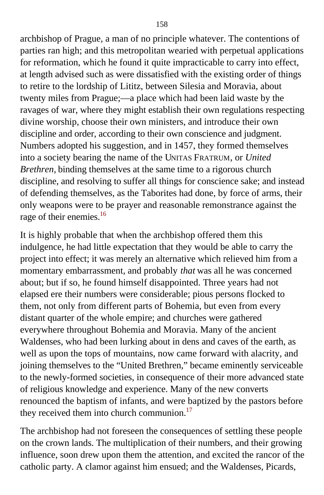archbishop of Prague, a man of no principle whatever. The contentions of parties ran high; and this metropolitan wearied with perpetual applications for reformation, which he found it quite impracticable to carry into effect, at length advised such as were dissatisfied with the existing order of things to retire to the lordship of Lititz, between Silesia and Moravia, about twenty miles from Prague;—a place which had been laid waste by the ravages of war, where they might establish their own regulations respecting divine worship, choose their own ministers, and introduce their own discipline and order, according to their own conscience and judgment. Numbers adopted his suggestion, and in 1457, they formed themselves into a society bearing the name of the UNITAS FRATRUM, or *United Brethren,* binding themselves at the same time to a rigorous church discipline, and resolving to suffer all things for conscience sake; and instead of defending themselves, as the Taborites had done, by force of arms, their only weapons were to be prayer and reasonable remonstrance against the rage of their enemies.<sup>[16](#page-408-1)</sup>

It is highly probable that when the archbishop offered them this indulgence, he had little expectation that they would be able to carry the project into effect; it was merely an alternative which relieved him from a momentary embarrassment, and probably *that* was all he was concerned about; but if so, he found himself disappointed. Three years had not elapsed ere their numbers were considerable; pious persons flocked to them, not only from different parts of Bohemia, but even from every distant quarter of the whole empire; and churches were gathered everywhere throughout Bohemia and Moravia. Many of the ancient Waldenses, who had been lurking about in dens and caves of the earth, as well as upon the tops of mountains, now came forward with alacrity, and joining themselves to the "United Brethren," became eminently serviceable to the newly-formed societies, in consequence of their more advanced state of religious knowledge and experience. Many of the new converts renounced the baptism of infants, and were baptized by the pastors before they received them into church communion. $^{17}$  $^{17}$  $^{17}$ 

The archbishop had not foreseen the consequences of settling these people on the crown lands. The multiplication of their numbers, and their growing influence, soon drew upon them the attention, and excited the rancor of the catholic party. A clamor against him ensued; and the Waldenses, Picards,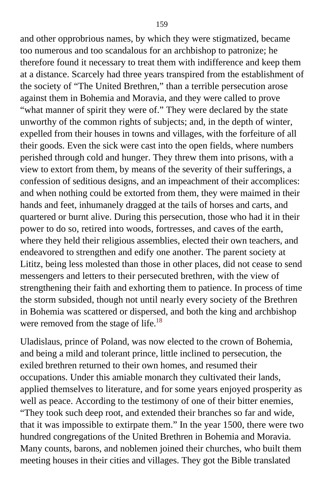and other opprobrious names, by which they were stigmatized, became too numerous and too scandalous for an archbishop to patronize; he therefore found it necessary to treat them with indifference and keep them at a distance. Scarcely had three years transpired from the establishment of the society of "The United Brethren," than a terrible persecution arose against them in Bohemia and Moravia, and they were called to prove "what manner of spirit they were of." They were declared by the state unworthy of the common rights of subjects; and, in the depth of winter, expelled from their houses in towns and villages, with the forfeiture of all their goods. Even the sick were cast into the open fields, where numbers perished through cold and hunger. They threw them into prisons, with a view to extort from them, by means of the severity of their sufferings, a confession of seditious designs, and an impeachment of their accomplices: and when nothing could be extorted from them, they were maimed in their hands and feet, inhumanely dragged at the tails of horses and carts, and quartered or burnt alive. During this persecution, those who had it in their power to do so, retired into woods, fortresses, and caves of the earth, where they held their religious assemblies, elected their own teachers, and endeavored to strengthen and edify one another. The parent society at Lititz, being less molested than those in other places, did not cease to send messengers and letters to their persecuted brethren, with the view of strengthening their faith and exhorting them to patience. In process of time the storm subsided, though not until nearly every society of the Brethren in Bohemia was scattered or dispersed, and both the king and archbishop were removed from the stage of life.<sup>[18](#page-409-1)</sup>

Uladislaus, prince of Poland, was now elected to the crown of Bohemia, and being a mild and tolerant prince, little inclined to persecution, the exiled brethren returned to their own homes, and resumed their occupations. Under this amiable monarch they cultivated their lands, applied themselves to literature, and for some years enjoyed prosperity as well as peace. According to the testimony of one of their bitter enemies, "They took such deep root, and extended their branches so far and wide, that it was impossible to extirpate them." In the year 1500, there were two hundred congregations of the United Brethren in Bohemia and Moravia. Many counts, barons, and noblemen joined their churches, who built them meeting houses in their cities and villages. They got the Bible translated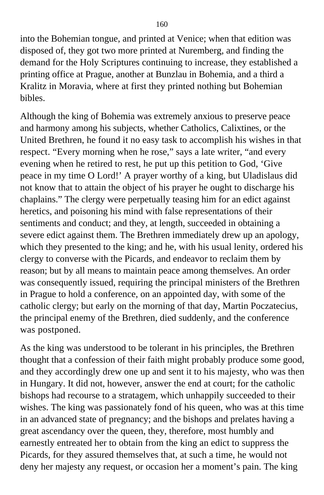into the Bohemian tongue, and printed at Venice; when that edition was disposed of, they got two more printed at Nuremberg, and finding the demand for the Holy Scriptures continuing to increase, they established a printing office at Prague, another at Bunzlau in Bohemia, and a third a Kralitz in Moravia, where at first they printed nothing but Bohemian bibles.

Although the king of Bohemia was extremely anxious to preserve peace and harmony among his subjects, whether Catholics, Calixtines, or the United Brethren, he found it no easy task to accomplish his wishes in that respect. "Every morning when he rose," says a late writer, "and every evening when he retired to rest, he put up this petition to God, 'Give peace in my time O Lord!' A prayer worthy of a king, but Uladislaus did not know that to attain the object of his prayer he ought to discharge his chaplains." The clergy were perpetually teasing him for an edict against heretics, and poisoning his mind with false representations of their sentiments and conduct; and they, at length, succeeded in obtaining a severe edict against them. The Brethren immediately drew up an apology, which they presented to the king; and he, with his usual lenity, ordered his clergy to converse with the Picards, and endeavor to reclaim them by reason; but by all means to maintain peace among themselves. An order was consequently issued, requiring the principal ministers of the Brethren in Prague to hold a conference, on an appointed day, with some of the catholic clergy; but early on the morning of that day, Martin Poczatecius, the principal enemy of the Brethren, died suddenly, and the conference was postponed.

As the king was understood to be tolerant in his principles, the Brethren thought that a confession of their faith might probably produce some good, and they accordingly drew one up and sent it to his majesty, who was then in Hungary. It did not, however, answer the end at court; for the catholic bishops had recourse to a stratagem, which unhappily succeeded to their wishes. The king was passionately fond of his queen, who was at this time in an advanced state of pregnancy; and the bishops and prelates having a great ascendancy over the queen, they, therefore, most humbly and earnestly entreated her to obtain from the king an edict to suppress the Picards, for they assured themselves that, at such a time, he would not deny her majesty any request, or occasion her a moment's pain. The king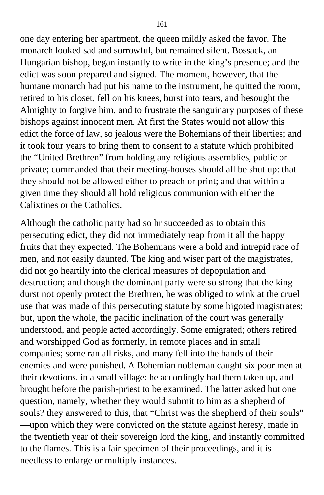one day entering her apartment, the queen mildly asked the favor. The monarch looked sad and sorrowful, but remained silent. Bossack, an Hungarian bishop, began instantly to write in the king's presence; and the edict was soon prepared and signed. The moment, however, that the humane monarch had put his name to the instrument, he quitted the room, retired to his closet, fell on his knees, burst into tears, and besought the Almighty to forgive him, and to frustrate the sanguinary purposes of these bishops against innocent men. At first the States would not allow this edict the force of law, so jealous were the Bohemians of their liberties; and it took four years to bring them to consent to a statute which prohibited the "United Brethren" from holding any religious assemblies, public or private; commanded that their meeting-houses should all be shut up: that they should not be allowed either to preach or print; and that within a given time they should all hold religious communion with either the Calixtines or the Catholics.

Although the catholic party had so hr succeeded as to obtain this persecuting edict, they did not immediately reap from it all the happy fruits that they expected. The Bohemians were a bold and intrepid race of men, and not easily daunted. The king and wiser part of the magistrates, did not go heartily into the clerical measures of depopulation and destruction; and though the dominant party were so strong that the king durst not openly protect the Brethren, he was obliged to wink at the cruel use that was made of this persecuting statute by some bigoted magistrates; but, upon the whole, the pacific inclination of the court was generally understood, and people acted accordingly. Some emigrated; others retired and worshipped God as formerly, in remote places and in small companies; some ran all risks, and many fell into the hands of their enemies and were punished. A Bohemian nobleman caught six poor men at their devotions, in a small village: he accordingly had them taken up, and brought before the parish-priest to be examined. The latter asked but one question, namely, whether they would submit to him as a shepherd of souls? they answered to this, that "Christ was the shepherd of their souls" —upon which they were convicted on the statute against heresy, made in the twentieth year of their sovereign lord the king, and instantly committed to the flames. This is a fair specimen of their proceedings, and it is needless to enlarge or multiply instances.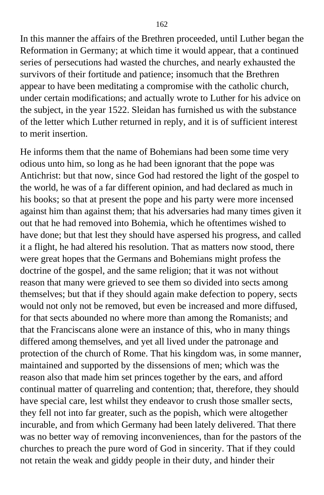162

In this manner the affairs of the Brethren proceeded, until Luther began the Reformation in Germany; at which time it would appear, that a continued series of persecutions had wasted the churches, and nearly exhausted the survivors of their fortitude and patience; insomuch that the Brethren appear to have been meditating a compromise with the catholic church, under certain modifications; and actually wrote to Luther for his advice on the subject, in the year 1522. Sleidan has furnished us with the substance of the letter which Luther returned in reply, and it is of sufficient interest to merit insertion.

He informs them that the name of Bohemians had been some time very odious unto him, so long as he had been ignorant that the pope was Antichrist: but that now, since God had restored the light of the gospel to the world, he was of a far different opinion, and had declared as much in his books; so that at present the pope and his party were more incensed against him than against them; that his adversaries had many times given it out that he had removed into Bohemia, which he oftentimes wished to have done; but that lest they should have aspersed his progress, and called it a flight, he had altered his resolution. That as matters now stood, there were great hopes that the Germans and Bohemians might profess the doctrine of the gospel, and the same religion; that it was not without reason that many were grieved to see them so divided into sects among themselves; but that if they should again make defection to popery, sects would not only not be removed, but even be increased and more diffused, for that sects abounded no where more than among the Romanists; and that the Franciscans alone were an instance of this, who in many things differed among themselves, and yet all lived under the patronage and protection of the church of Rome. That his kingdom was, in some manner, maintained and supported by the dissensions of men; which was the reason also that made him set princes together by the ears, and afford continual matter of quarreling and contention; that, therefore, they should have special care, lest whilst they endeavor to crush those smaller sects, they fell not into far greater, such as the popish, which were altogether incurable, and from which Germany had been lately delivered. That there was no better way of removing inconveniences, than for the pastors of the churches to preach the pure word of God in sincerity. That if they could not retain the weak and giddy people in their duty, and hinder their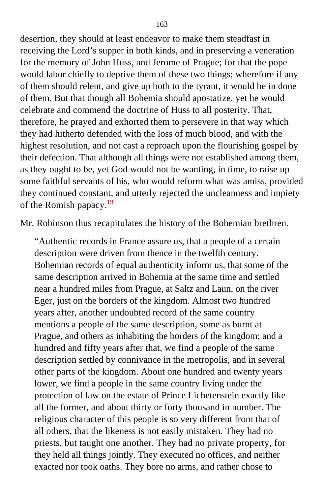desertion, they should at least endeavor to make them steadfast in receiving the Lord's supper in both kinds, and in preserving a veneration for the memory of John Huss, and Jerome of Prague; for that the pope would labor chiefly to deprive them of these two things; wherefore if any of them should relent, and give up both to the tyrant, it would be in done of them. But that though all Bohemia should apostatize, yet he would celebrate and commend the doctrine of Huss to all posterity. That, therefore, he prayed and exhorted them to persevere in that way which they had hitherto defended with the loss of much blood, and with the highest resolution, and not cast a reproach upon the flourishing gospel by their defection. That although all things were not established among them, as they ought to be, yet God would not be wanting, in time, to raise up some faithful servants of his, who would reform what was amiss, provided they continued constant, and utterly rejected the uncleanness and impiety of the Romish papacy. $19$ 

Mr. Robinson thus recapitulates the history of the Bohemian brethren.

"Authentic records in France assure us, that a people of a certain description were driven from thence in the twelfth century. Bohemian records of equal authenticity inform us, that some of the same description arrived in Bohemia at the same time and settled near a hundred miles from Prague, at Saltz and Laun, on the river Eger, just on the borders of the kingdom. Almost two hundred years after, another undoubted record of the same country mentions a people of the same description, some as burnt at Prague, and others as inhabiting the borders of the kingdom; and a hundred and fifty years after that, we find a people of the same description settled by connivance in the metropolis, and in several other parts of the kingdom. About one hundred and twenty years lower, we find a people in the same country living under the protection of law on the estate of Prince Lichetenstein exactly like all the former, and about thirty or forty thousand in number. The religious character of this people is so very different from that of all others, that the likeness is not easily mistaken. They had no priests, but taught one another. They had no private property, for they held all things jointly. They executed no offices, and neither exacted nor took oaths. They bore no arms, and rather chose to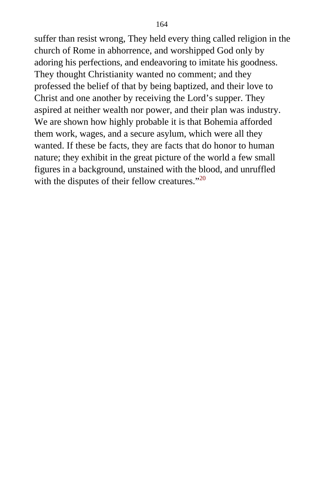suffer than resist wrong, They held every thing called religion in the church of Rome in abhorrence, and worshipped God only by adoring his perfections, and endeavoring to imitate his goodness. They thought Christianity wanted no comment; and they professed the belief of that by being baptized, and their love to Christ and one another by receiving the Lord's supper. They aspired at neither wealth nor power, and their plan was industry. We are shown how highly probable it is that Bohemia afforded them work, wages, and a secure asylum, which were all they wanted. If these be facts, they are facts that do honor to human nature; they exhibit in the great picture of the world a few small figures in a background, unstained with the blood, and unruffled with the disputes of their fellow creatures."<sup>[20](#page-409-2)</sup>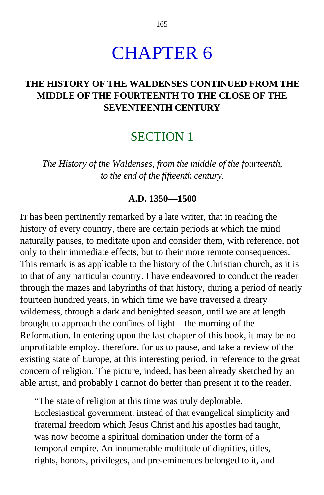# CHAPTER 6

### **THE HISTORY OF THE WALDENSES CONTINUED FROM THE MIDDLE OF THE FOURTEENTH TO THE CLOSE OF THE SEVENTEENTH CENTURY**

## SECTION 1

*The History of the Waldenses, from the middle of the fourteenth, to the end of the fifteenth century.*

#### **A.D. 1350—1500**

IT has been pertinently remarked by a late writer, that in reading the history of every country, there are certain periods at which the mind naturally pauses, to meditate upon and consider them, with reference, not only to their immediate effects, but to their more remote consequences.<sup>[1](#page-409-2)</sup> This remark is as applicable to the history of the Christian church, as it is to that of any particular country. I have endeavored to conduct the reader through the mazes and labyrinths of that history, during a period of nearly fourteen hundred years, in which time we have traversed a dreary wilderness, through a dark and benighted season, until we are at length brought to approach the confines of light—the morning of the Reformation. In entering upon the last chapter of this book, it may be no unprofitable employ, therefore, for us to pause, and take a review of the existing state of Europe, at this interesting period, in reference to the great concern of religion. The picture, indeed, has been already sketched by an able artist, and probably I cannot do better than present it to the reader.

"The state of religion at this time was truly deplorable. Ecclesiastical government, instead of that evangelical simplicity and fraternal freedom which Jesus Christ and his apostles had taught, was now become a spiritual domination under the form of a temporal empire. An innumerable multitude of dignities, titles, rights, honors, privileges, and pre-eminences belonged to it, and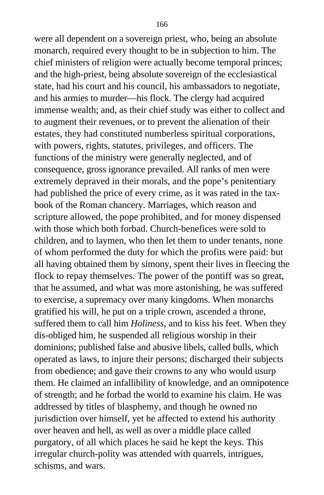were all dependent on a sovereign priest, who, being an absolute monarch, required every thought to be in subjection to him. The chief ministers of religion were actually become temporal princes; and the high-priest, being absolute sovereign of the ecclesiastical state, had his court and his council, his ambassadors to negotiate, and his armies to murder—his flock. The clergy had acquired immense wealth; and, as their chief study was either to collect and to augment their revenues, or to prevent the alienation of their estates, they had constituted numberless spiritual corporations, with powers, rights, statutes, privileges, and officers. The functions of the ministry were generally neglected, and of consequence, gross ignorance prevailed. All ranks of men were extremely depraved in their morals, and the pope's penitentiary had published the price of every crime, as it was rated in the taxbook of the Roman chancery. Marriages, which reason and scripture allowed, the pope prohibited, and for money dispensed with those which both forbad. Church-benefices were sold to children, and to laymen, who then let them to under tenants, none of whom performed the duty for which the profits were paid: but all having obtained them by simony, spent their lives in fleecing the flock to repay themselves. The power of the pontiff was so great, that he assumed, and what was more astonishing, he was suffered to exercise, a supremacy over many kingdoms. When monarchs gratified his will, he put on a triple crown, ascended a throne, suffered them to call him *Holiness,* and to kiss his feet. When they dis-obliged him, he suspended all religious worship in their dominions; published false and abusive libels, called bulls, which operated as laws, to injure their persons; discharged their subjects from obedience; and gave their crowns to any who would usurp them. He claimed an infallibility of knowledge, and an omnipotence of strength; and he forbad the world to examine his claim. He was addressed by titles of blasphemy, and though he owned no jurisdiction over himself, yet he affected to extend his authority over heaven and hell, as well as over a middle place called purgatory, of all which places he said he kept the keys. This irregular church-polity was attended with quarrels, intrigues, schisms, and wars.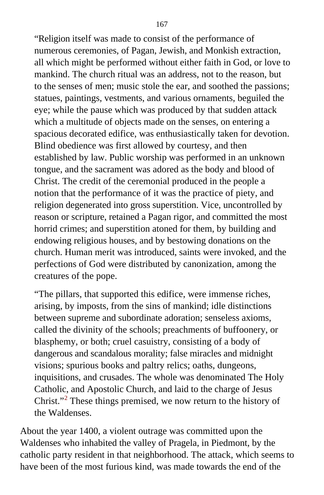"Religion itself was made to consist of the performance of numerous ceremonies, of Pagan, Jewish, and Monkish extraction, all which might be performed without either faith in God, or love to mankind. The church ritual was an address, not to the reason, but to the senses of men; music stole the ear, and soothed the passions; statues, paintings, vestments, and various ornaments, beguiled the eye; while the pause which was produced by that sudden attack which a multitude of objects made on the senses, on entering a spacious decorated edifice, was enthusiastically taken for devotion. Blind obedience was first allowed by courtesy, and then established by law. Public worship was performed in an unknown tongue, and the sacrament was adored as the body and blood of Christ. The credit of the ceremonial produced in the people a notion that the performance of it was the practice of piety, and religion degenerated into gross superstition. Vice, uncontrolled by reason or scripture, retained a Pagan rigor, and committed the most horrid crimes; and superstition atoned for them, by building and endowing religious houses, and by bestowing donations on the church. Human merit was introduced, saints were invoked, and the perfections of God were distributed by canonization, among the creatures of the pope.

"The pillars, that supported this edifice, were immense riches, arising, by imposts, from the sins of mankind; idle distinctions between supreme and subordinate adoration; senseless axioms, called the divinity of the schools; preachments of buffoonery, or blasphemy, or both; cruel casuistry, consisting of a body of dangerous and scandalous morality; false miracles and midnight visions; spurious books and paltry relics; oaths, dungeons, inquisitions, and crusades. The whole was denominated The Holy Catholic, and Apostolic Church, and laid to the charge of Jesus Christ."<sup>[2](#page-409-2)</sup> These things premised, we now return to the history of the Waldenses.

About the year 1400, a violent outrage was committed upon the Waldenses who inhabited the valley of Pragela, in Piedmont, by the catholic party resident in that neighborhood. The attack, which seems to have been of the most furious kind, was made towards the end of the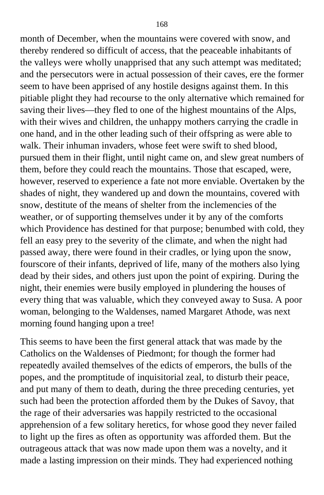month of December, when the mountains were covered with snow, and thereby rendered so difficult of access, that the peaceable inhabitants of the valleys were wholly unapprised that any such attempt was meditated; and the persecutors were in actual possession of their caves, ere the former seem to have been apprised of any hostile designs against them. In this pitiable plight they had recourse to the only alternative which remained for saving their lives—they fled to one of the highest mountains of the Alps, with their wives and children, the unhappy mothers carrying the cradle in one hand, and in the other leading such of their offspring as were able to walk. Their inhuman invaders, whose feet were swift to shed blood, pursued them in their flight, until night came on, and slew great numbers of them, before they could reach the mountains. Those that escaped, were, however, reserved to experience a fate not more enviable. Overtaken by the shades of night, they wandered up and down the mountains, covered with snow, destitute of the means of shelter from the inclemencies of the weather, or of supporting themselves under it by any of the comforts which Providence has destined for that purpose; benumbed with cold, they fell an easy prey to the severity of the climate, and when the night had passed away, there were found in their cradles, or lying upon the snow, fourscore of their infants, deprived of life, many of the mothers also lying dead by their sides, and others just upon the point of expiring. During the night, their enemies were busily employed in plundering the houses of every thing that was valuable, which they conveyed away to Susa. A poor woman, belonging to the Waldenses, named Margaret Athode, was next morning found hanging upon a tree!

This seems to have been the first general attack that was made by the Catholics on the Waldenses of Piedmont; for though the former had repeatedly availed themselves of the edicts of emperors, the bulls of the popes, and the promptitude of inquisitorial zeal, to disturb their peace, and put many of them to death, during the three preceding centuries, yet such had been the protection afforded them by the Dukes of Savoy, that the rage of their adversaries was happily restricted to the occasional apprehension of a few solitary heretics, for whose good they never failed to light up the fires as often as opportunity was afforded them. But the outrageous attack that was now made upon them was a novelty, and it made a lasting impression on their minds. They had experienced nothing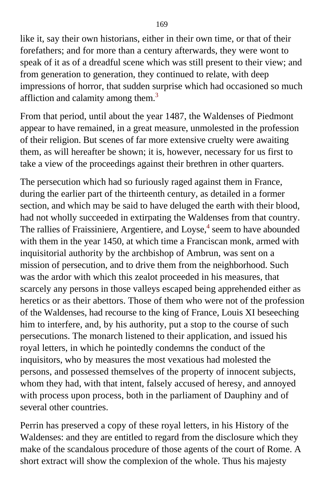like it, say their own historians, either in their own time, or that of their forefathers; and for more than a century afterwards, they were wont to speak of it as of a dreadful scene which was still present to their view; and from generation to generation, they continued to relate, with deep impressions of horror, that sudden surprise which had occasioned so much affliction and calamity among them.<sup>[3](#page-409-2)</sup>

From that period, until about the year 1487, the Waldenses of Piedmont appear to have remained, in a great measure, unmolested in the profession of their religion. But scenes of far more extensive cruelty were awaiting them, as will hereafter be shown; it is, however, necessary for us first to take a view of the proceedings against their brethren in other quarters.

The persecution which had so furiously raged against them in France, during the earlier part of the thirteenth century, as detailed in a former section, and which may be said to have deluged the earth with their blood, had not wholly succeeded in extirpating the Waldenses from that country. The rallies of Fraissiniere, Argentiere, and Loyse,<sup>[4](#page-409-2)</sup> seem to have abounded with them in the year 1450, at which time a Franciscan monk, armed with inquisitorial authority by the archbishop of Ambrun, was sent on a mission of persecution, and to drive them from the neighborhood. Such was the ardor with which this zealot proceeded in his measures, that scarcely any persons in those valleys escaped being apprehended either as heretics or as their abettors. Those of them who were not of the profession of the Waldenses, had recourse to the king of France, Louis XI beseeching him to interfere, and, by his authority, put a stop to the course of such persecutions. The monarch listened to their application, and issued his royal letters, in which he pointedly condemns the conduct of the inquisitors, who by measures the most vexatious had molested the persons, and possessed themselves of the property of innocent subjects, whom they had, with that intent, falsely accused of heresy, and annoyed with process upon process, both in the parliament of Dauphiny and of several other countries.

Perrin has preserved a copy of these royal letters, in his History of the Waldenses: and they are entitled to regard from the disclosure which they make of the scandalous procedure of those agents of the court of Rome. A short extract will show the complexion of the whole. Thus his majesty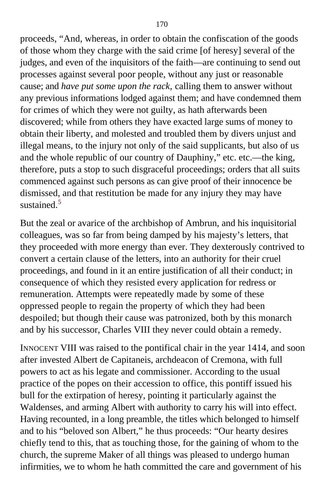proceeds, "And, whereas, in order to obtain the confiscation of the goods of those whom they charge with the said crime [of heresy] several of the judges, and even of the inquisitors of the faith—are continuing to send out processes against several poor people, without any just or reasonable cause; and *have put some upon the rack,* calling them to answer without any previous informations lodged against them; and have condemned them for crimes of which they were not guilty, as hath afterwards been discovered; while from others they have exacted large sums of money to obtain their liberty, and molested and troubled them by divers unjust and illegal means, to the injury not only of the said supplicants, but also of us and the whole republic of our country of Dauphiny," etc. etc.—the king, therefore, puts a stop to such disgraceful proceedings; orders that all suits commenced against such persons as can give proof of their innocence be dismissed, and that restitution be made for any injury they may have sustained  $5$ 

But the zeal or avarice of the archbishop of Ambrun, and his inquisitorial colleagues, was so far from being damped by his majesty's letters, that they proceeded with more energy than ever. They dexterously contrived to convert a certain clause of the letters, into an authority for their cruel proceedings, and found in it an entire justification of all their conduct; in consequence of which they resisted every application for redress or remuneration. Attempts were repeatedly made by some of these oppressed people to regain the property of which they had been despoiled; but though their cause was patronized, both by this monarch and by his successor, Charles VIII they never could obtain a remedy.

INNOCENT VIII was raised to the pontifical chair in the year 1414, and soon after invested Albert de Capitaneis, archdeacon of Cremona, with full powers to act as his legate and commissioner. According to the usual practice of the popes on their accession to office, this pontiff issued his bull for the extirpation of heresy, pointing it particularly against the Waldenses, and arming Albert with authority to carry his will into effect. Having recounted, in a long preamble, the titles which belonged to himself and to his "beloved son Albert," he thus proceeds: "Our hearty desires chiefly tend to this, that as touching those, for the gaining of whom to the church, the supreme Maker of all things was pleased to undergo human infirmities, we to whom he hath committed the care and government of his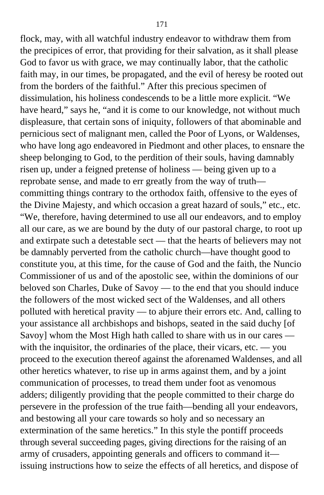flock, may, with all watchful industry endeavor to withdraw them from the precipices of error, that providing for their salvation, as it shall please God to favor us with grace, we may continually labor, that the catholic faith may, in our times, be propagated, and the evil of heresy be rooted out from the borders of the faithful." After this precious specimen of dissimulation, his holiness condescends to be a little more explicit. "We have heard," says he, "and it is come to our knowledge, not without much displeasure, that certain sons of iniquity, followers of that abominable and pernicious sect of malignant men, called the Poor of Lyons, or Waldenses, who have long ago endeavored in Piedmont and other places, to ensnare the sheep belonging to God, to the perdition of their souls, having damnably risen up, under a feigned pretense of holiness — being given up to a reprobate sense, and made to err greatly from the way of truth committing things contrary to the orthodox faith, offensive to the eyes of the Divine Majesty, and which occasion a great hazard of souls," etc., etc. "We, therefore, having determined to use all our endeavors, and to employ all our care, as we are bound by the duty of our pastoral charge, to root up and extirpate such a detestable sect — that the hearts of believers may not be damnably perverted from the catholic church—have thought good to constitute you, at this time, for the cause of God and the faith, the Nuncio Commissioner of us and of the apostolic see, within the dominions of our beloved son Charles, Duke of Savoy — to the end that you should induce the followers of the most wicked sect of the Waldenses, and all others polluted with heretical pravity — to abjure their errors etc. And, calling to your assistance all archbishops and bishops, seated in the said duchy [of Savoy] whom the Most High hath called to share with us in our cares with the inquisitor, the ordinaries of the place, their vicars, etc. — you proceed to the execution thereof against the aforenamed Waldenses, and all other heretics whatever, to rise up in arms against them, and by a joint communication of processes, to tread them under foot as venomous adders; diligently providing that the people committed to their charge do persevere in the profession of the true faith—bending all your endeavors, and bestowing all your care towards so holy and so necessary an extermination of the same heretics." In this style the pontiff proceeds through several succeeding pages, giving directions for the raising of an army of crusaders, appointing generals and officers to command it issuing instructions how to seize the effects of all heretics, and dispose of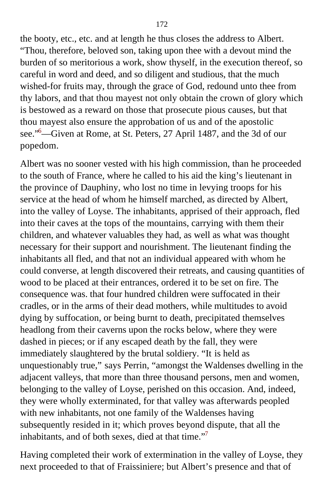the booty, etc., etc. and at length he thus closes the address to Albert. "Thou, therefore, beloved son, taking upon thee with a devout mind the burden of so meritorious a work, show thyself, in the execution thereof, so careful in word and deed, and so diligent and studious, that the much wished-for fruits may, through the grace of God, redound unto thee from thy labors, and that thou mayest not only obtain the crown of glory which is bestowed as a reward on those that prosecute pious causes, but that thou mayest also ensure the approbation of us and of the apostolic see."<sup>[6](#page-409-2)</sup>—Given at Rome, at St. Peters, 27 April 1487, and the 3d of our popedom.

Albert was no sooner vested with his high commission, than he proceeded to the south of France, where he called to his aid the king's lieutenant in the province of Dauphiny, who lost no time in levying troops for his service at the head of whom he himself marched, as directed by Albert, into the valley of Loyse. The inhabitants, apprised of their approach, fled into their caves at the tops of the mountains, carrying with them their children, and whatever valuables they had, as well as what was thought necessary for their support and nourishment. The lieutenant finding the inhabitants all fled, and that not an individual appeared with whom he could converse, at length discovered their retreats, and causing quantities of wood to be placed at their entrances, ordered it to be set on fire. The consequence was. that four hundred children were suffocated in their cradles, or in the arms of their dead mothers, while multitudes to avoid dying by suffocation, or being burnt to death, precipitated themselves headlong from their caverns upon the rocks below, where they were dashed in pieces; or if any escaped death by the fall, they were immediately slaughtered by the brutal soldiery. "It is held as unquestionably true," says Perrin, "amongst the Waldenses dwelling in the adjacent valleys, that more than three thousand persons, men and women, belonging to the valley of Loyse, perished on this occasion. And, indeed, they were wholly exterminated, for that valley was afterwards peopled with new inhabitants, not one family of the Waldenses having subsequently resided in it; which proves beyond dispute, that all the inhabitants, and of both sexes, died at that time."<sup>[7](#page-409-2)</sup>

Having completed their work of extermination in the valley of Loyse, they next proceeded to that of Fraissiniere; but Albert's presence and that of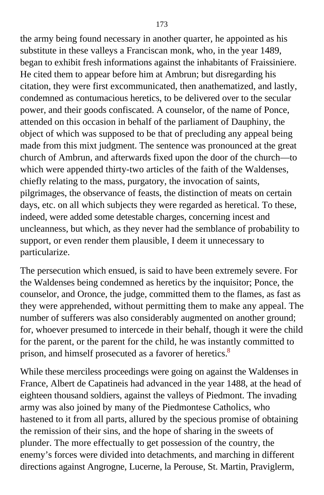the army being found necessary in another quarter, he appointed as his substitute in these valleys a Franciscan monk, who, in the year 1489, began to exhibit fresh informations against the inhabitants of Fraissiniere. He cited them to appear before him at Ambrun; but disregarding his citation, they were first excommunicated, then anathematized, and lastly, condemned as contumacious heretics, to be delivered over to the secular power, and their goods confiscated. A counselor, of the name of Ponce, attended on this occasion in behalf of the parliament of Dauphiny, the object of which was supposed to be that of precluding any appeal being made from this mixt judgment. The sentence was pronounced at the great church of Ambrun, and afterwards fixed upon the door of the church—to which were appended thirty-two articles of the faith of the Waldenses, chiefly relating to the mass, purgatory, the invocation of saints, pilgrimages, the observance of feasts, the distinction of meats on certain days, etc. on all which subjects they were regarded as heretical. To these, indeed, were added some detestable charges, concerning incest and uncleanness, but which, as they never had the semblance of probability to support, or even render them plausible, I deem it unnecessary to particularize.

The persecution which ensued, is said to have been extremely severe. For the Waldenses being condemned as heretics by the inquisitor; Ponce, the counselor, and Oronce, the judge, committed them to the flames, as fast as they were apprehended, without permitting them to make any appeal. The number of sufferers was also considerably augmented on another ground; for, whoever presumed to intercede in their behalf, though it were the child for the parent, or the parent for the child, he was instantly committed to prison, and himself prosecuted as a favorer of heretics.<sup>[8](#page-410-0)</sup>

While these merciless proceedings were going on against the Waldenses in France, Albert de Capatineis had advanced in the year 1488, at the head of eighteen thousand soldiers, against the valleys of Piedmont. The invading army was also joined by many of the Piedmontese Catholics, who hastened to it from all parts, allured by the specious promise of obtaining the remission of their sins, and the hope of sharing in the sweets of plunder. The more effectually to get possession of the country, the enemy's forces were divided into detachments, and marching in different directions against Angrogne, Lucerne, la Perouse, St. Martin, Praviglerm,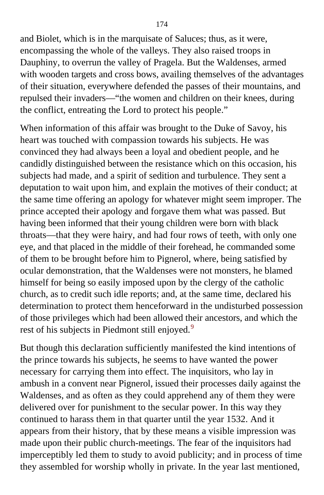and Biolet, which is in the marquisate of Saluces; thus, as it were, encompassing the whole of the valleys. They also raised troops in Dauphiny, to overrun the valley of Pragela. But the Waldenses, armed with wooden targets and cross bows, availing themselves of the advantages of their situation, everywhere defended the passes of their mountains, and repulsed their invaders—"the women and children on their knees, during the conflict, entreating the Lord to protect his people."

When information of this affair was brought to the Duke of Savoy, his heart was touched with compassion towards his subjects. He was convinced they had always been a loyal and obedient people, and he candidly distinguished between the resistance which on this occasion, his subjects had made, and a spirit of sedition and turbulence. They sent a deputation to wait upon him, and explain the motives of their conduct; at the same time offering an apology for whatever might seem improper. The prince accepted their apology and forgave them what was passed. But having been informed that their young children were born with black throats—that they were hairy, and had four rows of teeth, with only one eye, and that placed in the middle of their forehead, he commanded some of them to be brought before him to Pignerol, where, being satisfied by ocular demonstration, that the Waldenses were not monsters, he blamed himself for being so easily imposed upon by the clergy of the catholic church, as to credit such idle reports; and, at the same time, declared his determination to protect them henceforward in the undisturbed possession of those privileges which had been allowed their ancestors, and which the rest of his subjects in Piedmont still enjoyed.<sup>[9](#page-410-0)</sup>

But though this declaration sufficiently manifested the kind intentions of the prince towards his subjects, he seems to have wanted the power necessary for carrying them into effect. The inquisitors, who lay in ambush in a convent near Pignerol, issued their processes daily against the Waldenses, and as often as they could apprehend any of them they were delivered over for punishment to the secular power. In this way they continued to harass them in that quarter until the year 1532. And it appears from their history, that by these means a visible impression was made upon their public church-meetings. The fear of the inquisitors had imperceptibly led them to study to avoid publicity; and in process of time they assembled for worship wholly in private. In the year last mentioned,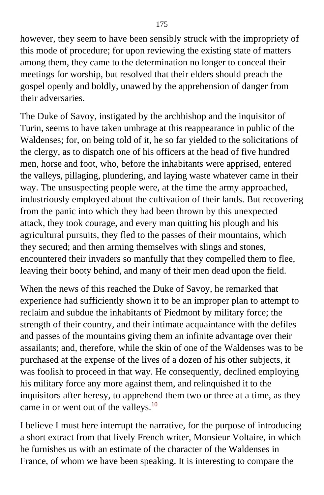however, they seem to have been sensibly struck with the impropriety of this mode of procedure; for upon reviewing the existing state of matters among them, they came to the determination no longer to conceal their meetings for worship, but resolved that their elders should preach the gospel openly and boldly, unawed by the apprehension of danger from their adversaries.

The Duke of Savoy, instigated by the archbishop and the inquisitor of Turin, seems to have taken umbrage at this reappearance in public of the Waldenses; for, on being told of it, he so far yielded to the solicitations of the clergy, as to dispatch one of his officers at the head of five hundred men, horse and foot, who, before the inhabitants were apprised, entered the valleys, pillaging, plundering, and laying waste whatever came in their way. The unsuspecting people were, at the time the army approached, industriously employed about the cultivation of their lands. But recovering from the panic into which they had been thrown by this unexpected attack, they took courage, and every man quitting his plough and his agricultural pursuits, they fled to the passes of their mountains, which they secured; and then arming themselves with slings and stones, encountered their invaders so manfully that they compelled them to flee, leaving their booty behind, and many of their men dead upon the field.

When the news of this reached the Duke of Savoy, he remarked that experience had sufficiently shown it to be an improper plan to attempt to reclaim and subdue the inhabitants of Piedmont by military force; the strength of their country, and their intimate acquaintance with the defiles and passes of the mountains giving them an infinite advantage over their assailants; and, therefore, while the skin of one of the Waldenses was to be purchased at the expense of the lives of a dozen of his other subjects, it was foolish to proceed in that way. He consequently, declined employing his military force any more against them, and relinquished it to the inquisitors after heresy, to apprehend them two or three at a time, as they came in or went out of the valleys.<sup>[10](#page-410-0)</sup>

I believe I must here interrupt the narrative, for the purpose of introducing a short extract from that lively French writer, Monsieur Voltaire, in which he furnishes us with an estimate of the character of the Waldenses in France, of whom we have been speaking. It is interesting to compare the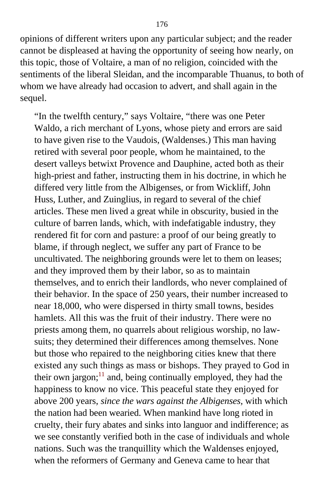opinions of different writers upon any particular subject; and the reader cannot be displeased at having the opportunity of seeing how nearly, on this topic, those of Voltaire, a man of no religion, coincided with the sentiments of the liberal Sleidan, and the incomparable Thuanus, to both of whom we have already had occasion to advert, and shall again in the sequel.

"In the twelfth century," says Voltaire, "there was one Peter Waldo, a rich merchant of Lyons, whose piety and errors are said to have given rise to the Vaudois, (Waldenses.) This man having retired with several poor people, whom he maintained, to the desert valleys betwixt Provence and Dauphine, acted both as their high-priest and father, instructing them in his doctrine, in which he differed very little from the Albigenses, or from Wickliff, John Huss, Luther, and Zuinglius, in regard to several of the chief articles. These men lived a great while in obscurity, busied in the culture of barren lands, which, with indefatigable industry, they rendered fit for corn and pasture: a proof of our being greatly to blame, if through neglect, we suffer any part of France to be uncultivated. The neighboring grounds were let to them on leases; and they improved them by their labor, so as to maintain themselves, and to enrich their landlords, who never complained of their behavior. In the space of 250 years, their number increased to near 18,000, who were dispersed in thirty small towns, besides hamlets. All this was the fruit of their industry. There were no priests among them, no quarrels about religious worship, no lawsuits; they determined their differences among themselves. None but those who repaired to the neighboring cities knew that there existed any such things as mass or bishops. They prayed to God in their own jargon; $<sup>11</sup>$  $<sup>11</sup>$  $<sup>11</sup>$  and, being continually employed, they had the</sup> happiness to know no vice. This peaceful state they enjoyed for above 200 years, *since the wars against the Albigenses,* with which the nation had been wearied. When mankind have long rioted in cruelty, their fury abates and sinks into languor and indifference; as we see constantly verified both in the case of individuals and whole nations. Such was the tranquillity which the Waldenses enjoyed, when the reformers of Germany and Geneva came to hear that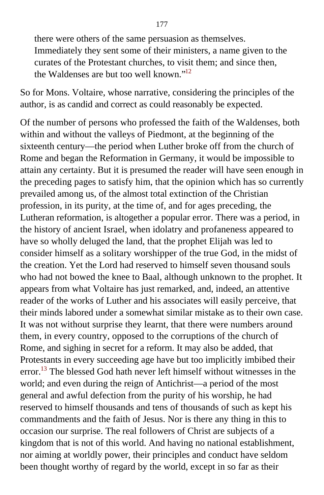there were others of the same persuasion as themselves. Immediately they sent some of their ministers, a name given to the curates of the Protestant churches, to visit them; and since then, the Waldenses are but too well known."[12](#page-410-0)

So for Mons. Voltaire, whose narrative, considering the principles of the author, is as candid and correct as could reasonably be expected.

Of the number of persons who professed the faith of the Waldenses, both within and without the valleys of Piedmont, at the beginning of the sixteenth century—the period when Luther broke off from the church of Rome and began the Reformation in Germany, it would be impossible to attain any certainty. But it is presumed the reader will have seen enough in the preceding pages to satisfy him, that the opinion which has so currently prevailed among us, of the almost total extinction of the Christian profession, in its purity, at the time of, and for ages preceding, the Lutheran reformation, is altogether a popular error. There was a period, in the history of ancient Israel, when idolatry and profaneness appeared to have so wholly deluged the land, that the prophet Elijah was led to consider himself as a solitary worshipper of the true God, in the midst of the creation. Yet the Lord had reserved to himself seven thousand souls who had not bowed the knee to Baal, although unknown to the prophet. It appears from what Voltaire has just remarked, and, indeed, an attentive reader of the works of Luther and his associates will easily perceive, that their minds labored under a somewhat similar mistake as to their own case. It was not without surprise they learnt, that there were numbers around them, in every country, opposed to the corruptions of the church of Rome, and sighing in secret for a reform. It may also be added, that Protestants in every succeeding age have but too implicitly imbibed their error.<sup>[13](#page-410-0)</sup> The blessed God hath never left himself without witnesses in the world; and even during the reign of Antichrist—a period of the most general and awful defection from the purity of his worship, he had reserved to himself thousands and tens of thousands of such as kept his commandments and the faith of Jesus. Nor is there any thing in this to occasion our surprise. The real followers of Christ are subjects of a kingdom that is not of this world. And having no national establishment, nor aiming at worldly power, their principles and conduct have seldom been thought worthy of regard by the world, except in so far as their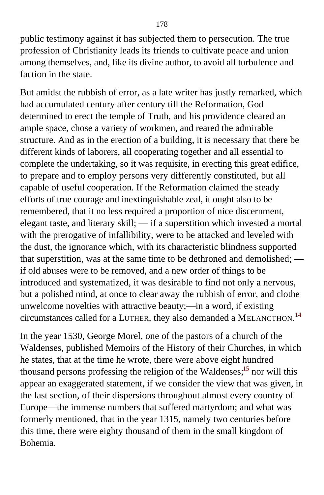public testimony against it has subjected them to persecution. The true profession of Christianity leads its friends to cultivate peace and union among themselves, and, like its divine author, to avoid all turbulence and faction in the state.

But amidst the rubbish of error, as a late writer has justly remarked, which had accumulated century after century till the Reformation, God determined to erect the temple of Truth, and his providence cleared an ample space, chose a variety of workmen, and reared the admirable structure. And as in the erection of a building, it is necessary that there be different kinds of laborers, all cooperating together and all essential to complete the undertaking, so it was requisite, in erecting this great edifice, to prepare and to employ persons very differently constituted, but all capable of useful cooperation. If the Reformation claimed the steady efforts of true courage and inextinguishable zeal, it ought also to be remembered, that it no less required a proportion of nice discernment, elegant taste, and literary skill; — if a superstition which invested a mortal with the prerogative of infallibility, were to be attacked and leveled with the dust, the ignorance which, with its characteristic blindness supported that superstition, was at the same time to be dethroned and demolished; if old abuses were to be removed, and a new order of things to be introduced and systematized, it was desirable to find not only a nervous, but a polished mind, at once to clear away the rubbish of error, and clothe unwelcome novelties with attractive beauty;—in a word, if existing circumstances called for a LUTHER, they also demanded a MELANCTHON.<sup>[14](#page-410-1)</sup>

In the year 1530, George Morel, one of the pastors of a church of the Waldenses, published Memoirs of the History of their Churches, in which he states, that at the time he wrote, there were above eight hundred thousand persons professing the religion of the Waldenses;<sup>[15](#page-410-1)</sup> nor will this appear an exaggerated statement, if we consider the view that was given, in the last section, of their dispersions throughout almost every country of Europe—the immense numbers that suffered martyrdom; and what was formerly mentioned, that in the year 1315, namely two centuries before this time, there were eighty thousand of them in the small kingdom of Bohemia.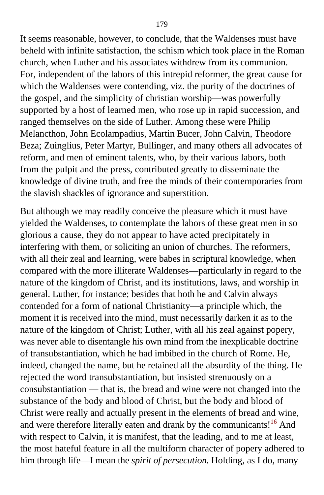It seems reasonable, however, to conclude, that the Waldenses must have beheld with infinite satisfaction, the schism which took place in the Roman church, when Luther and his associates withdrew from its communion. For, independent of the labors of this intrepid reformer, the great cause for which the Waldenses were contending, viz. the purity of the doctrines of the gospel, and the simplicity of christian worship—was powerfully supported by a host of learned men, who rose up in rapid succession, and ranged themselves on the side of Luther. Among these were Philip Melancthon, John Ecolampadius, Martin Bucer, John Calvin, Theodore Beza; Zuinglius, Peter Martyr, Bullinger, and many others all advocates of reform, and men of eminent talents, who, by their various labors, both from the pulpit and the press, contributed greatly to disseminate the knowledge of divine truth, and free the minds of their contemporaries from the slavish shackles of ignorance and superstition.

But although we may readily conceive the pleasure which it must have yielded the Waldenses, to contemplate the labors of these great men in so glorious a cause, they do not appear to have acted precipitately in interfering with them, or soliciting an union of churches. The reformers, with all their zeal and learning, were babes in scriptural knowledge, when compared with the more illiterate Waldenses—particularly in regard to the nature of the kingdom of Christ, and its institutions, laws, and worship in general. Luther, for instance; besides that both he and Calvin always contended for a form of national Christianity—a principle which, the moment it is received into the mind, must necessarily darken it as to the nature of the kingdom of Christ; Luther, with all his zeal against popery, was never able to disentangle his own mind from the inexplicable doctrine of transubstantiation, which he had imbibed in the church of Rome. He, indeed, changed the name, but he retained all the absurdity of the thing. He rejected the word transubstantiation, but insisted strenuously on a consubstantiation — that is, the bread and wine were not changed into the substance of the body and blood of Christ, but the body and blood of Christ were really and actually present in the elements of bread and wine, and were therefore literally eaten and drank by the communicants!<sup>[16](#page-410-1)</sup> And with respect to Calvin, it is manifest, that the leading, and to me at least, the most hateful feature in all the multiform character of popery adhered to him through life—I mean the *spirit of persecution.* Holding, as I do, many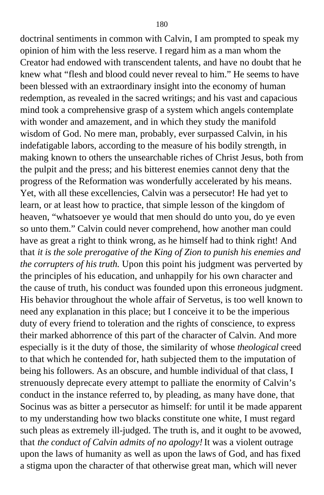doctrinal sentiments in common with Calvin, I am prompted to speak my opinion of him with the less reserve. I regard him as a man whom the Creator had endowed with transcendent talents, and have no doubt that he knew what "flesh and blood could never reveal to him." He seems to have been blessed with an extraordinary insight into the economy of human redemption, as revealed in the sacred writings; and his vast and capacious mind took a comprehensive grasp of a system which angels contemplate with wonder and amazement, and in which they study the manifold wisdom of God. No mere man, probably, ever surpassed Calvin, in his indefatigable labors, according to the measure of his bodily strength, in making known to others the unsearchable riches of Christ Jesus, both from the pulpit and the press; and his bitterest enemies cannot deny that the progress of the Reformation was wonderfully accelerated by his means. Yet, with all these excellencies, Calvin was a persecutor! He had yet to learn, or at least how to practice, that simple lesson of the kingdom of heaven, "whatsoever ye would that men should do unto you, do ye even so unto them." Calvin could never comprehend, how another man could have as great a right to think wrong, as he himself had to think right! And that *it is the sole prerogative of the King of Zion to punish his enemies and the corrupters of his truth.* Upon this point his judgment was perverted by the principles of his education, and unhappily for his own character and the cause of truth, his conduct was founded upon this erroneous judgment. His behavior throughout the whole affair of Servetus, is too well known to need any explanation in this place; but I conceive it to be the imperious duty of every friend to toleration and the rights of conscience, to express their marked abhorrence of this part of the character of Calvin. And more especially is it the duty of those, the similarity of whose *theological* creed to that which he contended for, hath subjected them to the imputation of being his followers. As an obscure, and humble individual of that class, I strenuously deprecate every attempt to palliate the enormity of Calvin's conduct in the instance referred to, by pleading, as many have done, that Socinus was as bitter a persecutor as himself: for until it be made apparent to my understanding how two blacks constitute one white, I must regard such pleas as extremely ill-judged. The truth is, and it ought to be avowed, that *the conduct of Calvin admits of no apology!* It was a violent outrage upon the laws of humanity as well as upon the laws of God, and has fixed a stigma upon the character of that otherwise great man, which will never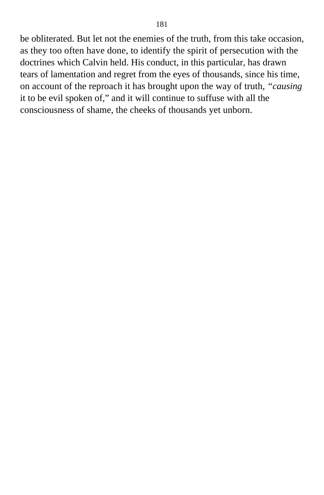be obliterated. But let not the enemies of the truth, from this take occasion, as they too often have done, to identify the spirit of persecution with the doctrines which Calvin held. His conduct, in this particular, has drawn tears of lamentation and regret from the eyes of thousands, since his time, on account of the reproach it has brought upon the way of truth, *"causing* it to be evil spoken of," and it will continue to suffuse with all the consciousness of shame, the cheeks of thousands yet unborn.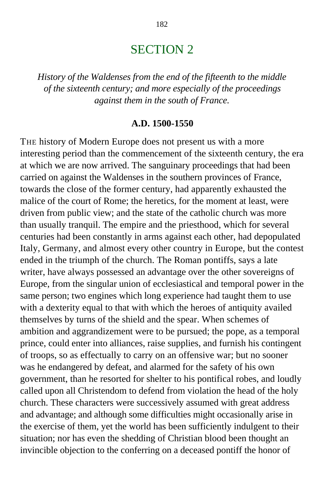## SECTION 2

*History of the Waldenses from the end of the fifteenth to the middle of the sixteenth century; and more especially of the proceedings against them in the south of France.*

#### **A.D. 1500-1550**

THE history of Modern Europe does not present us with a more interesting period than the commencement of the sixteenth century, the era at which we are now arrived. The sanguinary proceedings that had been carried on against the Waldenses in the southern provinces of France, towards the close of the former century, had apparently exhausted the malice of the court of Rome; the heretics, for the moment at least, were driven from public view; and the state of the catholic church was more than usually tranquil. The empire and the priesthood, which for several centuries had been constantly in arms against each other, had depopulated Italy, Germany, and almost every other country in Europe, but the contest ended in the triumph of the church. The Roman pontiffs, says a late writer, have always possessed an advantage over the other sovereigns of Europe, from the singular union of ecclesiastical and temporal power in the same person; two engines which long experience had taught them to use with a dexterity equal to that with which the heroes of antiquity availed themselves by turns of the shield and the spear. When schemes of ambition and aggrandizement were to be pursued; the pope, as a temporal prince, could enter into alliances, raise supplies, and furnish his contingent of troops, so as effectually to carry on an offensive war; but no sooner was he endangered by defeat, and alarmed for the safety of his own government, than he resorted for shelter to his pontifical robes, and loudly called upon all Christendom to defend from violation the head of the holy church. These characters were successively assumed with great address and advantage; and although some difficulties might occasionally arise in the exercise of them, yet the world has been sufficiently indulgent to their situation; nor has even the shedding of Christian blood been thought an invincible objection to the conferring on a deceased pontiff the honor of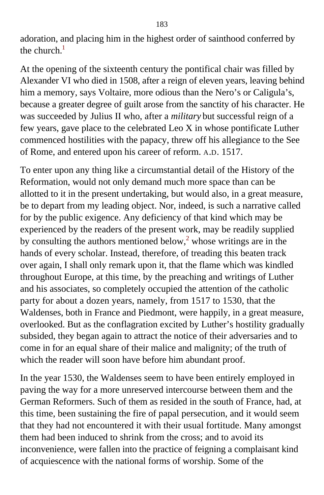adoration, and placing him in the highest order of sainthood conferred by the church. $<sup>1</sup>$  $<sup>1</sup>$  $<sup>1</sup>$ </sup>

At the opening of the sixteenth century the pontifical chair was filled by Alexander VI who died in 1508, after a reign of eleven years, leaving behind him a memory, says Voltaire, more odious than the Nero's or Caligula's, because a greater degree of guilt arose from the sanctity of his character. He was succeeded by Julius II who, after a *military* but successful reign of a few years, gave place to the celebrated Leo X in whose pontificate Luther commenced hostilities with the papacy, threw off his allegiance to the See of Rome, and entered upon his career of reform. A.D. 1517.

To enter upon any thing like a circumstantial detail of the History of the Reformation, would not only demand much more space than can be allotted to it in the present undertaking, but would also, in a great measure, be to depart from my leading object. Nor, indeed, is such a narrative called for by the public exigence. Any deficiency of that kind which may be experienced by the readers of the present work, may be readily supplied by consulting the authors mentioned below,<sup>[2](#page-411-0)</sup> whose writings are in the hands of every scholar. Instead, therefore, of treading this beaten track over again, I shall only remark upon it, that the flame which was kindled throughout Europe, at this time, by the preaching and writings of Luther and his associates, so completely occupied the attention of the catholic party for about a dozen years, namely, from 1517 to 1530, that the Waldenses, both in France and Piedmont, were happily, in a great measure, overlooked. But as the conflagration excited by Luther's hostility gradually subsided, they began again to attract the notice of their adversaries and to come in for an equal share of their malice and malignity; of the truth of which the reader will soon have before him abundant proof.

In the year 1530, the Waldenses seem to have been entirely employed in paving the way for a more unreserved intercourse between them and the German Reformers. Such of them as resided in the south of France, had, at this time, been sustaining the fire of papal persecution, and it would seem that they had not encountered it with their usual fortitude. Many amongst them had been induced to shrink from the cross; and to avoid its inconvenience, were fallen into the practice of feigning a complaisant kind of acquiescence with the national forms of worship. Some of the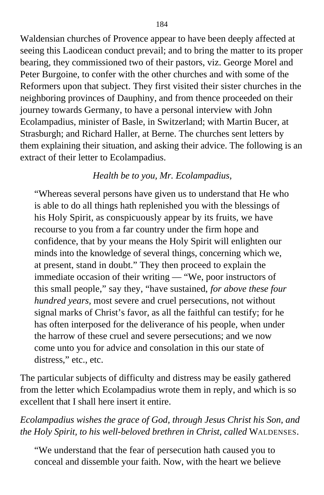Waldensian churches of Provence appear to have been deeply affected at seeing this Laodicean conduct prevail; and to bring the matter to its proper bearing, they commissioned two of their pastors, viz. George Morel and Peter Burgoine, to confer with the other churches and with some of the Reformers upon that subject. They first visited their sister churches in the neighboring provinces of Dauphiny, and from thence proceeded on their journey towards Germany, to have a personal interview with John Ecolampadius, minister of Basle, in Switzerland; with Martin Bucer, at Strasburgh; and Richard Haller, at Berne. The churches sent letters by them explaining their situation, and asking their advice. The following is an extract of their letter to Ecolampadius.

### *Health be to you, Mr. Ecolampadius,*

"Whereas several persons have given us to understand that He who is able to do all things hath replenished you with the blessings of his Holy Spirit, as conspicuously appear by its fruits, we have recourse to you from a far country under the firm hope and confidence, that by your means the Holy Spirit will enlighten our minds into the knowledge of several things, concerning which we, at present, stand in doubt." They then proceed to explain the immediate occasion of their writing — "We, poor instructors of this small people," say they, "have sustained, *for above these four hundred years,* most severe and cruel persecutions, not without signal marks of Christ's favor, as all the faithful can testify; for he has often interposed for the deliverance of his people, when under the harrow of these cruel and severe persecutions; and we now come unto you for advice and consolation in this our state of distress," etc., etc.

The particular subjects of difficulty and distress may be easily gathered from the letter which Ecolampadius wrote them in reply, and which is so excellent that I shall here insert it entire.

## *Ecolampadius wishes the grace of God, through Jesus Christ his Son, and the Holy Spirit, to his well-beloved brethren in Christ, called* WALDENSES.

"We understand that the fear of persecution hath caused you to conceal and dissemble your faith. Now, with the heart we believe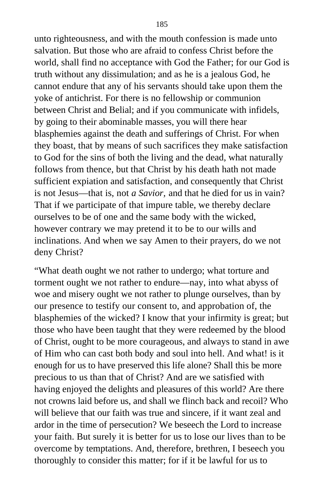unto righteousness, and with the mouth confession is made unto salvation. But those who are afraid to confess Christ before the world, shall find no acceptance with God the Father; for our God is truth without any dissimulation; and as he is a jealous God, he cannot endure that any of his servants should take upon them the yoke of antichrist. For there is no fellowship or communion between Christ and Belial; and if you communicate with infidels, by going to their abominable masses, you will there hear blasphemies against the death and sufferings of Christ. For when they boast, that by means of such sacrifices they make satisfaction to God for the sins of both the living and the dead, what naturally follows from thence, but that Christ by his death hath not made sufficient expiation and satisfaction, and consequently that Christ is not Jesus—that is, not *a Savior,* and that he died for us in vain? That if we participate of that impure table, we thereby declare ourselves to be of one and the same body with the wicked, however contrary we may pretend it to be to our wills and inclinations. And when we say Amen to their prayers, do we not deny Christ?

"What death ought we not rather to undergo; what torture and torment ought we not rather to endure—nay, into what abyss of woe and misery ought we not rather to plunge ourselves, than by our presence to testify our consent to, and approbation of, the blasphemies of the wicked? I know that your infirmity is great; but those who have been taught that they were redeemed by the blood of Christ, ought to be more courageous, and always to stand in awe of Him who can cast both body and soul into hell. And what! is it enough for us to have preserved this life alone? Shall this be more precious to us than that of Christ? And are we satisfied with having enjoyed the delights and pleasures of this world? Are there not crowns laid before us, and shall we flinch back and recoil? Who will believe that our faith was true and sincere, if it want zeal and ardor in the time of persecution? We beseech the Lord to increase your faith. But surely it is better for us to lose our lives than to be overcome by temptations. And, therefore, brethren, I beseech you thoroughly to consider this matter; for if it be lawful for us to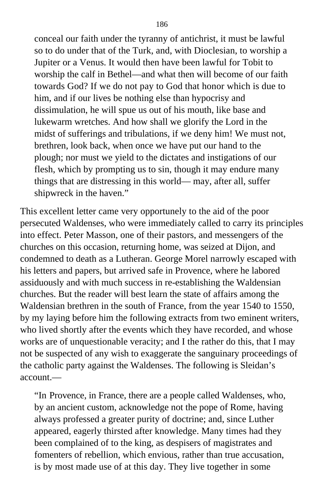conceal our faith under the tyranny of antichrist, it must be lawful so to do under that of the Turk, and, with Dioclesian, to worship a Jupiter or a Venus. It would then have been lawful for Tobit to worship the calf in Bethel—and what then will become of our faith towards God? If we do not pay to God that honor which is due to him, and if our lives be nothing else than hypocrisy and dissimulation, he will spue us out of his mouth, like base and lukewarm wretches. And how shall we glorify the Lord in the midst of sufferings and tribulations, if we deny him! We must not, brethren, look back, when once we have put our hand to the plough; nor must we yield to the dictates and instigations of our flesh, which by prompting us to sin, though it may endure many things that are distressing in this world— may, after all, suffer shipwreck in the haven."

This excellent letter came very opportunely to the aid of the poor persecuted Waldenses, who were immediately called to carry its principles into effect. Peter Masson, one of their pastors, and messengers of the churches on this occasion, returning home, was seized at Dijon, and condemned to death as a Lutheran. George Morel narrowly escaped with his letters and papers, but arrived safe in Provence, where he labored assiduously and with much success in re-establishing the Waldensian churches. But the reader will best learn the state of affairs among the Waldensian brethren in the south of France, from the year 1540 to 1550, by my laying before him the following extracts from two eminent writers, who lived shortly after the events which they have recorded, and whose works are of unquestionable veracity; and I the rather do this, that I may not be suspected of any wish to exaggerate the sanguinary proceedings of the catholic party against the Waldenses. The following is Sleidan's account.—

"In Provence, in France, there are a people called Waldenses, who, by an ancient custom, acknowledge not the pope of Rome, having always professed a greater purity of doctrine; and, since Luther appeared, eagerly thirsted after knowledge. Many times had they been complained of to the king, as despisers of magistrates and fomenters of rebellion, which envious, rather than true accusation, is by most made use of at this day. They live together in some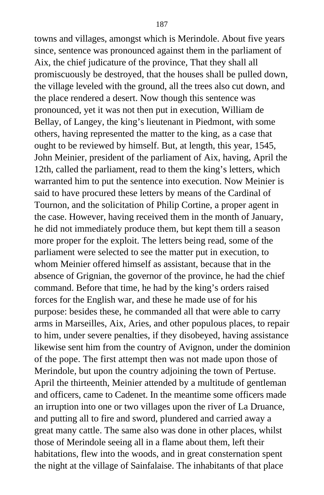towns and villages, amongst which is Merindole. About five years since, sentence was pronounced against them in the parliament of Aix, the chief judicature of the province, That they shall all promiscuously be destroyed, that the houses shall be pulled down, the village leveled with the ground, all the trees also cut down, and the place rendered a desert. Now though this sentence was pronounced, yet it was not then put in execution, William de Bellay, of Langey, the king's lieutenant in Piedmont, with some others, having represented the matter to the king, as a case that ought to be reviewed by himself. But, at length, this year, 1545, John Meinier, president of the parliament of Aix, having, April the 12th, called the parliament, read to them the king's letters, which warranted him to put the sentence into execution. Now Meinier is said to have procured these letters by means of the Cardinal of Tournon, and the solicitation of Philip Cortine, a proper agent in the case. However, having received them in the month of January, he did not immediately produce them, but kept them till a season more proper for the exploit. The letters being read, some of the parliament were selected to see the matter put in execution, to whom Meinier offered himself as assistant, because that in the absence of Grignian, the governor of the province, he had the chief command. Before that time, he had by the king's orders raised forces for the English war, and these he made use of for his purpose: besides these, he commanded all that were able to carry arms in Marseilles, Aix, Aries, and other populous places, to repair to him, under severe penalties, if they disobeyed, having assistance likewise sent him from the country of Avignon, under the dominion of the pope. The first attempt then was not made upon those of Merindole, but upon the country adjoining the town of Pertuse. April the thirteenth, Meinier attended by a multitude of gentleman and officers, came to Cadenet. In the meantime some officers made an irruption into one or two villages upon the river of La Druance, and putting all to fire and sword, plundered and carried away a great many cattle. The same also was done in other places, whilst those of Merindole seeing all in a flame about them, left their habitations, flew into the woods, and in great consternation spent the night at the village of Sainfalaise. The inhabitants of that place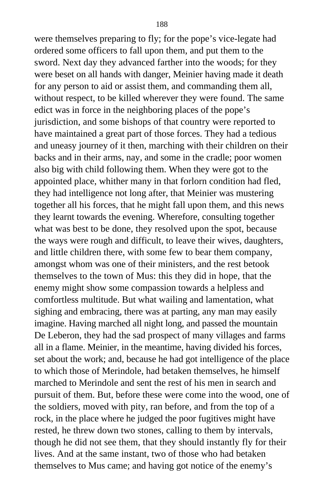were themselves preparing to fly; for the pope's vice-legate had ordered some officers to fall upon them, and put them to the sword. Next day they advanced farther into the woods; for they were beset on all hands with danger, Meinier having made it death for any person to aid or assist them, and commanding them all, without respect, to be killed wherever they were found. The same edict was in force in the neighboring places of the pope's jurisdiction, and some bishops of that country were reported to have maintained a great part of those forces. They had a tedious and uneasy journey of it then, marching with their children on their backs and in their arms, nay, and some in the cradle; poor women also big with child following them. When they were got to the appointed place, whither many in that forlorn condition had fled, they had intelligence not long after, that Meinier was mustering together all his forces, that he might fall upon them, and this news they learnt towards the evening. Wherefore, consulting together what was best to be done, they resolved upon the spot, because the ways were rough and difficult, to leave their wives, daughters, and little children there, with some few to bear them company, amongst whom was one of their ministers, and the rest betook themselves to the town of Mus: this they did in hope, that the enemy might show some compassion towards a helpless and comfortless multitude. But what wailing and lamentation, what sighing and embracing, there was at parting, any man may easily imagine. Having marched all night long, and passed the mountain De Leberon, they had the sad prospect of many villages and farms all in a flame. Meinier, in the meantime, having divided his forces, set about the work; and, because he had got intelligence of the place to which those of Merindole, had betaken themselves, he himself marched to Merindole and sent the rest of his men in search and pursuit of them. But, before these were come into the wood, one of the soldiers, moved with pity, ran before, and from the top of a rock, in the place where he judged the poor fugitives might have rested, he threw down two stones, calling to them by intervals, though he did not see them, that they should instantly fly for their lives. And at the same instant, two of those who had betaken themselves to Mus came; and having got notice of the enemy's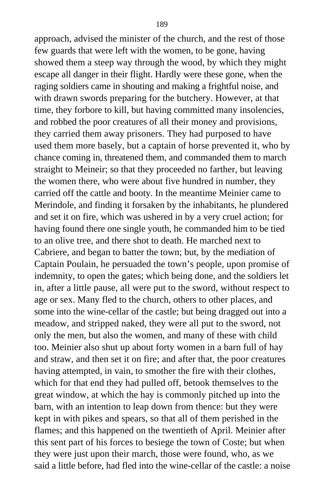approach, advised the minister of the church, and the rest of those few guards that were left with the women, to be gone, having showed them a steep way through the wood, by which they might escape all danger in their flight. Hardly were these gone, when the raging soldiers came in shouting and making a frightful noise, and with drawn swords preparing for the butchery. However, at that time, they forbore to kill, but having committed many insolencies, and robbed the poor creatures of all their money and provisions, they carried them away prisoners. They had purposed to have used them more basely, but a captain of horse prevented it, who by chance coming in, threatened them, and commanded them to march straight to Meineir; so that they proceeded no farther, but leaving the women there, who were about five hundred in number, they carried off the cattle and booty. In the meantime Meinier came to Merindole, and finding it forsaken by the inhabitants, he plundered and set it on fire, which was ushered in by a very cruel action; for having found there one single youth, he commanded him to be tied to an olive tree, and there shot to death. He marched next to Cabriere, and began to batter the town; but, by the mediation of Captain Poulain, he persuaded the town's people, upon promise of indemnity, to open the gates; which being done, and the soldiers let in, after a little pause, all were put to the sword, without respect to age or sex. Many fled to the church, others to other places, and some into the wine-cellar of the castle; but being dragged out into a meadow, and stripped naked, they were all put to the sword, not only the men, but also the women, and many of these with child too. Meinier also shut up about forty women in a barn full of hay and straw, and then set it on fire; and after that, the poor creatures having attempted, in vain, to smother the fire with their clothes, which for that end they had pulled off, betook themselves to the great window, at which the hay is commonly pitched up into the barn, with an intention to leap down from thence: but they were kept in with pikes and spears, so that all of them perished in the flames; and this happened on the twentieth of April. Meinier after this sent part of his forces to besiege the town of Coste; but when they were just upon their march, those were found, who, as we said a little before, had fled into the wine-cellar of the castle: a noise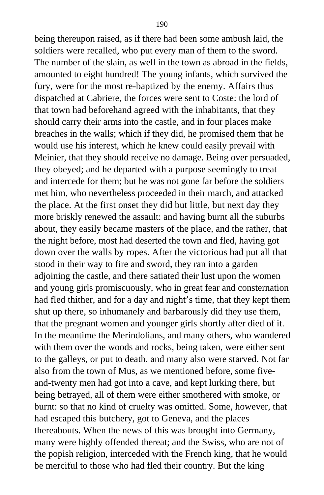being thereupon raised, as if there had been some ambush laid, the soldiers were recalled, who put every man of them to the sword. The number of the slain, as well in the town as abroad in the fields, amounted to eight hundred! The young infants, which survived the fury, were for the most re-baptized by the enemy. Affairs thus dispatched at Cabriere, the forces were sent to Coste: the lord of that town had beforehand agreed with the inhabitants, that they should carry their arms into the castle, and in four places make breaches in the walls; which if they did, he promised them that he would use his interest, which he knew could easily prevail with Meinier, that they should receive no damage. Being over persuaded, they obeyed; and he departed with a purpose seemingly to treat and intercede for them; but he was not gone far before the soldiers met him, who nevertheless proceeded in their march, and attacked the place. At the first onset they did but little, but next day they more briskly renewed the assault: and having burnt all the suburbs about, they easily became masters of the place, and the rather, that the night before, most had deserted the town and fled, having got down over the walls by ropes. After the victorious had put all that stood in their way to fire and sword, they ran into a garden adjoining the castle, and there satiated their lust upon the women and young girls promiscuously, who in great fear and consternation had fled thither, and for a day and night's time, that they kept them shut up there, so inhumanely and barbarously did they use them, that the pregnant women and younger girls shortly after died of it. In the meantime the Merindolians, and many others, who wandered with them over the woods and rocks, being taken, were either sent to the galleys, or put to death, and many also were starved. Not far also from the town of Mus, as we mentioned before, some fiveand-twenty men had got into a cave, and kept lurking there, but being betrayed, all of them were either smothered with smoke, or burnt: so that no kind of cruelty was omitted. Some, however, that had escaped this butchery, got to Geneva, and the places thereabouts. When the news of this was brought into Germany, many were highly offended thereat; and the Swiss, who are not of the popish religion, interceded with the French king, that he would be merciful to those who had fled their country. But the king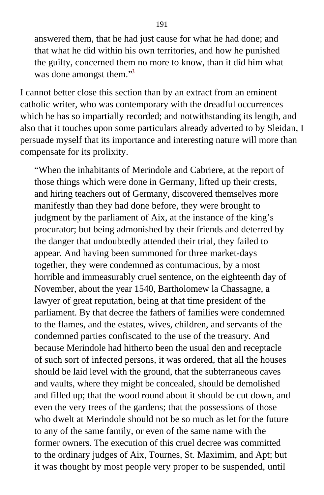answered them, that he had just cause for what he had done; and that what he did within his own territories, and how he punished the guilty, concerned them no more to know, than it did him what was done amongst them.<sup>[3](#page-411-0)3</sup>

I cannot better close this section than by an extract from an eminent catholic writer, who was contemporary with the dreadful occurrences which he has so impartially recorded; and notwithstanding its length, and also that it touches upon some particulars already adverted to by Sleidan, I persuade myself that its importance and interesting nature will more than compensate for its prolixity.

"When the inhabitants of Merindole and Cabriere, at the report of those things which were done in Germany, lifted up their crests, and hiring teachers out of Germany, discovered themselves more manifestly than they had done before, they were brought to judgment by the parliament of Aix, at the instance of the king's procurator; but being admonished by their friends and deterred by the danger that undoubtedly attended their trial, they failed to appear. And having been summoned for three market-days together, they were condemned as contumacious, by a most horrible and immeasurably cruel sentence, on the eighteenth day of November, about the year 1540, Bartholomew la Chassagne, a lawyer of great reputation, being at that time president of the parliament. By that decree the fathers of families were condemned to the flames, and the estates, wives, children, and servants of the condemned parties confiscated to the use of the treasury. And because Merindole had hitherto been the usual den and receptacle of such sort of infected persons, it was ordered, that all the houses should be laid level with the ground, that the subterraneous caves and vaults, where they might be concealed, should be demolished and filled up; that the wood round about it should be cut down, and even the very trees of the gardens; that the possessions of those who dwelt at Merindole should not be so much as let for the future to any of the same family, or even of the same name with the former owners. The execution of this cruel decree was committed to the ordinary judges of Aix, Tournes, St. Maximim, and Apt; but it was thought by most people very proper to be suspended, until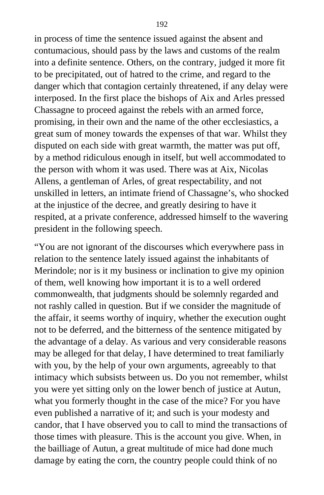in process of time the sentence issued against the absent and contumacious, should pass by the laws and customs of the realm into a definite sentence. Others, on the contrary, judged it more fit to be precipitated, out of hatred to the crime, and regard to the danger which that contagion certainly threatened, if any delay were interposed. In the first place the bishops of Aix and Arles pressed Chassagne to proceed against the rebels with an armed force, promising, in their own and the name of the other ecclesiastics, a great sum of money towards the expenses of that war. Whilst they disputed on each side with great warmth, the matter was put off, by a method ridiculous enough in itself, but well accommodated to the person with whom it was used. There was at Aix, Nicolas Allens, a gentleman of Arles, of great respectability, and not unskilled in letters, an intimate friend of Chassagne's, who shocked at the injustice of the decree, and greatly desiring to have it respited, at a private conference, addressed himself to the wavering president in the following speech.

"You are not ignorant of the discourses which everywhere pass in relation to the sentence lately issued against the inhabitants of Merindole; nor is it my business or inclination to give my opinion of them, well knowing how important it is to a well ordered commonwealth, that judgments should be solemnly regarded and not rashly called in question. But if we consider the magnitude of the affair, it seems worthy of inquiry, whether the execution ought not to be deferred, and the bitterness of the sentence mitigated by the advantage of a delay. As various and very considerable reasons may be alleged for that delay, I have determined to treat familiarly with you, by the help of your own arguments, agreeably to that intimacy which subsists between us. Do you not remember, whilst you were yet sitting only on the lower bench of justice at Autun, what you formerly thought in the case of the mice? For you have even published a narrative of it; and such is your modesty and candor, that I have observed you to call to mind the transactions of those times with pleasure. This is the account you give. When, in the bailliage of Autun, a great multitude of mice had done much damage by eating the corn, the country people could think of no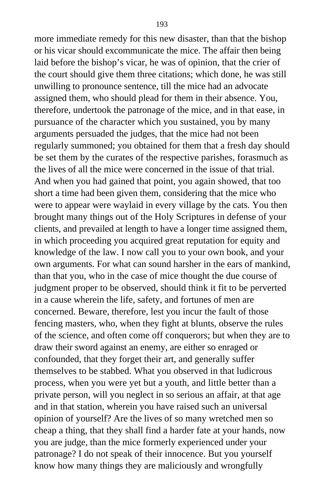more immediate remedy for this new disaster, than that the bishop or his vicar should excommunicate the mice. The affair then being laid before the bishop's vicar, he was of opinion, that the crier of the court should give them three citations; which done, he was still unwilling to pronounce sentence, till the mice had an advocate assigned them, who should plead for them in their absence. You, therefore, undertook the patronage of the mice, and in that ease, in pursuance of the character which you sustained, you by many arguments persuaded the judges, that the mice had not been regularly summoned; you obtained for them that a fresh day should be set them by the curates of the respective parishes, forasmuch as the lives of all the mice were concerned in the issue of that trial. And when you had gained that point, you again showed, that too short a time had been given them, considering that the mice who were to appear were waylaid in every village by the cats. You then brought many things out of the Holy Scriptures in defense of your clients, and prevailed at length to have a longer time assigned them, in which proceeding you acquired great reputation for equity and knowledge of the law. I now call you to your own book, and your own arguments. For what can sound harsher in the ears of mankind, than that you, who in the case of mice thought the due course of judgment proper to be observed, should think it fit to be perverted in a cause wherein the life, safety, and fortunes of men are concerned. Beware, therefore, lest you incur the fault of those fencing masters, who, when they fight at blunts, observe the rules of the science, and often come off conquerors; but when they are to draw their sword against an enemy, are either so enraged or confounded, that they forget their art, and generally suffer themselves to be stabbed. What you observed in that ludicrous process, when you were yet but a youth, and little better than a private person, will you neglect in so serious an affair, at that age and in that station, wherein you have raised such an universal opinion of yourself? Are the lives of so many wretched men so cheap a thing, that they shall find a harder fate at your hands, now you are judge, than the mice formerly experienced under your patronage? I do not speak of their innocence. But you yourself know how many things they are maliciously and wrongfully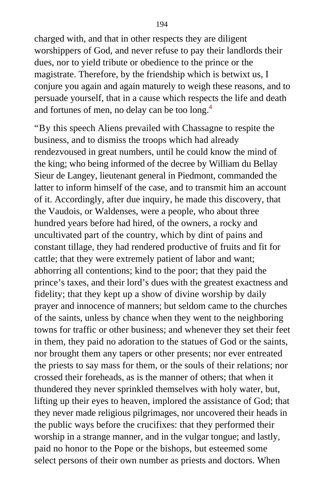charged with, and that in other respects they are diligent worshippers of God, and never refuse to pay their landlords their dues, nor to yield tribute or obedience to the prince or the magistrate. Therefore, by the friendship which is betwixt us, I conjure you again and again maturely to weigh these reasons, and to persuade yourself, that in a cause which respects the life and death and fortunes of men, no delay can be too long.[4](#page-411-0)

"By this speech Aliens prevailed with Chassagne to respite the business, and to dismiss the troops which had already rendezvoused in great numbers, until he could know the mind of the king; who being informed of the decree by William du Bellay Sieur de Langey, lieutenant general in Piedmont, commanded the latter to inform himself of the case, and to transmit him an account of it. Accordingly, after due inquiry, he made this discovery, that the Vaudois, or Waldenses, were a people, who about three hundred years before had hired, of the owners, a rocky and uncultivated part of the country, which by dint of pains and constant tillage, they had rendered productive of fruits and fit for cattle; that they were extremely patient of labor and want; abhorring all contentions; kind to the poor; that they paid the prince's taxes, and their lord's dues with the greatest exactness and fidelity; that they kept up a show of divine worship by daily prayer and innocence of manners; but seldom came to the churches of the saints, unless by chance when they went to the neighboring towns for traffic or other business; and whenever they set their feet in them, they paid no adoration to the statues of God or the saints, nor brought them any tapers or other presents; nor ever entreated the priests to say mass for them, or the souls of their relations; nor crossed their foreheads, as is the manner of others; that when it thundered they never sprinkled themselves with holy water, but, lifting up their eyes to heaven, implored the assistance of God; that they never made religious pilgrimages, nor uncovered their heads in the public ways before the crucifixes: that they performed their worship in a strange manner, and in the vulgar tongue; and lastly, paid no honor to the Pope or the bishops, but esteemed some select persons of their own number as priests and doctors. When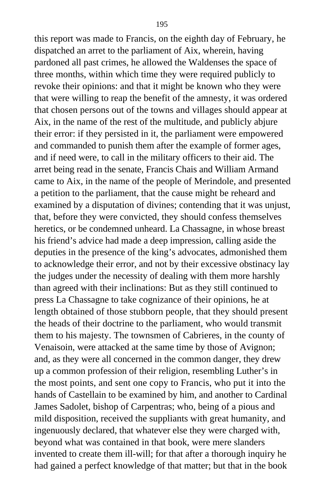this report was made to Francis, on the eighth day of February, he dispatched an arret to the parliament of Aix, wherein, having pardoned all past crimes, he allowed the Waldenses the space of three months, within which time they were required publicly to revoke their opinions: and that it might be known who they were that were willing to reap the benefit of the amnesty, it was ordered that chosen persons out of the towns and villages should appear at Aix, in the name of the rest of the multitude, and publicly abjure their error: if they persisted in it, the parliament were empowered and commanded to punish them after the example of former ages, and if need were, to call in the military officers to their aid. The arret being read in the senate, Francis Chais and William Armand came to Aix, in the name of the people of Merindole, and presented a petition to the parliament, that the cause might be reheard and examined by a disputation of divines; contending that it was unjust, that, before they were convicted, they should confess themselves heretics, or be condemned unheard. La Chassagne, in whose breast his friend's advice had made a deep impression, calling aside the deputies in the presence of the king's advocates, admonished them to acknowledge their error, and not by their excessive obstinacy lay the judges under the necessity of dealing with them more harshly than agreed with their inclinations: But as they still continued to press La Chassagne to take cognizance of their opinions, he at length obtained of those stubborn people, that they should present the heads of their doctrine to the parliament, who would transmit them to his majesty. The townsmen of Cabrieres, in the county of Venaisoin, were attacked at the same time by those of Avignon; and, as they were all concerned in the common danger, they drew up a common profession of their religion, resembling Luther's in the most points, and sent one copy to Francis, who put it into the hands of Castellain to be examined by him, and another to Cardinal James Sadolet, bishop of Carpentras; who, being of a pious and mild disposition, received the suppliants with great humanity, and ingenuously declared, that whatever else they were charged with, beyond what was contained in that book, were mere slanders invented to create them ill-will; for that after a thorough inquiry he had gained a perfect knowledge of that matter; but that in the book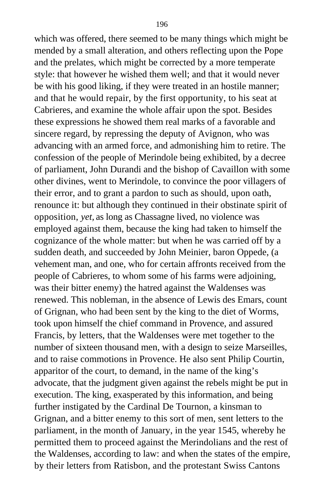which was offered, there seemed to be many things which might be mended by a small alteration, and others reflecting upon the Pope and the prelates, which might be corrected by a more temperate style: that however he wished them well; and that it would never be with his good liking, if they were treated in an hostile manner; and that he would repair, by the first opportunity, to his seat at Cabrieres, and examine the whole affair upon the spot. Besides these expressions he showed them real marks of a favorable and sincere regard, by repressing the deputy of Avignon, who was advancing with an armed force, and admonishing him to retire. The confession of the people of Merindole being exhibited, by a decree of parliament, John Durandi and the bishop of Cavaillon with some other divines, went to Merindole, to convince the poor villagers of their error, and to grant a pardon to such as should, upon oath, renounce it: but although they continued in their obstinate spirit of opposition, *yet,* as long as Chassagne lived, no violence was employed against them, because the king had taken to himself the cognizance of the whole matter: but when he was carried off by a sudden death, and succeeded by John Meinier, baron Oppede, (a vehement man, and one, who for certain affronts received from the people of Cabrieres, to whom some of his farms were adjoining, was their bitter enemy) the hatred against the Waldenses was renewed. This nobleman, in the absence of Lewis des Emars, count of Grignan, who had been sent by the king to the diet of Worms, took upon himself the chief command in Provence, and assured Francis, by letters, that the Waldenses were met together to the number of sixteen thousand men, with a design to seize Marseilles, and to raise commotions in Provence. He also sent Philip Courtin, apparitor of the court, to demand, in the name of the king's advocate, that the judgment given against the rebels might be put in execution. The king, exasperated by this information, and being further instigated by the Cardinal De Tournon, a kinsman to Grignan, and a bitter enemy to this sort of men, sent letters to the parliament, in the month of January, in the year 1545, whereby he permitted them to proceed against the Merindolians and the rest of the Waldenses, according to law: and when the states of the empire, by their letters from Ratisbon, and the protestant Swiss Cantons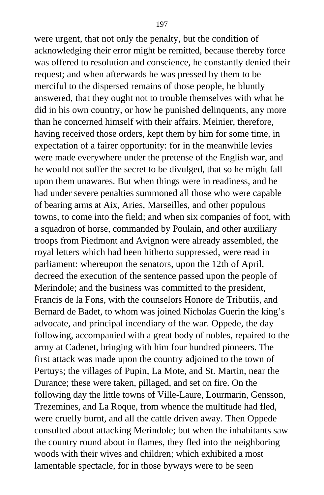were urgent, that not only the penalty, but the condition of acknowledging their error might be remitted, because thereby force was offered to resolution and conscience, he constantly denied their request; and when afterwards he was pressed by them to be merciful to the dispersed remains of those people, he bluntly answered, that they ought not to trouble themselves with what he did in his own country, or how he punished delinquents, any more than he concerned himself with their affairs. Meinier, therefore, having received those orders, kept them by him for some time, in expectation of a fairer opportunity: for in the meanwhile levies were made everywhere under the pretense of the English war, and he would not suffer the secret to be divulged, that so he might fall upon them unawares. But when things were in readiness, and he had under severe penalties summoned all those who were capable of bearing arms at Aix, Aries, Marseilles, and other populous towns, to come into the field; and when six companies of foot, with a squadron of horse, commanded by Poulain, and other auxiliary troops from Piedmont and Avignon were already assembled, the royal letters which had been hitherto suppressed, were read in parliament: whereupon the senators, upon the 12th of April, decreed the execution of the sentence passed upon the people of Merindole; and the business was committed to the president, Francis de la Fons, with the counselors Honore de Tributiis, and Bernard de Badet, to whom was joined Nicholas Guerin the king's advocate, and principal incendiary of the war. Oppede, the day following, accompanied with a great body of nobles, repaired to the army at Cadenet, bringing with him four hundred pioneers. The first attack was made upon the country adjoined to the town of Pertuys; the villages of Pupin, La Mote, and St. Martin, near the Durance; these were taken, pillaged, and set on fire. On the following day the little towns of Ville-Laure, Lourmarin, Gensson, Trezemines, and La Roque, from whence the multitude had fled, were cruelly burnt, and all the cattle driven away. Then Oppede consulted about attacking Merindole; but when the inhabitants saw the country round about in flames, they fled into the neighboring woods with their wives and children; which exhibited a most lamentable spectacle, for in those byways were to be seen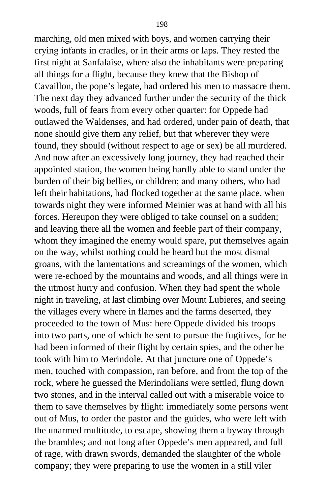marching, old men mixed with boys, and women carrying their crying infants in cradles, or in their arms or laps. They rested the first night at Sanfalaise, where also the inhabitants were preparing all things for a flight, because they knew that the Bishop of Cavaillon, the pope's legate, had ordered his men to massacre them. The next day they advanced further under the security of the thick woods, full of fears from every other quarter: for Oppede had outlawed the Waldenses, and had ordered, under pain of death, that none should give them any relief, but that wherever they were found, they should (without respect to age or sex) be all murdered. And now after an excessively long journey, they had reached their appointed station, the women being hardly able to stand under the burden of their big bellies, or children; and many others, who had left their habitations, had flocked together at the same place, when towards night they were informed Meinier was at hand with all his forces. Hereupon they were obliged to take counsel on a sudden; and leaving there all the women and feeble part of their company, whom they imagined the enemy would spare, put themselves again on the way, whilst nothing could be heard but the most dismal groans, with the lamentations and screamings of the women, which were re-echoed by the mountains and woods, and all things were in the utmost hurry and confusion. When they had spent the whole night in traveling, at last climbing over Mount Lubieres, and seeing the villages every where in flames and the farms deserted, they proceeded to the town of Mus: here Oppede divided his troops into two parts, one of which he sent to pursue the fugitives, for he had been informed of their flight by certain spies, and the other he took with him to Merindole. At that juncture one of Oppede's men, touched with compassion, ran before, and from the top of the rock, where he guessed the Merindolians were settled, flung down two stones, and in the interval called out with a miserable voice to them to save themselves by flight: immediately some persons went out of Mus, to order the pastor and the guides, who were left with the unarmed multitude, to escape, showing them a byway through the brambles; and not long after Oppede's men appeared, and full of rage, with drawn swords, demanded the slaughter of the whole company; they were preparing to use the women in a still viler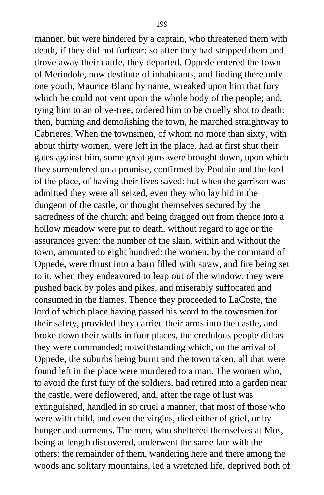manner, but were hindered by a captain, who threatened them with death, if they did not forbear: so after they had stripped them and drove away their cattle, they departed. Oppede entered the town of Merindole, now destitute of inhabitants, and finding there only one youth, Maurice Blanc by name, wreaked upon him that fury which he could not vent upon the whole body of the people; and, tying him to an olive-tree, ordered him to be cruelly shot to death: then, burning and demolishing the town, he marched straightway to Cabrieres. When the townsmen, of whom no more than sixty, with about thirty women, were left in the place, had at first shut their gates against him, some great guns were brought down, upon which they surrendered on a promise, confirmed by Poulain and the lord of the place, of having their lives saved: but when the garrison was admitted they were all seized, even they who lay hid in the dungeon of the castle, or thought themselves secured by the sacredness of the church; and being dragged out from thence into a hollow meadow were put to death, without regard to age or the assurances given: the number of the slain, within and without the town, amounted to eight hundred: the women, by the command of Oppede, were thrust into a barn filled with straw, and fire being set to it, when they endeavored to leap out of the window, they were pushed back by poles and pikes, and miserably suffocated and consumed in the flames. Thence they proceeded to LaCoste, the lord of which place having passed his word to the townsmen for their safety, provided they carried their arms into the castle, and broke down their walls in four places, the credulous people did as they were commanded; notwithstanding which, on the arrival of Oppede, the suburbs being burnt and the town taken, all that were found left in the place were murdered to a man. The women who, to avoid the first fury of the soldiers, had retired into a garden near the castle, were deflowered, and, after the rage of lust was extinguished, handled in so cruel a manner, that most of those who were with child, and even the virgins, died either of grief, or by hunger and torments. The men, who sheltered themselves at Mus, being at length discovered, underwent the same fate with the others: the remainder of them, wandering here and there among the woods and solitary mountains, led a wretched life, deprived both of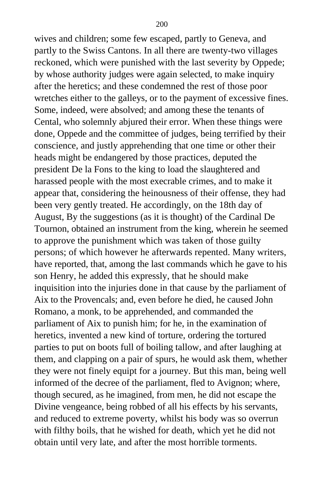wives and children; some few escaped, partly to Geneva, and partly to the Swiss Cantons. In all there are twenty-two villages reckoned, which were punished with the last severity by Oppede; by whose authority judges were again selected, to make inquiry after the heretics; and these condemned the rest of those poor wretches either to the galleys, or to the payment of excessive fines. Some, indeed, were absolved; and among these the tenants of Cental, who solemnly abjured their error. When these things were done, Oppede and the committee of judges, being terrified by their conscience, and justly apprehending that one time or other their heads might be endangered by those practices, deputed the president De la Fons to the king to load the slaughtered and harassed people with the most execrable crimes, and to make it appear that, considering the heinousness of their offense, they had been very gently treated. He accordingly, on the 18th day of August, By the suggestions (as it is thought) of the Cardinal De Tournon, obtained an instrument from the king, wherein he seemed to approve the punishment which was taken of those guilty persons; of which however he afterwards repented. Many writers, have reported, that, among the last commands which he gave to his son Henry, he added this expressly, that he should make inquisition into the injuries done in that cause by the parliament of Aix to the Provencals; and, even before he died, he caused John Romano, a monk, to be apprehended, and commanded the parliament of Aix to punish him; for he, in the examination of heretics, invented a new kind of torture, ordering the tortured parties to put on boots full of boiling tallow, and after laughing at them, and clapping on a pair of spurs, he would ask them, whether they were not finely equipt for a journey. But this man, being well informed of the decree of the parliament, fled to Avignon; where, though secured, as he imagined, from men, he did not escape the Divine vengeance, being robbed of all his effects by his servants, and reduced to extreme poverty, whilst his body was so overrun with filthy boils, that he wished for death, which yet he did not obtain until very late, and after the most horrible torments.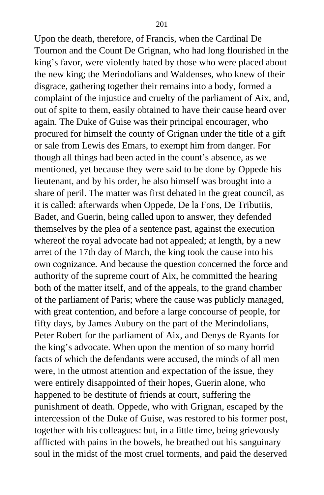Upon the death, therefore, of Francis, when the Cardinal De Tournon and the Count De Grignan, who had long flourished in the king's favor, were violently hated by those who were placed about the new king; the Merindolians and Waldenses, who knew of their disgrace, gathering together their remains into a body, formed a complaint of the injustice and cruelty of the parliament of Aix, and, out of spite to them, easily obtained to have their cause heard over again. The Duke of Guise was their principal encourager, who procured for himself the county of Grignan under the title of a gift or sale from Lewis des Emars, to exempt him from danger. For though all things had been acted in the count's absence, as we mentioned, yet because they were said to be done by Oppede his lieutenant, and by his order, he also himself was brought into a share of peril. The matter was first debated in the great council, as it is called: afterwards when Oppede, De la Fons, De Tributiis, Badet, and Guerin, being called upon to answer, they defended themselves by the plea of a sentence past, against the execution whereof the royal advocate had not appealed; at length, by a new arret of the 17th day of March, the king took the cause into his own cognizance. And because the question concerned the force and authority of the supreme court of Aix, he committed the hearing both of the matter itself, and of the appeals, to the grand chamber of the parliament of Paris; where the cause was publicly managed, with great contention, and before a large concourse of people, for fifty days, by James Aubury on the part of the Merindolians, Peter Robert for the parliament of Aix, and Denys de Ryants for the king's advocate. When upon the mention of so many horrid facts of which the defendants were accused, the minds of all men were, in the utmost attention and expectation of the issue, they were entirely disappointed of their hopes, Guerin alone, who happened to be destitute of friends at court, suffering the punishment of death. Oppede, who with Grignan, escaped by the intercession of the Duke of Guise, was restored to his former post, together with his colleagues: but, in a little time, being grievously afflicted with pains in the bowels, he breathed out his sanguinary soul in the midst of the most cruel torments, and paid the deserved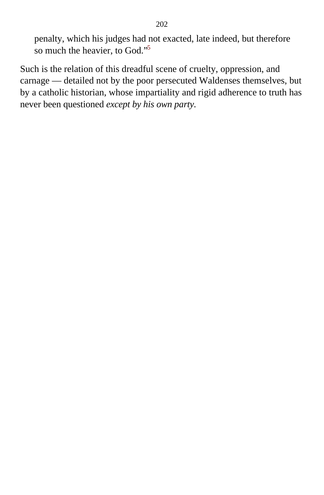penalty, which his judges had not exacted, late indeed, but therefore so much the heavier, to God."[5](#page-412-0)

Such is the relation of this dreadful scene of cruelty, oppression, and carnage — detailed not by the poor persecuted Waldenses themselves, but by a catholic historian, whose impartiality and rigid adherence to truth has never been questioned *except by his own party.*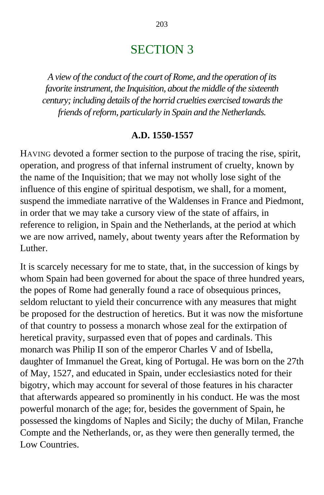# SECTION 3

*A view of the conduct of the court of Rome, and the operation of its favorite instrument, the Inquisition, about the middle of the sixteenth century; including details of the horrid cruelties exercised towards the friends of reform, particularly in Spain and the Netherlands.*

#### **A.D. 1550-1557**

HAVING devoted a former section to the purpose of tracing the rise, spirit, operation, and progress of that infernal instrument of cruelty, known by the name of the Inquisition; that we may not wholly lose sight of the influence of this engine of spiritual despotism, we shall, for a moment, suspend the immediate narrative of the Waldenses in France and Piedmont, in order that we may take a cursory view of the state of affairs, in reference to religion, in Spain and the Netherlands, at the period at which we are now arrived, namely, about twenty years after the Reformation by Luther.

It is scarcely necessary for me to state, that, in the succession of kings by whom Spain had been governed for about the space of three hundred years, the popes of Rome had generally found a race of obsequious princes, seldom reluctant to yield their concurrence with any measures that might be proposed for the destruction of heretics. But it was now the misfortune of that country to possess a monarch whose zeal for the extirpation of heretical pravity, surpassed even that of popes and cardinals. This monarch was Philip II son of the emperor Charles V and of Isbella, daughter of Immanuel the Great, king of Portugal. He was born on the 27th of May, 1527, and educated in Spain, under ecclesiastics noted for their bigotry, which may account for several of those features in his character that afterwards appeared so prominently in his conduct. He was the most powerful monarch of the age; for, besides the government of Spain, he possessed the kingdoms of Naples and Sicily; the duchy of Milan, Franche Compte and the Netherlands, or, as they were then generally termed, the Low Countries.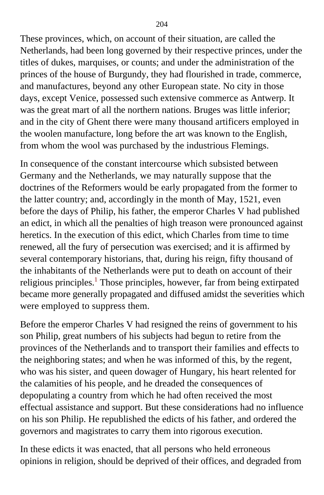These provinces, which, on account of their situation, are called the Netherlands, had been long governed by their respective princes, under the titles of dukes, marquises, or counts; and under the administration of the princes of the house of Burgundy, they had flourished in trade, commerce, and manufactures, beyond any other European state. No city in those days, except Venice, possessed such extensive commerce as Antwerp. It was the great mart of all the northern nations. Bruges was little inferior; and in the city of Ghent there were many thousand artificers employed in the woolen manufacture, long before the art was known to the English, from whom the wool was purchased by the industrious Flemings.

In consequence of the constant intercourse which subsisted between Germany and the Netherlands, we may naturally suppose that the doctrines of the Reformers would be early propagated from the former to the latter country; and, accordingly in the month of May, 1521, even before the days of Philip, his father, the emperor Charles V had published an edict, in which all the penalties of high treason were pronounced against heretics. In the execution of this edict, which Charles from time to time renewed, all the fury of persecution was exercised; and it is affirmed by several contemporary historians, that, during his reign, fifty thousand of the inhabitants of the Netherlands were put to death on account of their religious principles.<sup>[1](#page-412-0)</sup> Those principles, however, far from being extirpated became more generally propagated and diffused amidst the severities which were employed to suppress them.

Before the emperor Charles V had resigned the reins of government to his son Philip, great numbers of his subjects had begun to retire from the provinces of the Netherlands and to transport their families and effects to the neighboring states; and when he was informed of this, by the regent, who was his sister, and queen dowager of Hungary, his heart relented for the calamities of his people, and he dreaded the consequences of depopulating a country from which he had often received the most effectual assistance and support. But these considerations had no influence on his son Philip. He republished the edicts of his father, and ordered the governors and magistrates to carry them into rigorous execution.

In these edicts it was enacted, that all persons who held erroneous opinions in religion, should be deprived of their offices, and degraded from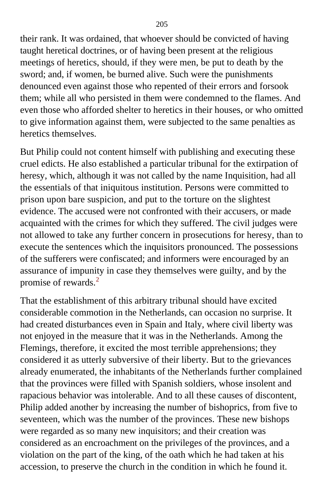their rank. It was ordained, that whoever should be convicted of having taught heretical doctrines, or of having been present at the religious meetings of heretics, should, if they were men, be put to death by the sword; and, if women, be burned alive. Such were the punishments denounced even against those who repented of their errors and forsook them; while all who persisted in them were condemned to the flames. And even those who afforded shelter to heretics in their houses, or who omitted to give information against them, were subjected to the same penalties as heretics themselves.

But Philip could not content himself with publishing and executing these cruel edicts. He also established a particular tribunal for the extirpation of heresy, which, although it was not called by the name Inquisition, had all the essentials of that iniquitous institution. Persons were committed to prison upon bare suspicion, and put to the torture on the slightest evidence. The accused were not confronted with their accusers, or made acquainted with the crimes for which they suffered. The civil judges were not allowed to take any further concern in prosecutions for heresy, than to execute the sentences which the inquisitors pronounced. The possessions of the sufferers were confiscated; and informers were encouraged by an assurance of impunity in case they themselves were guilty, and by the promise of rewards.[2](#page-412-0)

That the establishment of this arbitrary tribunal should have excited considerable commotion in the Netherlands, can occasion no surprise. It had created disturbances even in Spain and Italy, where civil liberty was not enjoyed in the measure that it was in the Netherlands. Among the Flemings, therefore, it excited the most terrible apprehensions; they considered it as utterly subversive of their liberty. But to the grievances already enumerated, the inhabitants of the Netherlands further complained that the provinces were filled with Spanish soldiers, whose insolent and rapacious behavior was intolerable. And to all these causes of discontent, Philip added another by increasing the number of bishoprics, from five to seventeen, which was the number of the provinces. These new bishops were regarded as so many new inquisitors; and their creation was considered as an encroachment on the privileges of the provinces, and a violation on the part of the king, of the oath which he had taken at his accession, to preserve the church in the condition in which he found it.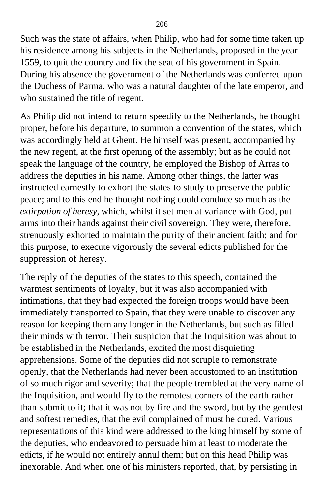Such was the state of affairs, when Philip, who had for some time taken up his residence among his subjects in the Netherlands, proposed in the year 1559, to quit the country and fix the seat of his government in Spain. During his absence the government of the Netherlands was conferred upon the Duchess of Parma, who was a natural daughter of the late emperor, and who sustained the title of regent.

As Philip did not intend to return speedily to the Netherlands, he thought proper, before his departure, to summon a convention of the states, which was accordingly held at Ghent. He himself was present, accompanied by the new regent, at the first opening of the assembly; but as he could not speak the language of the country, he employed the Bishop of Arras to address the deputies in his name. Among other things, the latter was instructed earnestly to exhort the states to study to preserve the public peace; and to this end he thought nothing could conduce so much as the *extirpation of heresy,* which, whilst it set men at variance with God, put arms into their hands against their civil sovereign. They were, therefore, strenuously exhorted to maintain the purity of their ancient faith; and for this purpose, to execute vigorously the several edicts published for the suppression of heresy.

The reply of the deputies of the states to this speech, contained the warmest sentiments of loyalty, but it was also accompanied with intimations, that they had expected the foreign troops would have been immediately transported to Spain, that they were unable to discover any reason for keeping them any longer in the Netherlands, but such as filled their minds with terror. Their suspicion that the Inquisition was about to be established in the Netherlands, excited the most disquieting apprehensions. Some of the deputies did not scruple to remonstrate openly, that the Netherlands had never been accustomed to an institution of so much rigor and severity; that the people trembled at the very name of the Inquisition, and would fly to the remotest corners of the earth rather than submit to it; that it was not by fire and the sword, but by the gentlest and softest remedies, that the evil complained of must be cured. Various representations of this kind were addressed to the king himself by some of the deputies, who endeavored to persuade him at least to moderate the edicts, if he would not entirely annul them; but on this head Philip was inexorable. And when one of his ministers reported, that, by persisting in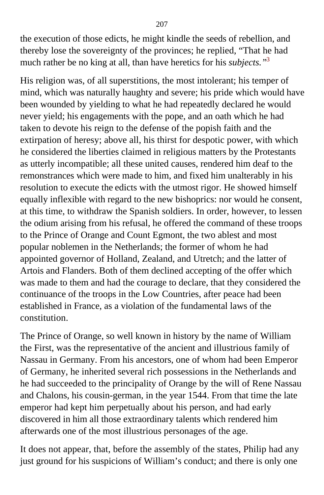the execution of those edicts, he might kindle the seeds of rebellion, and thereby lose the sovereignty of the provinces; he replied, "That he had much rather be no king at all, than have heretics for his *subjects."*[3](#page-412-0)

His religion was, of all superstitions, the most intolerant; his temper of mind, which was naturally haughty and severe; his pride which would have been wounded by yielding to what he had repeatedly declared he would never yield; his engagements with the pope, and an oath which he had taken to devote his reign to the defense of the popish faith and the extirpation of heresy; above all, his thirst for despotic power, with which he considered the liberties claimed in religious matters by the Protestants as utterly incompatible; all these united causes, rendered him deaf to the remonstrances which were made to him, and fixed him unalterably in his resolution to execute the edicts with the utmost rigor. He showed himself equally inflexible with regard to the new bishoprics: nor would he consent, at this time, to withdraw the Spanish soldiers. In order, however, to lessen the odium arising from his refusal, he offered the command of these troops to the Prince of Orange and Count Egmont, the two ablest and most popular noblemen in the Netherlands; the former of whom he had appointed governor of Holland, Zealand, and Utretch; and the latter of Artois and Flanders. Both of them declined accepting of the offer which was made to them and had the courage to declare, that they considered the continuance of the troops in the Low Countries, after peace had been established in France, as a violation of the fundamental laws of the constitution.

The Prince of Orange, so well known in history by the name of William the First, was the representative of the ancient and illustrious family of Nassau in Germany. From his ancestors, one of whom had been Emperor of Germany, he inherited several rich possessions in the Netherlands and he had succeeded to the principality of Orange by the will of Rene Nassau and Chalons, his cousin-german, in the year 1544. From that time the late emperor had kept him perpetually about his person, and had early discovered in him all those extraordinary talents which rendered him afterwards one of the most illustrious personages of the age.

It does not appear, that, before the assembly of the states, Philip had any just ground for his suspicions of William's conduct; and there is only one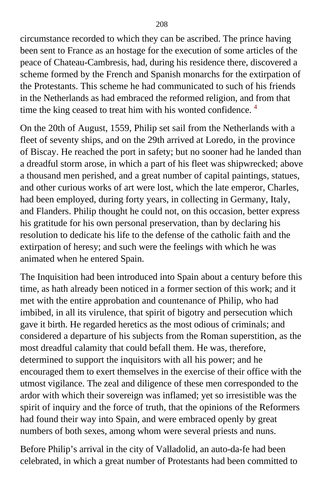circumstance recorded to which they can be ascribed. The prince having been sent to France as an hostage for the execution of some articles of the peace of Chateau-Cambresis, had, during his residence there, discovered a scheme formed by the French and Spanish monarchs for the extirpation of the Protestants. This scheme he had communicated to such of his friends in the Netherlands as had embraced the reformed religion, and from that time the king ceased to treat him with his wonted confidence.<sup>[4](#page-412-0)</sup>

On the 20th of August, 1559, Philip set sail from the Netherlands with a fleet of seventy ships, and on the 29th arrived at Loredo, in the province of Biscay. He reached the port in safety; but no sooner had he landed than a dreadful storm arose, in which a part of his fleet was shipwrecked; above a thousand men perished, and a great number of capital paintings, statues, and other curious works of art were lost, which the late emperor, Charles, had been employed, during forty years, in collecting in Germany, Italy, and Flanders. Philip thought he could not, on this occasion, better express his gratitude for his own personal preservation, than by declaring his resolution to dedicate his life to the defense of the catholic faith and the extirpation of heresy; and such were the feelings with which he was animated when he entered Spain.

The Inquisition had been introduced into Spain about a century before this time, as hath already been noticed in a former section of this work; and it met with the entire approbation and countenance of Philip, who had imbibed, in all its virulence, that spirit of bigotry and persecution which gave it birth. He regarded heretics as the most odious of criminals; and considered a departure of his subjects from the Roman superstition, as the most dreadful calamity that could befall them. He was, therefore, determined to support the inquisitors with all his power; and he encouraged them to exert themselves in the exercise of their office with the utmost vigilance. The zeal and diligence of these men corresponded to the ardor with which their sovereign was inflamed; yet so irresistible was the spirit of inquiry and the force of truth, that the opinions of the Reformers had found their way into Spain, and were embraced openly by great numbers of both sexes, among whom were several priests and nuns.

Before Philip's arrival in the city of Valladolid, an auto-da-fe had been celebrated, in which a great number of Protestants had been committed to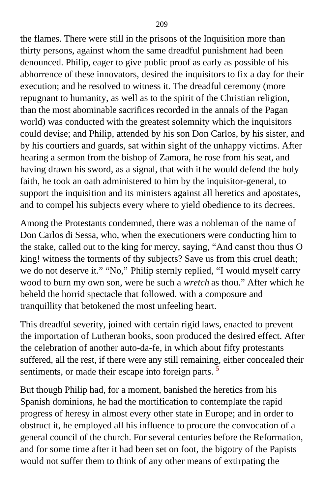the flames. There were still in the prisons of the Inquisition more than thirty persons, against whom the same dreadful punishment had been denounced. Philip, eager to give public proof as early as possible of his abhorrence of these innovators, desired the inquisitors to fix a day for their execution; and he resolved to witness it. The dreadful ceremony (more repugnant to humanity, as well as to the spirit of the Christian religion, than the most abominable sacrifices recorded in the annals of the Pagan world) was conducted with the greatest solemnity which the inquisitors could devise; and Philip, attended by his son Don Carlos, by his sister, and by his courtiers and guards, sat within sight of the unhappy victims. After hearing a sermon from the bishop of Zamora, he rose from his seat, and having drawn his sword, as a signal, that with it he would defend the holy faith, he took an oath administered to him by the inquisitor-general, to support the inquisition and its ministers against all heretics and apostates, and to compel his subjects every where to yield obedience to its decrees.

Among the Protestants condemned, there was a nobleman of the name of Don Carlos di Sessa, who, when the executioners were conducting him to the stake, called out to the king for mercy, saying, "And canst thou thus O king! witness the torments of thy subjects? Save us from this cruel death; we do not deserve it." "No," Philip sternly replied, "I would myself carry wood to burn my own son, were he such a *wretch* as thou." After which he beheld the horrid spectacle that followed, with a composure and tranquillity that betokened the most unfeeling heart.

This dreadful severity, joined with certain rigid laws, enacted to prevent the importation of Lutheran books, soon produced the desired effect. After the celebration of another auto-da-fe, in which about fifty protestants suffered, all the rest, if there were any still remaining, either concealed their sentiments, or made their escape into foreign parts.<sup>[5](#page-412-0)</sup>

But though Philip had, for a moment, banished the heretics from his Spanish dominions, he had the mortification to contemplate the rapid progress of heresy in almost every other state in Europe; and in order to obstruct it, he employed all his influence to procure the convocation of a general council of the church. For several centuries before the Reformation, and for some time after it had been set on foot, the bigotry of the Papists would not suffer them to think of any other means of extirpating the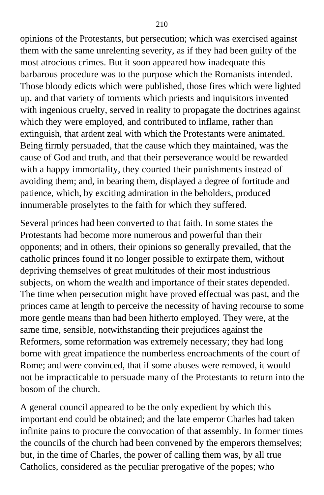opinions of the Protestants, but persecution; which was exercised against them with the same unrelenting severity, as if they had been guilty of the most atrocious crimes. But it soon appeared how inadequate this barbarous procedure was to the purpose which the Romanists intended. Those bloody edicts which were published, those fires which were lighted up, and that variety of torments which priests and inquisitors invented with ingenious cruelty, served in reality to propagate the doctrines against which they were employed, and contributed to inflame, rather than extinguish, that ardent zeal with which the Protestants were animated. Being firmly persuaded, that the cause which they maintained, was the cause of God and truth, and that their perseverance would be rewarded with a happy immortality, they courted their punishments instead of avoiding them; and, in bearing them, displayed a degree of fortitude and patience, which, by exciting admiration in the beholders, produced innumerable proselytes to the faith for which they suffered.

Several princes had been converted to that faith. In some states the Protestants had become more numerous and powerful than their opponents; and in others, their opinions so generally prevailed, that the catholic princes found it no longer possible to extirpate them, without depriving themselves of great multitudes of their most industrious subjects, on whom the wealth and importance of their states depended. The time when persecution might have proved effectual was past, and the princes came at length to perceive the necessity of having recourse to some more gentle means than had been hitherto employed. They were, at the same time, sensible, notwithstanding their prejudices against the Reformers, some reformation was extremely necessary; they had long borne with great impatience the numberless encroachments of the court of Rome; and were convinced, that if some abuses were removed, it would not be impracticable to persuade many of the Protestants to return into the bosom of the church.

A general council appeared to be the only expedient by which this important end could be obtained; and the late emperor Charles had taken infinite pains to procure the convocation of that assembly. In former times the councils of the church had been convened by the emperors themselves; but, in the time of Charles, the power of calling them was, by all true Catholics, considered as the peculiar prerogative of the popes; who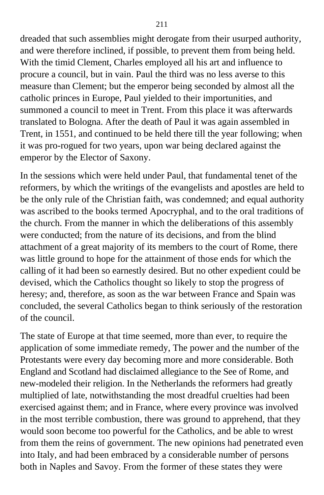dreaded that such assemblies might derogate from their usurped authority, and were therefore inclined, if possible, to prevent them from being held. With the timid Clement, Charles employed all his art and influence to procure a council, but in vain. Paul the third was no less averse to this measure than Clement; but the emperor being seconded by almost all the catholic princes in Europe, Paul yielded to their importunities, and summoned a council to meet in Trent. From this place it was afterwards translated to Bologna. After the death of Paul it was again assembled in Trent, in 1551, and continued to be held there till the year following; when it was pro-rogued for two years, upon war being declared against the emperor by the Elector of Saxony.

In the sessions which were held under Paul, that fundamental tenet of the reformers, by which the writings of the evangelists and apostles are held to be the only rule of the Christian faith, was condemned; and equal authority was ascribed to the books termed Apocryphal, and to the oral traditions of the church. From the manner in which the deliberations of this assembly were conducted; from the nature of its decisions, and from the blind attachment of a great majority of its members to the court of Rome, there was little ground to hope for the attainment of those ends for which the calling of it had been so earnestly desired. But no other expedient could be devised, which the Catholics thought so likely to stop the progress of heresy; and, therefore, as soon as the war between France and Spain was concluded, the several Catholics began to think seriously of the restoration of the council.

The state of Europe at that time seemed, more than ever, to require the application of some immediate remedy, The power and the number of the Protestants were every day becoming more and more considerable. Both England and Scotland had disclaimed allegiance to the See of Rome, and new-modeled their religion. In the Netherlands the reformers had greatly multiplied of late, notwithstanding the most dreadful cruelties had been exercised against them; and in France, where every province was involved in the most terrible combustion, there was ground to apprehend, that they would soon become too powerful for the Catholics, and be able to wrest from them the reins of government. The new opinions had penetrated even into Italy, and had been embraced by a considerable number of persons both in Naples and Savoy. From the former of these states they were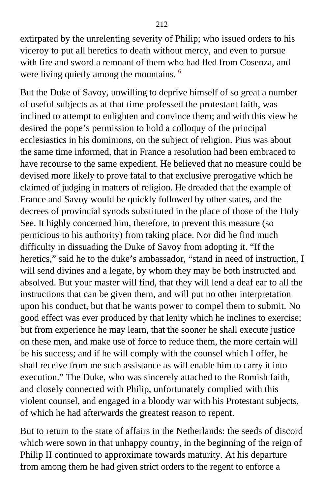extirpated by the unrelenting severity of Philip; who issued orders to his viceroy to put all heretics to death without mercy, and even to pursue with fire and sword a remnant of them who had fled from Cosenza, and were living quietly among the mountains. <sup>[6](#page-412-0)</sup>

But the Duke of Savoy, unwilling to deprive himself of so great a number of useful subjects as at that time professed the protestant faith, was inclined to attempt to enlighten and convince them; and with this view he desired the pope's permission to hold a colloquy of the principal ecclesiastics in his dominions, on the subject of religion. Pius was about the same time informed, that in France a resolution had been embraced to have recourse to the same expedient. He believed that no measure could be devised more likely to prove fatal to that exclusive prerogative which he claimed of judging in matters of religion. He dreaded that the example of France and Savoy would be quickly followed by other states, and the decrees of provincial synods substituted in the place of those of the Holy See. It highly concerned him, therefore, to prevent this measure (so pernicious to his authority) from taking place. Nor did he find much difficulty in dissuading the Duke of Savoy from adopting it. "If the heretics," said he to the duke's ambassador, "stand in need of instruction, I will send divines and a legate, by whom they may be both instructed and absolved. But your master will find, that they will lend a deaf ear to all the instructions that can be given them, and will put no other interpretation upon his conduct, but that he wants power to compel them to submit. No good effect was ever produced by that lenity which he inclines to exercise; but from experience he may learn, that the sooner he shall execute justice on these men, and make use of force to reduce them, the more certain will be his success; and if he will comply with the counsel which I offer, he shall receive from me such assistance as will enable him to carry it into execution." The Duke, who was sincerely attached to the Romish faith, and closely connected with Philip, unfortunately complied with this violent counsel, and engaged in a bloody war with his Protestant subjects, of which he had afterwards the greatest reason to repent.

But to return to the state of affairs in the Netherlands: the seeds of discord which were sown in that unhappy country, in the beginning of the reign of Philip II continued to approximate towards maturity. At his departure from among them he had given strict orders to the regent to enforce a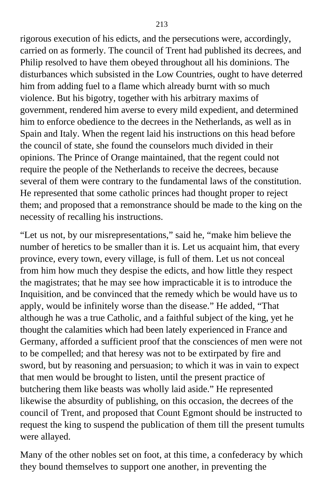rigorous execution of his edicts, and the persecutions were, accordingly, carried on as formerly. The council of Trent had published its decrees, and Philip resolved to have them obeyed throughout all his dominions. The disturbances which subsisted in the Low Countries, ought to have deterred him from adding fuel to a flame which already burnt with so much violence. But his bigotry, together with his arbitrary maxims of government, rendered him averse to every mild expedient, and determined him to enforce obedience to the decrees in the Netherlands, as well as in Spain and Italy. When the regent laid his instructions on this head before the council of state, she found the counselors much divided in their opinions. The Prince of Orange maintained, that the regent could not require the people of the Netherlands to receive the decrees, because several of them were contrary to the fundamental laws of the constitution. He represented that some catholic princes had thought proper to reject them; and proposed that a remonstrance should be made to the king on the necessity of recalling his instructions.

"Let us not, by our misrepresentations," said he, "make him believe the number of heretics to be smaller than it is. Let us acquaint him, that every province, every town, every village, is full of them. Let us not conceal from him how much they despise the edicts, and how little they respect the magistrates; that he may see how impracticable it is to introduce the Inquisition, and be convinced that the remedy which be would have us to apply, would be infinitely worse than the disease." He added, "That although he was a true Catholic, and a faithful subject of the king, yet he thought the calamities which had been lately experienced in France and Germany, afforded a sufficient proof that the consciences of men were not to be compelled; and that heresy was not to be extirpated by fire and sword, but by reasoning and persuasion; to which it was in vain to expect that men would be brought to listen, until the present practice of butchering them like beasts was wholly laid aside." He represented likewise the absurdity of publishing, on this occasion, the decrees of the council of Trent, and proposed that Count Egmont should be instructed to request the king to suspend the publication of them till the present tumults were allayed.

Many of the other nobles set on foot, at this time, a confederacy by which they bound themselves to support one another, in preventing the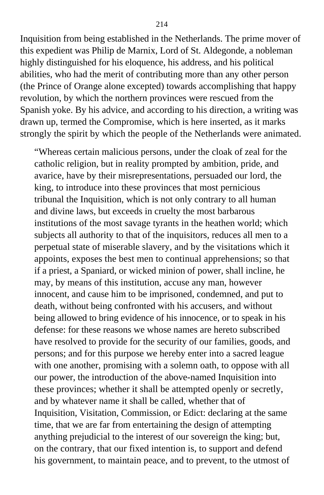Inquisition from being established in the Netherlands. The prime mover of this expedient was Philip de Marnix, Lord of St. Aldegonde, a nobleman highly distinguished for his eloquence, his address, and his political abilities, who had the merit of contributing more than any other person (the Prince of Orange alone excepted) towards accomplishing that happy revolution, by which the northern provinces were rescued from the Spanish yoke. By his advice, and according to his direction, a writing was drawn up, termed the Compromise, which is here inserted, as it marks strongly the spirit by which the people of the Netherlands were animated.

"Whereas certain malicious persons, under the cloak of zeal for the catholic religion, but in reality prompted by ambition, pride, and avarice, have by their misrepresentations, persuaded our lord, the king, to introduce into these provinces that most pernicious tribunal the Inquisition, which is not only contrary to all human and divine laws, but exceeds in cruelty the most barbarous institutions of the most savage tyrants in the heathen world; which subjects all authority to that of the inquisitors, reduces all men to a perpetual state of miserable slavery, and by the visitations which it appoints, exposes the best men to continual apprehensions; so that if a priest, a Spaniard, or wicked minion of power, shall incline, he may, by means of this institution, accuse any man, however innocent, and cause him to be imprisoned, condemned, and put to death, without being confronted with his accusers, and without being allowed to bring evidence of his innocence, or to speak in his defense: for these reasons we whose names are hereto subscribed have resolved to provide for the security of our families, goods, and persons; and for this purpose we hereby enter into a sacred league with one another, promising with a solemn oath, to oppose with all our power, the introduction of the above-named Inquisition into these provinces; whether it shall be attempted openly or secretly, and by whatever name it shall be called, whether that of Inquisition, Visitation, Commission, or Edict: declaring at the same time, that we are far from entertaining the design of attempting anything prejudicial to the interest of our sovereign the king; but, on the contrary, that our fixed intention is, to support and defend his government, to maintain peace, and to prevent, to the utmost of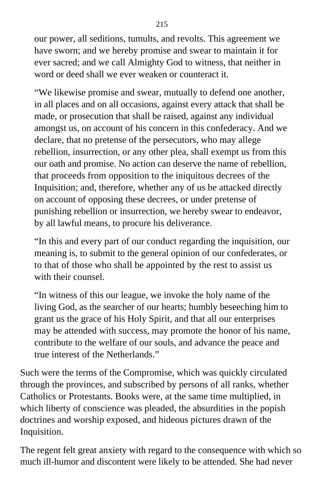our power, all seditions, tumults, and revolts. This agreement we have sworn; and we hereby promise and swear to maintain it for ever sacred; and we call Almighty God to witness, that neither in word or deed shall we ever weaken or counteract it.

"We likewise promise and swear, mutually to defend one another, in all places and on all occasions, against every attack that shall be made, or prosecution that shall be raised, against any individual amongst us, on account of his concern in this confederacy. And we declare, that no pretense of the persecutors, who may allege rebellion, insurrection, or any other plea, shall exempt us from this our oath and promise. No action can deserve the name of rebellion, that proceeds from opposition to the iniquitous decrees of the Inquisition; and, therefore, whether any of us be attacked directly on account of opposing these decrees, or under pretense of punishing rebellion or insurrection, we hereby swear to endeavor, by all lawful means, to procure his deliverance.

"In this and every part of our conduct regarding the inquisition, our meaning is, to submit to the general opinion of our confederates, or to that of those who shall be appointed by the rest to assist us with their counsel.

"In witness of this our league, we invoke the holy name of the living God, as the searcher of our hearts; humbly beseeching him to grant us the grace of his Holy Spirit, and that all our enterprises may be attended with success, may promote the honor of his name, contribute to the welfare of our souls, and advance the peace and true interest of the Netherlands."

Such were the terms of the Compromise, which was quickly circulated through the provinces, and subscribed by persons of all ranks, whether Catholics or Protestants. Books were, at the same time multiplied, in which liberty of conscience was pleaded, the absurdities in the popish doctrines and worship exposed, and hideous pictures drawn of the Inquisition.

The regent felt great anxiety with regard to the consequence with which so much ill-humor and discontent were likely to be attended. She had never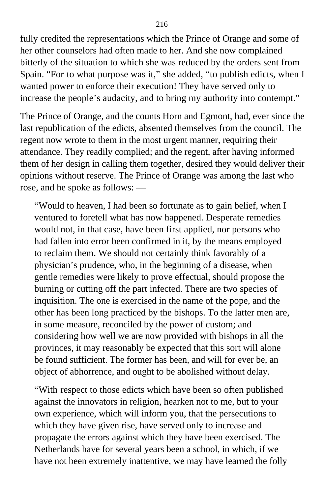fully credited the representations which the Prince of Orange and some of her other counselors had often made to her. And she now complained bitterly of the situation to which she was reduced by the orders sent from Spain. "For to what purpose was it," she added, "to publish edicts, when I wanted power to enforce their execution! They have served only to increase the people's audacity, and to bring my authority into contempt."

The Prince of Orange, and the counts Horn and Egmont, had, ever since the last republication of the edicts, absented themselves from the council. The regent now wrote to them in the most urgent manner, requiring their attendance. They readily complied; and the regent, after having informed them of her design in calling them together, desired they would deliver their opinions without reserve. The Prince of Orange was among the last who rose, and he spoke as follows: —

"Would to heaven, I had been so fortunate as to gain belief, when I ventured to foretell what has now happened. Desperate remedies would not, in that case, have been first applied, nor persons who had fallen into error been confirmed in it, by the means employed to reclaim them. We should not certainly think favorably of a physician's prudence, who, in the beginning of a disease, when gentle remedies were likely to prove effectual, should propose the burning or cutting off the part infected. There are two species of inquisition. The one is exercised in the name of the pope, and the other has been long practiced by the bishops. To the latter men are, in some measure, reconciled by the power of custom; and considering how well we are now provided with bishops in all the provinces, it may reasonably be expected that this sort will alone be found sufficient. The former has been, and will for ever be, an object of abhorrence, and ought to be abolished without delay.

"With respect to those edicts which have been so often published against the innovators in religion, hearken not to me, but to your own experience, which will inform you, that the persecutions to which they have given rise, have served only to increase and propagate the errors against which they have been exercised. The Netherlands have for several years been a school, in which, if we have not been extremely inattentive, we may have learned the folly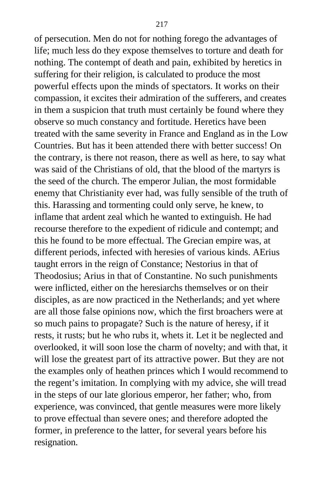of persecution. Men do not for nothing forego the advantages of life; much less do they expose themselves to torture and death for nothing. The contempt of death and pain, exhibited by heretics in suffering for their religion, is calculated to produce the most powerful effects upon the minds of spectators. It works on their compassion, it excites their admiration of the sufferers, and creates in them a suspicion that truth must certainly be found where they observe so much constancy and fortitude. Heretics have been treated with the same severity in France and England as in the Low Countries. But has it been attended there with better success! On the contrary, is there not reason, there as well as here, to say what was said of the Christians of old, that the blood of the martyrs is the seed of the church. The emperor Julian, the most formidable enemy that Christianity ever had, was fully sensible of the truth of this. Harassing and tormenting could only serve, he knew, to inflame that ardent zeal which he wanted to extinguish. He had recourse therefore to the expedient of ridicule and contempt; and this he found to be more effectual. The Grecian empire was, at different periods, infected with heresies of various kinds. AErius taught errors in the reign of Constance; Nestorius in that of Theodosius; Arius in that of Constantine. No such punishments were inflicted, either on the heresiarchs themselves or on their disciples, as are now practiced in the Netherlands; and yet where are all those false opinions now, which the first broachers were at so much pains to propagate? Such is the nature of heresy, if it rests, it rusts; but he who rubs it, whets it. Let it be neglected and overlooked, it will soon lose the charm of novelty; and with that, it will lose the greatest part of its attractive power. But they are not the examples only of heathen princes which I would recommend to the regent's imitation. In complying with my advice, she will tread in the steps of our late glorious emperor, her father; who, from experience, was convinced, that gentle measures were more likely to prove effectual than severe ones; and therefore adopted the former, in preference to the latter, for several years before his resignation.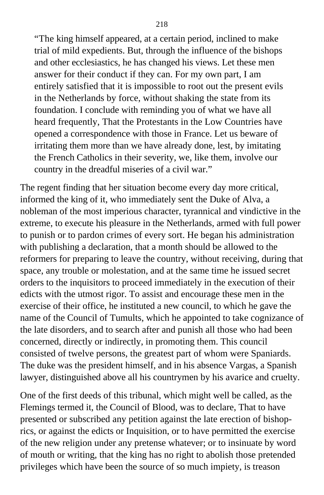"The king himself appeared, at a certain period, inclined to make trial of mild expedients. But, through the influence of the bishops and other ecclesiastics, he has changed his views. Let these men answer for their conduct if they can. For my own part, I am entirely satisfied that it is impossible to root out the present evils in the Netherlands by force, without shaking the state from its foundation. I conclude with reminding you of what we have all heard frequently, That the Protestants in the Low Countries have opened a correspondence with those in France. Let us beware of irritating them more than we have already done, lest, by imitating the French Catholics in their severity, we, like them, involve our country in the dreadful miseries of a civil war."

The regent finding that her situation become every day more critical, informed the king of it, who immediately sent the Duke of Alva, a nobleman of the most imperious character, tyrannical and vindictive in the extreme, to execute his pleasure in the Netherlands, armed with full power to punish or to pardon crimes of every sort. He began his administration with publishing a declaration, that a month should be allowed to the reformers for preparing to leave the country, without receiving, during that space, any trouble or molestation, and at the same time he issued secret orders to the inquisitors to proceed immediately in the execution of their edicts with the utmost rigor. To assist and encourage these men in the exercise of their office, he instituted a new council, to which he gave the name of the Council of Tumults, which he appointed to take cognizance of the late disorders, and to search after and punish all those who had been concerned, directly or indirectly, in promoting them. This council consisted of twelve persons, the greatest part of whom were Spaniards. The duke was the president himself, and in his absence Vargas, a Spanish lawyer, distinguished above all his countrymen by his avarice and cruelty.

One of the first deeds of this tribunal, which might well be called, as the Flemings termed it, the Council of Blood, was to declare, That to have presented or subscribed any petition against the late erection of bishoprics, or against the edicts or Inquisition, or to have permitted the exercise of the new religion under any pretense whatever; or to insinuate by word of mouth or writing, that the king has no right to abolish those pretended privileges which have been the source of so much impiety, is treason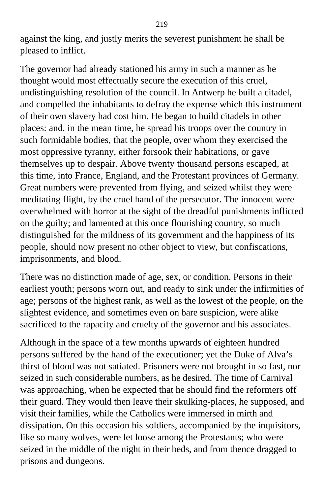against the king, and justly merits the severest punishment he shall be pleased to inflict.

The governor had already stationed his army in such a manner as he thought would most effectually secure the execution of this cruel, undistinguishing resolution of the council. In Antwerp he built a citadel, and compelled the inhabitants to defray the expense which this instrument of their own slavery had cost him. He began to build citadels in other places: and, in the mean time, he spread his troops over the country in such formidable bodies, that the people, over whom they exercised the most oppressive tyranny, either forsook their habitations, or gave themselves up to despair. Above twenty thousand persons escaped, at this time, into France, England, and the Protestant provinces of Germany. Great numbers were prevented from flying, and seized whilst they were meditating flight, by the cruel hand of the persecutor. The innocent were overwhelmed with horror at the sight of the dreadful punishments inflicted on the guilty; and lamented at this once flourishing country, so much distinguished for the mildness of its government and the happiness of its people, should now present no other object to view, but confiscations, imprisonments, and blood.

There was no distinction made of age, sex, or condition. Persons in their earliest youth; persons worn out, and ready to sink under the infirmities of age; persons of the highest rank, as well as the lowest of the people, on the slightest evidence, and sometimes even on bare suspicion, were alike sacrificed to the rapacity and cruelty of the governor and his associates.

Although in the space of a few months upwards of eighteen hundred persons suffered by the hand of the executioner; yet the Duke of Alva's thirst of blood was not satiated. Prisoners were not brought in so fast, nor seized in such considerable numbers, as he desired. The time of Carnival was approaching, when he expected that he should find the reformers off their guard. They would then leave their skulking-places, he supposed, and visit their families, while the Catholics were immersed in mirth and dissipation. On this occasion his soldiers, accompanied by the inquisitors, like so many wolves, were let loose among the Protestants; who were seized in the middle of the night in their beds, and from thence dragged to prisons and dungeons.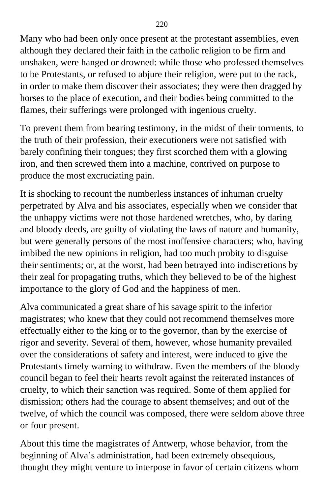Many who had been only once present at the protestant assemblies, even although they declared their faith in the catholic religion to be firm and unshaken, were hanged or drowned: while those who professed themselves to be Protestants, or refused to abjure their religion, were put to the rack, in order to make them discover their associates; they were then dragged by horses to the place of execution, and their bodies being committed to the flames, their sufferings were prolonged with ingenious cruelty.

To prevent them from bearing testimony, in the midst of their torments, to the truth of their profession, their executioners were not satisfied with barely confining their tongues; they first scorched them with a glowing iron, and then screwed them into a machine, contrived on purpose to produce the most excruciating pain.

It is shocking to recount the numberless instances of inhuman cruelty perpetrated by Alva and his associates, especially when we consider that the unhappy victims were not those hardened wretches, who, by daring and bloody deeds, are guilty of violating the laws of nature and humanity, but were generally persons of the most inoffensive characters; who, having imbibed the new opinions in religion, had too much probity to disguise their sentiments; or, at the worst, had been betrayed into indiscretions by their zeal for propagating truths, which they believed to be of the highest importance to the glory of God and the happiness of men.

Alva communicated a great share of his savage spirit to the inferior magistrates; who knew that they could not recommend themselves more effectually either to the king or to the governor, than by the exercise of rigor and severity. Several of them, however, whose humanity prevailed over the considerations of safety and interest, were induced to give the Protestants timely warning to withdraw. Even the members of the bloody council began to feel their hearts revolt against the reiterated instances of cruelty, to which their sanction was required. Some of them applied for dismission; others had the courage to absent themselves; and out of the twelve, of which the council was composed, there were seldom above three or four present.

About this time the magistrates of Antwerp, whose behavior, from the beginning of Alva's administration, had been extremely obsequious, thought they might venture to interpose in favor of certain citizens whom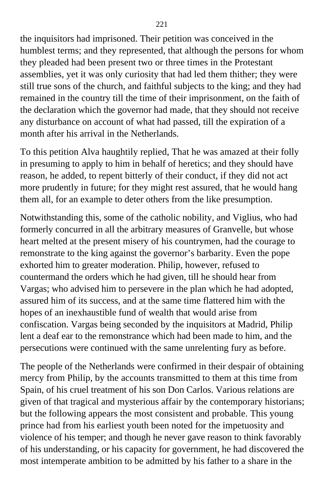the inquisitors had imprisoned. Their petition was conceived in the humblest terms; and they represented, that although the persons for whom they pleaded had been present two or three times in the Protestant assemblies, yet it was only curiosity that had led them thither; they were still true sons of the church, and faithful subjects to the king; and they had remained in the country till the time of their imprisonment, on the faith of the declaration which the governor had made, that they should not receive any disturbance on account of what had passed, till the expiration of a month after his arrival in the Netherlands.

To this petition Alva haughtily replied, That he was amazed at their folly in presuming to apply to him in behalf of heretics; and they should have reason, he added, to repent bitterly of their conduct, if they did not act more prudently in future; for they might rest assured, that he would hang them all, for an example to deter others from the like presumption.

Notwithstanding this, some of the catholic nobility, and Viglius, who had formerly concurred in all the arbitrary measures of Granvelle, but whose heart melted at the present misery of his countrymen, had the courage to remonstrate to the king against the governor's barbarity. Even the pope exhorted him to greater moderation. Philip, however, refused to countermand the orders which he had given, till he should hear from Vargas; who advised him to persevere in the plan which he had adopted, assured him of its success, and at the same time flattered him with the hopes of an inexhaustible fund of wealth that would arise from confiscation. Vargas being seconded by the inquisitors at Madrid, Philip lent a deaf ear to the remonstrance which had been made to him, and the persecutions were continued with the same unrelenting fury as before.

The people of the Netherlands were confirmed in their despair of obtaining mercy from Philip, by the accounts transmitted to them at this time from Spain, of his cruel treatment of his son Don Carlos. Various relations are given of that tragical and mysterious affair by the contemporary historians; but the following appears the most consistent and probable. This young prince had from his earliest youth been noted for the impetuosity and violence of his temper; and though he never gave reason to think favorably of his understanding, or his capacity for government, he had discovered the most intemperate ambition to be admitted by his father to a share in the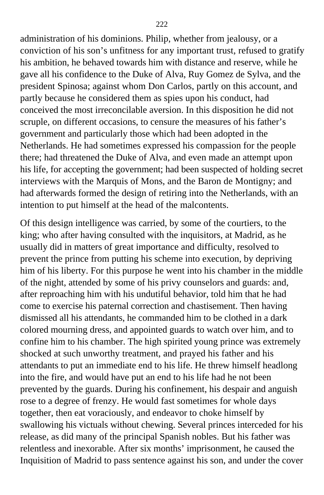administration of his dominions. Philip, whether from jealousy, or a conviction of his son's unfitness for any important trust, refused to gratify his ambition, he behaved towards him with distance and reserve, while he gave all his confidence to the Duke of Alva, Ruy Gomez de Sylva, and the president Spinosa; against whom Don Carlos, partly on this account, and partly because he considered them as spies upon his conduct, had conceived the most irreconcilable aversion. In this disposition he did not scruple, on different occasions, to censure the measures of his father's government and particularly those which had been adopted in the Netherlands. He had sometimes expressed his compassion for the people there; had threatened the Duke of Alva, and even made an attempt upon his life, for accepting the government; had been suspected of holding secret interviews with the Marquis of Mons, and the Baron de Montigny; and had afterwards formed the design of retiring into the Netherlands, with an intention to put himself at the head of the malcontents.

Of this design intelligence was carried, by some of the courtiers, to the king; who after having consulted with the inquisitors, at Madrid, as he usually did in matters of great importance and difficulty, resolved to prevent the prince from putting his scheme into execution, by depriving him of his liberty. For this purpose he went into his chamber in the middle of the night, attended by some of his privy counselors and guards: and, after reproaching him with his undutiful behavior, told him that he had come to exercise his paternal correction and chastisement. Then having dismissed all his attendants, he commanded him to be clothed in a dark colored mourning dress, and appointed guards to watch over him, and to confine him to his chamber. The high spirited young prince was extremely shocked at such unworthy treatment, and prayed his father and his attendants to put an immediate end to his life. He threw himself headlong into the fire, and would have put an end to his life had he not been prevented by the guards. During his confinement, his despair and anguish rose to a degree of frenzy. He would fast sometimes for whole days together, then eat voraciously, and endeavor to choke himself by swallowing his victuals without chewing. Several princes interceded for his release, as did many of the principal Spanish nobles. But his father was relentless and inexorable. After six months' imprisonment, he caused the Inquisition of Madrid to pass sentence against his son, and under the cover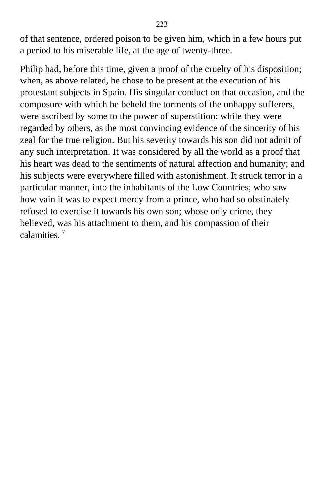of that sentence, ordered poison to be given him, which in a few hours put a period to his miserable life, at the age of twenty-three.

Philip had, before this time, given a proof of the cruelty of his disposition; when, as above related, he chose to be present at the execution of his protestant subjects in Spain. His singular conduct on that occasion, and the composure with which he beheld the torments of the unhappy sufferers, were ascribed by some to the power of superstition: while they were regarded by others, as the most convincing evidence of the sincerity of his zeal for the true religion. But his severity towards his son did not admit of any such interpretation. It was considered by all the world as a proof that his heart was dead to the sentiments of natural affection and humanity; and his subjects were everywhere filled with astonishment. It struck terror in a particular manner, into the inhabitants of the Low Countries; who saw how vain it was to expect mercy from a prince, who had so obstinately refused to exercise it towards his own son; whose only crime, they believed, was his attachment to them, and his compassion of their calamities.<sup>[7](#page-412-0)</sup>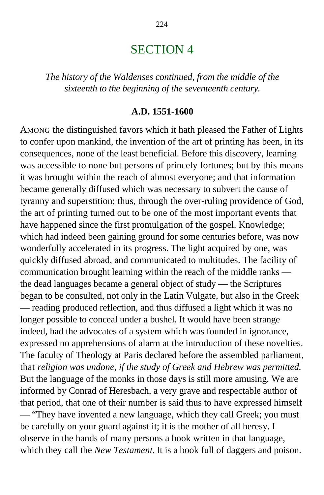# SECTION 4

*The history of the Waldenses continued, from the middle of the sixteenth to the beginning of the seventeenth century.*

#### **A.D. 1551-1600**

AMONG the distinguished favors which it hath pleased the Father of Lights to confer upon mankind, the invention of the art of printing has been, in its consequences, none of the least beneficial. Before this discovery, learning was accessible to none but persons of princely fortunes; but by this means it was brought within the reach of almost everyone; and that information became generally diffused which was necessary to subvert the cause of tyranny and superstition; thus, through the over-ruling providence of God, the art of printing turned out to be one of the most important events that have happened since the first promulgation of the gospel. Knowledge; which had indeed been gaining ground for some centuries before, was now wonderfully accelerated in its progress. The light acquired by one, was quickly diffused abroad, and communicated to multitudes. The facility of communication brought learning within the reach of the middle ranks the dead languages became a general object of study — the Scriptures began to be consulted, not only in the Latin Vulgate, but also in the Greek — reading produced reflection, and thus diffused a light which it was no longer possible to conceal under a bushel. It would have been strange indeed, had the advocates of a system which was founded in ignorance, expressed no apprehensions of alarm at the introduction of these novelties. The faculty of Theology at Paris declared before the assembled parliament, that *religion was undone, if the study of Greek and Hebrew was permitted.* But the language of the monks in those days is still more amusing. We are informed by Conrad of Heresbach, a very grave and respectable author of that period, that one of their number is said thus to have expressed himself — "They have invented a new language, which they call Greek; you must be carefully on your guard against it; it is the mother of all heresy. I observe in the hands of many persons a book written in that language, which they call the *New Testament*. It is a book full of daggers and poison.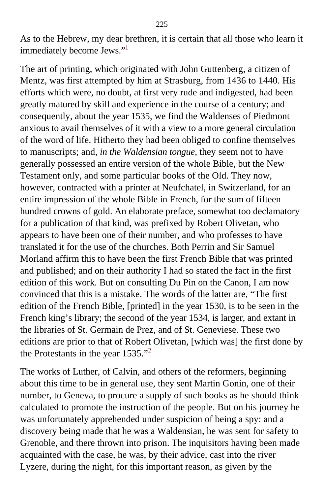As to the Hebrew, my dear brethren, it is certain that all those who learn it immediately become Jews."[1](#page-412-0)

The art of printing, which originated with John Guttenberg, a citizen of Mentz, was first attempted by him at Strasburg, from 1436 to 1440. His efforts which were, no doubt, at first very rude and indigested, had been greatly matured by skill and experience in the course of a century; and consequently, about the year 1535, we find the Waldenses of Piedmont anxious to avail themselves of it with a view to a more general circulation of the word of life. Hitherto they had been obliged to confine themselves to manuscripts; and, *in the Waldensian tongue,* they seem not to have generally possessed an entire version of the whole Bible, but the New Testament only, and some particular books of the Old. They now, however, contracted with a printer at Neufchatel, in Switzerland, for an entire impression of the whole Bible in French, for the sum of fifteen hundred crowns of gold. An elaborate preface, somewhat too declamatory for a publication of that kind, was prefixed by Robert Olivetan, who appears to have been one of their number, and who professes to have translated it for the use of the churches. Both Perrin and Sir Samuel Morland affirm this to have been the first French Bible that was printed and published; and on their authority I had so stated the fact in the first edition of this work. But on consulting Du Pin on the Canon, I am now convinced that this is a mistake. The words of the latter are, "The first edition of the French Bible, [printed] in the year 1530, is to be seen in the French king's library; the second of the year 1534, is larger, and extant in the libraries of St. Germain de Prez, and of St. Geneviese. These two editions are prior to that of Robert Olivetan, [which was] the first done by the Protestants in the year 1535."[2](#page-412-0)

The works of Luther, of Calvin, and others of the reformers, beginning about this time to be in general use, they sent Martin Gonin, one of their number, to Geneva, to procure a supply of such books as he should think calculated to promote the instruction of the people. But on his journey he was unfortunately apprehended under suspicion of being a spy: and a discovery being made that he was a Waldensian, he was sent for safety to Grenoble, and there thrown into prison. The inquisitors having been made acquainted with the case, he was, by their advice, cast into the river Lyzere, during the night, for this important reason, as given by the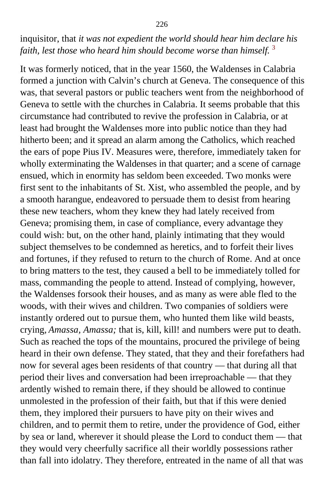# inquisitor, that *it was not expedient the world should hear him declare his* faith, lest those who heard him should become worse than himself.<sup>[3](#page-412-0)</sup>

It was formerly noticed, that in the year 1560, the Waldenses in Calabria formed a junction with Calvin's church at Geneva. The consequence of this was, that several pastors or public teachers went from the neighborhood of Geneva to settle with the churches in Calabria. It seems probable that this circumstance had contributed to revive the profession in Calabria, or at least had brought the Waldenses more into public notice than they had hitherto been; and it spread an alarm among the Catholics, which reached the ears of pope Pius IV. Measures were, therefore, immediately taken for wholly exterminating the Waldenses in that quarter; and a scene of carnage ensued, which in enormity has seldom been exceeded. Two monks were first sent to the inhabitants of St. Xist, who assembled the people, and by a smooth harangue, endeavored to persuade them to desist from hearing these new teachers, whom they knew they had lately received from Geneva; promising them, in case of compliance, every advantage they could wish: but, on the other hand, plainly intimating that they would subject themselves to be condemned as heretics, and to forfeit their lives and fortunes, if they refused to return to the church of Rome. And at once to bring matters to the test, they caused a bell to be immediately tolled for mass, commanding the people to attend. Instead of complying, however, the Waldenses forsook their houses, and as many as were able fled to the woods, with their wives and children. Two companies of soldiers were instantly ordered out to pursue them, who hunted them like wild beasts, crying, *Amassa, Amassa;* that is, kill, kill! and numbers were put to death. Such as reached the tops of the mountains, procured the privilege of being heard in their own defense. They stated, that they and their forefathers had now for several ages been residents of that country — that during all that period their lives and conversation had been irreproachable — that they ardently wished to remain there, if they should be allowed to continue unmolested in the profession of their faith, but that if this were denied them, they implored their pursuers to have pity on their wives and children, and to permit them to retire, under the providence of God, either by sea or land, wherever it should please the Lord to conduct them — that they would very cheerfully sacrifice all their worldly possessions rather than fall into idolatry. They therefore, entreated in the name of all that was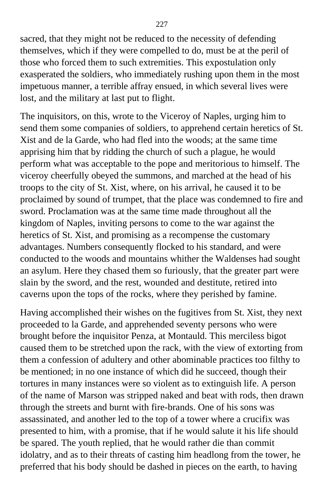sacred, that they might not be reduced to the necessity of defending themselves, which if they were compelled to do, must be at the peril of those who forced them to such extremities. This expostulation only exasperated the soldiers, who immediately rushing upon them in the most impetuous manner, a terrible affray ensued, in which several lives were lost, and the military at last put to flight.

The inquisitors, on this, wrote to the Viceroy of Naples, urging him to send them some companies of soldiers, to apprehend certain heretics of St. Xist and de la Garde, who had fled into the woods; at the same time apprising him that by ridding the church of such a plague, he would perform what was acceptable to the pope and meritorious to himself. The viceroy cheerfully obeyed the summons, and marched at the head of his troops to the city of St. Xist, where, on his arrival, he caused it to be proclaimed by sound of trumpet, that the place was condemned to fire and sword. Proclamation was at the same time made throughout all the kingdom of Naples, inviting persons to come to the war against the heretics of St. Xist, and promising as a recompense the customary advantages. Numbers consequently flocked to his standard, and were conducted to the woods and mountains whither the Waldenses had sought an asylum. Here they chased them so furiously, that the greater part were slain by the sword, and the rest, wounded and destitute, retired into caverns upon the tops of the rocks, where they perished by famine.

Having accomplished their wishes on the fugitives from St. Xist, they next proceeded to la Garde, and apprehended seventy persons who were brought before the inquisitor Penza, at Montauld. This merciless bigot caused them to be stretched upon the rack, with the view of extorting from them a confession of adultery and other abominable practices too filthy to be mentioned; in no one instance of which did he succeed, though their tortures in many instances were so violent as to extinguish life. A person of the name of Marson was stripped naked and beat with rods, then drawn through the streets and burnt with fire-brands. One of his sons was assassinated, and another led to the top of a tower where a crucifix was presented to him, with a promise, that if he would salute it his life should be spared. The youth replied, that he would rather die than commit idolatry, and as to their threats of casting him headlong from the tower, he preferred that his body should be dashed in pieces on the earth, to having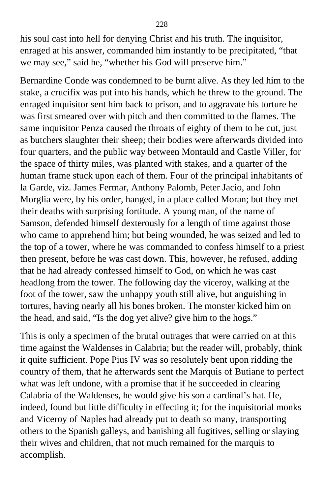his soul cast into hell for denying Christ and his truth. The inquisitor, enraged at his answer, commanded him instantly to be precipitated, "that we may see," said he, "whether his God will preserve him."

Bernardine Conde was condemned to be burnt alive. As they led him to the stake, a crucifix was put into his hands, which he threw to the ground. The enraged inquisitor sent him back to prison, and to aggravate his torture he was first smeared over with pitch and then committed to the flames. The same inquisitor Penza caused the throats of eighty of them to be cut, just as butchers slaughter their sheep; their bodies were afterwards divided into four quarters, and the public way between Montauld and Castle Viller, for the space of thirty miles, was planted with stakes, and a quarter of the human frame stuck upon each of them. Four of the principal inhabitants of la Garde, viz. James Fermar, Anthony Palomb, Peter Jacio, and John Morglia were, by his order, hanged, in a place called Moran; but they met their deaths with surprising fortitude. A young man, of the name of Samson, defended himself dexterously for a length of time against those who came to apprehend him; but being wounded, he was seized and led to the top of a tower, where he was commanded to confess himself to a priest then present, before he was cast down. This, however, he refused, adding that he had already confessed himself to God, on which he was cast headlong from the tower. The following day the viceroy, walking at the foot of the tower, saw the unhappy youth still alive, but anguishing in tortures, having nearly all his bones broken. The monster kicked him on the head, and said, "Is the dog yet alive? give him to the hogs."

This is only a specimen of the brutal outrages that were carried on at this time against the Waldenses in Calabria; but the reader will, probably, think it quite sufficient. Pope Pius IV was so resolutely bent upon ridding the country of them, that he afterwards sent the Marquis of Butiane to perfect what was left undone, with a promise that if he succeeded in clearing Calabria of the Waldenses, he would give his son a cardinal's hat. He, indeed, found but little difficulty in effecting it; for the inquisitorial monks and Viceroy of Naples had already put to death so many, transporting others to the Spanish galleys, and banishing all fugitives, selling or slaying their wives and children, that not much remained for the marquis to accomplish.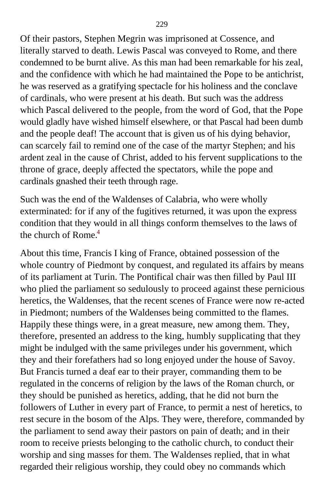Of their pastors, Stephen Megrin was imprisoned at Cossence, and literally starved to death. Lewis Pascal was conveyed to Rome, and there condemned to be burnt alive. As this man had been remarkable for his zeal, and the confidence with which he had maintained the Pope to be antichrist, he was reserved as a gratifying spectacle for his holiness and the conclave of cardinals, who were present at his death. But such was the address which Pascal delivered to the people, from the word of God, that the Pope would gladly have wished himself elsewhere, or that Pascal had been dumb and the people deaf! The account that is given us of his dying behavior, can scarcely fail to remind one of the case of the martyr Stephen; and his ardent zeal in the cause of Christ, added to his fervent supplications to the throne of grace, deeply affected the spectators, while the pope and cardinals gnashed their teeth through rage.

Such was the end of the Waldenses of Calabria, who were wholly exterminated: for if any of the fugitives returned, it was upon the express condition that they would in all things conform themselves to the laws of the church of Rome. $4$ 

About this time, Francis I king of France, obtained possession of the whole country of Piedmont by conquest, and regulated its affairs by means of its parliament at Turin. The Pontifical chair was then filled by Paul III who plied the parliament so sedulously to proceed against these pernicious heretics, the Waldenses, that the recent scenes of France were now re-acted in Piedmont; numbers of the Waldenses being committed to the flames. Happily these things were, in a great measure, new among them. They, therefore, presented an address to the king, humbly supplicating that they might be indulged with the same privileges under his government, which they and their forefathers had so long enjoyed under the house of Savoy. But Francis turned a deaf ear to their prayer, commanding them to be regulated in the concerns of religion by the laws of the Roman church, or they should be punished as heretics, adding, that he did not burn the followers of Luther in every part of France, to permit a nest of heretics, to rest secure in the bosom of the Alps. They were, therefore, commanded by the parliament to send away their pastors on pain of death; and in their room to receive priests belonging to the catholic church, to conduct their worship and sing masses for them. The Waldenses replied, that in what regarded their religious worship, they could obey no commands which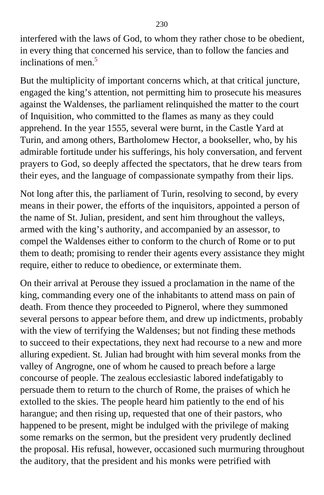interfered with the laws of God, to whom they rather chose to be obedient, in every thing that concerned his service, than to follow the fancies and inclinations of men.<sup>[5](#page-412-0)</sup>

But the multiplicity of important concerns which, at that critical juncture, engaged the king's attention, not permitting him to prosecute his measures against the Waldenses, the parliament relinquished the matter to the court of Inquisition, who committed to the flames as many as they could apprehend. In the year 1555, several were burnt, in the Castle Yard at Turin, and among others, Bartholomew Hector, a bookseller, who, by his admirable fortitude under his sufferings, his holy conversation, and fervent prayers to God, so deeply affected the spectators, that he drew tears from their eyes, and the language of compassionate sympathy from their lips.

Not long after this, the parliament of Turin, resolving to second, by every means in their power, the efforts of the inquisitors, appointed a person of the name of St. Julian, president, and sent him throughout the valleys, armed with the king's authority, and accompanied by an assessor, to compel the Waldenses either to conform to the church of Rome or to put them to death; promising to render their agents every assistance they might require, either to reduce to obedience, or exterminate them.

On their arrival at Perouse they issued a proclamation in the name of the king, commanding every one of the inhabitants to attend mass on pain of death. From thence they proceeded to Pignerol, where they summoned several persons to appear before them, and drew up indictments, probably with the view of terrifying the Waldenses; but not finding these methods to succeed to their expectations, they next had recourse to a new and more alluring expedient. St. Julian had brought with him several monks from the valley of Angrogne, one of whom he caused to preach before a large concourse of people. The zealous ecclesiastic labored indefatigably to persuade them to return to the church of Rome, the praises of which he extolled to the skies. The people heard him patiently to the end of his harangue; and then rising up, requested that one of their pastors, who happened to be present, might be indulged with the privilege of making some remarks on the sermon, but the president very prudently declined the proposal. His refusal, however, occasioned such murmuring throughout the auditory, that the president and his monks were petrified with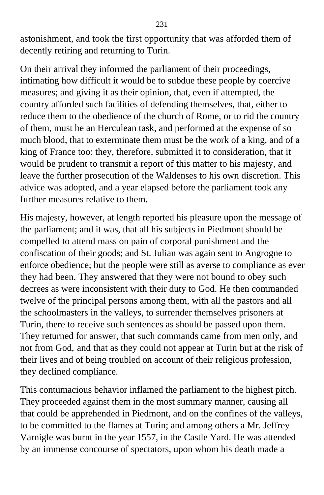astonishment, and took the first opportunity that was afforded them of decently retiring and returning to Turin.

On their arrival they informed the parliament of their proceedings, intimating how difficult it would be to subdue these people by coercive measures; and giving it as their opinion, that, even if attempted, the country afforded such facilities of defending themselves, that, either to reduce them to the obedience of the church of Rome, or to rid the country of them, must be an Herculean task, and performed at the expense of so much blood, that to exterminate them must be the work of a king, and of a king of France too: they, therefore, submitted it to consideration, that it would be prudent to transmit a report of this matter to his majesty, and leave the further prosecution of the Waldenses to his own discretion. This advice was adopted, and a year elapsed before the parliament took any further measures relative to them.

His majesty, however, at length reported his pleasure upon the message of the parliament; and it was, that all his subjects in Piedmont should be compelled to attend mass on pain of corporal punishment and the confiscation of their goods; and St. Julian was again sent to Angrogne to enforce obedience; but the people were still as averse to compliance as ever they had been. They answered that they were not bound to obey such decrees as were inconsistent with their duty to God. He then commanded twelve of the principal persons among them, with all the pastors and all the schoolmasters in the valleys, to surrender themselves prisoners at Turin, there to receive such sentences as should be passed upon them. They returned for answer, that such commands came from men only, and not from God, and that as they could not appear at Turin but at the risk of their lives and of being troubled on account of their religious profession, they declined compliance.

This contumacious behavior inflamed the parliament to the highest pitch. They proceeded against them in the most summary manner, causing all that could be apprehended in Piedmont, and on the confines of the valleys, to be committed to the flames at Turin; and among others a Mr. Jeffrey Varnigle was burnt in the year 1557, in the Castle Yard. He was attended by an immense concourse of spectators, upon whom his death made a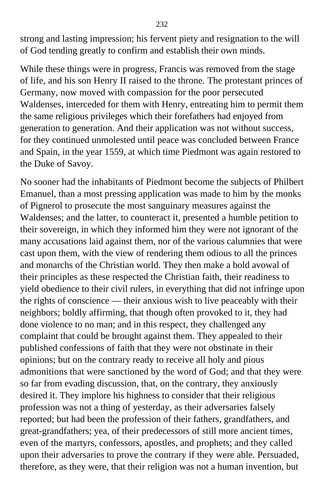strong and lasting impression; his fervent piety and resignation to the will of God tending greatly to confirm and establish their own minds.

While these things were in progress, Francis was removed from the stage of life, and his son Henry II raised to the throne. The protestant princes of Germany, now moved with compassion for the poor persecuted Waldenses, interceded for them with Henry, entreating him to permit them the same religious privileges which their forefathers had enjoyed from generation to generation. And their application was not without success, for they continued unmolested until peace was concluded between France and Spain, in the year 1559, at which time Piedmont was again restored to the Duke of Savoy.

No sooner had the inhabitants of Piedmont become the subjects of Philbert Emanuel, than a most pressing application was made to him by the monks of Pignerol to prosecute the most sanguinary measures against the Waldenses; and the latter, to counteract it, presented a humble petition to their sovereign, in which they informed him they were not ignorant of the many accusations laid against them, nor of the various calumnies that were cast upon them, with the view of rendering them odious to all the princes and monarchs of the Christian world. They then make a bold avowal of their principles as these respected the Christian faith, their readiness to yield obedience to their civil rulers, in everything that did not infringe upon the rights of conscience — their anxious wish to live peaceably with their neighbors; boldly affirming, that though often provoked to it, they had done violence to no man; and in this respect, they challenged any complaint that could be brought against them. They appealed to their published confessions of faith that they were not obstinate in their opinions; but on the contrary ready to receive all holy and pious admonitions that were sanctioned by the word of God; and that they were so far from evading discussion, that, on the contrary, they anxiously desired it. They implore his highness to consider that their religious profession was not a thing of yesterday, as their adversaries falsely reported; but had been the profession of their fathers, grandfathers, and great-grandfathers; yea, of their predecessors of still more ancient times, even of the martyrs, confessors, apostles, and prophets; and they called upon their adversaries to prove the contrary if they were able. Persuaded, therefore, as they were, that their religion was not a human invention, but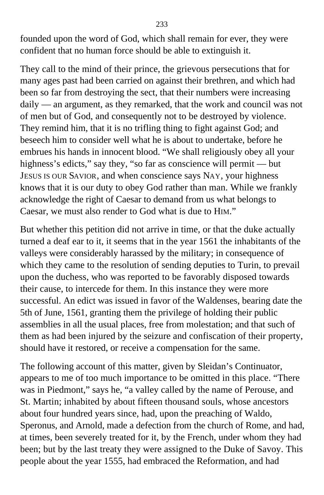founded upon the word of God, which shall remain for ever, they were confident that no human force should be able to extinguish it.

They call to the mind of their prince, the grievous persecutions that for many ages past had been carried on against their brethren, and which had been so far from destroying the sect, that their numbers were increasing daily — an argument, as they remarked, that the work and council was not of men but of God, and consequently not to be destroyed by violence. They remind him, that it is no trifling thing to fight against God; and beseech him to consider well what he is about to undertake, before he embrues his hands in innocent blood. "We shall religiously obey all your highness's edicts," say they, "so far as conscience will permit — but JESUS IS OUR SAVIOR, and when conscience says NAY, your highness knows that it is our duty to obey God rather than man. While we frankly acknowledge the right of Caesar to demand from us what belongs to Caesar, we must also render to God what is due to HIM."

But whether this petition did not arrive in time, or that the duke actually turned a deaf ear to it, it seems that in the year 1561 the inhabitants of the valleys were considerably harassed by the military; in consequence of which they came to the resolution of sending deputies to Turin, to prevail upon the duchess, who was reported to be favorably disposed towards their cause, to intercede for them. In this instance they were more successful. An edict was issued in favor of the Waldenses, bearing date the 5th of June, 1561, granting them the privilege of holding their public assemblies in all the usual places, free from molestation; and that such of them as had been injured by the seizure and confiscation of their property, should have it restored, or receive a compensation for the same.

The following account of this matter, given by Sleidan's Continuator, appears to me of too much importance to be omitted in this place. "There was in Piedmont," says he, "a valley called by the name of Perouse, and St. Martin; inhabited by about fifteen thousand souls, whose ancestors about four hundred years since, had, upon the preaching of Waldo, Speronus, and Arnold, made a defection from the church of Rome, and had, at times, been severely treated for it, by the French, under whom they had been; but by the last treaty they were assigned to the Duke of Savoy. This people about the year 1555, had embraced the Reformation, and had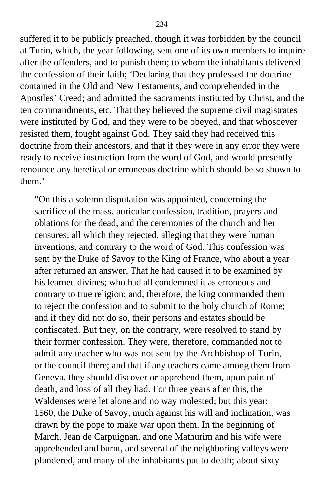suffered it to be publicly preached, though it was forbidden by the council at Turin, which, the year following, sent one of its own members to inquire after the offenders, and to punish them; to whom the inhabitants delivered the confession of their faith; 'Declaring that they professed the doctrine contained in the Old and New Testaments, and comprehended in the Apostles' Creed; and admitted the sacraments instituted by Christ, and the ten commandments, etc. That they believed the supreme civil magistrates were instituted by God, and they were to be obeyed, and that whosoever resisted them, fought against God. They said they had received this doctrine from their ancestors, and that if they were in any error they were ready to receive instruction from the word of God, and would presently renounce any heretical or erroneous doctrine which should be so shown to them.'

"On this a solemn disputation was appointed, concerning the sacrifice of the mass, auricular confession, tradition, prayers and oblations for the dead, and the ceremonies of the church and her censures: all which they rejected, alleging that they were human inventions, and contrary to the word of God. This confession was sent by the Duke of Savoy to the King of France, who about a year after returned an answer, That he had caused it to be examined by his learned divines; who had all condemned it as erroneous and contrary to true religion; and, therefore, the king commanded them to reject the confession and to submit to the holy church of Rome; and if they did not do so, their persons and estates should be confiscated. But they, on the contrary, were resolved to stand by their former confession. They were, therefore, commanded not to admit any teacher who was not sent by the Archbishop of Turin, or the council there; and that if any teachers came among them from Geneva, they should discover or apprehend them, upon pain of death, and loss of all they had. For three years after this, the Waldenses were let alone and no way molested; but this year; 1560, the Duke of Savoy, much against his will and inclination, was drawn by the pope to make war upon them. In the beginning of March, Jean de Carpuignan, and one Mathurim and his wife were apprehended and burnt, and several of the neighboring valleys were plundered, and many of the inhabitants put to death; about sixty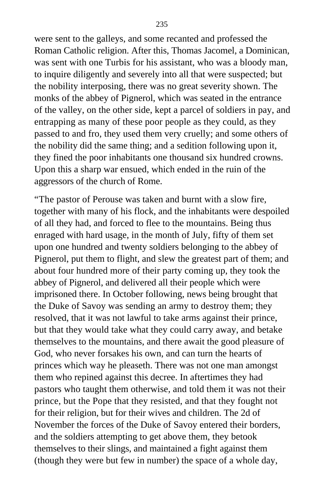were sent to the galleys, and some recanted and professed the Roman Catholic religion. After this, Thomas Jacomel, a Dominican, was sent with one Turbis for his assistant, who was a bloody man, to inquire diligently and severely into all that were suspected; but the nobility interposing, there was no great severity shown. The monks of the abbey of Pignerol, which was seated in the entrance of the valley, on the other side, kept a parcel of soldiers in pay, and entrapping as many of these poor people as they could, as they passed to and fro, they used them very cruelly; and some others of the nobility did the same thing; and a sedition following upon it, they fined the poor inhabitants one thousand six hundred crowns. Upon this a sharp war ensued, which ended in the ruin of the aggressors of the church of Rome.

"The pastor of Perouse was taken and burnt with a slow fire, together with many of his flock, and the inhabitants were despoiled of all they had, and forced to flee to the mountains. Being thus enraged with hard usage, in the month of July, fifty of them set upon one hundred and twenty soldiers belonging to the abbey of Pignerol, put them to flight, and slew the greatest part of them; and about four hundred more of their party coming up, they took the abbey of Pignerol, and delivered all their people which were imprisoned there. In October following, news being brought that the Duke of Savoy was sending an army to destroy them; they resolved, that it was not lawful to take arms against their prince, but that they would take what they could carry away, and betake themselves to the mountains, and there await the good pleasure of God, who never forsakes his own, and can turn the hearts of princes which way he pleaseth. There was not one man amongst them who repined against this decree. In aftertimes they had pastors who taught them otherwise, and told them it was not their prince, but the Pope that they resisted, and that they fought not for their religion, but for their wives and children. The 2d of November the forces of the Duke of Savoy entered their borders, and the soldiers attempting to get above them, they betook themselves to their slings, and maintained a fight against them (though they were but few in number) the space of a whole day,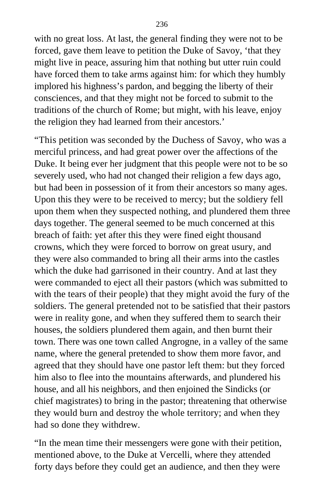with no great loss. At last, the general finding they were not to be forced, gave them leave to petition the Duke of Savoy, 'that they might live in peace, assuring him that nothing but utter ruin could have forced them to take arms against him: for which they humbly implored his highness's pardon, and begging the liberty of their consciences, and that they might not be forced to submit to the traditions of the church of Rome; but might, with his leave, enjoy the religion they had learned from their ancestors.'

"This petition was seconded by the Duchess of Savoy, who was a merciful princess, and had great power over the affections of the Duke. It being ever her judgment that this people were not to be so severely used, who had not changed their religion a few days ago, but had been in possession of it from their ancestors so many ages. Upon this they were to be received to mercy; but the soldiery fell upon them when they suspected nothing, and plundered them three days together. The general seemed to be much concerned at this breach of faith: yet after this they were fined eight thousand crowns, which they were forced to borrow on great usury, and they were also commanded to bring all their arms into the castles which the duke had garrisoned in their country. And at last they were commanded to eject all their pastors (which was submitted to with the tears of their people) that they might avoid the fury of the soldiers. The general pretended not to be satisfied that their pastors were in reality gone, and when they suffered them to search their houses, the soldiers plundered them again, and then burnt their town. There was one town called Angrogne, in a valley of the same name, where the general pretended to show them more favor, and agreed that they should have one pastor left them: but they forced him also to flee into the mountains afterwards, and plundered his house, and all his neighbors, and then enjoined the Sindicks (or chief magistrates) to bring in the pastor; threatening that otherwise they would burn and destroy the whole territory; and when they had so done they withdrew.

"In the mean time their messengers were gone with their petition, mentioned above, to the Duke at Vercelli, where they attended forty days before they could get an audience, and then they were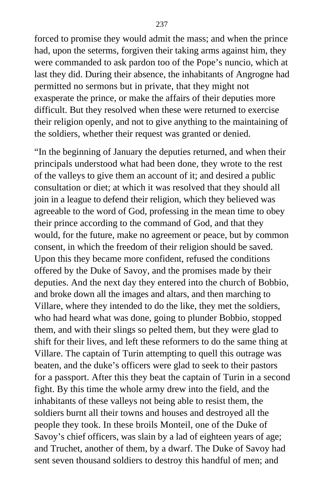forced to promise they would admit the mass; and when the prince had, upon the seterms, forgiven their taking arms against him, they were commanded to ask pardon too of the Pope's nuncio, which at last they did. During their absence, the inhabitants of Angrogne had permitted no sermons but in private, that they might not exasperate the prince, or make the affairs of their deputies more difficult. But they resolved when these were returned to exercise their religion openly, and not to give anything to the maintaining of the soldiers, whether their request was granted or denied.

"In the beginning of January the deputies returned, and when their principals understood what had been done, they wrote to the rest of the valleys to give them an account of it; and desired a public consultation or diet; at which it was resolved that they should all join in a league to defend their religion, which they believed was agreeable to the word of God, professing in the mean time to obey their prince according to the command of God, and that they would, for the future, make no agreement or peace, but by common consent, in which the freedom of their religion should be saved. Upon this they became more confident, refused the conditions offered by the Duke of Savoy, and the promises made by their deputies. And the next day they entered into the church of Bobbio, and broke down all the images and altars, and then marching to Villare, where they intended to do the like, they met the soldiers, who had heard what was done, going to plunder Bobbio, stopped them, and with their slings so pelted them, but they were glad to shift for their lives, and left these reformers to do the same thing at Villare. The captain of Turin attempting to quell this outrage was beaten, and the duke's officers were glad to seek to their pastors for a passport. After this they beat the captain of Turin in a second fight. By this time the whole army drew into the field, and the inhabitants of these valleys not being able to resist them, the soldiers burnt all their towns and houses and destroyed all the people they took. In these broils Monteil, one of the Duke of Savoy's chief officers, was slain by a lad of eighteen years of age; and Truchet, another of them, by a dwarf. The Duke of Savoy had sent seven thousand soldiers to destroy this handful of men; and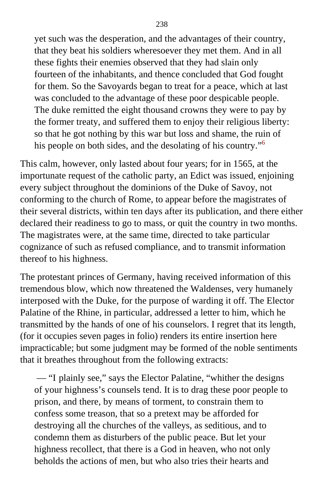yet such was the desperation, and the advantages of their country, that they beat his soldiers wheresoever they met them. And in all these fights their enemies observed that they had slain only fourteen of the inhabitants, and thence concluded that God fought for them. So the Savoyards began to treat for a peace, which at last was concluded to the advantage of these poor despicable people. The duke remitted the eight thousand crowns they were to pay by the former treaty, and suffered them to enjoy their religious liberty: so that he got nothing by this war but loss and shame, the ruin of his people on both sides, and the desolating of his country."<sup>[6](#page-413-0)</sup>

This calm, however, only lasted about four years; for in 1565, at the importunate request of the catholic party, an Edict was issued, enjoining every subject throughout the dominions of the Duke of Savoy, not conforming to the church of Rome, to appear before the magistrates of their several districts, within ten days after its publication, and there either declared their readiness to go to mass, or quit the country in two months. The magistrates were, at the same time, directed to take particular cognizance of such as refused compliance, and to transmit information thereof to his highness.

The protestant princes of Germany, having received information of this tremendous blow, which now threatened the Waldenses, very humanely interposed with the Duke, for the purpose of warding it off. The Elector Palatine of the Rhine, in particular, addressed a letter to him, which he transmitted by the hands of one of his counselors. I regret that its length, (for it occupies seven pages in folio) renders its entire insertion here impracticable; but some judgment may be formed of the noble sentiments that it breathes throughout from the following extracts:

 — "I plainly see," says the Elector Palatine, "whither the designs of your highness's counsels tend. It is to drag these poor people to prison, and there, by means of torment, to constrain them to confess some treason, that so a pretext may be afforded for destroying all the churches of the valleys, as seditious, and to condemn them as disturbers of the public peace. But let your highness recollect, that there is a God in heaven, who not only beholds the actions of men, but who also tries their hearts and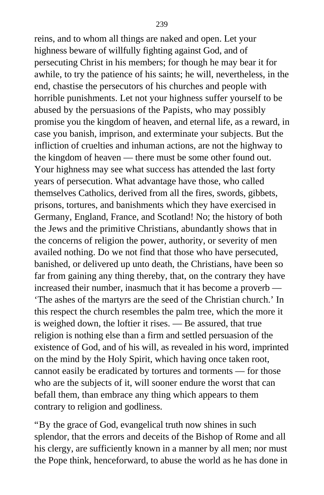reins, and to whom all things are naked and open. Let your highness beware of willfully fighting against God, and of persecuting Christ in his members; for though he may bear it for awhile, to try the patience of his saints; he will, nevertheless, in the end, chastise the persecutors of his churches and people with horrible punishments. Let not your highness suffer yourself to be abused by the persuasions of the Papists, who may possibly promise you the kingdom of heaven, and eternal life, as a reward, in case you banish, imprison, and exterminate your subjects. But the infliction of cruelties and inhuman actions, are not the highway to the kingdom of heaven — there must be some other found out. Your highness may see what success has attended the last forty years of persecution. What advantage have those, who called themselves Catholics, derived from all the fires, swords, gibbets, prisons, tortures, and banishments which they have exercised in Germany, England, France, and Scotland! No; the history of both the Jews and the primitive Christians, abundantly shows that in the concerns of religion the power, authority, or severity of men availed nothing. Do we not find that those who have persecuted, banished, or delivered up unto death, the Christians, have been so far from gaining any thing thereby, that, on the contrary they have increased their number, inasmuch that it has become a proverb — 'The ashes of the martyrs are the seed of the Christian church.' In this respect the church resembles the palm tree, which the more it is weighed down, the loftier it rises. — Be assured, that true religion is nothing else than a firm and settled persuasion of the existence of God, and of his will, as revealed in his word, imprinted on the mind by the Holy Spirit, which having once taken root, cannot easily be eradicated by tortures and torments — for those who are the subjects of it, will sooner endure the worst that can befall them, than embrace any thing which appears to them contrary to religion and godliness.

"By the grace of God, evangelical truth now shines in such splendor, that the errors and deceits of the Bishop of Rome and all his clergy, are sufficiently known in a manner by all men; nor must the Pope think, henceforward, to abuse the world as he has done in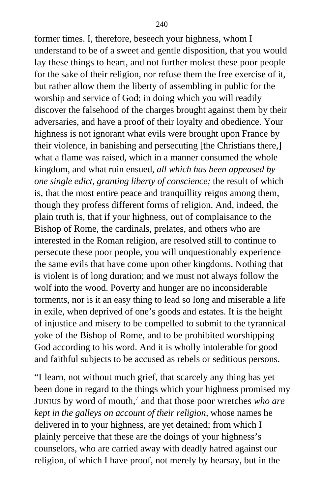former times. I, therefore, beseech your highness, whom I understand to be of a sweet and gentle disposition, that you would lay these things to heart, and not further molest these poor people for the sake of their religion, nor refuse them the free exercise of it, but rather allow them the liberty of assembling in public for the worship and service of God; in doing which you will readily discover the falsehood of the charges brought against them by their adversaries, and have a proof of their loyalty and obedience. Your highness is not ignorant what evils were brought upon France by their violence, in banishing and persecuting [the Christians there,] what a flame was raised, which in a manner consumed the whole kingdom, and what ruin ensued, *all which has been appeased by one single edict, granting liberty of conscience;* the result of which is, that the most entire peace and tranquillity reigns among them, though they profess different forms of religion. And, indeed, the plain truth is, that if your highness, out of complaisance to the Bishop of Rome, the cardinals, prelates, and others who are interested in the Roman religion, are resolved still to continue to persecute these poor people, you will unquestionably experience the same evils that have come upon other kingdoms. Nothing that is violent is of long duration; and we must not always follow the wolf into the wood. Poverty and hunger are no inconsiderable torments, nor is it an easy thing to lead so long and miserable a life in exile, when deprived of one's goods and estates. It is the height of injustice and misery to be compelled to submit to the tyrannical yoke of the Bishop of Rome, and to be prohibited worshipping God according to his word. And it is wholly intolerable for good and faithful subjects to be accused as rebels or seditious persons.

"I learn, not without much grief, that scarcely any thing has yet been done in regard to the things which your highness promised my JUNIUS by word of mouth,<sup>[7](#page-413-0)</sup> and that those poor wretches *who are kept in the galleys on account of their religion,* whose names he delivered in to your highness, are yet detained; from which I plainly perceive that these are the doings of your highness's counselors, who are carried away with deadly hatred against our religion, of which I have proof, not merely by hearsay, but in the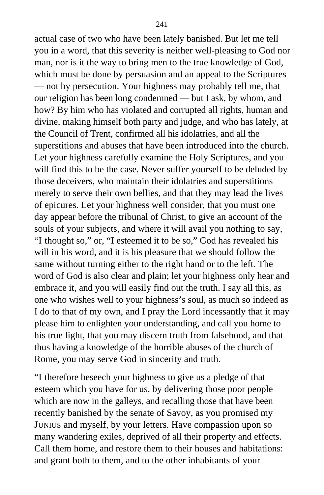actual case of two who have been lately banished. But let me tell you in a word, that this severity is neither well-pleasing to God nor man, nor is it the way to bring men to the true knowledge of God, which must be done by persuasion and an appeal to the Scriptures — not by persecution. Your highness may probably tell me, that our religion has been long condemned — but I ask, by whom, and how? By him who has violated and corrupted all rights, human and divine, making himself both party and judge, and who has lately, at the Council of Trent, confirmed all his idolatries, and all the superstitions and abuses that have been introduced into the church. Let your highness carefully examine the Holy Scriptures, and you will find this to be the case. Never suffer yourself to be deluded by those deceivers, who maintain their idolatries and superstitions merely to serve their own bellies, and that they may lead the lives of epicures. Let your highness well consider, that you must one day appear before the tribunal of Christ, to give an account of the souls of your subjects, and where it will avail you nothing to say, "I thought so," or, "I esteemed it to be so," God has revealed his will in his word, and it is his pleasure that we should follow the same without turning either to the right hand or to the left. The word of God is also clear and plain; let your highness only hear and embrace it, and you will easily find out the truth. I say all this, as one who wishes well to your highness's soul, as much so indeed as I do to that of my own, and I pray the Lord incessantly that it may please him to enlighten your understanding, and call you home to his true light, that you may discern truth from falsehood, and that thus having a knowledge of the horrible abuses of the church of Rome, you may serve God in sincerity and truth.

"I therefore beseech your highness to give us a pledge of that esteem which you have for us, by delivering those poor people which are now in the galleys, and recalling those that have been recently banished by the senate of Savoy, as you promised my JUNIUS and myself, by your letters. Have compassion upon so many wandering exiles, deprived of all their property and effects. Call them home, and restore them to their houses and habitations: and grant both to them, and to the other inhabitants of your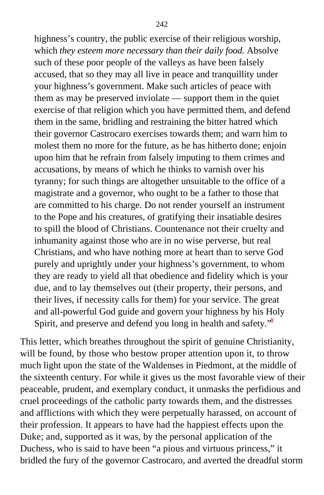highness's country, the public exercise of their religious worship, which *they esteem more necessary than their daily food.* Absolve such of these poor people of the valleys as have been falsely accused, that so they may all live in peace and tranquillity under your highness's government. Make such articles of peace with them as may be preserved inviolate — support them in the quiet exercise of that religion which you have permitted them, and defend them in the same, bridling and restraining the bitter hatred which their governor Castrocaro exercises towards them; and warn him to molest them no more for the future, as he has hitherto done; enjoin upon him that he refrain from falsely imputing to them crimes and accusations, by means of which he thinks to varnish over his tyranny; for such things are altogether unsuitable to the office of a magistrate and a governor, who ought to be a father to those that are committed to his charge. Do not render yourself an instrument to the Pope and his creatures, of gratifying their insatiable desires to spill the blood of Christians. Countenance not their cruelty and inhumanity against those who are in no wise perverse, but real Christians, and who have nothing more at heart than to serve God purely and uprightly under your highness's government, to whom they are ready to yield all that obedience and fidelity which is your due, and to lay themselves out (their property, their persons, and their lives, if necessity calls for them) for your service. The great and all-powerful God guide and govern your highness by his Holy Spirit, and preserve and defend you long in health and safety.<sup>[8](#page-413-0)</sup>

This letter, which breathes throughout the spirit of genuine Christianity, will be found, by those who bestow proper attention upon it, to throw much light upon the state of the Waldenses in Piedmont, at the middle of the sixteenth century. For while it gives us the most favorable view of their peaceable, prudent, and exemplary conduct, it unmasks the perfidious and cruel proceedings of the catholic party towards them, and the distresses and afflictions with which they were perpetually harassed, on account of their profession. It appears to have had the happiest effects upon the Duke; and, supported as it was, by the personal application of the Duchess, who is said to have been "a pious and virtuous princess," it bridled the fury of the governor Castrocaro, and averted the dreadful storm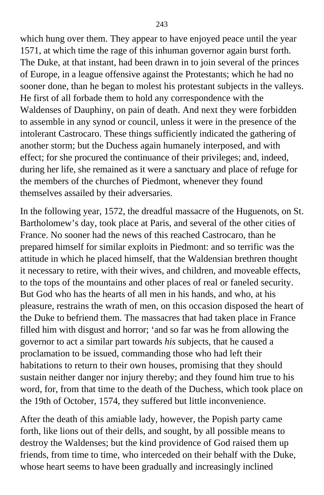which hung over them. They appear to have enjoyed peace until the year 1571, at which time the rage of this inhuman governor again burst forth. The Duke, at that instant, had been drawn in to join several of the princes of Europe, in a league offensive against the Protestants; which he had no sooner done, than he began to molest his protestant subjects in the valleys. He first of all forbade them to hold any correspondence with the Waldenses of Dauphiny, on pain of death. And next they were forbidden to assemble in any synod or council, unless it were in the presence of the intolerant Castrocaro. These things sufficiently indicated the gathering of another storm; but the Duchess again humanely interposed, and with effect; for she procured the continuance of their privileges; and, indeed, during her life, she remained as it were a sanctuary and place of refuge for the members of the churches of Piedmont, whenever they found themselves assailed by their adversaries.

In the following year, 1572, the dreadful massacre of the Huguenots, on St. Bartholomew's day, took place at Paris, and several of the other cities of France. No sooner had the news of this reached Castrocaro, than he prepared himself for similar exploits in Piedmont: and so terrific was the attitude in which he placed himself, that the Waldensian brethren thought it necessary to retire, with their wives, and children, and moveable effects, to the tops of the mountains and other places of real or faneled security. But God who has the hearts of all men in his hands, and who, at his pleasure, restrains the wrath of men, on this occasion disposed the heart of the Duke to befriend them. The massacres that had taken place in France filled him with disgust and horror; 'and so far was he from allowing the governor to act a similar part towards *his* subjects, that he caused a proclamation to be issued, commanding those who had left their habitations to return to their own houses, promising that they should sustain neither danger nor injury thereby; and they found him true to his word, for, from that time to the death of the Duchess, which took place on the 19th of October, 1574, they suffered but little inconvenience.

After the death of this amiable lady, however, the Popish party came forth, like lions out of their dells, and sought, by all possible means to destroy the Waldenses; but the kind providence of God raised them up friends, from time to time, who interceded on their behalf with the Duke, whose heart seems to have been gradually and increasingly inclined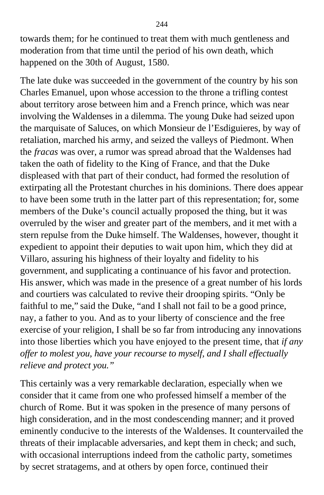towards them; for he continued to treat them with much gentleness and moderation from that time until the period of his own death, which happened on the 30th of August, 1580.

The late duke was succeeded in the government of the country by his son Charles Emanuel, upon whose accession to the throne a trifling contest about territory arose between him and a French prince, which was near involving the Waldenses in a dilemma. The young Duke had seized upon the marquisate of Saluces, on which Monsieur de l'Esdiguieres, by way of retaliation, marched his army, and seized the valleys of Piedmont. When the *fracas* was over, a rumor was spread abroad that the Waldenses had taken the oath of fidelity to the King of France, and that the Duke displeased with that part of their conduct, had formed the resolution of extirpating all the Protestant churches in his dominions. There does appear to have been some truth in the latter part of this representation; for, some members of the Duke's council actually proposed the thing, but it was overruled by the wiser and greater part of the members, and it met with a stern repulse from the Duke himself. The Waldenses, however, thought it expedient to appoint their deputies to wait upon him, which they did at Villaro, assuring his highness of their loyalty and fidelity to his government, and supplicating a continuance of his favor and protection. His answer, which was made in the presence of a great number of his lords and courtiers was calculated to revive their drooping spirits. "Only be faithful to me," said the Duke, "and I shall not fail to be a good prince, nay, a father to you. And as to your liberty of conscience and the free exercise of your religion, I shall be so far from introducing any innovations into those liberties which you have enjoyed to the present time, that *if any offer to molest you, have your recourse to myself, and I shall effectually relieve and protect you."*

This certainly was a very remarkable declaration, especially when we consider that it came from one who professed himself a member of the church of Rome. But it was spoken in the presence of many persons of high consideration, and in the most condescending manner; and it proved eminently conducive to the interests of the Waldenses. It countervailed the threats of their implacable adversaries, and kept them in check; and such, with occasional interruptions indeed from the catholic party, sometimes by secret stratagems, and at others by open force, continued their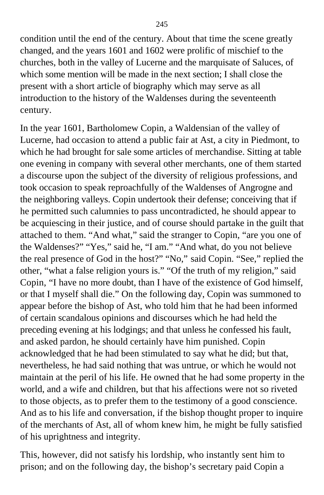condition until the end of the century. About that time the scene greatly changed, and the years 1601 and 1602 were prolific of mischief to the churches, both in the valley of Lucerne and the marquisate of Saluces, of which some mention will be made in the next section; I shall close the present with a short article of biography which may serve as all introduction to the history of the Waldenses during the seventeenth century.

In the year 1601, Bartholomew Copin, a Waldensian of the valley of Lucerne, had occasion to attend a public fair at Ast, a city in Piedmont, to which he had brought for sale some articles of merchandise. Sitting at table one evening in company with several other merchants, one of them started a discourse upon the subject of the diversity of religious professions, and took occasion to speak reproachfully of the Waldenses of Angrogne and the neighboring valleys. Copin undertook their defense; conceiving that if he permitted such calumnies to pass uncontradicted, he should appear to be acquiescing in their justice, and of course should partake in the guilt that attached to them. "And what," said the stranger to Copin, "are you one of the Waldenses?" "Yes," said he, "I am." "And what, do you not believe the real presence of God in the host?" "No," said Copin. "See," replied the other, "what a false religion yours is." "Of the truth of my religion," said Copin, "I have no more doubt, than I have of the existence of God himself, or that I myself shall die." On the following day, Copin was summoned to appear before the bishop of Ast, who told him that he had been informed of certain scandalous opinions and discourses which he had held the preceding evening at his lodgings; and that unless he confessed his fault, and asked pardon, he should certainly have him punished. Copin acknowledged that he had been stimulated to say what he did; but that, nevertheless, he had said nothing that was untrue, or which he would not maintain at the peril of his life. He owned that he had some property in the world, and a wife and children, but that his affections were not so riveted to those objects, as to prefer them to the testimony of a good conscience. And as to his life and conversation, if the bishop thought proper to inquire of the merchants of Ast, all of whom knew him, he might be fully satisfied of his uprightness and integrity.

This, however, did not satisfy his lordship, who instantly sent him to prison; and on the following day, the bishop's secretary paid Copin a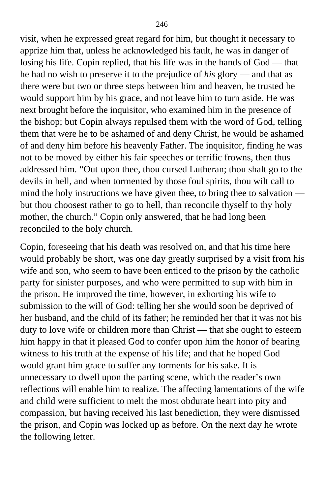visit, when he expressed great regard for him, but thought it necessary to apprize him that, unless he acknowledged his fault, he was in danger of losing his life. Copin replied, that his life was in the hands of God — that he had no wish to preserve it to the prejudice of *his* glory — and that as there were but two or three steps between him and heaven, he trusted he would support him by his grace, and not leave him to turn aside. He was next brought before the inquisitor, who examined him in the presence of the bishop; but Copin always repulsed them with the word of God, telling them that were he to be ashamed of and deny Christ, he would be ashamed of and deny him before his heavenly Father. The inquisitor, finding he was not to be moved by either his fair speeches or terrific frowns, then thus addressed him. "Out upon thee, thou cursed Lutheran; thou shalt go to the devils in hell, and when tormented by those foul spirits, thou wilt call to mind the holy instructions we have given thee, to bring thee to salvation but thou choosest rather to go to hell, than reconcile thyself to thy holy mother, the church." Copin only answered, that he had long been reconciled to the holy church.

Copin, foreseeing that his death was resolved on, and that his time here would probably be short, was one day greatly surprised by a visit from his wife and son, who seem to have been enticed to the prison by the catholic party for sinister purposes, and who were permitted to sup with him in the prison. He improved the time, however, in exhorting his wife to submission to the will of God: telling her she would soon be deprived of her husband, and the child of its father; he reminded her that it was not his duty to love wife or children more than Christ — that she ought to esteem him happy in that it pleased God to confer upon him the honor of bearing witness to his truth at the expense of his life; and that he hoped God would grant him grace to suffer any torments for his sake. It is unnecessary to dwell upon the parting scene, which the reader's own reflections will enable him to realize. The affecting lamentations of the wife and child were sufficient to melt the most obdurate heart into pity and compassion, but having received his last benediction, they were dismissed the prison, and Copin was locked up as before. On the next day he wrote the following letter.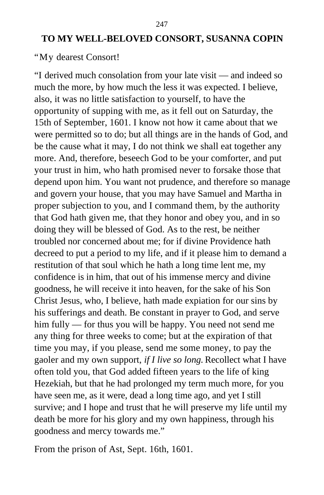## **TO MY WELL-BELOVED CONSORT, SUSANNA COPIN**

#### "My dearest Consort!

"I derived much consolation from your late visit — and indeed so much the more, by how much the less it was expected. I believe, also, it was no little satisfaction to yourself, to have the opportunity of supping with me, as it fell out on Saturday, the 15th of September, 1601. I know not how it came about that we were permitted so to do; but all things are in the hands of God, and be the cause what it may, I do not think we shall eat together any more. And, therefore, beseech God to be your comforter, and put your trust in him, who hath promised never to forsake those that depend upon him. You want not prudence, and therefore so manage and govern your house, that you may have Samuel and Martha in proper subjection to you, and I command them, by the authority that God hath given me, that they honor and obey you, and in so doing they will be blessed of God. As to the rest, be neither troubled nor concerned about me; for if divine Providence hath decreed to put a period to my life, and if it please him to demand a restitution of that soul which he hath a long time lent me, my confidence is in him, that out of his immense mercy and divine goodness, he will receive it into heaven, for the sake of his Son Christ Jesus, who, I believe, hath made expiation for our sins by his sufferings and death. Be constant in prayer to God, and serve him fully — for thus you will be happy. You need not send me any thing for three weeks to come; but at the expiration of that time you may, if you please, send me some money, to pay the gaoler and my own support, *if I live so long.* Recollect what I have often told you, that God added fifteen years to the life of king Hezekiah, but that he had prolonged my term much more, for you have seen me, as it were, dead a long time ago, and yet I still survive; and I hope and trust that he will preserve my life until my death be more for his glory and my own happiness, through his goodness and mercy towards me."

From the prison of Ast, Sept. 16th, 1601.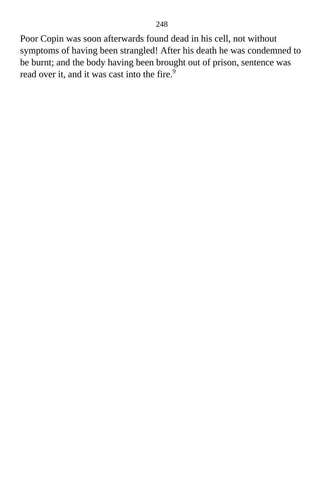Poor Copin was soon afterwards found dead in his cell, not without symptoms of having been strangled! After his death he was condemned to be burnt; and the body having been brought out of prison, sentence was read over it, and it was cast into the fire.<sup>[9](#page-413-0)</sup>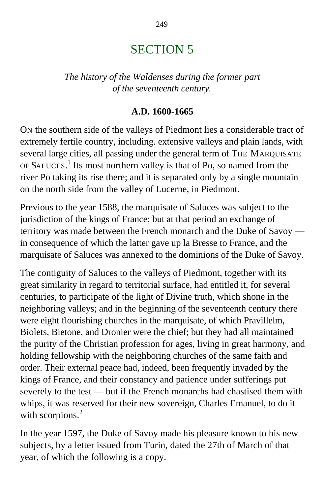# SECTION 5

*The history of the Waldenses during the former part of the seventeenth century.*

### **A.D. 1600-1665**

ON the southern side of the valleys of Piedmont lies a considerable tract of extremely fertile country, including. extensive valleys and plain lands, with several large cities, all passing under the general term of THE MARQUISATE OF SALUCES.<sup>[1](#page-413-1)</sup> Its most northern valley is that of Po, so named from the river Po taking its rise there; and it is separated only by a single mountain on the north side from the valley of Lucerne, in Piedmont.

Previous to the year 1588, the marquisate of Saluces was subject to the jurisdiction of the kings of France; but at that period an exchange of territory was made between the French monarch and the Duke of Savoy in consequence of which the latter gave up la Bresse to France, and the marquisate of Saluces was annexed to the dominions of the Duke of Savoy.

The contiguity of Saluces to the valleys of Piedmont, together with its great similarity in regard to territorial surface, had entitled it, for several centuries, to participate of the light of Divine truth, which shone in the neighboring valleys; and in the beginning of the seventeenth century there were eight flourishing churches in the marquisate, of which Pravillelm, Biolets, Bietone, and Dronier were the chief; but they had all maintained the purity of the Christian profession for ages, living in great harmony, and holding fellowship with the neighboring churches of the same faith and order. Their external peace had, indeed, been frequently invaded by the kings of France, and their constancy and patience under sufferings put severely to the test — but if the French monarchs had chastised them with whips, it was reserved for their new sovereign, Charles Emanuel, to do it with scorpions.<sup>[2](#page-413-1)</sup>

In the year 1597, the Duke of Savoy made his pleasure known to his new subjects, by a letter issued from Turin, dated the 27th of March of that year, of which the following is a copy.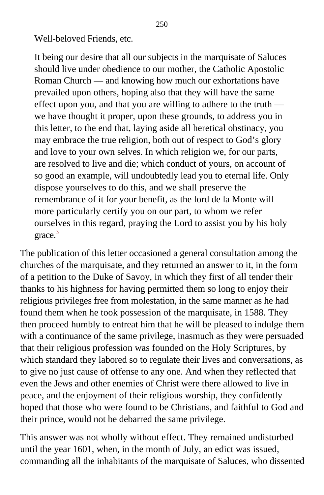Well-beloved Friends, etc.

It being our desire that all our subjects in the marquisate of Saluces should live under obedience to our mother, the Catholic Apostolic Roman Church — and knowing how much our exhortations have prevailed upon others, hoping also that they will have the same effect upon you, and that you are willing to adhere to the truth we have thought it proper, upon these grounds, to address you in this letter, to the end that, laying aside all heretical obstinacy, you may embrace the true religion, both out of respect to God's glory and love to your own selves. In which religion we, for our parts, are resolved to live and die; which conduct of yours, on account of so good an example, will undoubtedly lead you to eternal life. Only dispose yourselves to do this, and we shall preserve the remembrance of it for your benefit, as the lord de la Monte will more particularly certify you on our part, to whom we refer ourselves in this regard, praying the Lord to assist you by his holy grace.<sup>[3](#page-413-1)</sup>

The publication of this letter occasioned a general consultation among the churches of the marquisate, and they returned an answer to it, in the form of a petition to the Duke of Savoy, in which they first of all tender their thanks to his highness for having permitted them so long to enjoy their religious privileges free from molestation, in the same manner as he had found them when he took possession of the marquisate, in 1588. They then proceed humbly to entreat him that he will be pleased to indulge them with a continuance of the same privilege, inasmuch as they were persuaded that their religious profession was founded on the Holy Scriptures, by which standard they labored so to regulate their lives and conversations, as to give no just cause of offense to any one. And when they reflected that even the Jews and other enemies of Christ were there allowed to live in peace, and the enjoyment of their religious worship, they confidently hoped that those who were found to be Christians, and faithful to God and their prince, would not be debarred the same privilege.

This answer was not wholly without effect. They remained undisturbed until the year 1601, when, in the month of July, an edict was issued, commanding all the inhabitants of the marquisate of Saluces, who dissented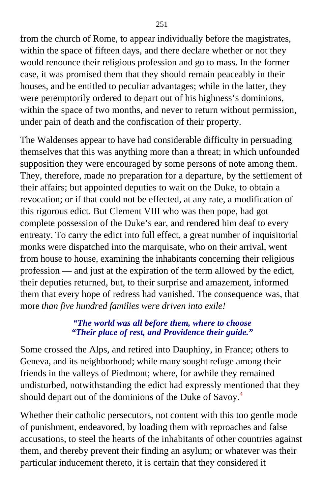from the church of Rome, to appear individually before the magistrates, within the space of fifteen days, and there declare whether or not they would renounce their religious profession and go to mass. In the former case, it was promised them that they should remain peaceably in their houses, and be entitled to peculiar advantages; while in the latter, they were peremptorily ordered to depart out of his highness's dominions, within the space of two months, and never to return without permission, under pain of death and the confiscation of their property.

The Waldenses appear to have had considerable difficulty in persuading themselves that this was anything more than a threat; in which unfounded supposition they were encouraged by some persons of note among them. They, therefore, made no preparation for a departure, by the settlement of their affairs; but appointed deputies to wait on the Duke, to obtain a revocation; or if that could not be effected, at any rate, a modification of this rigorous edict. But Clement VIII who was then pope, had got complete possession of the Duke's ear, and rendered him deaf to every entreaty. To carry the edict into full effect, a great number of inquisitorial monks were dispatched into the marquisate, who on their arrival, went from house to house, examining the inhabitants concerning their religious profession — and just at the expiration of the term allowed by the edict, their deputies returned, but, to their surprise and amazement, informed them that every hope of redress had vanished. The consequence was, that more *than five hundred families were driven into exile!*

### *"The world was all before them, where to choose "Their place of rest, and Providence their guide."*

Some crossed the Alps, and retired into Dauphiny, in France; others to Geneva, and its neighborhood; while many sought refuge among their friends in the valleys of Piedmont; where, for awhile they remained undisturbed, notwithstanding the edict had expressly mentioned that they should depart out of the dominions of the Duke of Savoy.<sup>[4](#page-413-1)</sup>

Whether their catholic persecutors, not content with this too gentle mode of punishment, endeavored, by loading them with reproaches and false accusations, to steel the hearts of the inhabitants of other countries against them, and thereby prevent their finding an asylum; or whatever was their particular inducement thereto, it is certain that they considered it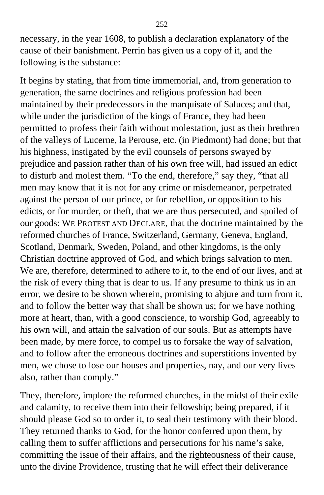necessary, in the year 1608, to publish a declaration explanatory of the cause of their banishment. Perrin has given us a copy of it, and the following is the substance:

It begins by stating, that from time immemorial, and, from generation to generation, the same doctrines and religious profession had been maintained by their predecessors in the marquisate of Saluces; and that, while under the jurisdiction of the kings of France, they had been permitted to profess their faith without molestation, just as their brethren of the valleys of Lucerne, la Perouse, etc. (in Piedmont) had done; but that his highness, instigated by the evil counsels of persons swayed by prejudice and passion rather than of his own free will, had issued an edict to disturb and molest them. "To the end, therefore," say they, "that all men may know that it is not for any crime or misdemeanor, perpetrated against the person of our prince, or for rebellion, or opposition to his edicts, or for murder, or theft, that we are thus persecuted, and spoiled of our goods: WE PROTEST AND DECLARE, that the doctrine maintained by the reformed churches of France, Switzerland, Germany, Geneva, England, Scotland, Denmark, Sweden, Poland, and other kingdoms, is the only Christian doctrine approved of God, and which brings salvation to men. We are, therefore, determined to adhere to it, to the end of our lives, and at the risk of every thing that is dear to us. If any presume to think us in an error, we desire to be shown wherein, promising to abjure and turn from it, and to follow the better way that shall be shown us; for we have nothing more at heart, than, with a good conscience, to worship God, agreeably to his own will, and attain the salvation of our souls. But as attempts have been made, by mere force, to compel us to forsake the way of salvation, and to follow after the erroneous doctrines and superstitions invented by men, we chose to lose our houses and properties, nay, and our very lives also, rather than comply."

They, therefore, implore the reformed churches, in the midst of their exile and calamity, to receive them into their fellowship; being prepared, if it should please God so to order it, to seal their testimony with their blood. They returned thanks to God, for the honor conferred upon them, by calling them to suffer afflictions and persecutions for his name's sake, committing the issue of their affairs, and the righteousness of their cause, unto the divine Providence, trusting that he will effect their deliverance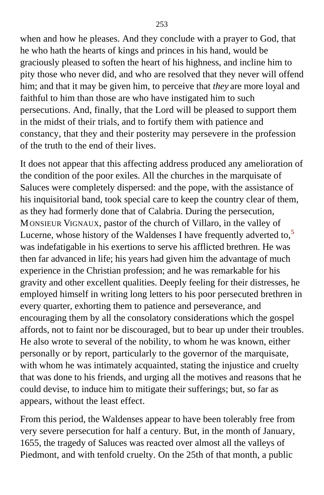when and how he pleases. And they conclude with a prayer to God, that he who hath the hearts of kings and princes in his hand, would be graciously pleased to soften the heart of his highness, and incline him to pity those who never did, and who are resolved that they never will offend him; and that it may be given him, to perceive that *they* are more loyal and faithful to him than those are who have instigated him to such persecutions. And, finally, that the Lord will be pleased to support them in the midst of their trials, and to fortify them with patience and constancy, that they and their posterity may persevere in the profession of the truth to the end of their lives.

It does not appear that this affecting address produced any amelioration of the condition of the poor exiles. All the churches in the marquisate of Saluces were completely dispersed: and the pope, with the assistance of his inquisitorial band, took special care to keep the country clear of them, as they had formerly done that of Calabria. During the persecution, MONSIEUR VIGNAUX, pastor of the church of Villaro, in the valley of Lucerne, whose history of the Waldenses I have frequently adverted to, $5$ was indefatigable in his exertions to serve his afflicted brethren. He was then far advanced in life; his years had given him the advantage of much experience in the Christian profession; and he was remarkable for his gravity and other excellent qualities. Deeply feeling for their distresses, he employed himself in writing long letters to his poor persecuted brethren in every quarter, exhorting them to patience and perseverance, and encouraging them by all the consolatory considerations which the gospel affords, not to faint nor be discouraged, but to bear up under their troubles. He also wrote to several of the nobility, to whom he was known, either personally or by report, particularly to the governor of the marquisate, with whom he was intimately acquainted, stating the injustice and cruelty that was done to his friends, and urging all the motives and reasons that he could devise, to induce him to mitigate their sufferings; but, so far as appears, without the least effect.

From this period, the Waldenses appear to have been tolerably free from very severe persecution for half a century. But, in the month of January, 1655, the tragedy of Saluces was reacted over almost all the valleys of Piedmont, and with tenfold cruelty. On the 25th of that month, a public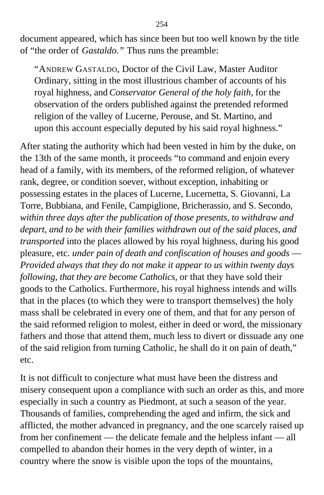document appeared, which has since been but too well known by the title of "the order of *Gastaldo."* Thus runs the preamble:

"ANDREW GASTALDO, Doctor of the Civil Law, Master Auditor Ordinary, sitting in the most illustrious chamber of accounts of his royal highness, and *Conservator General of the holy faith,* for the observation of the orders published against the pretended reformed religion of the valley of Lucerne, Perouse, and St. Martino, and upon this account especially deputed by his said royal highness."

After stating the authority which had been vested in him by the duke, on the 13th of the same month, it proceeds "to command and enjoin every head of a family, with its members, of the reformed religion, of whatever rank, degree, or condition soever, without exception, inhabiting or possessing estates in the places of Lucerne, Lucernetta, S. Giovanni, La Torre, Bubbiana, and Fenile, Campiglione, Bricherassio, and S. Secondo, *within three days after the publication of those presents, to withdraw and depart, and to be with their families withdrawn out of the said places, and transported* into the places allowed by his royal highness, during his good pleasure, etc. *under pain of death and confiscation of houses and goods* — *Provided always that they do not make it appear to us within twenty days following, that they are become Catholics,* or that they have sold their goods to the Catholics. Furthermore, his royal highness intends and wills that in the places (to which they were to transport themselves) the holy mass shall be celebrated in every one of them, and that for any person of the said reformed religion to molest, either in deed or word, the missionary fathers and those that attend them, much less to divert or dissuade any one of the said religion from turning Catholic, he shall do it on pain of death," etc.

It is not difficult to conjecture what must have been the distress and misery consequent upon a compliance with such an order as this, and more especially in such a country as Piedmont, at such a season of the year. Thousands of families, comprehending the aged and infirm, the sick and afflicted, the mother advanced in pregnancy, and the one scarcely raised up from her confinement — the delicate female and the helpless infant — all compelled to abandon their homes in the very depth of winter, in a country where the snow is visible upon the tops of the mountains,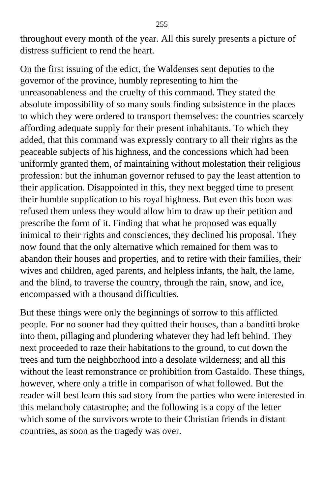throughout every month of the year. All this surely presents a picture of distress sufficient to rend the heart.

On the first issuing of the edict, the Waldenses sent deputies to the governor of the province, humbly representing to him the unreasonableness and the cruelty of this command. They stated the absolute impossibility of so many souls finding subsistence in the places to which they were ordered to transport themselves: the countries scarcely affording adequate supply for their present inhabitants. To which they added, that this command was expressly contrary to all their rights as the peaceable subjects of his highness, and the concessions which had been uniformly granted them, of maintaining without molestation their religious profession: but the inhuman governor refused to pay the least attention to their application. Disappointed in this, they next begged time to present their humble supplication to his royal highness. But even this boon was refused them unless they would allow him to draw up their petition and prescribe the form of it. Finding that what he proposed was equally inimical to their rights and consciences, they declined his proposal. They now found that the only alternative which remained for them was to abandon their houses and properties, and to retire with their families, their wives and children, aged parents, and helpless infants, the halt, the lame, and the blind, to traverse the country, through the rain, snow, and ice, encompassed with a thousand difficulties.

But these things were only the beginnings of sorrow to this afflicted people. For no sooner had they quitted their houses, than a banditti broke into them, pillaging and plundering whatever they had left behind. They next proceeded to raze their habitations to the ground, to cut down the trees and turn the neighborhood into a desolate wilderness; and all this without the least remonstrance or prohibition from Gastaldo. These things, however, where only a trifle in comparison of what followed. But the reader will best learn this sad story from the parties who were interested in this melancholy catastrophe; and the following is a copy of the letter which some of the survivors wrote to their Christian friends in distant countries, as soon as the tragedy was over.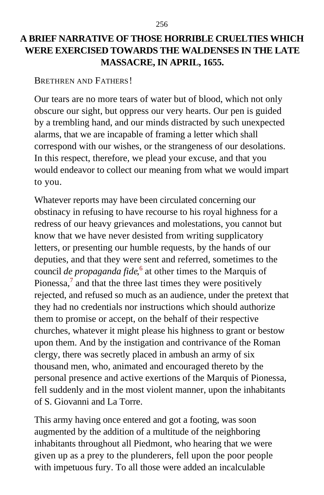# **A BRIEF NARRATIVE OF THOSE HORRIBLE CRUELTIES WHICH WERE EXERCISED TOWARDS THE WALDENSES IN THE LATE MASSACRE, IN APRIL, 1655.**

BRETHREN AND FATHERS!

Our tears are no more tears of water but of blood, which not only obscure our sight, but oppress our very hearts. Our pen is guided by a trembling hand, and our minds distracted by such unexpected alarms, that we are incapable of framing a letter which shall correspond with our wishes, or the strangeness of our desolations. In this respect, therefore, we plead your excuse, and that you would endeavor to collect our meaning from what we would impart to you.

Whatever reports may have been circulated concerning our obstinacy in refusing to have recourse to his royal highness for a redress of our heavy grievances and molestations, you cannot but know that we have never desisted from writing supplicatory letters, or presenting our humble requests, by the hands of our deputies, and that they were sent and referred, sometimes to the council *de propaganda fide*, [6](#page-413-0) at other times to the Marquis of Pionessa, $<sup>7</sup>$  $<sup>7</sup>$  $<sup>7</sup>$  and that the three last times they were positively</sup> rejected, and refused so much as an audience, under the pretext that they had no credentials nor instructions which should authorize them to promise or accept, on the behalf of their respective churches, whatever it might please his highness to grant or bestow upon them. And by the instigation and contrivance of the Roman clergy, there was secretly placed in ambush an army of six thousand men, who, animated and encouraged thereto by the personal presence and active exertions of the Marquis of Pionessa, fell suddenly and in the most violent manner, upon the inhabitants of S. Giovanni and La Torre.

This army having once entered and got a footing, was soon augmented by the addition of a multitude of the neighboring inhabitants throughout all Piedmont, who hearing that we were given up as a prey to the plunderers, fell upon the poor people with impetuous fury. To all those were added an incalculable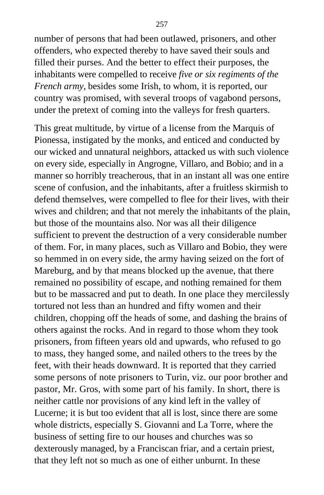number of persons that had been outlawed, prisoners, and other offenders, who expected thereby to have saved their souls and filled their purses. And the better to effect their purposes, the inhabitants were compelled to receive *five or six regiments of the French army,* besides some Irish, to whom, it is reported, our country was promised, with several troops of vagabond persons, under the pretext of coming into the valleys for fresh quarters.

This great multitude, by virtue of a license from the Marquis of Pionessa, instigated by the monks, and enticed and conducted by our wicked and unnatural neighbors, attacked us with such violence on every side, especially in Angrogne, Villaro, and Bobio; and in a manner so horribly treacherous, that in an instant all was one entire scene of confusion, and the inhabitants, after a fruitless skirmish to defend themselves, were compelled to flee for their lives, with their wives and children; and that not merely the inhabitants of the plain, but those of the mountains also. Nor was all their diligence sufficient to prevent the destruction of a very considerable number of them. For, in many places, such as Villaro and Bobio, they were so hemmed in on every side, the army having seized on the fort of Mareburg, and by that means blocked up the avenue, that there remained no possibility of escape, and nothing remained for them but to be massacred and put to death. In one place they mercilessly tortured not less than an hundred and fifty women and their children, chopping off the heads of some, and dashing the brains of others against the rocks. And in regard to those whom they took prisoners, from fifteen years old and upwards, who refused to go to mass, they hanged some, and nailed others to the trees by the feet, with their heads downward. It is reported that they carried some persons of note prisoners to Turin, viz. our poor brother and pastor, Mr. Gros, with some part of his family. In short, there is neither cattle nor provisions of any kind left in the valley of Lucerne; it is but too evident that all is lost, since there are some whole districts, especially S. Giovanni and La Torre, where the business of setting fire to our houses and churches was so dexterously managed, by a Franciscan friar, and a certain priest, that they left not so much as one of either unburnt. In these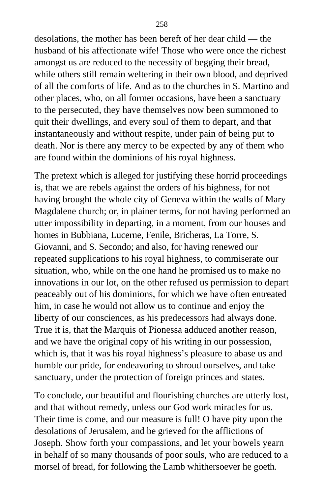desolations, the mother has been bereft of her dear child — the husband of his affectionate wife! Those who were once the richest amongst us are reduced to the necessity of begging their bread, while others still remain weltering in their own blood, and deprived of all the comforts of life. And as to the churches in S. Martino and other places, who, on all former occasions, have been a sanctuary to the persecuted, they have themselves now been summoned to quit their dwellings, and every soul of them to depart, and that instantaneously and without respite, under pain of being put to death. Nor is there any mercy to be expected by any of them who are found within the dominions of his royal highness.

The pretext which is alleged for justifying these horrid proceedings is, that we are rebels against the orders of his highness, for not having brought the whole city of Geneva within the walls of Mary Magdalene church; or, in plainer terms, for not having performed an utter impossibility in departing, in a moment, from our houses and homes in Bubbiana, Lucerne, Fenile, Bricheras, La Torre, S. Giovanni, and S. Secondo; and also, for having renewed our repeated supplications to his royal highness, to commiserate our situation, who, while on the one hand he promised us to make no innovations in our lot, on the other refused us permission to depart peaceably out of his dominions, for which we have often entreated him, in case he would not allow us to continue and enjoy the liberty of our consciences, as his predecessors had always done. True it is, that the Marquis of Pionessa adduced another reason, and we have the original copy of his writing in our possession, which is, that it was his royal highness's pleasure to abase us and humble our pride, for endeavoring to shroud ourselves, and take sanctuary, under the protection of foreign princes and states.

To conclude, our beautiful and flourishing churches are utterly lost, and that without remedy, unless our God work miracles for us. Their time is come, and our measure is full! O have pity upon the desolations of Jerusalem, and be grieved for the afflictions of Joseph. Show forth your compassions, and let your bowels yearn in behalf of so many thousands of poor souls, who are reduced to a morsel of bread, for following the Lamb whithersoever he goeth.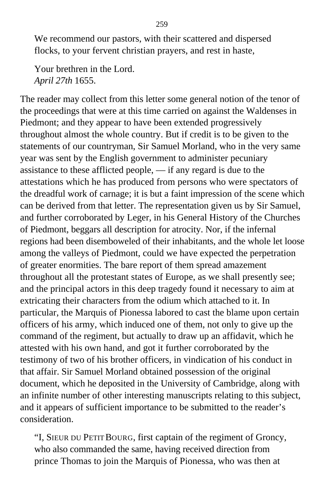We recommend our pastors, with their scattered and dispersed flocks, to your fervent christian prayers, and rest in haste,

Your brethren in the Lord. *April 27th* 1655.

The reader may collect from this letter some general notion of the tenor of the proceedings that were at this time carried on against the Waldenses in Piedmont; and they appear to have been extended progressively throughout almost the whole country. But if credit is to be given to the statements of our countryman, Sir Samuel Morland, who in the very same year was sent by the English government to administer pecuniary assistance to these afflicted people, — if any regard is due to the attestations which he has produced from persons who were spectators of the dreadful work of carnage; it is but a faint impression of the scene which can be derived from that letter. The representation given us by Sir Samuel, and further corroborated by Leger, in his General History of the Churches of Piedmont, beggars all description for atrocity. Nor, if the infernal regions had been disemboweled of their inhabitants, and the whole let loose among the valleys of Piedmont, could we have expected the perpetration of greater enormities. The bare report of them spread amazement throughout all the protestant states of Europe, as we shall presently see; and the principal actors in this deep tragedy found it necessary to aim at extricating their characters from the odium which attached to it. In particular, the Marquis of Pionessa labored to cast the blame upon certain officers of his army, which induced one of them, not only to give up the command of the regiment, but actually to draw up an affidavit, which he attested with his own hand, and got it further corroborated by the testimony of two of his brother officers, in vindication of his conduct in that affair. Sir Samuel Morland obtained possession of the original document, which he deposited in the University of Cambridge, along with an infinite number of other interesting manuscripts relating to this subject, and it appears of sufficient importance to be submitted to the reader's consideration.

"I, SIEUR DU PETIT BOURG, first captain of the regiment of Groncy, who also commanded the same, having received direction from prince Thomas to join the Marquis of Pionessa, who was then at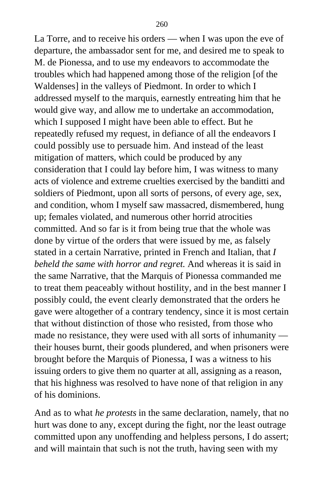La Torre, and to receive his orders — when I was upon the eve of departure, the ambassador sent for me, and desired me to speak to M. de Pionessa, and to use my endeavors to accommodate the troubles which had happened among those of the religion [of the Waldenses] in the valleys of Piedmont. In order to which I addressed myself to the marquis, earnestly entreating him that he would give way, and allow me to undertake an accommodation, which I supposed I might have been able to effect. But he repeatedly refused my request, in defiance of all the endeavors I could possibly use to persuade him. And instead of the least mitigation of matters, which could be produced by any consideration that I could lay before him, I was witness to many acts of violence and extreme cruelties exercised by the banditti and soldiers of Piedmont, upon all sorts of persons, of every age, sex, and condition, whom I myself saw massacred, dismembered, hung up; females violated, and numerous other horrid atrocities committed. And so far is it from being true that the whole was done by virtue of the orders that were issued by me, as falsely stated in a certain Narrative, printed in French and Italian, that *I beheld the same with horror and regret.* And whereas it is said in the same Narrative, that the Marquis of Pionessa commanded me to treat them peaceably without hostility, and in the best manner I possibly could, the event clearly demonstrated that the orders he gave were altogether of a contrary tendency, since it is most certain that without distinction of those who resisted, from those who made no resistance, they were used with all sorts of inhumanity their houses burnt, their goods plundered, and when prisoners were brought before the Marquis of Pionessa, I was a witness to his issuing orders to give them no quarter at all, assigning as a reason, that his highness was resolved to have none of that religion in any of his dominions.

And as to what *he protests* in the same declaration, namely, that no hurt was done to any, except during the fight, nor the least outrage committed upon any unoffending and helpless persons, I do assert; and will maintain that such is not the truth, having seen with my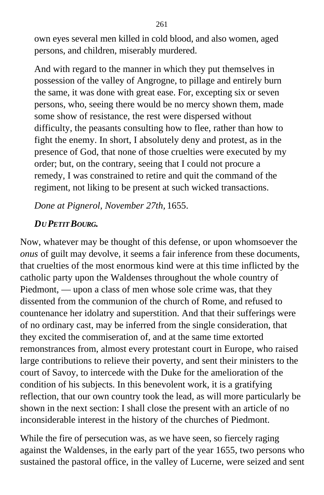own eyes several men killed in cold blood, and also women, aged persons, and children, miserably murdered.

And with regard to the manner in which they put themselves in possession of the valley of Angrogne, to pillage and entirely burn the same, it was done with great ease. For, excepting six or seven persons, who, seeing there would be no mercy shown them, made some show of resistance, the rest were dispersed without difficulty, the peasants consulting how to flee, rather than how to fight the enemy. In short, I absolutely deny and protest, as in the presence of God, that none of those cruelties were executed by my order; but, on the contrary, seeing that I could not procure a remedy, I was constrained to retire and quit the command of the regiment, not liking to be present at such wicked transactions.

*Done at Pignerol, November 27th,* 1655.

# *DU PETIT BOURG.*

Now, whatever may be thought of this defense, or upon whomsoever the *onus* of guilt may devolve, it seems a fair inference from these documents, that cruelties of the most enormous kind were at this time inflicted by the catholic party upon the Waldenses throughout the whole country of Piedmont, — upon a class of men whose sole crime was, that they dissented from the communion of the church of Rome, and refused to countenance her idolatry and superstition. And that their sufferings were of no ordinary cast, may be inferred from the single consideration, that they excited the commiseration of, and at the same time extorted remonstrances from, almost every protestant court in Europe, who raised large contributions to relieve their poverty, and sent their ministers to the court of Savoy, to intercede with the Duke for the amelioration of the condition of his subjects. In this benevolent work, it is a gratifying reflection, that our own country took the lead, as will more particularly be shown in the next section: I shall close the present with an article of no inconsiderable interest in the history of the churches of Piedmont.

While the fire of persecution was, as we have seen, so fiercely raging against the Waldenses, in the early part of the year 1655, two persons who sustained the pastoral office, in the valley of Lucerne, were seized and sent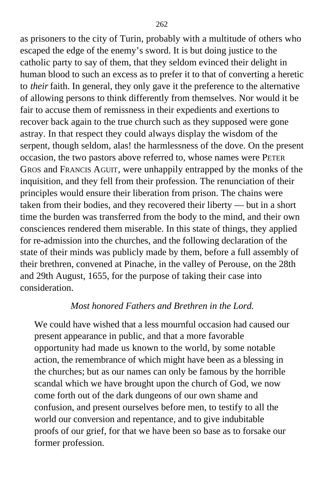as prisoners to the city of Turin, probably with a multitude of others who escaped the edge of the enemy's sword. It is but doing justice to the catholic party to say of them, that they seldom evinced their delight in human blood to such an excess as to prefer it to that of converting a heretic to *their* faith. In general, they only gave it the preference to the alternative of allowing persons to think differently from themselves. Nor would it be fair to accuse them of remissness in their expedients and exertions to recover back again to the true church such as they supposed were gone astray. In that respect they could always display the wisdom of the serpent, though seldom, alas! the harmlessness of the dove. On the present occasion, the two pastors above referred to, whose names were PETER GROS and FRANCIS AGUIT, were unhappily entrapped by the monks of the inquisition, and they fell from their profession. The renunciation of their principles would ensure their liberation from prison. The chains were taken from their bodies, and they recovered their liberty — but in a short time the burden was transferred from the body to the mind, and their own consciences rendered them miserable. In this state of things, they applied for re-admission into the churches, and the following declaration of the state of their minds was publicly made by them, before a full assembly of their brethren, convened at Pinache, in the valley of Perouse, on the 28th and 29th August, 1655, for the purpose of taking their case into consideration.

#### *Most honored Fathers and Brethren in the Lord.*

We could have wished that a less mournful occasion had caused our present appearance in public, and that a more favorable opportunity had made us known to the world, by some notable action, the remembrance of which might have been as a blessing in the churches; but as our names can only be famous by the horrible scandal which we have brought upon the church of God, we now come forth out of the dark dungeons of our own shame and confusion, and present ourselves before men, to testify to all the world our conversion and repentance, and to give indubitable proofs of our grief, for that we have been so base as to forsake our former profession.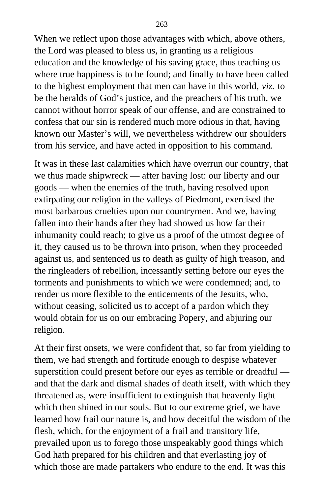When we reflect upon those advantages with which, above others, the Lord was pleased to bless us, in granting us a religious education and the knowledge of his saving grace, thus teaching us where true happiness is to be found; and finally to have been called to the highest employment that men can have in this world, *viz.* to be the heralds of God's justice, and the preachers of his truth, we cannot without horror speak of our offense, and are constrained to confess that our sin is rendered much more odious in that, having known our Master's will, we nevertheless withdrew our shoulders from his service, and have acted in opposition to his command.

It was in these last calamities which have overrun our country, that we thus made shipwreck — after having lost: our liberty and our goods — when the enemies of the truth, having resolved upon extirpating our religion in the valleys of Piedmont, exercised the most barbarous cruelties upon our countrymen. And we, having fallen into their hands after they had showed us how far their inhumanity could reach; to give us a proof of the utmost degree of it, they caused us to be thrown into prison, when they proceeded against us, and sentenced us to death as guilty of high treason, and the ringleaders of rebellion, incessantly setting before our eyes the torments and punishments to which we were condemned; and, to render us more flexible to the enticements of the Jesuits, who, without ceasing, solicited us to accept of a pardon which they would obtain for us on our embracing Popery, and abjuring our religion.

At their first onsets, we were confident that, so far from yielding to them, we had strength and fortitude enough to despise whatever superstition could present before our eyes as terrible or dreadful and that the dark and dismal shades of death itself, with which they threatened as, were insufficient to extinguish that heavenly light which then shined in our souls. But to our extreme grief, we have learned how frail our nature is, and how deceitful the wisdom of the flesh, which, for the enjoyment of a frail and transitory life, prevailed upon us to forego those unspeakably good things which God hath prepared for his children and that everlasting joy of which those are made partakers who endure to the end. It was this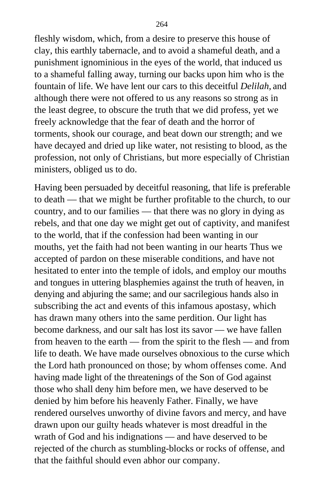fleshly wisdom, which, from a desire to preserve this house of clay, this earthly tabernacle, and to avoid a shameful death, and a punishment ignominious in the eyes of the world, that induced us to a shameful falling away, turning our backs upon him who is the fountain of life. We have lent our cars to this deceitful *Delilah,* and although there were not offered to us any reasons so strong as in the least degree, to obscure the truth that we did profess, yet we freely acknowledge that the fear of death and the horror of torments, shook our courage, and beat down our strength; and we have decayed and dried up like water, not resisting to blood, as the profession, not only of Christians, but more especially of Christian ministers, obliged us to do.

Having been persuaded by deceitful reasoning, that life is preferable to death — that we might be further profitable to the church, to our country, and to our families — that there was no glory in dying as rebels, and that one day we might get out of captivity, and manifest to the world, that if the confession had been wanting in our mouths, yet the faith had not been wanting in our hearts Thus we accepted of pardon on these miserable conditions, and have not hesitated to enter into the temple of idols, and employ our mouths and tongues in uttering blasphemies against the truth of heaven, in denying and abjuring the same; and our sacrilegious hands also in subscribing the act and events of this infamous apostasy, which has drawn many others into the same perdition. Our light has become darkness, and our salt has lost its savor — we have fallen from heaven to the earth — from the spirit to the flesh — and from life to death. We have made ourselves obnoxious to the curse which the Lord hath pronounced on those; by whom offenses come. And having made light of the threatenings of the Son of God against those who shall deny him before men, we have deserved to be denied by him before his heavenly Father. Finally, we have rendered ourselves unworthy of divine favors and mercy, and have drawn upon our guilty heads whatever is most dreadful in the wrath of God and his indignations — and have deserved to be rejected of the church as stumbling-blocks or rocks of offense, and that the faithful should even abhor our company.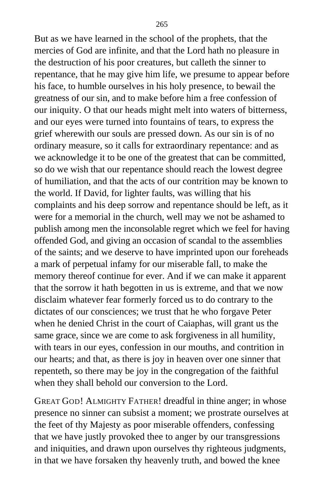But as we have learned in the school of the prophets, that the mercies of God are infinite, and that the Lord hath no pleasure in the destruction of his poor creatures, but calleth the sinner to repentance, that he may give him life, we presume to appear before his face, to humble ourselves in his holy presence, to bewail the greatness of our sin, and to make before him a free confession of our iniquity. O that our heads might melt into waters of bitterness, and our eyes were turned into fountains of tears, to express the grief wherewith our souls are pressed down. As our sin is of no ordinary measure, so it calls for extraordinary repentance: and as we acknowledge it to be one of the greatest that can be committed, so do we wish that our repentance should reach the lowest degree of humiliation, and that the acts of our contrition may be known to the world. If David, for lighter faults, was willing that his complaints and his deep sorrow and repentance should be left, as it were for a memorial in the church, well may we not be ashamed to publish among men the inconsolable regret which we feel for having offended God, and giving an occasion of scandal to the assemblies of the saints; and we deserve to have imprinted upon our foreheads a mark of perpetual infamy for our miserable fall, to make the memory thereof continue for ever. And if we can make it apparent that the sorrow it hath begotten in us is extreme, and that we now disclaim whatever fear formerly forced us to do contrary to the dictates of our consciences; we trust that he who forgave Peter when he denied Christ in the court of Caiaphas, will grant us the same grace, since we are come to ask forgiveness in all humility, with tears in our eyes, confession in our mouths, and contrition in our hearts; and that, as there is joy in heaven over one sinner that repenteth, so there may be joy in the congregation of the faithful when they shall behold our conversion to the Lord.

GREAT GOD! ALMIGHTY FATHER! dreadful in thine anger; in whose presence no sinner can subsist a moment; we prostrate ourselves at the feet of thy Majesty as poor miserable offenders, confessing that we have justly provoked thee to anger by our transgressions and iniquities, and drawn upon ourselves thy righteous judgments, in that we have forsaken thy heavenly truth, and bowed the knee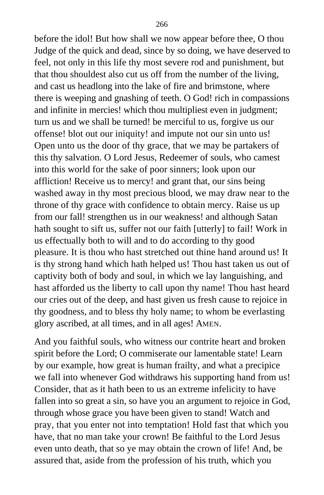before the idol! But how shall we now appear before thee, O thou Judge of the quick and dead, since by so doing, we have deserved to feel, not only in this life thy most severe rod and punishment, but that thou shouldest also cut us off from the number of the living, and cast us headlong into the lake of fire and brimstone, where there is weeping and gnashing of teeth. O God! rich in compassions and infinite in mercies! which thou multipliest even in judgment; turn us and we shall be turned! be merciful to us, forgive us our offense! blot out our iniquity! and impute not our sin unto us! Open unto us the door of thy grace, that we may be partakers of this thy salvation. O Lord Jesus, Redeemer of souls, who camest into this world for the sake of poor sinners; look upon our affliction! Receive us to mercy! and grant that, our sins being washed away in thy most precious blood, we may draw near to the throne of thy grace with confidence to obtain mercy. Raise us up from our fall! strengthen us in our weakness! and although Satan hath sought to sift us, suffer not our faith [utterly] to fail! Work in us effectually both to will and to do according to thy good pleasure. It is thou who hast stretched out thine hand around us! It is thy strong hand which hath helped us! Thou hast taken us out of captivity both of body and soul, in which we lay languishing, and hast afforded us the liberty to call upon thy name! Thou hast heard our cries out of the deep, and hast given us fresh cause to rejoice in thy goodness, and to bless thy holy name; to whom be everlasting glory ascribed, at all times, and in all ages! AMEN.

And you faithful souls, who witness our contrite heart and broken spirit before the Lord; O commiserate our lamentable state! Learn by our example, how great is human frailty, and what a precipice we fall into whenever God withdraws his supporting hand from us! Consider, that as it hath been to us an extreme infelicity to have fallen into so great a sin, so have you an argument to rejoice in God, through whose grace you have been given to stand! Watch and pray, that you enter not into temptation! Hold fast that which you have, that no man take your crown! Be faithful to the Lord Jesus even unto death, that so ye may obtain the crown of life! And, be assured that, aside from the profession of his truth, which you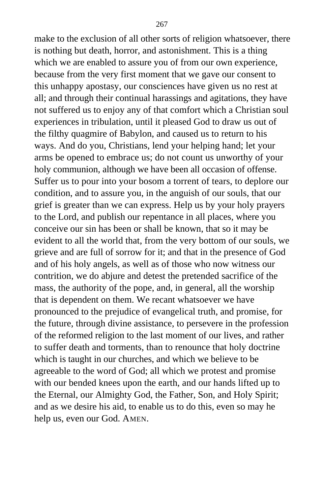make to the exclusion of all other sorts of religion whatsoever, there is nothing but death, horror, and astonishment. This is a thing which we are enabled to assure you of from our own experience, because from the very first moment that we gave our consent to this unhappy apostasy, our consciences have given us no rest at all; and through their continual harassings and agitations, they have not suffered us to enjoy any of that comfort which a Christian soul experiences in tribulation, until it pleased God to draw us out of the filthy quagmire of Babylon, and caused us to return to his ways. And do you, Christians, lend your helping hand; let your arms be opened to embrace us; do not count us unworthy of your holy communion, although we have been all occasion of offense. Suffer us to pour into your bosom a torrent of tears, to deplore our condition, and to assure you, in the anguish of our souls, that our grief is greater than we can express. Help us by your holy prayers to the Lord, and publish our repentance in all places, where you conceive our sin has been or shall be known, that so it may be evident to all the world that, from the very bottom of our souls, we grieve and are full of sorrow for it; and that in the presence of God and of his holy angels, as well as of those who now witness our contrition, we do abjure and detest the pretended sacrifice of the mass, the authority of the pope, and, in general, all the worship that is dependent on them. We recant whatsoever we have pronounced to the prejudice of evangelical truth, and promise, for the future, through divine assistance, to persevere in the profession of the reformed religion to the last moment of our lives, and rather to suffer death and torments, than to renounce that holy doctrine which is taught in our churches, and which we believe to be agreeable to the word of God; all which we protest and promise with our bended knees upon the earth, and our hands lifted up to the Eternal, our Almighty God, the Father, Son, and Holy Spirit; and as we desire his aid, to enable us to do this, even so may he help us, even our God. AMEN.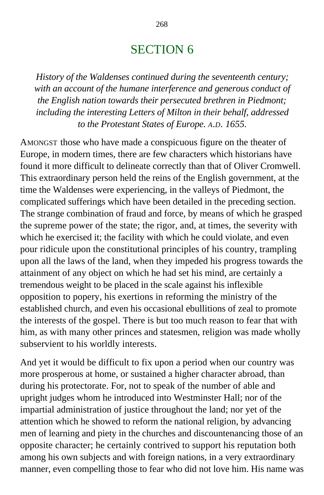# SECTION 6

*History of the Waldenses continued during the seventeenth century; with an account of the humane interference and generous conduct of the English nation towards their persecuted brethren in Piedmont; including the interesting Letters of Milton in their behalf, addressed to the Protestant States of Europe. A.D. 1655.*

AMONGST those who have made a conspicuous figure on the theater of Europe, in modern times, there are few characters which historians have found it more difficult to delineate correctly than that of Oliver Cromwell. This extraordinary person held the reins of the English government, at the time the Waldenses were experiencing, in the valleys of Piedmont, the complicated sufferings which have been detailed in the preceding section. The strange combination of fraud and force, by means of which he grasped the supreme power of the state; the rigor, and, at times, the severity with which he exercised it; the facility with which he could violate, and even pour ridicule upon the constitutional principles of his country, trampling upon all the laws of the land, when they impeded his progress towards the attainment of any object on which he had set his mind, are certainly a tremendous weight to be placed in the scale against his inflexible opposition to popery, his exertions in reforming the ministry of the established church, and even his occasional ebullitions of zeal to promote the interests of the gospel. There is but too much reason to fear that with him, as with many other princes and statesmen, religion was made wholly subservient to his worldly interests.

And yet it would be difficult to fix upon a period when our country was more prosperous at home, or sustained a higher character abroad, than during his protectorate. For, not to speak of the number of able and upright judges whom he introduced into Westminster Hall; nor of the impartial administration of justice throughout the land; nor yet of the attention which he showed to reform the national religion, by advancing men of learning and piety in the churches and discountenancing those of an opposite character; he certainly contrived to support his reputation both among his own subjects and with foreign nations, in a very extraordinary manner, even compelling those to fear who did not love him. His name was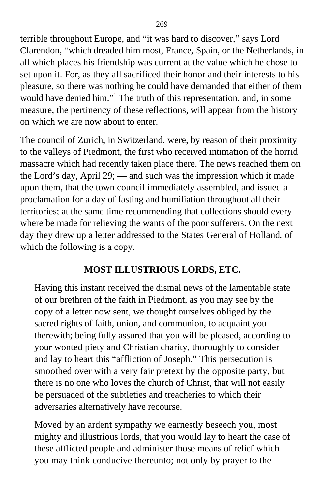terrible throughout Europe, and "it was hard to discover," says Lord Clarendon, "which dreaded him most, France, Spain, or the Netherlands, in all which places his friendship was current at the value which he chose to set upon it. For, as they all sacrificed their honor and their interests to his pleasure, so there was nothing he could have demanded that either of them would have denied him."<sup>[1](#page-413-0)</sup> The truth of this representation, and, in some measure, the pertinency of these reflections, will appear from the history on which we are now about to enter.

The council of Zurich, in Switzerland, were, by reason of their proximity to the valleys of Piedmont, the first who received intimation of the horrid massacre which had recently taken place there. The news reached them on the Lord's day, April 29; — and such was the impression which it made upon them, that the town council immediately assembled, and issued a proclamation for a day of fasting and humiliation throughout all their territories; at the same time recommending that collections should every where be made for relieving the wants of the poor sufferers. On the next day they drew up a letter addressed to the States General of Holland, of which the following is a copy.

## **MOST ILLUSTRIOUS LORDS, ETC.**

Having this instant received the dismal news of the lamentable state of our brethren of the faith in Piedmont, as you may see by the copy of a letter now sent, we thought ourselves obliged by the sacred rights of faith, union, and communion, to acquaint you therewith; being fully assured that you will be pleased, according to your wonted piety and Christian charity, thoroughly to consider and lay to heart this "affliction of Joseph." This persecution is smoothed over with a very fair pretext by the opposite party, but there is no one who loves the church of Christ, that will not easily be persuaded of the subtleties and treacheries to which their adversaries alternatively have recourse.

Moved by an ardent sympathy we earnestly beseech you, most mighty and illustrious lords, that you would lay to heart the case of these afflicted people and administer those means of relief which you may think conducive thereunto; not only by prayer to the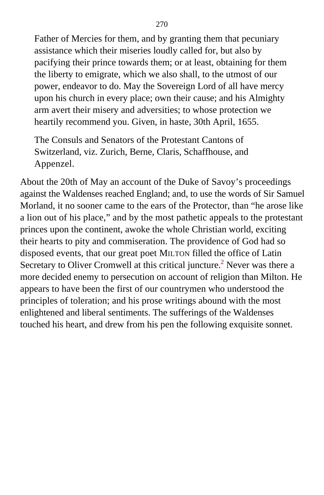Father of Mercies for them, and by granting them that pecuniary assistance which their miseries loudly called for, but also by pacifying their prince towards them; or at least, obtaining for them the liberty to emigrate, which we also shall, to the utmost of our power, endeavor to do. May the Sovereign Lord of all have mercy upon his church in every place; own their cause; and his Almighty arm avert their misery and adversities; to whose protection we heartily recommend you. Given, in haste, 30th April, 1655.

The Consuls and Senators of the Protestant Cantons of Switzerland, viz. Zurich, Berne, Claris, Schaffhouse, and Appenzel.

About the 20th of May an account of the Duke of Savoy's proceedings against the Waldenses reached England; and, to use the words of Sir Samuel Morland, it no sooner came to the ears of the Protector, than "he arose like a lion out of his place," and by the most pathetic appeals to the protestant princes upon the continent, awoke the whole Christian world, exciting their hearts to pity and commiseration. The providence of God had so disposed events, that our great poet MILTON filled the office of Latin Secretary to Oliver Cromwell at this critical juncture.<sup>[2](#page-414-0)</sup> Never was there a more decided enemy to persecution on account of religion than Milton. He appears to have been the first of our countrymen who understood the principles of toleration; and his prose writings abound with the most enlightened and liberal sentiments. The sufferings of the Waldenses touched his heart, and drew from his pen the following exquisite sonnet.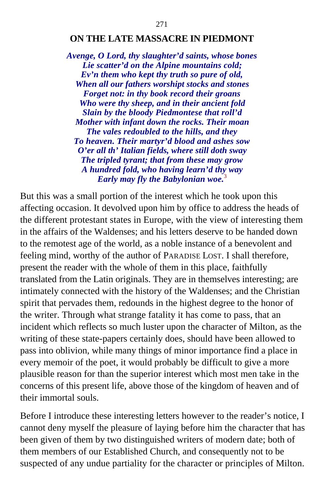#### **ON THE LATE MASSACRE IN PIEDMONT**

*Avenge, O Lord, thy slaughter'd saints, whose bones Lie scatter'd on the Alpine mountains cold; Ev'n them who kept thy truth so pure of old, When all our fathers worshipt stocks and stones Forget not: in thy book record their groans Who were thy sheep, and in their ancient fold Slain by the bloody Piedmontese that roll'd Mother with infant down the rocks. Their moan The vales redoubled to the hills, and they To heaven. Their martyr'd blood and ashes sow O'er all th' Italian fields, where still doth sway The tripled tyrant; that from these may grow A hundred fold, who having learn'd thy way Early may fly the Babylonian woe.*[3](#page-414-0)

But this was a small portion of the interest which he took upon this affecting occasion. It devolved upon him by office to address the heads of the different protestant states in Europe, with the view of interesting them in the affairs of the Waldenses; and his letters deserve to be handed down to the remotest age of the world, as a noble instance of a benevolent and feeling mind, worthy of the author of PARADISE LOST. I shall therefore, present the reader with the whole of them in this place, faithfully translated from the Latin originals. They are in themselves interesting; are intimately connected with the history of the Waldenses; and the Christian spirit that pervades them, redounds in the highest degree to the honor of the writer. Through what strange fatality it has come to pass, that an incident which reflects so much luster upon the character of Milton, as the writing of these state-papers certainly does, should have been allowed to pass into oblivion, while many things of minor importance find a place in every memoir of the poet, it would probably be difficult to give a more plausible reason for than the superior interest which most men take in the concerns of this present life, above those of the kingdom of heaven and of their immortal souls.

Before I introduce these interesting letters however to the reader's notice, I cannot deny myself the pleasure of laying before him the character that has been given of them by two distinguished writers of modern date; both of them members of our Established Church, and consequently not to be suspected of any undue partiality for the character or principles of Milton.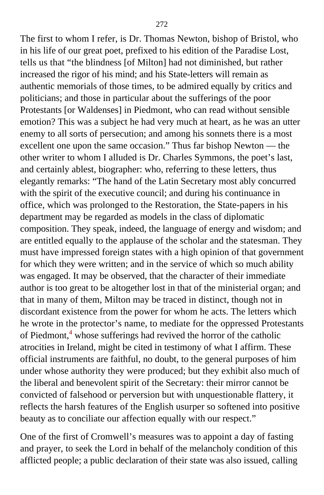The first to whom I refer, is Dr. Thomas Newton, bishop of Bristol, who in his life of our great poet, prefixed to his edition of the Paradise Lost, tells us that "the blindness [of Milton] had not diminished, but rather increased the rigor of his mind; and his State-letters will remain as authentic memorials of those times, to be admired equally by critics and politicians; and those in particular about the sufferings of the poor Protestants [or Waldenses] in Piedmont, who can read without sensible emotion? This was a subject he had very much at heart, as he was an utter enemy to all sorts of persecution; and among his sonnets there is a most excellent one upon the same occasion." Thus far bishop Newton — the other writer to whom I alluded is Dr. Charles Symmons, the poet's last, and certainly ablest, biographer: who, referring to these letters, thus elegantly remarks: "The hand of the Latin Secretary most ably concurred with the spirit of the executive council; and during his continuance in office, which was prolonged to the Restoration, the State-papers in his department may be regarded as models in the class of diplomatic composition. They speak, indeed, the language of energy and wisdom; and are entitled equally to the applause of the scholar and the statesman. They must have impressed foreign states with a high opinion of that government for which they were written; and in the service of which so much ability was engaged. It may be observed, that the character of their immediate author is too great to be altogether lost in that of the ministerial organ; and that in many of them, Milton may be traced in distinct, though not in discordant existence from the power for whom he acts. The letters which he wrote in the protector's name, to mediate for the oppressed Protestants of Piedmont,<sup>[4](#page-414-1)</sup> whose sufferings had revived the horror of the catholic atrocities in Ireland, might be cited in testimony of what I affirm. These official instruments are faithful, no doubt, to the general purposes of him under whose authority they were produced; but they exhibit also much of the liberal and benevolent spirit of the Secretary: their mirror cannot be convicted of falsehood or perversion but with unquestionable flattery, it reflects the harsh features of the English usurper so softened into positive beauty as to conciliate our affection equally with our respect."

One of the first of Cromwell's measures was to appoint a day of fasting and prayer, to seek the Lord in behalf of the melancholy condition of this afflicted people; a public declaration of their state was also issued, calling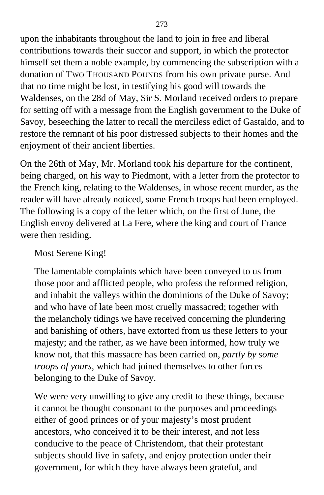upon the inhabitants throughout the land to join in free and liberal contributions towards their succor and support, in which the protector himself set them a noble example, by commencing the subscription with a donation of TWO THOUSAND POUNDS from his own private purse. And that no time might be lost, in testifying his good will towards the Waldenses, on the 28d of May, Sir S. Morland received orders to prepare for setting off with a message from the English government to the Duke of Savoy, beseeching the latter to recall the merciless edict of Gastaldo, and to restore the remnant of his poor distressed subjects to their homes and the enjoyment of their ancient liberties.

On the 26th of May, Mr. Morland took his departure for the continent, being charged, on his way to Piedmont, with a letter from the protector to the French king, relating to the Waldenses, in whose recent murder, as the reader will have already noticed, some French troops had been employed. The following is a copy of the letter which, on the first of June, the English envoy delivered at La Fere, where the king and court of France were then residing.

Most Serene King!

The lamentable complaints which have been conveyed to us from those poor and afflicted people, who profess the reformed religion, and inhabit the valleys within the dominions of the Duke of Savoy; and who have of late been most cruelly massacred; together with the melancholy tidings we have received concerning the plundering and banishing of others, have extorted from us these letters to your majesty; and the rather, as we have been informed, how truly we know not, that this massacre has been carried on, *partly by some troops of yours,* which had joined themselves to other forces belonging to the Duke of Savoy.

We were very unwilling to give any credit to these things, because it cannot be thought consonant to the purposes and proceedings either of good princes or of your majesty's most prudent ancestors, who conceived it to be their interest, and not less conducive to the peace of Christendom, that their protestant subjects should live in safety, and enjoy protection under their government, for which they have always been grateful, and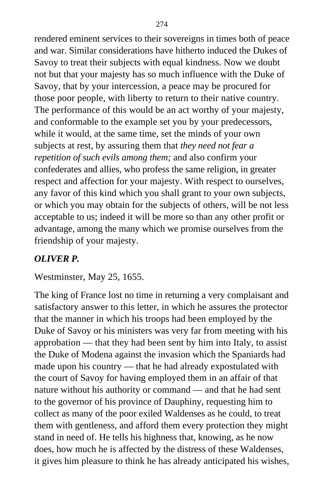rendered eminent services to their sovereigns in times both of peace and war. Similar considerations have hitherto induced the Dukes of Savoy to treat their subjects with equal kindness. Now we doubt not but that your majesty has so much influence with the Duke of Savoy, that by your intercession, a peace may be procured for those poor people, with liberty to return to their native country. The performance of this would be an act worthy of your majesty, and conformable to the example set you by your predecessors, while it would, at the same time, set the minds of your own subjects at rest, by assuring them that *they need not fear a repetition of such evils among them;* and also confirm your confederates and allies, who profess the same religion, in greater respect and affection for your majesty. With respect to ourselves, any favor of this kind which you shall grant to your own subjects, or which you may obtain for the subjects of others, will be not less acceptable to us; indeed it will be more so than any other profit or advantage, among the many which we promise ourselves from the friendship of your majesty.

# *OLIVER P.*

Westminster, May 25, 1655.

The king of France lost no time in returning a very complaisant and satisfactory answer to this letter, in which he assures the protector that the manner in which his troops had been employed by the Duke of Savoy or his ministers was very far from meeting with his approbation — that they had been sent by him into Italy, to assist the Duke of Modena against the invasion which the Spaniards had made upon his country — that he had already expostulated with the court of Savoy for having employed them in an affair of that nature without his authority or command — and that he had sent to the governor of his province of Dauphiny, requesting him to collect as many of the poor exiled Waldenses as he could, to treat them with gentleness, and afford them every protection they might stand in need of. He tells his highness that, knowing, as he now does, how much he is affected by the distress of these Waldenses, it gives him pleasure to think he has already anticipated his wishes,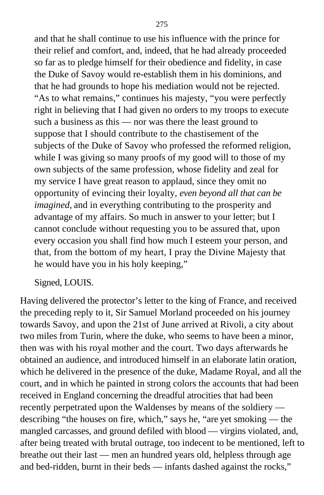and that he shall continue to use his influence with the prince for their relief and comfort, and, indeed, that he had already proceeded so far as to pledge himself for their obedience and fidelity, in case the Duke of Savoy would re-establish them in his dominions, and that he had grounds to hope his mediation would not be rejected. "As to what remains," continues his majesty, "you were perfectly right in believing that I had given no orders to my troops to execute such a business as this — nor was there the least ground to suppose that I should contribute to the chastisement of the subjects of the Duke of Savoy who professed the reformed religion, while I was giving so many proofs of my good will to those of my own subjects of the same profession, whose fidelity and zeal for my service I have great reason to applaud, since they omit no opportunity of evincing their loyalty, *even beyond all that can be imagined,* and in everything contributing to the prosperity and advantage of my affairs. So much in answer to your letter; but I cannot conclude without requesting you to be assured that, upon every occasion you shall find how much I esteem your person, and that, from the bottom of my heart, I pray the Divine Majesty that he would have you in his holy keeping,"

#### Signed, LOUIS.

Having delivered the protector's letter to the king of France, and received the preceding reply to it, Sir Samuel Morland proceeded on his journey towards Savoy, and upon the 21st of June arrived at Rivoli, a city about two miles from Turin, where the duke, who seems to have been a minor, then was with his royal mother and the court. Two days afterwards he obtained an audience, and introduced himself in an elaborate latin oration, which he delivered in the presence of the duke, Madame Royal, and all the court, and in which he painted in strong colors the accounts that had been received in England concerning the dreadful atrocities that had been recently perpetrated upon the Waldenses by means of the soldiery describing "the houses on fire, which," says he, "are yet smoking — the mangled carcasses, and ground defiled with blood — virgins violated, and, after being treated with brutal outrage, too indecent to be mentioned, left to breathe out their last — men an hundred years old, helpless through age and bed-ridden, burnt in their beds — infants dashed against the rocks,"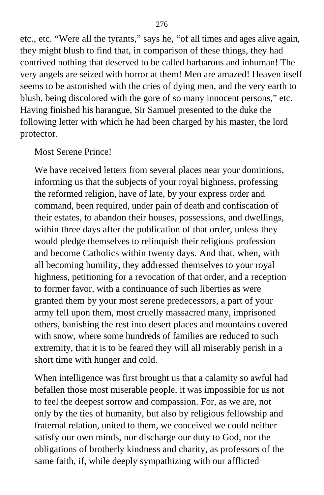etc., etc. "Were all the tyrants," says he, "of all times and ages alive again, they might blush to find that, in comparison of these things, they had contrived nothing that deserved to be called barbarous and inhuman! The very angels are seized with horror at them! Men are amazed! Heaven itself seems to be astonished with the cries of dying men, and the very earth to blush, being discolored with the gore of so many innocent persons," etc. Having finished his harangue, Sir Samuel presented to the duke the following letter with which he had been charged by his master, the lord protector.

#### Most Serene Prince!

We have received letters from several places near your dominions, informing us that the subjects of your royal highness, professing the reformed religion, have of late, by your express order and command, been required, under pain of death and confiscation of their estates, to abandon their houses, possessions, and dwellings, within three days after the publication of that order, unless they would pledge themselves to relinquish their religious profession and become Catholics within twenty days. And that, when, with all becoming humility, they addressed themselves to your royal highness, petitioning for a revocation of that order, and a reception to former favor, with a continuance of such liberties as were granted them by your most serene predecessors, a part of your army fell upon them, most cruelly massacred many, imprisoned others, banishing the rest into desert places and mountains covered with snow, where some hundreds of families are reduced to such extremity, that it is to be feared they will all miserably perish in a short time with hunger and cold.

When intelligence was first brought us that a calamity so awful had befallen those most miserable people, it was impossible for us not to feel the deepest sorrow and compassion. For, as we are, not only by the ties of humanity, but also by religious fellowship and fraternal relation, united to them, we conceived we could neither satisfy our own minds, nor discharge our duty to God, nor the obligations of brotherly kindness and charity, as professors of the same faith, if, while deeply sympathizing with our afflicted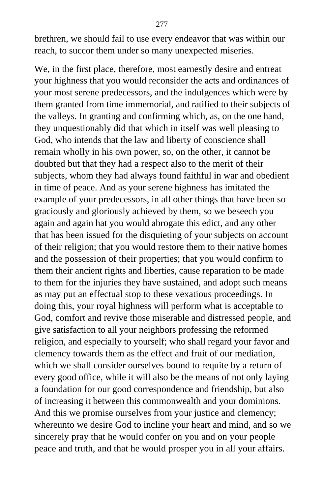brethren, we should fail to use every endeavor that was within our reach, to succor them under so many unexpected miseries.

We, in the first place, therefore, most earnestly desire and entreat your highness that you would reconsider the acts and ordinances of your most serene predecessors, and the indulgences which were by them granted from time immemorial, and ratified to their subjects of the valleys. In granting and confirming which, as, on the one hand, they unquestionably did that which in itself was well pleasing to God, who intends that the law and liberty of conscience shall remain wholly in his own power, so, on the other, it cannot be doubted but that they had a respect also to the merit of their subjects, whom they had always found faithful in war and obedient in time of peace. And as your serene highness has imitated the example of your predecessors, in all other things that have been so graciously and gloriously achieved by them, so we beseech you again and again hat you would abrogate this edict, and any other that has been issued for the disquieting of your subjects on account of their religion; that you would restore them to their native homes and the possession of their properties; that you would confirm to them their ancient rights and liberties, cause reparation to be made to them for the injuries they have sustained, and adopt such means as may put an effectual stop to these vexatious proceedings. In doing this, your royal highness will perform what is acceptable to God, comfort and revive those miserable and distressed people, and give satisfaction to all your neighbors professing the reformed religion, and especially to yourself; who shall regard your favor and clemency towards them as the effect and fruit of our mediation, which we shall consider ourselves bound to requite by a return of every good office, while it will also be the means of not only laying a foundation for our good correspondence and friendship, but also of increasing it between this commonwealth and your dominions. And this we promise ourselves from your justice and clemency; whereunto we desire God to incline your heart and mind, and so we sincerely pray that he would confer on you and on your people peace and truth, and that he would prosper you in all your affairs.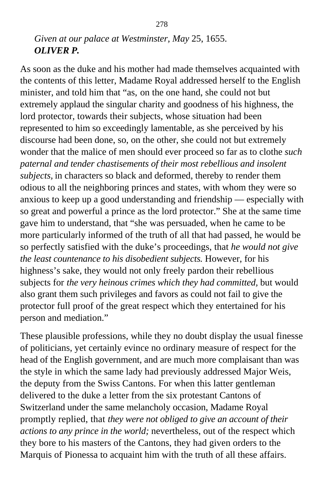## *Given at our palace at Westminster, May* 25, 1655. *OLIVER P.*

As soon as the duke and his mother had made themselves acquainted with the contents of this letter, Madame Royal addressed herself to the English minister, and told him that "as, on the one hand, she could not but extremely applaud the singular charity and goodness of his highness, the lord protector, towards their subjects, whose situation had been represented to him so exceedingly lamentable, as she perceived by his discourse had been done, so, on the other, she could not but extremely wonder that the malice of men should ever proceed so far as to clothe *such paternal and tender chastisements of their most rebellious and insolent subjects,* in characters so black and deformed, thereby to render them odious to all the neighboring princes and states, with whom they were so anxious to keep up a good understanding and friendship — especially with so great and powerful a prince as the lord protector." She at the same time gave him to understand, that "she was persuaded, when he came to be more particularly informed of the truth of all that had passed, he would be so perfectly satisfied with the duke's proceedings, that *he would not give the least countenance to his disobedient subjects.* However, for his highness's sake, they would not only freely pardon their rebellious subjects for *the very heinous crimes which they had committed,* but would also grant them such privileges and favors as could not fail to give the protector full proof of the great respect which they entertained for his person and mediation."

These plausible professions, while they no doubt display the usual finesse of politicians, yet certainly evince no ordinary measure of respect for the head of the English government, and are much more complaisant than was the style in which the same lady had previously addressed Major Weis, the deputy from the Swiss Cantons. For when this latter gentleman delivered to the duke a letter from the six protestant Cantons of Switzerland under the same melancholy occasion, Madame Royal promptly replied, that *they were not obliged to give an account of their actions to any prince in the world;* nevertheless, out of the respect which they bore to his masters of the Cantons, they had given orders to the Marquis of Pionessa to acquaint him with the truth of all these affairs.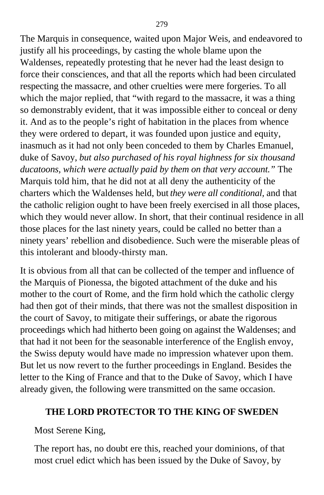The Marquis in consequence, waited upon Major Weis, and endeavored to justify all his proceedings, by casting the whole blame upon the Waldenses, repeatedly protesting that he never had the least design to force their consciences, and that all the reports which had been circulated respecting the massacre, and other cruelties were mere forgeries. To all which the major replied, that "with regard to the massacre, it was a thing so demonstrably evident, that it was impossible either to conceal or deny it. And as to the people's right of habitation in the places from whence they were ordered to depart, it was founded upon justice and equity, inasmuch as it had not only been conceded to them by Charles Emanuel, duke of Savoy, *but also purchased of his royal highness for six thousand ducatoons, which were actually paid by them on that very account."* The Marquis told him, that he did not at all deny the authenticity of the charters which the Waldenses held, but *they were all conditional,* and that the catholic religion ought to have been freely exercised in all those places, which they would never allow. In short, that their continual residence in all those places for the last ninety years, could be called no better than a ninety years' rebellion and disobedience. Such were the miserable pleas of this intolerant and bloody-thirsty man.

It is obvious from all that can be collected of the temper and influence of the Marquis of Pionessa, the bigoted attachment of the duke and his mother to the court of Rome, and the firm hold which the catholic clergy had then got of their minds, that there was not the smallest disposition in the court of Savoy, to mitigate their sufferings, or abate the rigorous proceedings which had hitherto been going on against the Waldenses; and that had it not been for the seasonable interference of the English envoy, the Swiss deputy would have made no impression whatever upon them. But let us now revert to the further proceedings in England. Besides the letter to the King of France and that to the Duke of Savoy, which I have already given, the following were transmitted on the same occasion.

#### **THE LORD PROTECTOR TO THE KING OF SWEDEN**

Most Serene King,

The report has, no doubt ere this, reached your dominions, of that most cruel edict which has been issued by the Duke of Savoy, by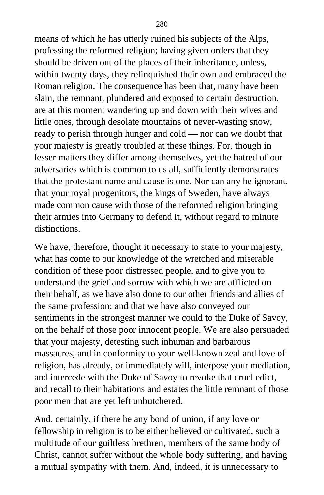means of which he has utterly ruined his subjects of the Alps, professing the reformed religion; having given orders that they should be driven out of the places of their inheritance, unless, within twenty days, they relinquished their own and embraced the Roman religion. The consequence has been that, many have been slain, the remnant, plundered and exposed to certain destruction, are at this moment wandering up and down with their wives and little ones, through desolate mountains of never-wasting snow, ready to perish through hunger and cold — nor can we doubt that your majesty is greatly troubled at these things. For, though in lesser matters they differ among themselves, yet the hatred of our adversaries which is common to us all, sufficiently demonstrates that the protestant name and cause is one. Nor can any be ignorant, that your royal progenitors, the kings of Sweden, have always made common cause with those of the reformed religion bringing their armies into Germany to defend it, without regard to minute distinctions.

We have, therefore, thought it necessary to state to your majesty, what has come to our knowledge of the wretched and miserable condition of these poor distressed people, and to give you to understand the grief and sorrow with which we are afflicted on their behalf, as we have also done to our other friends and allies of the same profession; and that we have also conveyed our sentiments in the strongest manner we could to the Duke of Savoy, on the behalf of those poor innocent people. We are also persuaded that your majesty, detesting such inhuman and barbarous massacres, and in conformity to your well-known zeal and love of religion, has already, or immediately will, interpose your mediation, and intercede with the Duke of Savoy to revoke that cruel edict, and recall to their habitations and estates the little remnant of those poor men that are yet left unbutchered.

And, certainly, if there be any bond of union, if any love or fellowship in religion is to be either believed or cultivated, such a multitude of our guiltless brethren, members of the same body of Christ, cannot suffer without the whole body suffering, and having a mutual sympathy with them. And, indeed, it is unnecessary to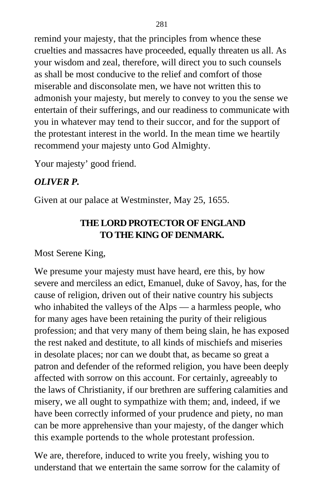remind your majesty, that the principles from whence these cruelties and massacres have proceeded, equally threaten us all. As your wisdom and zeal, therefore, will direct you to such counsels as shall be most conducive to the relief and comfort of those miserable and disconsolate men, we have not written this to admonish your majesty, but merely to convey to you the sense we entertain of their sufferings, and our readiness to communicate with you in whatever may tend to their succor, and for the support of the protestant interest in the world. In the mean time we heartily recommend your majesty unto God Almighty.

Your majesty' good friend.

### *OLIVER P.*

Given at our palace at Westminster, May 25, 1655.

## **THE LORD PROTECTOR OF ENGLAND TO THE KING OF DENMARK.**

Most Serene King,

We presume your majesty must have heard, ere this, by how severe and merciless an edict, Emanuel, duke of Savoy, has, for the cause of religion, driven out of their native country his subjects who inhabited the valleys of the Alps — a harmless people, who for many ages have been retaining the purity of their religious profession; and that very many of them being slain, he has exposed the rest naked and destitute, to all kinds of mischiefs and miseries in desolate places; nor can we doubt that, as became so great a patron and defender of the reformed religion, you have been deeply affected with sorrow on this account. For certainly, agreeably to the laws of Christianity, if our brethren are suffering calamities and misery, we all ought to sympathize with them; and, indeed, if we have been correctly informed of your prudence and piety, no man can be more apprehensive than your majesty, of the danger which this example portends to the whole protestant profession.

We are, therefore, induced to write you freely, wishing you to understand that we entertain the same sorrow for the calamity of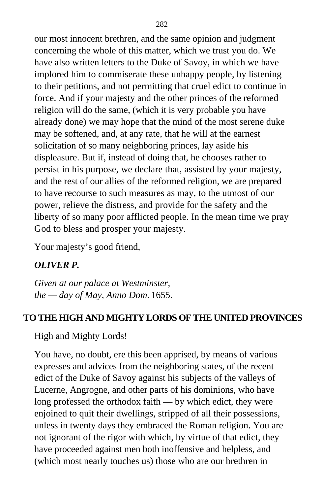our most innocent brethren, and the same opinion and judgment concerning the whole of this matter, which we trust you do. We have also written letters to the Duke of Savoy, in which we have implored him to commiserate these unhappy people, by listening to their petitions, and not permitting that cruel edict to continue in force. And if your majesty and the other princes of the reformed religion will do the same, (which it is very probable you have already done) we may hope that the mind of the most serene duke may be softened, and, at any rate, that he will at the earnest solicitation of so many neighboring princes, lay aside his displeasure. But if, instead of doing that, he chooses rather to persist in his purpose, we declare that, assisted by your majesty, and the rest of our allies of the reformed religion, we are prepared to have recourse to such measures as may, to the utmost of our power, relieve the distress, and provide for the safety and the liberty of so many poor afflicted people. In the mean time we pray God to bless and prosper your majesty.

Your majesty's good friend,

#### *OLIVER P.*

*Given at our palace at Westminster, the — day of May, Anno Dom.* 1655.

## **TO THE HIGH AND MIGHTY LORDS OF THE UNITED PROVINCES**

High and Mighty Lords!

You have, no doubt, ere this been apprised, by means of various expresses and advices from the neighboring states, of the recent edict of the Duke of Savoy against his subjects of the valleys of Lucerne, Angrogne, and other parts of his dominions, who have long professed the orthodox faith — by which edict, they were enjoined to quit their dwellings, stripped of all their possessions, unless in twenty days they embraced the Roman religion. You are not ignorant of the rigor with which, by virtue of that edict, they have proceeded against men both inoffensive and helpless, and (which most nearly touches us) those who are our brethren in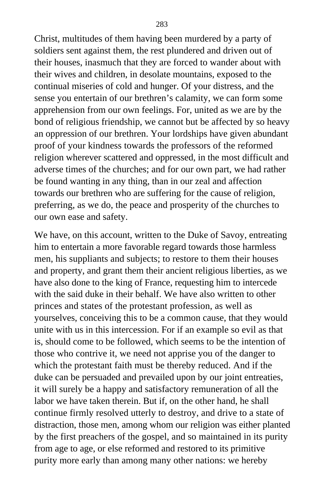Christ, multitudes of them having been murdered by a party of soldiers sent against them, the rest plundered and driven out of their houses, inasmuch that they are forced to wander about with their wives and children, in desolate mountains, exposed to the continual miseries of cold and hunger. Of your distress, and the sense you entertain of our brethren's calamity, we can form some apprehension from our own feelings. For, united as we are by the bond of religious friendship, we cannot but be affected by so heavy an oppression of our brethren. Your lordships have given abundant proof of your kindness towards the professors of the reformed religion wherever scattered and oppressed, in the most difficult and adverse times of the churches; and for our own part, we had rather be found wanting in any thing, than in our zeal and affection towards our brethren who are suffering for the cause of religion, preferring, as we do, the peace and prosperity of the churches to our own ease and safety.

We have, on this account, written to the Duke of Savoy, entreating him to entertain a more favorable regard towards those harmless men, his suppliants and subjects; to restore to them their houses and property, and grant them their ancient religious liberties, as we have also done to the king of France, requesting him to intercede with the said duke in their behalf. We have also written to other princes and states of the protestant profession, as well as yourselves, conceiving this to be a common cause, that they would unite with us in this intercession. For if an example so evil as that is, should come to be followed, which seems to be the intention of those who contrive it, we need not apprise you of the danger to which the protestant faith must be thereby reduced. And if the duke can be persuaded and prevailed upon by our joint entreaties, it will surely be a happy and satisfactory remuneration of all the labor we have taken therein. But if, on the other hand, he shall continue firmly resolved utterly to destroy, and drive to a state of distraction, those men, among whom our religion was either planted by the first preachers of the gospel, and so maintained in its purity from age to age, or else reformed and restored to its primitive purity more early than among many other nations: we hereby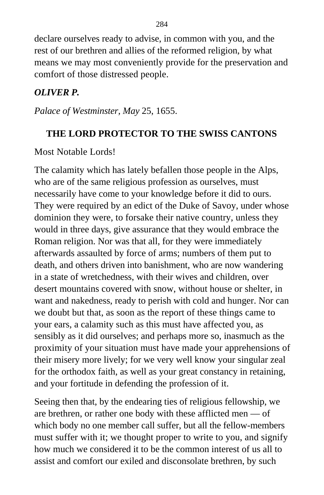declare ourselves ready to advise, in common with you, and the rest of our brethren and allies of the reformed religion, by what means we may most conveniently provide for the preservation and comfort of those distressed people.

### *OLIVER P.*

*Palace of Westminster, May* 25, 1655.

#### **THE LORD PROTECTOR TO THE SWISS CANTONS**

Most Notable Lords!

The calamity which has lately befallen those people in the Alps, who are of the same religious profession as ourselves, must necessarily have come to your knowledge before it did to ours. They were required by an edict of the Duke of Savoy, under whose dominion they were, to forsake their native country, unless they would in three days, give assurance that they would embrace the Roman religion. Nor was that all, for they were immediately afterwards assaulted by force of arms; numbers of them put to death, and others driven into banishment, who are now wandering in a state of wretchedness, with their wives and children, over desert mountains covered with snow, without house or shelter, in want and nakedness, ready to perish with cold and hunger. Nor can we doubt but that, as soon as the report of these things came to your ears, a calamity such as this must have affected you, as sensibly as it did ourselves; and perhaps more so, inasmuch as the proximity of your situation must have made your apprehensions of their misery more lively; for we very well know your singular zeal for the orthodox faith, as well as your great constancy in retaining, and your fortitude in defending the profession of it.

Seeing then that, by the endearing ties of religious fellowship, we are brethren, or rather one body with these afflicted men — of which body no one member call suffer, but all the fellow-members must suffer with it; we thought proper to write to you, and signify how much we considered it to be the common interest of us all to assist and comfort our exiled and disconsolate brethren, by such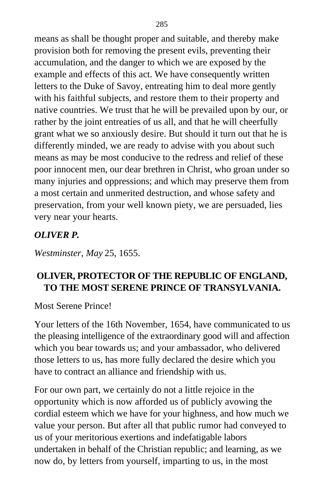means as shall be thought proper and suitable, and thereby make provision both for removing the present evils, preventing their accumulation, and the danger to which we are exposed by the example and effects of this act. We have consequently written letters to the Duke of Savoy, entreating him to deal more gently with his faithful subjects, and restore them to their property and native countries. We trust that he will be prevailed upon by our, or rather by the joint entreaties of us all, and that he will cheerfully grant what we so anxiously desire. But should it turn out that he is differently minded, we are ready to advise with you about such means as may be most conducive to the redress and relief of these poor innocent men, our dear brethren in Christ, who groan under so many injuries and oppressions; and which may preserve them from a most certain and unmerited destruction, and whose safety and preservation, from your well known piety, we are persuaded, lies very near your hearts.

#### *OLIVER P.*

*Westminster, May* 25, 1655.

### **OLIVER, PROTECTOR OF THE REPUBLIC OF ENGLAND, TO THE MOST SERENE PRINCE OF TRANSYLVANIA.**

Most Serene Prince!

Your letters of the 16th November, 1654, have communicated to us the pleasing intelligence of the extraordinary good will and affection which you bear towards us; and your ambassador, who delivered those letters to us, has more fully declared the desire which you have to contract an alliance and friendship with us.

For our own part, we certainly do not a little rejoice in the opportunity which is now afforded us of publicly avowing the cordial esteem which we have for your highness, and how much we value your person. But after all that public rumor had conveyed to us of your meritorious exertions and indefatigable labors undertaken in behalf of the Christian republic; and learning, as we now do, by letters from yourself, imparting to us, in the most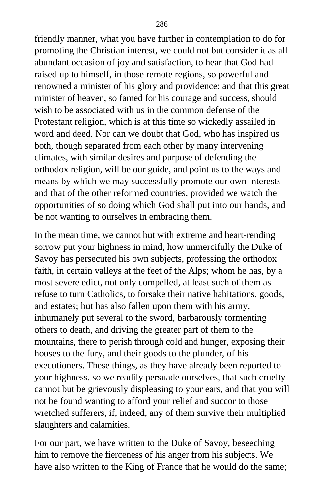friendly manner, what you have further in contemplation to do for promoting the Christian interest, we could not but consider it as all abundant occasion of joy and satisfaction, to hear that God had raised up to himself, in those remote regions, so powerful and renowned a minister of his glory and providence: and that this great minister of heaven, so famed for his courage and success, should wish to be associated with us in the common defense of the Protestant religion, which is at this time so wickedly assailed in word and deed. Nor can we doubt that God, who has inspired us both, though separated from each other by many intervening climates, with similar desires and purpose of defending the orthodox religion, will be our guide, and point us to the ways and means by which we may successfully promote our own interests and that of the other reformed countries, provided we watch the opportunities of so doing which God shall put into our hands, and be not wanting to ourselves in embracing them.

In the mean time, we cannot but with extreme and heart-rending sorrow put your highness in mind, how unmercifully the Duke of Savoy has persecuted his own subjects, professing the orthodox faith, in certain valleys at the feet of the Alps; whom he has, by a most severe edict, not only compelled, at least such of them as refuse to turn Catholics, to forsake their native habitations, goods, and estates; but has also fallen upon them with his army, inhumanely put several to the sword, barbarously tormenting others to death, and driving the greater part of them to the mountains, there to perish through cold and hunger, exposing their houses to the fury, and their goods to the plunder, of his executioners. These things, as they have already been reported to your highness, so we readily persuade ourselves, that such cruelty cannot but be grievously displeasing to your ears, and that you will not be found wanting to afford your relief and succor to those wretched sufferers, if, indeed, any of them survive their multiplied slaughters and calamities.

For our part, we have written to the Duke of Savoy, beseeching him to remove the fierceness of his anger from his subjects. We have also written to the King of France that he would do the same;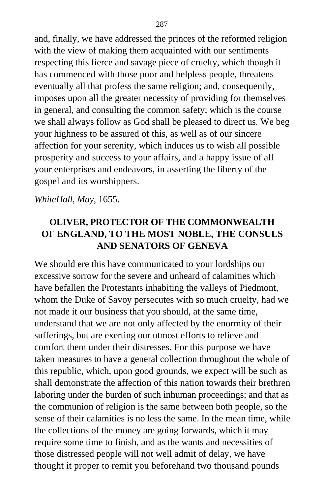and, finally, we have addressed the princes of the reformed religion with the view of making them acquainted with our sentiments respecting this fierce and savage piece of cruelty, which though it has commenced with those poor and helpless people, threatens eventually all that profess the same religion; and, consequently, imposes upon all the greater necessity of providing for themselves in general, and consulting the common safety; which is the course we shall always follow as God shall be pleased to direct us. We beg your highness to be assured of this, as well as of our sincere affection for your serenity, which induces us to wish all possible prosperity and success to your affairs, and a happy issue of all your enterprises and endeavors, in asserting the liberty of the gospel and its worshippers.

*WhiteHall, May,* 1655.

# **OLIVER, PROTECTOR OF THE COMMONWEALTH OF ENGLAND, TO THE MOST NOBLE, THE CONSULS AND SENATORS OF GENEVA**

We should ere this have communicated to your lordships our excessive sorrow for the severe and unheard of calamities which have befallen the Protestants inhabiting the valleys of Piedmont, whom the Duke of Savoy persecutes with so much cruelty, had we not made it our business that you should, at the same time, understand that we are not only affected by the enormity of their sufferings, but are exerting our utmost efforts to relieve and comfort them under their distresses. For this purpose we have taken measures to have a general collection throughout the whole of this republic, which, upon good grounds, we expect will be such as shall demonstrate the affection of this nation towards their brethren laboring under the burden of such inhuman proceedings; and that as the communion of religion is the same between both people, so the sense of their calamities is no less the same. In the mean time, while the collections of the money are going forwards, which it may require some time to finish, and as the wants and necessities of those distressed people will not well admit of delay, we have thought it proper to remit you beforehand two thousand pounds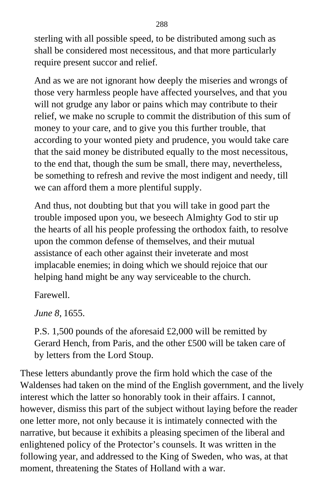sterling with all possible speed, to be distributed among such as shall be considered most necessitous, and that more particularly require present succor and relief.

And as we are not ignorant how deeply the miseries and wrongs of those very harmless people have affected yourselves, and that you will not grudge any labor or pains which may contribute to their relief, we make no scruple to commit the distribution of this sum of money to your care, and to give you this further trouble, that according to your wonted piety and prudence, you would take care that the said money be distributed equally to the most necessitous, to the end that, though the sum be small, there may, nevertheless, be something to refresh and revive the most indigent and needy, till we can afford them a more plentiful supply.

And thus, not doubting but that you will take in good part the trouble imposed upon you, we beseech Almighty God to stir up the hearts of all his people professing the orthodox faith, to resolve upon the common defense of themselves, and their mutual assistance of each other against their inveterate and most implacable enemies; in doing which we should rejoice that our helping hand might be any way serviceable to the church.

Farewell.

*June 8,* 1655.

P.S. 1,500 pounds of the aforesaid £2,000 will be remitted by Gerard Hench, from Paris, and the other £500 will be taken care of by letters from the Lord Stoup.

These letters abundantly prove the firm hold which the case of the Waldenses had taken on the mind of the English government, and the lively interest which the latter so honorably took in their affairs. I cannot, however, dismiss this part of the subject without laying before the reader one letter more, not only because it is intimately connected with the narrative, but because it exhibits a pleasing specimen of the liberal and enlightened policy of the Protector's counsels. It was written in the following year, and addressed to the King of Sweden, who was, at that moment, threatening the States of Holland with a war.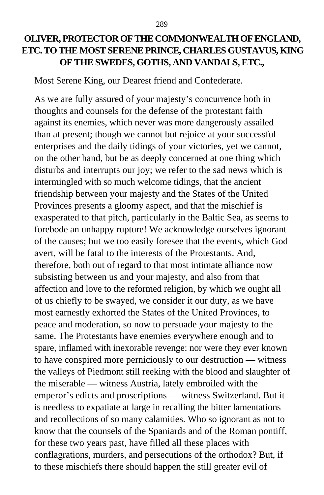## **OLIVER, PROTECTOR OF THE COMMONWEALTH OF ENGLAND, ETC. TO THE MOST SERENE PRINCE, CHARLES GUSTAVUS, KING OF THE SWEDES, GOTHS, AND VANDALS, ETC.,**

Most Serene King, our Dearest friend and Confederate.

As we are fully assured of your majesty's concurrence both in thoughts and counsels for the defense of the protestant faith against its enemies, which never was more dangerously assailed than at present; though we cannot but rejoice at your successful enterprises and the daily tidings of your victories, yet we cannot, on the other hand, but be as deeply concerned at one thing which disturbs and interrupts our joy; we refer to the sad news which is intermingled with so much welcome tidings, that the ancient friendship between your majesty and the States of the United Provinces presents a gloomy aspect, and that the mischief is exasperated to that pitch, particularly in the Baltic Sea, as seems to forebode an unhappy rupture! We acknowledge ourselves ignorant of the causes; but we too easily foresee that the events, which God avert, will be fatal to the interests of the Protestants. And, therefore, both out of regard to that most intimate alliance now subsisting between us and your majesty, and also from that affection and love to the reformed religion, by which we ought all of us chiefly to be swayed, we consider it our duty, as we have most earnestly exhorted the States of the United Provinces, to peace and moderation, so now to persuade your majesty to the same. The Protestants have enemies everywhere enough and to spare, inflamed with inexorable revenge: nor were they ever known to have conspired more perniciously to our destruction — witness the valleys of Piedmont still reeking with the blood and slaughter of the miserable — witness Austria, lately embroiled with the emperor's edicts and proscriptions — witness Switzerland. But it is needless to expatiate at large in recalling the bitter lamentations and recollections of so many calamities. Who so ignorant as not to know that the counsels of the Spaniards and of the Roman pontiff, for these two years past, have filled all these places with conflagrations, murders, and persecutions of the orthodox? But, if to these mischiefs there should happen the still greater evil of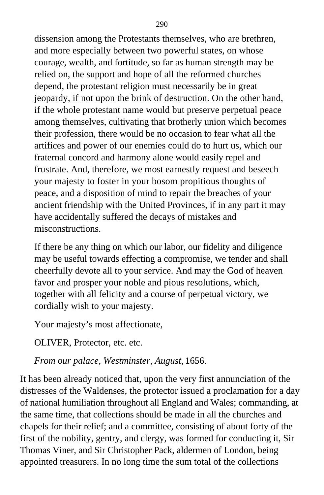dissension among the Protestants themselves, who are brethren, and more especially between two powerful states, on whose courage, wealth, and fortitude, so far as human strength may be relied on, the support and hope of all the reformed churches depend, the protestant religion must necessarily be in great jeopardy, if not upon the brink of destruction. On the other hand, if the whole protestant name would but preserve perpetual peace among themselves, cultivating that brotherly union which becomes their profession, there would be no occasion to fear what all the artifices and power of our enemies could do to hurt us, which our fraternal concord and harmony alone would easily repel and frustrate. And, therefore, we most earnestly request and beseech your majesty to foster in your bosom propitious thoughts of peace, and a disposition of mind to repair the breaches of your ancient friendship with the United Provinces, if in any part it may have accidentally suffered the decays of mistakes and misconstructions.

If there be any thing on which our labor, our fidelity and diligence may be useful towards effecting a compromise, we tender and shall cheerfully devote all to your service. And may the God of heaven favor and prosper your noble and pious resolutions, which, together with all felicity and a course of perpetual victory, we cordially wish to your majesty.

Your majesty's most affectionate,

OLIVER, Protector, etc. etc.

*From our palace, Westminster, August,* 1656.

It has been already noticed that, upon the very first annunciation of the distresses of the Waldenses, the protector issued a proclamation for a day of national humiliation throughout all England and Wales; commanding, at the same time, that collections should be made in all the churches and chapels for their relief; and a committee, consisting of about forty of the first of the nobility, gentry, and clergy, was formed for conducting it, Sir Thomas Viner, and Sir Christopher Pack, aldermen of London, being appointed treasurers. In no long time the sum total of the collections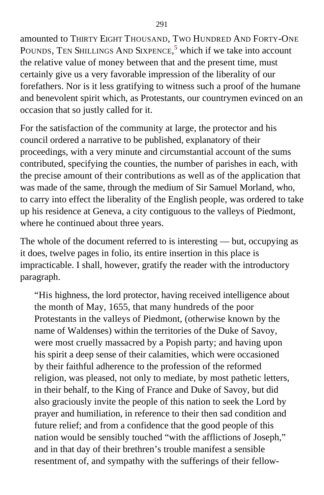amounted to THIRTY EIGHT THOUSAND, TWO HUNDRED AND FORTY-ONE POUNDS, TEN SHILLINGS AND SIXPENCE,<sup>[5](#page-414-0)</sup> which if we take into account the relative value of money between that and the present time, must certainly give us a very favorable impression of the liberality of our forefathers. Nor is it less gratifying to witness such a proof of the humane and benevolent spirit which, as Protestants, our countrymen evinced on an occasion that so justly called for it.

For the satisfaction of the community at large, the protector and his council ordered a narrative to be published, explanatory of their proceedings, with a very minute and circumstantial account of the sums contributed, specifying the counties, the number of parishes in each, with the precise amount of their contributions as well as of the application that was made of the same, through the medium of Sir Samuel Morland, who, to carry into effect the liberality of the English people, was ordered to take up his residence at Geneva, a city contiguous to the valleys of Piedmont, where he continued about three years.

The whole of the document referred to is interesting — but, occupying as it does, twelve pages in folio, its entire insertion in this place is impracticable. I shall, however, gratify the reader with the introductory paragraph.

"His highness, the lord protector, having received intelligence about the month of May, 1655, that many hundreds of the poor Protestants in the valleys of Piedmont, (otherwise known by the name of Waldenses) within the territories of the Duke of Savoy, were most cruelly massacred by a Popish party; and having upon his spirit a deep sense of their calamities, which were occasioned by their faithful adherence to the profession of the reformed religion, was pleased, not only to mediate, by most pathetic letters, in their behalf, to the King of France and Duke of Savoy, but did also graciously invite the people of this nation to seek the Lord by prayer and humiliation, in reference to their then sad condition and future relief; and from a confidence that the good people of this nation would be sensibly touched "with the afflictions of Joseph," and in that day of their brethren's trouble manifest a sensible resentment of, and sympathy with the sufferings of their fellow-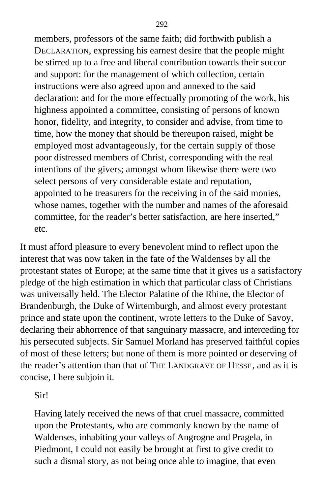members, professors of the same faith; did forthwith publish a DECLARATION, expressing his earnest desire that the people might be stirred up to a free and liberal contribution towards their succor and support: for the management of which collection, certain instructions were also agreed upon and annexed to the said declaration: and for the more effectually promoting of the work, his highness appointed a committee, consisting of persons of known honor, fidelity, and integrity, to consider and advise, from time to time, how the money that should be thereupon raised, might be employed most advantageously, for the certain supply of those poor distressed members of Christ, corresponding with the real intentions of the givers; amongst whom likewise there were two select persons of very considerable estate and reputation, appointed to be treasurers for the receiving in of the said monies, whose names, together with the number and names of the aforesaid committee, for the reader's better satisfaction, are here inserted," etc.

It must afford pleasure to every benevolent mind to reflect upon the interest that was now taken in the fate of the Waldenses by all the protestant states of Europe; at the same time that it gives us a satisfactory pledge of the high estimation in which that particular class of Christians was universally held. The Elector Palatine of the Rhine, the Elector of Brandenburgh, the Duke of Wirtemburgh, and almost every protestant prince and state upon the continent, wrote letters to the Duke of Savoy, declaring their abhorrence of that sanguinary massacre, and interceding for his persecuted subjects. Sir Samuel Morland has preserved faithful copies of most of these letters; but none of them is more pointed or deserving of the reader's attention than that of THE LANDGRAVE OF HESSE, and as it is concise, I here subjoin it.

Sir!

Having lately received the news of that cruel massacre, committed upon the Protestants, who are commonly known by the name of Waldenses, inhabiting your valleys of Angrogne and Pragela, in Piedmont, I could not easily be brought at first to give credit to such a dismal story, as not being once able to imagine, that even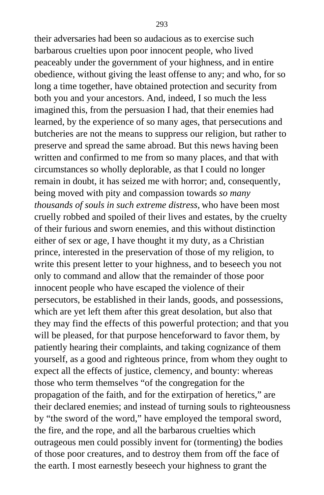their adversaries had been so audacious as to exercise such barbarous cruelties upon poor innocent people, who lived peaceably under the government of your highness, and in entire obedience, without giving the least offense to any; and who, for so long a time together, have obtained protection and security from both you and your ancestors. And, indeed, I so much the less imagined this, from the persuasion I had, that their enemies had learned, by the experience of so many ages, that persecutions and butcheries are not the means to suppress our religion, but rather to preserve and spread the same abroad. But this news having been written and confirmed to me from so many places, and that with circumstances so wholly deplorable, as that I could no longer remain in doubt, it has seized me with horror; and, consequently, being moved with pity and compassion towards *so many thousands of souls in such extreme distress,* who have been most cruelly robbed and spoiled of their lives and estates, by the cruelty of their furious and sworn enemies, and this without distinction either of sex or age, I have thought it my duty, as a Christian prince, interested in the preservation of those of my religion, to write this present letter to your highness, and to beseech you not only to command and allow that the remainder of those poor innocent people who have escaped the violence of their persecutors, be established in their lands, goods, and possessions, which are yet left them after this great desolation, but also that they may find the effects of this powerful protection; and that you will be pleased, for that purpose henceforward to favor them, by patiently hearing their complaints, and taking cognizance of them yourself, as a good and righteous prince, from whom they ought to expect all the effects of justice, clemency, and bounty: whereas those who term themselves "of the congregation for the propagation of the faith, and for the extirpation of heretics," are their declared enemies; and instead of turning souls to righteousness by "the sword of the word," have employed the temporal sword, the fire, and the rope, and all the barbarous cruelties which outrageous men could possibly invent for (tormenting) the bodies of those poor creatures, and to destroy them from off the face of the earth. I most earnestly beseech your highness to grant the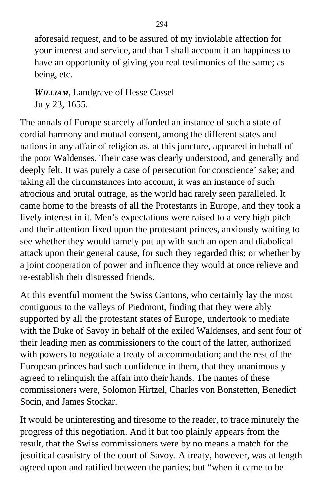aforesaid request, and to be assured of my inviolable affection for your interest and service, and that I shall account it an happiness to have an opportunity of giving you real testimonies of the same; as being, etc.

*WILLIAM*, Landgrave of Hesse Cassel July 23, 1655.

The annals of Europe scarcely afforded an instance of such a state of cordial harmony and mutual consent, among the different states and nations in any affair of religion as, at this juncture, appeared in behalf of the poor Waldenses. Their case was clearly understood, and generally and deeply felt. It was purely a case of persecution for conscience' sake; and taking all the circumstances into account, it was an instance of such atrocious and brutal outrage, as the world had rarely seen paralleled. It came home to the breasts of all the Protestants in Europe, and they took a lively interest in it. Men's expectations were raised to a very high pitch and their attention fixed upon the protestant princes, anxiously waiting to see whether they would tamely put up with such an open and diabolical attack upon their general cause, for such they regarded this; or whether by a joint cooperation of power and influence they would at once relieve and re-establish their distressed friends.

At this eventful moment the Swiss Cantons, who certainly lay the most contiguous to the valleys of Piedmont, finding that they were ably supported by all the protestant states of Europe, undertook to mediate with the Duke of Savoy in behalf of the exiled Waldenses, and sent four of their leading men as commissioners to the court of the latter, authorized with powers to negotiate a treaty of accommodation; and the rest of the European princes had such confidence in them, that they unanimously agreed to relinquish the affair into their hands. The names of these commissioners were, Solomon Hirtzel, Charles von Bonstetten, Benedict Socin, and James Stockar.

It would be uninteresting and tiresome to the reader, to trace minutely the progress of this negotiation. And it but too plainly appears from the result, that the Swiss commissioners were by no means a match for the jesuitical casuistry of the court of Savoy. A treaty, however, was at length agreed upon and ratified between the parties; but "when it came to be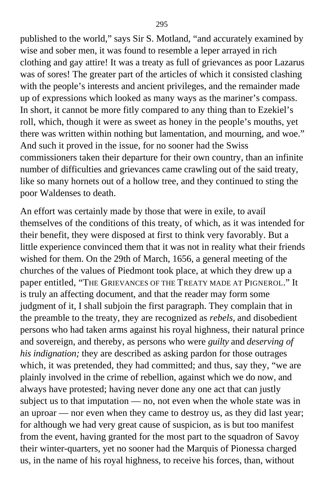published to the world," says Sir S. Motland, "and accurately examined by wise and sober men, it was found to resemble a leper arrayed in rich clothing and gay attire! It was a treaty as full of grievances as poor Lazarus was of sores! The greater part of the articles of which it consisted clashing with the people's interests and ancient privileges, and the remainder made up of expressions which looked as many ways as the mariner's compass. In short, it cannot be more fitly compared to any thing than to Ezekiel's roll, which, though it were as sweet as honey in the people's mouths, yet there was written within nothing but lamentation, and mourning, and woe." And such it proved in the issue, for no sooner had the Swiss commissioners taken their departure for their own country, than an infinite number of difficulties and grievances came crawling out of the said treaty, like so many hornets out of a hollow tree, and they continued to sting the poor Waldenses to death.

An effort was certainly made by those that were in exile, to avail themselves of the conditions of this treaty, of which, as it was intended for their benefit, they were disposed at first to think very favorably. But a little experience convinced them that it was not in reality what their friends wished for them. On the 29th of March, 1656, a general meeting of the churches of the values of Piedmont took place, at which they drew up a paper entitled, "THE GRIEVANCES OF THE TREATY MADE AT PIGNEROL." It is truly an affecting document, and that the reader may form some judgment of it, I shall subjoin the first paragraph. They complain that in the preamble to the treaty, they are recognized as *rebels,* and disobedient persons who had taken arms against his royal highness, their natural prince and sovereign, and thereby, as persons who were *guilty* and *deserving of his indignation;* they are described as asking pardon for those outrages which, it was pretended, they had committed; and thus, say they, "we are plainly involved in the crime of rebellion, against which we do now, and always have protested; having never done any one act that can justly subject us to that imputation — no, not even when the whole state was in an uproar — nor even when they came to destroy us, as they did last year; for although we had very great cause of suspicion, as is but too manifest from the event, having granted for the most part to the squadron of Savoy their winter-quarters, yet no sooner had the Marquis of Pionessa charged us, in the name of his royal highness, to receive his forces, than, without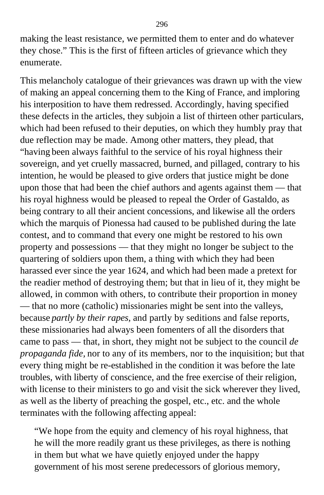making the least resistance, we permitted them to enter and do whatever they chose." This is the first of fifteen articles of grievance which they enumerate.

This melancholy catalogue of their grievances was drawn up with the view of making an appeal concerning them to the King of France, and imploring his interposition to have them redressed. Accordingly, having specified these defects in the articles, they subjoin a list of thirteen other particulars, which had been refused to their deputies, on which they humbly pray that due reflection may be made. Among other matters, they plead, that "having been always faithful to the service of his royal highness their sovereign, and yet cruelly massacred, burned, and pillaged, contrary to his intention, he would be pleased to give orders that justice might be done upon those that had been the chief authors and agents against them — that his royal highness would be pleased to repeal the Order of Gastaldo, as being contrary to all their ancient concessions, and likewise all the orders which the marquis of Pionessa had caused to be published during the late contest, and to command that every one might be restored to his own property and possessions — that they might no longer be subject to the quartering of soldiers upon them, a thing with which they had been harassed ever since the year 1624, and which had been made a pretext for the readier method of destroying them; but that in lieu of it, they might be allowed, in common with others, to contribute their proportion in money — that no more (catholic) missionaries might be sent into the valleys, because *partly by their rapes,* and partly by seditions and false reports, these missionaries had always been fomenters of all the disorders that came to pass — that, in short, they might not be subject to the council *de propaganda fide,* nor to any of its members, nor to the inquisition; but that every thing might be re-established in the condition it was before the late troubles, with liberty of conscience, and the free exercise of their religion, with license to their ministers to go and visit the sick wherever they lived, as well as the liberty of preaching the gospel, etc., etc. and the whole terminates with the following affecting appeal:

"We hope from the equity and clemency of his royal highness, that he will the more readily grant us these privileges, as there is nothing in them but what we have quietly enjoyed under the happy government of his most serene predecessors of glorious memory,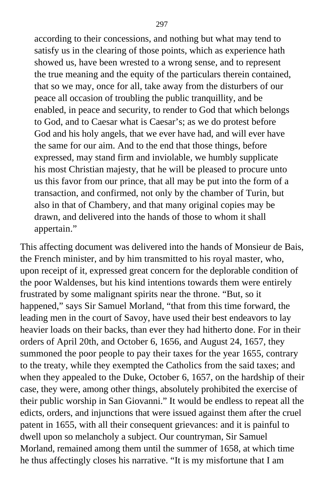according to their concessions, and nothing but what may tend to satisfy us in the clearing of those points, which as experience hath showed us, have been wrested to a wrong sense, and to represent the true meaning and the equity of the particulars therein contained, that so we may, once for all, take away from the disturbers of our peace all occasion of troubling the public tranquillity, and be enabled, in peace and security, to render to God that which belongs to God, and to Caesar what is Caesar's; as we do protest before God and his holy angels, that we ever have had, and will ever have the same for our aim. And to the end that those things, before expressed, may stand firm and inviolable, we humbly supplicate his most Christian majesty, that he will be pleased to procure unto us this favor from our prince, that all may be put into the form of a transaction, and confirmed, not only by the chamber of Turin, but also in that of Chambery, and that many original copies may be drawn, and delivered into the hands of those to whom it shall appertain."

This affecting document was delivered into the hands of Monsieur de Bais, the French minister, and by him transmitted to his royal master, who, upon receipt of it, expressed great concern for the deplorable condition of the poor Waldenses, but his kind intentions towards them were entirely frustrated by some malignant spirits near the throne. "But, so it happened," says Sir Samuel Morland, "that from this time forward, the leading men in the court of Savoy, have used their best endeavors to lay heavier loads on their backs, than ever they had hitherto done. For in their orders of April 20th, and October 6, 1656, and August 24, 1657, they summoned the poor people to pay their taxes for the year 1655, contrary to the treaty, while they exempted the Catholics from the said taxes; and when they appealed to the Duke, October 6, 1657, on the hardship of their case, they were, among other things, absolutely prohibited the exercise of their public worship in San Giovanni." It would be endless to repeat all the edicts, orders, and injunctions that were issued against them after the cruel patent in 1655, with all their consequent grievances: and it is painful to dwell upon so melancholy a subject. Our countryman, Sir Samuel Morland, remained among them until the summer of 1658, at which time he thus affectingly closes his narrative. "It is my misfortune that I am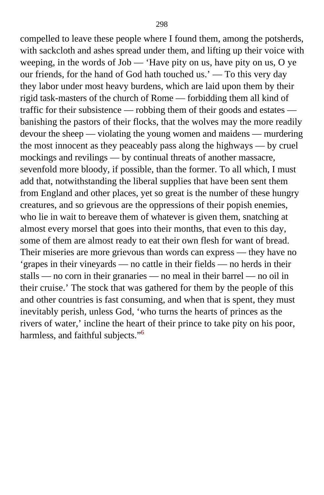compelled to leave these people where I found them, among the potsherds, with sackcloth and ashes spread under them, and lifting up their voice with weeping, in the words of Job — 'Have pity on us, have pity on us, O ye our friends, for the hand of God hath touched us.' — To this very day they labor under most heavy burdens, which are laid upon them by their rigid task-masters of the church of Rome — forbidding them all kind of traffic for their subsistence — robbing them of their goods and estates banishing the pastors of their flocks, that the wolves may the more readily devour the sheep — violating the young women and maidens — murdering the most innocent as they peaceably pass along the highways — by cruel mockings and revilings — by continual threats of another massacre, sevenfold more bloody, if possible, than the former. To all which, I must add that, notwithstanding the liberal supplies that have been sent them from England and other places, yet so great is the number of these hungry creatures, and so grievous are the oppressions of their popish enemies, who lie in wait to bereave them of whatever is given them, snatching at almost every morsel that goes into their months, that even to this day, some of them are almost ready to eat their own flesh for want of bread. Their miseries are more grievous than words can express — they have no 'grapes in their vineyards — no cattle in their fields — no herds in their stalls — no corn in their granaries — no meal in their barrel — no oil in their cruise.' The stock that was gathered for them by the people of this and other countries is fast consuming, and when that is spent, they must inevitably perish, unless God, 'who turns the hearts of princes as the rivers of water,' incline the heart of their prince to take pity on his poor, harmless, and faithful subjects."<sup>[6](#page-415-0)</sup>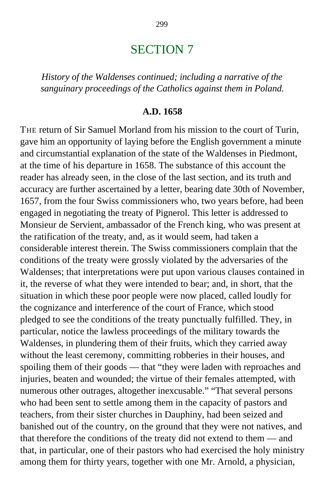## SECTION 7

*History of the Waldenses continued; including a narrative of the sanguinary proceedings of the Catholics against them in Poland.*

#### **A.D. 1658**

THE return of Sir Samuel Morland from his mission to the court of Turin, gave him an opportunity of laying before the English government a minute and circumstantial explanation of the state of the Waldenses in Piedmont, at the time of his departure in 1658. The substance of this account the reader has already seen, in the close of the last section, and its truth and accuracy are further ascertained by a letter, bearing date 30th of November, 1657, from the four Swiss commissioners who, two years before, had been engaged in negotiating the treaty of Pignerol. This letter is addressed to Monsieur de Servient, ambassador of the French king, who was present at the ratification of the treaty, and, as it would seem, had taken a considerable interest therein. The Swiss commissioners complain that the conditions of the treaty were grossly violated by the adversaries of the Waldenses; that interpretations were put upon various clauses contained in it, the reverse of what they were intended to bear; and, in short, that the situation in which these poor people were now placed, called loudly for the cognizance and interference of the court of France, which stood pledged to see the conditions of the treaty punctually fulfilled. They, in particular, notice the lawless proceedings of the military towards the Waldenses, in plundering them of their fruits, which they carried away without the least ceremony, committing robberies in their houses, and spoiling them of their goods — that "they were laden with reproaches and injuries, beaten and wounded; the virtue of their females attempted, with numerous other outrages, altogether inexcusable." "That several persons who had been sent to settle among them in the capacity of pastors and teachers, from their sister churches in Dauphiny, had been seized and banished out of the country, on the ground that they were not natives, and that therefore the conditions of the treaty did not extend to them — and that, in particular, one of their pastors who had exercised the holy ministry among them for thirty years, together with one Mr. Arnold, a physician,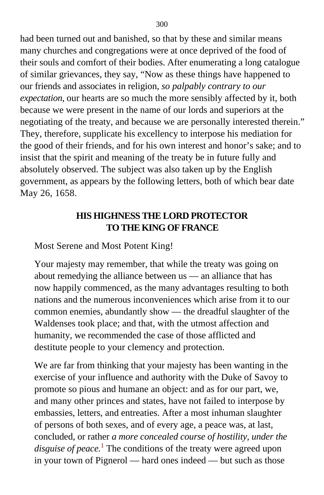had been turned out and banished, so that by these and similar means many churches and congregations were at once deprived of the food of their souls and comfort of their bodies. After enumerating a long catalogue of similar grievances, they say, "Now as these things have happened to our friends and associates in religion, *so palpably contrary to our expectation,* our hearts are so much the more sensibly affected by it, both because we were present in the name of our lords and superiors at the negotiating of the treaty, and because we are personally interested therein." They, therefore, supplicate his excellency to interpose his mediation for the good of their friends, and for his own interest and honor's sake; and to insist that the spirit and meaning of the treaty be in future fully and absolutely observed. The subject was also taken up by the English government, as appears by the following letters, both of which bear date May 26, 1658.

## **HIS HIGHNESS THE LORD PROTECTOR TO THE KING OF FRANCE**

Most Serene and Most Potent King!

Your majesty may remember, that while the treaty was going on about remedying the alliance between us — an alliance that has now happily commenced, as the many advantages resulting to both nations and the numerous inconveniences which arise from it to our common enemies, abundantly show — the dreadful slaughter of the Waldenses took place; and that, with the utmost affection and humanity, we recommended the case of those afflicted and destitute people to your clemency and protection.

We are far from thinking that your majesty has been wanting in the exercise of your influence and authority with the Duke of Savoy to promote so pious and humane an object: and as for our part, we, and many other princes and states, have not failed to interpose by embassies, letters, and entreaties. After a most inhuman slaughter of persons of both sexes, and of every age, a peace was, at last, concluded, or rather *a more concealed course of hostility, under the disguise of peace.*[1](#page-415-0) The conditions of the treaty were agreed upon in your town of Pignerol — hard ones indeed — but such as those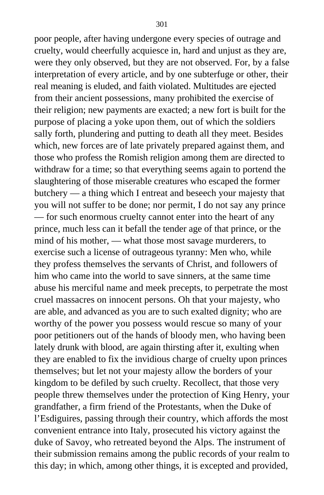poor people, after having undergone every species of outrage and cruelty, would cheerfully acquiesce in, hard and unjust as they are, were they only observed, but they are not observed. For, by a false interpretation of every article, and by one subterfuge or other, their real meaning is eluded, and faith violated. Multitudes are ejected from their ancient possessions, many prohibited the exercise of their religion; new payments are exacted; a new fort is built for the purpose of placing a yoke upon them, out of which the soldiers sally forth, plundering and putting to death all they meet. Besides which, new forces are of late privately prepared against them, and those who profess the Romish religion among them are directed to withdraw for a time; so that everything seems again to portend the slaughtering of those miserable creatures who escaped the former butchery — a thing which I entreat and beseech your majesty that you will not suffer to be done; nor permit, I do not say any prince — for such enormous cruelty cannot enter into the heart of any prince, much less can it befall the tender age of that prince, or the mind of his mother, — what those most savage murderers, to exercise such a license of outrageous tyranny: Men who, while they profess themselves the servants of Christ, and followers of him who came into the world to save sinners, at the same time abuse his merciful name and meek precepts, to perpetrate the most cruel massacres on innocent persons. Oh that your majesty, who are able, and advanced as you are to such exalted dignity; who are worthy of the power you possess would rescue so many of your poor petitioners out of the hands of bloody men, who having been lately drunk with blood, are again thirsting after it, exulting when they are enabled to fix the invidious charge of cruelty upon princes themselves; but let not your majesty allow the borders of your kingdom to be defiled by such cruelty. Recollect, that those very people threw themselves under the protection of King Henry, your grandfather, a firm friend of the Protestants, when the Duke of l'Esdiguires, passing through their country, which affords the most convenient entrance into Italy, prosecuted his victory against the duke of Savoy, who retreated beyond the Alps. The instrument of their submission remains among the public records of your realm to this day; in which, among other things, it is excepted and provided,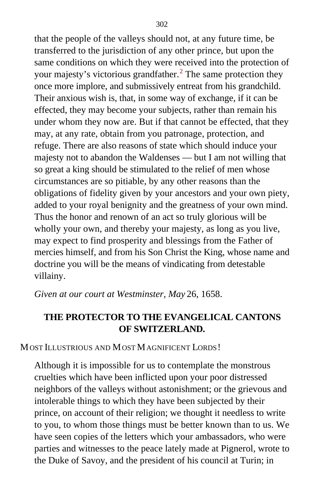that the people of the valleys should not, at any future time, be transferred to the jurisdiction of any other prince, but upon the same conditions on which they were received into the protection of your majesty's victorious grandfather.<sup>[2](#page-415-0)</sup> The same protection they once more implore, and submissively entreat from his grandchild. Their anxious wish is, that, in some way of exchange, if it can be effected, they may become your subjects, rather than remain his under whom they now are. But if that cannot be effected, that they may, at any rate, obtain from you patronage, protection, and refuge. There are also reasons of state which should induce your majesty not to abandon the Waldenses — but I am not willing that so great a king should be stimulated to the relief of men whose circumstances are so pitiable, by any other reasons than the obligations of fidelity given by your ancestors and your own piety, added to your royal benignity and the greatness of your own mind. Thus the honor and renown of an act so truly glorious will be wholly your own, and thereby your majesty, as long as you live, may expect to find prosperity and blessings from the Father of mercies himself, and from his Son Christ the King, whose name and doctrine you will be the means of vindicating from detestable villainy.

*Given at our court at Westminster, May* 26, 1658.

## **THE PROTECTOR TO THE EVANGELICAL CANTONS OF SWITZERLAND.**

#### MOST ILLUSTRIOUS AND MOST MAGNIFICENT LORDS!

Although it is impossible for us to contemplate the monstrous cruelties which have been inflicted upon your poor distressed neighbors of the valleys without astonishment; or the grievous and intolerable things to which they have been subjected by their prince, on account of their religion; we thought it needless to write to you, to whom those things must be better known than to us. We have seen copies of the letters which your ambassadors, who were parties and witnesses to the peace lately made at Pignerol, wrote to the Duke of Savoy, and the president of his council at Turin; in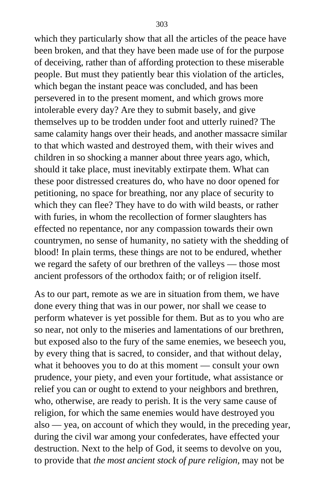which they particularly show that all the articles of the peace have been broken, and that they have been made use of for the purpose of deceiving, rather than of affording protection to these miserable people. But must they patiently bear this violation of the articles, which began the instant peace was concluded, and has been persevered in to the present moment, and which grows more intolerable every day? Are they to submit basely, and give themselves up to be trodden under foot and utterly ruined? The same calamity hangs over their heads, and another massacre similar to that which wasted and destroyed them, with their wives and children in so shocking a manner about three years ago, which, should it take place, must inevitably extirpate them. What can these poor distressed creatures do, who have no door opened for petitioning, no space for breathing, nor any place of security to which they can flee? They have to do with wild beasts, or rather with furies, in whom the recollection of former slaughters has effected no repentance, nor any compassion towards their own countrymen, no sense of humanity, no satiety with the shedding of blood! In plain terms, these things are not to be endured, whether we regard the safety of our brethren of the valleys — those most ancient professors of the orthodox faith; or of religion itself.

As to our part, remote as we are in situation from them, we have done every thing that was in our power, nor shall we cease to perform whatever is yet possible for them. But as to you who are so near, not only to the miseries and lamentations of our brethren, but exposed also to the fury of the same enemies, we beseech you, by every thing that is sacred, to consider, and that without delay, what it behooves you to do at this moment — consult your own prudence, your piety, and even your fortitude, what assistance or relief you can or ought to extend to your neighbors and brethren, who, otherwise, are ready to perish. It is the very same cause of religion, for which the same enemies would have destroyed you also — yea, on account of which they would, in the preceding year, during the civil war among your confederates, have effected your destruction. Next to the help of God, it seems to devolve on you, to provide that *the most ancient stock of pure religion,* may not be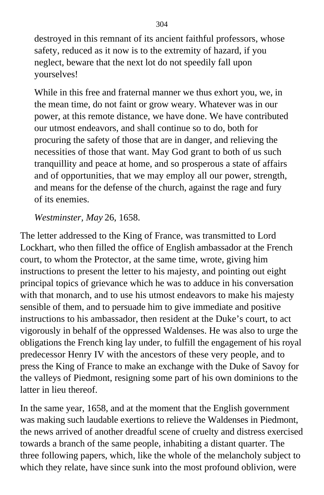destroyed in this remnant of its ancient faithful professors, whose safety, reduced as it now is to the extremity of hazard, if you neglect, beware that the next lot do not speedily fall upon yourselves!

While in this free and fraternal manner we thus exhort you, we, in the mean time, do not faint or grow weary. Whatever was in our power, at this remote distance, we have done. We have contributed our utmost endeavors, and shall continue so to do, both for procuring the safety of those that are in danger, and relieving the necessities of those that want. May God grant to both of us such tranquillity and peace at home, and so prosperous a state of affairs and of opportunities, that we may employ all our power, strength, and means for the defense of the church, against the rage and fury of its enemies.

## *Westminster, May* 26, 1658.

The letter addressed to the King of France, was transmitted to Lord Lockhart, who then filled the office of English ambassador at the French court, to whom the Protector, at the same time, wrote, giving him instructions to present the letter to his majesty, and pointing out eight principal topics of grievance which he was to adduce in his conversation with that monarch, and to use his utmost endeavors to make his majesty sensible of them, and to persuade him to give immediate and positive instructions to his ambassador, then resident at the Duke's court, to act vigorously in behalf of the oppressed Waldenses. He was also to urge the obligations the French king lay under, to fulfill the engagement of his royal predecessor Henry IV with the ancestors of these very people, and to press the King of France to make an exchange with the Duke of Savoy for the valleys of Piedmont, resigning some part of his own dominions to the latter in lieu thereof.

In the same year, 1658, and at the moment that the English government was making such laudable exertions to relieve the Waldenses in Piedmont, the news arrived of another dreadful scene of cruelty and distress exercised towards a branch of the same people, inhabiting a distant quarter. The three following papers, which, like the whole of the melancholy subject to which they relate, have since sunk into the most profound oblivion, were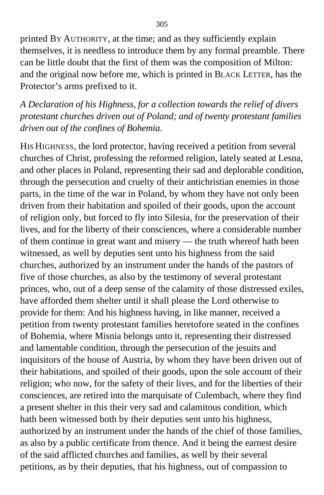printed BY AUTHORITY, at the time; and as they sufficiently explain themselves, it is needless to introduce them by any formal preamble. There can be little doubt that the first of them was the composition of Milton: and the original now before me, which is printed in BLACK LETTER*,* has the Protector's arms prefixed to it.

*A Declaration of his Highness, for a collection towards the relief of divers protestant churches driven out of Poland; and of twenty protestant families driven out of the confines of Bohemia.*

HIS HIGHNESS, the lord protector, having received a petition from several churches of Christ, professing the reformed religion, lately seated at Lesna, and other places in Poland, representing their sad and deplorable condition, through the persecution and cruelty of their antichristian enemies in those parts, in the time of the war in Poland, by whom they have not only been driven from their habitation and spoiled of their goods, upon the account of religion only, but forced to fly into Silesia, for the preservation of their lives, and for the liberty of their consciences, where a considerable number of them continue in great want and misery — the truth whereof hath been witnessed, as well by deputies sent unto his highness from the said churches, authorized by an instrument under the hands of the pastors of five of those churches, as also by the testimony of several protestant princes, who, out of a deep sense of the calamity of those distressed exiles, have afforded them shelter until it shall please the Lord otherwise to provide for them: And his highness having, in like manner, received a petition from twenty protestant families heretofore seated in the confines of Bohemia, where Misnia belongs unto it, representing their distressed and lamentable condition, through the persecution of the jesuits and inquisitors of the house of Austria, by whom they have been driven out of their habitations, and spoiled of their goods, upon the sole account of their religion; who now, for the safety of their lives, and for the liberties of their consciences, are retired into the marquisate of Culembach, where they find a present shelter in this their very sad and calamitous condition, which hath been witnessed both by their deputies sent unto his highness, authorized by an instrument under the hands of the chief of those families, as also by a public certificate from thence. And it being the earnest desire of the said afflicted churches and families, as well by their several petitions, as by their deputies, that his highness, out of compassion to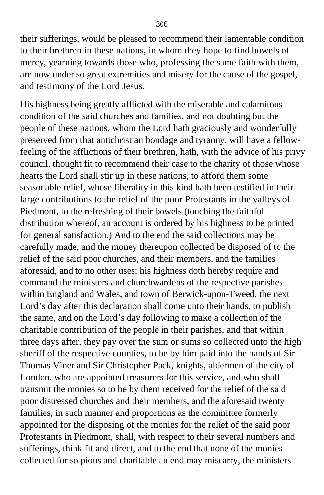their sufferings, would be pleased to recommend their lamentable condition to their brethren in these nations, in whom they hope to find bowels of mercy, yearning towards those who, professing the same faith with them, are now under so great extremities and misery for the cause of the gospel, and testimony of the Lord Jesus.

His highness being greatly afflicted with the miserable and calamitous condition of the said churches and families, and not doubting but the people of these nations, whom the Lord hath graciously and wonderfully preserved from that antichristian bondage and tyranny, will have a fellowfeeling of the afflictions of their brethren, hath, with the advice of his privy council, thought fit to recommend their case to the charity of those whose hearts the Lord shall stir up in these nations, to afford them some seasonable relief, whose liberality in this kind hath been testified in their large contributions to the relief of the poor Protestants in the valleys of Piedmont, to the refreshing of their bowels (touching the faithful distribution whereof, an account is ordered by his highness to be printed for general satisfaction.) And to the end the said collections may be carefully made, and the money thereupon collected be disposed of to the relief of the said poor churches, and their members, and the families aforesaid, and to no other uses; his highness doth hereby require and command the ministers and churchwardens of the respective parishes within England and Wales, and town of Berwick-upon-Tweed, the next Lord's day after this declaration shall come unto their hands, to publish the same, and on the Lord's day following to make a collection of the charitable contribution of the people in their parishes, and that within three days after, they pay over the sum or sums so collected unto the high sheriff of the respective counties, to be by him paid into the hands of Sir Thomas Viner and Sir Christopher Pack, knights, aldermen of the city of London, who are appointed treasurers for this service, and who shall transmit the monies so to be by them received for the relief of the said poor distressed churches and their members, and the aforesaid twenty families, in such manner and proportions as the committee formerly appointed for the disposing of the monies for the relief of the said poor Protestants in Piedmont, shall, with respect to their several numbers and sufferings, think fit and direct, and to the end that none of the monies collected for so pious and charitable an end may miscarry, the ministers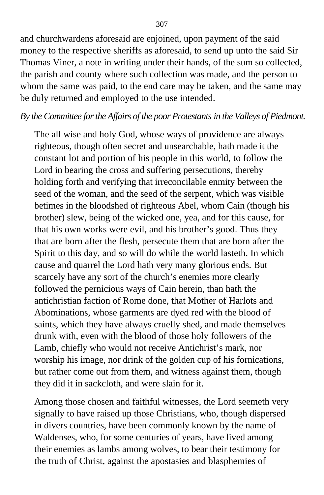and churchwardens aforesaid are enjoined, upon payment of the said money to the respective sheriffs as aforesaid, to send up unto the said Sir Thomas Viner, a note in writing under their hands, of the sum so collected, the parish and county where such collection was made, and the person to whom the same was paid, to the end care may be taken, and the same may be duly returned and employed to the use intended.

#### *By the Committee for the Affairs of the poor Protestants in the Valleys of Piedmont.*

The all wise and holy God, whose ways of providence are always righteous, though often secret and unsearchable, hath made it the constant lot and portion of his people in this world, to follow the Lord in bearing the cross and suffering persecutions, thereby holding forth and verifying that irreconcilable enmity between the seed of the woman, and the seed of the serpent, which was visible betimes in the bloodshed of righteous Abel, whom Cain (though his brother) slew, being of the wicked one, yea, and for this cause, for that his own works were evil, and his brother's good. Thus they that are born after the flesh, persecute them that are born after the Spirit to this day, and so will do while the world lasteth. In which cause and quarrel the Lord hath very many glorious ends. But scarcely have any sort of the church's enemies more clearly followed the pernicious ways of Cain herein, than hath the antichristian faction of Rome done, that Mother of Harlots and Abominations, whose garments are dyed red with the blood of saints, which they have always cruelly shed, and made themselves drunk with, even with the blood of those holy followers of the Lamb, chiefly who would not receive Antichrist's mark, nor worship his image, nor drink of the golden cup of his fornications, but rather come out from them, and witness against them, though they did it in sackcloth, and were slain for it.

Among those chosen and faithful witnesses, the Lord seemeth very signally to have raised up those Christians, who, though dispersed in divers countries, have been commonly known by the name of Waldenses, who, for some centuries of years, have lived among their enemies as lambs among wolves, to bear their testimony for the truth of Christ, against the apostasies and blasphemies of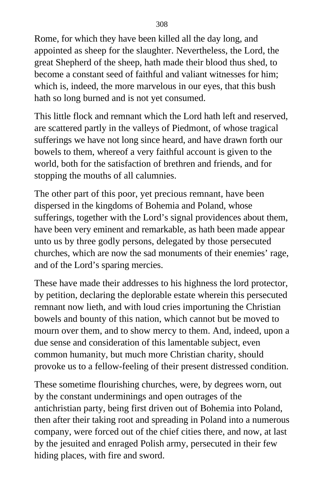Rome, for which they have been killed all the day long, and appointed as sheep for the slaughter. Nevertheless, the Lord, the great Shepherd of the sheep, hath made their blood thus shed, to become a constant seed of faithful and valiant witnesses for him; which is, indeed, the more marvelous in our eyes, that this bush hath so long burned and is not yet consumed.

This little flock and remnant which the Lord hath left and reserved, are scattered partly in the valleys of Piedmont, of whose tragical sufferings we have not long since heard, and have drawn forth our bowels to them, whereof a very faithful account is given to the world, both for the satisfaction of brethren and friends, and for stopping the mouths of all calumnies.

The other part of this poor, yet precious remnant, have been dispersed in the kingdoms of Bohemia and Poland, whose sufferings, together with the Lord's signal providences about them, have been very eminent and remarkable, as hath been made appear unto us by three godly persons, delegated by those persecuted churches, which are now the sad monuments of their enemies' rage, and of the Lord's sparing mercies.

These have made their addresses to his highness the lord protector, by petition, declaring the deplorable estate wherein this persecuted remnant now lieth, and with loud cries importuning the Christian bowels and bounty of this nation, which cannot but be moved to mourn over them, and to show mercy to them. And, indeed, upon a due sense and consideration of this lamentable subject, even common humanity, but much more Christian charity, should provoke us to a fellow-feeling of their present distressed condition.

These sometime flourishing churches, were, by degrees worn, out by the constant underminings and open outrages of the antichristian party, being first driven out of Bohemia into Poland, then after their taking root and spreading in Poland into a numerous company, were forced out of the chief cities there, and now, at last by the jesuited and enraged Polish army, persecuted in their few hiding places, with fire and sword.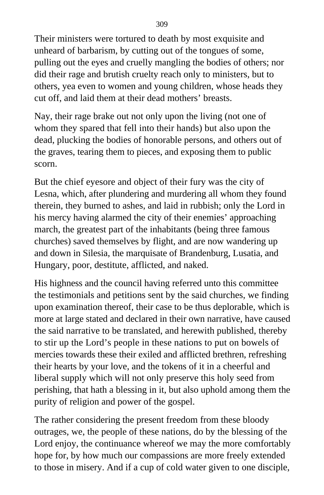Their ministers were tortured to death by most exquisite and unheard of barbarism, by cutting out of the tongues of some, pulling out the eyes and cruelly mangling the bodies of others; nor did their rage and brutish cruelty reach only to ministers, but to others, yea even to women and young children, whose heads they cut off, and laid them at their dead mothers' breasts.

Nay, their rage brake out not only upon the living (not one of whom they spared that fell into their hands) but also upon the dead, plucking the bodies of honorable persons, and others out of the graves, tearing them to pieces, and exposing them to public scorn.

But the chief eyesore and object of their fury was the city of Lesna, which, after plundering and murdering all whom they found therein, they burned to ashes, and laid in rubbish; only the Lord in his mercy having alarmed the city of their enemies' approaching march, the greatest part of the inhabitants (being three famous churches) saved themselves by flight, and are now wandering up and down in Silesia, the marquisate of Brandenburg, Lusatia, and Hungary, poor, destitute, afflicted, and naked.

His highness and the council having referred unto this committee the testimonials and petitions sent by the said churches, we finding upon examination thereof, their case to be thus deplorable, which is more at large stated and declared in their own narrative, have caused the said narrative to be translated, and herewith published, thereby to stir up the Lord's people in these nations to put on bowels of mercies towards these their exiled and afflicted brethren, refreshing their hearts by your love, and the tokens of it in a cheerful and liberal supply which will not only preserve this holy seed from perishing, that hath a blessing in it, but also uphold among them the purity of religion and power of the gospel.

The rather considering the present freedom from these bloody outrages, we, the people of these nations, do by the blessing of the Lord enjoy, the continuance whereof we may the more comfortably hope for, by how much our compassions are more freely extended to those in misery. And if a cup of cold water given to one disciple,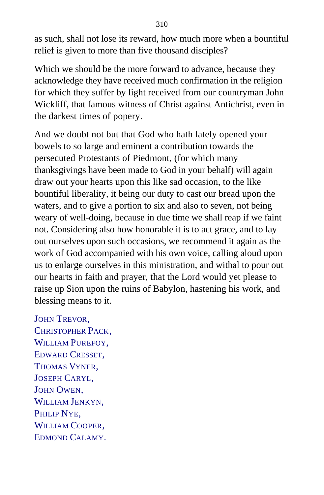as such, shall not lose its reward, how much more when a bountiful relief is given to more than five thousand disciples?

Which we should be the more forward to advance, because they acknowledge they have received much confirmation in the religion for which they suffer by light received from our countryman John Wickliff, that famous witness of Christ against Antichrist, even in the darkest times of popery.

And we doubt not but that God who hath lately opened your bowels to so large and eminent a contribution towards the persecuted Protestants of Piedmont, (for which many thanksgivings have been made to God in your behalf) will again draw out your hearts upon this like sad occasion, to the like bountiful liberality, it being our duty to cast our bread upon the waters, and to give a portion to six and also to seven, not being weary of well-doing, because in due time we shall reap if we faint not. Considering also how honorable it is to act grace, and to lay out ourselves upon such occasions, we recommend it again as the work of God accompanied with his own voice, calling aloud upon us to enlarge ourselves in this ministration, and withal to pour out our hearts in faith and prayer, that the Lord would yet please to raise up Sion upon the ruins of Babylon, hastening his work, and blessing means to it.

JOHN TREVOR, CHRISTOPHER PACK, WILLIAM PUREFOY, EDWARD CRESSET, THOMAS VYNER. JOSEPH CARYL, JOHN OWEN, WILLIAM JENKYN, PHILIP NYE. WILLIAM COOPER. EDMOND CALAMY.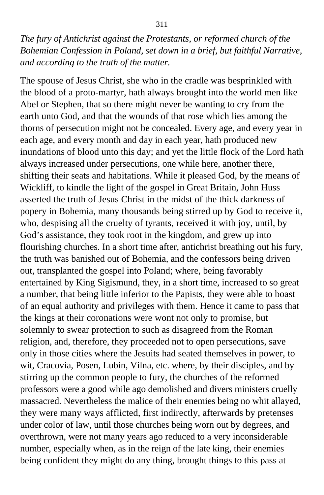*The fury of Antichrist against the Protestants, or reformed church of the Bohemian Confession in Poland, set down in a brief, but faithful Narrative, and according to the truth of the matter.*

The spouse of Jesus Christ, she who in the cradle was besprinkled with the blood of a proto-martyr, hath always brought into the world men like Abel or Stephen, that so there might never be wanting to cry from the earth unto God, and that the wounds of that rose which lies among the thorns of persecution might not be concealed. Every age, and every year in each age, and every month and day in each year, hath produced new inundations of blood unto this day; and yet the little flock of the Lord hath always increased under persecutions, one while here, another there, shifting their seats and habitations. While it pleased God, by the means of Wickliff, to kindle the light of the gospel in Great Britain, John Huss asserted the truth of Jesus Christ in the midst of the thick darkness of popery in Bohemia, many thousands being stirred up by God to receive it, who, despising all the cruelty of tyrants, received it with joy, until, by God's assistance, they took root in the kingdom, and grew up into flourishing churches. In a short time after, antichrist breathing out his fury, the truth was banished out of Bohemia, and the confessors being driven out, transplanted the gospel into Poland; where, being favorably entertained by King Sigismund, they, in a short time, increased to so great a number, that being little inferior to the Papists, they were able to boast of an equal authority and privileges with them. Hence it came to pass that the kings at their coronations were wont not only to promise, but solemnly to swear protection to such as disagreed from the Roman religion, and, therefore, they proceeded not to open persecutions, save only in those cities where the Jesuits had seated themselves in power, to wit, Cracovia, Posen, Lubin, Vilna, etc. where, by their disciples, and by stirring up the common people to fury, the churches of the reformed professors were a good while ago demolished and divers ministers cruelly massacred. Nevertheless the malice of their enemies being no whit allayed, they were many ways afflicted, first indirectly, afterwards by pretenses under color of law, until those churches being worn out by degrees, and overthrown, were not many years ago reduced to a very inconsiderable number, especially when, as in the reign of the late king, their enemies being confident they might do any thing, brought things to this pass at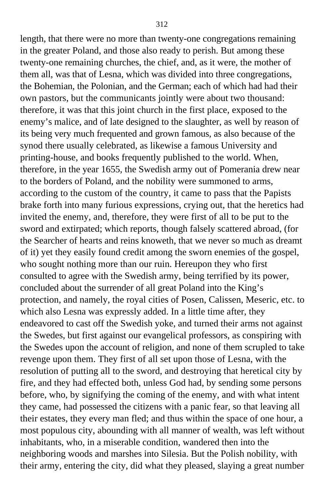length, that there were no more than twenty-one congregations remaining in the greater Poland, and those also ready to perish. But among these twenty-one remaining churches, the chief, and, as it were, the mother of them all, was that of Lesna, which was divided into three congregations, the Bohemian, the Polonian, and the German; each of which had had their own pastors, but the communicants jointly were about two thousand: therefore, it was that this joint church in the first place, exposed to the enemy's malice, and of late designed to the slaughter, as well by reason of its being very much frequented and grown famous, as also because of the synod there usually celebrated, as likewise a famous University and printing-house, and books frequently published to the world. When, therefore, in the year 1655, the Swedish army out of Pomerania drew near to the borders of Poland, and the nobility were summoned to arms, according to the custom of the country, it came to pass that the Papists brake forth into many furious expressions, crying out, that the heretics had invited the enemy, and, therefore, they were first of all to be put to the sword and extirpated; which reports, though falsely scattered abroad, (for the Searcher of hearts and reins knoweth, that we never so much as dreamt of it) yet they easily found credit among the sworn enemies of the gospel, who sought nothing more than our ruin. Hereupon they who first consulted to agree with the Swedish army, being terrified by its power, concluded about the surrender of all great Poland into the King's protection, and namely, the royal cities of Posen, Calissen, Meseric, etc. to which also Lesna was expressly added. In a little time after, they endeavored to cast off the Swedish yoke, and turned their arms not against the Swedes, but first against our evangelical professors, as conspiring with the Swedes upon the account of religion, and none of them scrupled to take revenge upon them. They first of all set upon those of Lesna, with the resolution of putting all to the sword, and destroying that heretical city by fire, and they had effected both, unless God had, by sending some persons before, who, by signifying the coming of the enemy, and with what intent they came, had possessed the citizens with a panic fear, so that leaving all their estates, they every man fled; and thus within the space of one hour, a most populous city, abounding with all manner of wealth, was left without inhabitants, who, in a miserable condition, wandered then into the neighboring woods and marshes into Silesia. But the Polish nobility, with their army, entering the city, did what they pleased, slaying a great number

312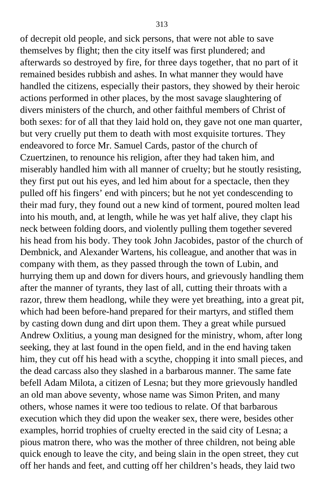of decrepit old people, and sick persons, that were not able to save themselves by flight; then the city itself was first plundered; and afterwards so destroyed by fire, for three days together, that no part of it remained besides rubbish and ashes. In what manner they would have handled the citizens, especially their pastors, they showed by their heroic actions performed in other places, by the most savage slaughtering of divers ministers of the church, and other faithful members of Christ of both sexes: for of all that they laid hold on, they gave not one man quarter, but very cruelly put them to death with most exquisite tortures. They endeavored to force Mr. Samuel Cards, pastor of the church of Czuertzinen, to renounce his religion, after they had taken him, and miserably handled him with all manner of cruelty; but he stoutly resisting, they first put out his eyes, and led him about for a spectacle, then they pulled off his fingers' end with pincers; but he not yet condescending to their mad fury, they found out a new kind of torment, poured molten lead into his mouth, and, at length, while he was yet half alive, they clapt his neck between folding doors, and violently pulling them together severed his head from his body. They took John Jacobides, pastor of the church of Dembnick, and Alexander Wartens, his colleague, and another that was in company with them, as they passed through the town of Lubin, and hurrying them up and down for divers hours, and grievously handling them after the manner of tyrants, they last of all, cutting their throats with a razor, threw them headlong, while they were yet breathing, into a great pit, which had been before-hand prepared for their martyrs, and stifled them by casting down dung and dirt upon them. They a great while pursued Andrew Oxlitius, a young man designed for the ministry, whom, after long seeking, they at last found in the open field, and in the end having taken him, they cut off his head with a scythe, chopping it into small pieces, and the dead carcass also they slashed in a barbarous manner. The same fate befell Adam Milota, a citizen of Lesna; but they more grievously handled an old man above seventy, whose name was Simon Priten, and many others, whose names it were too tedious to relate. Of that barbarous execution which they did upon the weaker sex, there were, besides other examples, horrid trophies of cruelty erected in the said city of Lesna; a pious matron there, who was the mother of three children, not being able quick enough to leave the city, and being slain in the open street, they cut off her hands and feet, and cutting off her children's heads, they laid two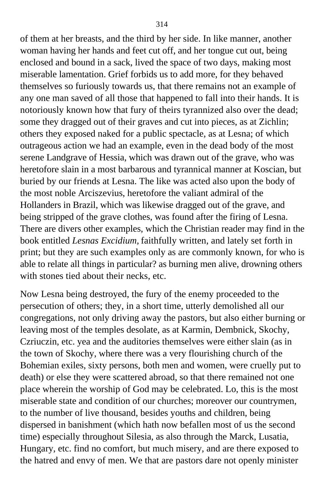of them at her breasts, and the third by her side. In like manner, another woman having her hands and feet cut off, and her tongue cut out, being enclosed and bound in a sack, lived the space of two days, making most miserable lamentation. Grief forbids us to add more, for they behaved themselves so furiously towards us, that there remains not an example of any one man saved of all those that happened to fall into their hands. It is notoriously known how that fury of theirs tyrannized also over the dead; some they dragged out of their graves and cut into pieces, as at Zichlin; others they exposed naked for a public spectacle, as at Lesna; of which outrageous action we had an example, even in the dead body of the most serene Landgrave of Hessia, which was drawn out of the grave, who was heretofore slain in a most barbarous and tyrannical manner at Koscian, but buried by our friends at Lesna. The like was acted also upon the body of the most noble Arciszevius, heretofore the valiant admiral of the Hollanders in Brazil, which was likewise dragged out of the grave, and being stripped of the grave clothes, was found after the firing of Lesna. There are divers other examples, which the Christian reader may find in the book entitled *Lesnas Excidium,* faithfully written, and lately set forth in print; but they are such examples only as are commonly known, for who is able to relate all things in particular? as burning men alive, drowning others with stones tied about their necks, etc.

Now Lesna being destroyed, the fury of the enemy proceeded to the persecution of others; they, in a short time, utterly demolished all our congregations, not only driving away the pastors, but also either burning or leaving most of the temples desolate, as at Karmin, Dembnick, Skochy, Czriuczin, etc. yea and the auditories themselves were either slain (as in the town of Skochy, where there was a very flourishing church of the Bohemian exiles, sixty persons, both men and women, were cruelly put to death) or else they were scattered abroad, so that there remained not one place wherein the worship of God may be celebrated. Lo, this is the most miserable state and condition of our churches; moreover our countrymen, to the number of live thousand, besides youths and children, being dispersed in banishment (which hath now befallen most of us the second time) especially throughout Silesia, as also through the Marck, Lusatia, Hungary, etc. find no comfort, but much misery, and are there exposed to the hatred and envy of men. We that are pastors dare not openly minister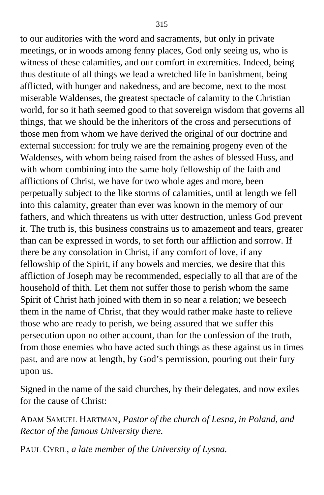to our auditories with the word and sacraments, but only in private meetings, or in woods among fenny places, God only seeing us, who is witness of these calamities, and our comfort in extremities. Indeed, being thus destitute of all things we lead a wretched life in banishment, being afflicted, with hunger and nakedness, and are become, next to the most miserable Waldenses, the greatest spectacle of calamity to the Christian world, for so it hath seemed good to that sovereign wisdom that governs all things, that we should be the inheritors of the cross and persecutions of those men from whom we have derived the original of our doctrine and external succession: for truly we are the remaining progeny even of the Waldenses, with whom being raised from the ashes of blessed Huss, and with whom combining into the same holy fellowship of the faith and afflictions of Christ, we have for two whole ages and more, been perpetually subject to the like storms of calamities, until at length we fell into this calamity, greater than ever was known in the memory of our fathers, and which threatens us with utter destruction, unless God prevent it. The truth is, this business constrains us to amazement and tears, greater than can be expressed in words, to set forth our affliction and sorrow. If there be any consolation in Christ, if any comfort of love, if any fellowship of the Spirit, if any bowels and mercies, we desire that this affliction of Joseph may be recommended, especially to all that are of the household of thith. Let them not suffer those to perish whom the same Spirit of Christ hath joined with them in so near a relation; we beseech them in the name of Christ, that they would rather make haste to relieve those who are ready to perish, we being assured that we suffer this persecution upon no other account, than for the confession of the truth, from those enemies who have acted such things as these against us in times past, and are now at length, by God's permission, pouring out their fury upon us.

Signed in the name of the said churches, by their delegates, and now exiles for the cause of Christ:

ADAM SAMUEL HARTMAN, *Pastor of the church of Lesna, in Poland, and Rector of the famous University there.*

PAUL CYRIL, *a late member of the University of Lysna.*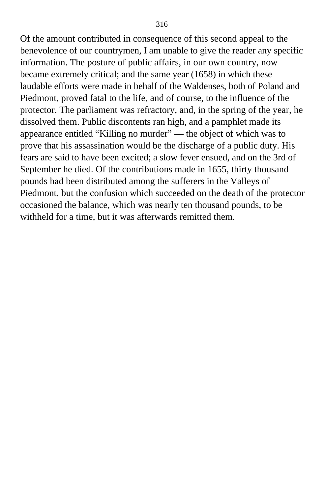Of the amount contributed in consequence of this second appeal to the benevolence of our countrymen, I am unable to give the reader any specific information. The posture of public affairs, in our own country, now became extremely critical; and the same year (1658) in which these laudable efforts were made in behalf of the Waldenses, both of Poland and Piedmont, proved fatal to the life, and of course, to the influence of the protector. The parliament was refractory, and, in the spring of the year, he dissolved them. Public discontents ran high, and a pamphlet made its appearance entitled "Killing no murder" — the object of which was to prove that his assassination would be the discharge of a public duty. His fears are said to have been excited; a slow fever ensued, and on the 3rd of September he died. Of the contributions made in 1655, thirty thousand pounds had been distributed among the sufferers in the Valleys of Piedmont, but the confusion which succeeded on the death of the protector occasioned the balance, which was nearly ten thousand pounds, to be withheld for a time, but it was afterwards remitted them.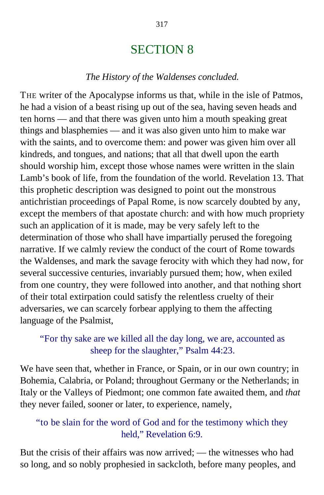# SECTION 8

#### *The History of the Waldenses concluded.*

THE writer of the Apocalypse informs us that, while in the isle of Patmos, he had a vision of a beast rising up out of the sea, having seven heads and ten horns — and that there was given unto him a mouth speaking great things and blasphemies — and it was also given unto him to make war with the saints, and to overcome them: and power was given him over all kindreds, and tongues, and nations; that all that dwell upon the earth should worship him, except those whose names were written in the slain Lamb's book of life, from the foundation of the world. Revelation 13. That this prophetic description was designed to point out the monstrous antichristian proceedings of Papal Rome, is now scarcely doubted by any, except the members of that apostate church: and with how much propriety such an application of it is made, may be very safely left to the determination of those who shall have impartially perused the foregoing narrative. If we calmly review the conduct of the court of Rome towards the Waldenses, and mark the savage ferocity with which they had now, for several successive centuries, invariably pursued them; how, when exiled from one country, they were followed into another, and that nothing short of their total extirpation could satisfy the relentless cruelty of their adversaries, we can scarcely forbear applying to them the affecting language of the Psalmist,

## "For thy sake are we killed all the day long, we are, accounted as sheep for the slaughter," Psalm 44:23.

We have seen that, whether in France, or Spain, or in our own country; in Bohemia, Calabria, or Poland; throughout Germany or the Netherlands; in Italy or the Valleys of Piedmont; one common fate awaited them, and *that* they never failed, sooner or later, to experience, namely,

## "to be slain for the word of God and for the testimony which they held," Revelation 6:9.

But the crisis of their affairs was now arrived; — the witnesses who had so long, and so nobly prophesied in sackcloth, before many peoples, and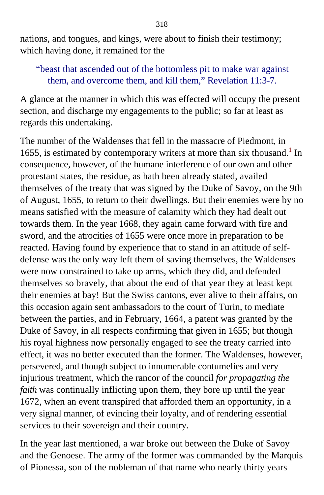nations, and tongues, and kings, were about to finish their testimony; which having done, it remained for the

## "beast that ascended out of the bottomless pit to make war against them, and overcome them, and kill them," Revelation 11:3-7.

A glance at the manner in which this was effected will occupy the present section, and discharge my engagements to the public; so far at least as regards this undertaking.

The number of the Waldenses that fell in the massacre of Piedmont, in [1](#page-415-1)655, is estimated by contemporary writers at more than six thousand.<sup>1</sup> In consequence, however, of the humane interference of our own and other protestant states, the residue, as hath been already stated, availed themselves of the treaty that was signed by the Duke of Savoy, on the 9th of August, 1655, to return to their dwellings. But their enemies were by no means satisfied with the measure of calamity which they had dealt out towards them. In the year 1668, they again came forward with fire and sword, and the atrocities of 1655 were once more in preparation to be reacted. Having found by experience that to stand in an attitude of selfdefense was the only way left them of saving themselves, the Waldenses were now constrained to take up arms, which they did, and defended themselves so bravely, that about the end of that year they at least kept their enemies at bay! But the Swiss cantons, ever alive to their affairs, on this occasion again sent ambassadors to the court of Turin, to mediate between the parties, and in February, 1664, a patent was granted by the Duke of Savoy, in all respects confirming that given in 1655; but though his royal highness now personally engaged to see the treaty carried into effect, it was no better executed than the former. The Waldenses, however, persevered, and though subject to innumerable contumelies and very injurious treatment, which the rancor of the council *for propagating the faith* was continually inflicting upon them, they bore up until the year 1672, when an event transpired that afforded them an opportunity, in a very signal manner, of evincing their loyalty, and of rendering essential services to their sovereign and their country.

In the year last mentioned, a war broke out between the Duke of Savoy and the Genoese. The army of the former was commanded by the Marquis of Pionessa, son of the nobleman of that name who nearly thirty years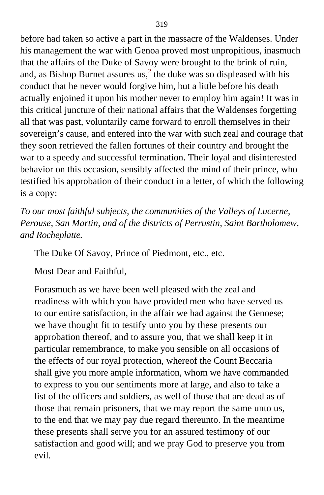before had taken so active a part in the massacre of the Waldenses. Under his management the war with Genoa proved most unpropitious, inasmuch that the affairs of the Duke of Savoy were brought to the brink of ruin, and, as Bishop Burnet assures us,<sup>[2](#page-415-1)</sup> the duke was so displeased with his conduct that he never would forgive him, but a little before his death actually enjoined it upon his mother never to employ him again! It was in this critical juncture of their national affairs that the Waldenses forgetting all that was past, voluntarily came forward to enroll themselves in their sovereign's cause, and entered into the war with such zeal and courage that they soon retrieved the fallen fortunes of their country and brought the war to a speedy and successful termination. Their loyal and disinterested behavior on this occasion, sensibly affected the mind of their prince, who testified his approbation of their conduct in a letter, of which the following is a copy:

*To our most faithful subjects, the communities of the Valleys of Lucerne, Perouse, San Martin, and of the districts of Perrustin, Saint Bartholomew, and Rocheplatte.*

The Duke Of Savoy, Prince of Piedmont, etc., etc.

Most Dear and Faithful,

Forasmuch as we have been well pleased with the zeal and readiness with which you have provided men who have served us to our entire satisfaction, in the affair we had against the Genoese; we have thought fit to testify unto you by these presents our approbation thereof, and to assure you, that we shall keep it in particular remembrance, to make you sensible on all occasions of the effects of our royal protection, whereof the Count Beccaria shall give you more ample information, whom we have commanded to express to you our sentiments more at large, and also to take a list of the officers and soldiers, as well of those that are dead as of those that remain prisoners, that we may report the same unto us, to the end that we may pay due regard thereunto. In the meantime these presents shall serve you for an assured testimony of our satisfaction and good will; and we pray God to preserve you from evil.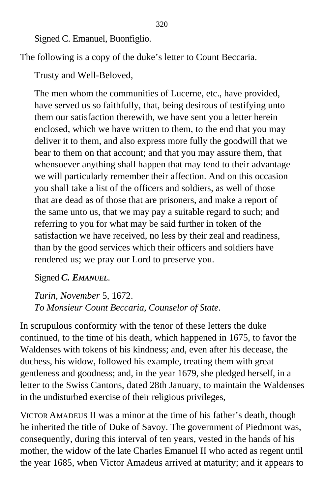Signed C. Emanuel, Buonfiglio.

The following is a copy of the duke's letter to Count Beccaria.

Trusty and Well-Beloved,

The men whom the communities of Lucerne, etc., have provided, have served us so faithfully, that, being desirous of testifying unto them our satisfaction therewith, we have sent you a letter herein enclosed, which we have written to them, to the end that you may deliver it to them, and also express more fully the goodwill that we bear to them on that account; and that you may assure them, that whensoever anything shall happen that may tend to their advantage we will particularly remember their affection. And on this occasion you shall take a list of the officers and soldiers, as well of those that are dead as of those that are prisoners, and make a report of the same unto us, that we may pay a suitable regard to such; and referring to you for what may be said further in token of the satisfaction we have received, no less by their zeal and readiness, than by the good services which their officers and soldiers have rendered us; we pray our Lord to preserve you.

Signed *C. EMANUEL*.

*Turin, November* 5, 1672. *To Monsieur Count Beccaria, Counselor of State.*

In scrupulous conformity with the tenor of these letters the duke continued, to the time of his death, which happened in 1675, to favor the Waldenses with tokens of his kindness; and, even after his decease, the duchess, his widow, followed his example, treating them with great gentleness and goodness; and, in the year 1679, she pledged herself, in a letter to the Swiss Cantons, dated 28th January, to maintain the Waldenses in the undisturbed exercise of their religious privileges,

VICTOR AMADEUS II was a minor at the time of his father's death, though he inherited the title of Duke of Savoy. The government of Piedmont was, consequently, during this interval of ten years, vested in the hands of his mother, the widow of the late Charles Emanuel II who acted as regent until the year 1685, when Victor Amadeus arrived at maturity; and it appears to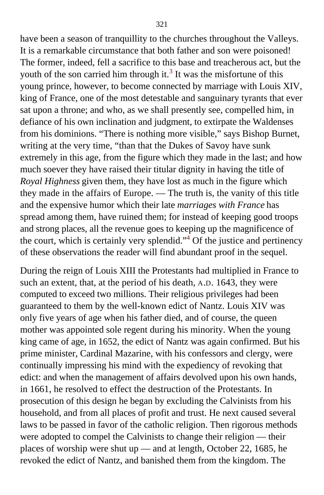have been a season of tranquillity to the churches throughout the Valleys. It is a remarkable circumstance that both father and son were poisoned! The former, indeed, fell a sacrifice to this base and treacherous act, but the youth of the son carried him through it.<sup>[3](#page-415-1)</sup> It was the misfortune of this young prince, however, to become connected by marriage with Louis XIV, king of France, one of the most detestable and sanguinary tyrants that ever sat upon a throne; and who, as we shall presently see, compelled him, in defiance of his own inclination and judgment, to extirpate the Waldenses from his dominions. "There is nothing more visible," says Bishop Burnet, writing at the very time, "than that the Dukes of Savoy have sunk extremely in this age, from the figure which they made in the last; and how much soever they have raised their titular dignity in having the title of *Royal Highness* given them, they have lost as much in the figure which they made in the affairs of Europe. — The truth is, the vanity of this title and the expensive humor which their late *marriages with France* has spread among them, have ruined them; for instead of keeping good troops and strong places, all the revenue goes to keeping up the magnificence of the court, which is certainly very splendid."<sup>[4](#page-415-1)</sup> Of the justice and pertinency of these observations the reader will find abundant proof in the sequel.

During the reign of Louis XIII the Protestants had multiplied in France to such an extent, that, at the period of his death, A.D. 1643, they were computed to exceed two millions. Their religious privileges had been guaranteed to them by the well-known edict of Nantz. Louis XIV was only five years of age when his father died, and of course, the queen mother was appointed sole regent during his minority. When the young king came of age, in 1652, the edict of Nantz was again confirmed. But his prime minister, Cardinal Mazarine, with his confessors and clergy, were continually impressing his mind with the expediency of revoking that edict: and when the management of affairs devolved upon his own hands, in 1661, he resolved to effect the destruction of the Protestants. In prosecution of this design he began by excluding the Calvinists from his household, and from all places of profit and trust. He next caused several laws to be passed in favor of the catholic religion. Then rigorous methods were adopted to compel the Calvinists to change their religion — their places of worship were shut up — and at length, October 22, 1685, he revoked the edict of Nantz, and banished them from the kingdom. The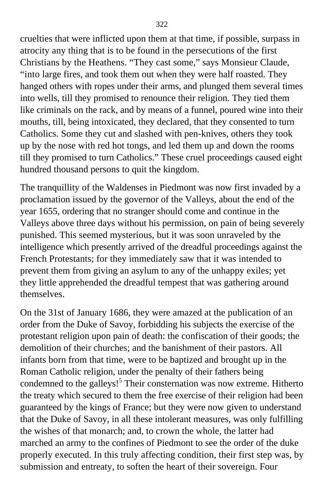cruelties that were inflicted upon them at that time, if possible, surpass in atrocity any thing that is to be found in the persecutions of the first Christians by the Heathens. "They cast some," says Monsieur Claude, "into large fires, and took them out when they were half roasted. They hanged others with ropes under their arms, and plunged them several times into wells, till they promised to renounce their religion. They tied them like criminals on the rack, and by means of a funnel, poured wine into their mouths, till, being intoxicated, they declared, that they consented to turn Catholics. Some they cut and slashed with pen-knives, others they took up by the nose with red hot tongs, and led them up and down the rooms till they promised to turn Catholics." These cruel proceedings caused eight hundred thousand persons to quit the kingdom.

The tranquillity of the Waldenses in Piedmont was now first invaded by a proclamation issued by the governor of the Valleys, about the end of the year 1655, ordering that no stranger should come and continue in the Valleys above three days without his permission, on pain of being severely punished. This seemed mysterious, but it was soon unraveled by the intelligence which presently arrived of the dreadful proceedings against the French Protestants; for they immediately saw that it was intended to prevent them from giving an asylum to any of the unhappy exiles; yet they little apprehended the dreadful tempest that was gathering around themselves.

On the 31st of January 1686, they were amazed at the publication of an order from the Duke of Savoy, forbidding his subjects the exercise of the protestant religion upon pain of death: the confiscation of their goods; the demolition of their churches; and the banishment of their pastors. All infants born from that time, were to be baptized and brought up in the Roman Catholic religion, under the penalty of their fathers being condemned to the galleys!<sup>[5](#page-415-1)</sup> Their consternation was now extreme. Hitherto the treaty which secured to them the free exercise of their religion had been guaranteed by the kings of France; but they were now given to understand that the Duke of Savoy, in all these intolerant measures, was only fulfilling the wishes of that monarch; and, to crown the whole, the latter had marched an army to the confines of Piedmont to see the order of the duke properly executed. In this truly affecting condition, their first step was, by submission and entreaty, to soften the heart of their sovereign. Four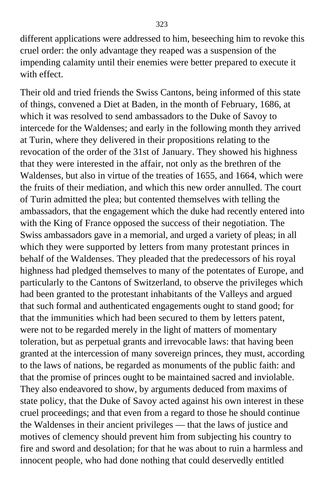different applications were addressed to him, beseeching him to revoke this cruel order: the only advantage they reaped was a suspension of the impending calamity until their enemies were better prepared to execute it with effect.

Their old and tried friends the Swiss Cantons, being informed of this state of things, convened a Diet at Baden, in the month of February, 1686, at which it was resolved to send ambassadors to the Duke of Savoy to intercede for the Waldenses; and early in the following month they arrived at Turin, where they delivered in their propositions relating to the revocation of the order of the 31st of January. They showed his highness that they were interested in the affair, not only as the brethren of the Waldenses, but also in virtue of the treaties of 1655, and 1664, which were the fruits of their mediation, and which this new order annulled. The court of Turin admitted the plea; but contented themselves with telling the ambassadors, that the engagement which the duke had recently entered into with the King of France opposed the success of their negotiation. The Swiss ambassadors gave in a memorial, and urged a variety of pleas; in all which they were supported by letters from many protestant princes in behalf of the Waldenses. They pleaded that the predecessors of his royal highness had pledged themselves to many of the potentates of Europe, and particularly to the Cantons of Switzerland, to observe the privileges which had been granted to the protestant inhabitants of the Valleys and argued that such formal and authenticated engagements ought to stand good; for that the immunities which had been secured to them by letters patent, were not to be regarded merely in the light of matters of momentary toleration, but as perpetual grants and irrevocable laws: that having been granted at the intercession of many sovereign princes, they must, according to the laws of nations, be regarded as monuments of the public faith: and that the promise of princes ought to be maintained sacred and inviolable. They also endeavored to show, by arguments deduced from maxims of state policy, that the Duke of Savoy acted against his own interest in these cruel proceedings; and that even from a regard to those he should continue the Waldenses in their ancient privileges — that the laws of justice and motives of clemency should prevent him from subjecting his country to fire and sword and desolation; for that he was about to ruin a harmless and innocent people, who had done nothing that could deservedly entitled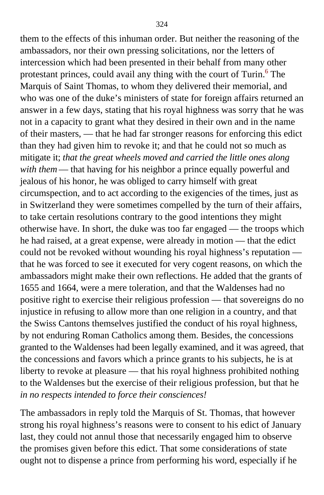them to the effects of this inhuman order. But neither the reasoning of the ambassadors, nor their own pressing solicitations, nor the letters of intercession which had been presented in their behalf from many other protestant princes, could avail any thing with the court of Turin.<sup>[6](#page-415-1)</sup> The Marquis of Saint Thomas, to whom they delivered their memorial, and who was one of the duke's ministers of state for foreign affairs returned an answer in a few days, stating that his royal highness was sorry that he was not in a capacity to grant what they desired in their own and in the name of their masters, — that he had far stronger reasons for enforcing this edict than they had given him to revoke it; and that he could not so much as mitigate it; *that the great wheels moved and carried the little ones along with them* — that having for his neighbor a prince equally powerful and jealous of his honor, he was obliged to carry himself with great circumspection, and to act according to the exigencies of the times, just as in Switzerland they were sometimes compelled by the turn of their affairs, to take certain resolutions contrary to the good intentions they might otherwise have. In short, the duke was too far engaged — the troops which he had raised, at a great expense, were already in motion — that the edict could not be revoked without wounding his royal highness's reputation that he was forced to see it executed for very cogent reasons, on which the ambassadors might make their own reflections. He added that the grants of 1655 and 1664, were a mere toleration, and that the Waldenses had no positive right to exercise their religious profession — that sovereigns do no injustice in refusing to allow more than one religion in a country, and that the Swiss Cantons themselves justified the conduct of his royal highness, by not enduring Roman Catholics among them. Besides, the concessions granted to the Waldenses had been legally examined, and it was agreed, that the concessions and favors which a prince grants to his subjects, he is at liberty to revoke at pleasure — that his royal highness prohibited nothing to the Waldenses but the exercise of their religious profession, but that he *in no respects intended to force their consciences!*

The ambassadors in reply told the Marquis of St. Thomas, that however strong his royal highness's reasons were to consent to his edict of January last, they could not annul those that necessarily engaged him to observe the promises given before this edict. That some considerations of state ought not to dispense a prince from performing his word, especially if he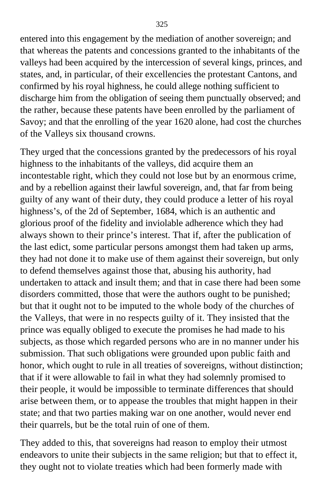entered into this engagement by the mediation of another sovereign; and that whereas the patents and concessions granted to the inhabitants of the valleys had been acquired by the intercession of several kings, princes, and states, and, in particular, of their excellencies the protestant Cantons, and confirmed by his royal highness, he could allege nothing sufficient to discharge him from the obligation of seeing them punctually observed; and the rather, because these patents have been enrolled by the parliament of Savoy; and that the enrolling of the year 1620 alone, had cost the churches of the Valleys six thousand crowns.

They urged that the concessions granted by the predecessors of his royal highness to the inhabitants of the valleys, did acquire them an incontestable right, which they could not lose but by an enormous crime, and by a rebellion against their lawful sovereign, and, that far from being guilty of any want of their duty, they could produce a letter of his royal highness's, of the 2d of September, 1684, which is an authentic and glorious proof of the fidelity and inviolable adherence which they had always shown to their prince's interest. That if, after the publication of the last edict, some particular persons amongst them had taken up arms, they had not done it to make use of them against their sovereign, but only to defend themselves against those that, abusing his authority, had undertaken to attack and insult them; and that in case there had been some disorders committed, those that were the authors ought to be punished; but that it ought not to be imputed to the whole body of the churches of the Valleys, that were in no respects guilty of it. They insisted that the prince was equally obliged to execute the promises he had made to his subjects, as those which regarded persons who are in no manner under his submission. That such obligations were grounded upon public faith and honor, which ought to rule in all treaties of sovereigns, without distinction; that if it were allowable to fail in what they had solemnly promised to their people, it would be impossible to terminate differences that should arise between them, or to appease the troubles that might happen in their state; and that two parties making war on one another, would never end their quarrels, but be the total ruin of one of them.

They added to this, that sovereigns had reason to employ their utmost endeavors to unite their subjects in the same religion; but that to effect it, they ought not to violate treaties which had been formerly made with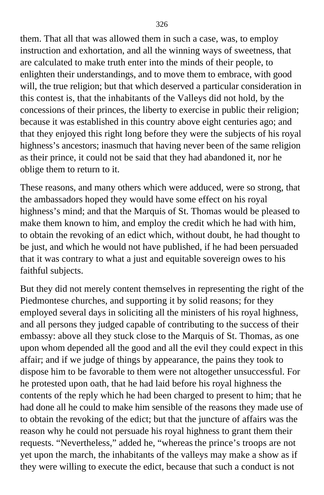them. That all that was allowed them in such a case, was, to employ instruction and exhortation, and all the winning ways of sweetness, that are calculated to make truth enter into the minds of their people, to enlighten their understandings, and to move them to embrace, with good will, the true religion; but that which deserved a particular consideration in this contest is, that the inhabitants of the Valleys did not hold, by the concessions of their princes, the liberty to exercise in public their religion; because it was established in this country above eight centuries ago; and that they enjoyed this right long before they were the subjects of his royal highness's ancestors; inasmuch that having never been of the same religion as their prince, it could not be said that they had abandoned it, nor he oblige them to return to it.

These reasons, and many others which were adduced, were so strong, that the ambassadors hoped they would have some effect on his royal highness's mind; and that the Marquis of St. Thomas would be pleased to make them known to him, and employ the credit which he had with him, to obtain the revoking of an edict which, without doubt, he had thought to be just, and which he would not have published, if he had been persuaded that it was contrary to what a just and equitable sovereign owes to his faithful subjects.

But they did not merely content themselves in representing the right of the Piedmontese churches, and supporting it by solid reasons; for they employed several days in soliciting all the ministers of his royal highness, and all persons they judged capable of contributing to the success of their embassy: above all they stuck close to the Marquis of St. Thomas, as one upon whom depended all the good and all the evil they could expect in this affair; and if we judge of things by appearance, the pains they took to dispose him to be favorable to them were not altogether unsuccessful. For he protested upon oath, that he had laid before his royal highness the contents of the reply which he had been charged to present to him; that he had done all he could to make him sensible of the reasons they made use of to obtain the revoking of the edict; but that the juncture of affairs was the reason why he could not persuade his royal highness to grant them their requests. "Nevertheless," added he, "whereas the prince's troops are not yet upon the march, the inhabitants of the valleys may make a show as if they were willing to execute the edict, because that such a conduct is not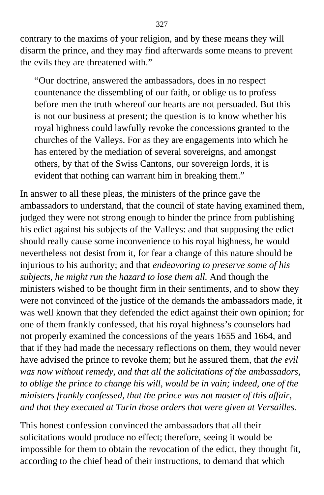contrary to the maxims of your religion, and by these means they will disarm the prince, and they may find afterwards some means to prevent the evils they are threatened with."

"Our doctrine, answered the ambassadors, does in no respect countenance the dissembling of our faith, or oblige us to profess before men the truth whereof our hearts are not persuaded. But this is not our business at present; the question is to know whether his royal highness could lawfully revoke the concessions granted to the churches of the Valleys. For as they are engagements into which he has entered by the mediation of several sovereigns, and amongst others, by that of the Swiss Cantons, our sovereign lords, it is evident that nothing can warrant him in breaking them."

In answer to all these pleas, the ministers of the prince gave the ambassadors to understand, that the council of state having examined them, judged they were not strong enough to hinder the prince from publishing his edict against his subjects of the Valleys: and that supposing the edict should really cause some inconvenience to his royal highness, he would nevertheless not desist from it, for fear a change of this nature should be injurious to his authority; and that *endeavoring to preserve some of his subjects, he might run the hazard to lose them all.* And though the ministers wished to be thought firm in their sentiments, and to show they were not convinced of the justice of the demands the ambassadors made, it was well known that they defended the edict against their own opinion; for one of them frankly confessed, that his royal highness's counselors had not properly examined the concessions of the years 1655 and 1664, and that if they had made the necessary reflections on them, they would never have advised the prince to revoke them; but he assured them, that *the evil was now without remedy, and that all the solicitations of the ambassadors, to oblige the prince to change his will, would be in vain; indeed, one of the ministers frankly confessed, that the prince was not master of this affair, and that they executed at Turin those orders that were given at Versailles.*

This honest confession convinced the ambassadors that all their solicitations would produce no effect; therefore, seeing it would be impossible for them to obtain the revocation of the edict, they thought fit, according to the chief head of their instructions, to demand that which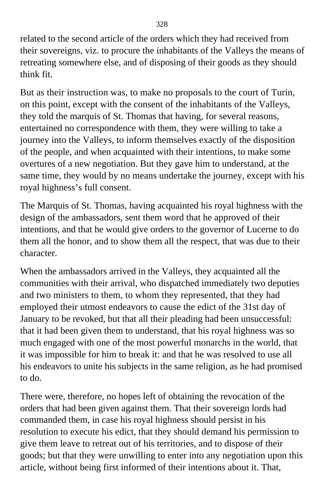related to the second article of the orders which they had received from their sovereigns, viz. to procure the inhabitants of the Valleys the means of retreating somewhere else, and of disposing of their goods as they should think fit.

But as their instruction was, to make no proposals to the court of Turin, on this point, except with the consent of the inhabitants of the Valleys, they told the marquis of St. Thomas that having, for several reasons, entertained no correspondence with them, they were willing to take a journey into the Valleys, to inform themselves exactly of the disposition of the people, and when acquainted with their intentions, to make some overtures of a new negotiation. But they gave him to understand, at the same time, they would by no means undertake the journey, except with his royal highness's full consent.

The Marquis of St. Thomas, having acquainted his royal highness with the design of the ambassadors, sent them word that he approved of their intentions, and that he would give orders to the governor of Lucerne to do them all the honor, and to show them all the respect, that was due to their character.

When the ambassadors arrived in the Valleys, they acquainted all the communities with their arrival, who dispatched immediately two deputies and two ministers to them, to whom they represented, that they had employed their utmost endeavors to cause the edict of the 31st day of January to be revoked, but that all their pleading had been unsuccessful: that it had been given them to understand, that his royal highness was so much engaged with one of the most powerful monarchs in the world, that it was impossible for him to break it: and that he was resolved to use all his endeavors to unite his subjects in the same religion, as he had promised to do.

There were, therefore, no hopes left of obtaining the revocation of the orders that had been given against them. That their sovereign lords had commanded them, in case his royal highness should persist in his resolution to execute his edict, that they should demand his permission to give them leave to retreat out of his territories, and to dispose of their goods; but that they were unwilling to enter into any negotiation upon this article, without being first informed of their intentions about it. That,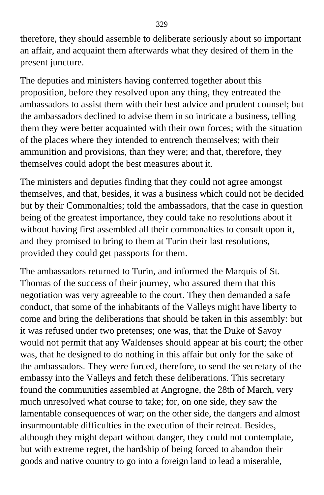therefore, they should assemble to deliberate seriously about so important an affair, and acquaint them afterwards what they desired of them in the present juncture.

The deputies and ministers having conferred together about this proposition, before they resolved upon any thing, they entreated the ambassadors to assist them with their best advice and prudent counsel; but the ambassadors declined to advise them in so intricate a business, telling them they were better acquainted with their own forces; with the situation of the places where they intended to entrench themselves; with their ammunition and provisions, than they were; and that, therefore, they themselves could adopt the best measures about it.

The ministers and deputies finding that they could not agree amongst themselves, and that, besides, it was a business which could not be decided but by their Commonalties; told the ambassadors, that the case in question being of the greatest importance, they could take no resolutions about it without having first assembled all their commonalties to consult upon it, and they promised to bring to them at Turin their last resolutions, provided they could get passports for them.

The ambassadors returned to Turin, and informed the Marquis of St. Thomas of the success of their journey, who assured them that this negotiation was very agreeable to the court. They then demanded a safe conduct, that some of the inhabitants of the Valleys might have liberty to come and bring the deliberations that should be taken in this assembly: but it was refused under two pretenses; one was, that the Duke of Savoy would not permit that any Waldenses should appear at his court; the other was, that he designed to do nothing in this affair but only for the sake of the ambassadors. They were forced, therefore, to send the secretary of the embassy into the Valleys and fetch these deliberations. This secretary found the communities assembled at Angrogne, the 28th of March, very much unresolved what course to take; for, on one side, they saw the lamentable consequences of war; on the other side, the dangers and almost insurmountable difficulties in the execution of their retreat. Besides, although they might depart without danger, they could not contemplate, but with extreme regret, the hardship of being forced to abandon their goods and native country to go into a foreign land to lead a miserable,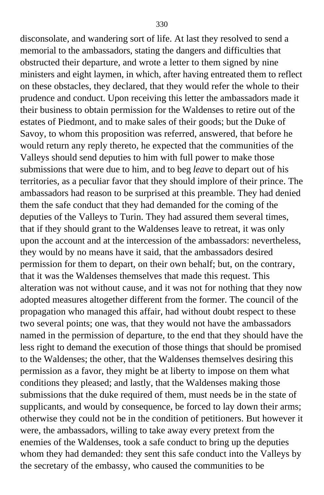disconsolate, and wandering sort of life. At last they resolved to send a memorial to the ambassadors, stating the dangers and difficulties that obstructed their departure, and wrote a letter to them signed by nine ministers and eight laymen, in which, after having entreated them to reflect on these obstacles, they declared, that they would refer the whole to their prudence and conduct. Upon receiving this letter the ambassadors made it their business to obtain permission for the Waldenses to retire out of the estates of Piedmont, and to make sales of their goods; but the Duke of Savoy, to whom this proposition was referred, answered, that before he would return any reply thereto, he expected that the communities of the Valleys should send deputies to him with full power to make those submissions that were due to him, and to beg *leave* to depart out of his territories, as a peculiar favor that they should implore of their prince. The ambassadors had reason to be surprised at this preamble. They had denied them the safe conduct that they had demanded for the coming of the deputies of the Valleys to Turin. They had assured them several times, that if they should grant to the Waldenses leave to retreat, it was only upon the account and at the intercession of the ambassadors: nevertheless, they would by no means have it said, that the ambassadors desired permission for them to depart, on their own behalf; but, on the contrary, that it was the Waldenses themselves that made this request. This alteration was not without cause, and it was not for nothing that they now adopted measures altogether different from the former. The council of the propagation who managed this affair, had without doubt respect to these two several points; one was, that they would not have the ambassadors named in the permission of departure, to the end that they should have the less right to demand the execution of those things that should be promised to the Waldenses; the other, that the Waldenses themselves desiring this permission as a favor, they might be at liberty to impose on them what conditions they pleased; and lastly, that the Waldenses making those submissions that the duke required of them, must needs be in the state of supplicants, and would by consequence, be forced to lay down their arms; otherwise they could not be in the condition of petitioners. But however it were, the ambassadors, willing to take away every pretext from the enemies of the Waldenses, took a safe conduct to bring up the deputies whom they had demanded: they sent this safe conduct into the Valleys by the secretary of the embassy, who caused the communities to be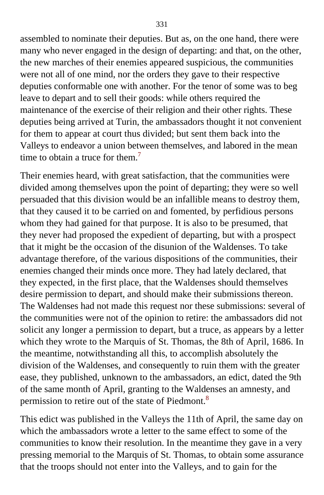assembled to nominate their deputies. But as, on the one hand, there were many who never engaged in the design of departing: and that, on the other, the new marches of their enemies appeared suspicious, the communities were not all of one mind, nor the orders they gave to their respective deputies conformable one with another. For the tenor of some was to beg leave to depart and to sell their goods: while others required the maintenance of the exercise of their religion and their other rights. These deputies being arrived at Turin, the ambassadors thought it not convenient for them to appear at court thus divided; but sent them back into the Valleys to endeavor a union between themselves, and labored in the mean time to obtain a truce for them.<sup>[7](#page-415-0)</sup>

Their enemies heard, with great satisfaction, that the communities were divided among themselves upon the point of departing; they were so well persuaded that this division would be an infallible means to destroy them, that they caused it to be carried on and fomented, by perfidious persons whom they had gained for that purpose. It is also to be presumed, that they never had proposed the expedient of departing, but with a prospect that it might be the occasion of the disunion of the Waldenses. To take advantage therefore, of the various dispositions of the communities, their enemies changed their minds once more. They had lately declared, that they expected, in the first place, that the Waldenses should themselves desire permission to depart, and should make their submissions thereon. The Waldenses had not made this request nor these submissions: several of the communities were not of the opinion to retire: the ambassadors did not solicit any longer a permission to depart, but a truce, as appears by a letter which they wrote to the Marquis of St. Thomas, the 8th of April, 1686. In the meantime, notwithstanding all this, to accomplish absolutely the division of the Waldenses, and consequently to ruin them with the greater ease, they published, unknown to the ambassadors, an edict, dated the 9th of the same month of April, granting to the Waldenses an amnesty, and permission to retire out of the state of Piedmont.[8](#page-415-0)

This edict was published in the Valleys the 11th of April, the same day on which the ambassadors wrote a letter to the same effect to some of the communities to know their resolution. In the meantime they gave in a very pressing memorial to the Marquis of St. Thomas, to obtain some assurance that the troops should not enter into the Valleys, and to gain for the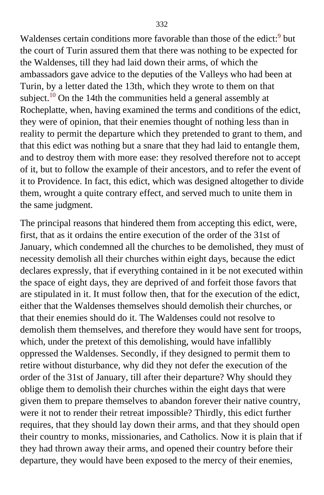Waldenses certain conditions more favorable than those of the edict:<sup>[9](#page-415-0)</sup> but the court of Turin assured them that there was nothing to be expected for the Waldenses, till they had laid down their arms, of which the ambassadors gave advice to the deputies of the Valleys who had been at Turin, by a letter dated the 13th, which they wrote to them on that subject.<sup>[10](#page-415-0)</sup> On the 14th the communities held a general assembly at Rocheplatte, when, having examined the terms and conditions of the edict, they were of opinion, that their enemies thought of nothing less than in reality to permit the departure which they pretended to grant to them, and that this edict was nothing but a snare that they had laid to entangle them, and to destroy them with more ease: they resolved therefore not to accept of it, but to follow the example of their ancestors, and to refer the event of it to Providence. In fact, this edict, which was designed altogether to divide them, wrought a quite contrary effect, and served much to unite them in the same judgment.

The principal reasons that hindered them from accepting this edict, were, first, that as it ordains the entire execution of the order of the 31st of January, which condemned all the churches to be demolished, they must of necessity demolish all their churches within eight days, because the edict declares expressly, that if everything contained in it be not executed within the space of eight days, they are deprived of and forfeit those favors that are stipulated in it. It must follow then, that for the execution of the edict, either that the Waldenses themselves should demolish their churches, or that their enemies should do it. The Waldenses could not resolve to demolish them themselves, and therefore they would have sent for troops, which, under the pretext of this demolishing, would have infallibly oppressed the Waldenses. Secondly, if they designed to permit them to retire without disturbance, why did they not defer the execution of the order of the 31st of January, till after their departure? Why should they oblige them to demolish their churches within the eight days that were given them to prepare themselves to abandon forever their native country, were it not to render their retreat impossible? Thirdly, this edict further requires, that they should lay down their arms, and that they should open their country to monks, missionaries, and Catholics. Now it is plain that if they had thrown away their arms, and opened their country before their departure, they would have been exposed to the mercy of their enemies,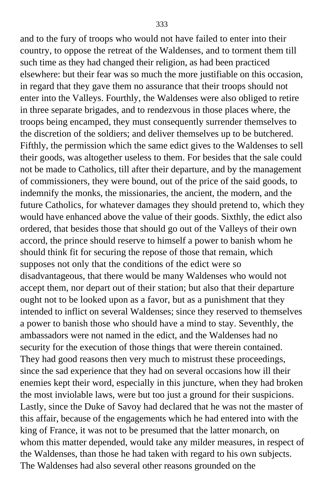and to the fury of troops who would not have failed to enter into their country, to oppose the retreat of the Waldenses, and to torment them till such time as they had changed their religion, as had been practiced elsewhere: but their fear was so much the more justifiable on this occasion, in regard that they gave them no assurance that their troops should not enter into the Valleys. Fourthly, the Waldenses were also obliged to retire in three separate brigades, and to rendezvous in those places where, the troops being encamped, they must consequently surrender themselves to the discretion of the soldiers; and deliver themselves up to be butchered. Fifthly, the permission which the same edict gives to the Waldenses to sell their goods, was altogether useless to them. For besides that the sale could not be made to Catholics, till after their departure, and by the management of commissioners, they were bound, out of the price of the said goods, to indemnify the monks, the missionaries, the ancient, the modern, and the future Catholics, for whatever damages they should pretend to, which they would have enhanced above the value of their goods. Sixthly, the edict also ordered, that besides those that should go out of the Valleys of their own accord, the prince should reserve to himself a power to banish whom he should think fit for securing the repose of those that remain, which supposes not only that the conditions of the edict were so disadvantageous, that there would be many Waldenses who would not accept them, nor depart out of their station; but also that their departure ought not to be looked upon as a favor, but as a punishment that they intended to inflict on several Waldenses; since they reserved to themselves a power to banish those who should have a mind to stay. Seventhly, the ambassadors were not named in the edict, and the Waldenses had no security for the execution of those things that were therein contained. They had good reasons then very much to mistrust these proceedings, since the sad experience that they had on several occasions how ill their enemies kept their word, especially in this juncture, when they had broken the most inviolable laws, were but too just a ground for their suspicions. Lastly, since the Duke of Savoy had declared that he was not the master of this affair, because of the engagements which he had entered into with the king of France, it was not to be presumed that the latter monarch, on whom this matter depended, would take any milder measures, in respect of the Waldenses, than those he had taken with regard to his own subjects. The Waldenses had also several other reasons grounded on the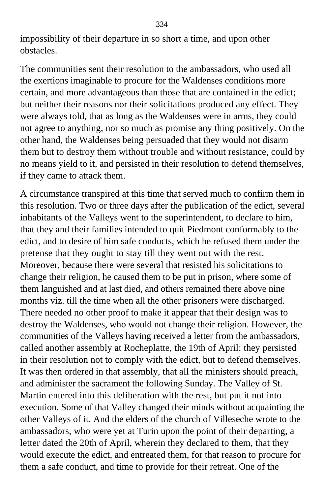impossibility of their departure in so short a time, and upon other obstacles.

The communities sent their resolution to the ambassadors, who used all the exertions imaginable to procure for the Waldenses conditions more certain, and more advantageous than those that are contained in the edict; but neither their reasons nor their solicitations produced any effect. They were always told, that as long as the Waldenses were in arms, they could not agree to anything, nor so much as promise any thing positively. On the other hand, the Waldenses being persuaded that they would not disarm them but to destroy them without trouble and without resistance, could by no means yield to it, and persisted in their resolution to defend themselves, if they came to attack them.

A circumstance transpired at this time that served much to confirm them in this resolution. Two or three days after the publication of the edict, several inhabitants of the Valleys went to the superintendent, to declare to him, that they and their families intended to quit Piedmont conformably to the edict, and to desire of him safe conducts, which he refused them under the pretense that they ought to stay till they went out with the rest. Moreover, because there were several that resisted his solicitations to change their religion, he caused them to be put in prison, where some of them languished and at last died, and others remained there above nine months viz. till the time when all the other prisoners were discharged. There needed no other proof to make it appear that their design was to destroy the Waldenses, who would not change their religion. However, the communities of the Valleys having received a letter from the ambassadors, called another assembly at Rocheplatte, the 19th of April: they persisted in their resolution not to comply with the edict, but to defend themselves. It was then ordered in that assembly, that all the ministers should preach, and administer the sacrament the following Sunday. The Valley of St. Martin entered into this deliberation with the rest, but put it not into execution. Some of that Valley changed their minds without acquainting the other Valleys of it. And the elders of the church of Villeseche wrote to the ambassadors, who were yet at Turin upon the point of their departing, a letter dated the 20th of April, wherein they declared to them, that they would execute the edict, and entreated them, for that reason to procure for them a safe conduct, and time to provide for their retreat. One of the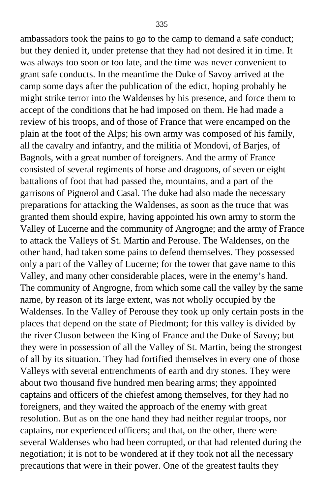ambassadors took the pains to go to the camp to demand a safe conduct; but they denied it, under pretense that they had not desired it in time. It was always too soon or too late, and the time was never convenient to grant safe conducts. In the meantime the Duke of Savoy arrived at the camp some days after the publication of the edict, hoping probably he might strike terror into the Waldenses by his presence, and force them to accept of the conditions that he had imposed on them. He had made a review of his troops, and of those of France that were encamped on the plain at the foot of the Alps; his own army was composed of his family, all the cavalry and infantry, and the militia of Mondovi, of Barjes, of Bagnols, with a great number of foreigners. And the army of France consisted of several regiments of horse and dragoons, of seven or eight battalions of foot that had passed the, mountains, and a part of the garrisons of Pignerol and Casal. The duke had also made the necessary preparations for attacking the Waldenses, as soon as the truce that was granted them should expire, having appointed his own army to storm the Valley of Lucerne and the community of Angrogne; and the army of France to attack the Valleys of St. Martin and Perouse. The Waldenses, on the other hand, had taken some pains to defend themselves. They possessed only a part of the Valley of Lucerne; for the tower that gave name to this Valley, and many other considerable places, were in the enemy's hand. The community of Angrogne, from which some call the valley by the same name, by reason of its large extent, was not wholly occupied by the Waldenses. In the Valley of Perouse they took up only certain posts in the places that depend on the state of Piedmont; for this valley is divided by the river Cluson between the King of France and the Duke of Savoy; but they were in possession of all the Valley of St. Martin, being the strongest of all by its situation. They had fortified themselves in every one of those Valleys with several entrenchments of earth and dry stones. They were about two thousand five hundred men bearing arms; they appointed captains and officers of the chiefest among themselves, for they had no foreigners, and they waited the approach of the enemy with great resolution. But as on the one hand they had neither regular troops, nor captains, nor experienced officers; and that, on the other, there were several Waldenses who had been corrupted, or that had relented during the negotiation; it is not to be wondered at if they took not all the necessary precautions that were in their power. One of the greatest faults they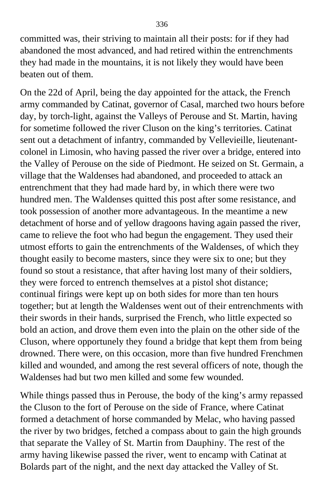committed was, their striving to maintain all their posts: for if they had abandoned the most advanced, and had retired within the entrenchments they had made in the mountains, it is not likely they would have been beaten out of them.

On the 22d of April, being the day appointed for the attack, the French army commanded by Catinat, governor of Casal, marched two hours before day, by torch-light, against the Valleys of Perouse and St. Martin, having for sometime followed the river Cluson on the king's territories. Catinat sent out a detachment of infantry, commanded by Vellevieille, lieutenantcolonel in Limosin, who having passed the river over a bridge, entered into the Valley of Perouse on the side of Piedmont. He seized on St. Germain, a village that the Waldenses had abandoned, and proceeded to attack an entrenchment that they had made hard by, in which there were two hundred men. The Waldenses quitted this post after some resistance, and took possession of another more advantageous. In the meantime a new detachment of horse and of yellow dragoons having again passed the river, came to relieve the foot who had begun the engagement. They used their utmost efforts to gain the entrenchments of the Waldenses, of which they thought easily to become masters, since they were six to one; but they found so stout a resistance, that after having lost many of their soldiers, they were forced to entrench themselves at a pistol shot distance; continual firings were kept up on both sides for more than ten hours together; but at length the Waldenses went out of their entrenchments with their swords in their hands, surprised the French, who little expected so bold an action, and drove them even into the plain on the other side of the Cluson, where opportunely they found a bridge that kept them from being drowned. There were, on this occasion, more than five hundred Frenchmen killed and wounded, and among the rest several officers of note, though the Waldenses had but two men killed and some few wounded.

While things passed thus in Perouse, the body of the king's army repassed the Cluson to the fort of Perouse on the side of France, where Catinat formed a detachment of horse commanded by Melac, who having passed the river by two bridges, fetched a compass about to gain the high grounds that separate the Valley of St. Martin from Dauphiny. The rest of the army having likewise passed the river, went to encamp with Catinat at Bolards part of the night, and the next day attacked the Valley of St.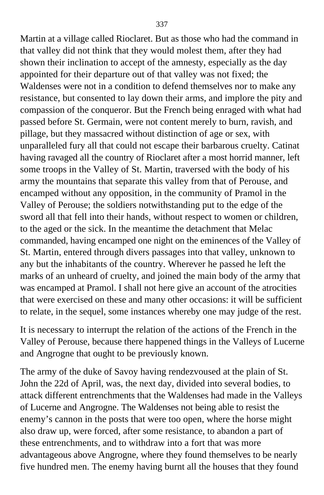Martin at a village called Rioclaret. But as those who had the command in that valley did not think that they would molest them, after they had shown their inclination to accept of the amnesty, especially as the day appointed for their departure out of that valley was not fixed; the Waldenses were not in a condition to defend themselves nor to make any resistance, but consented to lay down their arms, and implore the pity and compassion of the conqueror. But the French being enraged with what had passed before St. Germain, were not content merely to burn, ravish, and pillage, but they massacred without distinction of age or sex, with unparalleled fury all that could not escape their barbarous cruelty. Catinat having ravaged all the country of Rioclaret after a most horrid manner, left some troops in the Valley of St. Martin, traversed with the body of his army the mountains that separate this valley from that of Perouse, and encamped without any opposition, in the community of Pramol in the Valley of Perouse; the soldiers notwithstanding put to the edge of the sword all that fell into their hands, without respect to women or children, to the aged or the sick. In the meantime the detachment that Melac commanded, having encamped one night on the eminences of the Valley of St. Martin, entered through divers passages into that valley, unknown to any but the inhabitants of the country. Wherever he passed he left the marks of an unheard of cruelty, and joined the main body of the army that was encamped at Pramol. I shall not here give an account of the atrocities that were exercised on these and many other occasions: it will be sufficient to relate, in the sequel, some instances whereby one may judge of the rest.

It is necessary to interrupt the relation of the actions of the French in the Valley of Perouse, because there happened things in the Valleys of Lucerne and Angrogne that ought to be previously known.

The army of the duke of Savoy having rendezvoused at the plain of St. John the 22d of April, was, the next day, divided into several bodies, to attack different entrenchments that the Waldenses had made in the Valleys of Lucerne and Angrogne. The Waldenses not being able to resist the enemy's cannon in the posts that were too open, where the horse might also draw up, were forced, after some resistance, to abandon a part of these entrenchments, and to withdraw into a fort that was more advantageous above Angrogne, where they found themselves to be nearly five hundred men. The enemy having burnt all the houses that they found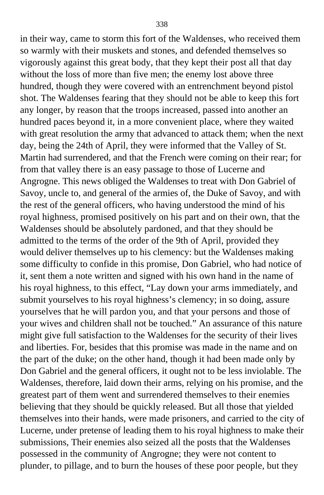in their way, came to storm this fort of the Waldenses, who received them so warmly with their muskets and stones, and defended themselves so vigorously against this great body, that they kept their post all that day without the loss of more than five men; the enemy lost above three hundred, though they were covered with an entrenchment beyond pistol shot. The Waldenses fearing that they should not be able to keep this fort any longer, by reason that the troops increased, passed into another an hundred paces beyond it, in a more convenient place, where they waited with great resolution the army that advanced to attack them; when the next day, being the 24th of April, they were informed that the Valley of St. Martin had surrendered, and that the French were coming on their rear; for from that valley there is an easy passage to those of Lucerne and Angrogne. This news obliged the Waldenses to treat with Don Gabriel of Savoy, uncle to, and general of the armies of, the Duke of Savoy, and with the rest of the general officers, who having understood the mind of his royal highness, promised positively on his part and on their own, that the Waldenses should be absolutely pardoned, and that they should be admitted to the terms of the order of the 9th of April, provided they would deliver themselves up to his clemency: but the Waldenses making some difficulty to confide in this promise, Don Gabriel, who had notice of it, sent them a note written and signed with his own hand in the name of his royal highness, to this effect, "Lay down your arms immediately, and submit yourselves to his royal highness's clemency; in so doing, assure yourselves that he will pardon you, and that your persons and those of your wives and children shall not be touched." An assurance of this nature might give full satisfaction to the Waldenses for the security of their lives and liberties. For, besides that this promise was made in the name and on the part of the duke; on the other hand, though it had been made only by Don Gabriel and the general officers, it ought not to be less inviolable. The Waldenses, therefore, laid down their arms, relying on his promise, and the greatest part of them went and surrendered themselves to their enemies believing that they should be quickly released. But all those that yielded themselves into their hands, were made prisoners, and carried to the city of Lucerne, under pretense of leading them to his royal highness to make their submissions, Their enemies also seized all the posts that the Waldenses possessed in the community of Angrogne; they were not content to plunder, to pillage, and to burn the houses of these poor people, but they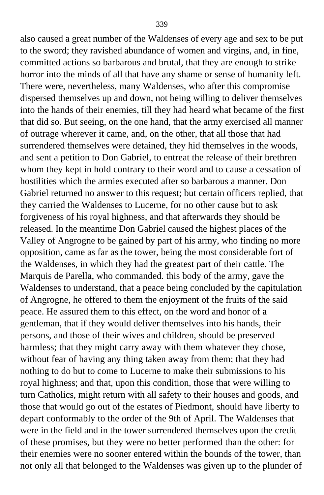also caused a great number of the Waldenses of every age and sex to be put to the sword; they ravished abundance of women and virgins, and, in fine, committed actions so barbarous and brutal, that they are enough to strike horror into the minds of all that have any shame or sense of humanity left. There were, nevertheless, many Waldenses, who after this compromise dispersed themselves up and down, not being willing to deliver themselves into the hands of their enemies, till they had heard what became of the first that did so. But seeing, on the one hand, that the army exercised all manner of outrage wherever it came, and, on the other, that all those that had surrendered themselves were detained, they hid themselves in the woods, and sent a petition to Don Gabriel, to entreat the release of their brethren whom they kept in hold contrary to their word and to cause a cessation of hostilities which the armies executed after so barbarous a manner. Don Gabriel returned no answer to this request; but certain officers replied, that they carried the Waldenses to Lucerne, for no other cause but to ask forgiveness of his royal highness, and that afterwards they should be released. In the meantime Don Gabriel caused the highest places of the Valley of Angrogne to be gained by part of his army, who finding no more opposition, came as far as the tower, being the most considerable fort of the Waldenses, in which they had the greatest part of their cattle. The Marquis de Parella, who commanded. this body of the army, gave the Waldenses to understand, that a peace being concluded by the capitulation of Angrogne, he offered to them the enjoyment of the fruits of the said peace. He assured them to this effect, on the word and honor of a gentleman, that if they would deliver themselves into his hands, their persons, and those of their wives and children, should be preserved harmless; that they might carry away with them whatever they chose, without fear of having any thing taken away from them; that they had nothing to do but to come to Lucerne to make their submissions to his royal highness; and that, upon this condition, those that were willing to turn Catholics, might return with all safety to their houses and goods, and those that would go out of the estates of Piedmont, should have liberty to depart conformably to the order of the 9th of April. The Waldenses that were in the field and in the tower surrendered themselves upon the credit of these promises, but they were no better performed than the other: for their enemies were no sooner entered within the bounds of the tower, than not only all that belonged to the Waldenses was given up to the plunder of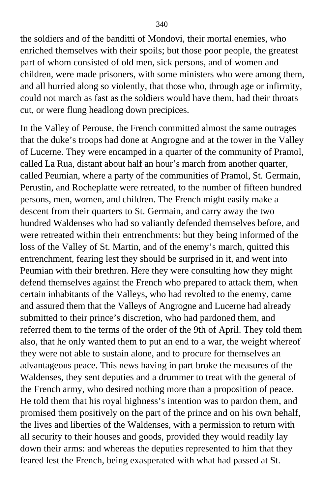the soldiers and of the banditti of Mondovi, their mortal enemies, who enriched themselves with their spoils; but those poor people, the greatest part of whom consisted of old men, sick persons, and of women and children, were made prisoners, with some ministers who were among them, and all hurried along so violently, that those who, through age or infirmity, could not march as fast as the soldiers would have them, had their throats cut, or were flung headlong down precipices.

In the Valley of Perouse, the French committed almost the same outrages that the duke's troops had done at Angrogne and at the tower in the Valley of Lucerne. They were encamped in a quarter of the community of Pramol, called La Rua, distant about half an hour's march from another quarter, called Peumian, where a party of the communities of Pramol, St. Germain, Perustin, and Rocheplatte were retreated, to the number of fifteen hundred persons, men, women, and children. The French might easily make a descent from their quarters to St. Germain, and carry away the two hundred Waldenses who had so valiantly defended themselves before, and were retreated within their entrenchments: but they being informed of the loss of the Valley of St. Martin, and of the enemy's march, quitted this entrenchment, fearing lest they should be surprised in it, and went into Peumian with their brethren. Here they were consulting how they might defend themselves against the French who prepared to attack them, when certain inhabitants of the Valleys, who had revolted to the enemy, came and assured them that the Valleys of Angrogne and Lucerne had already submitted to their prince's discretion, who had pardoned them, and referred them to the terms of the order of the 9th of April. They told them also, that he only wanted them to put an end to a war, the weight whereof they were not able to sustain alone, and to procure for themselves an advantageous peace. This news having in part broke the measures of the Waldenses, they sent deputies and a drummer to treat with the general of the French army, who desired nothing more than a proposition of peace. He told them that his royal highness's intention was to pardon them, and promised them positively on the part of the prince and on his own behalf, the lives and liberties of the Waldenses, with a permission to return with all security to their houses and goods, provided they would readily lay down their arms: and whereas the deputies represented to him that they feared lest the French, being exasperated with what had passed at St.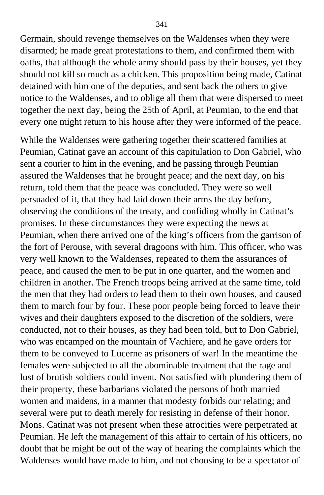Germain, should revenge themselves on the Waldenses when they were disarmed; he made great protestations to them, and confirmed them with oaths, that although the whole army should pass by their houses, yet they should not kill so much as a chicken. This proposition being made, Catinat detained with him one of the deputies, and sent back the others to give notice to the Waldenses, and to oblige all them that were dispersed to meet together the next day, being the 25th of April, at Peumian, to the end that every one might return to his house after they were informed of the peace.

While the Waldenses were gathering together their scattered families at Peumian, Catinat gave an account of this capitulation to Don Gabriel, who sent a courier to him in the evening, and he passing through Peumian assured the Waldenses that he brought peace; and the next day, on his return, told them that the peace was concluded. They were so well persuaded of it, that they had laid down their arms the day before, observing the conditions of the treaty, and confiding wholly in Catinat's promises. In these circumstances they were expecting the news at Peumian, when there arrived one of the king's officers from the garrison of the fort of Perouse, with several dragoons with him. This officer, who was very well known to the Waldenses, repeated to them the assurances of peace, and caused the men to be put in one quarter, and the women and children in another. The French troops being arrived at the same time, told the men that they had orders to lead them to their own houses, and caused them to march four by four. These poor people being forced to leave their wives and their daughters exposed to the discretion of the soldiers, were conducted, not to their houses, as they had been told, but to Don Gabriel, who was encamped on the mountain of Vachiere, and he gave orders for them to be conveyed to Lucerne as prisoners of war! In the meantime the females were subjected to all the abominable treatment that the rage and lust of brutish soldiers could invent. Not satisfied with plundering them of their property, these barbarians violated the persons of both married women and maidens, in a manner that modesty forbids our relating; and several were put to death merely for resisting in defense of their honor. Mons. Catinat was not present when these atrocities were perpetrated at Peumian. He left the management of this affair to certain of his officers, no doubt that he might be out of the way of hearing the complaints which the Waldenses would have made to him, and not choosing to be a spectator of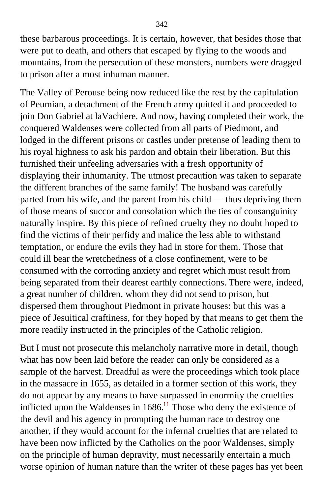these barbarous proceedings. It is certain, however, that besides those that were put to death, and others that escaped by flying to the woods and mountains, from the persecution of these monsters, numbers were dragged to prison after a most inhuman manner.

The Valley of Perouse being now reduced like the rest by the capitulation of Peumian, a detachment of the French army quitted it and proceeded to join Don Gabriel at laVachiere. And now, having completed their work, the conquered Waldenses were collected from all parts of Piedmont, and lodged in the different prisons or castles under pretense of leading them to his royal highness to ask his pardon and obtain their liberation. But this furnished their unfeeling adversaries with a fresh opportunity of displaying their inhumanity. The utmost precaution was taken to separate the different branches of the same family! The husband was carefully parted from his wife, and the parent from his child — thus depriving them of those means of succor and consolation which the ties of consanguinity naturally inspire. By this piece of refined cruelty they no doubt hoped to find the victims of their perfidy and malice the less able to withstand temptation, or endure the evils they had in store for them. Those that could ill bear the wretchedness of a close confinement, were to be consumed with the corroding anxiety and regret which must result from being separated from their dearest earthly connections. There were, indeed, a great number of children, whom they did not send to prison, but dispersed them throughout Piedmont in private houses: but this was a piece of Jesuitical craftiness, for they hoped by that means to get them the more readily instructed in the principles of the Catholic religion.

But I must not prosecute this melancholy narrative more in detail, though what has now been laid before the reader can only be considered as a sample of the harvest. Dreadful as were the proceedings which took place in the massacre in 1655, as detailed in a former section of this work, they do not appear by any means to have surpassed in enormity the cruelties inflicted upon the Waldenses in  $1686<sup>11</sup>$  $1686<sup>11</sup>$  $1686<sup>11</sup>$  Those who deny the existence of the devil and his agency in prompting the human race to destroy one another, if they would account for the infernal cruelties that are related to have been now inflicted by the Catholics on the poor Waldenses, simply on the principle of human depravity, must necessarily entertain a much worse opinion of human nature than the writer of these pages has yet been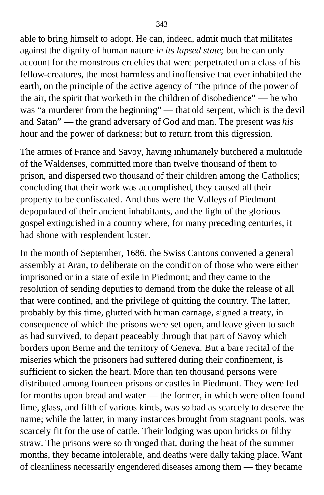able to bring himself to adopt. He can, indeed, admit much that militates against the dignity of human nature *in its lapsed state;* but he can only account for the monstrous cruelties that were perpetrated on a class of his fellow-creatures, the most harmless and inoffensive that ever inhabited the earth, on the principle of the active agency of "the prince of the power of the air, the spirit that worketh in the children of disobedience" — he who was "a murderer from the beginning" — that old serpent, which is the devil and Satan" — the grand adversary of God and man. The present was *his* hour and the power of darkness; but to return from this digression.

The armies of France and Savoy, having inhumanely butchered a multitude of the Waldenses, committed more than twelve thousand of them to prison, and dispersed two thousand of their children among the Catholics; concluding that their work was accomplished, they caused all their property to be confiscated. And thus were the Valleys of Piedmont depopulated of their ancient inhabitants, and the light of the glorious gospel extinguished in a country where, for many preceding centuries, it had shone with resplendent luster.

In the month of September, 1686, the Swiss Cantons convened a general assembly at Aran, to deliberate on the condition of those who were either imprisoned or in a state of exile in Piedmont; and they came to the resolution of sending deputies to demand from the duke the release of all that were confined, and the privilege of quitting the country. The latter, probably by this time, glutted with human carnage, signed a treaty, in consequence of which the prisons were set open, and leave given to such as had survived, to depart peaceably through that part of Savoy which borders upon Berne and the territory of Geneva. But a bare recital of the miseries which the prisoners had suffered during their confinement, is sufficient to sicken the heart. More than ten thousand persons were distributed among fourteen prisons or castles in Piedmont. They were fed for months upon bread and water — the former, in which were often found lime, glass, and filth of various kinds, was so bad as scarcely to deserve the name; while the latter, in many instances brought from stagnant pools, was scarcely fit for the use of cattle. Their lodging was upon bricks or filthy straw. The prisons were so thronged that, during the heat of the summer months, they became intolerable, and deaths were dally taking place. Want of cleanliness necessarily engendered diseases among them — they became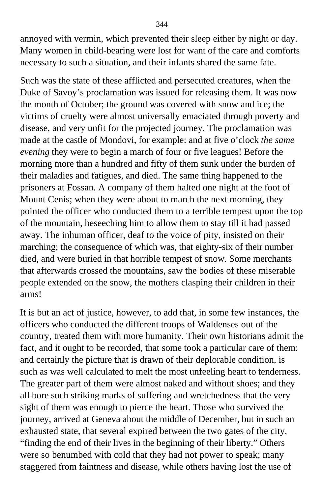annoyed with vermin, which prevented their sleep either by night or day. Many women in child-bearing were lost for want of the care and comforts necessary to such a situation, and their infants shared the same fate.

Such was the state of these afflicted and persecuted creatures, when the Duke of Savoy's proclamation was issued for releasing them. It was now the month of October; the ground was covered with snow and ice; the victims of cruelty were almost universally emaciated through poverty and disease, and very unfit for the projected journey. The proclamation was made at the castle of Mondovi, for example: and at five o'clock *the same evening* they were to begin a march of four or five leagues! Before the morning more than a hundred and fifty of them sunk under the burden of their maladies and fatigues, and died. The same thing happened to the prisoners at Fossan. A company of them halted one night at the foot of Mount Cenis; when they were about to march the next morning, they pointed the officer who conducted them to a terrible tempest upon the top of the mountain, beseeching him to allow them to stay till it had passed away. The inhuman officer, deaf to the voice of pity, insisted on their marching; the consequence of which was, that eighty-six of their number died, and were buried in that horrible tempest of snow. Some merchants that afterwards crossed the mountains, saw the bodies of these miserable people extended on the snow, the mothers clasping their children in their arms!

It is but an act of justice, however, to add that, in some few instances, the officers who conducted the different troops of Waldenses out of the country, treated them with more humanity. Their own historians admit the fact, and it ought to be recorded, that some took a particular care of them: and certainly the picture that is drawn of their deplorable condition, is such as was well calculated to melt the most unfeeling heart to tenderness. The greater part of them were almost naked and without shoes; and they all bore such striking marks of suffering and wretchedness that the very sight of them was enough to pierce the heart. Those who survived the journey, arrived at Geneva about the middle of December, but in such an exhausted state, that several expired between the two gates of the city, "finding the end of their lives in the beginning of their liberty." Others were so benumbed with cold that they had not power to speak; many staggered from faintness and disease, while others having lost the use of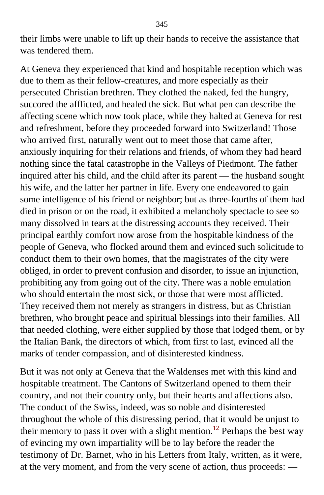their limbs were unable to lift up their hands to receive the assistance that was tendered them.

At Geneva they experienced that kind and hospitable reception which was due to them as their fellow-creatures, and more especially as their persecuted Christian brethren. They clothed the naked, fed the hungry, succored the afflicted, and healed the sick. But what pen can describe the affecting scene which now took place, while they halted at Geneva for rest and refreshment, before they proceeded forward into Switzerland! Those who arrived first, naturally went out to meet those that came after, anxiously inquiring for their relations and friends, of whom they had heard nothing since the fatal catastrophe in the Valleys of Piedmont. The father inquired after his child, and the child after its parent — the husband sought his wife, and the latter her partner in life. Every one endeavored to gain some intelligence of his friend or neighbor; but as three-fourths of them had died in prison or on the road, it exhibited a melancholy spectacle to see so many dissolved in tears at the distressing accounts they received. Their principal earthly comfort now arose from the hospitable kindness of the people of Geneva, who flocked around them and evinced such solicitude to conduct them to their own homes, that the magistrates of the city were obliged, in order to prevent confusion and disorder, to issue an injunction, prohibiting any from going out of the city. There was a noble emulation who should entertain the most sick, or those that were most afflicted. They received them not merely as strangers in distress, but as Christian brethren, who brought peace and spiritual blessings into their families. All that needed clothing, were either supplied by those that lodged them, or by the Italian Bank, the directors of which, from first to last, evinced all the marks of tender compassion, and of disinterested kindness.

But it was not only at Geneva that the Waldenses met with this kind and hospitable treatment. The Cantons of Switzerland opened to them their country, and not their country only, but their hearts and affections also. The conduct of the Swiss, indeed, was so noble and disinterested throughout the whole of this distressing period, that it would be unjust to their memory to pass it over with a slight mention.<sup>[12](#page-416-0)</sup> Perhaps the best way of evincing my own impartiality will be to lay before the reader the testimony of Dr. Barnet, who in his Letters from Italy, written, as it were, at the very moment, and from the very scene of action, thus proceeds: —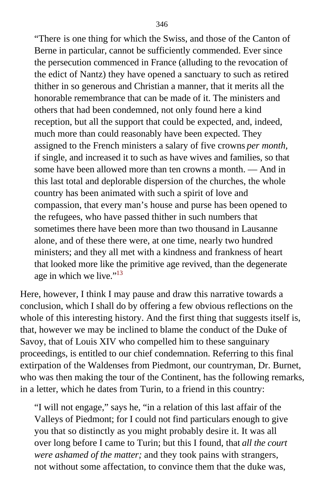"There is one thing for which the Swiss, and those of the Canton of Berne in particular, cannot be sufficiently commended. Ever since the persecution commenced in France (alluding to the revocation of the edict of Nantz) they have opened a sanctuary to such as retired thither in so generous and Christian a manner, that it merits all the honorable remembrance that can be made of it. The ministers and others that had been condemned, not only found here a kind reception, but all the support that could be expected, and, indeed, much more than could reasonably have been expected. They assigned to the French ministers a salary of five crowns *per month,* if single, and increased it to such as have wives and families, so that some have been allowed more than ten crowns a month. — And in this last total and deplorable dispersion of the churches, the whole country has been animated with such a spirit of love and compassion, that every man's house and purse has been opened to the refugees, who have passed thither in such numbers that sometimes there have been more than two thousand in Lausanne alone, and of these there were, at one time, nearly two hundred ministers; and they all met with a kindness and frankness of heart that looked more like the primitive age revived, than the degenerate age in which we live."<sup>[13](#page-417-0)</sup>

Here, however, I think I may pause and draw this narrative towards a conclusion, which I shall do by offering a few obvious reflections on the whole of this interesting history. And the first thing that suggests itself is, that, however we may be inclined to blame the conduct of the Duke of Savoy, that of Louis XIV who compelled him to these sanguinary proceedings, is entitled to our chief condemnation. Referring to this final extirpation of the Waldenses from Piedmont, our countryman, Dr. Burnet, who was then making the tour of the Continent, has the following remarks, in a letter, which he dates from Turin, to a friend in this country:

"I will not engage," says he, "in a relation of this last affair of the Valleys of Piedmont; for I could not find particulars enough to give you that so distinctly as you might probably desire it. It was all over long before I came to Turin; but this I found, that *all the court were ashamed of the matter;* and they took pains with strangers, not without some affectation, to convince them that the duke was,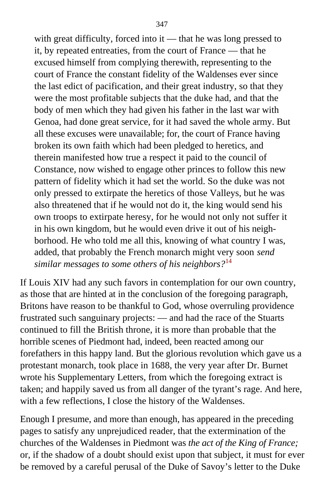with great difficulty, forced into it — that he was long pressed to it, by repeated entreaties, from the court of France — that he excused himself from complying therewith, representing to the court of France the constant fidelity of the Waldenses ever since the last edict of pacification, and their great industry, so that they were the most profitable subjects that the duke had, and that the body of men which they had given his father in the last war with Genoa, had done great service, for it had saved the whole army. But all these excuses were unavailable; for, the court of France having broken its own faith which had been pledged to heretics, and therein manifested how true a respect it paid to the council of Constance, now wished to engage other princes to follow this new pattern of fidelity which it had set the world. So the duke was not only pressed to extirpate the heretics of those Valleys, but he was also threatened that if he would not do it, the king would send his own troops to extirpate heresy, for he would not only not suffer it in his own kingdom, but he would even drive it out of his neighborhood. He who told me all this, knowing of what country I was, added, that probably the French monarch might very soon *send similar messages to some others of his neighbors?*[14](#page-417-0)

If Louis XIV had any such favors in contemplation for our own country, as those that are hinted at in the conclusion of the foregoing paragraph, Britons have reason to be thankful to God, whose overruling providence frustrated such sanguinary projects: — and had the race of the Stuarts continued to fill the British throne, it is more than probable that the horrible scenes of Piedmont had, indeed, been reacted among our forefathers in this happy land. But the glorious revolution which gave us a protestant monarch, took place in 1688, the very year after Dr. Burnet wrote his Supplementary Letters, from which the foregoing extract is taken; and happily saved us from all danger of the tyrant's rage. And here, with a few reflections, I close the history of the Waldenses.

Enough I presume, and more than enough, has appeared in the preceding pages to satisfy any unprejudiced reader, that the extermination of the churches of the Waldenses in Piedmont was *the act of the King of France;* or, if the shadow of a doubt should exist upon that subject, it must for ever be removed by a careful perusal of the Duke of Savoy's letter to the Duke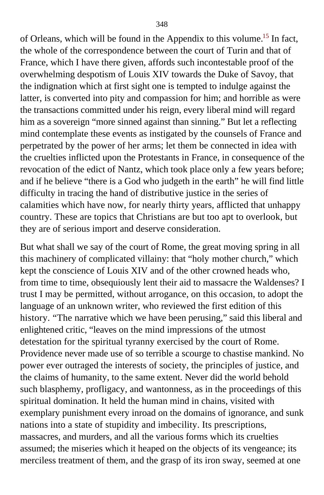of Orleans, which will be found in the Appendix to this volume.[15](#page-417-0) In fact, the whole of the correspondence between the court of Turin and that of France, which I have there given, affords such incontestable proof of the overwhelming despotism of Louis XIV towards the Duke of Savoy, that the indignation which at first sight one is tempted to indulge against the latter, is converted into pity and compassion for him; and horrible as were the transactions committed under his reign, every liberal mind will regard him as a sovereign "more sinned against than sinning." But let a reflecting mind contemplate these events as instigated by the counsels of France and perpetrated by the power of her arms; let them be connected in idea with the cruelties inflicted upon the Protestants in France, in consequence of the revocation of the edict of Nantz, which took place only a few years before; and if he believe "there is a God who judgeth in the earth" he will find little difficulty in tracing the hand of distributive justice in the series of calamities which have now, for nearly thirty years, afflicted that unhappy country. These are topics that Christians are but too apt to overlook, but they are of serious import and deserve consideration.

But what shall we say of the court of Rome, the great moving spring in all this machinery of complicated villainy: that "holy mother church," which kept the conscience of Louis XIV and of the other crowned heads who, from time to time, obsequiously lent their aid to massacre the Waldenses? I trust I may be permitted, without arrogance, on this occasion, to adopt the language of an unknown writer, who reviewed the first edition of this history. "The narrative which we have been perusing," said this liberal and enlightened critic, "leaves on the mind impressions of the utmost detestation for the spiritual tyranny exercised by the court of Rome. Providence never made use of so terrible a scourge to chastise mankind. No power ever outraged the interests of society, the principles of justice, and the claims of humanity, to the same extent. Never did the world behold such blasphemy, profligacy, and wantonness, as in the proceedings of this spiritual domination. It held the human mind in chains, visited with exemplary punishment every inroad on the domains of ignorance, and sunk nations into a state of stupidity and imbecility. Its prescriptions, massacres, and murders, and all the various forms which its cruelties assumed; the miseries which it heaped on the objects of its vengeance; its merciless treatment of them, and the grasp of its iron sway, seemed at one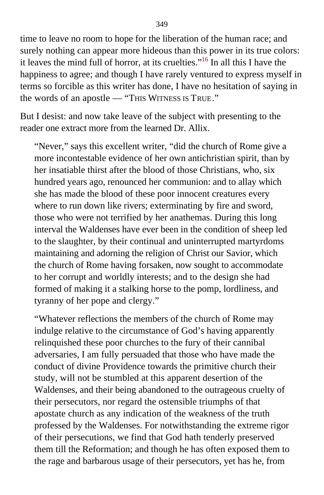time to leave no room to hope for the liberation of the human race; and surely nothing can appear more hideous than this power in its true colors: it leaves the mind full of horror, at its cruelties."[16](#page-417-0) In all this I have the happiness to agree; and though I have rarely ventured to express myself in terms so forcible as this writer has done, I have no hesitation of saying in the words of an apostle — "THIS WITNESS IS TRUE."

But I desist: and now take leave of the subject with presenting to the reader one extract more from the learned Dr. Allix.

"Never," says this excellent writer, "did the church of Rome give a more incontestable evidence of her own antichristian spirit, than by her insatiable thirst after the blood of those Christians, who, six hundred years ago, renounced her communion: and to allay which she has made the blood of these poor innocent creatures every where to run down like rivers; exterminating by fire and sword, those who were not terrified by her anathemas. During this long interval the Waldenses have ever been in the condition of sheep led to the slaughter, by their continual and uninterrupted martyrdoms maintaining and adorning the religion of Christ our Savior, which the church of Rome having forsaken, now sought to accommodate to her corrupt and worldly interests; and to the design she had formed of making it a stalking horse to the pomp, lordliness, and tyranny of her pope and clergy."

"Whatever reflections the members of the church of Rome may indulge relative to the circumstance of God's having apparently relinquished these poor churches to the fury of their cannibal adversaries, I am fully persuaded that those who have made the conduct of divine Providence towards the primitive church their study, will not be stumbled at this apparent desertion of the Waldenses, and their being abandoned to the outrageous cruelty of their persecutors, nor regard the ostensible triumphs of that apostate church as any indication of the weakness of the truth professed by the Waldenses. For notwithstanding the extreme rigor of their persecutions, we find that God hath tenderly preserved them till the Reformation; and though he has often exposed them to the rage and barbarous usage of their persecutors, yet has he, from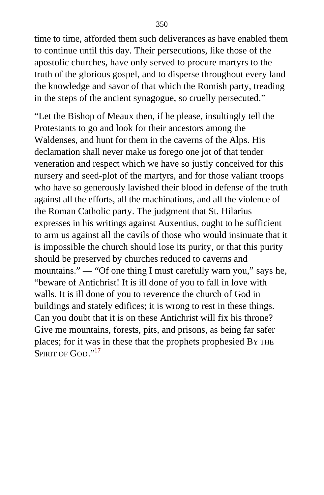time to time, afforded them such deliverances as have enabled them to continue until this day. Their persecutions, like those of the apostolic churches, have only served to procure martyrs to the truth of the glorious gospel, and to disperse throughout every land the knowledge and savor of that which the Romish party, treading in the steps of the ancient synagogue, so cruelly persecuted."

"Let the Bishop of Meaux then, if he please, insultingly tell the Protestants to go and look for their ancestors among the Waldenses, and hunt for them in the caverns of the Alps. His declamation shall never make us forego one jot of that tender veneration and respect which we have so justly conceived for this nursery and seed-plot of the martyrs, and for those valiant troops who have so generously lavished their blood in defense of the truth against all the efforts, all the machinations, and all the violence of the Roman Catholic party. The judgment that St. Hilarius expresses in his writings against Auxentius, ought to be sufficient to arm us against all the cavils of those who would insinuate that it is impossible the church should lose its purity, or that this purity should be preserved by churches reduced to caverns and mountains." — "Of one thing I must carefully warn you," says he, "beware of Antichrist! It is ill done of you to fall in love with walls. It is ill done of you to reverence the church of God in buildings and stately edifices; it is wrong to rest in these things. Can you doubt that it is on these Antichrist will fix his throne? Give me mountains, forests, pits, and prisons, as being far safer places; for it was in these that the prophets prophesied BY THE SPIRIT OF GOD."<sup>[17](#page-417-0)</sup>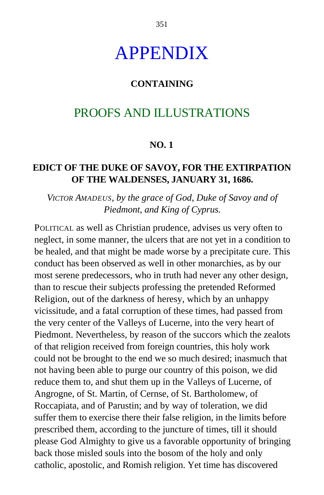# APPENDIX

#### **CONTAINING**

## PROOFS AND ILLUSTRATIONS

#### **NO. 1**

#### **EDICT OF THE DUKE OF SAVOY, FOR THE EXTIRPATION OF THE WALDENSES, JANUARY 31, 1686.**

#### *VICTOR AMADEUS, by the grace of God, Duke of Savoy and of Piedmont, and King of Cyprus.*

POLITICAL as well as Christian prudence, advises us very often to neglect, in some manner, the ulcers that are not yet in a condition to be healed, and that might be made worse by a precipitate cure. This conduct has been observed as well in other monarchies, as by our most serene predecessors, who in truth had never any other design, than to rescue their subjects professing the pretended Reformed Religion, out of the darkness of heresy, which by an unhappy vicissitude, and a fatal corruption of these times, had passed from the very center of the Valleys of Lucerne, into the very heart of Piedmont. Nevertheless, by reason of the succors which the zealots of that religion received from foreign countries, this holy work could not be brought to the end we so much desired; inasmuch that not having been able to purge our country of this poison, we did reduce them to, and shut them up in the Valleys of Lucerne, of Angrogne, of St. Martin, of Cernse, of St. Bartholomew, of Roccapiata, and of Parustin; and by way of toleration, we did suffer them to exercise there their false religion, in the limits before prescribed them, according to the juncture of times, till it should please God Almighty to give us a favorable opportunity of bringing back those misled souls into the bosom of the holy and only catholic, apostolic, and Romish religion. Yet time has discovered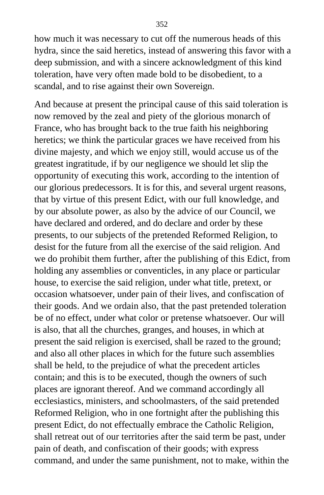how much it was necessary to cut off the numerous heads of this hydra, since the said heretics, instead of answering this favor with a deep submission, and with a sincere acknowledgment of this kind toleration, have very often made bold to be disobedient, to a scandal, and to rise against their own Sovereign.

And because at present the principal cause of this said toleration is now removed by the zeal and piety of the glorious monarch of France, who has brought back to the true faith his neighboring heretics; we think the particular graces we have received from his divine majesty, and which we enjoy still, would accuse us of the greatest ingratitude, if by our negligence we should let slip the opportunity of executing this work, according to the intention of our glorious predecessors. It is for this, and several urgent reasons, that by virtue of this present Edict, with our full knowledge, and by our absolute power, as also by the advice of our Council, we have declared and ordered, and do declare and order by these presents, to our subjects of the pretended Reformed Religion, to desist for the future from all the exercise of the said religion. And we do prohibit them further, after the publishing of this Edict, from holding any assemblies or conventicles, in any place or particular house, to exercise the said religion, under what title, pretext, or occasion whatsoever, under pain of their lives, and confiscation of their goods. And we ordain also, that the past pretended toleration be of no effect, under what color or pretense whatsoever. Our will is also, that all the churches, granges, and houses, in which at present the said religion is exercised, shall be razed to the ground; and also all other places in which for the future such assemblies shall be held, to the prejudice of what the precedent articles contain; and this is to be executed, though the owners of such places are ignorant thereof. And we command accordingly all ecclesiastics, ministers, and schoolmasters, of the said pretended Reformed Religion, who in one fortnight after the publishing this present Edict, do not effectually embrace the Catholic Religion, shall retreat out of our territories after the said term be past, under pain of death, and confiscation of their goods; with express command, and under the same punishment, not to make, within the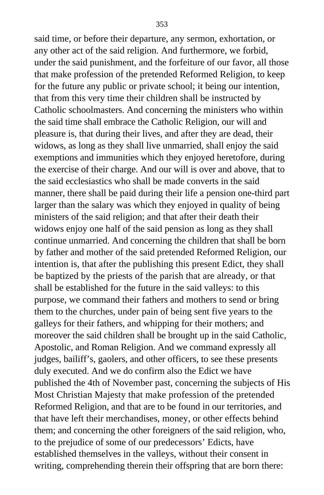said time, or before their departure, any sermon, exhortation, or any other act of the said religion. And furthermore, we forbid, under the said punishment, and the forfeiture of our favor, all those that make profession of the pretended Reformed Religion, to keep for the future any public or private school; it being our intention, that from this very time their children shall be instructed by Catholic schoolmasters. And concerning the ministers who within the said time shall embrace the Catholic Religion, our will and pleasure is, that during their lives, and after they are dead, their widows, as long as they shall live unmarried, shall enjoy the said exemptions and immunities which they enjoyed heretofore, during the exercise of their charge. And our will is over and above, that to the said ecclesiastics who shall be made converts in the said manner, there shall be paid during their life a pension one-third part larger than the salary was which they enjoyed in quality of being ministers of the said religion; and that after their death their widows enjoy one half of the said pension as long as they shall continue unmarried. And concerning the children that shall be born by father and mother of the said pretended Reformed Religion, our intention is, that after the publishing this present Edict, they shall be baptized by the priests of the parish that are already, or that shall be established for the future in the said valleys: to this purpose, we command their fathers and mothers to send or bring them to the churches, under pain of being sent five years to the galleys for their fathers, and whipping for their mothers; and moreover the said children shall be brought up in the said Catholic, Apostolic, and Roman Religion. And we command expressly all judges, bailiff's, gaolers, and other officers, to see these presents duly executed. And we do confirm also the Edict we have published the 4th of November past, concerning the subjects of His Most Christian Majesty that make profession of the pretended Reformed Religion, and that are to be found in our territories, and that have left their merchandises, money, or other effects behind them; and concerning the other foreigners of the said religion, who, to the prejudice of some of our predecessors' Edicts, have established themselves in the valleys, without their consent in writing, comprehending therein their offspring that are born there: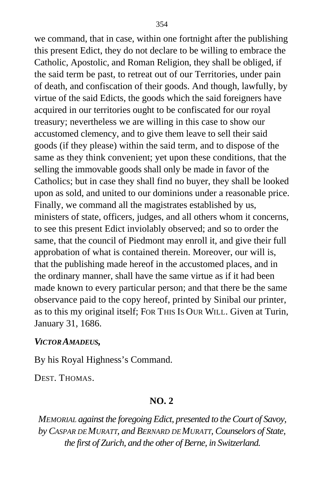we command, that in case, within one fortnight after the publishing this present Edict, they do not declare to be willing to embrace the Catholic, Apostolic, and Roman Religion, they shall be obliged, if the said term be past, to retreat out of our Territories, under pain of death, and confiscation of their goods. And though, lawfully, by virtue of the said Edicts, the goods which the said foreigners have acquired in our territories ought to be confiscated for our royal treasury; nevertheless we are willing in this case to show our accustomed clemency, and to give them leave to sell their said goods (if they please) within the said term, and to dispose of the same as they think convenient; yet upon these conditions, that the selling the immovable goods shall only be made in favor of the Catholics; but in case they shall find no buyer, they shall be looked upon as sold, and united to our dominions under a reasonable price. Finally, we command all the magistrates established by us, ministers of state, officers, judges, and all others whom it concerns, to see this present Edict inviolably observed; and so to order the same, that the council of Piedmont may enroll it, and give their full approbation of what is contained therein. Moreover, our will is, that the publishing made hereof in the accustomed places, and in the ordinary manner, shall have the same virtue as if it had been made known to every particular person; and that there be the same observance paid to the copy hereof, printed by Sinibal our printer, as to this my original itself; FOR THIS IS OUR WILL. Given at Turin, January 31, 1686.

#### *VICTOR AMADEUS,*

By his Royal Highness's Command.

DEST. THOMAS.

#### **NO. 2**

*MEMORIAL against the foregoing Edict, presented to the Court of Savoy, by CASPAR DE MURATT, and BERNARD DE MURATT, Counselors of State, the first of Zurich, and the other of Berne, in Switzerland.*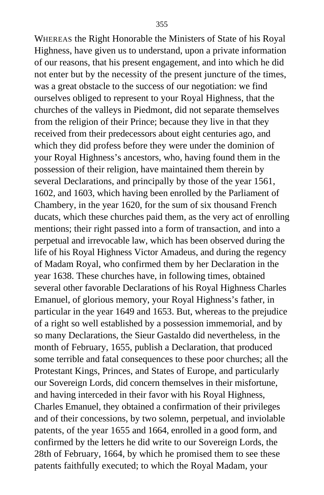WHEREAS the Right Honorable the Ministers of State of his Royal Highness, have given us to understand, upon a private information of our reasons, that his present engagement, and into which he did not enter but by the necessity of the present juncture of the times, was a great obstacle to the success of our negotiation: we find ourselves obliged to represent to your Royal Highness, that the churches of the valleys in Piedmont, did not separate themselves from the religion of their Prince; because they live in that they received from their predecessors about eight centuries ago, and which they did profess before they were under the dominion of your Royal Highness's ancestors, who, having found them in the possession of their religion, have maintained them therein by several Declarations, and principally by those of the year 1561, 1602, and 1603, which having been enrolled by the Parliament of Chambery, in the year 1620, for the sum of six thousand French ducats, which these churches paid them, as the very act of enrolling mentions; their right passed into a form of transaction, and into a perpetual and irrevocable law, which has been observed during the life of his Royal Highness Victor Amadeus, and during the regency of Madam Royal, who confirmed them by her Declaration in the year 1638. These churches have, in following times, obtained several other favorable Declarations of his Royal Highness Charles Emanuel, of glorious memory, your Royal Highness's father, in particular in the year 1649 and 1653. But, whereas to the prejudice of a right so well established by a possession immemorial, and by so many Declarations, the Sieur Gastaldo did nevertheless, in the month of February, 1655, publish a Declaration, that produced some terrible and fatal consequences to these poor churches; all the Protestant Kings, Princes, and States of Europe, and particularly our Sovereign Lords, did concern themselves in their misfortune, and having interceded in their favor with his Royal Highness, Charles Emanuel, they obtained a confirmation of their privileges and of their concessions, by two solemn, perpetual, and inviolable patents, of the year 1655 and 1664, enrolled in a good form, and confirmed by the letters he did write to our Sovereign Lords, the 28th of February, 1664, by which he promised them to see these patents faithfully executed; to which the Royal Madam, your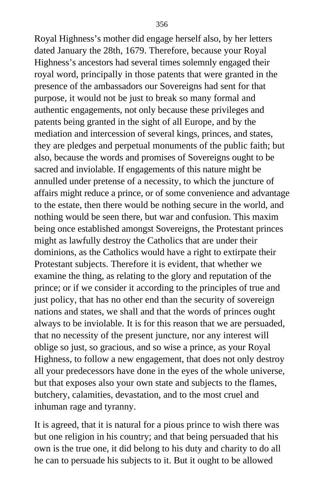Royal Highness's mother did engage herself also, by her letters dated January the 28th, 1679. Therefore, because your Royal Highness's ancestors had several times solemnly engaged their royal word, principally in those patents that were granted in the presence of the ambassadors our Sovereigns had sent for that purpose, it would not be just to break so many formal and authentic engagements, not only because these privileges and patents being granted in the sight of all Europe, and by the mediation and intercession of several kings, princes, and states, they are pledges and perpetual monuments of the public faith; but also, because the words and promises of Sovereigns ought to be sacred and inviolable. If engagements of this nature might be annulled under pretense of a necessity, to which the juncture of affairs might reduce a prince, or of some convenience and advantage to the estate, then there would be nothing secure in the world, and nothing would be seen there, but war and confusion. This maxim being once established amongst Sovereigns, the Protestant princes might as lawfully destroy the Catholics that are under their dominions, as the Catholics would have a right to extirpate their Protestant subjects. Therefore it is evident, that whether we examine the thing, as relating to the glory and reputation of the prince; or if we consider it according to the principles of true and just policy, that has no other end than the security of sovereign nations and states, we shall and that the words of princes ought always to be inviolable. It is for this reason that we are persuaded, that no necessity of the present juncture, nor any interest will oblige so just, so gracious, and so wise a prince, as your Royal Highness, to follow a new engagement, that does not only destroy all your predecessors have done in the eyes of the whole universe, but that exposes also your own state and subjects to the flames, butchery, calamities, devastation, and to the most cruel and inhuman rage and tyranny.

It is agreed, that it is natural for a pious prince to wish there was but one religion in his country; and that being persuaded that his own is the true one, it did belong to his duty and charity to do all he can to persuade his subjects to it. But it ought to be allowed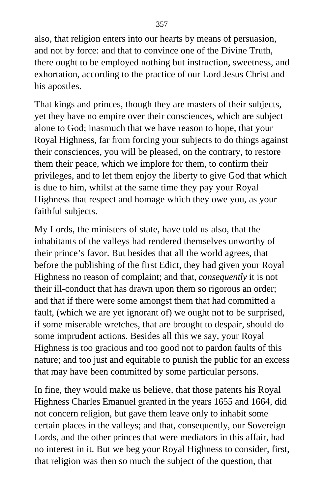also, that religion enters into our hearts by means of persuasion, and not by force: and that to convince one of the Divine Truth, there ought to be employed nothing but instruction, sweetness, and exhortation, according to the practice of our Lord Jesus Christ and his apostles.

That kings and princes, though they are masters of their subjects, yet they have no empire over their consciences, which are subject alone to God; inasmuch that we have reason to hope, that your Royal Highness, far from forcing your subjects to do things against their consciences, you will be pleased, on the contrary, to restore them their peace, which we implore for them, to confirm their privileges, and to let them enjoy the liberty to give God that which is due to him, whilst at the same time they pay your Royal Highness that respect and homage which they owe you, as your faithful subjects.

My Lords, the ministers of state, have told us also, that the inhabitants of the valleys had rendered themselves unworthy of their prince's favor. But besides that all the world agrees, that before the publishing of the first Edict, they had given your Royal Highness no reason of complaint; and that, *consequently* it is not their ill-conduct that has drawn upon them so rigorous an order; and that if there were some amongst them that had committed a fault, (which we are yet ignorant of) we ought not to be surprised, if some miserable wretches, that are brought to despair, should do some imprudent actions. Besides all this we say, your Royal Highness is too gracious and too good not to pardon faults of this nature; and too just and equitable to punish the public for an excess that may have been committed by some particular persons.

In fine, they would make us believe, that those patents his Royal Highness Charles Emanuel granted in the years 1655 and 1664, did not concern religion, but gave them leave only to inhabit some certain places in the valleys; and that, consequently, our Sovereign Lords, and the other princes that were mediators in this affair, had no interest in it. But we beg your Royal Highness to consider, first, that religion was then so much the subject of the question, that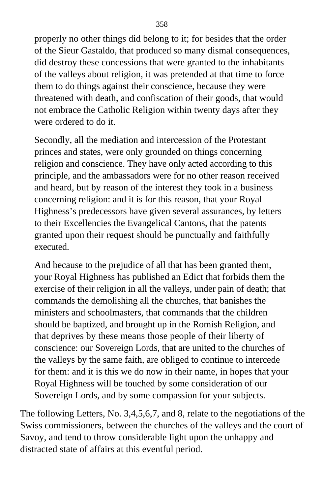properly no other things did belong to it; for besides that the order of the Sieur Gastaldo, that produced so many dismal consequences, did destroy these concessions that were granted to the inhabitants of the valleys about religion, it was pretended at that time to force them to do things against their conscience, because they were threatened with death, and confiscation of their goods, that would not embrace the Catholic Religion within twenty days after they were ordered to do it.

Secondly, all the mediation and intercession of the Protestant princes and states, were only grounded on things concerning religion and conscience. They have only acted according to this principle, and the ambassadors were for no other reason received and heard, but by reason of the interest they took in a business concerning religion: and it is for this reason, that your Royal Highness's predecessors have given several assurances, by letters to their Excellencies the Evangelical Cantons, that the patents granted upon their request should be punctually and faithfully executed.

And because to the prejudice of all that has been granted them, your Royal Highness has published an Edict that forbids them the exercise of their religion in all the valleys, under pain of death; that commands the demolishing all the churches, that banishes the ministers and schoolmasters, that commands that the children should be baptized, and brought up in the Romish Religion, and that deprives by these means those people of their liberty of conscience: our Sovereign Lords, that are united to the churches of the valleys by the same faith, are obliged to continue to intercede for them: and it is this we do now in their name, in hopes that your Royal Highness will be touched by some consideration of our Sovereign Lords, and by some compassion for your subjects.

The following Letters, No. 3,4,5,6,7, and 8, relate to the negotiations of the Swiss commissioners, between the churches of the valleys and the court of Savoy, and tend to throw considerable light upon the unhappy and distracted state of affairs at this eventful period.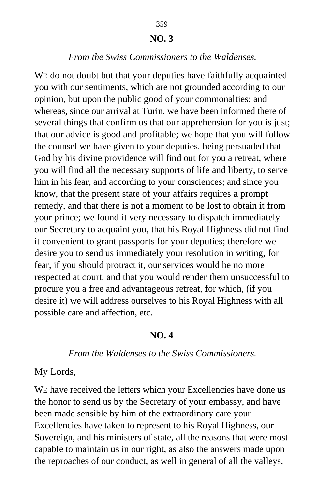### 359 **NO. 3**

#### *From the Swiss Commissioners to the Waldenses.*

WE do not doubt but that your deputies have faithfully acquainted you with our sentiments, which are not grounded according to our opinion, but upon the public good of your commonalties; and whereas, since our arrival at Turin, we have been informed there of several things that confirm us that our apprehension for you is just; that our advice is good and profitable; we hope that you will follow the counsel we have given to your deputies, being persuaded that God by his divine providence will find out for you a retreat, where you will find all the necessary supports of life and liberty, to serve him in his fear, and according to your consciences; and since you know, that the present state of your affairs requires a prompt remedy, and that there is not a moment to be lost to obtain it from your prince; we found it very necessary to dispatch immediately our Secretary to acquaint you, that his Royal Highness did not find it convenient to grant passports for your deputies; therefore we desire you to send us immediately your resolution in writing, for fear, if you should protract it, our services would be no more respected at court, and that you would render them unsuccessful to procure you a free and advantageous retreat, for which, (if you desire it) we will address ourselves to his Royal Highness with all possible care and affection, etc.

#### **NO. 4**

#### *From the Waldenses to the Swiss Commissioners.*

My Lords,

WE have received the letters which your Excellencies have done us the honor to send us by the Secretary of your embassy, and have been made sensible by him of the extraordinary care your Excellencies have taken to represent to his Royal Highness, our Sovereign, and his ministers of state, all the reasons that were most capable to maintain us in our right, as also the answers made upon the reproaches of our conduct, as well in general of all the valleys,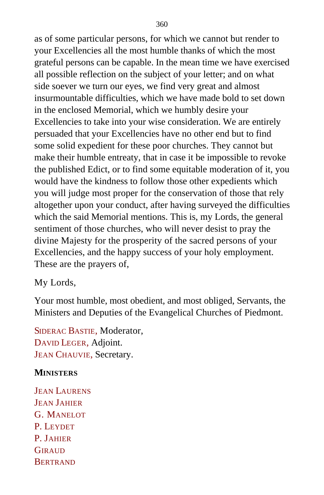as of some particular persons, for which we cannot but render to your Excellencies all the most humble thanks of which the most grateful persons can be capable. In the mean time we have exercised all possible reflection on the subject of your letter; and on what side soever we turn our eyes, we find very great and almost insurmountable difficulties, which we have made bold to set down in the enclosed Memorial, which we humbly desire your Excellencies to take into your wise consideration. We are entirely persuaded that your Excellencies have no other end but to find some solid expedient for these poor churches. They cannot but make their humble entreaty, that in case it be impossible to revoke the published Edict, or to find some equitable moderation of it, you would have the kindness to follow those other expedients which you will judge most proper for the conservation of those that rely altogether upon your conduct, after having surveyed the difficulties which the said Memorial mentions. This is, my Lords, the general sentiment of those churches, who will never desist to pray the divine Majesty for the prosperity of the sacred persons of your Excellencies, and the happy success of your holy employment. These are the prayers of,

My Lords,

Your most humble, most obedient, and most obliged, Servants, the Ministers and Deputies of the Evangelical Churches of Piedmont.

SIDERAC BASTIE, Moderator, DAVID LEGER, Adjoint. JEAN CHAUVIE, Secretary.

## **MINISTERS**

**JEAN LAURENS** JEAN JAHIER G. MANELOT P. LEYDET P. JAHIER **GIRAUD BERTRAND**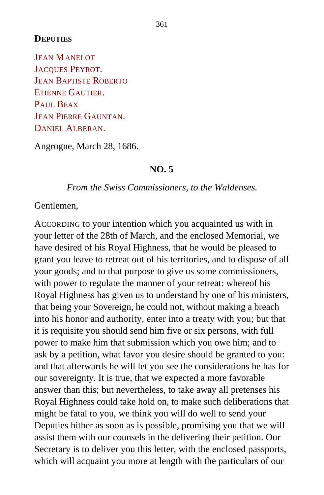#### **DEPUTIES**

JEAN MANELOT JACQUES PEYROT. JEAN BAPTISTE ROBERTO ETIENNE GAUTIER. PAUL BEAX JEAN PIERRE GAUNTAN. DANIEL ALBERAN.

Angrogne, March 28, 1686.

#### **NO. 5**

*From the Swiss Commissioners, to the Waldenses.*

Gentlemen,

ACCORDING to your intention which you acquainted us with in your letter of the 28th of March, and the enclosed Memorial, we have desired of his Royal Highness, that he would be pleased to grant you leave to retreat out of his territories, and to dispose of all your goods; and to that purpose to give us some commissioners, with power to regulate the manner of your retreat: whereof his Royal Highness has given us to understand by one of his ministers, that being your Sovereign, he could not, without making a breach into his honor and authority, enter into a treaty with you; but that it is requisite you should send him five or six persons, with full power to make him that submission which you owe him; and to ask by a petition, what favor you desire should be granted to you: and that afterwards he will let you see the considerations he has for our sovereignty. It is true, that we expected a more favorable answer than this; but nevertheless, to take away all pretenses his Royal Highness could take hold on, to make such deliberations that might be fatal to you, we think you will do well to send your Deputies hither as soon as is possible, promising you that we will assist them with our counsels in the delivering their petition. Our Secretary is to deliver you this letter, with the enclosed passports, which will acquaint you more at length with the particulars of our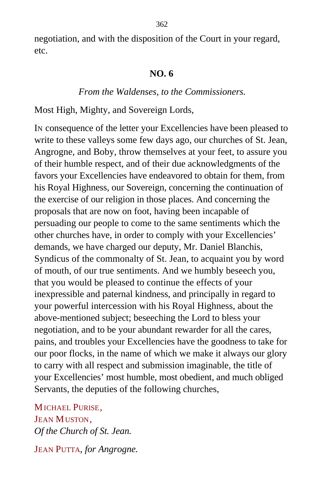negotiation, and with the disposition of the Court in your regard, etc.

#### **NO. 6**

#### *From the Waldenses, to the Commissioners.*

Most High, Mighty, and Sovereign Lords,

IN consequence of the letter your Excellencies have been pleased to write to these valleys some few days ago, our churches of St. Jean, Angrogne, and Boby, throw themselves at your feet, to assure you of their humble respect, and of their due acknowledgments of the favors your Excellencies have endeavored to obtain for them, from his Royal Highness, our Sovereign, concerning the continuation of the exercise of our religion in those places. And concerning the proposals that are now on foot, having been incapable of persuading our people to come to the same sentiments which the other churches have, in order to comply with your Excellencies' demands, we have charged our deputy, Mr. Daniel Blanchis, Syndicus of the commonalty of St. Jean, to acquaint you by word of mouth, of our true sentiments. And we humbly beseech you, that you would be pleased to continue the effects of your inexpressible and paternal kindness, and principally in regard to your powerful intercession with his Royal Highness, about the above-mentioned subject; beseeching the Lord to bless your negotiation, and to be your abundant rewarder for all the cares, pains, and troubles your Excellencies have the goodness to take for our poor flocks, in the name of which we make it always our glory to carry with all respect and submission imaginable, the title of your Excellencies' most humble, most obedient, and much obliged Servants, the deputies of the following churches,

MICHAEL PURISE, JEAN MUSTON. *Of the Church of St. Jean.*

JEAN PUTTA, *for Angrogne*.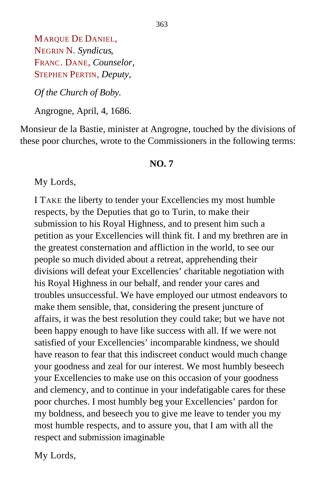MARQUE DE DANIEL, NEGRIN N. *Syndicus*, FRANC. DANE, *Counselor,* STEPHEN PERTIN, *Deputy,*

*Of the Church of Boby.*

Angrogne, April, 4, 1686.

Monsieur de la Bastie, minister at Angrogne, touched by the divisions of these poor churches, wrote to the Commissioners in the following terms:

#### **NO. 7**

My Lords,

I TAKE the liberty to tender your Excellencies my most humble respects, by the Deputies that go to Turin, to make their submission to his Royal Highness, and to present him such a petition as your Excellencies will think fit. I and my brethren are in the greatest consternation and affliction in the world, to see our people so much divided about a retreat, apprehending their divisions will defeat your Excellencies' charitable negotiation with his Royal Highness in our behalf, and render your cares and troubles unsuccessful. We have employed our utmost endeavors to make them sensible, that, considering the present juncture of affairs, it was the best resolution they could take; but we have not been happy enough to have like success with all. If we were not satisfied of your Excellencies' incomparable kindness, we should have reason to fear that this indiscreet conduct would much change your goodness and zeal for our interest. We most humbly beseech your Excellencies to make use on this occasion of your goodness and clemency, and to continue in your indefatigable cares for these poor churches. I most humbly beg your Excellencies' pardon for my boldness, and beseech you to give me leave to tender you my most humble respects, and to assure you, that I am with all the respect and submission imaginable

My Lords,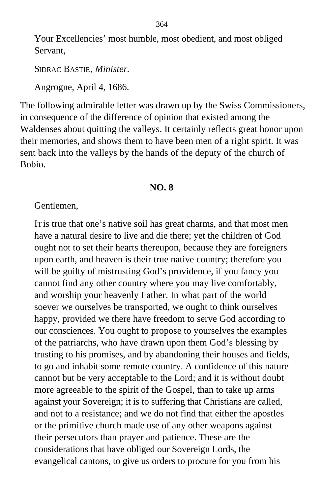Your Excellencies' most humble, most obedient, and most obliged Servant,

SIDRAC BASTIE, *Minister.*

Angrogne, April 4, 1686.

The following admirable letter was drawn up by the Swiss Commissioners, in consequence of the difference of opinion that existed among the Waldenses about quitting the valleys. It certainly reflects great honor upon their memories, and shows them to have been men of a right spirit. It was sent back into the valleys by the hands of the deputy of the church of Bobio.

#### **NO. 8**

#### Gentlemen,

IT is true that one's native soil has great charms, and that most men have a natural desire to live and die there; yet the children of God ought not to set their hearts thereupon, because they are foreigners upon earth, and heaven is their true native country; therefore you will be guilty of mistrusting God's providence, if you fancy you cannot find any other country where you may live comfortably, and worship your heavenly Father. In what part of the world soever we ourselves be transported, we ought to think ourselves happy, provided we there have freedom to serve God according to our consciences. You ought to propose to yourselves the examples of the patriarchs, who have drawn upon them God's blessing by trusting to his promises, and by abandoning their houses and fields, to go and inhabit some remote country. A confidence of this nature cannot but be very acceptable to the Lord; and it is without doubt more agreeable to the spirit of the Gospel, than to take up arms against your Sovereign; it is to suffering that Christians are called, and not to a resistance; and we do not find that either the apostles or the primitive church made use of any other weapons against their persecutors than prayer and patience. These are the considerations that have obliged our Sovereign Lords, the evangelical cantons, to give us orders to procure for you from his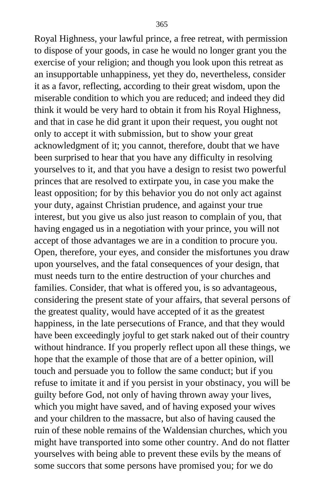Royal Highness, your lawful prince, a free retreat, with permission to dispose of your goods, in case he would no longer grant you the exercise of your religion; and though you look upon this retreat as an insupportable unhappiness, yet they do, nevertheless, consider it as a favor, reflecting, according to their great wisdom, upon the miserable condition to which you are reduced; and indeed they did think it would be very hard to obtain it from his Royal Highness, and that in case he did grant it upon their request, you ought not only to accept it with submission, but to show your great acknowledgment of it; you cannot, therefore, doubt that we have been surprised to hear that you have any difficulty in resolving yourselves to it, and that you have a design to resist two powerful princes that are resolved to extirpate you, in case you make the least opposition; for by this behavior you do not only act against your duty, against Christian prudence, and against your true interest, but you give us also just reason to complain of you, that having engaged us in a negotiation with your prince, you will not accept of those advantages we are in a condition to procure you. Open, therefore, your eyes, and consider the misfortunes you draw upon yourselves, and the fatal consequences of your design, that must needs turn to the entire destruction of your churches and families. Consider, that what is offered you, is so advantageous, considering the present state of your affairs, that several persons of the greatest quality, would have accepted of it as the greatest happiness, in the late persecutions of France, and that they would have been exceedingly joyful to get stark naked out of their country without hindrance. If you properly reflect upon all these things, we hope that the example of those that are of a better opinion, will touch and persuade you to follow the same conduct; but if you refuse to imitate it and if you persist in your obstinacy, you will be guilty before God, not only of having thrown away your lives, which you might have saved, and of having exposed your wives and your children to the massacre, but also of having caused the ruin of these noble remains of the Waldensian churches, which you might have transported into some other country. And do not flatter yourselves with being able to prevent these evils by the means of some succors that some persons have promised you; for we do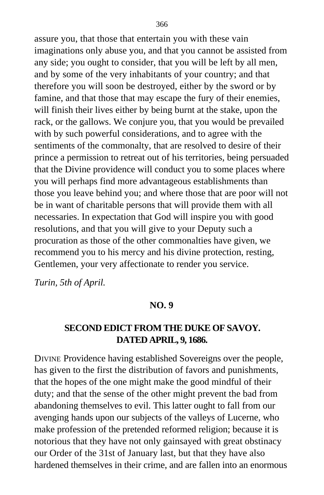assure you, that those that entertain you with these vain imaginations only abuse you, and that you cannot be assisted from any side; you ought to consider, that you will be left by all men, and by some of the very inhabitants of your country; and that therefore you will soon be destroyed, either by the sword or by famine, and that those that may escape the fury of their enemies, will finish their lives either by being burnt at the stake, upon the rack, or the gallows. We conjure you, that you would be prevailed with by such powerful considerations, and to agree with the sentiments of the commonalty, that are resolved to desire of their prince a permission to retreat out of his territories, being persuaded that the Divine providence will conduct you to some places where you will perhaps find more advantageous establishments than those you leave behind you; and where those that are poor will not be in want of charitable persons that will provide them with all necessaries. In expectation that God will inspire you with good resolutions, and that you will give to your Deputy such a procuration as those of the other commonalties have given, we recommend you to his mercy and his divine protection, resting, Gentlemen, your very affectionate to render you service.

*Turin, 5th of April.*

#### **NO. 9**

## **SECOND EDICT FROM THE DUKE OF SAVOY. DATED APRIL, 9, 1686.**

DIVINE Providence having established Sovereigns over the people, has given to the first the distribution of favors and punishments, that the hopes of the one might make the good mindful of their duty; and that the sense of the other might prevent the bad from abandoning themselves to evil. This latter ought to fall from our avenging hands upon our subjects of the valleys of Lucerne, who make profession of the pretended reformed religion; because it is notorious that they have not only gainsayed with great obstinacy our Order of the 31st of January last, but that they have also hardened themselves in their crime, and are fallen into an enormous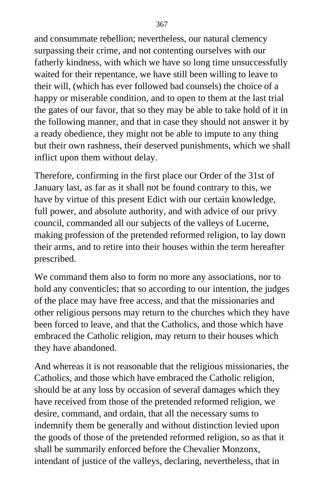and consummate rebellion; nevertheless, our natural clemency surpassing their crime, and not contenting ourselves with our fatherly kindness, with which we have so long time unsuccessfully waited for their repentance, we have still been willing to leave to their will, (which has ever followed bad counsels) the choice of a happy or miserable condition, and to open to them at the last trial the gates of our favor, that so they may be able to take hold of it in the following manner, and that in case they should not answer it by a ready obedience, they might not be able to impute to any thing but their own rashness, their deserved punishments, which we shall inflict upon them without delay.

Therefore, confirming in the first place our Order of the 31st of January last, as far as it shall not be found contrary to this, we have by virtue of this present Edict with our certain knowledge, full power, and absolute authority, and with advice of our privy council, commanded all our subjects of the valleys of Lucerne, making profession of the pretended reformed religion, to lay down their arms, and to retire into their houses within the term hereafter prescribed.

We command them also to form no more any associations, nor to hold any conventicles; that so according to our intention, the judges of the place may have free access, and that the missionaries and other religious persons may return to the churches which they have been forced to leave, and that the Catholics, and those which have embraced the Catholic religion, may return to their houses which they have abandoned.

And whereas it is not reasonable that the religious missionaries, the Catholics, and those which have embraced the Catholic religion, should be at any loss by occasion of several damages which they have received from those of the pretended reformed religion, we desire, command, and ordain, that all the necessary sums to indemnify them be generally and without distinction levied upon the goods of those of the pretended reformed religion, so as that it shall be summarily enforced before the Chevalier Monzonx, intendant of justice of the valleys, declaring, nevertheless, that in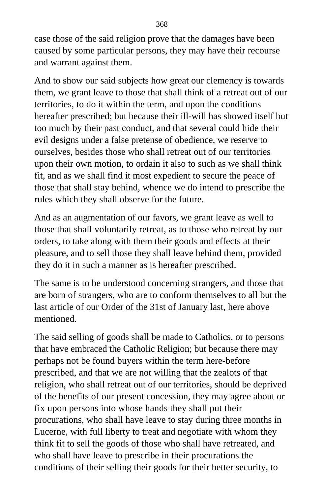case those of the said religion prove that the damages have been caused by some particular persons, they may have their recourse and warrant against them.

And to show our said subjects how great our clemency is towards them, we grant leave to those that shall think of a retreat out of our territories, to do it within the term, and upon the conditions hereafter prescribed; but because their ill-will has showed itself but too much by their past conduct, and that several could hide their evil designs under a false pretense of obedience, we reserve to ourselves, besides those who shall retreat out of our territories upon their own motion, to ordain it also to such as we shall think fit, and as we shall find it most expedient to secure the peace of those that shall stay behind, whence we do intend to prescribe the rules which they shall observe for the future.

And as an augmentation of our favors, we grant leave as well to those that shall voluntarily retreat, as to those who retreat by our orders, to take along with them their goods and effects at their pleasure, and to sell those they shall leave behind them, provided they do it in such a manner as is hereafter prescribed.

The same is to be understood concerning strangers, and those that are born of strangers, who are to conform themselves to all but the last article of our Order of the 31st of January last, here above mentioned.

The said selling of goods shall be made to Catholics, or to persons that have embraced the Catholic Religion; but because there may perhaps not be found buyers within the term here-before prescribed, and that we are not willing that the zealots of that religion, who shall retreat out of our territories, should be deprived of the benefits of our present concession, they may agree about or fix upon persons into whose hands they shall put their procurations, who shall have leave to stay during three months in Lucerne, with full liberty to treat and negotiate with whom they think fit to sell the goods of those who shall have retreated, and who shall have leave to prescribe in their procurations the conditions of their selling their goods for their better security, to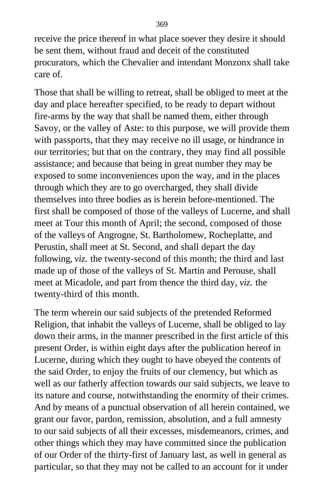receive the price thereof in what place soever they desire it should be sent them, without fraud and deceit of the constituted procurators, which the Chevalier and intendant Monzonx shall take care of.

Those that shall be willing to retreat, shall be obliged to meet at the day and place hereafter specified, to be ready to depart without fire-arms by the way that shall be named them, either through Savoy, or the valley of Aste: to this purpose, we will provide them with passports, that they may receive no ill usage, or hindrance in our territories; but that on the contrary, they may find all possible assistance; and because that being in great number they may be exposed to some inconveniences upon the way, and in the places through which they are to go overcharged, they shall divide themselves into three bodies as is herein before-mentioned. The first shall be composed of those of the valleys of Lucerne, and shall meet at Tour this month of April; the second, composed of those of the valleys of Angrogne, St. Bartholomew, Rocheplatte, and Perustin, shall meet at St. Second, and shall depart the day following, *viz.* the twenty-second of this month; the third and last made up of those of the valleys of St. Martin and Perouse, shall meet at Micadole, and part from thence the third day, *viz.* the twenty-third of this month.

The term wherein our said subjects of the pretended Reformed Religion, that inhabit the valleys of Lucerne, shall be obliged to lay down their arms, in the manner prescribed in the first article of this present Order, is within eight days after the publication hereof in Lucerne, during which they ought to have obeyed the contents of the said Order, to enjoy the fruits of our clemency, but which as well as our fatherly affection towards our said subjects, we leave to its nature and course, notwithstanding the enormity of their crimes. And by means of a punctual observation of all herein contained, we grant our favor, pardon, remission, absolution, and a full amnesty to our said subjects of all their excesses, misdemeanors, crimes, and other things which they may have committed since the publication of our Order of the thirty-first of January last, as well in general as particular, so that they may not be called to an account for it under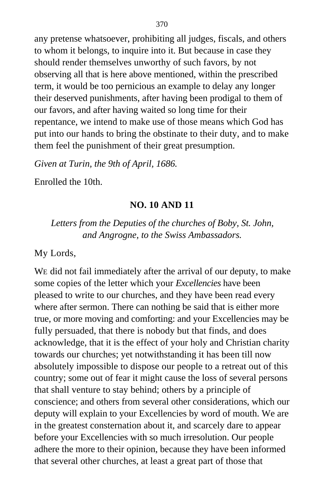any pretense whatsoever, prohibiting all judges, fiscals, and others to whom it belongs, to inquire into it. But because in case they should render themselves unworthy of such favors, by not observing all that is here above mentioned, within the prescribed term, it would be too pernicious an example to delay any longer their deserved punishments, after having been prodigal to them of our favors, and after having waited so long time for their repentance, we intend to make use of those means which God has put into our hands to bring the obstinate to their duty, and to make them feel the punishment of their great presumption.

*Given at Turin, the 9th of April, 1686.*

Enrolled the 10th.

## **NO. 10 AND 11**

*Letters from the Deputies of the churches of Boby, St. John, and Angrogne, to the Swiss Ambassadors.*

My Lords,

WE did not fail immediately after the arrival of our deputy, to make some copies of the letter which your *Excellencies* have been pleased to write to our churches, and they have been read every where after sermon. There can nothing be said that is either more true, or more moving and comforting: and your Excellencies may be fully persuaded, that there is nobody but that finds, and does acknowledge, that it is the effect of your holy and Christian charity towards our churches; yet notwithstanding it has been till now absolutely impossible to dispose our people to a retreat out of this country; some out of fear it might cause the loss of several persons that shall venture to stay behind; others by a principle of conscience; and others from several other considerations, which our deputy will explain to your Excellencies by word of mouth. We are in the greatest consternation about it, and scarcely dare to appear before your Excellencies with so much irresolution. Our people adhere the more to their opinion, because they have been informed that several other churches, at least a great part of those that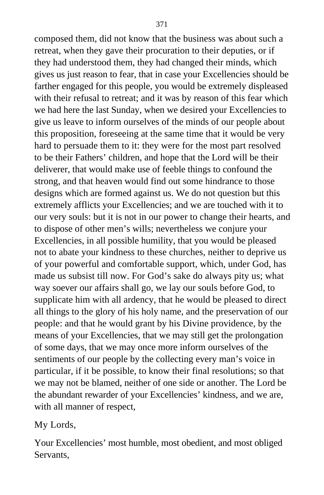composed them, did not know that the business was about such a retreat, when they gave their procuration to their deputies, or if they had understood them, they had changed their minds, which gives us just reason to fear, that in case your Excellencies should be farther engaged for this people, you would be extremely displeased with their refusal to retreat; and it was by reason of this fear which we had here the last Sunday, when we desired your Excellencies to give us leave to inform ourselves of the minds of our people about this proposition, foreseeing at the same time that it would be very hard to persuade them to it: they were for the most part resolved to be their Fathers' children, and hope that the Lord will be their deliverer, that would make use of feeble things to confound the strong, and that heaven would find out some hindrance to those designs which are formed against us. We do not question but this extremely afflicts your Excellencies; and we are touched with it to our very souls: but it is not in our power to change their hearts, and to dispose of other men's wills; nevertheless we conjure your Excellencies, in all possible humility, that you would be pleased not to abate your kindness to these churches, neither to deprive us of your powerful and comfortable support, which, under God, has made us subsist till now. For God's sake do always pity us; what way soever our affairs shall go, we lay our souls before God, to supplicate him with all ardency, that he would be pleased to direct all things to the glory of his holy name, and the preservation of our people: and that he would grant by his Divine providence, by the means of your Excellencies, that we may still get the prolongation of some days, that we may once more inform ourselves of the sentiments of our people by the collecting every man's voice in particular, if it be possible, to know their final resolutions; so that we may not be blamed, neither of one side or another. The Lord be the abundant rewarder of your Excellencies' kindness, and we are, with all manner of respect,

My Lords,

Your Excellencies' most humble, most obedient, and most obliged Servants,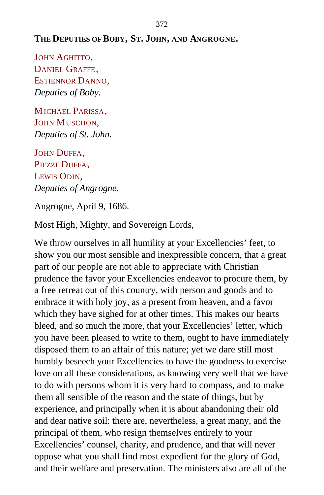## **THE DEPUTIES OF BOBY, ST. JOHN, AND ANGROGNE.**

JOHN AGHITTO, DANIEL GRAFFE, ESTIENNOR DANNO, *Deputies of Boby.*

MICHAEL PARISSA, JOHN MUSCHON, *Deputies of St. John.*

JOHN DUFFA. PIEZZE DUFFA, LEWIS ODIN, *Deputies of Angrogne.*

Angrogne, April 9, 1686.

Most High, Mighty, and Sovereign Lords,

We throw ourselves in all humility at your Excellencies' feet, to show you our most sensible and inexpressible concern, that a great part of our people are not able to appreciate with Christian prudence the favor your Excellencies endeavor to procure them, by a free retreat out of this country, with person and goods and to embrace it with holy joy, as a present from heaven, and a favor which they have sighed for at other times. This makes our hearts bleed, and so much the more, that your Excellencies' letter, which you have been pleased to write to them, ought to have immediately disposed them to an affair of this nature; yet we dare still most humbly beseech your Excellencies to have the goodness to exercise love on all these considerations, as knowing very well that we have to do with persons whom it is very hard to compass, and to make them all sensible of the reason and the state of things, but by experience, and principally when it is about abandoning their old and dear native soil: there are, nevertheless, a great many, and the principal of them, who resign themselves entirely to your Excellencies' counsel, charity, and prudence, and that will never oppose what you shall find most expedient for the glory of God, and their welfare and preservation. The ministers also are all of the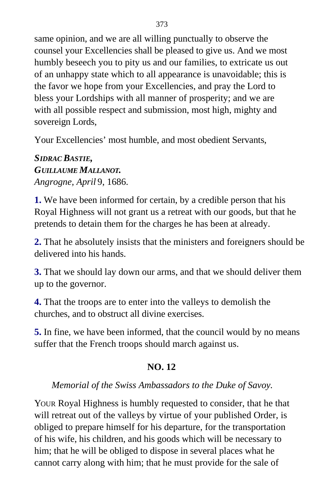same opinion, and we are all willing punctually to observe the counsel your Excellencies shall be pleased to give us. And we most humbly beseech you to pity us and our families, to extricate us out of an unhappy state which to all appearance is unavoidable; this is the favor we hope from your Excellencies, and pray the Lord to bless your Lordships with all manner of prosperity; and we are with all possible respect and submission, most high, mighty and sovereign Lords,

Your Excellencies' most humble, and most obedient Servants,

*SIDRAC BASTIE, GUILLAUME MALLANOT. Angrogne, April* 9, 1686.

**1.** We have been informed for certain, by a credible person that his Royal Highness will not grant us a retreat with our goods, but that he pretends to detain them for the charges he has been at already.

**2.** That he absolutely insists that the ministers and foreigners should be delivered into his hands.

**3.** That we should lay down our arms, and that we should deliver them up to the governor.

**4.** That the troops are to enter into the valleys to demolish the churches, and to obstruct all divine exercises.

**5.** In fine, we have been informed, that the council would by no means suffer that the French troops should march against us.

## **NO. 12**

## *Memorial of the Swiss Ambassadors to the Duke of Savoy.*

YOUR Royal Highness is humbly requested to consider, that he that will retreat out of the valleys by virtue of your published Order, is obliged to prepare himself for his departure, for the transportation of his wife, his children, and his goods which will be necessary to him; that he will be obliged to dispose in several places what he cannot carry along with him; that he must provide for the sale of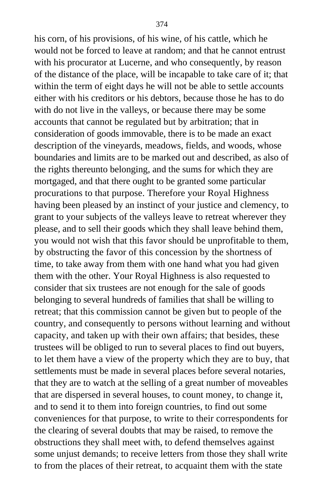his corn, of his provisions, of his wine, of his cattle, which he would not be forced to leave at random; and that he cannot entrust with his procurator at Lucerne, and who consequently, by reason of the distance of the place, will be incapable to take care of it; that within the term of eight days he will not be able to settle accounts either with his creditors or his debtors, because those he has to do with do not live in the valleys, or because there may be some accounts that cannot be regulated but by arbitration; that in consideration of goods immovable, there is to be made an exact description of the vineyards, meadows, fields, and woods, whose boundaries and limits are to be marked out and described, as also of the rights thereunto belonging, and the sums for which they are mortgaged, and that there ought to be granted some particular procurations to that purpose. Therefore your Royal Highness having been pleased by an instinct of your justice and clemency, to grant to your subjects of the valleys leave to retreat wherever they please, and to sell their goods which they shall leave behind them, you would not wish that this favor should be unprofitable to them, by obstructing the favor of this concession by the shortness of time, to take away from them with one hand what you had given them with the other. Your Royal Highness is also requested to consider that six trustees are not enough for the sale of goods belonging to several hundreds of families that shall be willing to retreat; that this commission cannot be given but to people of the country, and consequently to persons without learning and without capacity, and taken up with their own affairs; that besides, these trustees will be obliged to run to several places to find out buyers, to let them have a view of the property which they are to buy, that settlements must be made in several places before several notaries, that they are to watch at the selling of a great number of moveables that are dispersed in several houses, to count money, to change it, and to send it to them into foreign countries, to find out some conveniences for that purpose, to write to their correspondents for the clearing of several doubts that may be raised, to remove the obstructions they shall meet with, to defend themselves against some unjust demands; to receive letters from those they shall write to from the places of their retreat, to acquaint them with the state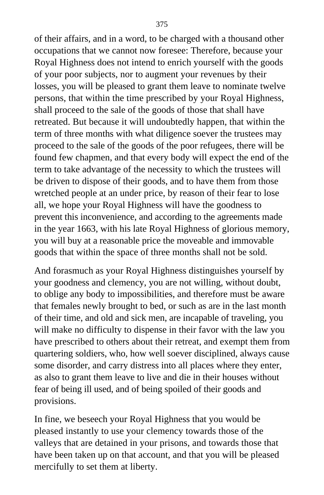of their affairs, and in a word, to be charged with a thousand other occupations that we cannot now foresee: Therefore, because your Royal Highness does not intend to enrich yourself with the goods of your poor subjects, nor to augment your revenues by their losses, you will be pleased to grant them leave to nominate twelve persons, that within the time prescribed by your Royal Highness, shall proceed to the sale of the goods of those that shall have retreated. But because it will undoubtedly happen, that within the term of three months with what diligence soever the trustees may proceed to the sale of the goods of the poor refugees, there will be found few chapmen, and that every body will expect the end of the term to take advantage of the necessity to which the trustees will be driven to dispose of their goods, and to have them from those wretched people at an under price, by reason of their fear to lose all, we hope your Royal Highness will have the goodness to prevent this inconvenience, and according to the agreements made in the year 1663, with his late Royal Highness of glorious memory, you will buy at a reasonable price the moveable and immovable goods that within the space of three months shall not be sold.

And forasmuch as your Royal Highness distinguishes yourself by your goodness and clemency, you are not willing, without doubt, to oblige any body to impossibilities, and therefore must be aware that females newly brought to bed, or such as are in the last month of their time, and old and sick men, are incapable of traveling, you will make no difficulty to dispense in their favor with the law you have prescribed to others about their retreat, and exempt them from quartering soldiers, who, how well soever disciplined, always cause some disorder, and carry distress into all places where they enter, as also to grant them leave to live and die in their houses without fear of being ill used, and of being spoiled of their goods and provisions.

In fine, we beseech your Royal Highness that you would be pleased instantly to use your clemency towards those of the valleys that are detained in your prisons, and towards those that have been taken up on that account, and that you will be pleased mercifully to set them at liberty.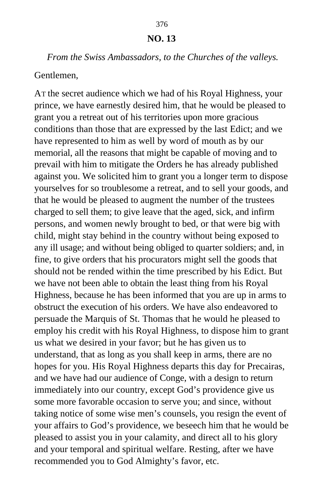#### **NO. 13**

#### *From the Swiss Ambassadors, to the Churches of the valleys.*

#### Gentlemen,

AT the secret audience which we had of his Royal Highness, your prince, we have earnestly desired him, that he would be pleased to grant you a retreat out of his territories upon more gracious conditions than those that are expressed by the last Edict; and we have represented to him as well by word of mouth as by our memorial, all the reasons that might be capable of moving and to prevail with him to mitigate the Orders he has already published against you. We solicited him to grant you a longer term to dispose yourselves for so troublesome a retreat, and to sell your goods, and that he would be pleased to augment the number of the trustees charged to sell them; to give leave that the aged, sick, and infirm persons, and women newly brought to bed, or that were big with child, might stay behind in the country without being exposed to any ill usage; and without being obliged to quarter soldiers; and, in fine, to give orders that his procurators might sell the goods that should not be rended within the time prescribed by his Edict. But we have not been able to obtain the least thing from his Royal Highness, because he has been informed that you are up in arms to obstruct the execution of his orders. We have also endeavored to persuade the Marquis of St. Thomas that he would he pleased to employ his credit with his Royal Highness, to dispose him to grant us what we desired in your favor; but he has given us to understand, that as long as you shall keep in arms, there are no hopes for you. His Royal Highness departs this day for Precairas, and we have had our audience of Conge, with a design to return immediately into our country, except God's providence give us some more favorable occasion to serve you; and since, without taking notice of some wise men's counsels, you resign the event of your affairs to God's providence, we beseech him that he would be pleased to assist you in your calamity, and direct all to his glory and your temporal and spiritual welfare. Resting, after we have recommended you to God Almighty's favor, etc.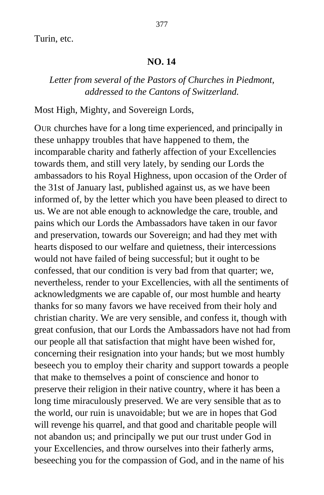Turin, etc.

#### **NO. 14**

## *Letter from several of the Pastors of Churches in Piedmont, addressed to the Cantons of Switzerland.*

Most High, Mighty, and Sovereign Lords,

OUR churches have for a long time experienced, and principally in these unhappy troubles that have happened to them, the incomparable charity and fatherly affection of your Excellencies towards them, and still very lately, by sending our Lords the ambassadors to his Royal Highness, upon occasion of the Order of the 31st of January last, published against us, as we have been informed of, by the letter which you have been pleased to direct to us. We are not able enough to acknowledge the care, trouble, and pains which our Lords the Ambassadors have taken in our favor and preservation, towards our Sovereign; and had they met with hearts disposed to our welfare and quietness, their intercessions would not have failed of being successful; but it ought to be confessed, that our condition is very bad from that quarter; we, nevertheless, render to your Excellencies, with all the sentiments of acknowledgments we are capable of, our most humble and hearty thanks for so many favors we have received from their holy and christian charity. We are very sensible, and confess it, though with great confusion, that our Lords the Ambassadors have not had from our people all that satisfaction that might have been wished for, concerning their resignation into your hands; but we most humbly beseech you to employ their charity and support towards a people that make to themselves a point of conscience and honor to preserve their religion in their native country, where it has been a long time miraculously preserved. We are very sensible that as to the world, our ruin is unavoidable; but we are in hopes that God will revenge his quarrel, and that good and charitable people will not abandon us; and principally we put our trust under God in your Excellencies, and throw ourselves into their fatherly arms, beseeching you for the compassion of God, and in the name of his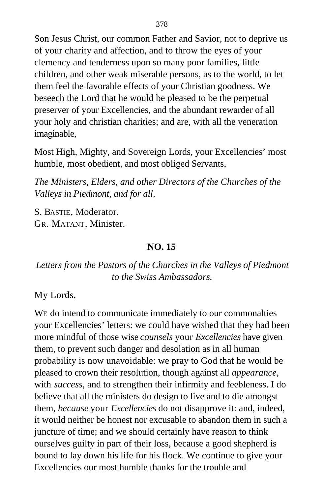Son Jesus Christ, our common Father and Savior, not to deprive us of your charity and affection, and to throw the eyes of your clemency and tenderness upon so many poor families, little children, and other weak miserable persons, as to the world, to let them feel the favorable effects of your Christian goodness. We beseech the Lord that he would be pleased to be the perpetual preserver of your Excellencies, and the abundant rewarder of all your holy and christian charities; and are, with all the veneration imaginable,

Most High, Mighty, and Sovereign Lords, your Excellencies' most humble, most obedient, and most obliged Servants,

*The Ministers, Elders, and other Directors of the Churches of the Valleys in Piedmont, and for all,*

S. BASTIE, Moderator. GR. MATANT, Minister.

## **NO. 15**

## *Letters from the Pastors of the Churches in the Valleys of Piedmont to the Swiss Ambassadors.*

My Lords,

WE do intend to communicate immediately to our commonalties your Excellencies' letters: we could have wished that they had been more mindful of those wise *counsels* your *Excellencies* have given them, to prevent such danger and desolation as in all human probability is now unavoidable: we pray to God that he would be pleased to crown their resolution, though against all *appearance,* with *success,* and to strengthen their infirmity and feebleness. I do believe that all the ministers do design to live and to die amongst them, *because* your *Excellencies* do not disapprove it: and, indeed, it would neither be honest nor excusable to abandon them in such a juncture of time; and we should certainly have reason to think ourselves guilty in part of their loss, because a good shepherd is bound to lay down his life for his flock. We continue to give your Excellencies our most humble thanks for the trouble and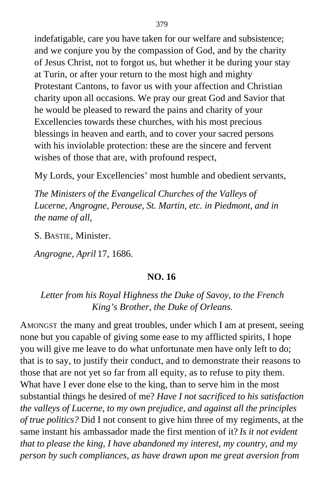indefatigable, care you have taken for our welfare and subsistence; and we conjure you by the compassion of God, and by the charity of Jesus Christ, not to forgot us, but whether it be during your stay at Turin, or after your return to the most high and mighty Protestant Cantons, to favor us with your affection and Christian charity upon all occasions. We pray our great God and Savior that he would be pleased to reward the pains and charity of your Excellencies towards these churches, with his most precious blessings in heaven and earth, and to cover your sacred persons with his inviolable protection: these are the sincere and fervent wishes of those that are, with profound respect,

My Lords, your Excellencies' most humble and obedient servants,

*The Ministers of the Evangelical Churches of the Valleys of Lucerne, Angrogne, Perouse, St. Martin, etc. in Piedmont, and in the name of all,*

S. BASTIE, Minister.

*Angrogne, April* 17, 1686.

#### **NO. 16**

## *Letter from his Royal Highness the Duke of Savoy, to the French King's Brother, the Duke of Orleans.*

AMONGST the many and great troubles, under which I am at present, seeing none but you capable of giving some ease to my afflicted spirits, I hope you will give me leave to do what unfortunate men have only left to do; that is to say, to justify their conduct, and to demonstrate their reasons to those that are not yet so far from all equity, as to refuse to pity them. What have I ever done else to the king, than to serve him in the most substantial things he desired of me? *Have I not sacrificed to his satisfaction the valleys of Lucerne, to my own prejudice, and against all the principles of true politics?* Did I not consent to give him three of my regiments, at the same instant his ambassador made the first mention of it? *Is it not evident that to please the king, I have abandoned my interest, my country, and my person by such compliances, as have drawn upon me great aversion from*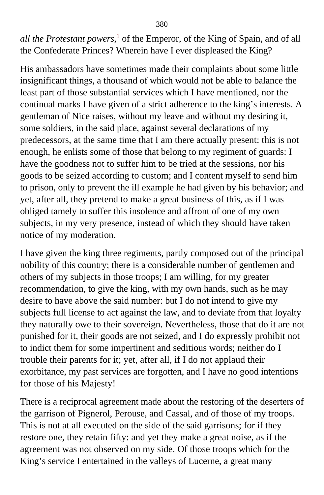*all the Protestant powers,*[1](#page-417-0) of the Emperor, of the King of Spain, and of all the Confederate Princes? Wherein have I ever displeased the King?

His ambassadors have sometimes made their complaints about some little insignificant things, a thousand of which would not be able to balance the least part of those substantial services which I have mentioned, nor the continual marks I have given of a strict adherence to the king's interests. A gentleman of Nice raises, without my leave and without my desiring it, some soldiers, in the said place, against several declarations of my predecessors, at the same time that I am there actually present: this is not enough, he enlists some of those that belong to my regiment of guards: I have the goodness not to suffer him to be tried at the sessions, nor his goods to be seized according to custom; and I content myself to send him to prison, only to prevent the ill example he had given by his behavior; and yet, after all, they pretend to make a great business of this, as if I was obliged tamely to suffer this insolence and affront of one of my own subjects, in my very presence, instead of which they should have taken notice of my moderation.

I have given the king three regiments, partly composed out of the principal nobility of this country; there is a considerable number of gentlemen and others of my subjects in those troops; I am willing, for my greater recommendation, to give the king, with my own hands, such as he may desire to have above the said number: but I do not intend to give my subjects full license to act against the law, and to deviate from that loyalty they naturally owe to their sovereign. Nevertheless, those that do it are not punished for it, their goods are not seized, and I do expressly prohibit not to indict them for some impertinent and seditious words; neither do I trouble their parents for it; yet, after all, if I do not applaud their exorbitance, my past services are forgotten, and I have no good intentions for those of his Majesty!

There is a reciprocal agreement made about the restoring of the deserters of the garrison of Pignerol, Perouse, and Cassal, and of those of my troops. This is not at all executed on the side of the said garrisons; for if they restore one, they retain fifty: and yet they make a great noise, as if the agreement was not observed on my side. Of those troops which for the King's service I entertained in the valleys of Lucerne, a great many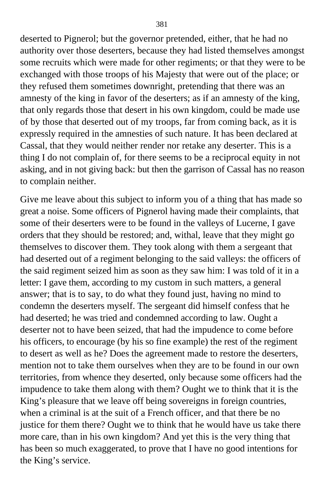deserted to Pignerol; but the governor pretended, either, that he had no authority over those deserters, because they had listed themselves amongst some recruits which were made for other regiments; or that they were to be exchanged with those troops of his Majesty that were out of the place; or they refused them sometimes downright, pretending that there was an amnesty of the king in favor of the deserters; as if an amnesty of the king, that only regards those that desert in his own kingdom, could be made use of by those that deserted out of my troops, far from coming back, as it is expressly required in the amnesties of such nature. It has been declared at Cassal, that they would neither render nor retake any deserter. This is a thing I do not complain of, for there seems to be a reciprocal equity in not asking, and in not giving back: but then the garrison of Cassal has no reason to complain neither.

Give me leave about this subject to inform you of a thing that has made so great a noise. Some officers of Pignerol having made their complaints, that some of their deserters were to be found in the valleys of Lucerne, I gave orders that they should be restored; and, withal, leave that they might go themselves to discover them. They took along with them a sergeant that had deserted out of a regiment belonging to the said valleys: the officers of the said regiment seized him as soon as they saw him: I was told of it in a letter: I gave them, according to my custom in such matters, a general answer; that is to say, to do what they found just, having no mind to condemn the deserters myself. The sergeant did himself confess that he had deserted; he was tried and condemned according to law. Ought a deserter not to have been seized, that had the impudence to come before his officers, to encourage (by his so fine example) the rest of the regiment to desert as well as he? Does the agreement made to restore the deserters, mention not to take them ourselves when they are to be found in our own territories, from whence they deserted, only because some officers had the impudence to take them along with them? Ought we to think that it is the King's pleasure that we leave off being sovereigns in foreign countries, when a criminal is at the suit of a French officer, and that there be no justice for them there? Ought we to think that he would have us take there more care, than in his own kingdom? And yet this is the very thing that has been so much exaggerated, to prove that I have no good intentions for the King's service.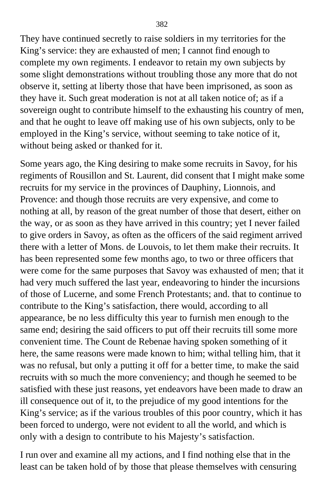They have continued secretly to raise soldiers in my territories for the King's service: they are exhausted of men; I cannot find enough to complete my own regiments. I endeavor to retain my own subjects by some slight demonstrations without troubling those any more that do not observe it, setting at liberty those that have been imprisoned, as soon as they have it. Such great moderation is not at all taken notice of; as if a sovereign ought to contribute himself to the exhausting his country of men, and that he ought to leave off making use of his own subjects, only to be employed in the King's service, without seeming to take notice of it, without being asked or thanked for it.

Some years ago, the King desiring to make some recruits in Savoy, for his regiments of Rousillon and St. Laurent, did consent that I might make some recruits for my service in the provinces of Dauphiny, Lionnois, and Provence: and though those recruits are very expensive, and come to nothing at all, by reason of the great number of those that desert, either on the way, or as soon as they have arrived in this country; yet I never failed to give orders in Savoy, as often as the officers of the said regiment arrived there with a letter of Mons. de Louvois, to let them make their recruits. It has been represented some few months ago, to two or three officers that were come for the same purposes that Savoy was exhausted of men; that it had very much suffered the last year, endeavoring to hinder the incursions of those of Lucerne, and some French Protestants; and. that to continue to contribute to the King's satisfaction, there would, according to all appearance, be no less difficulty this year to furnish men enough to the same end; desiring the said officers to put off their recruits till some more convenient time. The Count de Rebenae having spoken something of it here, the same reasons were made known to him; withal telling him, that it was no refusal, but only a putting it off for a better time, to make the said recruits with so much the more conveniency; and though he seemed to be satisfied with these just reasons, yet endeavors have been made to draw an ill consequence out of it, to the prejudice of my good intentions for the King's service; as if the various troubles of this poor country, which it has been forced to undergo, were not evident to all the world, and which is only with a design to contribute to his Majesty's satisfaction.

I run over and examine all my actions, and I find nothing else that in the least can be taken hold of by those that please themselves with censuring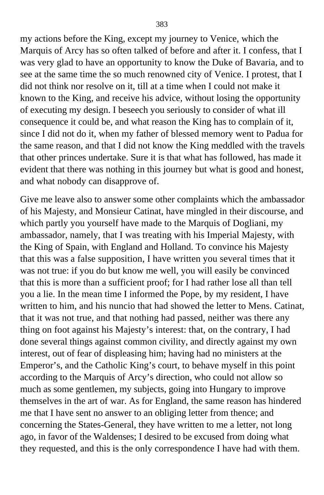my actions before the King, except my journey to Venice, which the Marquis of Arcy has so often talked of before and after it. I confess, that I was very glad to have an opportunity to know the Duke of Bavaria, and to see at the same time the so much renowned city of Venice. I protest, that I did not think nor resolve on it, till at a time when I could not make it known to the King, and receive his advice, without losing the opportunity of executing my design. I beseech you seriously to consider of what ill consequence it could be, and what reason the King has to complain of it, since I did not do it, when my father of blessed memory went to Padua for the same reason, and that I did not know the King meddled with the travels that other princes undertake. Sure it is that what has followed, has made it evident that there was nothing in this journey but what is good and honest, and what nobody can disapprove of.

Give me leave also to answer some other complaints which the ambassador of his Majesty, and Monsieur Catinat, have mingled in their discourse, and which partly you yourself have made to the Marquis of Dogliani, my ambassador, namely, that I was treating with his Imperial Majesty, with the King of Spain, with England and Holland. To convince his Majesty that this was a false supposition, I have written you several times that it was not true: if you do but know me well, you will easily be convinced that this is more than a sufficient proof; for I had rather lose all than tell you a lie. In the mean time I informed the Pope, by my resident, I have written to him, and his nuncio that had showed the letter to Mens. Catinat, that it was not true, and that nothing had passed, neither was there any thing on foot against his Majesty's interest: that, on the contrary, I had done several things against common civility, and directly against my own interest, out of fear of displeasing him; having had no ministers at the Emperor's, and the Catholic King's court, to behave myself in this point according to the Marquis of Arcy's direction, who could not allow so much as some gentlemen, my subjects, going into Hungary to improve themselves in the art of war. As for England, the same reason has hindered me that I have sent no answer to an obliging letter from thence; and concerning the States-General, they have written to me a letter, not long ago, in favor of the Waldenses; I desired to be excused from doing what they requested, and this is the only correspondence I have had with them.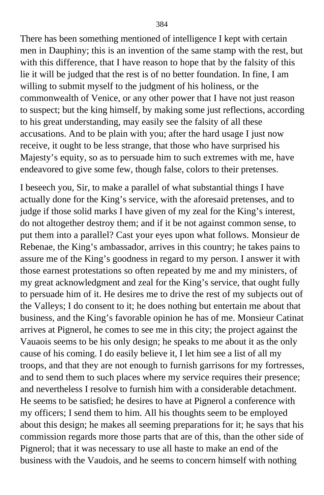There has been something mentioned of intelligence I kept with certain men in Dauphiny; this is an invention of the same stamp with the rest, but with this difference, that I have reason to hope that by the falsity of this lie it will be judged that the rest is of no better foundation. In fine, I am willing to submit myself to the judgment of his holiness, or the commonwealth of Venice, or any other power that I have not just reason to suspect; but the king himself, by making some just reflections, according to his great understanding, may easily see the falsity of all these accusations. And to be plain with you; after the hard usage I just now receive, it ought to be less strange, that those who have surprised his Majesty's equity, so as to persuade him to such extremes with me, have endeavored to give some few, though false, colors to their pretenses.

I beseech you, Sir, to make a parallel of what substantial things I have actually done for the King's service, with the aforesaid pretenses, and to judge if those solid marks I have given of my zeal for the King's interest, do not altogether destroy them; and if it be not against common sense, to put them into a parallel? Cast your eyes upon what follows. Monsieur de Rebenae, the King's ambassador, arrives in this country; he takes pains to assure me of the King's goodness in regard to my person. I answer it with those earnest protestations so often repeated by me and my ministers, of my great acknowledgment and zeal for the King's service, that ought fully to persuade him of it. He desires me to drive the rest of my subjects out of the Valleys; I do consent to it; he does nothing but entertain me about that business, and the King's favorable opinion he has of me. Monsieur Catinat arrives at Pignerol, he comes to see me in this city; the project against the Vauaois seems to be his only design; he speaks to me about it as the only cause of his coming. I do easily believe it, I let him see a list of all my troops, and that they are not enough to furnish garrisons for my fortresses, and to send them to such places where my service requires their presence; and nevertheless I resolve to furnish him with a considerable detachment. He seems to be satisfied; he desires to have at Pignerol a conference with my officers; I send them to him. All his thoughts seem to be employed about this design; he makes all seeming preparations for it; he says that his commission regards more those parts that are of this, than the other side of Pignerol; that it was necessary to use all haste to make an end of the business with the Vaudois, and he seems to concern himself with nothing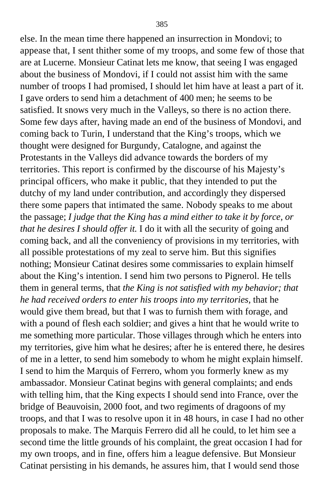else. In the mean time there happened an insurrection in Mondovi; to appease that, I sent thither some of my troops, and some few of those that are at Lucerne. Monsieur Catinat lets me know, that seeing I was engaged about the business of Mondovi, if I could not assist him with the same number of troops I had promised, I should let him have at least a part of it. I gave orders to send him a detachment of 400 men; he seems to be satisfied. It snows very much in the Valleys, so there is no action there. Some few days after, having made an end of the business of Mondovi, and coming back to Turin, I understand that the King's troops, which we thought were designed for Burgundy, Catalogne, and against the Protestants in the Valleys did advance towards the borders of my territories. This report is confirmed by the discourse of his Majesty's principal officers, who make it public, that they intended to put the dutchy of my land under contribution, and accordingly they dispersed there some papers that intimated the same. Nobody speaks to me about the passage; *I judge that the King has a mind either to take it by force, or that he desires I should offer it.* I do it with all the security of going and coming back, and all the conveniency of provisions in my territories, with all possible protestations of my zeal to serve him. But this signifies nothing; Monsieur Catinat desires some commissaries to explain himself about the King's intention. I send him two persons to Pignerol. He tells them in general terms, that *the King is not satisfied with my behavior; that he had received orders to enter his troops into my territories,* that he would give them bread, but that I was to furnish them with forage, and with a pound of flesh each soldier; and gives a hint that he would write to me something more particular. Those villages through which he enters into my territories, give him what he desires; after he is entered there, he desires of me in a letter, to send him somebody to whom he might explain himself. I send to him the Marquis of Ferrero, whom you formerly knew as my ambassador. Monsieur Catinat begins with general complaints; and ends with telling him, that the King expects I should send into France, over the bridge of Beauvoisin, 2000 foot, and two regiments of dragoons of my troops, and that I was to resolve upon it in 48 hours, in case I had no other proposals to make. The Marquis Ferrero did all he could, to let him see a second time the little grounds of his complaint, the great occasion I had for my own troops, and in fine, offers him a league defensive. But Monsieur Catinat persisting in his demands, he assures him, that I would send those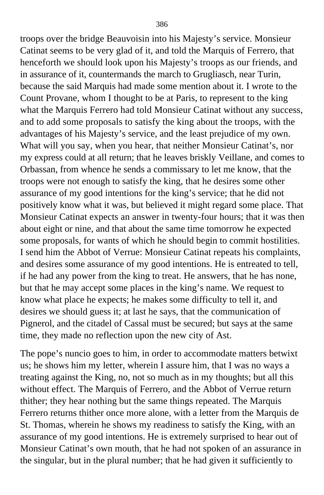troops over the bridge Beauvoisin into his Majesty's service. Monsieur Catinat seems to be very glad of it, and told the Marquis of Ferrero, that henceforth we should look upon his Majesty's troops as our friends, and in assurance of it, countermands the march to Grugliasch, near Turin, because the said Marquis had made some mention about it. I wrote to the Count Provane, whom I thought to be at Paris, to represent to the king what the Marquis Ferrero had told Monsieur Catinat without any success, and to add some proposals to satisfy the king about the troops, with the advantages of his Majesty's service, and the least prejudice of my own. What will you say, when you hear, that neither Monsieur Catinat's, nor my express could at all return; that he leaves briskly Veillane, and comes to Orbassan, from whence he sends a commissary to let me know, that the troops were not enough to satisfy the king, that he desires some other assurance of my good intentions for the king's service; that he did not positively know what it was, but believed it might regard some place. That Monsieur Catinat expects an answer in twenty-four hours; that it was then about eight or nine, and that about the same time tomorrow he expected some proposals, for wants of which he should begin to commit hostilities. I send him the Abbot of Verrue: Monsieur Catinat repeats his complaints, and desires some assurance of my good intentions. He is entreated to tell, if he had any power from the king to treat. He answers, that he has none, but that he may accept some places in the king's name. We request to know what place he expects; he makes some difficulty to tell it, and desires we should guess it; at last he says, that the communication of Pignerol, and the citadel of Cassal must be secured; but says at the same time, they made no reflection upon the new city of Ast.

The pope's nuncio goes to him, in order to accommodate matters betwixt us; he shows him my letter, wherein I assure him, that I was no ways a treating against the King, no, not so much as in my thoughts; but all this without effect. The Marquis of Ferrero, and the Abbot of Verrue return thither; they hear nothing but the same things repeated. The Marquis Ferrero returns thither once more alone, with a letter from the Marquis de St. Thomas, wherein he shows my readiness to satisfy the King, with an assurance of my good intentions. He is extremely surprised to hear out of Monsieur Catinat's own mouth, that he had not spoken of an assurance in the singular, but in the plural number; that he had given it sufficiently to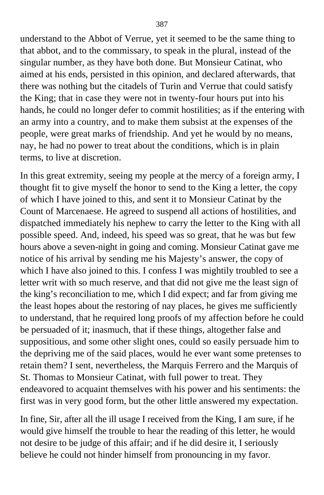understand to the Abbot of Verrue, yet it seemed to be the same thing to that abbot, and to the commissary, to speak in the plural, instead of the singular number, as they have both done. But Monsieur Catinat, who aimed at his ends, persisted in this opinion, and declared afterwards, that there was nothing but the citadels of Turin and Verrue that could satisfy the King; that in case they were not in twenty-four hours put into his hands, he could no longer defer to commit hostilities; as if the entering with an army into a country, and to make them subsist at the expenses of the people, were great marks of friendship. And yet he would by no means, nay, he had no power to treat about the conditions, which is in plain terms, to live at discretion.

In this great extremity, seeing my people at the mercy of a foreign army, I thought fit to give myself the honor to send to the King a letter, the copy of which I have joined to this, and sent it to Monsieur Catinat by the Count of Marcenaese. He agreed to suspend all actions of hostilities, and dispatched immediately his nephew to carry the letter to the King with all possible speed. And, indeed, his speed was so great, that he was but few hours above a seven-night in going and coming. Monsieur Catinat gave me notice of his arrival by sending me his Majesty's answer, the copy of which I have also joined to this. I confess I was mightily troubled to see a letter writ with so much reserve, and that did not give me the least sign of the king's reconciliation to me, which I did expect; and far from giving me the least hopes about the restoring of nay places, he gives me sufficiently to understand, that he required long proofs of my affection before he could be persuaded of it; inasmuch, that if these things, altogether false and suppositious, and some other slight ones, could so easily persuade him to the depriving me of the said places, would he ever want some pretenses to retain them? I sent, nevertheless, the Marquis Ferrero and the Marquis of St. Thomas to Monsieur Catinat, with full power to treat. They endeavored to acquaint themselves with his power and his sentiments: the first was in very good form, but the other little answered my expectation.

In fine, Sir, after all the ill usage I received from the King, I am sure, if he would give himself the trouble to hear the reading of this letter, he would not desire to be judge of this affair; and if he did desire it, I seriously believe he could not hinder himself from pronouncing in my favor.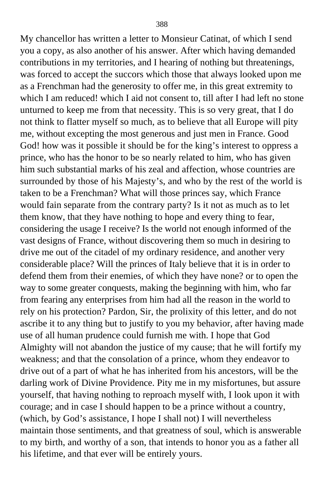My chancellor has written a letter to Monsieur Catinat, of which I send you a copy, as also another of his answer. After which having demanded contributions in my territories, and I hearing of nothing but threatenings, was forced to accept the succors which those that always looked upon me as a Frenchman had the generosity to offer me, in this great extremity to which I am reduced! which I aid not consent to, till after I had left no stone unturned to keep me from that necessity. This is so very great, that I do not think to flatter myself so much, as to believe that all Europe will pity me, without excepting the most generous and just men in France. Good God! how was it possible it should be for the king's interest to oppress a prince, who has the honor to be so nearly related to him, who has given him such substantial marks of his zeal and affection, whose countries are surrounded by those of his Majesty's, and who by the rest of the world is taken to be a Frenchman? What will those princes say, which France would fain separate from the contrary party? Is it not as much as to let them know, that they have nothing to hope and every thing to fear, considering the usage I receive? Is the world not enough informed of the vast designs of France, without discovering them so much in desiring to drive me out of the citadel of my ordinary residence, and another very considerable place? Will the princes of Italy believe that it is in order to defend them from their enemies, of which they have none? or to open the way to some greater conquests, making the beginning with him, who far from fearing any enterprises from him had all the reason in the world to rely on his protection? Pardon, Sir, the prolixity of this letter, and do not ascribe it to any thing but to justify to you my behavior, after having made use of all human prudence could furnish me with. I hope that God Almighty will not abandon the justice of my cause; that he will fortify my weakness; and that the consolation of a prince, whom they endeavor to drive out of a part of what he has inherited from his ancestors, will be the darling work of Divine Providence. Pity me in my misfortunes, but assure yourself, that having nothing to reproach myself with, I look upon it with courage; and in case I should happen to be a prince without a country, (which, by God's assistance, I hope I shall not) I will nevertheless maintain those sentiments, and that greatness of soul, which is answerable to my birth, and worthy of a son, that intends to honor you as a father all his lifetime, and that ever will be entirely yours.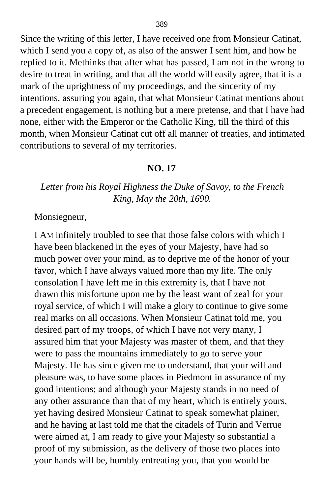Since the writing of this letter, I have received one from Monsieur Catinat, which I send you a copy of, as also of the answer I sent him, and how he replied to it. Methinks that after what has passed, I am not in the wrong to desire to treat in writing, and that all the world will easily agree, that it is a mark of the uprightness of my proceedings, and the sincerity of my intentions, assuring you again, that what Monsieur Catinat mentions about a precedent engagement, is nothing but a mere pretense, and that I have had none, either with the Emperor or the Catholic King, till the third of this month, when Monsieur Catinat cut off all manner of treaties, and intimated contributions to several of my territories.

## **NO. 17**

## *Letter from his Royal Highness the Duke of Savoy, to the French King, May the 20th, 1690.*

Monsiegneur,

I AM infinitely troubled to see that those false colors with which I have been blackened in the eyes of your Majesty, have had so much power over your mind, as to deprive me of the honor of your favor, which I have always valued more than my life. The only consolation I have left me in this extremity is, that I have not drawn this misfortune upon me by the least want of zeal for your royal service, of which I will make a glory to continue to give some real marks on all occasions. When Monsieur Catinat told me, you desired part of my troops, of which I have not very many, I assured him that your Majesty was master of them, and that they were to pass the mountains immediately to go to serve your Majesty. He has since given me to understand, that your will and pleasure was, to have some places in Piedmont in assurance of my good intentions; and although your Majesty stands in no need of any other assurance than that of my heart, which is entirely yours, yet having desired Monsieur Catinat to speak somewhat plainer, and he having at last told me that the citadels of Turin and Verrue were aimed at, I am ready to give your Majesty so substantial a proof of my submission, as the delivery of those two places into your hands will be, humbly entreating you, that you would be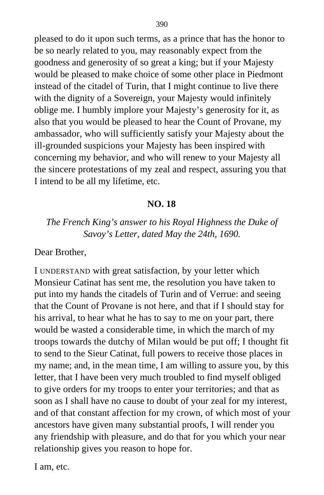pleased to do it upon such terms, as a prince that has the honor to be so nearly related to you, may reasonably expect from the goodness and generosity of so great a king; but if your Majesty would be pleased to make choice of some other place in Piedmont instead of the citadel of Turin, that I might continue to live there with the dignity of a Sovereign, your Majesty would infinitely oblige me. I humbly implore your Majesty's generosity for it, as also that you would be pleased to hear the Count of Provane, my ambassador, who will sufficiently satisfy your Majesty about the ill-grounded suspicions your Majesty has been inspired with concerning my behavior, and who will renew to your Majesty all the sincere protestations of my zeal and respect, assuring you that I intend to be all my lifetime, etc.

## **NO. 18**

## *The French King's answer to his Royal Highness the Duke of Savoy's Letter, dated May the 24th, 1690.*

#### Dear Brother,

I UNDERSTAND with great satisfaction, by your letter which Monsieur Catinat has sent me, the resolution you have taken to put into my hands the citadels of Turin and of Verrue: and seeing that the Count of Provane is not here, and that if I should stay for his arrival, to hear what he has to say to me on your part, there would be wasted a considerable time, in which the march of my troops towards the dutchy of Milan would be put off; I thought fit to send to the Sieur Catinat, full powers to receive those places in my name; and, in the mean time, I am willing to assure you, by this letter, that I have been very much troubled to find myself obliged to give orders for my troops to enter your territories; and that as soon as I shall have no cause to doubt of your zeal for my interest, and of that constant affection for my crown, of which most of your ancestors have given many substantial proofs, I will render you any friendship with pleasure, and do that for you which your near relationship gives you reason to hope for.

I am, etc.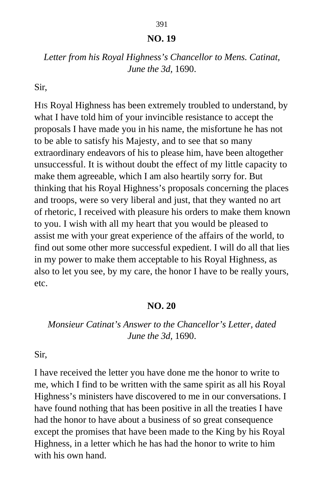## **NO. 19**

## *Letter from his Royal Highness's Chancellor to Mens. Catinat, June the 3d,* 1690.

Sir,

HIS Royal Highness has been extremely troubled to understand, by what I have told him of your invincible resistance to accept the proposals I have made you in his name, the misfortune he has not to be able to satisfy his Majesty, and to see that so many extraordinary endeavors of his to please him, have been altogether unsuccessful. It is without doubt the effect of my little capacity to make them agreeable, which I am also heartily sorry for. But thinking that his Royal Highness's proposals concerning the places and troops, were so very liberal and just, that they wanted no art of rhetoric, I received with pleasure his orders to make them known to you. I wish with all my heart that you would be pleased to assist me with your great experience of the affairs of the world, to find out some other more successful expedient. I will do all that lies in my power to make them acceptable to his Royal Highness, as also to let you see, by my care, the honor I have to be really yours, etc.

#### **NO. 20**

## *Monsieur Catinat's Answer to the Chancellor's Letter, dated June the 3d,* 1690.

Sir,

I have received the letter you have done me the honor to write to me, which I find to be written with the same spirit as all his Royal Highness's ministers have discovered to me in our conversations. I have found nothing that has been positive in all the treaties I have had the honor to have about a business of so great consequence except the promises that have been made to the King by his Royal Highness, in a letter which he has had the honor to write to him with his own hand.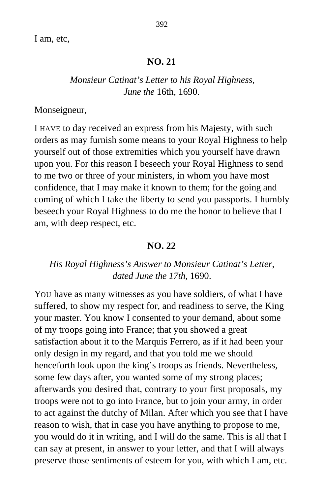I am, etc,

#### **NO. 21**

## *Monsieur Catinat's Letter to his Royal Highness, June the* 16th, 1690.

Monseigneur,

I HAVE to day received an express from his Majesty, with such orders as may furnish some means to your Royal Highness to help yourself out of those extremities which you yourself have drawn upon you. For this reason I beseech your Royal Highness to send to me two or three of your ministers, in whom you have most confidence, that I may make it known to them; for the going and coming of which I take the liberty to send you passports. I humbly beseech your Royal Highness to do me the honor to believe that I am, with deep respect, etc.

#### **NO. 22**

## *His Royal Highness's Answer to Monsieur Catinat's Letter, dated June the 17th,* 1690.

YOU have as many witnesses as you have soldiers, of what I have suffered, to show my respect for, and readiness to serve, the King your master. You know I consented to your demand, about some of my troops going into France; that you showed a great satisfaction about it to the Marquis Ferrero, as if it had been your only design in my regard, and that you told me we should henceforth look upon the king's troops as friends. Nevertheless, some few days after, you wanted some of my strong places; afterwards you desired that, contrary to your first proposals, my troops were not to go into France, but to join your army, in order to act against the dutchy of Milan. After which you see that I have reason to wish, that in case you have anything to propose to me, you would do it in writing, and I will do the same. This is all that I can say at present, in answer to your letter, and that I will always preserve those sentiments of esteem for you, with which I am, etc.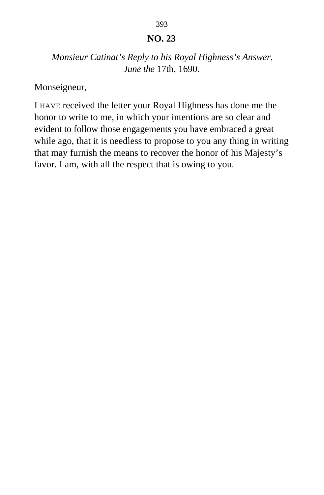## **NO. 23**

## *Monsieur Catinat's Reply to his Royal Highness's Answer, June the* 17th, 1690.

Monseigneur,

I HAVE received the letter your Royal Highness has done me the honor to write to me, in which your intentions are so clear and evident to follow those engagements you have embraced a great while ago, that it is needless to propose to you any thing in writing that may furnish the means to recover the honor of his Majesty's favor. I am, with all the respect that is owing to you.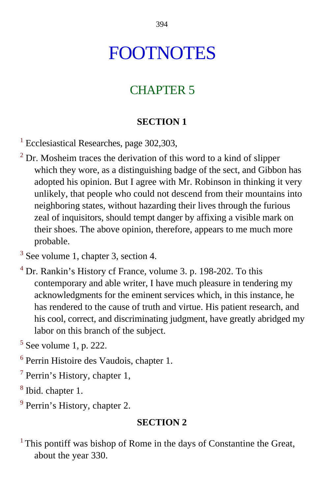# FOOTNOTES

## CHAPTER 5

## **SECTION 1**

<sup>[1](#page-10-0)</sup> Ecclesiastical Researches, page 302,303,

- $2^{2}$  Dr. Mosheim traces the derivation of this word to a kind of slipper which they wore, as a distinguishing badge of the sect, and Gibbon has adopted his opinion. But I agree with Mr. Robinson in thinking it very unlikely, that people who could not descend from their mountains into neighboring states, without hazarding their lives through the furious zeal of inquisitors, should tempt danger by affixing a visible mark on their shoes. The above opinion, therefore, appears to me much more probable.
- <sup>[3](#page-11-0)</sup> See volume 1, chapter 3, section 4.
- <sup>[4](#page-12-0)</sup> Dr. Rankin's History cf France, volume 3. p. 198-202. To this contemporary and able writer, I have much pleasure in tendering my acknowledgments for the eminent services which, in this instance, he has rendered to the cause of truth and virtue. His patient research, and his cool, correct, and discriminating judgment, have greatly abridged my labor on this branch of the subject.
- <sup>5</sup> [S](#page-14-0)ee volume 1, p. 222.
- 6 Perrin Histoire des Vaudois, chapter 1.
- $7$  Perrin's History, chapter 1,
- <sup>[8](#page-17-0)</sup> Ibid. chapter 1.
- <sup>[9](#page-18-0)</sup> Perrin's History, chapter 2.

## **SECTION 2**

 $<sup>1</sup>$  This pontiff was bishop of Rome in the days of Constantine the Great,</sup> about the year 330.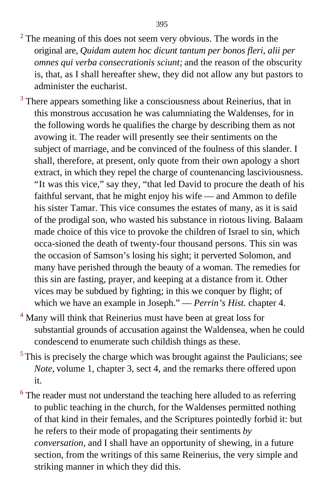- $2^2$  $2^2$  The meaning of this does not seem very obvious. The words in the original are, *Quidam autem hoc dicunt tantum per bonos fleri, alii per omnes qui verba consecrationis sciunt;* and the reason of the obscurity is, that, as I shall hereafter shew, they did not allow any but pastors to administer the eucharist.
- <sup>3</sup> There appears something like a consciousness about Reinerius, that in this monstrous accusation he was calumniating the Waldenses, for in the following words he qualifies the charge by describing them as not avowing it. The reader will presently see their sentiments on the subject of marriage, and be convinced of the foulness of this slander. I shall, therefore, at present, only quote from their own apology a short extract, in which they repel the charge of countenancing lasciviousness. "It was this vice," say they, "that led David to procure the death of his faithful servant, that he might enjoy his wife — and Ammon to defile his sister Tamar. This vice consumes the estates of many, as it is said of the prodigal son, who wasted his substance in riotous living. Balaam made choice of this vice to provoke the children of Israel to sin, which occa-sioned the death of twenty-four thousand persons. This sin was the occasion of Samson's losing his sight; it perverted Solomon, and many have perished through the beauty of a woman. The remedies for this sin are fasting, prayer, and keeping at a distance from it. Other vices may be subdued by fighting; in this we conquer by flight; of which we have an example in Joseph." — *Perrin's Hist.* chapter 4.
- <sup>[4](#page-26-0)</sup> Many will think that Reinerius must have been at great loss for substantial grounds of accusation against the Waldensea, when he could condescend to enumerate such childish things as these.
- $<sup>5</sup>$ This is precisely the charge which was brought against the Paulicians; see</sup> *Note,* volume 1, chapter 3, sect 4, and the remarks there offered upon it.
- $6$  The reader must not understand the teaching here alluded to as referring to public teaching in the church, for the Waldenses permitted nothing of that kind in their females, and the Scriptures pointedly forbid it: but he refers to their mode of propagating their sentiments *by conversation,* and I shall have an opportunity of shewing, in a future section, from the writings of this same Reinerius, the very simple and striking manner in which they did this.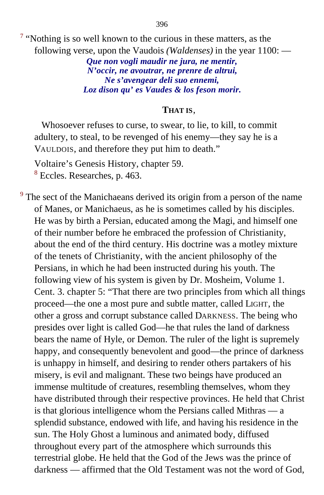$7$  "Nothing is so well known to the curious in these matters, as the following verse, upon the Vaudois *(Waldenses)* in the year 1100: —

> *Que non vogli maudir ne jura, ne mentir, N'occir, ne avoutrar, ne prenre de altrui, Ne s'avengear deli suo ennemi, Loz dison qu' es Vaudes & los feson morir.*

#### **THAT IS**,

Whosoever refuses to curse, to swear, to lie, to kill, to commit adultery, to steal, to be revenged of his enemy—they say he is a VAULDOIS, and therefore they put him to death."

Voltaire's Genesis History, chapter 59. <sup>[8](#page-28-0)</sup> Eccles. Researches, p. 463.

 $9<sup>9</sup>$  $9<sup>9</sup>$  The sect of the Manichaeans derived its origin from a person of the name of Manes, or Manichaeus, as he is sometimes called by his disciples. He was by birth a Persian, educated among the Magi, and himself one of their number before he embraced the profession of Christianity, about the end of the third century. His doctrine was a motley mixture of the tenets of Christianity, with the ancient philosophy of the Persians, in which he had been instructed during his youth. The following view of his system is given by Dr. Mosheim, Volume 1. Cent. 3. chapter 5: "That there are two principles from which all things proceed—the one a most pure and subtle matter, called LIGHT, the other a gross and corrupt substance called DARKNESS. The being who presides over light is called God—he that rules the land of darkness bears the name of Hyle, or Demon. The ruler of the light is supremely happy, and consequently benevolent and good—the prince of darkness is unhappy in himself, and desiring to render others partakers of his misery, is evil and malignant. These two beings have produced an immense multitude of creatures, resembling themselves, whom they have distributed through their respective provinces. He held that Christ is that glorious intelligence whom the Persians called Mithras — a splendid substance, endowed with life, and having his residence in the sun. The Holy Ghost a luminous and animated body, diffused throughout every part of the atmosphere which surrounds this terrestrial globe. He held that the God of the Jews was the prince of darkness — affirmed that the Old Testament was not the word of God,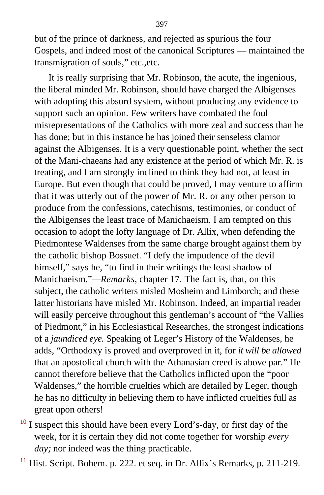but of the prince of darkness, and rejected as spurious the four Gospels, and indeed most of the canonical Scriptures — maintained the transmigration of souls," etc.,etc.

It is really surprising that Mr. Robinson, the acute, the ingenious, the liberal minded Mr. Robinson, should have charged the Albigenses with adopting this absurd system, without producing any evidence to support such an opinion. Few writers have combated the foul misrepresentations of the Catholics with more zeal and success than he has done; but in this instance he has joined their senseless clamor against the Albigenses. It is a very questionable point, whether the sect of the Mani-chaeans had any existence at the period of which Mr. R. is treating, and I am strongly inclined to think they had not, at least in Europe. But even though that could be proved, I may venture to affirm that it was utterly out of the power of Mr. R. or any other person to produce from the confessions, catechisms, testimonies, or conduct of the Albigenses the least trace of Manichaeism. I am tempted on this occasion to adopt the lofty language of Dr. Allix, when defending the Piedmontese Waldenses from the same charge brought against them by the catholic bishop Bossuet. "I defy the impudence of the devil himself," says he, "to find in their writings the least shadow of Manichaeism."—*Remarks*, chapter 17. The fact is, that, on this subject, the catholic writers misled Mosheim and Limborch; and these latter historians have misled Mr. Robinson. Indeed, an impartial reader will easily perceive throughout this gentleman's account of "the Vallies" of Piedmont," in his Ecclesiastical Researches, the strongest indications of a *jaundiced eye.* Speaking of Leger's History of the Waldenses, he adds, "Orthodoxy is proved and overproved in it, for *it will be allowed* that an apostolical church with the Athanasian creed is above par." He cannot therefore believe that the Catholics inflicted upon the "poor Waldenses," the horrible cruelties which are detailed by Leger, though he has no difficulty in believing them to have inflicted cruelties full as great upon others!

- $10$  I suspect this should have been every Lord's-day, or first day of the week, for it is certain they did not come together for worship *every day;* nor indeed was the thing practicable.
- $11$  Hist. Script. Bohem. p. 222. et seq. in Dr. Allix's Remarks, p. 211-219.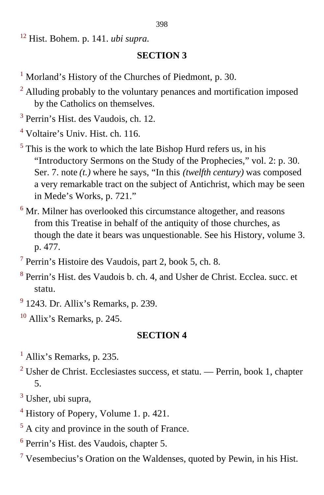[12](#page-35-0) Hist. Bohem. p. 141. *ubi supra.*

## **SECTION 3**

- <sup>[1](#page-41-0)</sup> Morland's History of the Churches of Piedmont, p. 30.
- <sup>[2](#page-42-0)</sup> Alluding probably to the voluntary penances and mortification imposed by the Catholics on themselves.
- <sup>[3](#page-43-0)</sup> Perrin's Hist. des Vaudois, ch. 12.
- <sup>[4](#page-44-0)</sup> Voltaire's Univ. Hist. ch. 116.
- $<sup>5</sup>$  $<sup>5</sup>$  $<sup>5</sup>$  This is the work to which the late Bishop Hurd refers us, in his</sup> "Introductory Sermons on the Study of the Prophecies," vol. 2: p. 30. Ser. 7. note *(t.)* where he says, "In this *(twelfth century)* was composed a very remarkable tract on the subject of Antichrist, which may be seen in Mede's Works, p. 721."
- $6$  Mr. Milner has overlooked this circumstance altogether, and reasons from this Treatise in behalf of the antiquity of those churches, as though the date it bears was unquestionable. See his History, volume 3. p. 477.
- <sup>[7](#page-53-0)</sup> Perrin's Histoire des Vaudois, part 2, book 5, ch. 8.
- <sup>[8](#page-58-0)</sup> Perrin's Hist. des Vaudois b. ch. 4, and Usher de Christ. Ecclea. succ. et statu.
- <sup>[9](#page-58-1)</sup> 1243. Dr. Allix's Remarks, p. 239.
- $10$  Allix's Remarks, p. 245.

- <sup>[1](#page-61-0)</sup> Allix's Remarks, p. 235.
- $2^2$  Usher de Christ. Ecclesiastes success, et statu. Perrin, book 1, chapter 5.
- <sup>[3](#page-61-1)</sup> Usher, ubi supra,
- <sup>4</sup> History of Popery, Volume 1. p. 421.
- $<sup>5</sup>$  A city and province in the south of France.</sup>
- [6](#page-62-0) Perrin's Hist. des Vaudois, chapter 5.
- $7$  Vesembecius's Oration on the Waldenses, quoted by Pewin, in his Hist.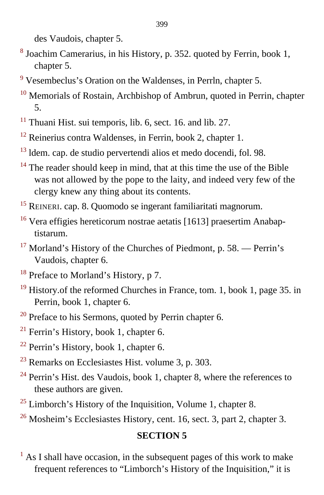des Vaudois, chapter 5.

- <sup>[8](#page-63-0)</sup> Joachim Camerarius, in his History, p. 352. quoted by Ferrin, book 1, chapter 5.
- <sup>9</sup> Vesembeclus's Oration on the Waldenses, in Perrln, chapter 5.
- <sup>[10](#page-64-0)</sup> Memorials of Rostain, Archbishop of Ambrun, quoted in Perrin, chapter 5.
- $11$  Thuani Hist, sui temporis, lib. 6, sect. 16, and lib. 27.
- $12$  Reinerius contra Waldenses, in Ferrin, book 2, chapter 1.
- $13$  ldem. cap. de studio pervertendi alios et medo docendi, fol. 98.
- $14$  The reader should keep in mind, that at this time the use of the Bible was not allowed by the pope to the laity, and indeed very few of the clergy knew any thing about its contents.
- [15](#page-67-0) REINERI. cap. 8. Quomodo se ingerant familiaritati magnorum.
- <sup>16</sup> Vera effigies hereticorum nostrae aetatis [1613] praesertim Anabaptistarum.
- $17$  Morland's History of the Churches of Piedmont, p. 58. Perrin's Vaudois, chapter 6.
- $18$  Preface to Morland's History, p 7.
- $19$  History. of the reformed Churches in France, tom. 1, book 1, page 35. in Perrin, book 1, chapter 6.
- $20$  Preface to his Sermons, quoted by Perrin chapter 6.
- $21$  Ferrin's History, book 1, chapter 6.
- $22$  Perrin's History, book 1, chapter 6.
- $23$  Remarks on Ecclesiastes Hist. volume 3, p. 303.
- $^{24}$  $^{24}$  $^{24}$  Perrin's Hist. des Vaudois, book 1, chapter 8, where the references to these authors are given.
- $25$  Limborch's History of the Inquisition, Volume 1, chapter 8.
- <sup>26</sup> Mosheim's Ecclesiastes History, cent. 16, sect. 3, part 2, chapter 3.

# **SECTION 5**

 $<sup>1</sup>$  $<sup>1</sup>$  $<sup>1</sup>$  As I shall have occasion, in the subsequent pages of this work to make</sup> frequent references to "Limborch's History of the Inquisition," it is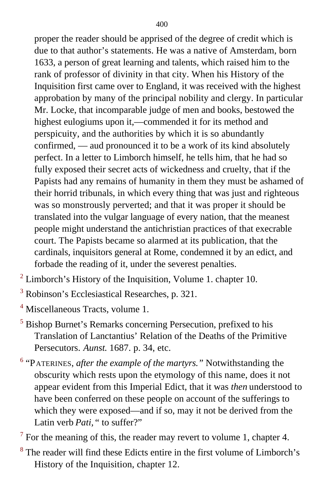proper the reader should be apprised of the degree of credit which is due to that author's statements. He was a native of Amsterdam, born 1633, a person of great learning and talents, which raised him to the rank of professor of divinity in that city. When his History of the Inquisition first came over to England, it was received with the highest approbation by many of the principal nobility and clergy. In particular Mr. Locke, that incomparable judge of men and books, bestowed the highest eulogiums upon it,—commended it for its method and perspicuity, and the authorities by which it is so abundantly confirmed, — aud pronounced it to be a work of its kind absolutely perfect. In a letter to Limborch himself, he tells him, that he had so fully exposed their secret acts of wickedness and cruelty, that if the Papists had any remains of humanity in them they must be ashamed of their horrid tribunals, in which every thing that was just and righteous was so monstrously perverted; and that it was proper it should be translated into the vulgar language of every nation, that the meanest people might understand the antichristian practices of that execrable court. The Papists became so alarmed at its publication, that the cardinals, inquisitors general at Rome, condemned it by an edict, and forbade the reading of it, under the severest penalties.

- $2$  Limborch's History of the Inquisition, Volume 1. chapter 10.
- <sup>3</sup> Robinson's Ecclesiastical Researches, p. 321.
- <sup>[4](#page-78-0)</sup> Miscellaneous Tracts, volume 1.
- <sup>[5](#page-78-1)</sup> Bishop Burnet's Remarks concerning Persecution, prefixed to his Translation of Lanctantius' Relation of the Deaths of the Primitive Persecutors. *Aunst*. 1687. p. 34, etc.
- [6](#page-80-0) "PATERINES, *after the example of the martyrs."* Notwithstanding the obscurity which rests upon the etymology of this name, does it not appear evident from this Imperial Edict, that it was *then* understood to have been conferred on these people on account of the sufferings to which they were exposed—and if so, may it not be derived from the Latin verb *Pati*, " to suffer?"
- $7$  For the meaning of this, the reader may revert to volume 1, chapter 4.
- <sup>[8](#page-82-0)</sup> The reader will find these Edicts entire in the first volume of Limborch's History of the Inquisition, chapter 12.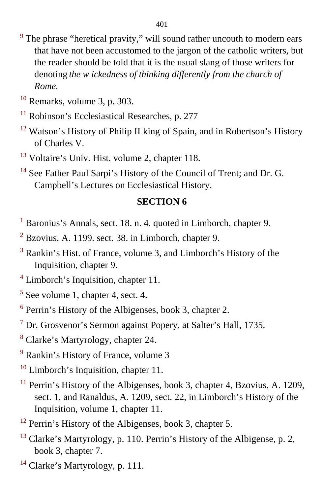- <sup>[9](#page-82-1)</sup> The phrase "heretical pravity," will sound rather uncouth to modern ears that have not been accustomed to the jargon of the catholic writers, but the reader should be told that it is the usual slang of those writers for denoting *the w ickedness of thinking differently from the church of Rome.*
- $10$  Remarks, volume 3, p. 303.
- $11$  Robinson's Ecclesiastical Researches, p. 277
- $12$  Watson's History of Philip II king of Spain, and in Robertson's History of Charles V.
- <sup>[13](#page-87-0)</sup> Voltaire's Univ. Hist. volume 2, chapter 118.
- <sup>[14](#page-88-0)</sup> See Father Paul Sarpi's History of the Council of Trent; and Dr. G. Campbell's Lectures on Ecclesiastical History.

- <sup>[1](#page-89-0)</sup> Baronius's Annals, sect. 18. n. 4. quoted in Limborch, chapter 9.
- $2$  Bzovius. A. 1199. sect. 38. in Limborch, chapter 9.
- <sup>[3](#page-90-0)</sup> Rankin's Hist. of France, volume 3, and Limborch's History of the Inquisition, chapter 9.
- <sup>[4](#page-93-0)</sup> Limborch's Inquisition, chapter 11.
- $<sup>5</sup>$  See volume 1, chapter 4, sect. 4.</sup>
- <sup>[6](#page-94-0)</sup> Perrin's History of the Albigenses, book 3, chapter 2.
- <sup>7</sup> Dr. Grosvenor's Sermon against Popery, at Salter's Hall, 1735.
- <sup>[8](#page-95-0)</sup> Clarke's Martyrology, chapter 24.
- <sup>[9](#page-96-0)</sup> Rankin's History of France, volume 3
- $10$  Limborch's Inquisition, chapter 11.
- $11$  Perrin's History of the Albigenses, book 3, chapter 4, Bzovius, A. 1209, sect. 1, and Ranaldus, A. 1209, sect. 22, in Limborch's History of the Inquisition, volume 1, chapter 11.
- $12$  Perrin's History of the Albigenses, book 3, chapter 5.
- $13$  Clarke's Martyrology, p. 110. Perrin's History of the Albigense, p. 2, book 3, chapter 7.
- $14$  Clarke's Martyrology, p. 111.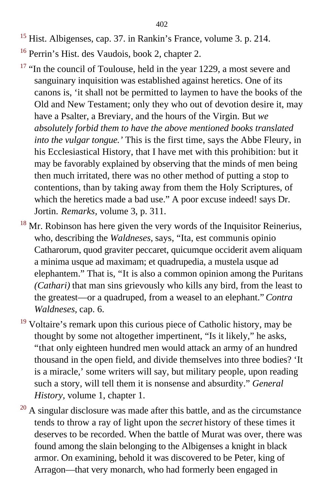- <sup>[15](#page-108-0)</sup> Hist. Albigenses, cap. 37. in Rankin's France, volume 3. p. 214.
- [16](#page-112-0) Perrin's Hist. des Vaudois, book 2, chapter 2.
- $17$  "In the council of Toulouse, held in the year 1229, a most severe and sanguinary inquisition was established against heretics. One of its canons is, 'it shall not be permitted to laymen to have the books of the Old and New Testament; only they who out of devotion desire it, may have a Psalter, a Breviary, and the hours of the Virgin. But *we absolutely forbid them to have the above mentioned books translated into the vulgar tongue.'* This is the first time, says the Abbe Fleury, in his Ecclesiastical History, that I have met with this prohibition: but it may be favorably explained by observing that the minds of men being then much irritated, there was no other method of putting a stop to contentions, than by taking away from them the Holy Scriptures, of which the heretics made a bad use." A poor excuse indeed! says Dr. Jortin. *Remarks,* volume 3, p. 311.
- $18$  Mr. Robinson has here given the very words of the Inquisitor Reinerius, who, describing the *Waldneses,* says, "Ita, est communis opinio Catharorum, quod graviter peccaret, quicumque occiderit avem aliquam a minima usque ad maximam; et quadrupedia, a mustela usque ad elephantem." That is, "It is also a common opinion among the Puritans *(Cathari)* that man sins grievously who kills any bird, from the least to the greatest—or a quadruped, from a weasel to an elephant." *Contra Waldneses,* cap. 6.
- $19$  Voltaire's remark upon this curious piece of Catholic history, may be thought by some not altogether impertinent, "Is it likely," he asks, "that only eighteen hundred men would attack an army of an hundred thousand in the open field, and divide themselves into three bodies? 'It is a miracle,' some writers will say, but military people, upon reading such a story, will tell them it is nonsense and absurdity." *General History,* volume 1, chapter 1.
- $20$  A singular disclosure was made after this battle, and as the circumstance tends to throw a ray of light upon the *secret* history of these times it deserves to be recorded. When the battle of Murat was over, there was found among the slain belonging to the Albigenses a knight in black armor. On examining, behold it was discovered to be Peter, king of Arragon—that very monarch, who had formerly been engaged in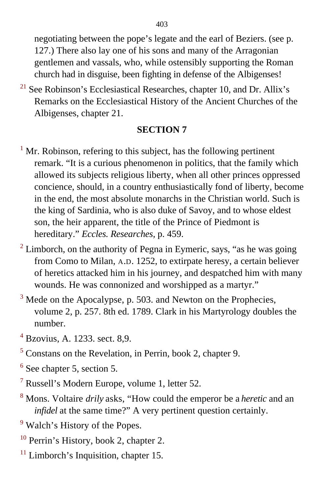negotiating between the pope's legate and the earl of Beziers. (see p. 127.) There also lay one of his sons and many of the Arragonian gentlemen and vassals, who, while ostensibly supporting the Roman church had in disguise, been fighting in defense of the Albigenses!

 $21$  See Robinson's Ecclesiastical Researches, chapter 10, and Dr. Allix's Remarks on the Ecclesiastical History of the Ancient Churches of the Albigenses, chapter 21.

- $<sup>1</sup>$  $<sup>1</sup>$  $<sup>1</sup>$  Mr. Robinson, refering to this subject, has the following pertinent</sup> remark. "It is a curious phenomenon in politics, that the family which allowed its subjects religious liberty, when all other princes oppressed concience, should, in a country enthusiastically fond of liberty, become in the end, the most absolute monarchs in the Christian world. Such is the king of Sardinia, who is also duke of Savoy, and to whose eldest son, the heir apparent, the title of the Prince of Piedmont is hereditary." *Eccles. Researches,* p. 459.
- $2$  Limborch, on the authority of Pegna in Eymeric, says, "as he was going from Como to Milan, A.D. 1252, to extirpate heresy, a certain believer of heretics attacked him in his journey, and despatched him with many wounds. He was connonized and worshipped as a martyr."
- $3$  Mede on the Apocalypse, p. 503. and Newton on the Prophecies, volume 2, p. 257. 8th ed. 1789. Clark in his Martyrology doubles the number.
- [4](#page-117-0) Bzovius, A. 1233. sect. 8,9.
- <sup>[5](#page-117-1)</sup> Constans on the Revelation, in Perrin, book 2, chapter 9.
- $<sup>6</sup>$  See chapter 5, section 5.</sup>
- <sup>[7](#page-118-0)</sup> Russell's Modern Europe, volume 1, letter 52.
- [8](#page-119-0) Mons. Voltaire *drily* asks, "How could the emperor be a *heretic* and an *infidel* at the same time?" A very pertinent question certainly.
- <sup>[9](#page-120-0)</sup> Walch's History of the Popes.
- $10$  Perrin's History, book 2, chapter 2.
- $11$  Limborch's Inquisition, chapter 15.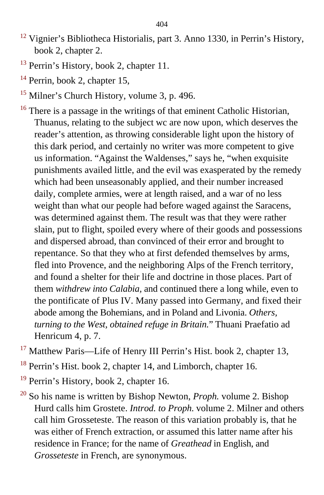- $12$  Vignier's Bibliotheca Historialis, part 3. Anno 1330, in Perrin's History, book 2, chapter 2.
- <sup>13</sup> Perrin's History, book 2, chapter 11.
- $14$  Perrin, book 2, chapter 15,
- <sup>[15](#page-122-0)</sup> Milner's Church History, volume 3, p. 496.
- <sup>16</sup> There is a passage in the writings of that eminent Catholic Historian, Thuanus, relating to the subject wc are now upon, which deserves the reader's attention, as throwing considerable light upon the history of this dark period, and certainly no writer was more competent to give us information. "Against the Waldenses," says he, "when exquisite punishments availed little, and the evil was exasperated by the remedy which had been unseasonably applied, and their number increased daily, complete armies, were at length raised, and a war of no less weight than what our people had before waged against the Saracens, was determined against them. The result was that they were rather slain, put to flight, spoiled every where of their goods and possessions and dispersed abroad, than convinced of their error and brought to repentance. So that they who at first defended themselves by arms, fled into Provence, and the neighboring Alps of the French territory, and found a shelter for their life and doctrine in those places. Part of them *withdrew into Calabia,* and continued there a long while, even to the pontificate of Plus IV. Many passed into Germany, and fixed their abode among the Bohemians, and in Poland and Livonia. *Others, turning to the West, obtained refuge in Britain.*" Thuani Praefatio ad Henricum 4, p. 7.
- <sup>[17](#page-124-0)</sup> Matthew Paris—Life of Henry III Perrin's Hist. book 2, chapter 13,
- <sup>18</sup> Perrin's Hist. book 2, chapter 14, and Limborch, chapter 16.
- $19$  Perrin's History, book 2, chapter 16.
- [20](#page-126-0) So his name is written by Bishop Newton, *Proph.* volume 2. Bishop Hurd calls him Grostete. *Introd. to Proph.* volume 2. Milner and others call him Grosseteste. The reason of this variation probably is, that he was either of French extraction, or assumed this latter name after his residence in France; for the name of *Greathead* in English, and *Grosseteste* in French, are synonymous.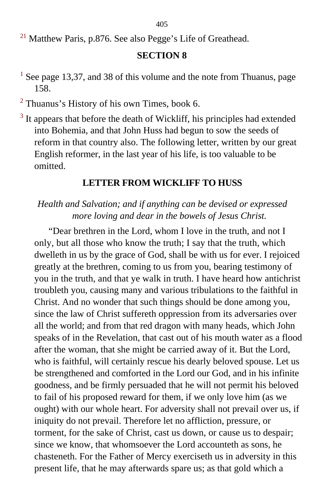405

<sup>[21](#page-129-0)</sup> Matthew Paris, p.876. See also Pegge's Life of Greathead.

## **SECTION 8**

- <sup>[1](#page-132-0)</sup> See page 13,37, and 38 of this volume and the note from Thuanus, page 158.
- $2$  Thuanus's History of his own Times, book 6.
- $3$  It appears that before the death of Wickliff, his principles had extended into Bohemia, and that John Huss had begun to sow the seeds of reform in that country also. The following letter, written by our great English reformer, in the last year of his life, is too valuable to be omitted.

### **LETTER FROM WICKLIFF TO HUSS**

## *Health and Salvation; and if anything can be devised or expressed more loving and dear in the bowels of Jesus Christ.*

"Dear brethren in the Lord, whom I love in the truth, and not I only, but all those who know the truth; I say that the truth, which dwelleth in us by the grace of God, shall be with us for ever. I rejoiced greatly at the brethren, coming to us from you, bearing testimony of you in the truth, and that ye walk in truth. I have heard how antichrist troubleth you, causing many and various tribulations to the faithful in Christ. And no wonder that such things should be done among you, since the law of Christ suffereth oppression from its adversaries over all the world; and from that red dragon with many heads, which John speaks of in the Revelation, that cast out of his mouth water as a flood after the woman, that she might be carried away of it. But the Lord, who is faithful, will certainly rescue his dearly beloved spouse. Let us be strengthened and comforted in the Lord our God, and in his infinite goodness, and be firmly persuaded that he will not permit his beloved to fail of his proposed reward for them, if we only love him (as we ought) with our whole heart. For adversity shall not prevail over us, if iniquity do not prevail. Therefore let no affliction, pressure, or torment, for the sake of Christ, cast us down, or cause us to despair; since we know, that whomsoever the Lord accounteth as sons, he chasteneth. For the Father of Mercy exerciseth us in adversity in this present life, that he may afterwards spare us; as that gold which a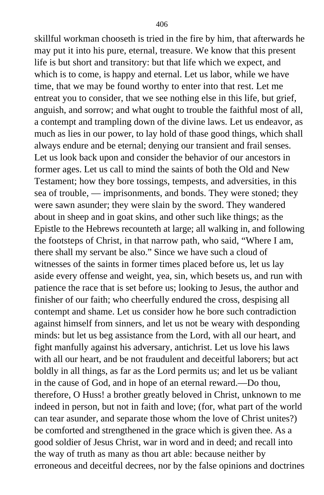skillful workman chooseth is tried in the fire by him, that afterwards he may put it into his pure, eternal, treasure. We know that this present life is but short and transitory: but that life which we expect, and which is to come, is happy and eternal. Let us labor, while we have time, that we may be found worthy to enter into that rest. Let me entreat you to consider, that we see nothing else in this life, but grief, anguish, and sorrow; and what ought to trouble the faithful most of all, a contempt and trampling down of the divine laws. Let us endeavor, as much as lies in our power, to lay hold of thase good things, which shall always endure and be eternal; denying our transient and frail senses. Let us look back upon and consider the behavior of our ancestors in former ages. Let us call to mind the saints of both the Old and New Testament; how they bore tossings, tempests, and adversities, in this sea of trouble, — imprisonments, and bonds. They were stoned; they were sawn asunder; they were slain by the sword. They wandered about in sheep and in goat skins, and other such like things; as the Epistle to the Hebrews recounteth at large; all walking in, and following the footsteps of Christ, in that narrow path, who said, "Where I am, there shall my servant be also." Since we have such a cloud of witnesses of the saints in former times placed before us, let us lay aside every offense and weight, yea, sin, which besets us, and run with patience the race that is set before us; looking to Jesus, the author and finisher of our faith; who cheerfully endured the cross, despising all contempt and shame. Let us consider how he bore such contradiction against himself from sinners, and let us not be weary with desponding minds: but let us beg assistance from the Lord, with all our heart, and fight manfully against his adversary, antichrist. Let us love his laws with all our heart, and be not fraudulent and deceitful laborers; but act boldly in all things, as far as the Lord permits us; and let us be valiant in the cause of God, and in hope of an eternal reward.—Do thou, therefore, O Huss! a brother greatly beloved in Christ, unknown to me indeed in person, but not in faith and love; (for, what part of the world can tear asunder, and separate those whom the love of Christ unites?) be comforted and strengthened in the grace which is given thee. As a good soldier of Jesus Christ, war in word and in deed; and recall into the way of truth as many as thou art able: because neither by erroneous and deceitful decrees, nor by the false opinions and doctrines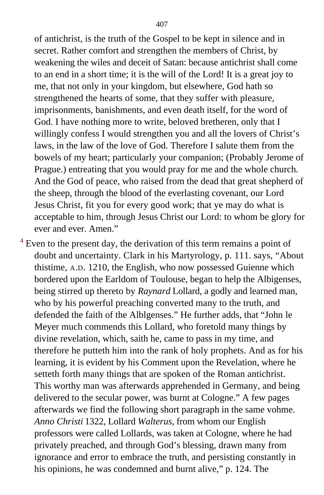of antichrist, is the truth of the Gospel to be kept in silence and in secret. Rather comfort and strengthen the members of Christ, by weakening the wiles and deceit of Satan: because antichrist shall come to an end in a short time; it is the will of the Lord! It is a great joy to me, that not only in your kingdom, but elsewhere, God hath so strengthened the hearts of some, that they suffer with pleasure, imprisonments, banishments, and even death itself, for the word of God. I have nothing more to write, beloved bretheren, only that I willingly confess I would strengthen you and all the lovers of Christ's laws, in the law of the love of God. Therefore I salute them from the bowels of my heart; particularly your companion; (Probably Jerome of Prague.) entreating that you would pray for me and the whole church. And the God of peace, who raised from the dead that great shepherd of the sheep, through the blood of the everlasting covenant, our Lord Jesus Christ, fit you for every good work; that ye may do what is acceptable to him, through Jesus Christ our Lord: to whom be glory for ever and ever. Amen."

 $4$  Even to the present day, the derivation of this term remains a point of doubt and uncertainty. Clark in his Martyrology, p. 111. says, "About thistime, A.D. 1210, the English, who now possessed Guienne which bordered upon the Earldom of Toulouse, began to help the Albigenses, being stirred up thereto by *Raynard* Lollard, a godly and learned man, who by his powerful preaching converted many to the truth, and defended the faith of the Alblgenses." He further adds, that "John le Meyer much commends this Lollard, who foretold many things by divine revelation, which, saith he, came to pass in my time, and therefore he putteth him into the rank of holy prophets. And as for his learning, it is evident by his Comment upon the Revelation, where he setteth forth many things that are spoken of the Roman antichrist. This worthy man was afterwards apprehended in Germany, and being delivered to the secular power, was burnt at Cologne." A few pages afterwards we find the following short paragraph in the same vohme. *Anno Christi* 1322, Lollard *Walterus,* from whom our English professors were called Lollards, was taken at Cologne, where he had privately preached, and through God's blessing, drawn many from ignorance and error to embrace the truth, and persisting constantly in his opinions, he was condemned and burnt alive," p. 124. The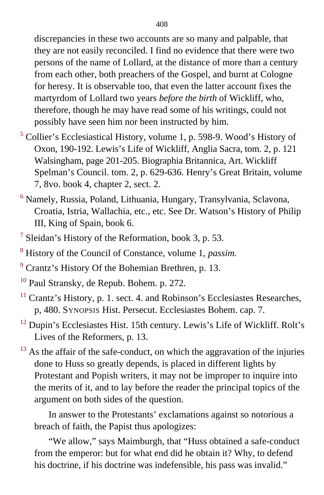discrepancies in these two accounts are so many and palpable, that they are not easily reconciled. I find no evidence that there were two persons of the name of Lollard, at the distance of more than a century from each other, both preachers of the Gospel, and burnt at Cologne for heresy. It is observable too, that even the latter account fixes the martyrdom of Lollard two years *before the birth* of Wickliff, who, therefore, though he may have read some of his writings, could not possibly have seen him nor been instructed by him.

- <sup>[5](#page-141-0)</sup> Collier's Ecclesiastical History, volume 1, p. 598-9. Wood's History of Oxon, 190-192. Lewis's Life of Wickliff, Anglia Sacra, tom. 2, p. 121 Walsingham, page 201-205. Biographia Britannica, Art. Wickliff Spelman's Council. tom. 2, p. 629-636. Henry's Great Britain, volume 7, 8vo. book 4, chapter 2, sect. 2.
- <sup>[6](#page-142-0)</sup> Namely, Russia, Poland, Lithuania, Hungary, Transylvania, Sclavona, Croatia, Istria, Wallachia, etc., etc. See Dr. Watson's History of Philip III, King of Spain, book 6.
- <sup>[7](#page-143-0)</sup> Sleidan's History of the Reformation, book 3, p. 53.
- 8 History of the Council of Constance, volume 1, *passim.*
- $9^9$  Crantz's History Of the Bohemian Brethren, p. 13.
- [10](#page-144-0) Paul Stransky, de Repub. Bohem. p. 272*.*
- $11$  Crantz's History, p. 1. sect. 4. and Robinson's Ecclesiastes Researches, p, 480. SYNOPSIS Hist. Persecut. Ecclesiastes Bohem. cap. 7.
- <sup>[12](#page-146-0)</sup> Dupin's Ecclesiastes Hist. 15th century. Lewis's Life of Wickliff. Rolt's Lives of the Reformers, p. 13.
- $13$  As the affair of the safe-conduct, on which the aggravation of the injuries done to Huss so greatly depends, is placed in different lights by Protestant and Popish writers, it may not be improper to inquire into the merits of it, and to lay before the reader the principal topics of the argument on both sides of the question.

In answer to the Protestants' exclamations against so notorious a breach of faith, the Papist thus apologizes:

"We allow," says Maimburgh, that "Huss obtained a safe-conduct from the emperor: but for what end did he obtain it? Why, to defend his doctrine, if his doctrine was indefensible, his pass was invalid."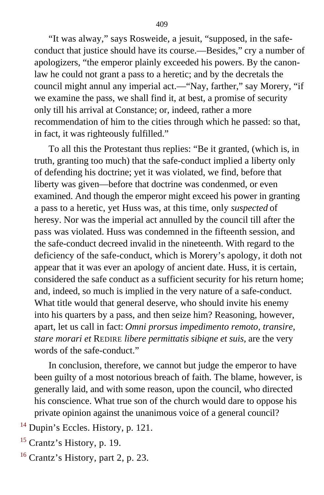"It was alway," says Rosweide, a jesuit, "supposed, in the safeconduct that justice should have its course.—Besides," cry a number of apologizers, "the emperor plainly exceeded his powers. By the canonlaw he could not grant a pass to a heretic; and by the decretals the council might annul any imperial act.—"Nay, farther," say Morery, "if we examine the pass, we shall find it, at best, a promise of security only till his arrival at Constance; or, indeed, rather a more recommendation of him to the cities through which he passed: so that, in fact, it was righteously fulfilled."

To all this the Protestant thus replies: "Be it granted, (which is, in truth, granting too much) that the safe-conduct implied a liberty only of defending his doctrine; yet it was violated, we find, before that liberty was given—before that doctrine was condenmed, or even examined. And though the emperor might exceed his power in granting a pass to a heretic, yet Huss was, at this time, only *suspected* of heresy. Nor was the imperial act annulled by the council till after the pass was violated. Huss was condemned in the fifteenth session, and the safe-conduct decreed invalid in the nineteenth. With regard to the deficiency of the safe-conduct, which is Morery's apology, it doth not appear that it was ever an apology of ancient date. Huss, it is certain, considered the safe conduct as a sufficient security for his return home; and, indeed, so much is implied in the very nature of a safe-conduct. What title would that general deserve, who should invite his enemy into his quarters by a pass, and then seize him? Reasoning, however, apart, let us call in fact: *Omni prorsus impedimento remoto, transire, stare morari et* REDIRE *libere permittatis sibiqne et suis,* are the very words of the safe-conduct."

In conclusion, therefore, we cannot but judge the emperor to have been guilty of a most notorious breach of faith. The blame, however, is generally laid, and with some reason, upon the council, who directed his conscience. What true son of the church would dare to oppose his private opinion against the unanimous voice of a general council?

 $14$  Dupin's Eccles. History, p. 121.

- $15$  Crantz's History, p. 19.
- [16](#page-157-0) Crantz's History, part 2, p. 23.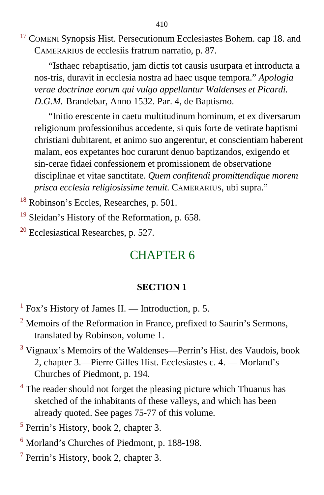<sup>[17](#page-157-0)</sup> COMENI Synopsis Hist. Persecutionum Ecclesiastes Bohem. cap 18. and CAMERARIUS de ecclesiis fratrum narratio, p. 87.

"Isthaec rebaptisatio, jam dictis tot causis usurpata et introducta a nos-tris, duravit in ecclesia nostra ad haec usque tempora." *Apologia verae doctrinae eorum qui vulgo appellantur Waldenses et Picardi. D.G.M.* Brandebar, Anno 1532. Par. 4, de Baptismo.

"Initio erescente in caetu multitudinum hominum, et ex diversarum religionum professionibus accedente, si quis forte de vetirate baptismi christiani dubitarent, et animo suo angerentur, et conscientiam haberent malam, eos expetantes hoc curarunt denuo baptizandos, exigendo et sin-cerae fidaei confessionem et promissionem de observatione disciplinae et vitae sanctitate. *Quem confitendi promittendique morem prisca ecclesia religiosissime tenuit.* CAMERARIUS, ubi supra."

[18](#page-158-0) Robinson's Eccles, Researches, p. 501.

 $19$  Sleidan's History of the Reformation, p. 658.

 $20$  Ecclesiastical Researches, p. 527.

# CHAPTER 6

### **SECTION 1**

 $<sup>1</sup>$  $<sup>1</sup>$  $<sup>1</sup>$  Fox's History of James II. — Introduction, p. 5.</sup>

 $2$  Memoirs of the Reformation in France, prefixed to Saurin's Sermons, translated by Robinson, volume 1.

- <sup>[3](#page-168-0)</sup> Vignaux's Memoirs of the Waldenses—Perrin's Hist. des Vaudois, book 2, chapter 3.—Pierre Gilles Hist. Ecclesiastes c. 4. — Morland's Churches of Piedmont, p. 194.
- <sup>4</sup> The reader should not forget the pleasing picture which Thuanus has sketched of the inhabitants of these valleys, and which has been already quoted. See pages 75-77 of this volume.

<sup>[5](#page-169-0)</sup> Perrin's History, book 2, chapter 3.

- [6](#page-171-0) Morland's Churches of Piedmont, p. 188-198.
- <sup>[7](#page-171-1)</sup> Perrin's History, book 2, chapter 3.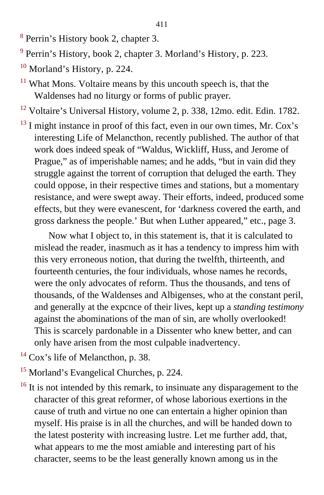- <sup>[8](#page-172-0)</sup> Perrin's History book 2, chapter 3.
- $9$  Perrin's History, book 2, chapter 3. Morland's History, p. 223.
- $10$  Morland's History, p. 224.
- $11$  What Mons. Voltaire means by this uncouth speech is, that the Waldenses had no liturgy or forms of public prayer.
- <sup>[12](#page-176-0)</sup> Voltaire's Universal History, volume 2, p. 338, 12mo. edit. Edin. 1782.
- $13$  I might instance in proof of this fact, even in our own times, Mr. Cox's interesting Life of Melancthon, recently published. The author of that work does indeed speak of "Waldus, Wickliff, Huss, and Jerome of Prague," as of imperishable names; and he adds, "but in vain did they struggle against the torrent of corruption that deluged the earth. They could oppose, in their respective times and stations, but a momentary resistance, and were swept away. Their efforts, indeed, produced some effects, but they were evanescent, for 'darkness covered the earth, and gross darkness the people.' But when Luther appeared," etc., page 3.

Now what I object to, in this statement is, that it is calculated to mislead the reader, inasmuch as it has a tendency to impress him with this very erroneous notion, that during the twelfth, thirteenth, and fourteenth centuries, the four individuals, whose names he records, were the only advocates of reform. Thus the thousands, and tens of thousands, of the Waldenses and Albigenses, who at the constant peril, and generally at the expcnce of their lives, kept up a *standing testimony* against the abominations of the man of sin, are wholly overlooked! This is scarcely pardonable in a Dissenter who knew better, and can only have arisen from the most culpable inadvertency.

- $14$  Cox's life of Melancthon, p. 38.
- <sup>15</sup> Morland's Evangelical Churches, p. 224.
- <sup>[16](#page-178-0)</sup> It is not intended by this remark, to insinuate any disparagement to the character of this great reformer, of whose laborious exertions in the cause of truth and virtue no one can entertain a higher opinion than myself. His praise is in all the churches, and will be handed down to the latest posterity with increasing lustre. Let me further add, that, what appears to me the most amiable and interesting part of his character, seems to be the least generally known among us in the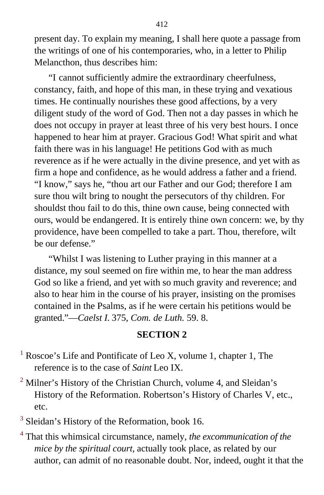present day. To explain my meaning, I shall here quote a passage from the writings of one of his contemporaries, who, in a letter to Philip Melancthon, thus describes him:

"I cannot sufficiently admire the extraordinary cheerfulness, constancy, faith, and hope of this man, in these trying and vexatious times. He continually nourishes these good affections, by a very diligent study of the word of God. Then not a day passes in which he does not occupy in prayer at least three of his very best hours. I once happened to hear him at prayer. Gracious God! What spirit and what faith there was in his language! He petitions God with as much reverence as if he were actually in the divine presence, and yet with as firm a hope and confidence, as he would address a father and a friend. "I know," says he, "thou art our Father and our God; therefore I am sure thou wilt bring to nought the persecutors of thy children. For shouldst thou fail to do this, thine own cause, being connected with ours, would be endangered. It is entirely thine own concern: we, by thy providence, have been compelled to take a part. Thou, therefore, wilt be our defense."

"Whilst I was listening to Luther praying in this manner at a distance, my soul seemed on fire within me, to hear the man address God so like a friend, and yet with so much gravity and reverence; and also to hear him in the course of his prayer, insisting on the promises contained in the Psalms, as if he were certain his petitions would be granted."—*Caelst I.* 375, *Com. de Luth.* 59. 8.

#### **SECTION 2**

- <sup>[1](#page-182-0)</sup> Roscoe's Life and Pontificate of Leo X, volume 1, chapter 1, The reference is to the case of *Saint* Leo IX.
- $2$  Milner's History of the Christian Church, volume 4, and Sleidan's History of the Reformation. Robertson's History of Charles V, etc., etc.

 $3$  Sleidan's History of the Reformation, book 16.

[4](#page-193-0) That this whimsical circumstance, namely, *the excommunication of the mice by the spiritual court,* actually took place, as related by our author, can admit of no reasonable doubt. Nor, indeed, ought it that the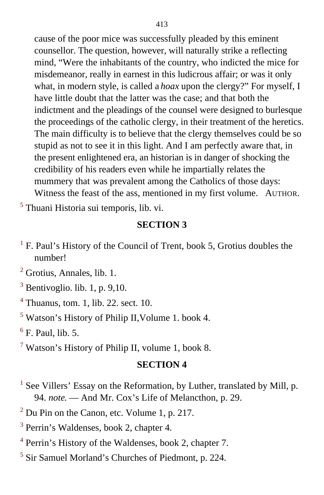cause of the poor mice was successfully pleaded by this eminent counsellor. The question, however, will naturally strike a reflecting mind, "Were the inhabitants of the country, who indicted the mice for misdemeanor, really in earnest in this ludicrous affair; or was it only what, in modern style, is called a *hoax* upon the clergy?" For myself, I have little doubt that the latter was the case; and that both the indictment and the pleadings of the counsel were designed to burlesque the proceedings of the catholic clergy, in their treatment of the heretics. The main difficulty is to believe that the clergy themselves could be so stupid as not to see it in this light. And I am perfectly aware that, in the present enlightened era, an historian is in danger of shocking the credibility of his readers even while he impartially relates the mummery that was prevalent among the Catholics of those days: Witness the feast of the ass, mentioned in my first volume. AUTHOR.

[5](#page-201-0) Thuani Historia sui temporis, lib. vi.

## **SECTION 3**

<sup>[1](#page-203-0)</sup> F. Paul's History of the Council of Trent, book 5, Grotius doubles the number!

 $2$  Grotius, Annales, lib. 1.

- $3$  Bentivoglio. lib. 1, p. 9,10.
- $<sup>4</sup>$  $<sup>4</sup>$  $<sup>4</sup>$  Thuanus, tom. 1, lib. 22. sect. 10.</sup>
- <sup>[5](#page-208-0)</sup> Watson's History of Philip II, Volume 1. book 4.

 $<sup>6</sup>$  $<sup>6</sup>$  $<sup>6</sup>$  F. Paul, lib. 5.</sup>

<sup>[7](#page-222-0)</sup> Watson's History of Philip II, volume 1, book 8.

- <sup>[1](#page-224-0)</sup> See Villers' Essay on the Reformation, by Luther, translated by Mill, p. 94. *note*. — And Mr. Cox's Life of Melancthon, p. 29.
- $2^2$  Du Pin on the Canon, etc. Volume 1, p. 217.
- <sup>[3](#page-225-0)</sup> Perrin's Waldenses, book 2, chapter 4.
- <sup>[4](#page-228-0)</sup> Perrin's History of the Waldenses, book 2, chapter 7.
- <sup>[5](#page-229-0)</sup> Sir Samuel Morland's Churches of Piedmont, p. 224.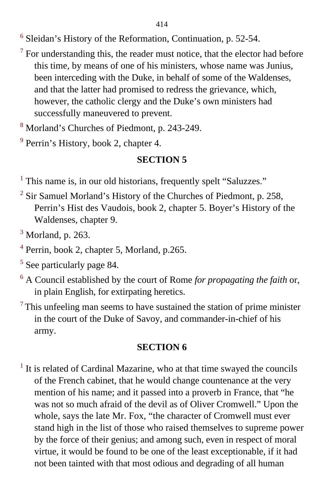[6](#page-237-0) Sleidan's History of the Reformation, Continuation, p. 52-54.

- $<sup>7</sup>$  $<sup>7</sup>$  $<sup>7</sup>$  For understanding this, the reader must notice, that the elector had before</sup> this time, by means of one of his ministers, whose name was Junius, been interceding with the Duke, in behalf of some of the Waldenses, and that the latter had promised to redress the grievance, which, however, the catholic clergy and the Duke's own ministers had successfully maneuvered to prevent.
- [8](#page-241-0) Morland's Churches of Piedmont, p. 243-249.
- <sup>[9](#page-247-0)</sup> Perrin's History, book 2, chapter 4.

# **SECTION 5**

<sup>[1](#page-248-0)</sup> This name is, in our old historians, frequently spelt "Saluzzes."

- $2$  Sir Samuel Morland's History of the Churches of Piedmont, p. 258, Perrin's Hist des Vaudois, book 2, chapter 5. Boyer's History of the Waldenses, chapter 9.
- $3$  Morland, p. 263.
- <sup>[4](#page-250-0)</sup> Perrin, book 2, chapter 5, Morland, p.265.
- <sup>[5](#page-252-0)</sup> See particularly page 84.
- 6 A Council established by the court of Rome *for propagating the faith* or, in plain English, for extirpating heretics.
- $<sup>7</sup>$  This unfeeling man seems to have sustained the station of prime minister</sup> in the court of the Duke of Savoy, and commander-in-chief of his army.

## **SECTION 6**

 $<sup>1</sup>$  $<sup>1</sup>$  $<sup>1</sup>$  It is related of Cardinal Mazarine, who at that time swayed the councils</sup> of the French cabinet, that he would change countenance at the very mention of his name; and it passed into a proverb in France, that "he was not so much afraid of the devil as of Oliver Cromwell." Upon the whole, says the late Mr. Fox, "the character of Cromwell must ever stand high in the list of those who raised themselves to supreme power by the force of their genius; and among such, even in respect of moral virtue, it would be found to be one of the least exceptionable, if it had not been tainted with that most odious and degrading of all human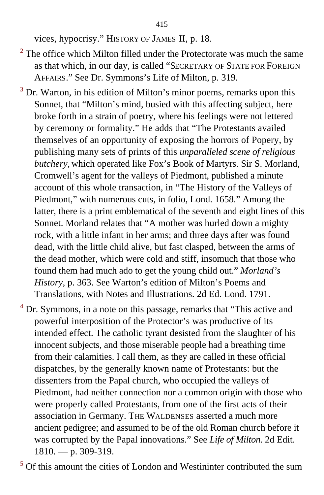vices, hypocrisy." HISTORY OF JAMES II, p. 18.

- $2$  The office which Milton filled under the Protectorate was much the same as that which, in our day, is called "SECRETARY OF STATE FOR FOREIGN AFFAIRS." See Dr. Symmons's Life of Milton, p. 319.
- $3$  Dr. Warton, in his edition of Milton's minor poems, remarks upon this Sonnet, that "Milton's mind, busied with this affecting subject, here broke forth in a strain of poetry, where his feelings were not lettered by ceremony or formality." He adds that "The Protestants availed themselves of an opportunity of exposing the horrors of Popery, by publishing many sets of prints of this *unparalleled scene of religious butchery,* which operated like Fox's Book of Martyrs. Sir S. Morland, Cromwell's agent for the valleys of Piedmont, published a minute account of this whole transaction, in "The History of the Valleys of Piedmont," with numerous cuts, in folio, Lond. 1658." Among the latter, there is a print emblematical of the seventh and eight lines of this Sonnet. Morland relates that "A mother was hurled down a mighty rock, with a little infant in her arms; and three days after was found dead, with the little child alive, but fast clasped, between the arms of the dead mother, which were cold and stiff, insomuch that those who found them had much ado to get the young child out." *Morland's History,* p. 363. See Warton's edition of Milton's Poems and Translations, with Notes and Illustrations. 2d Ed. Lond. 1791.
- $4^{4}$  $4^{4}$  Dr. Symmons, in a note on this passage, remarks that "This active and powerful interposition of the Protector's was productive of its intended effect. The catholic tyrant desisted from the slaughter of his innocent subjects, and those miserable people had a breathing time from their calamities. I call them, as they are called in these official dispatches, by the generally known name of Protestants: but the dissenters from the Papal church, who occupied the valleys of Piedmont, had neither connection nor a common origin with those who were properly called Protestants, from one of the first acts of their association in Germany. THE WALDENSES asserted a much more ancient pedigree; and assumed to be of the old Roman church before it was corrupted by the Papal innovations." See *Life of Milton.* 2d Edit.  $1810. - p. 309-319.$
- <sup>[5](#page-290-0)</sup> Of this amount the cities of London and Westininter contributed the sum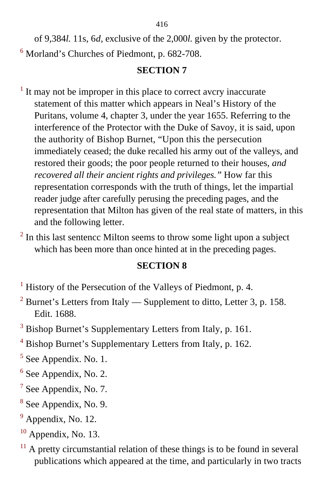of 9,384*l*. 11s, 6*d,* exclusive of the 2,000*l*. given by the protector. <sup>[6](#page-297-0)</sup> Morland's Churches of Piedmont, p. 682-708.

## **SECTION 7**

- $<sup>1</sup>$  $<sup>1</sup>$  $<sup>1</sup>$  It may not be improper in this place to correct avcry inaccurate</sup> statement of this matter which appears in Neal's History of the Puritans, volume 4, chapter 3, under the year 1655. Referring to the interference of the Protector with the Duke of Savoy, it is said, upon the authority of Bishop Burnet, "Upon this the persecution immediately ceased; the duke recalled his army out of the valleys, and restored their goods; the poor people returned to their houses, *and recovered all their ancient rights and privileges."* How far this representation corresponds with the truth of things, let the impartial reader judge after carefully perusing the preceding pages, and the representation that Milton has given of the real state of matters, in this and the following letter.
- $2 \text{ In this last sentence Milton seems to throw some light upon a subject.}$  $2 \text{ In this last sentence Milton seems to throw some light upon a subject.}$ which has been more than once hinted at in the preceding pages.

- <sup>[1](#page-317-0)</sup> History of the Persecution of the Valleys of Piedmont, p. 4.
- <sup>[2](#page-318-0)</sup> Burnet's Letters from Italy Supplement to ditto, Letter 3, p. 158. Edit. 1688.
- <sup>[3](#page-320-0)</sup> Bishop Burnet's Supplementary Letters from Italy, p. 161.
- <sup>[4](#page-320-0)</sup> Bishop Burnet's Supplementary Letters from Italy, p. 162.
- <sup>[5](#page-321-0)</sup> See Appendix. No. 1.
- $6$  See Appendix, No. 2.
- $7$  See Appendix, No. 7.
- <sup>[8](#page-330-1)</sup> See Appendix, No. 9.
- $<sup>9</sup>$  $<sup>9</sup>$  $<sup>9</sup>$  Appendix, No. 12.</sup>
- $10$  Appendix, No. 13.
- $11$  A pretty circumstantial relation of these things is to be found in several publications which appeared at the time, and particularly in two tracts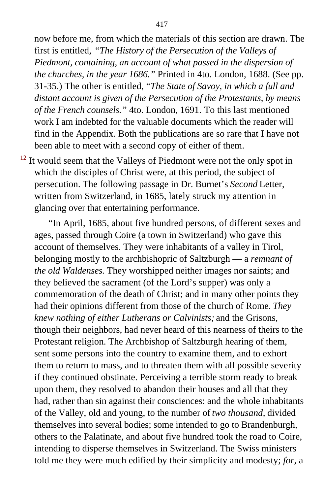now before me, from which the materials of this section are drawn. The first is entitled, *"The History of the Persecution of the Valleys of Piedmont, containing, an account of what passed in the dispersion of the churches, in the year 1686."* Printed in 4to. London, 1688. (See pp. 31-35.) The other is entitled, "*The State of Savoy, in which a full and distant account is given of the Persecution of the Protestants, by means of the French counsels."* 4to. London, 1691. To this last mentioned work I am indebted for the valuable documents which the reader will find in the Appendix. Both the publications are so rare that I have not been able to meet with a second copy of either of them.

<sup>[12](#page-344-0)</sup> It would seem that the Valleys of Piedmont were not the only spot in which the disciples of Christ were, at this period, the subject of persecution. The following passage in Dr. Burnet's *Second* Letter, written from Switzerland, in 1685, lately struck my attention in glancing over that entertaining performance.

"In April, 1685, about five hundred persons, of different sexes and ages, passed through Coire (a town in Switzerland) who gave this account of themselves. They were inhabitants of a valley in Tirol, belonging mostly to the archbishopric of Saltzburgh — a *remnant of the old Waldenses.* They worshipped neither images nor saints; and they believed the sacrament (of the Lord's supper) was only a commemoration of the death of Christ; and in many other points they had their opinions different from those of the church of Rome. *They knew nothing of either Lutherans or Calvinists;* and the Grisons, though their neighbors, had never heard of this nearness of theirs to the Protestant religion. The Archbishop of Saltzburgh hearing of them, sent some persons into the country to examine them, and to exhort them to return to mass, and to threaten them with all possible severity if they continued obstinate. Perceiving a terrible storm ready to break upon them, they resolved to abandon their houses and all that they had, rather than sin against their consciences: and the whole inhabitants of the Valley, old and young, to the number of *two thousand,* divided themselves into several bodies; some intended to go to Brandenburgh, others to the Palatinate, and about five hundred took the road to Coire, intending to disperse themselves in Switzerland. The Swiss ministers told me they were much edified by their simplicity and modesty; *for,* a